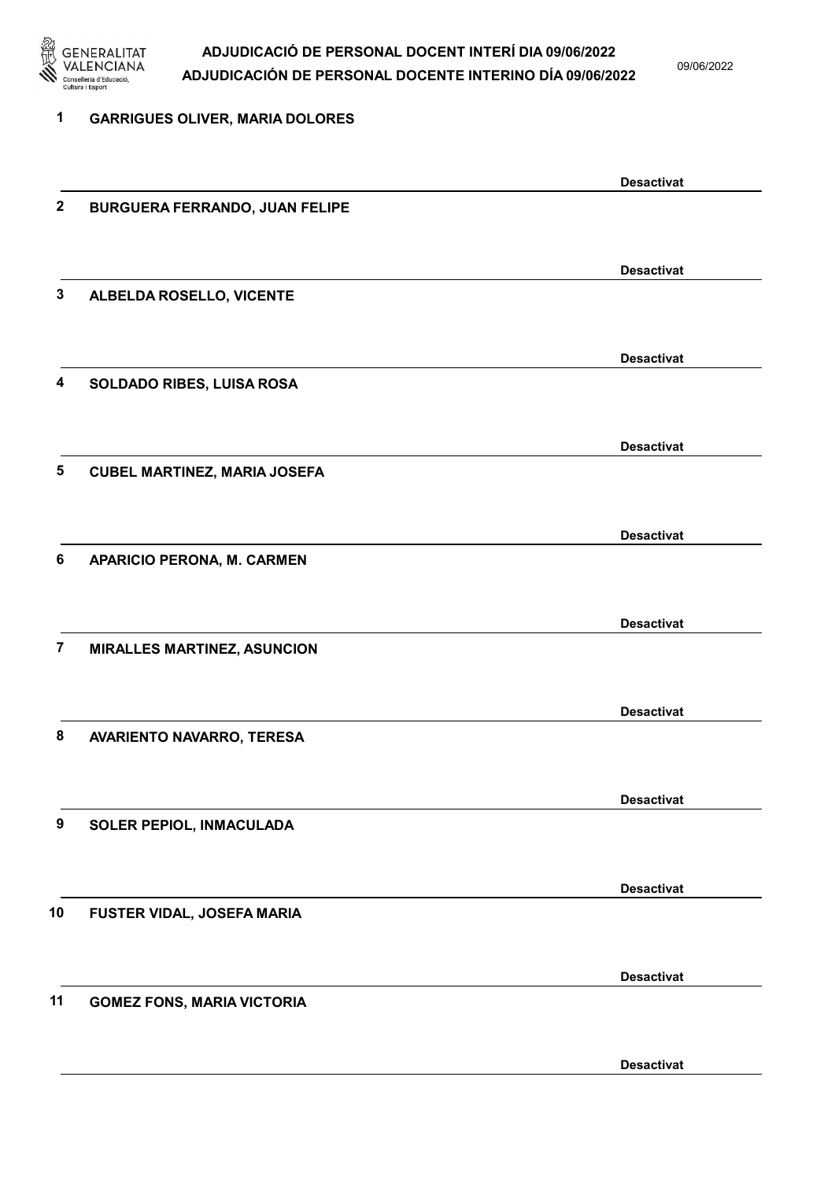

09/06/2022

| 1                | <b>GARRIGUES OLIVER, MARIA DOLORES</b> |                   |
|------------------|----------------------------------------|-------------------|
|                  |                                        | <b>Desactivat</b> |
| $\boldsymbol{2}$ | <b>BURGUERA FERRANDO, JUAN FELIPE</b>  |                   |
|                  |                                        | <b>Desactivat</b> |
| 3                | ALBELDA ROSELLO, VICENTE               |                   |
|                  |                                        |                   |
| 4                | SOLDADO RIBES, LUISA ROSA              | <b>Desactivat</b> |
|                  |                                        |                   |
| 5                | <b>CUBEL MARTINEZ, MARIA JOSEFA</b>    | <b>Desactivat</b> |
|                  |                                        |                   |
| 6                | <b>APARICIO PERONA, M. CARMEN</b>      | <b>Desactivat</b> |
|                  |                                        |                   |
|                  |                                        | <b>Desactivat</b> |
| $\overline{7}$   | <b>MIRALLES MARTINEZ, ASUNCION</b>     |                   |
|                  |                                        | <b>Desactivat</b> |
| 8                | AVARIENTO NAVARRO, TERESA              |                   |
|                  |                                        | <b>Desactivat</b> |
| 9                | SOLER PEPIOL, INMACULADA               |                   |
|                  |                                        | <b>Desactivat</b> |
| 10               | FUSTER VIDAL, JOSEFA MARIA             |                   |
|                  |                                        |                   |
| 11               | <b>GOMEZ FONS, MARIA VICTORIA</b>      | <b>Desactivat</b> |
|                  |                                        |                   |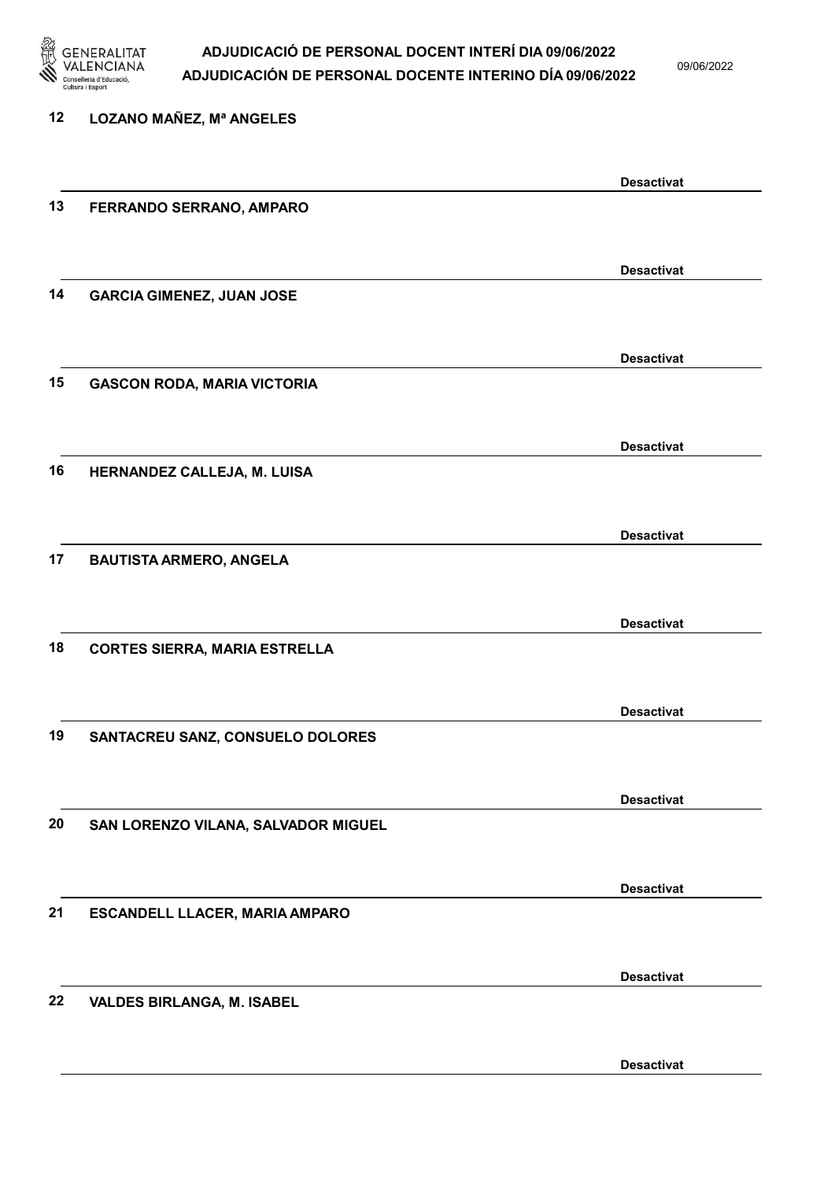

09/06/2022

| 12 | <b>LOZANO MAÑEZ, Mª ANGELES</b>      |                   |
|----|--------------------------------------|-------------------|
|    |                                      | <b>Desactivat</b> |
| 13 | FERRANDO SERRANO, AMPARO             |                   |
|    |                                      | <b>Desactivat</b> |
| 14 | <b>GARCIA GIMENEZ, JUAN JOSE</b>     |                   |
|    |                                      | <b>Desactivat</b> |
| 15 | <b>GASCON RODA, MARIA VICTORIA</b>   |                   |
|    |                                      | <b>Desactivat</b> |
| 16 | HERNANDEZ CALLEJA, M. LUISA          |                   |
|    |                                      | <b>Desactivat</b> |
| 17 | <b>BAUTISTA ARMERO, ANGELA</b>       |                   |
|    |                                      | <b>Desactivat</b> |
| 18 | <b>CORTES SIERRA, MARIA ESTRELLA</b> |                   |
|    |                                      | <b>Desactivat</b> |
| 19 | SANTACREU SANZ, CONSUELO DOLORES     |                   |
|    |                                      | <b>Desactivat</b> |
| 20 | SAN LORENZO VILANA, SALVADOR MIGUEL  |                   |
|    |                                      | <b>Desactivat</b> |
| 21 | ESCANDELL LLACER, MARIA AMPARO       |                   |
|    |                                      | <b>Desactivat</b> |
| 22 | <b>VALDES BIRLANGA, M. ISABEL</b>    |                   |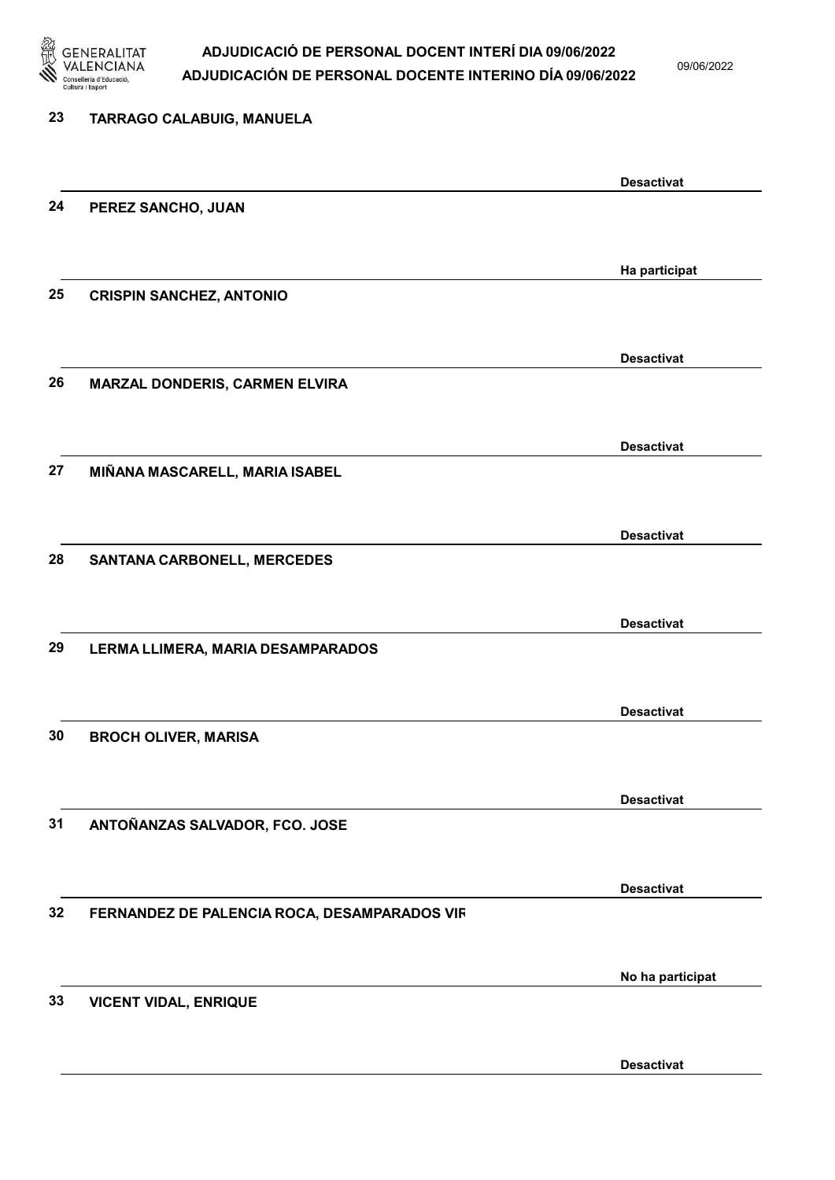

| 23 | TARRAGO CALABUIG, MANUELA                    |                   |
|----|----------------------------------------------|-------------------|
|    |                                              | <b>Desactivat</b> |
| 24 | PEREZ SANCHO, JUAN                           |                   |
|    |                                              | Ha participat     |
| 25 | <b>CRISPIN SANCHEZ, ANTONIO</b>              |                   |
|    |                                              | <b>Desactivat</b> |
| 26 | MARZAL DONDERIS, CARMEN ELVIRA               |                   |
|    |                                              | <b>Desactivat</b> |
| 27 | MIÑANA MASCARELL, MARIA ISABEL               |                   |
|    |                                              | <b>Desactivat</b> |
| 28 | <b>SANTANA CARBONELL, MERCEDES</b>           |                   |
| 29 | LERMA LLIMERA, MARIA DESAMPARADOS            | <b>Desactivat</b> |
|    |                                              |                   |
| 30 | <b>BROCH OLIVER, MARISA</b>                  | <b>Desactivat</b> |
|    |                                              |                   |
| 31 | ANTOÑANZAS SALVADOR, FCO. JOSE               | <b>Desactivat</b> |
|    |                                              |                   |
| 32 | FERNANDEZ DE PALENCIA ROCA, DESAMPARADOS VIR | <b>Desactivat</b> |
|    |                                              |                   |
| 33 | <b>VICENT VIDAL, ENRIQUE</b>                 | No ha participat  |
|    |                                              |                   |
|    |                                              | <b>Desactivat</b> |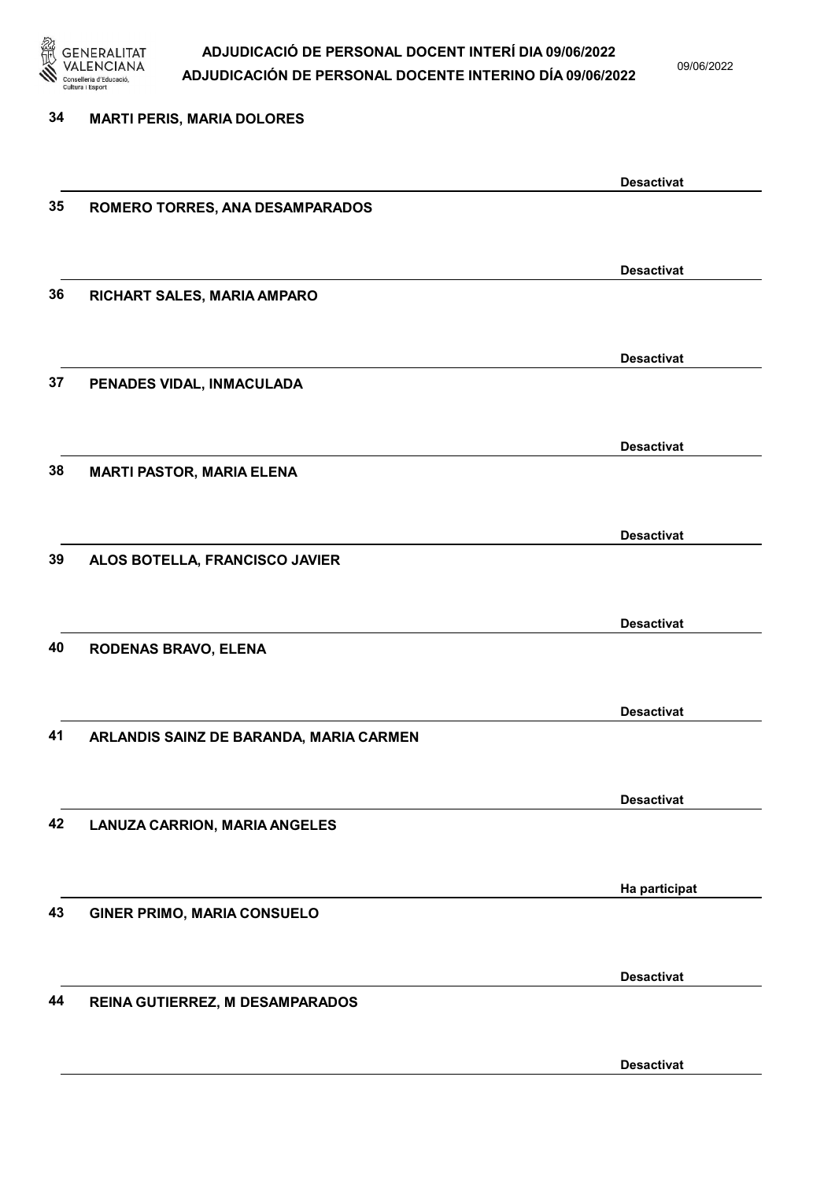

09/06/2022

Desactivat

# 34 MARTI PERIS, MARIA DOLORES Desactivat 35 ROMERO TORRES, ANA DESAMPARADOS Desactivat 36 RICHART SALES, MARIA AMPARO Desactivat 37 PENADES VIDAL, INMACULADA Desactivat 38 MARTI PASTOR, MARIA ELENA Desactivat 39 ALOS BOTELLA, FRANCISCO JAVIER Desactivat 40 RODENAS BRAVO, ELENA Desactivat 41 ARLANDIS SAINZ DE BARANDA, MARIA CARMEN Desactivat 42 LANUZA CARRION, MARIA ANGELES Ha participat 43 GINER PRIMO, MARIA CONSUELO Desactivat 44 REINA GUTIERREZ, M DESAMPARADOS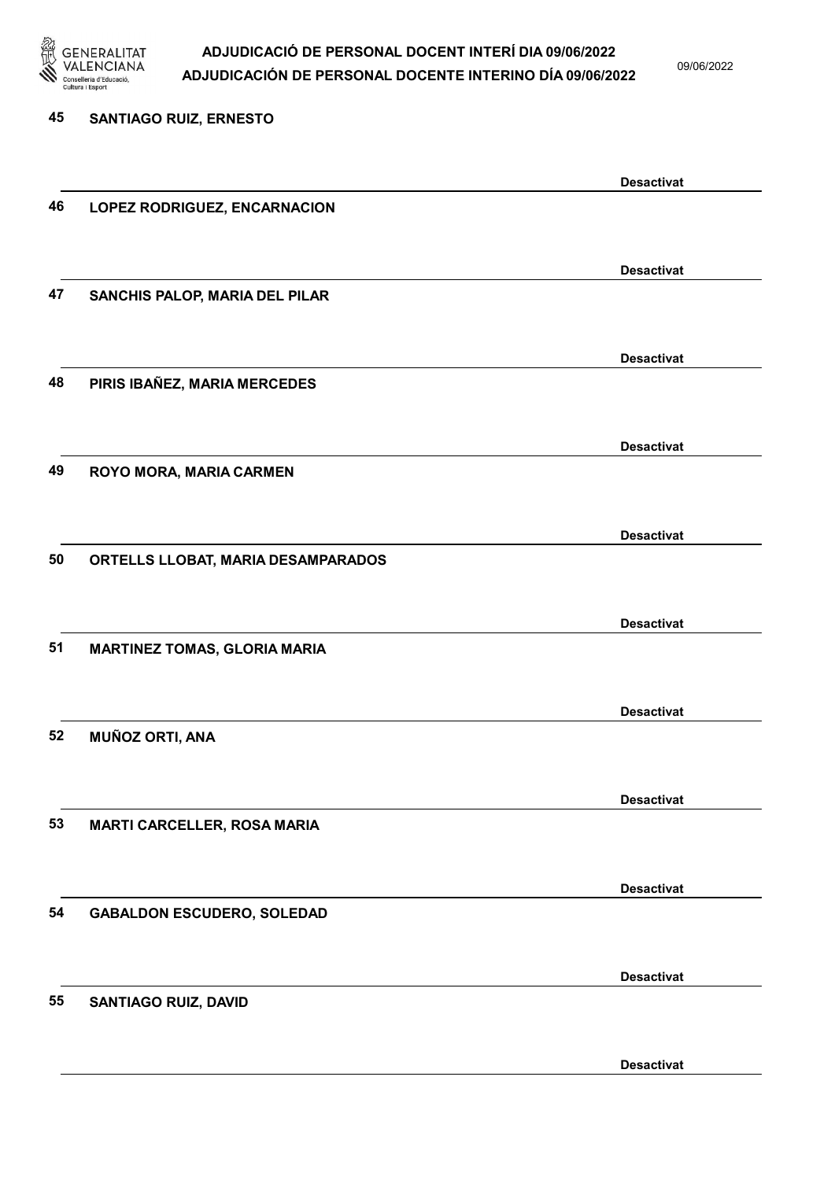

09/06/2022

Desactivat

# 45 SANTIAGO RUIZ, ERNESTO Desactivat 46 LOPEZ RODRIGUEZ, ENCARNACION Desactivat 47 SANCHIS PALOP, MARIA DEL PILAR Desactivat 48 PIRIS IBAÑEZ, MARIA MERCEDES Desactivat 49 ROYO MORA, MARIA CARMEN Desactivat 50 ORTELLS LLOBAT, MARIA DESAMPARADOS Desactivat 51 MARTINEZ TOMAS, GLORIA MARIA Desactivat 52 MUÑOZ ORTI, ANA Desactivat 53 MARTI CARCELLER, ROSA MARIA Desactivat 54 GABALDON ESCUDERO, SOLEDAD Desactivat 55 SANTIAGO RUIZ, DAVID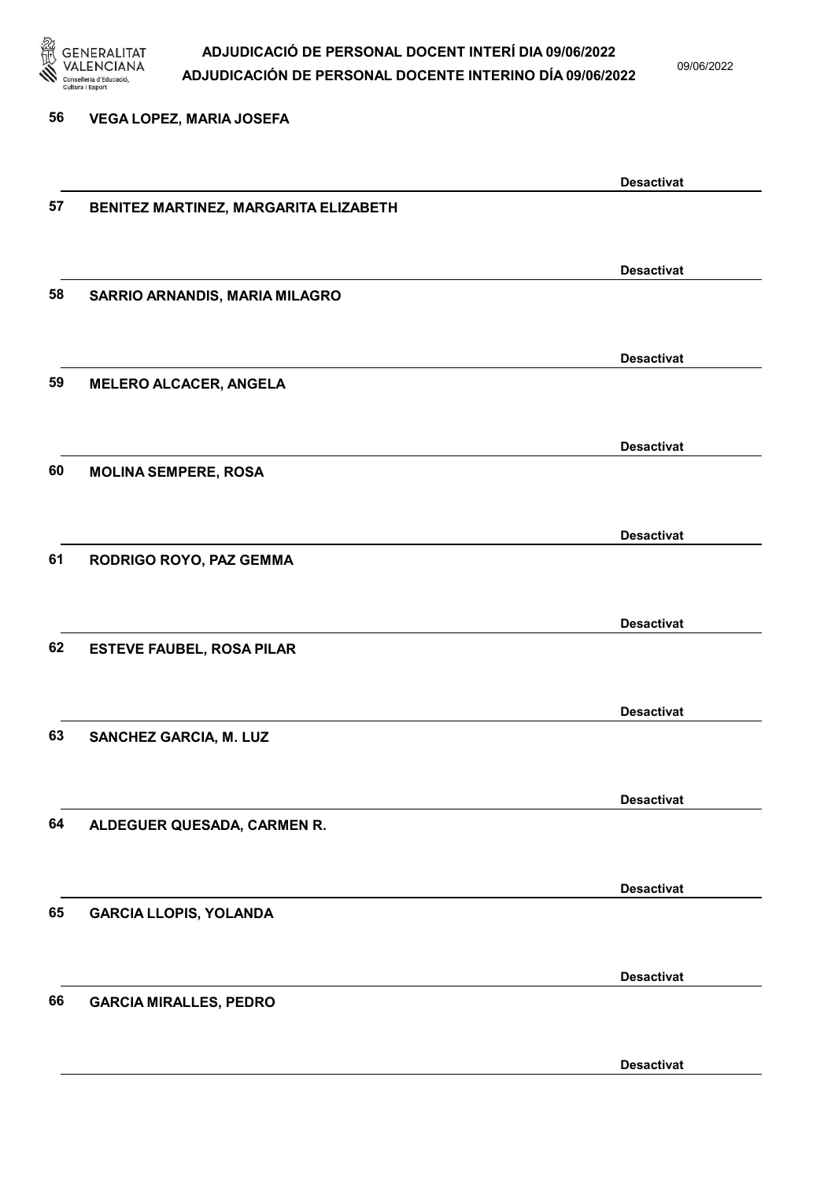

09/06/2022

56 VEGA LOPEZ, MARIA JOSEFA

|    |                                       | <b>Desactivat</b> |
|----|---------------------------------------|-------------------|
| 57 | BENITEZ MARTINEZ, MARGARITA ELIZABETH |                   |
|    |                                       |                   |
|    |                                       |                   |
|    |                                       | <b>Desactivat</b> |
| 58 | SARRIO ARNANDIS, MARIA MILAGRO        |                   |
|    |                                       |                   |
|    |                                       | <b>Desactivat</b> |
| 59 | <b>MELERO ALCACER, ANGELA</b>         |                   |
|    |                                       |                   |
|    |                                       |                   |
|    |                                       | <b>Desactivat</b> |
| 60 | <b>MOLINA SEMPERE, ROSA</b>           |                   |
|    |                                       |                   |
|    |                                       |                   |
|    |                                       | <b>Desactivat</b> |
| 61 | RODRIGO ROYO, PAZ GEMMA               |                   |
|    |                                       |                   |
|    |                                       | <b>Desactivat</b> |
| 62 | <b>ESTEVE FAUBEL, ROSA PILAR</b>      |                   |
|    |                                       |                   |
|    |                                       |                   |
|    |                                       | <b>Desactivat</b> |
| 63 | SANCHEZ GARCIA, M. LUZ                |                   |
|    |                                       |                   |
|    |                                       |                   |
|    |                                       | <b>Desactivat</b> |
| 64 | ALDEGUER QUESADA, CARMEN R.           |                   |
|    |                                       |                   |
|    |                                       | <b>Desactivat</b> |
| 65 | <b>GARCIA LLOPIS, YOLANDA</b>         |                   |
|    |                                       |                   |
|    |                                       |                   |
|    |                                       | <b>Desactivat</b> |
| 66 | <b>GARCIA MIRALLES, PEDRO</b>         |                   |
|    |                                       |                   |
|    |                                       |                   |
|    |                                       | <b>Desactivat</b> |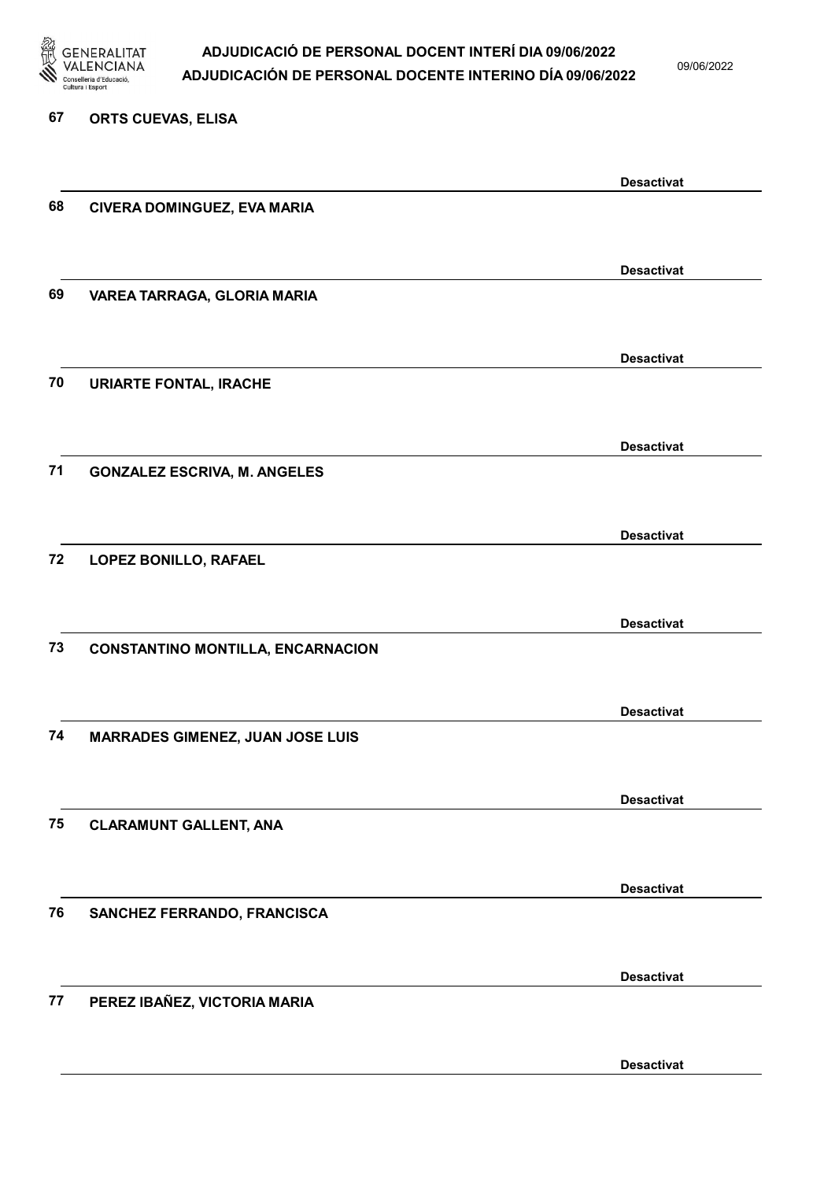

09/06/2022

#### 67 ORTS CUEVAS, ELISA

|    |                                          | <b>Desactivat</b> |
|----|------------------------------------------|-------------------|
| 68 | CIVERA DOMINGUEZ, EVA MARIA              |                   |
|    |                                          |                   |
|    |                                          |                   |
| 69 |                                          | <b>Desactivat</b> |
|    | VAREA TARRAGA, GLORIA MARIA              |                   |
|    |                                          |                   |
|    |                                          | <b>Desactivat</b> |
| 70 | <b>URIARTE FONTAL, IRACHE</b>            |                   |
|    |                                          |                   |
|    |                                          | <b>Desactivat</b> |
| 71 | <b>GONZALEZ ESCRIVA, M. ANGELES</b>      |                   |
|    |                                          |                   |
|    |                                          |                   |
|    |                                          | <b>Desactivat</b> |
| 72 | LOPEZ BONILLO, RAFAEL                    |                   |
|    |                                          |                   |
|    |                                          | <b>Desactivat</b> |
| 73 | <b>CONSTANTINO MONTILLA, ENCARNACION</b> |                   |
|    |                                          |                   |
|    |                                          |                   |
|    |                                          | <b>Desactivat</b> |
| 74 | <b>MARRADES GIMENEZ, JUAN JOSE LUIS</b>  |                   |
|    |                                          |                   |
|    |                                          | <b>Desactivat</b> |
| 75 | <b>CLARAMUNT GALLENT, ANA</b>            |                   |
|    |                                          |                   |
|    |                                          | <b>Desactivat</b> |
| 76 | SANCHEZ FERRANDO, FRANCISCA              |                   |
|    |                                          |                   |
|    |                                          |                   |
|    |                                          | <b>Desactivat</b> |
| 77 | PEREZ IBAÑEZ, VICTORIA MARIA             |                   |
|    |                                          |                   |
|    |                                          | <b>Desactivat</b> |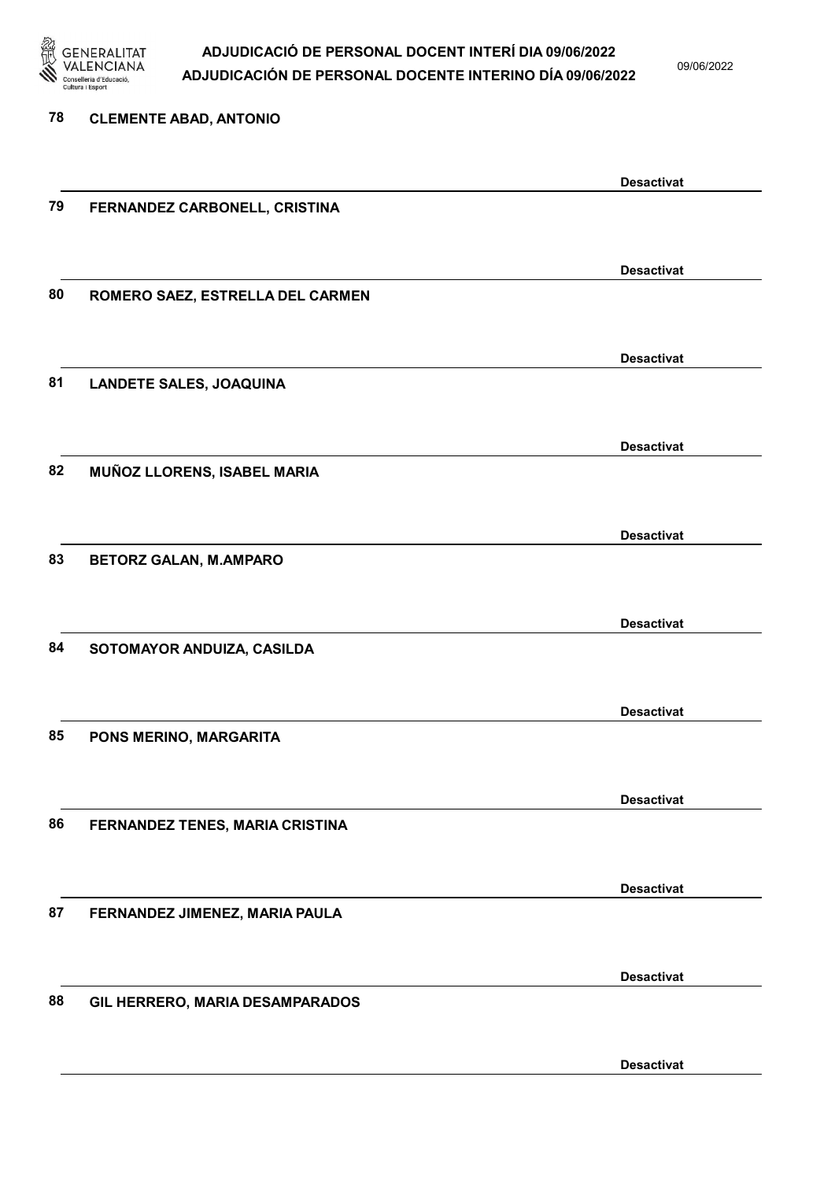

| 78 | <b>CLEMENTE ABAD, ANTONIO</b>    |                   |
|----|----------------------------------|-------------------|
|    |                                  | <b>Desactivat</b> |
| 79 | FERNANDEZ CARBONELL, CRISTINA    |                   |
|    |                                  | <b>Desactivat</b> |
| 80 | ROMERO SAEZ, ESTRELLA DEL CARMEN |                   |
|    |                                  | <b>Desactivat</b> |
| 81 | <b>LANDETE SALES, JOAQUINA</b>   |                   |
|    |                                  | <b>Desactivat</b> |
| 82 | MUÑOZ LLORENS, ISABEL MARIA      |                   |
| 83 | <b>BETORZ GALAN, M.AMPARO</b>    | <b>Desactivat</b> |
|    |                                  |                   |
| 84 | SOTOMAYOR ANDUIZA, CASILDA       | <b>Desactivat</b> |
|    |                                  |                   |
| 85 | PONS MERINO, MARGARITA           | <b>Desactivat</b> |
|    |                                  |                   |
| 86 | FERNANDEZ TENES, MARIA CRISTINA  | <b>Desactivat</b> |
|    |                                  |                   |
| 87 | FERNANDEZ JIMENEZ, MARIA PAULA   | <b>Desactivat</b> |
|    |                                  | <b>Desactivat</b> |
| 88 | GIL HERRERO, MARIA DESAMPARADOS  |                   |
|    |                                  | <b>Desactivat</b> |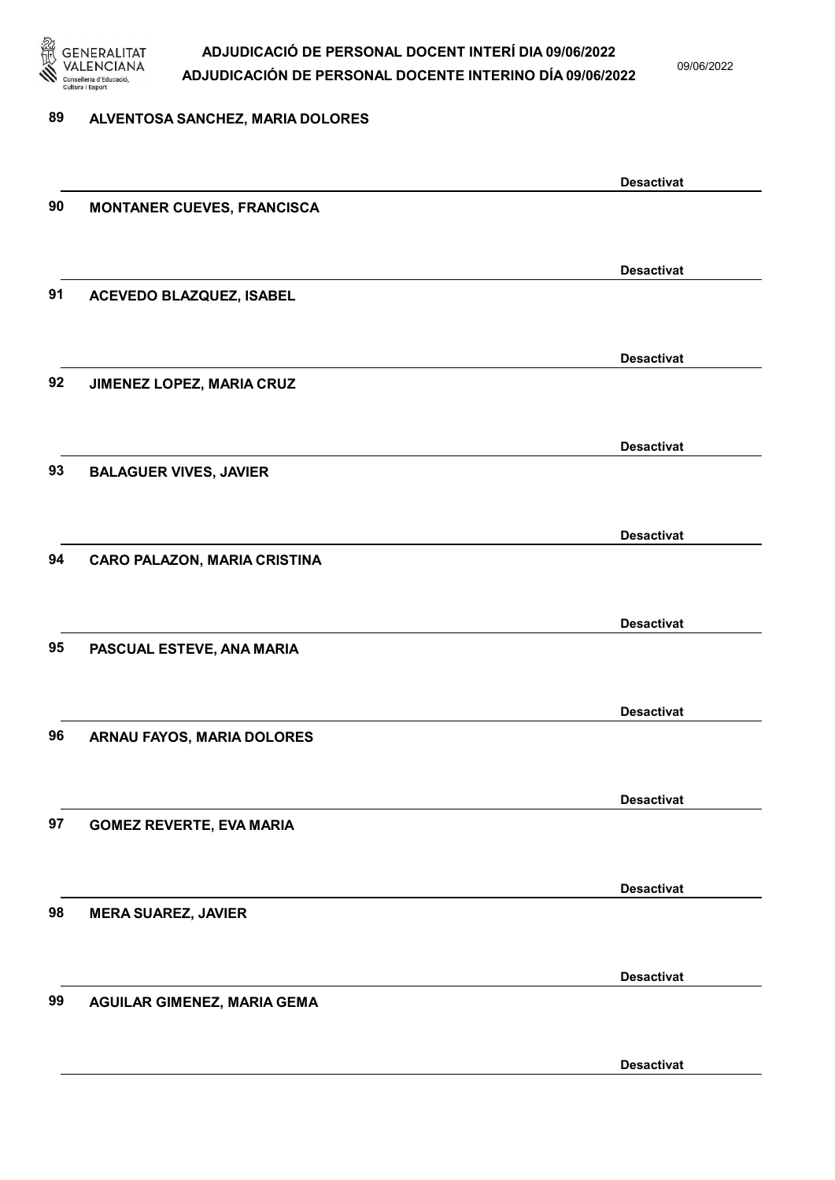

09/06/2022

#### 89 ALVENTOSA SANCHEZ, MARIA DOLORES

|    |                                     | <b>Desactivat</b> |
|----|-------------------------------------|-------------------|
| 90 | <b>MONTANER CUEVES, FRANCISCA</b>   |                   |
|    |                                     |                   |
|    |                                     | <b>Desactivat</b> |
| 91 | ACEVEDO BLAZQUEZ, ISABEL            |                   |
|    |                                     |                   |
|    |                                     | <b>Desactivat</b> |
| 92 | JIMENEZ LOPEZ, MARIA CRUZ           |                   |
|    |                                     |                   |
|    |                                     | <b>Desactivat</b> |
| 93 | <b>BALAGUER VIVES, JAVIER</b>       |                   |
|    |                                     |                   |
|    |                                     | <b>Desactivat</b> |
| 94 | <b>CARO PALAZON, MARIA CRISTINA</b> |                   |
|    |                                     |                   |
|    |                                     | <b>Desactivat</b> |
| 95 | PASCUAL ESTEVE, ANA MARIA           |                   |
|    |                                     |                   |
|    |                                     | <b>Desactivat</b> |
| 96 | ARNAU FAYOS, MARIA DOLORES          |                   |
|    |                                     |                   |
|    |                                     | <b>Desactivat</b> |
| 97 | <b>GOMEZ REVERTE, EVA MARIA</b>     |                   |
|    |                                     |                   |
|    |                                     | <b>Desactivat</b> |
| 98 | <b>MERA SUAREZ, JAVIER</b>          |                   |
|    |                                     |                   |
|    |                                     | <b>Desactivat</b> |
| 99 | <b>AGUILAR GIMENEZ, MARIA GEMA</b>  |                   |
|    |                                     |                   |
|    |                                     | <b>Desactivat</b> |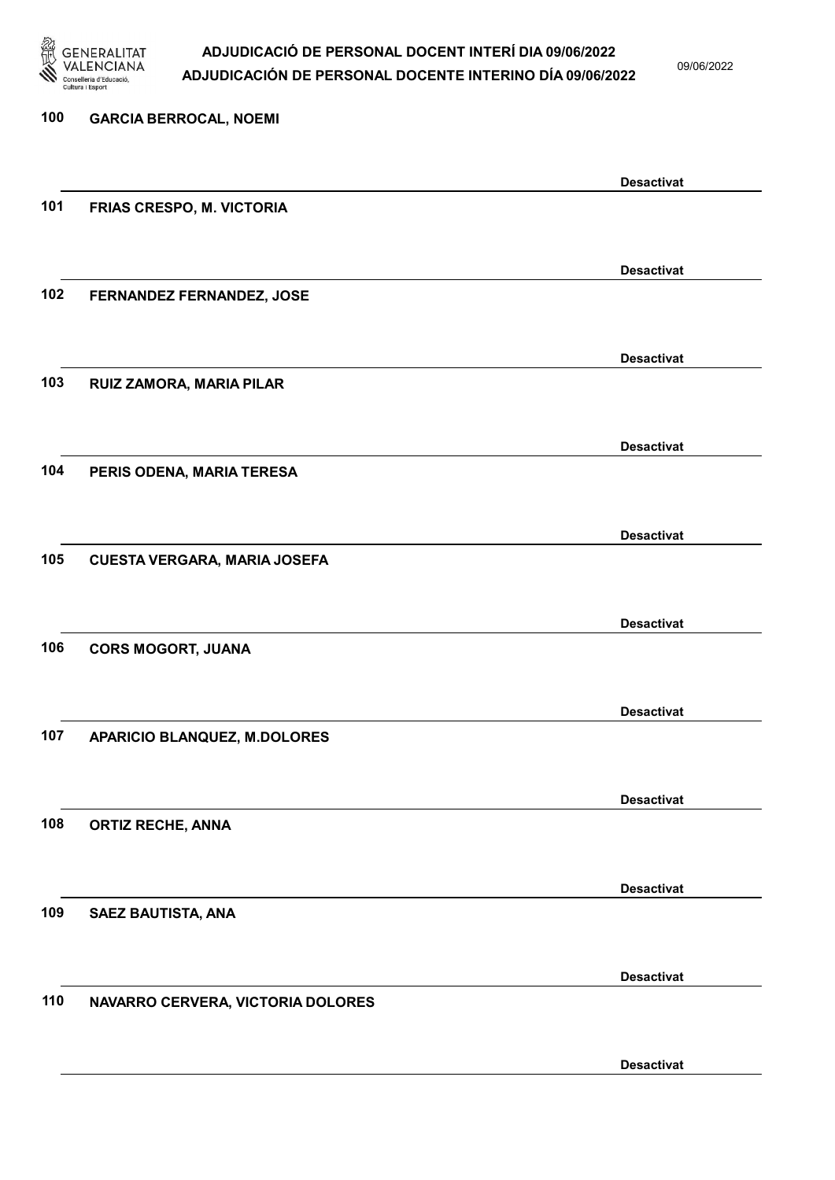

| 100 | <b>GARCIA BERROCAL, NOEMI</b>       |                   |
|-----|-------------------------------------|-------------------|
|     |                                     | <b>Desactivat</b> |
| 101 | FRIAS CRESPO, M. VICTORIA           |                   |
|     |                                     | <b>Desactivat</b> |
| 102 | FERNANDEZ FERNANDEZ, JOSE           |                   |
|     |                                     | <b>Desactivat</b> |
| 103 | RUIZ ZAMORA, MARIA PILAR            |                   |
| 104 |                                     | <b>Desactivat</b> |
|     | PERIS ODENA, MARIA TERESA           |                   |
| 105 | <b>CUESTA VERGARA, MARIA JOSEFA</b> | <b>Desactivat</b> |
|     |                                     |                   |
| 106 | <b>CORS MOGORT, JUANA</b>           | <b>Desactivat</b> |
|     |                                     |                   |
| 107 | APARICIO BLANQUEZ, M.DOLORES        | <b>Desactivat</b> |
|     |                                     |                   |
| 108 | <b>ORTIZ RECHE, ANNA</b>            | <b>Desactivat</b> |
|     |                                     | <b>Desactivat</b> |
| 109 | SAEZ BAUTISTA, ANA                  |                   |
|     |                                     | <b>Desactivat</b> |
| 110 | NAVARRO CERVERA, VICTORIA DOLORES   |                   |
|     |                                     | <b>Desactivat</b> |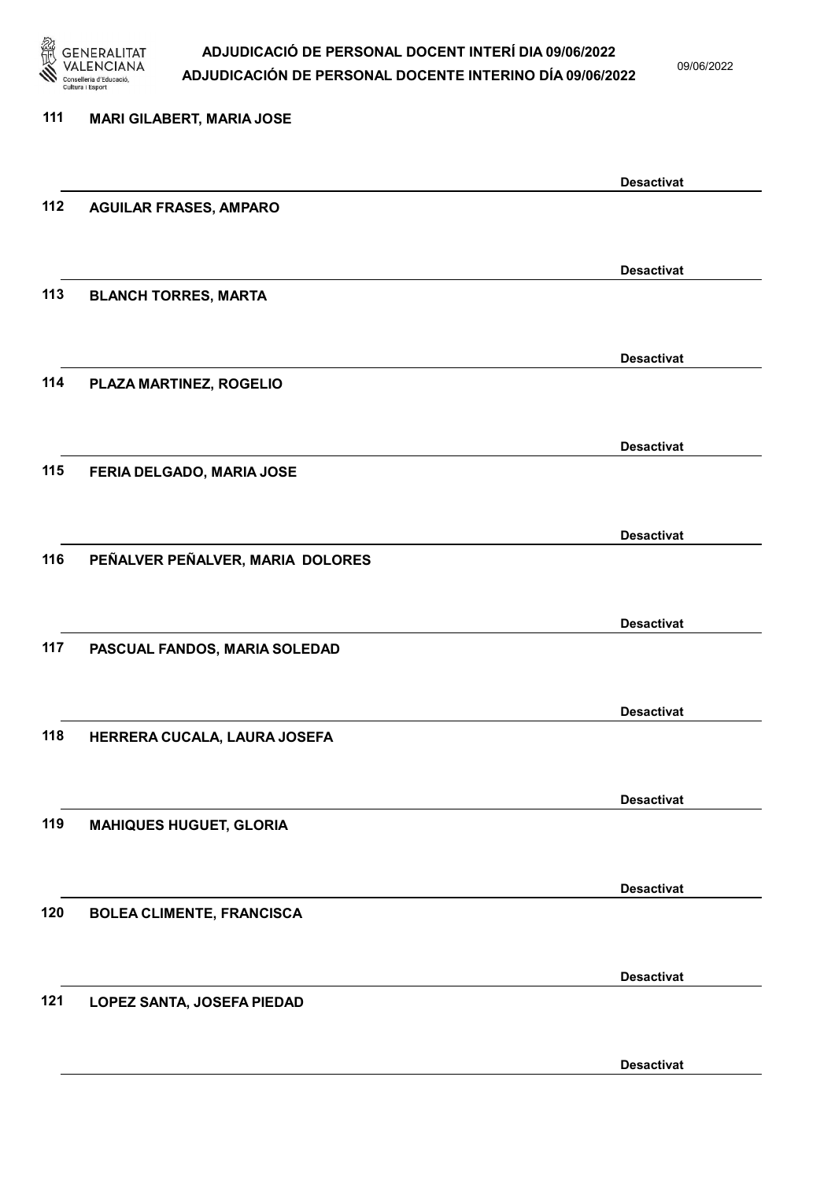

09/06/2022

## 111 MARI GILABERT, MARIA JOSE Desactivat 112 AGUILAR FRASES, AMPARO Desactivat 113 BLANCH TORRES, MARTA Desactivat 114 PLAZA MARTINEZ, ROGELIO Desactivat 115 FERIA DELGADO, MARIA JOSE Desactivat 116 PEÑALVER PEÑALVER, MARIA DOLORES Desactivat 117 PASCUAL FANDOS, MARIA SOLEDAD Desactivat 118 HERRERA CUCALA, LAURA JOSEFA Desactivat 119 MAHIQUES HUGUET, GLORIA Desactivat 120 BOLEA CLIMENTE, FRANCISCA Desactivat 121 LOPEZ SANTA, JOSEFA PIEDAD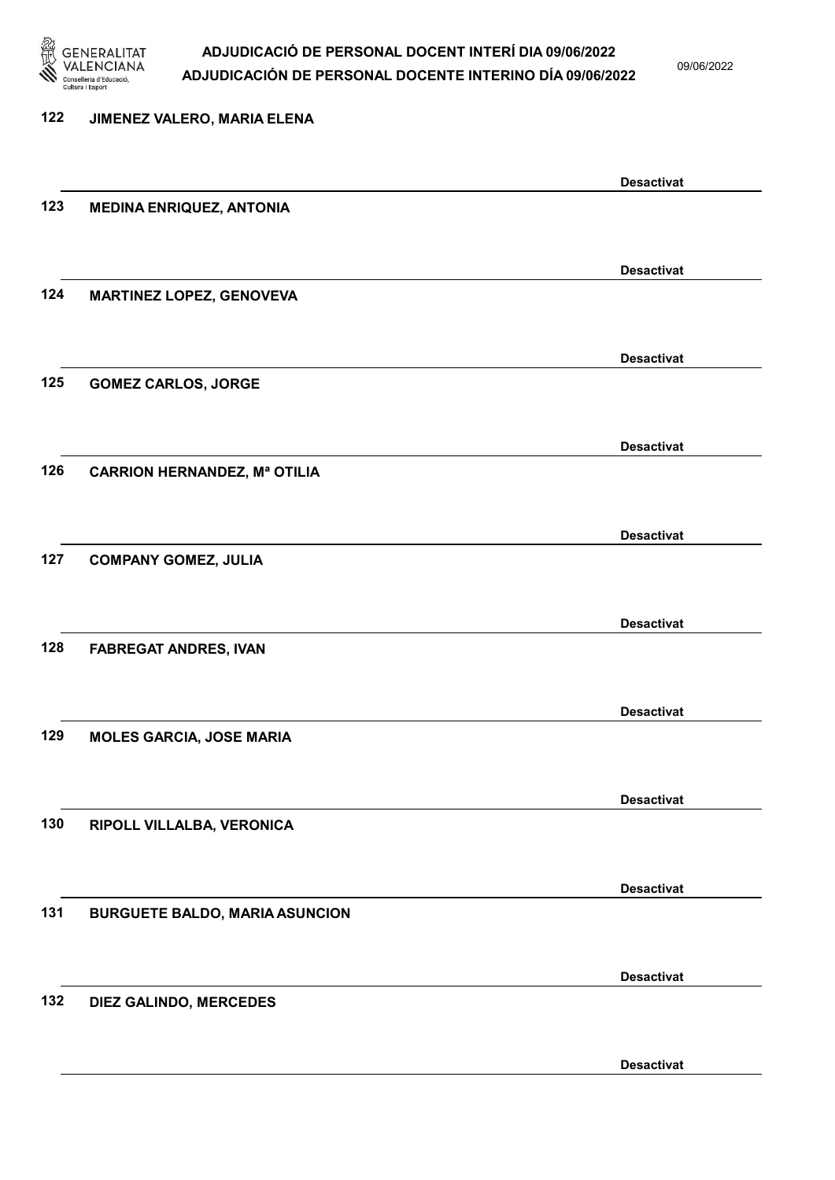

09/06/2022

## 122 JIMENEZ VALERO, MARIA ELENA Desactivat 123 MEDINA ENRIQUEZ, ANTONIA Desactivat 124 MARTINEZ LOPEZ, GENOVEVA Desactivat 125 GOMEZ CARLOS, JORGE Desactivat 126 CARRION HERNANDEZ, Mª OTILIA Desactivat 127 COMPANY GOMEZ, JULIA Desactivat 128 FABREGAT ANDRES, IVAN Desactivat 129 MOLES GARCIA, JOSE MARIA Desactivat 130 RIPOLL VILLALBA, VERONICA Desactivat 131 BURGUETE BALDO, MARIA ASUNCION Desactivat 132 DIEZ GALINDO, MERCEDES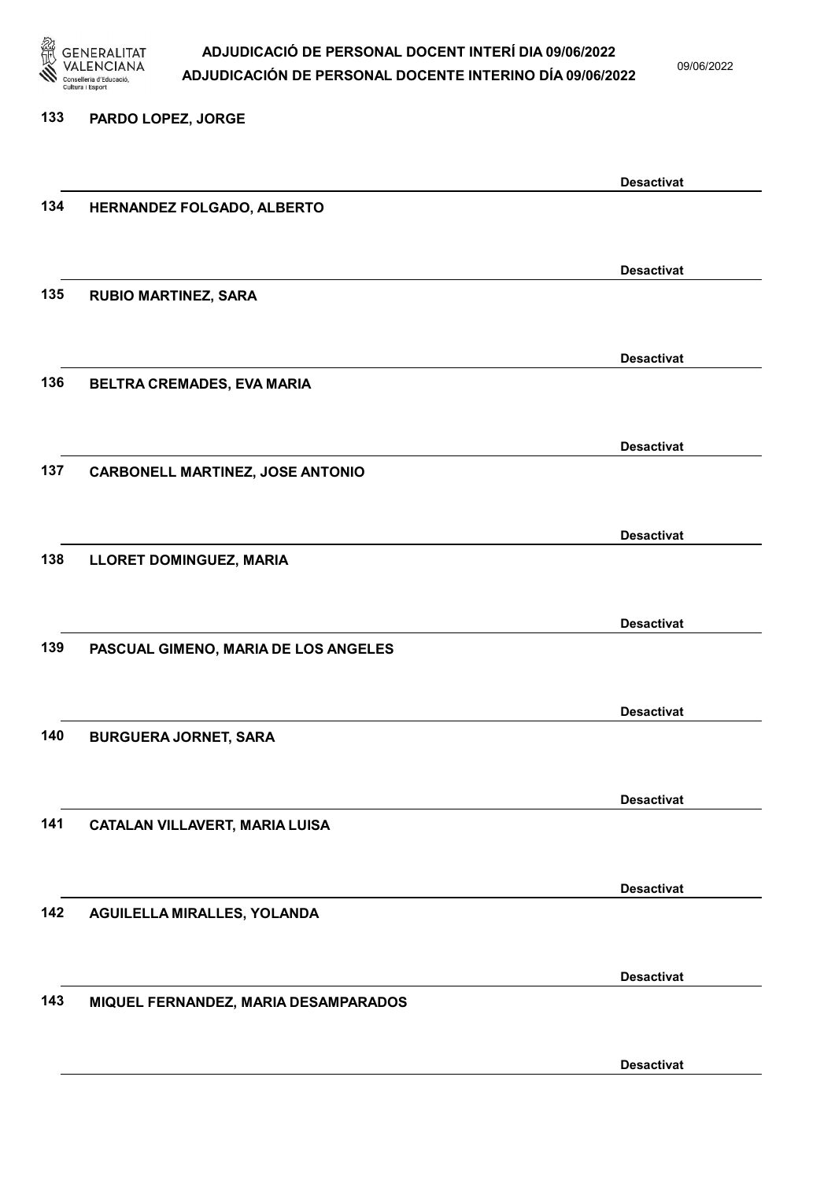

133 PARDO LOPEZ, JORGE

## ADJUDICACIÓ DE PERSONAL DOCENT INTERÍ DIA 09/06/2022 ADJUDICACIÓN DE PERSONAL DOCENTE INTERINO DÍA 09/06/2022

09/06/2022

# Desactivat 134 HERNANDEZ FOLGADO, ALBERTO Desactivat 135 RUBIO MARTINEZ, SARA Desactivat 136 BELTRA CREMADES, EVA MARIA Desactivat 137 CARBONELL MARTINEZ, JOSE ANTONIO Desactivat 138 LLORET DOMINGUEZ, MARIA Desactivat 139 PASCUAL GIMENO, MARIA DE LOS ANGELES Desactivat 140 BURGUERA JORNET, SARA Desactivat 141 CATALAN VILLAVERT, MARIA LUISA Desactivat 142 AGUILELLA MIRALLES, YOLANDA Desactivat 143 MIQUEL FERNANDEZ, MARIA DESAMPARADOS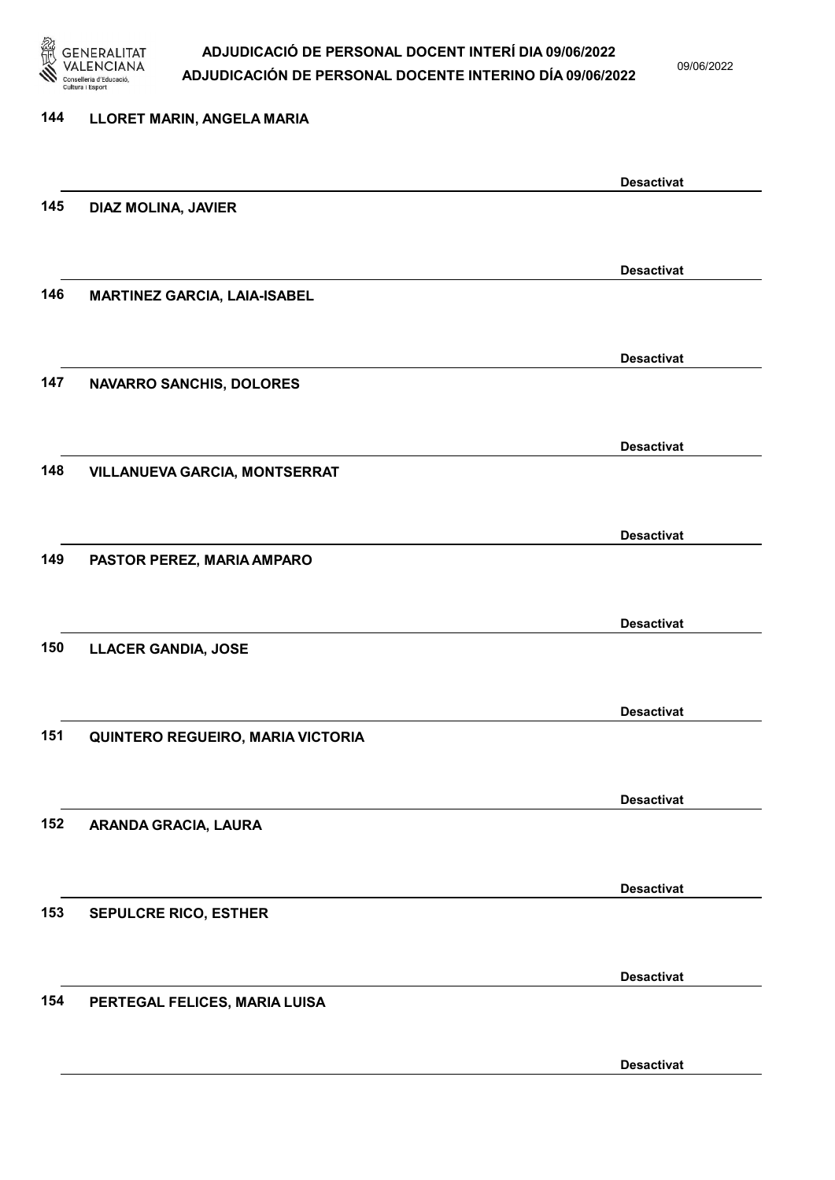

09/06/2022

Desactivat

## 144 LLORET MARIN, ANGELA MARIA Desactivat 145 DIAZ MOLINA, JAVIER Desactivat 146 MARTINEZ GARCIA, LAIA-ISABEL Desactivat 147 NAVARRO SANCHIS, DOLORES Desactivat 148 VILLANUEVA GARCIA, MONTSERRAT Desactivat 149 PASTOR PEREZ, MARIA AMPARO Desactivat 150 LLACER GANDIA, JOSE Desactivat 151 QUINTERO REGUEIRO, MARIA VICTORIA Desactivat 152 ARANDA GRACIA, LAURA Desactivat 153 SEPULCRE RICO, ESTHER Desactivat 154 PERTEGAL FELICES, MARIA LUISA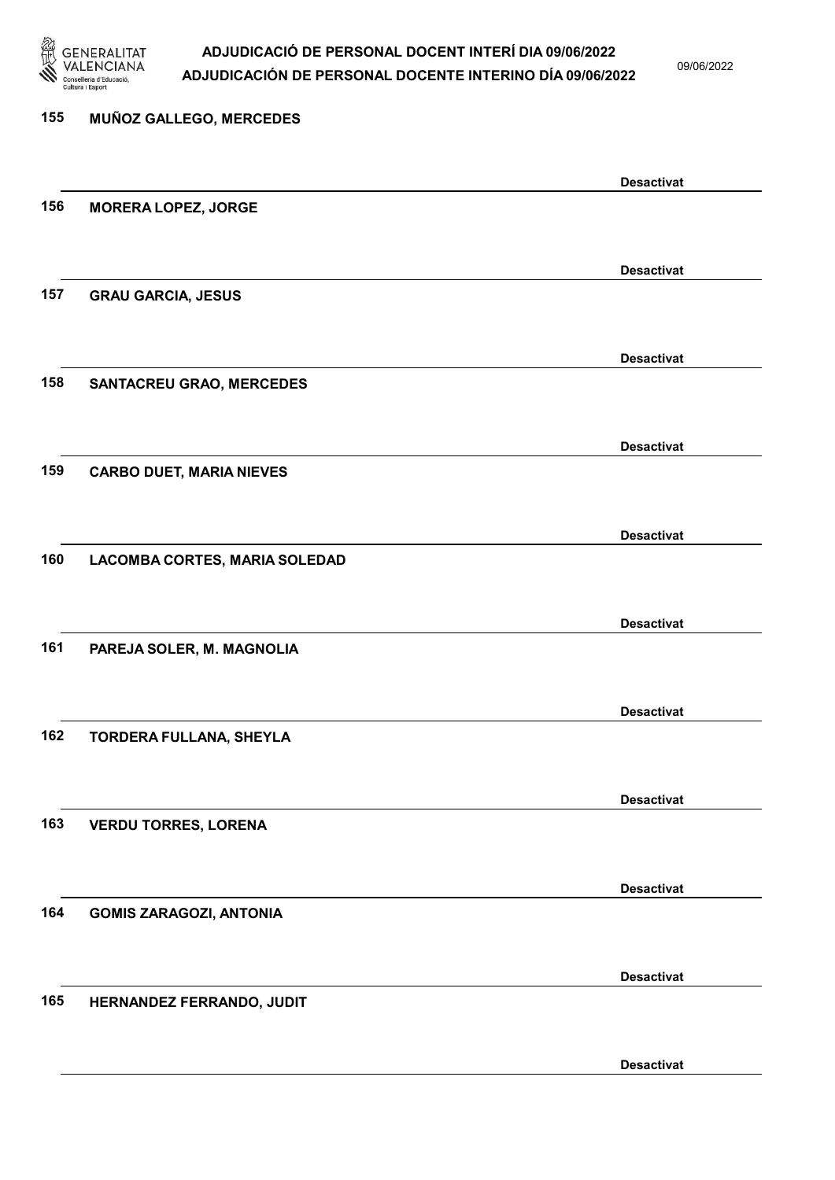

09/06/2022

Desactivat

## 155 MUÑOZ GALLEGO, MERCEDES Desactivat 156 MORERA LOPEZ, JORGE Desactivat 157 GRAU GARCIA, JESUS Desactivat 158 SANTACREU GRAO, MERCEDES Desactivat 159 CARBO DUET, MARIA NIEVES Desactivat 160 LACOMBA CORTES, MARIA SOLEDAD Desactivat 161 PAREJA SOLER, M. MAGNOLIA Desactivat 162 TORDERA FULLANA, SHEYLA Desactivat 163 VERDU TORRES, LORENA Desactivat 164 GOMIS ZARAGOZI, ANTONIA Desactivat 165 HERNANDEZ FERRANDO, JUDIT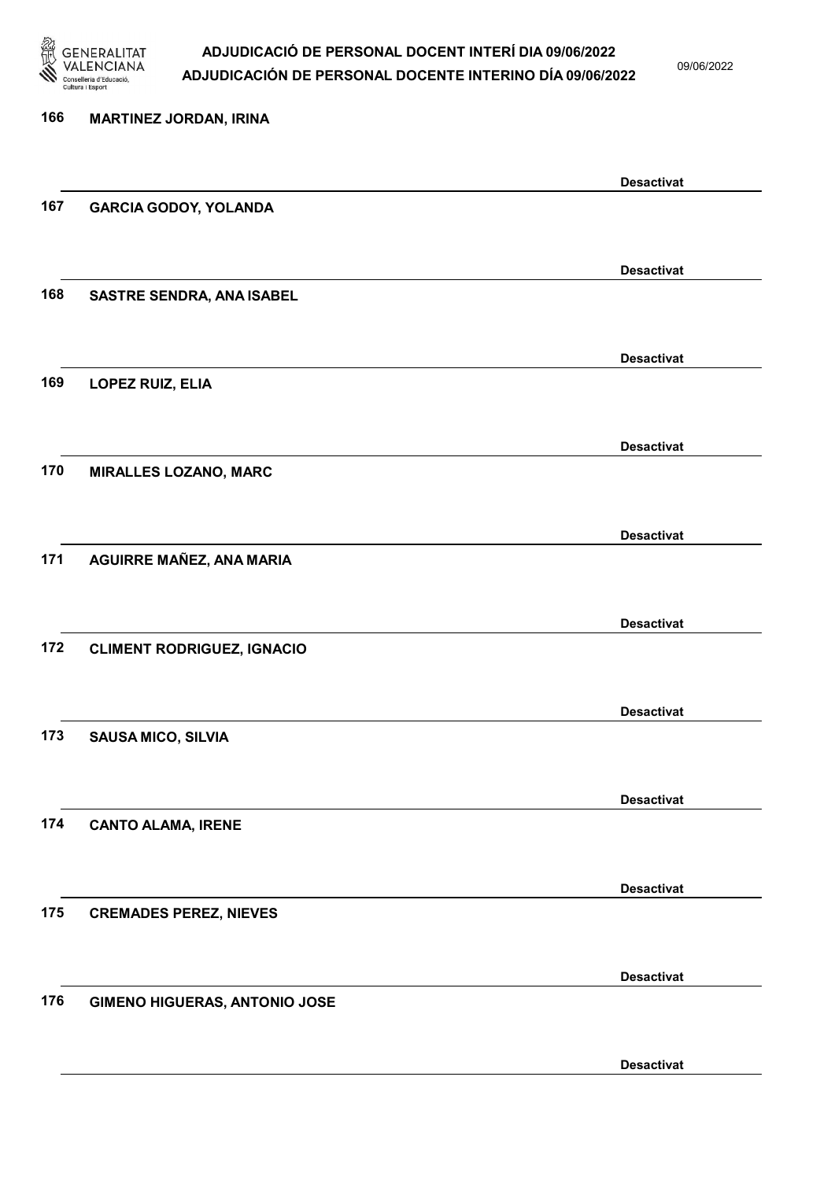

| 166 | <b>MARTINEZ JORDAN, IRINA</b>        |                   |
|-----|--------------------------------------|-------------------|
|     |                                      | <b>Desactivat</b> |
| 167 | <b>GARCIA GODOY, YOLANDA</b>         |                   |
|     |                                      | <b>Desactivat</b> |
| 168 | <b>SASTRE SENDRA, ANA ISABEL</b>     |                   |
|     |                                      | <b>Desactivat</b> |
| 169 | LOPEZ RUIZ, ELIA                     |                   |
|     |                                      | <b>Desactivat</b> |
| 170 | <b>MIRALLES LOZANO, MARC</b>         |                   |
|     |                                      | <b>Desactivat</b> |
| 171 | AGUIRRE MAÑEZ, ANA MARIA             |                   |
|     |                                      | <b>Desactivat</b> |
| 172 | <b>CLIMENT RODRIGUEZ, IGNACIO</b>    |                   |
|     |                                      | <b>Desactivat</b> |
| 173 | <b>SAUSA MICO, SILVIA</b>            |                   |
|     |                                      | <b>Desactivat</b> |
| 174 | <b>CANTO ALAMA, IRENE</b>            |                   |
|     |                                      | <b>Desactivat</b> |
| 175 | <b>CREMADES PEREZ, NIEVES</b>        |                   |
|     |                                      | <b>Desactivat</b> |
| 176 | <b>GIMENO HIGUERAS, ANTONIO JOSE</b> |                   |
|     |                                      | <b>Desactivat</b> |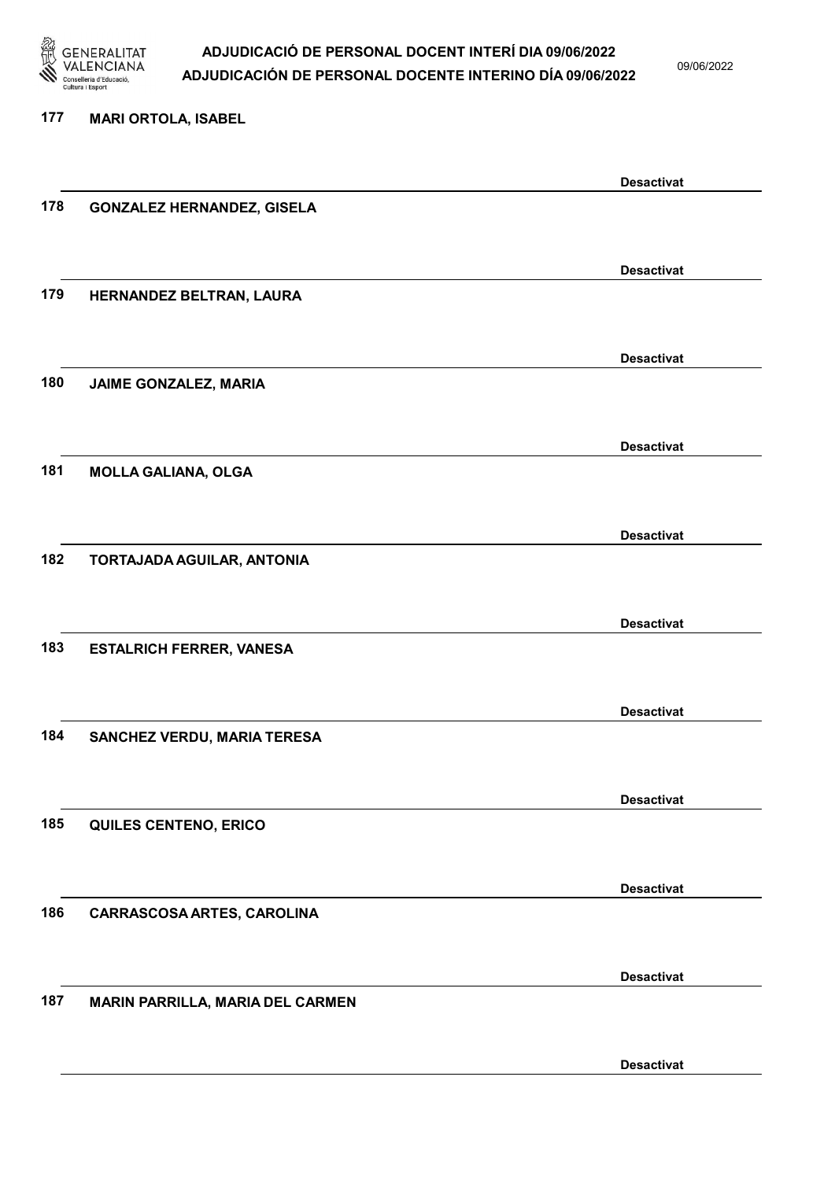

| 177 | <b>MARI ORTOLA, ISABEL</b>        |                   |
|-----|-----------------------------------|-------------------|
|     |                                   | <b>Desactivat</b> |
| 178 | <b>GONZALEZ HERNANDEZ, GISELA</b> |                   |
|     |                                   | <b>Desactivat</b> |
| 179 | HERNANDEZ BELTRAN, LAURA          |                   |
| 180 |                                   | <b>Desactivat</b> |
|     | JAIME GONZALEZ, MARIA             |                   |
|     |                                   | <b>Desactivat</b> |
| 181 | <b>MOLLA GALIANA, OLGA</b>        |                   |
|     |                                   | <b>Desactivat</b> |
| 182 | TORTAJADA AGUILAR, ANTONIA        |                   |
|     |                                   | <b>Desactivat</b> |
| 183 | <b>ESTALRICH FERRER, VANESA</b>   |                   |
|     |                                   | <b>Desactivat</b> |
| 184 | SANCHEZ VERDU, MARIA TERESA       |                   |
|     |                                   | <b>Desactivat</b> |
| 185 | QUILES CENTENO, ERICO             |                   |
|     |                                   | <b>Desactivat</b> |
| 186 | CARRASCOSA ARTES, CAROLINA        |                   |
|     |                                   | <b>Desactivat</b> |
| 187 | MARIN PARRILLA, MARIA DEL CARMEN  |                   |
|     |                                   | <b>Desactivat</b> |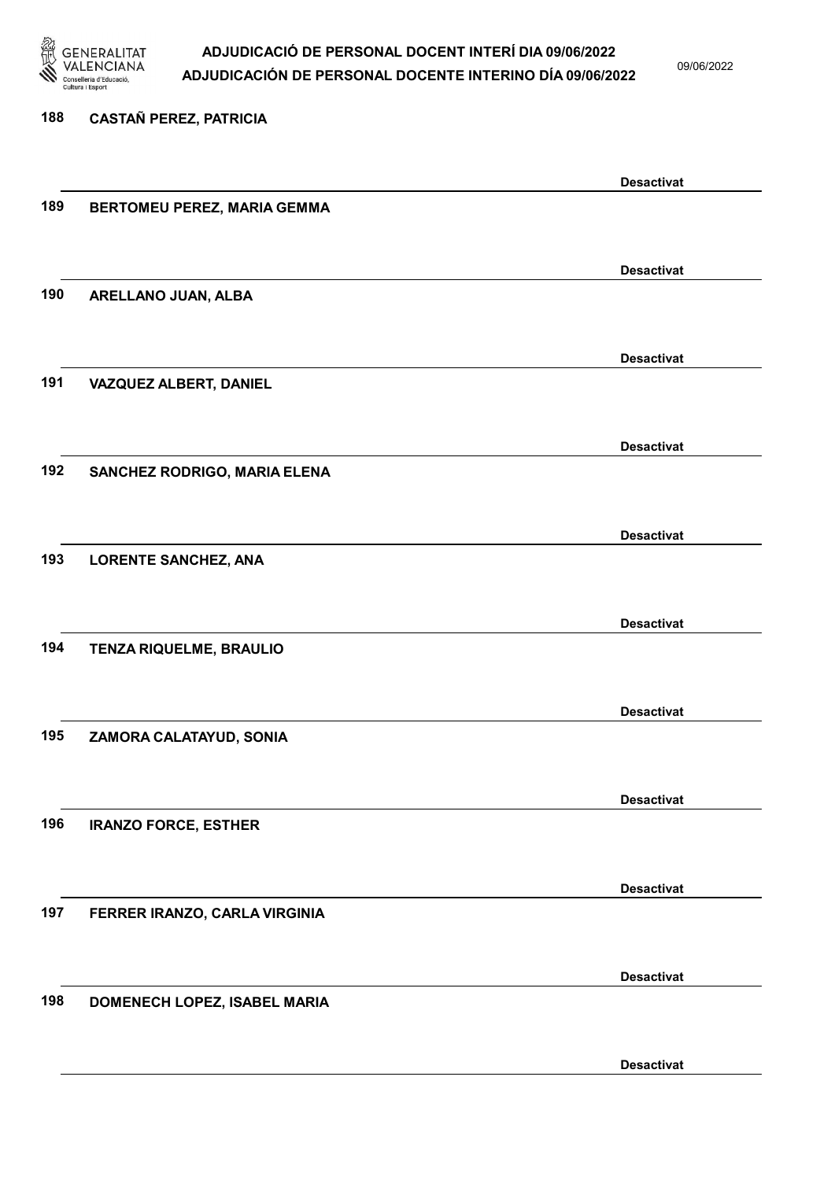

09/06/2022

Desactivat

# 188 CASTAÑ PEREZ, PATRICIA Desactivat 189 BERTOMEU PEREZ, MARIA GEMMA Desactivat 190 ARELLANO JUAN, ALBA Desactivat 191 VAZQUEZ ALBERT, DANIEL Desactivat 192 SANCHEZ RODRIGO, MARIA ELENA Desactivat 193 LORENTE SANCHEZ, ANA Desactivat 194 TENZA RIQUELME, BRAULIO Desactivat 195 ZAMORA CALATAYUD, SONIA Desactivat 196 IRANZO FORCE, ESTHER Desactivat 197 FERRER IRANZO, CARLA VIRGINIA Desactivat 198 DOMENECH LOPEZ, ISABEL MARIA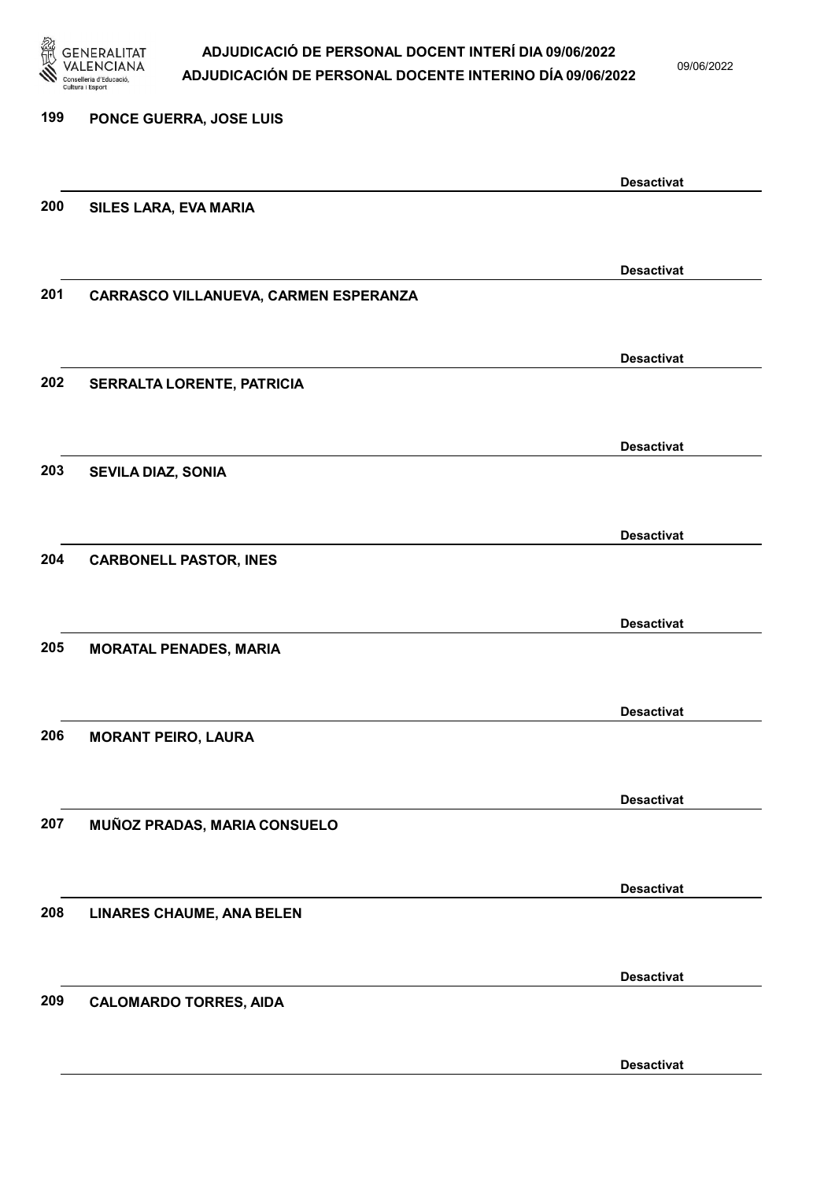

09/06/2022

Desactivat

## 199 PONCE GUERRA, JOSE LUIS Desactivat 200 SILES LARA, EVA MARIA Desactivat 201 CARRASCO VILLANUEVA, CARMEN ESPERANZA Desactivat 202 SERRALTA LORENTE, PATRICIA Desactivat 203 SEVILA DIAZ, SONIA Desactivat 204 CARBONELL PASTOR, INES Desactivat 205 MORATAL PENADES, MARIA Desactivat 206 MORANT PEIRO, LAURA Desactivat 207 MUÑOZ PRADAS, MARIA CONSUELO Desactivat 208 LINARES CHAUME, ANA BELEN Desactivat 209 CALOMARDO TORRES, AIDA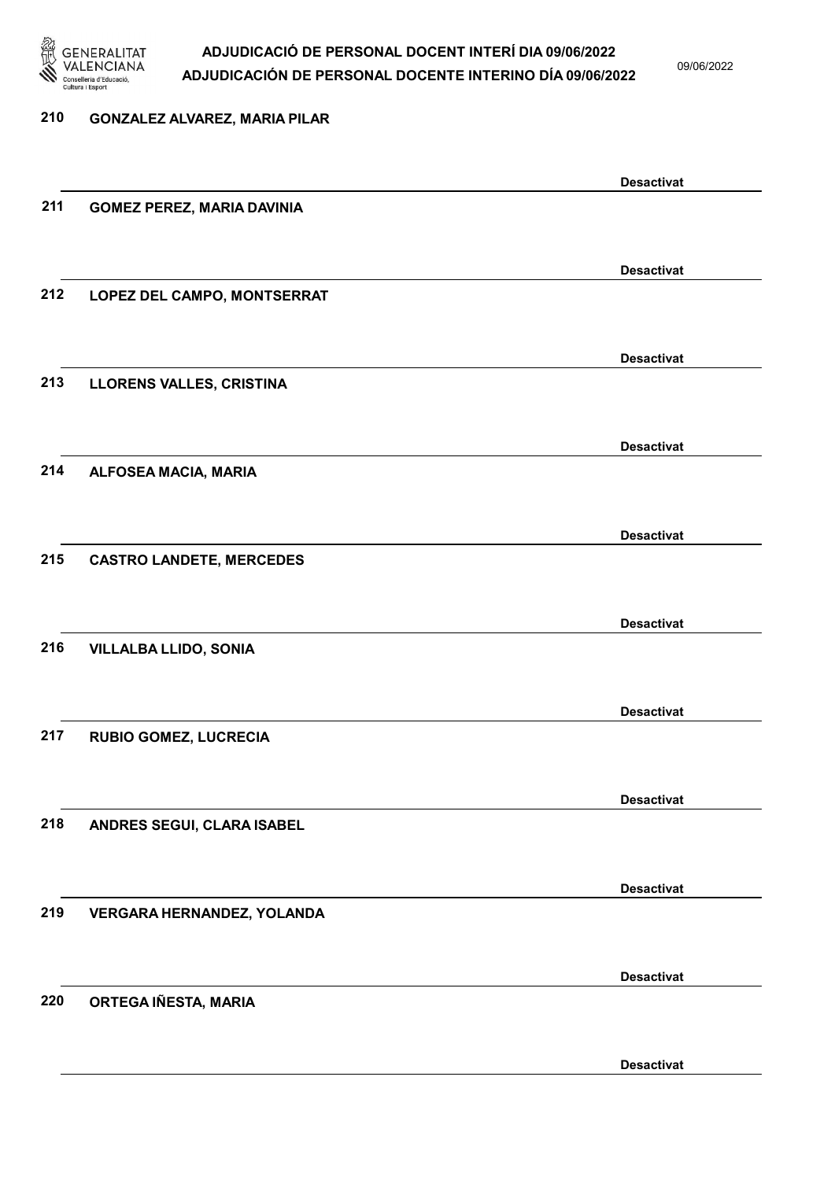

09/06/2022

#### 210 GONZALEZ ALVAREZ, MARIA PILAR

|     |                                   | <b>Desactivat</b> |
|-----|-----------------------------------|-------------------|
| 211 | <b>GOMEZ PEREZ, MARIA DAVINIA</b> |                   |
|     |                                   |                   |
|     |                                   | <b>Desactivat</b> |
| 212 | LOPEZ DEL CAMPO, MONTSERRAT       |                   |
|     |                                   |                   |
|     |                                   | <b>Desactivat</b> |
| 213 | LLORENS VALLES, CRISTINA          |                   |
|     |                                   |                   |
|     |                                   |                   |
|     |                                   | <b>Desactivat</b> |
| 214 | ALFOSEA MACIA, MARIA              |                   |
|     |                                   |                   |
|     |                                   | <b>Desactivat</b> |
| 215 | <b>CASTRO LANDETE, MERCEDES</b>   |                   |
|     |                                   |                   |
|     |                                   | <b>Desactivat</b> |
| 216 | <b>VILLALBA LLIDO, SONIA</b>      |                   |
|     |                                   |                   |
|     |                                   | <b>Desactivat</b> |
| 217 | <b>RUBIO GOMEZ, LUCRECIA</b>      |                   |
|     |                                   |                   |
|     |                                   |                   |
| 218 |                                   | <b>Desactivat</b> |
|     | ANDRES SEGUI, CLARA ISABEL        |                   |
|     |                                   |                   |
|     |                                   | <b>Desactivat</b> |
| 219 | VERGARA HERNANDEZ, YOLANDA        |                   |
|     |                                   |                   |
|     |                                   | <b>Desactivat</b> |
| 220 | ORTEGA IÑESTA, MARIA              |                   |
|     |                                   |                   |
|     |                                   | <b>Desactivat</b> |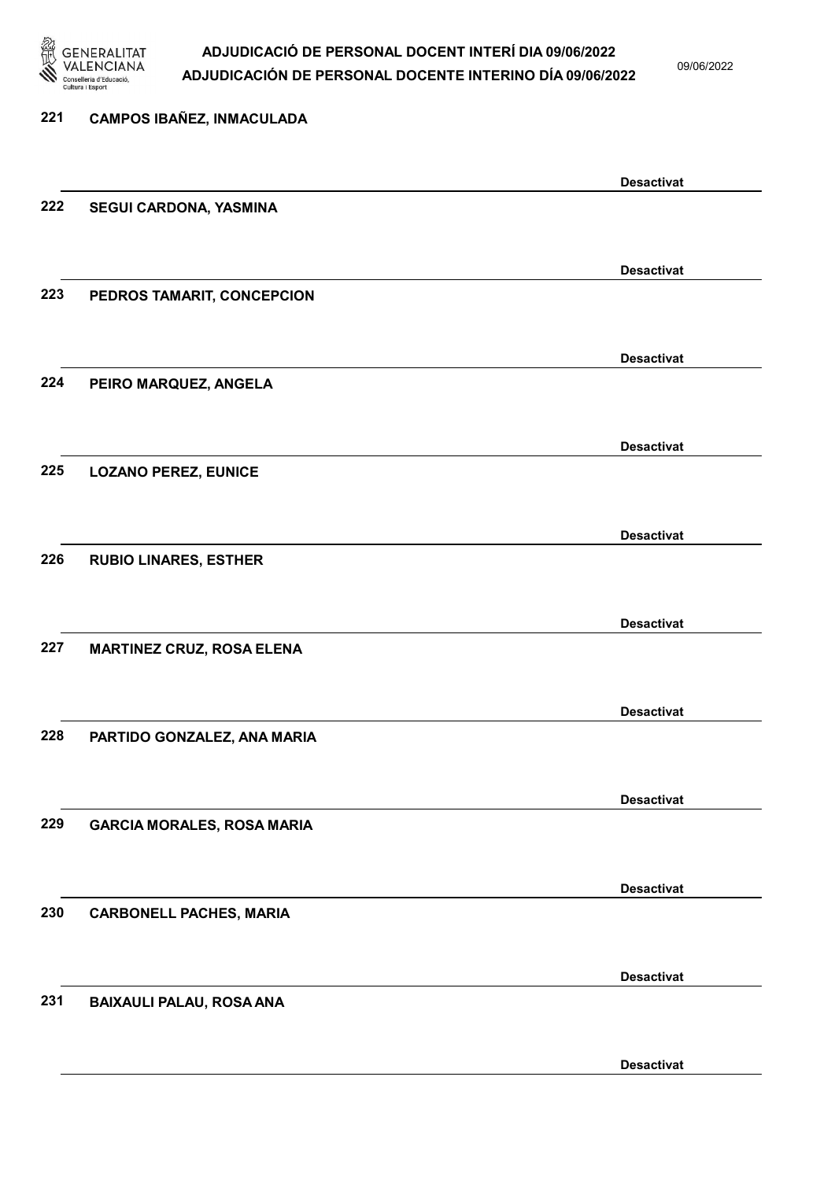

09/06/2022

| 221 | <b>CAMPOS IBAÑEZ, INMACULADA</b>  |                   |
|-----|-----------------------------------|-------------------|
|     |                                   |                   |
|     |                                   | <b>Desactivat</b> |
| 222 | SEGUI CARDONA, YASMINA            |                   |
|     |                                   |                   |
|     |                                   | <b>Desactivat</b> |
| 223 | PEDROS TAMARIT, CONCEPCION        |                   |
|     |                                   |                   |
|     |                                   | <b>Desactivat</b> |
| 224 | PEIRO MARQUEZ, ANGELA             |                   |
|     |                                   |                   |
|     |                                   | <b>Desactivat</b> |
| 225 | <b>LOZANO PEREZ, EUNICE</b>       |                   |
|     |                                   |                   |
|     |                                   | <b>Desactivat</b> |
| 226 | <b>RUBIO LINARES, ESTHER</b>      |                   |
|     |                                   |                   |
| 227 | <b>MARTINEZ CRUZ, ROSA ELENA</b>  | <b>Desactivat</b> |
|     |                                   |                   |
|     |                                   | <b>Desactivat</b> |
| 228 | PARTIDO GONZALEZ, ANA MARIA       |                   |
|     |                                   |                   |
|     |                                   | <b>Desactivat</b> |
| 229 | <b>GARCIA MORALES, ROSA MARIA</b> |                   |
|     |                                   |                   |
|     |                                   | <b>Desactivat</b> |
| 230 | <b>CARBONELL PACHES, MARIA</b>    |                   |
|     |                                   |                   |
|     |                                   | <b>Desactivat</b> |
| 231 | <b>BAIXAULI PALAU, ROSA ANA</b>   |                   |
|     |                                   |                   |
|     |                                   |                   |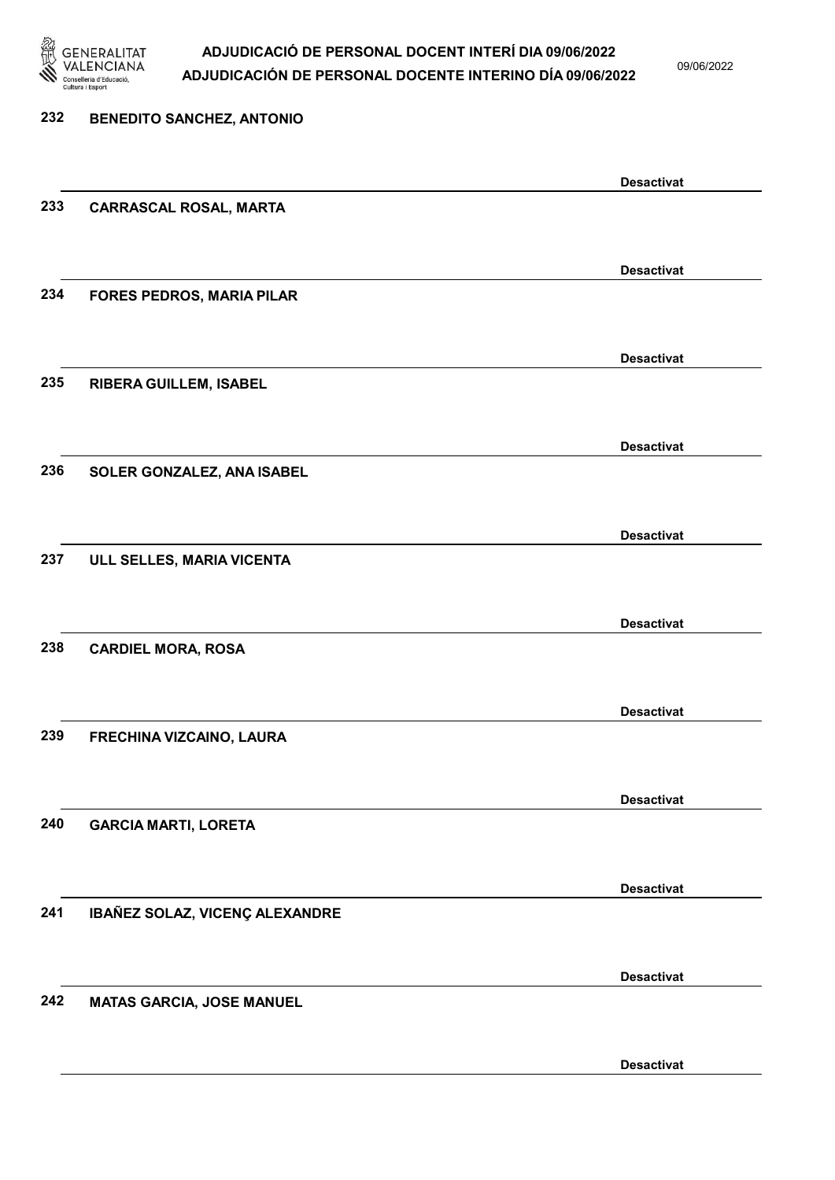

| 232 | <b>BENEDITO SANCHEZ, ANTONIO</b> |                   |
|-----|----------------------------------|-------------------|
|     |                                  | <b>Desactivat</b> |
| 233 | <b>CARRASCAL ROSAL, MARTA</b>    |                   |
|     |                                  | <b>Desactivat</b> |
| 234 | <b>FORES PEDROS, MARIA PILAR</b> |                   |
| 235 | RIBERA GUILLEM, ISABEL           | <b>Desactivat</b> |
|     |                                  |                   |
| 236 | SOLER GONZALEZ, ANA ISABEL       | <b>Desactivat</b> |
|     |                                  |                   |
| 237 | ULL SELLES, MARIA VICENTA        | <b>Desactivat</b> |
|     |                                  |                   |
| 238 | <b>CARDIEL MORA, ROSA</b>        | <b>Desactivat</b> |
|     |                                  |                   |
| 239 | FRECHINA VIZCAINO, LAURA         | <b>Desactivat</b> |
|     |                                  |                   |
| 240 | <b>GARCIA MARTI, LORETA</b>      | <b>Desactivat</b> |
|     |                                  |                   |
| 241 | IBAÑEZ SOLAZ, VICENÇ ALEXANDRE   | <b>Desactivat</b> |
|     |                                  | <b>Desactivat</b> |
| 242 | <b>MATAS GARCIA, JOSE MANUEL</b> |                   |
|     |                                  | <b>Desactivat</b> |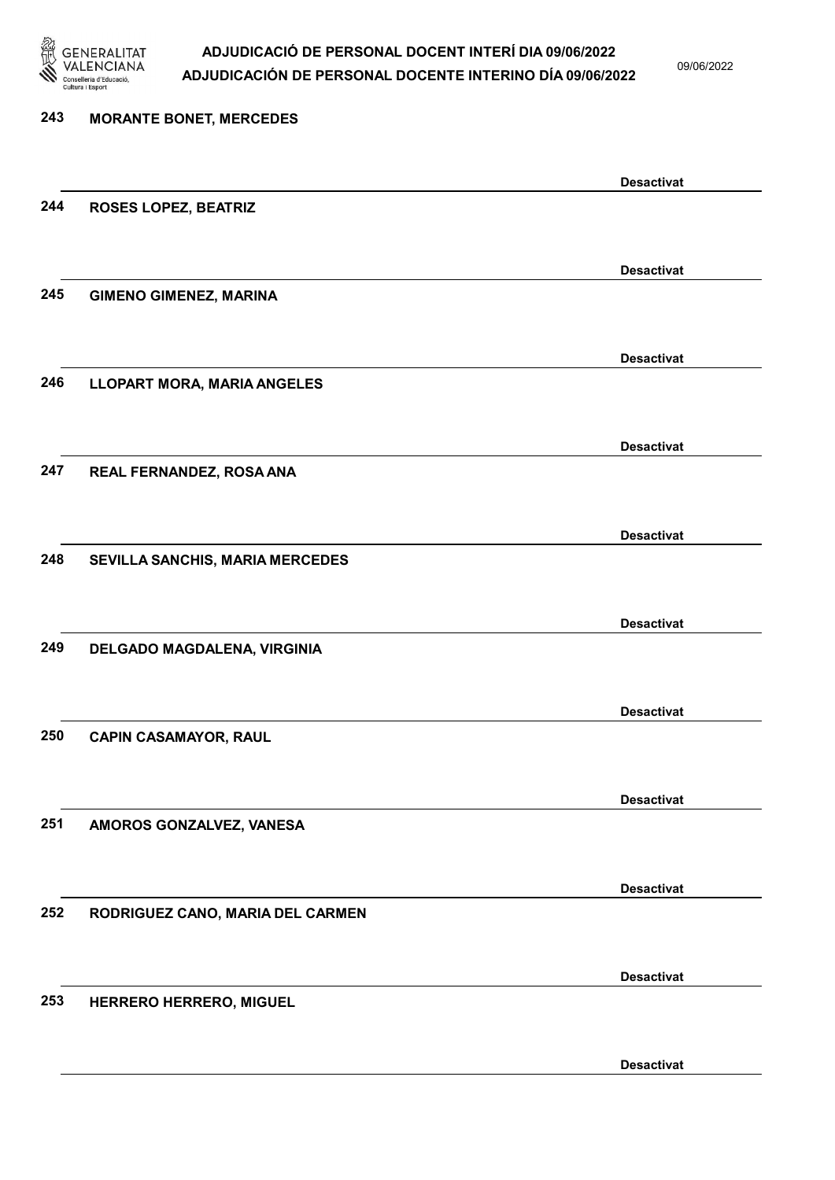

09/06/2022

| 243 | <b>MORANTE BONET, MERCEDES</b>     |                   |
|-----|------------------------------------|-------------------|
|     |                                    |                   |
|     |                                    | <b>Desactivat</b> |
| 244 | <b>ROSES LOPEZ, BEATRIZ</b>        |                   |
|     |                                    |                   |
|     |                                    | <b>Desactivat</b> |
| 245 | <b>GIMENO GIMENEZ, MARINA</b>      |                   |
|     |                                    |                   |
|     |                                    |                   |
|     |                                    | <b>Desactivat</b> |
| 246 | <b>LLOPART MORA, MARIA ANGELES</b> |                   |
|     |                                    |                   |
|     |                                    | <b>Desactivat</b> |
| 247 | REAL FERNANDEZ, ROSA ANA           |                   |
|     |                                    |                   |
|     |                                    |                   |
|     |                                    | <b>Desactivat</b> |
| 248 | SEVILLA SANCHIS, MARIA MERCEDES    |                   |
|     |                                    |                   |
|     |                                    | <b>Desactivat</b> |
| 249 | DELGADO MAGDALENA, VIRGINIA        |                   |
|     |                                    |                   |
|     |                                    |                   |
|     |                                    | <b>Desactivat</b> |
| 250 | <b>CAPIN CASAMAYOR, RAUL</b>       |                   |
|     |                                    |                   |
|     |                                    | <b>Desactivat</b> |
| 251 | AMOROS GONZALVEZ, VANESA           |                   |
|     |                                    |                   |
|     |                                    |                   |
|     |                                    | <b>Desactivat</b> |
| 252 | RODRIGUEZ CANO, MARIA DEL CARMEN   |                   |
|     |                                    |                   |
|     |                                    | <b>Desactivat</b> |
| 253 | HERRERO HERRERO, MIGUEL            |                   |
|     |                                    |                   |
|     |                                    |                   |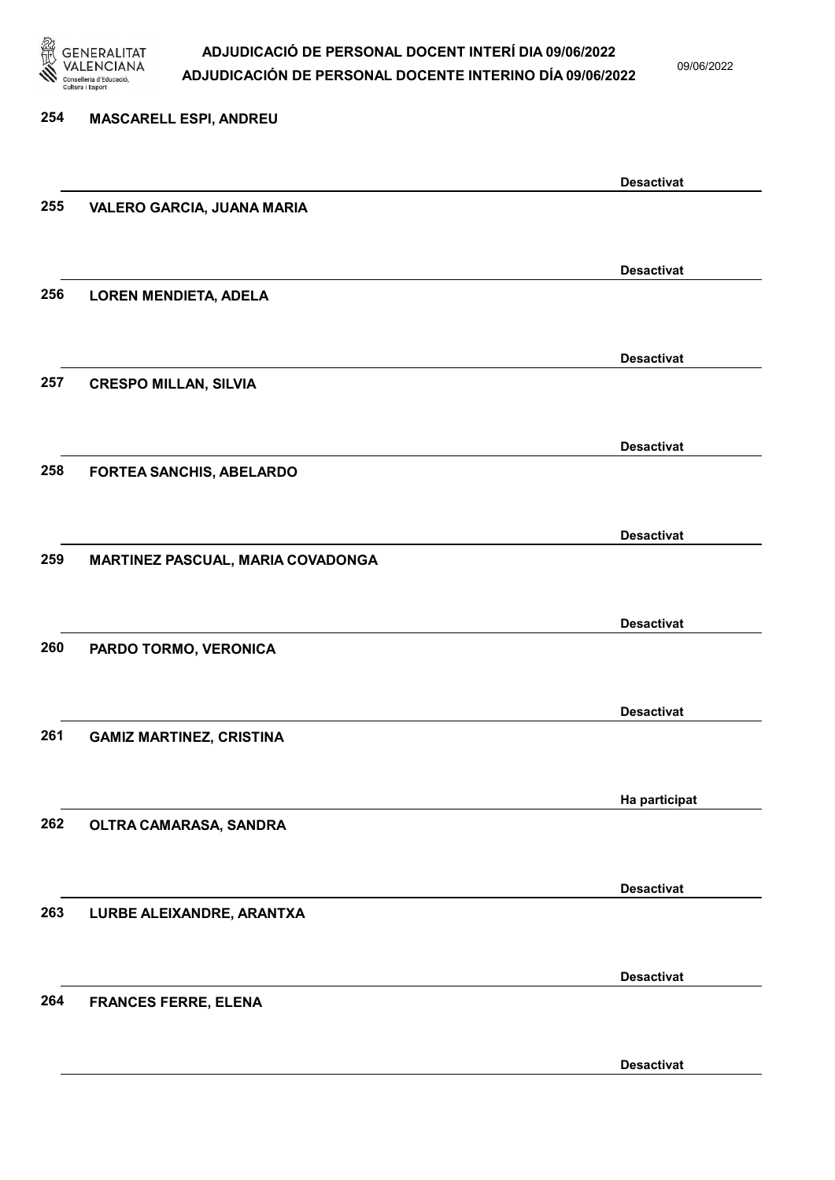

09/06/2022

Desactivat

## 254 MASCARELL ESPI, ANDREU Desactivat 255 VALERO GARCIA, JUANA MARIA Desactivat 256 LOREN MENDIETA, ADELA Desactivat 257 CRESPO MILLAN, SILVIA Desactivat 258 FORTEA SANCHIS, ABELARDO Desactivat 259 MARTINEZ PASCUAL, MARIA COVADONGA Desactivat 260 PARDO TORMO, VERONICA Desactivat 261 GAMIZ MARTINEZ, CRISTINA Ha participat 262 OLTRA CAMARASA, SANDRA Desactivat 263 LURBE ALEIXANDRE, ARANTXA Desactivat 264 FRANCES FERRE, ELENA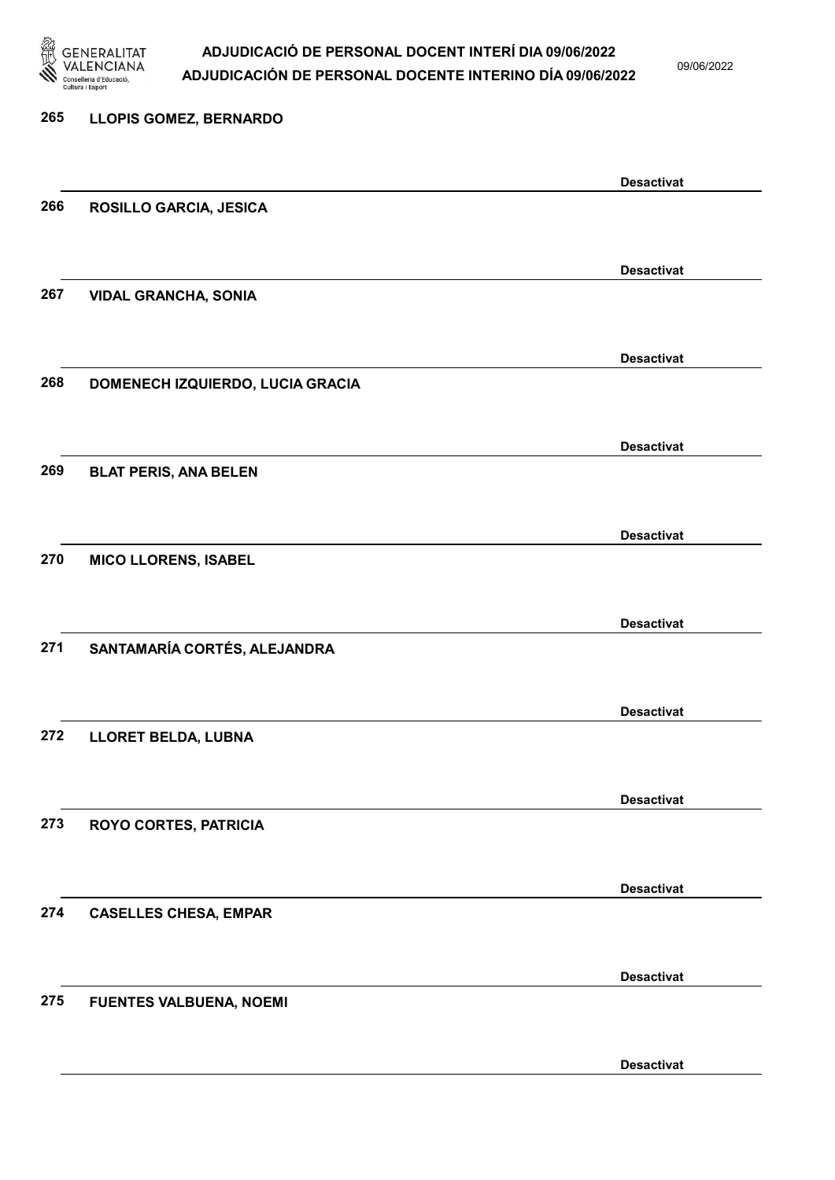

| <b>LLOPIS GOMEZ, BERNARDO</b>    |                                                                                                                    |
|----------------------------------|--------------------------------------------------------------------------------------------------------------------|
|                                  | <b>Desactivat</b>                                                                                                  |
| <b>ROSILLO GARCIA, JESICA</b>    |                                                                                                                    |
|                                  | <b>Desactivat</b>                                                                                                  |
| <b>VIDAL GRANCHA, SONIA</b>      |                                                                                                                    |
|                                  | <b>Desactivat</b>                                                                                                  |
| DOMENECH IZQUIERDO, LUCIA GRACIA |                                                                                                                    |
|                                  | <b>Desactivat</b>                                                                                                  |
|                                  |                                                                                                                    |
|                                  | <b>Desactivat</b>                                                                                                  |
|                                  |                                                                                                                    |
|                                  | <b>Desactivat</b>                                                                                                  |
|                                  |                                                                                                                    |
|                                  | <b>Desactivat</b>                                                                                                  |
|                                  |                                                                                                                    |
| <b>ROYO CORTES, PATRICIA</b>     | <b>Desactivat</b>                                                                                                  |
|                                  |                                                                                                                    |
| <b>CASELLES CHESA, EMPAR</b>     | <b>Desactivat</b>                                                                                                  |
|                                  |                                                                                                                    |
| <b>FUENTES VALBUENA, NOEMI</b>   | <b>Desactivat</b>                                                                                                  |
|                                  | <b>Desactivat</b>                                                                                                  |
|                                  | <b>BLAT PERIS, ANA BELEN</b><br><b>MICO LLORENS, ISABEL</b><br>SANTAMARÍA CORTÉS, ALEJANDRA<br>LLORET BELDA, LUBNA |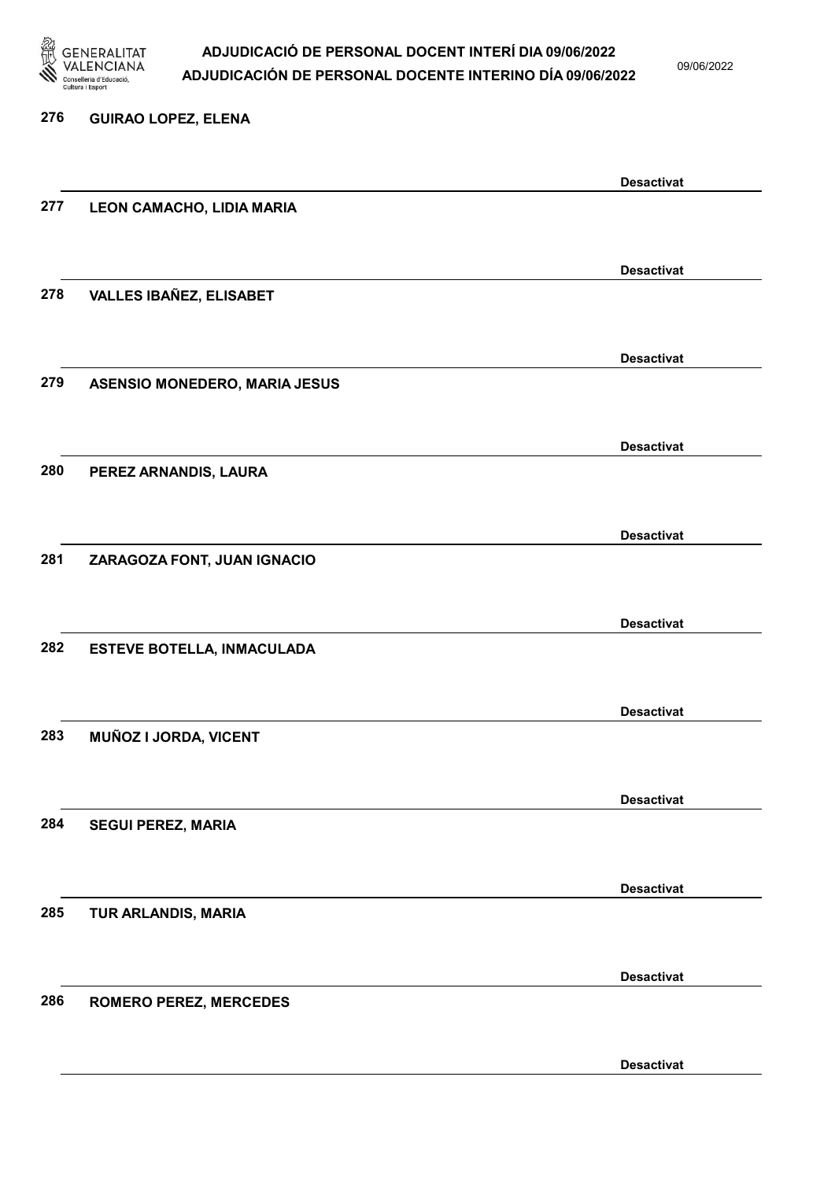

09/06/2022

## 276 GUIRAO LOPEZ, ELENA Desactivat 277 LEON CAMACHO, LIDIA MARIA Desactivat 278 VALLES IBAÑEZ, ELISABET Desactivat 279 ASENSIO MONEDERO, MARIA JESUS Desactivat 280 PEREZ ARNANDIS, LAURA Desactivat 281 ZARAGOZA FONT, JUAN IGNACIO Desactivat 282 ESTEVE BOTELLA, INMACULADA Desactivat 283 MUÑOZ I JORDA, VICENT Desactivat 284 SEGUI PEREZ, MARIA Desactivat 285 TUR ARLANDIS, MARIA Desactivat 286 ROMERO PEREZ, MERCEDES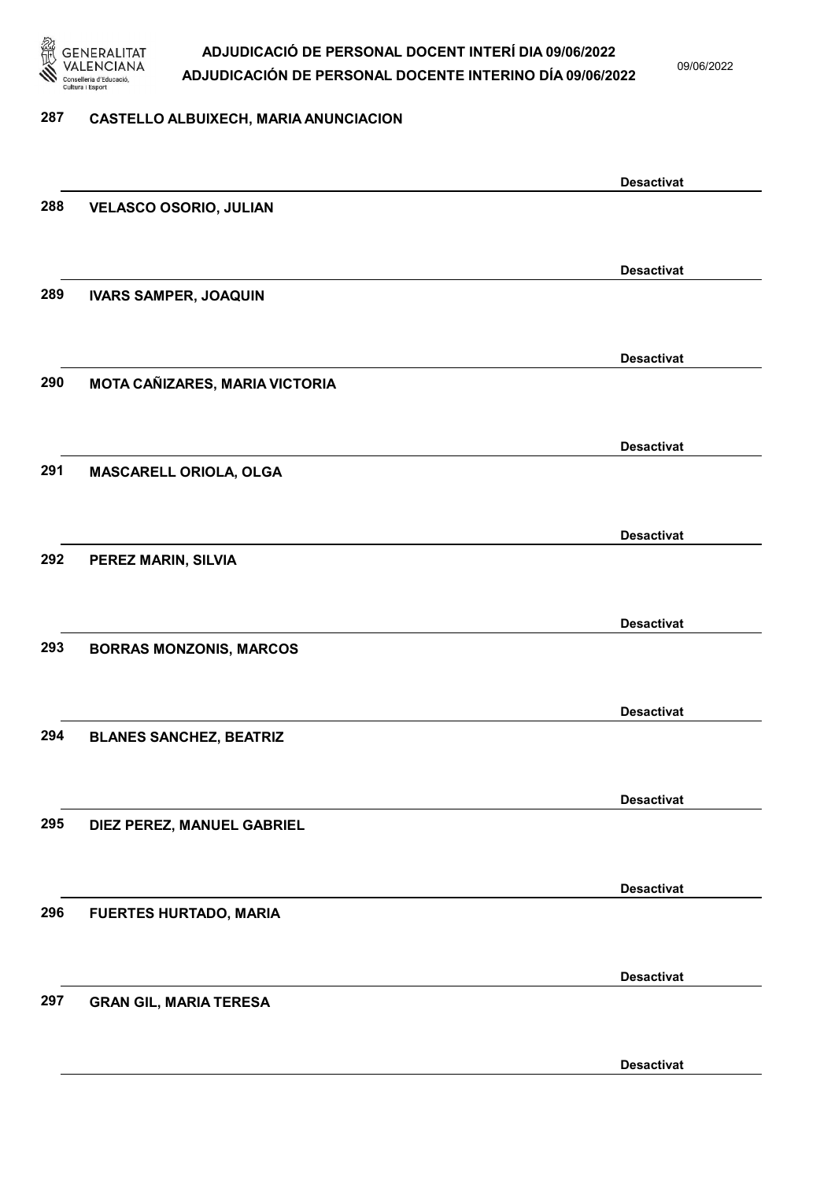

09/06/2022

#### 287 CASTELLO ALBUIXECH, MARIA ANUNCIACION

|     |                                | <b>Desactivat</b> |
|-----|--------------------------------|-------------------|
| 288 | <b>VELASCO OSORIO, JULIAN</b>  |                   |
|     |                                |                   |
|     |                                | <b>Desactivat</b> |
| 289 | <b>IVARS SAMPER, JOAQUIN</b>   |                   |
|     |                                |                   |
|     |                                | <b>Desactivat</b> |
| 290 | MOTA CAÑIZARES, MARIA VICTORIA |                   |
|     |                                |                   |
|     |                                |                   |
| 291 | MASCARELL ORIOLA, OLGA         | <b>Desactivat</b> |
|     |                                |                   |
|     |                                |                   |
|     |                                | <b>Desactivat</b> |
| 292 | PEREZ MARIN, SILVIA            |                   |
|     |                                |                   |
|     |                                | <b>Desactivat</b> |
| 293 | <b>BORRAS MONZONIS, MARCOS</b> |                   |
|     |                                |                   |
|     |                                | <b>Desactivat</b> |
| 294 | <b>BLANES SANCHEZ, BEATRIZ</b> |                   |
|     |                                |                   |
|     |                                | <b>Desactivat</b> |
| 295 | DIEZ PEREZ, MANUEL GABRIEL     |                   |
|     |                                |                   |
|     |                                | <b>Desactivat</b> |
| 296 | <b>FUERTES HURTADO, MARIA</b>  |                   |
|     |                                |                   |
|     |                                | <b>Desactivat</b> |
| 297 | <b>GRAN GIL, MARIA TERESA</b>  |                   |
|     |                                |                   |
|     |                                |                   |
|     |                                | <b>Desactivat</b> |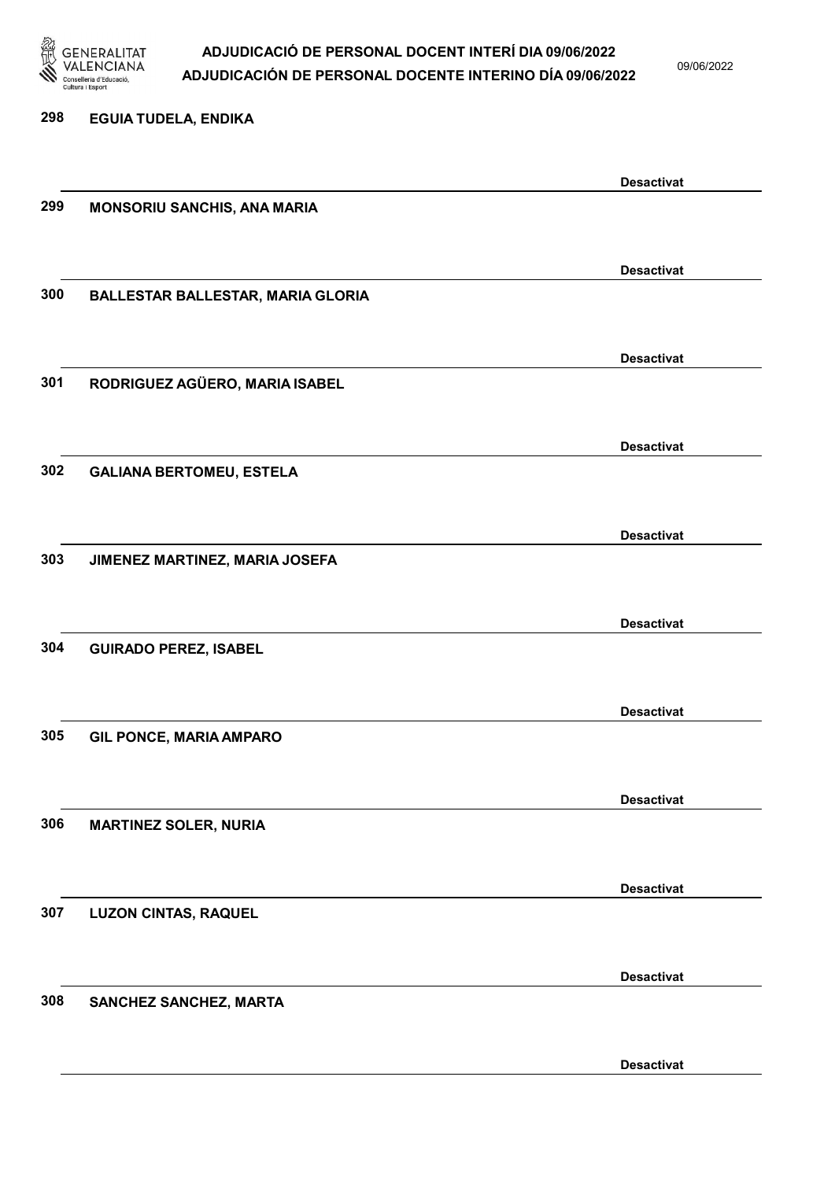

09/06/2022

Desactivat

# 298 EGUIA TUDELA, ENDIKA Desactivat 299 MONSORIU SANCHIS, ANA MARIA Desactivat 300 BALLESTAR BALLESTAR, MARIA GLORIA Desactivat 301 RODRIGUEZ AGÜERO, MARIA ISABEL Desactivat 302 GALIANA BERTOMEU, ESTELA Desactivat 303 JIMENEZ MARTINEZ, MARIA JOSEFA Desactivat 304 GUIRADO PEREZ, ISABEL Desactivat 305 GIL PONCE, MARIA AMPARO Desactivat 306 MARTINEZ SOLER, NURIA Desactivat 307 LUZON CINTAS, RAQUEL Desactivat 308 SANCHEZ SANCHEZ, MARTA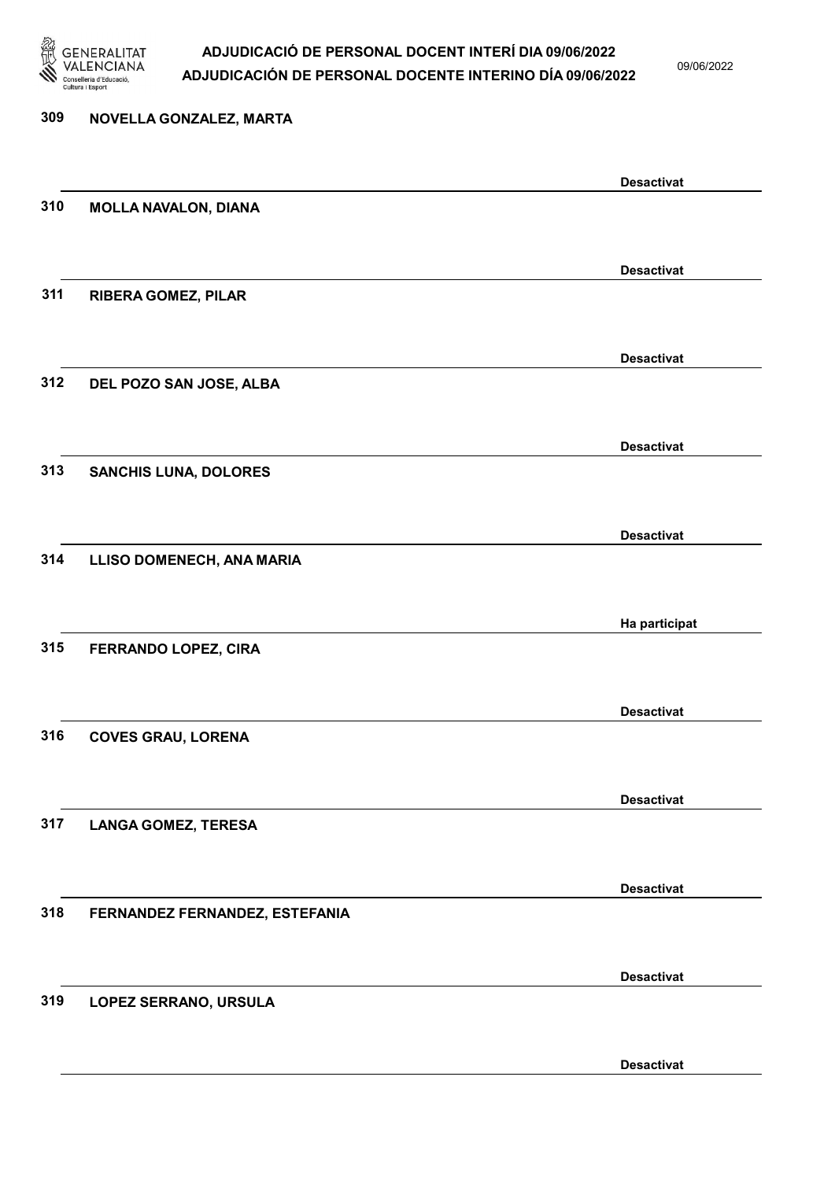

09/06/2022

Desactivat

# 309 NOVELLA GONZALEZ, MARTA Desactivat 310 MOLLA NAVALON, DIANA Desactivat 311 RIBERA GOMEZ, PILAR Desactivat 312 DEL POZO SAN JOSE, ALBA Desactivat 313 SANCHIS LUNA, DOLORES Desactivat 314 LLISO DOMENECH, ANA MARIA Ha participat 315 FERRANDO LOPEZ, CIRA Desactivat 316 COVES GRAU, LORENA Desactivat 317 LANGA GOMEZ, TERESA Desactivat 318 FERNANDEZ FERNANDEZ, ESTEFANIA Desactivat 319 LOPEZ SERRANO, URSULA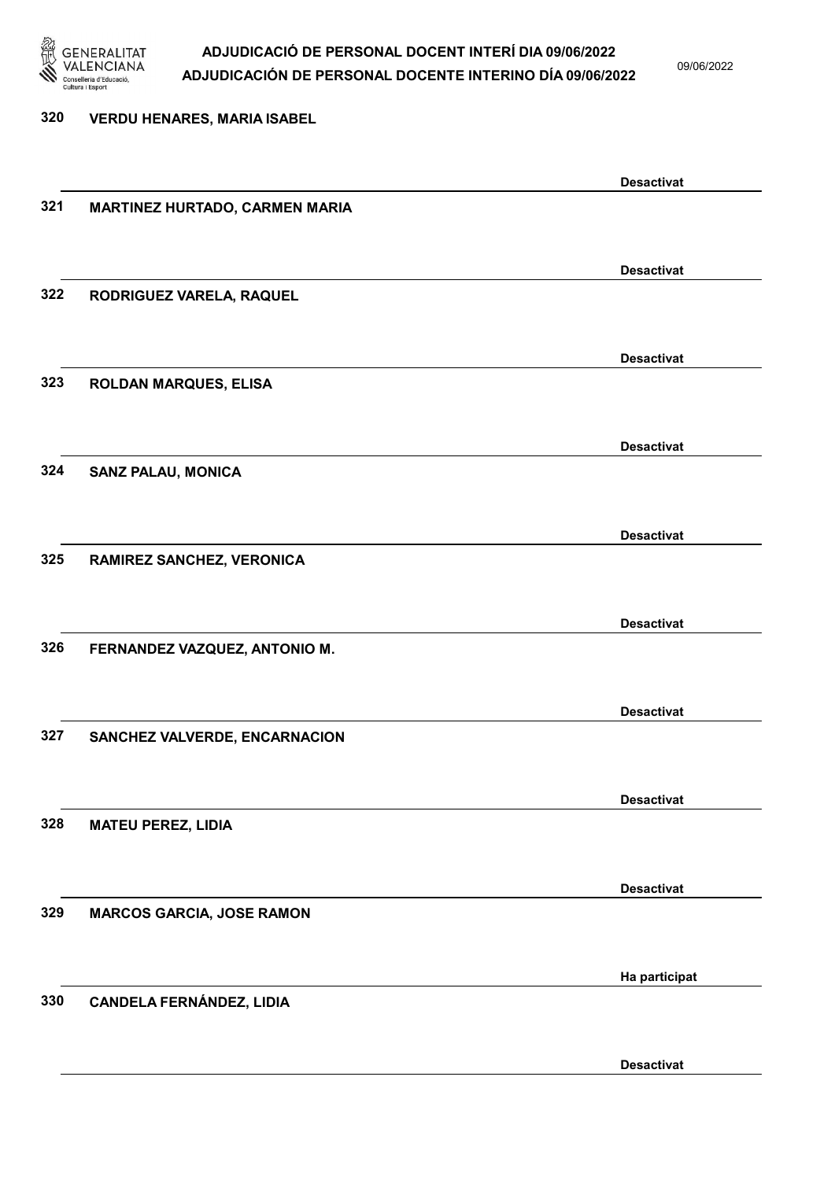

09/06/2022

Desactivat

## 320 VERDU HENARES, MARIA ISABEL Desactivat 321 MARTINEZ HURTADO, CARMEN MARIA Desactivat 322 RODRIGUEZ VARELA, RAQUEL Desactivat 323 ROLDAN MARQUES, ELISA Desactivat 324 SANZ PALAU, MONICA Desactivat 325 RAMIREZ SANCHEZ, VERONICA Desactivat 326 FERNANDEZ VAZQUEZ, ANTONIO M. Desactivat 327 SANCHEZ VALVERDE, ENCARNACION Desactivat 328 MATEU PEREZ, LIDIA Desactivat 329 MARCOS GARCIA, JOSE RAMON Ha participat 330 CANDELA FERNÁNDEZ, LIDIA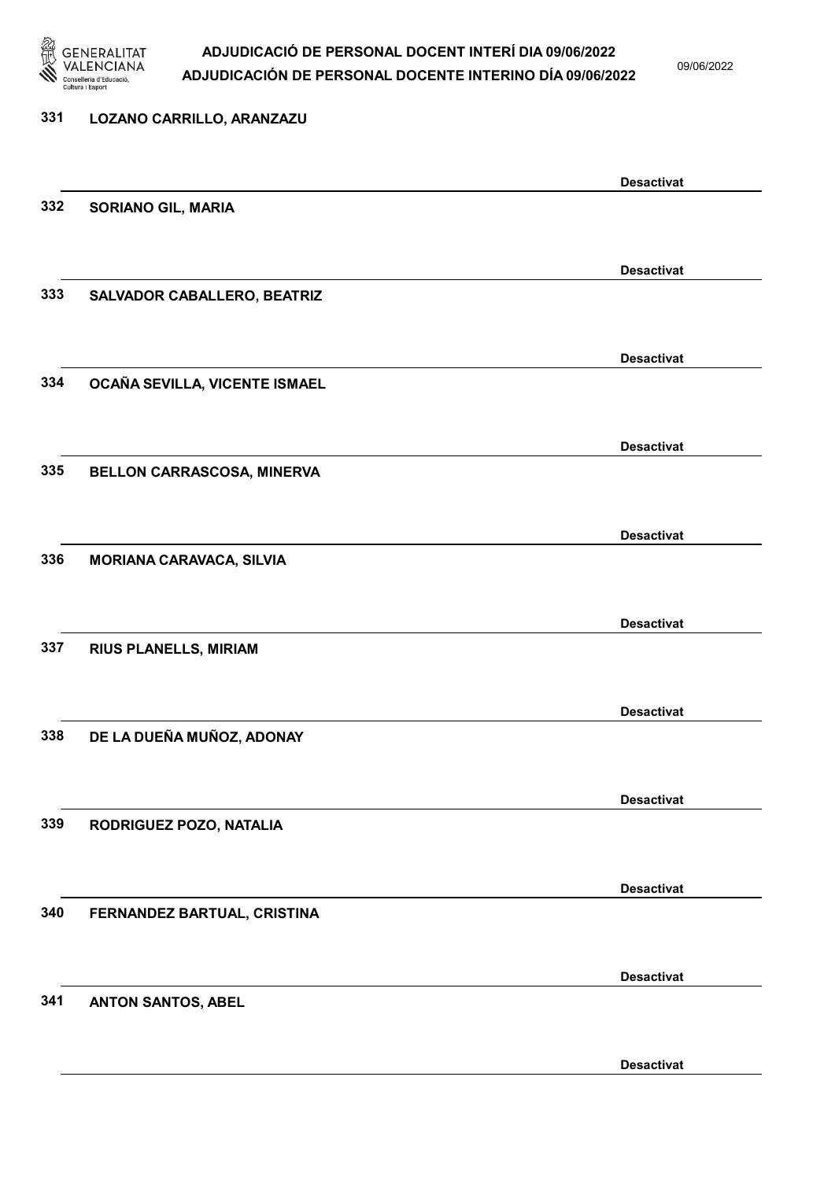

09/06/2022

## 331 LOZANO CARRILLO, ARANZAZU Desactivat 332 SORIANO GIL, MARIA Desactivat 333 SALVADOR CABALLERO, BEATRIZ Desactivat 334 OCAÑA SEVILLA, VICENTE ISMAEL Desactivat 335 BELLON CARRASCOSA, MINERVA Desactivat 336 MORIANA CARAVACA, SILVIA Desactivat 337 RIUS PLANELLS, MIRIAM Desactivat 338 DE LA DUEÑA MUÑOZ, ADONAY Desactivat 339 RODRIGUEZ POZO, NATALIA Desactivat 340 FERNANDEZ BARTUAL, CRISTINA Desactivat 341 ANTON SANTOS, ABEL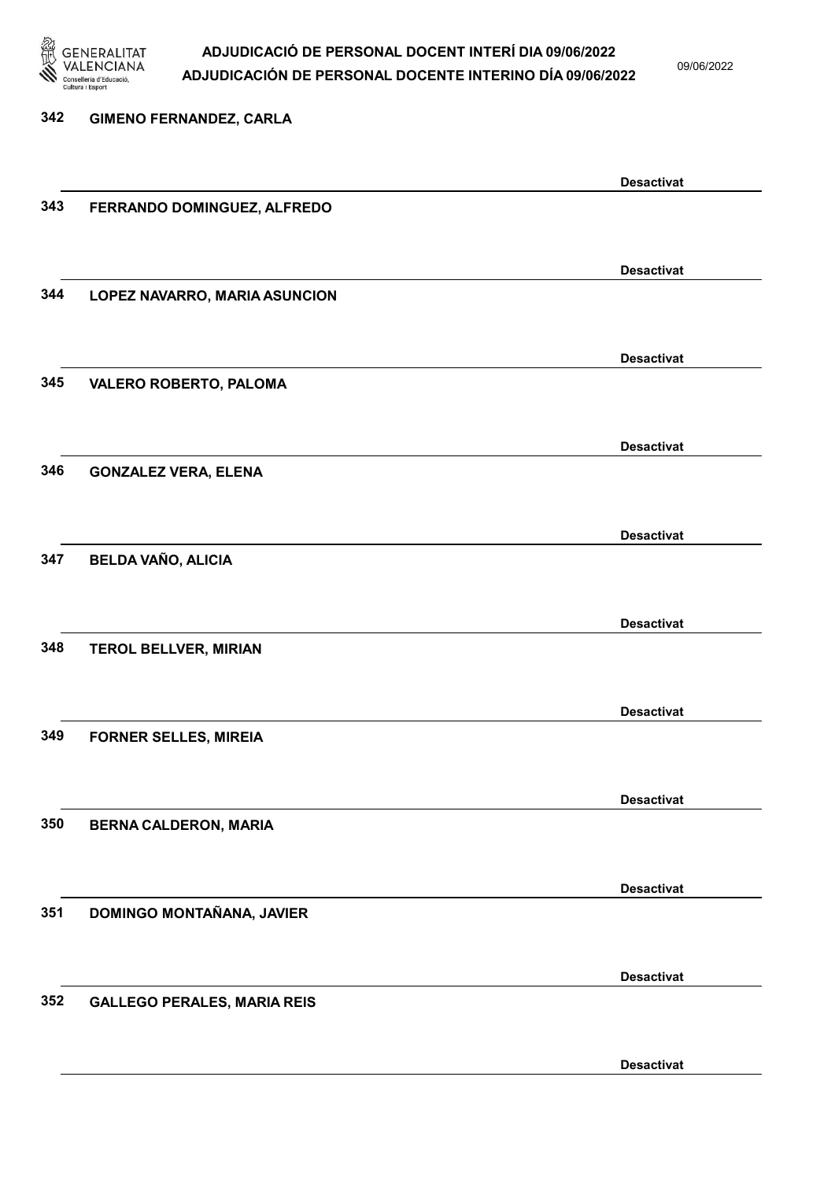

09/06/2022

Desactivat

342 GIMENO FERNANDEZ, CARLA Desactivat 343 FERRANDO DOMINGUEZ, ALFREDO Desactivat 344 LOPEZ NAVARRO, MARIA ASUNCION Desactivat 345 VALERO ROBERTO, PALOMA Desactivat 346 GONZALEZ VERA, ELENA Desactivat 347 BELDA VAÑO, ALICIA Desactivat 348 TEROL BELLVER, MIRIAN Desactivat 349 FORNER SELLES, MIREIA Desactivat 350 BERNA CALDERON, MARIA Desactivat 351 DOMINGO MONTAÑANA, JAVIER Desactivat 352 GALLEGO PERALES, MARIA REIS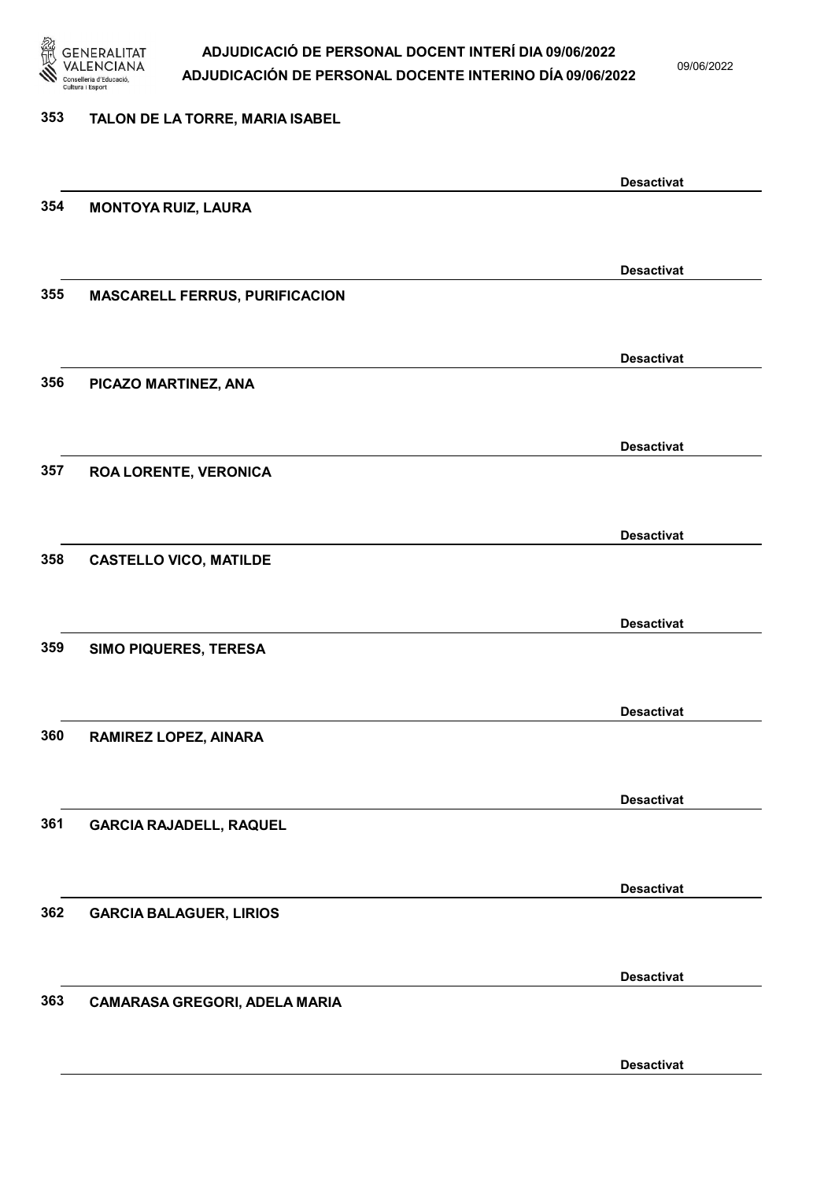

09/06/2022

#### 353 TALON DE LA TORRE, MARIA ISABEL

|     |                                       | <b>Desactivat</b> |
|-----|---------------------------------------|-------------------|
| 354 | <b>MONTOYA RUIZ, LAURA</b>            |                   |
|     |                                       |                   |
|     |                                       | <b>Desactivat</b> |
| 355 | <b>MASCARELL FERRUS, PURIFICACION</b> |                   |
|     |                                       |                   |
|     |                                       |                   |
|     |                                       | <b>Desactivat</b> |
| 356 | PICAZO MARTINEZ, ANA                  |                   |
|     |                                       |                   |
|     |                                       | <b>Desactivat</b> |
| 357 | <b>ROA LORENTE, VERONICA</b>          |                   |
|     |                                       |                   |
|     |                                       | <b>Desactivat</b> |
| 358 | <b>CASTELLO VICO, MATILDE</b>         |                   |
|     |                                       |                   |
|     |                                       |                   |
|     |                                       | <b>Desactivat</b> |
| 359 | <b>SIMO PIQUERES, TERESA</b>          |                   |
|     |                                       |                   |
|     |                                       | <b>Desactivat</b> |
| 360 | RAMIREZ LOPEZ, AINARA                 |                   |
|     |                                       |                   |
|     |                                       | <b>Desactivat</b> |
| 361 | <b>GARCIA RAJADELL, RAQUEL</b>        |                   |
|     |                                       |                   |
|     |                                       |                   |
| 362 |                                       | <b>Desactivat</b> |
|     | <b>GARCIA BALAGUER, LIRIOS</b>        |                   |
|     |                                       |                   |
|     |                                       | <b>Desactivat</b> |
| 363 | CAMARASA GREGORI, ADELA MARIA         |                   |
|     |                                       |                   |
|     |                                       | <b>Desactivat</b> |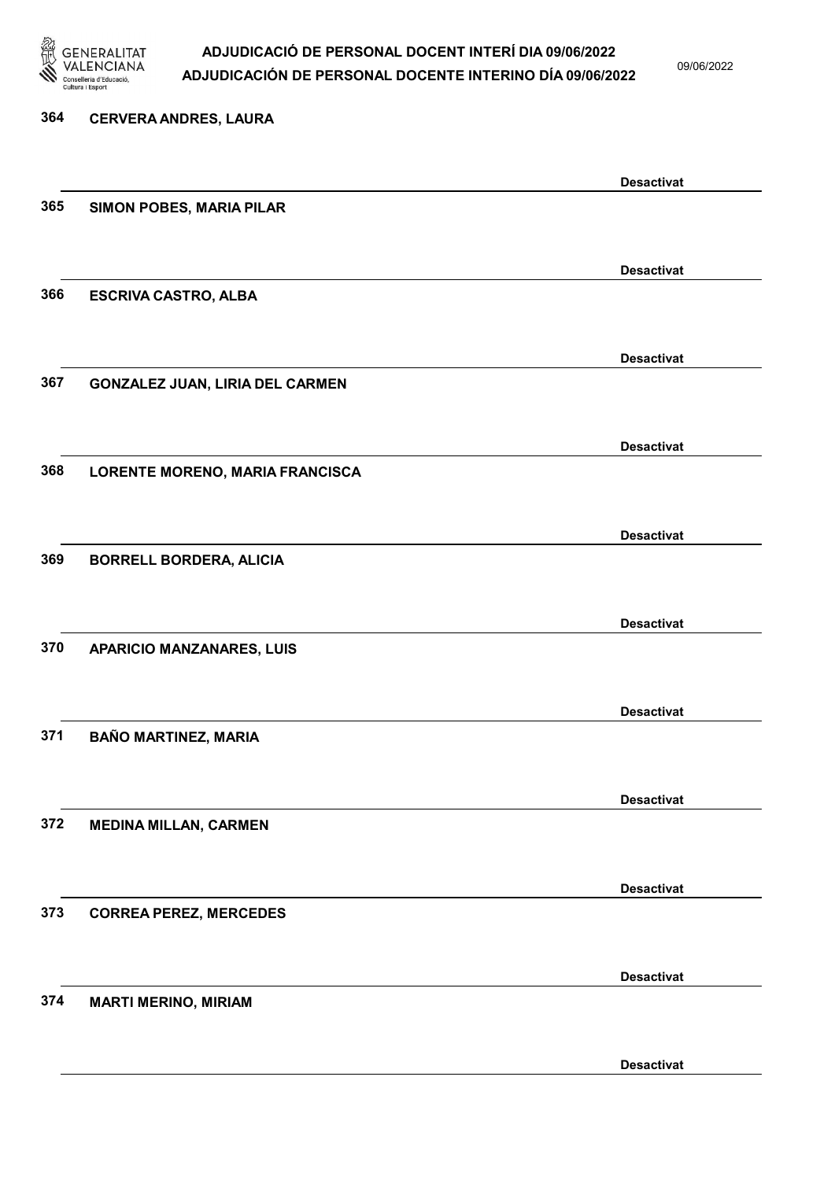

| 364 | <b>CERVERA ANDRES, LAURA</b>           |                   |
|-----|----------------------------------------|-------------------|
|     |                                        | <b>Desactivat</b> |
| 365 | SIMON POBES, MARIA PILAR               |                   |
|     |                                        | <b>Desactivat</b> |
| 366 | <b>ESCRIVA CASTRO, ALBA</b>            |                   |
|     |                                        | <b>Desactivat</b> |
| 367 | <b>GONZALEZ JUAN, LIRIA DEL CARMEN</b> |                   |
|     |                                        | <b>Desactivat</b> |
| 368 | LORENTE MORENO, MARIA FRANCISCA        |                   |
|     |                                        | <b>Desactivat</b> |
| 369 | <b>BORRELL BORDERA, ALICIA</b>         |                   |
|     |                                        |                   |
| 370 | <b>APARICIO MANZANARES, LUIS</b>       | <b>Desactivat</b> |
|     |                                        |                   |
| 371 | <b>BAÑO MARTINEZ, MARIA</b>            | <b>Desactivat</b> |
|     |                                        |                   |
| 372 | <b>MEDINA MILLAN, CARMEN</b>           | <b>Desactivat</b> |
|     |                                        |                   |
| 373 | <b>CORREA PEREZ, MERCEDES</b>          | <b>Desactivat</b> |
|     |                                        |                   |
| 374 |                                        | <b>Desactivat</b> |
|     | <b>MARTI MERINO, MIRIAM</b>            |                   |
|     |                                        | <b>Desactivat</b> |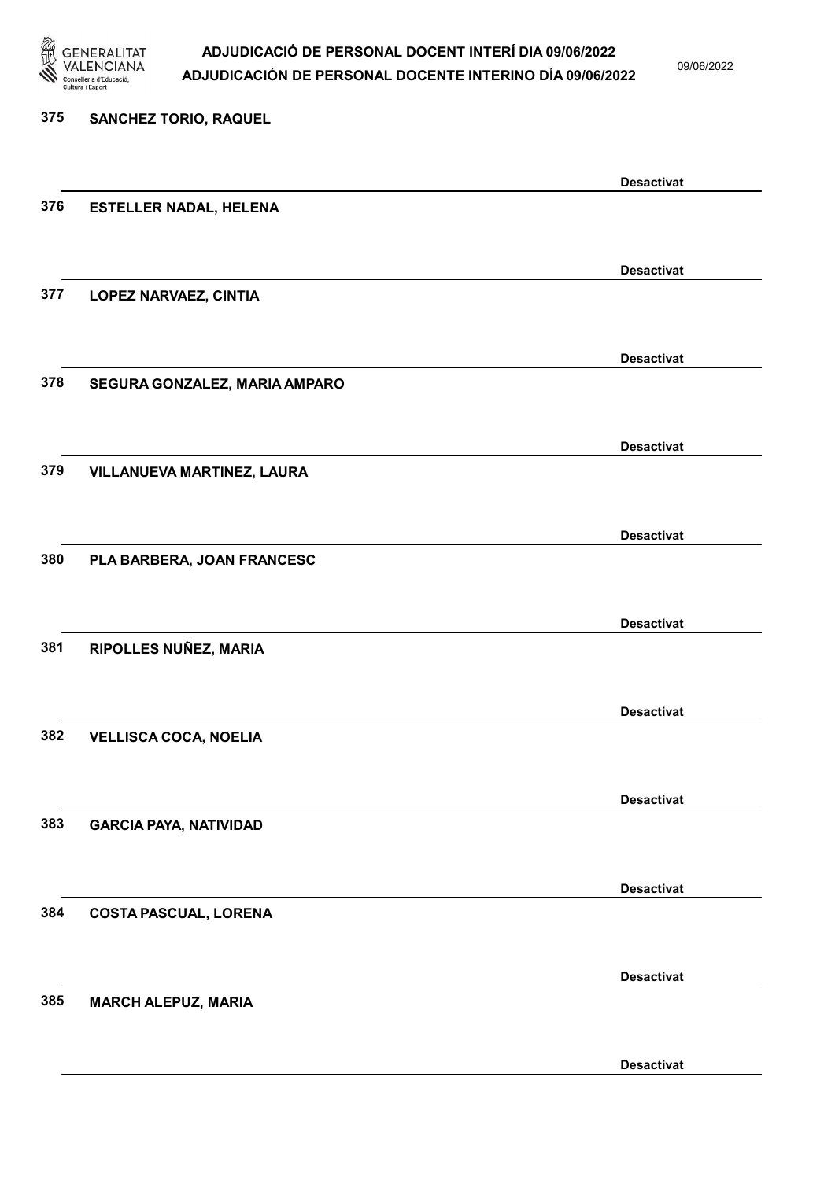

09/06/2022

Desactivat

# 375 SANCHEZ TORIO, RAQUEL Desactivat 376 ESTELLER NADAL, HELENA Desactivat 377 LOPEZ NARVAEZ, CINTIA Desactivat 378 SEGURA GONZALEZ, MARIA AMPARO Desactivat 379 VILLANUEVA MARTINEZ, LAURA Desactivat 380 PLA BARBERA, JOAN FRANCESC Desactivat 381 RIPOLLES NUÑEZ, MARIA Desactivat 382 VELLISCA COCA, NOELIA Desactivat 383 GARCIA PAYA, NATIVIDAD Desactivat 384 COSTA PASCUAL, LORENA Desactivat 385 MARCH ALEPUZ, MARIA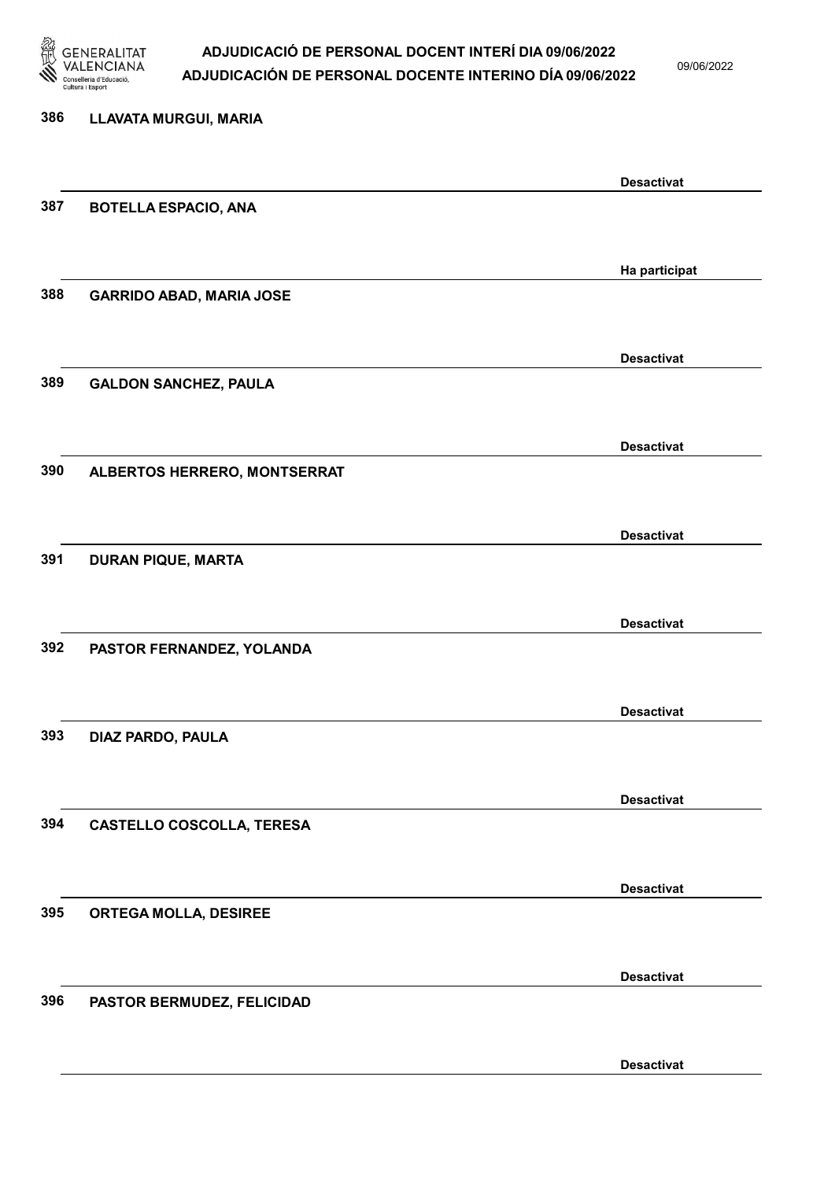

09/06/2022

Desactivat

# 386 LLAVATA MURGUI, MARIA Desactivat 387 BOTELLA ESPACIO, ANA Ha participat 388 GARRIDO ABAD, MARIA JOSE Desactivat 389 GALDON SANCHEZ, PAULA Desactivat 390 ALBERTOS HERRERO, MONTSERRAT Desactivat 391 DURAN PIQUE, MARTA Desactivat 392 PASTOR FERNANDEZ, YOLANDA Desactivat 393 DIAZ PARDO, PAULA Desactivat 394 CASTELLO COSCOLLA, TERESA Desactivat 395 ORTEGA MOLLA, DESIREE Desactivat 396 PASTOR BERMUDEZ, FELICIDAD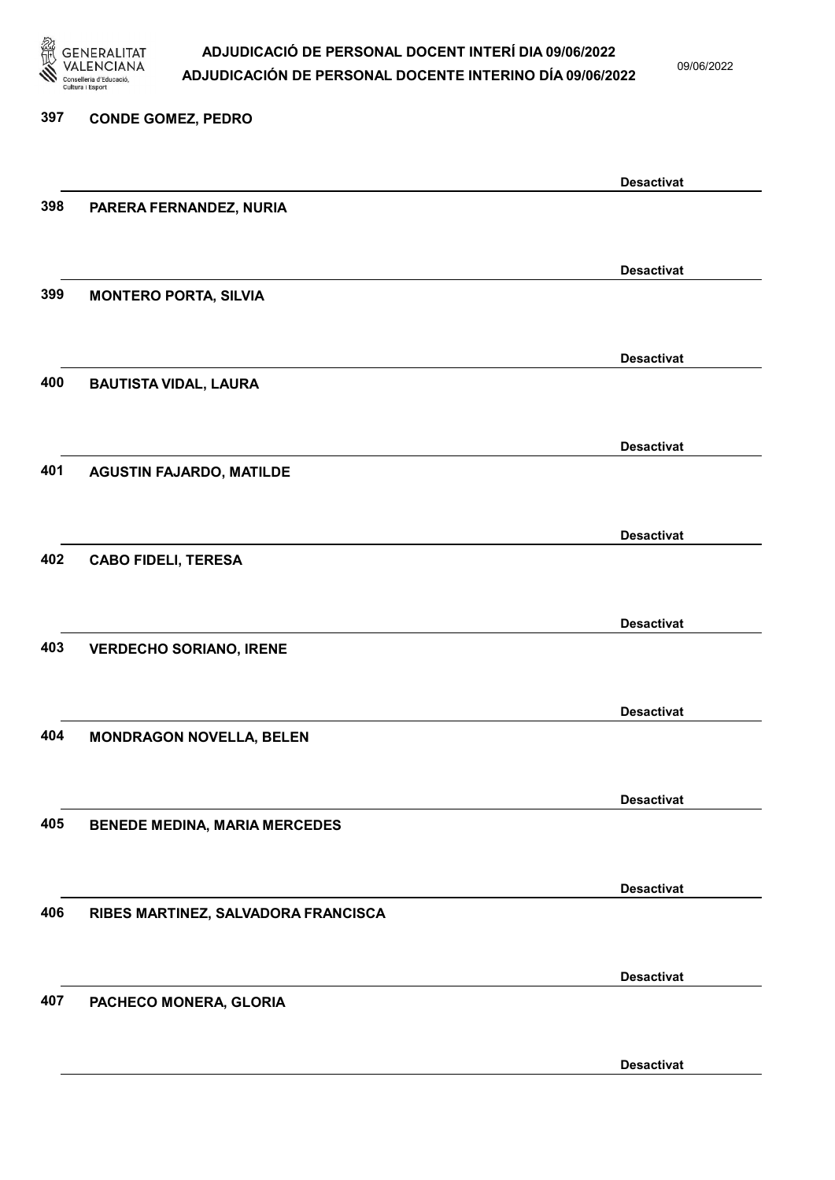

09/06/2022

### 397 CONDE GOMEZ, PEDRO

|     |                                      | <b>Desactivat</b> |
|-----|--------------------------------------|-------------------|
| 398 | PARERA FERNANDEZ, NURIA              |                   |
|     |                                      |                   |
|     |                                      |                   |
| 399 |                                      | <b>Desactivat</b> |
|     | <b>MONTERO PORTA, SILVIA</b>         |                   |
|     |                                      |                   |
|     |                                      | <b>Desactivat</b> |
| 400 | <b>BAUTISTA VIDAL, LAURA</b>         |                   |
|     |                                      |                   |
|     |                                      | <b>Desactivat</b> |
| 401 | <b>AGUSTIN FAJARDO, MATILDE</b>      |                   |
|     |                                      |                   |
|     |                                      |                   |
|     |                                      | <b>Desactivat</b> |
| 402 | <b>CABO FIDELI, TERESA</b>           |                   |
|     |                                      |                   |
|     |                                      | <b>Desactivat</b> |
| 403 | <b>VERDECHO SORIANO, IRENE</b>       |                   |
|     |                                      |                   |
|     |                                      |                   |
|     |                                      | <b>Desactivat</b> |
| 404 | <b>MONDRAGON NOVELLA, BELEN</b>      |                   |
|     |                                      |                   |
|     |                                      | <b>Desactivat</b> |
| 405 | <b>BENEDE MEDINA, MARIA MERCEDES</b> |                   |
|     |                                      |                   |
|     |                                      | <b>Desactivat</b> |
| 406 |                                      |                   |
|     | RIBES MARTINEZ, SALVADORA FRANCISCA  |                   |
|     |                                      |                   |
|     |                                      | <b>Desactivat</b> |
| 407 | PACHECO MONERA, GLORIA               |                   |
|     |                                      |                   |
|     |                                      | <b>Desactivat</b> |
|     |                                      |                   |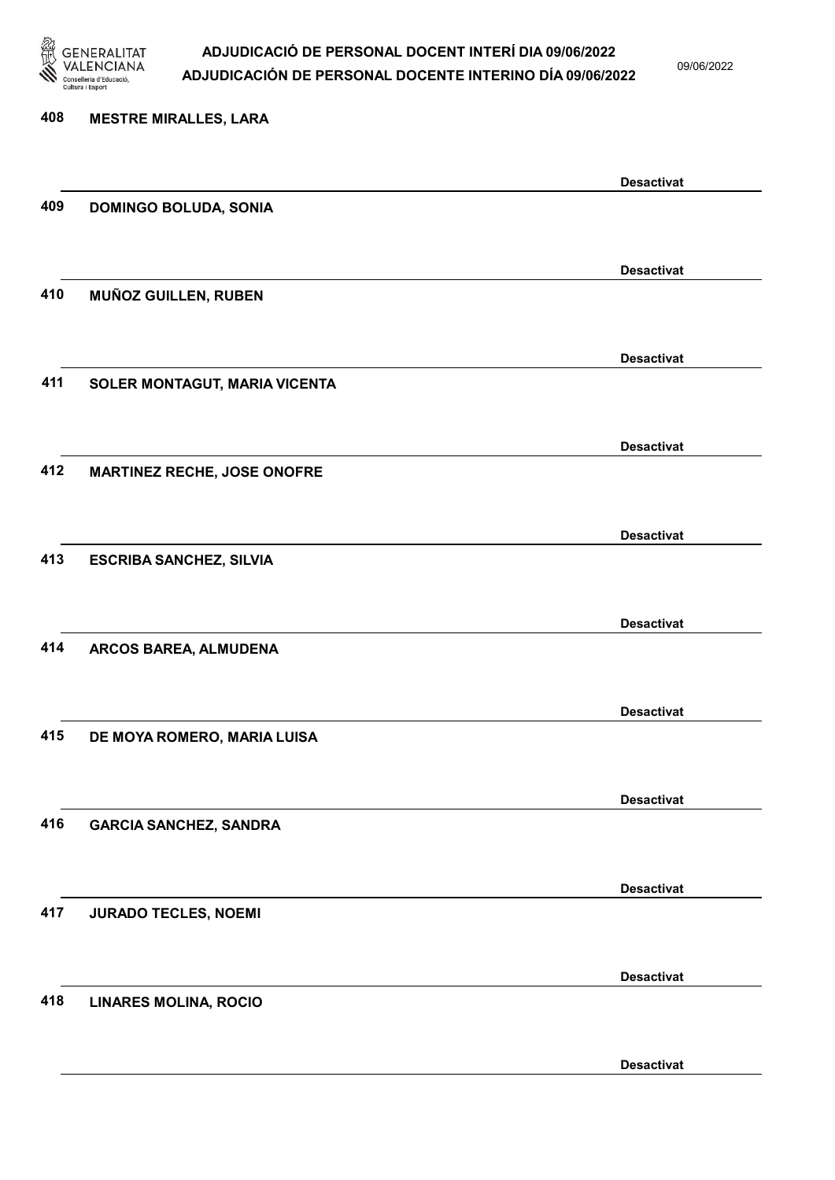

09/06/2022

Desactivat

# 408 MESTRE MIRALLES, LARA Desactivat 409 DOMINGO BOLUDA, SONIA Desactivat 410 MUÑOZ GUILLEN, RUBEN Desactivat 411 SOLER MONTAGUT, MARIA VICENTA Desactivat 412 MARTINEZ RECHE, JOSE ONOFRE Desactivat 413 ESCRIBA SANCHEZ, SILVIA Desactivat 414 ARCOS BAREA, ALMUDENA Desactivat 415 DE MOYA ROMERO, MARIA LUISA Desactivat 416 GARCIA SANCHEZ, SANDRA Desactivat 417 JURADO TECLES, NOEMI Desactivat 418 LINARES MOLINA, ROCIO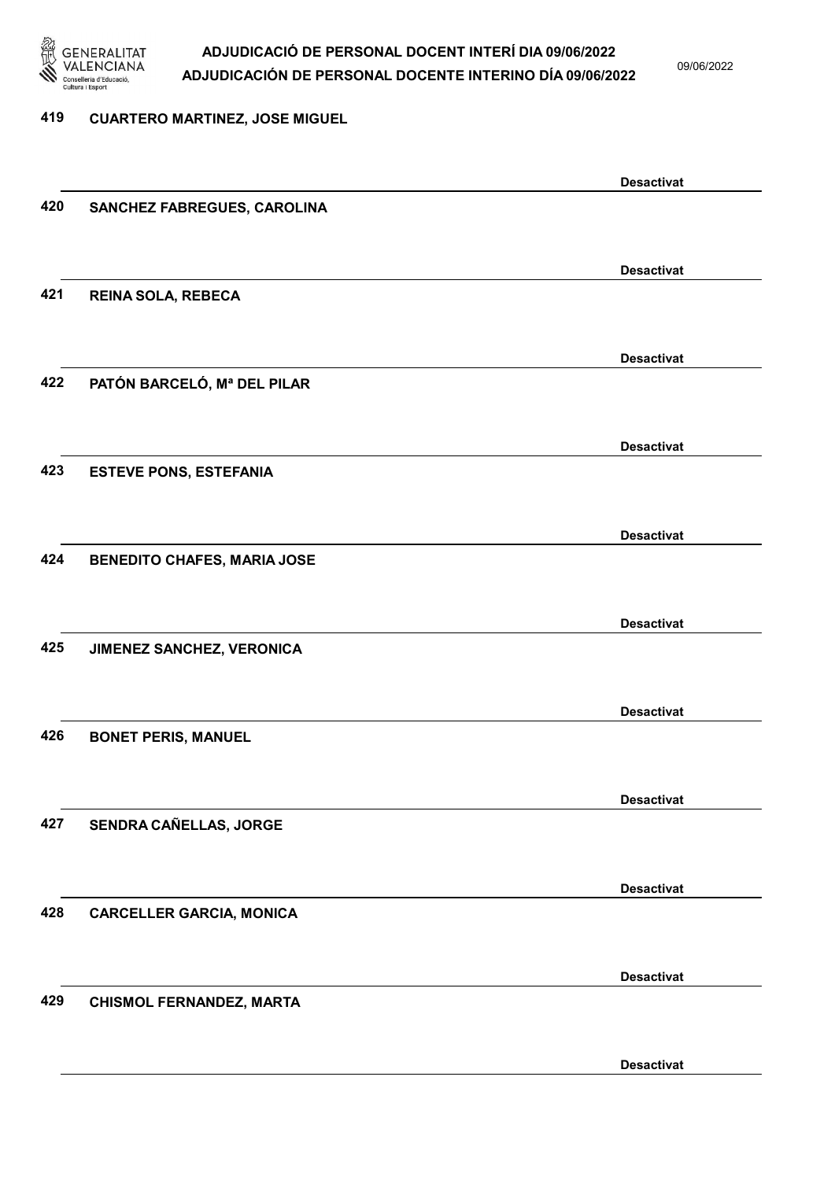

09/06/2022

#### 419 CUARTERO MARTINEZ, JOSE MIGUEL

|     |                                    | <b>Desactivat</b> |
|-----|------------------------------------|-------------------|
| 420 | SANCHEZ FABREGUES, CAROLINA        |                   |
|     |                                    |                   |
|     |                                    |                   |
|     |                                    | <b>Desactivat</b> |
| 421 | REINA SOLA, REBECA                 |                   |
|     |                                    |                   |
|     |                                    |                   |
|     |                                    | <b>Desactivat</b> |
| 422 | PATÓN BARCELÓ, Mª DEL PILAR        |                   |
|     |                                    |                   |
|     |                                    | <b>Desactivat</b> |
| 423 |                                    |                   |
|     | <b>ESTEVE PONS, ESTEFANIA</b>      |                   |
|     |                                    |                   |
|     |                                    | <b>Desactivat</b> |
| 424 | <b>BENEDITO CHAFES, MARIA JOSE</b> |                   |
|     |                                    |                   |
|     |                                    |                   |
|     |                                    | <b>Desactivat</b> |
| 425 | JIMENEZ SANCHEZ, VERONICA          |                   |
|     |                                    |                   |
|     |                                    |                   |
|     |                                    | <b>Desactivat</b> |
| 426 | <b>BONET PERIS, MANUEL</b>         |                   |
|     |                                    |                   |
|     |                                    | <b>Desactivat</b> |
| 427 | SENDRA CAÑELLAS, JORGE             |                   |
|     |                                    |                   |
|     |                                    |                   |
|     |                                    | <b>Desactivat</b> |
| 428 | <b>CARCELLER GARCIA, MONICA</b>    |                   |
|     |                                    |                   |
|     |                                    |                   |
|     |                                    | <b>Desactivat</b> |
| 429 | <b>CHISMOL FERNANDEZ, MARTA</b>    |                   |
|     |                                    |                   |
|     |                                    |                   |
|     |                                    | <b>Desactivat</b> |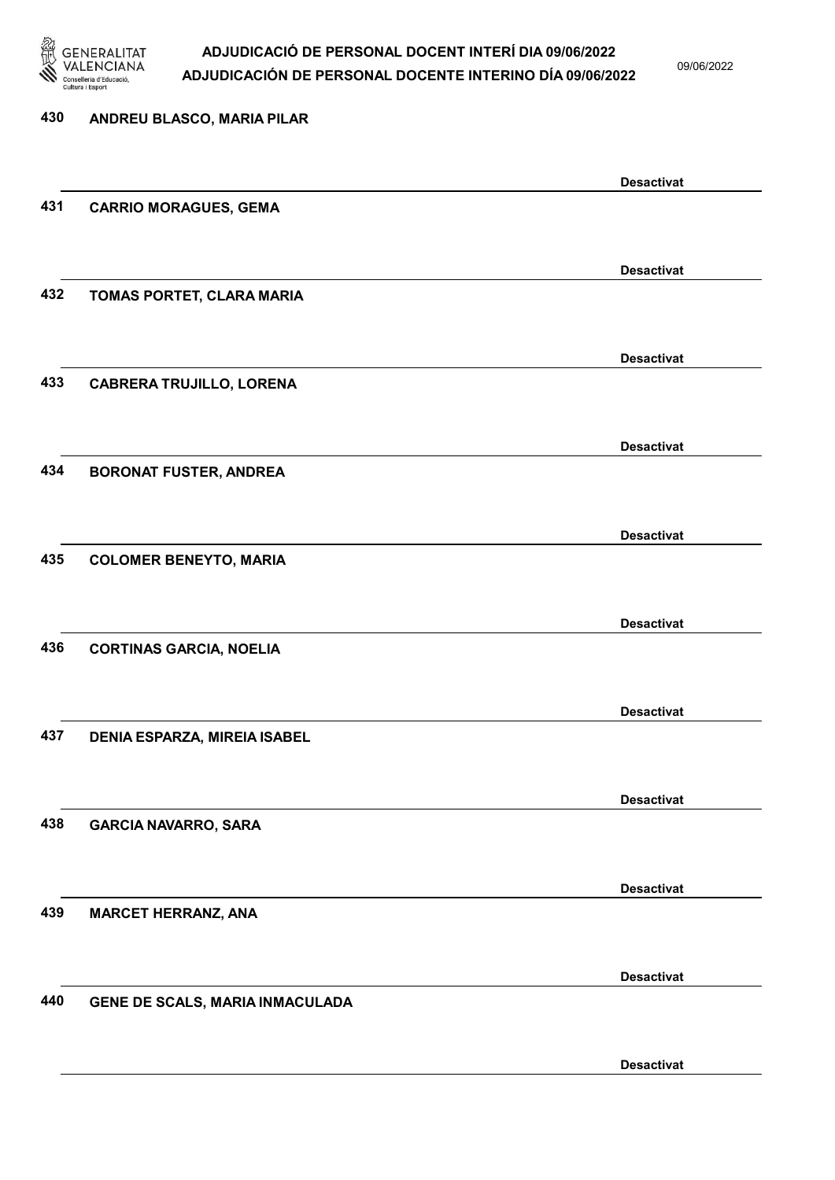

09/06/2022

## 430 ANDREU BLASCO, MARIA PILAR Desactivat 431 CARRIO MORAGUES, GEMA Desactivat 432 TOMAS PORTET, CLARA MARIA Desactivat 433 CABRERA TRUJILLO, LORENA Desactivat 434 BORONAT FUSTER, ANDREA Desactivat 435 COLOMER BENEYTO, MARIA Desactivat 436 CORTINAS GARCIA, NOELIA Desactivat 437 DENIA ESPARZA, MIREIA ISABEL Desactivat 438 GARCIA NAVARRO, SARA Desactivat 439 MARCET HERRANZ, ANA Desactivat 440 GENE DE SCALS, MARIA INMACULADA Desactivat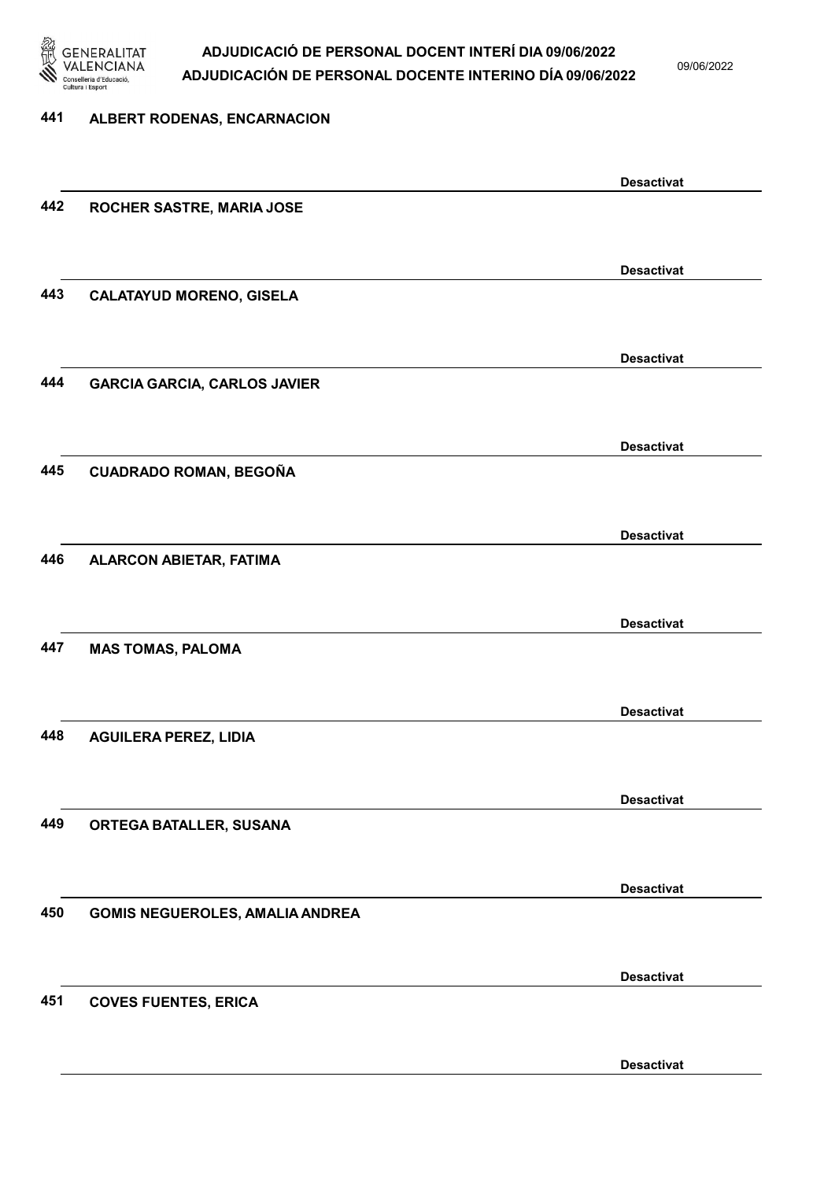

09/06/2022

## 441 ALBERT RODENAS, ENCARNACION Desactivat 442 ROCHER SASTRE, MARIA JOSE Desactivat 443 CALATAYUD MORENO, GISELA Desactivat 444 GARCIA GARCIA, CARLOS JAVIER Desactivat 445 CUADRADO ROMAN, BEGOÑA Desactivat 446 ALARCON ABIETAR, FATIMA Desactivat 447 MAS TOMAS, PALOMA Desactivat 448 AGUILERA PEREZ, LIDIA Desactivat 449 ORTEGA BATALLER, SUSANA Desactivat 450 GOMIS NEGUEROLES, AMALIA ANDREA Desactivat 451 COVES FUENTES, ERICA Desactivat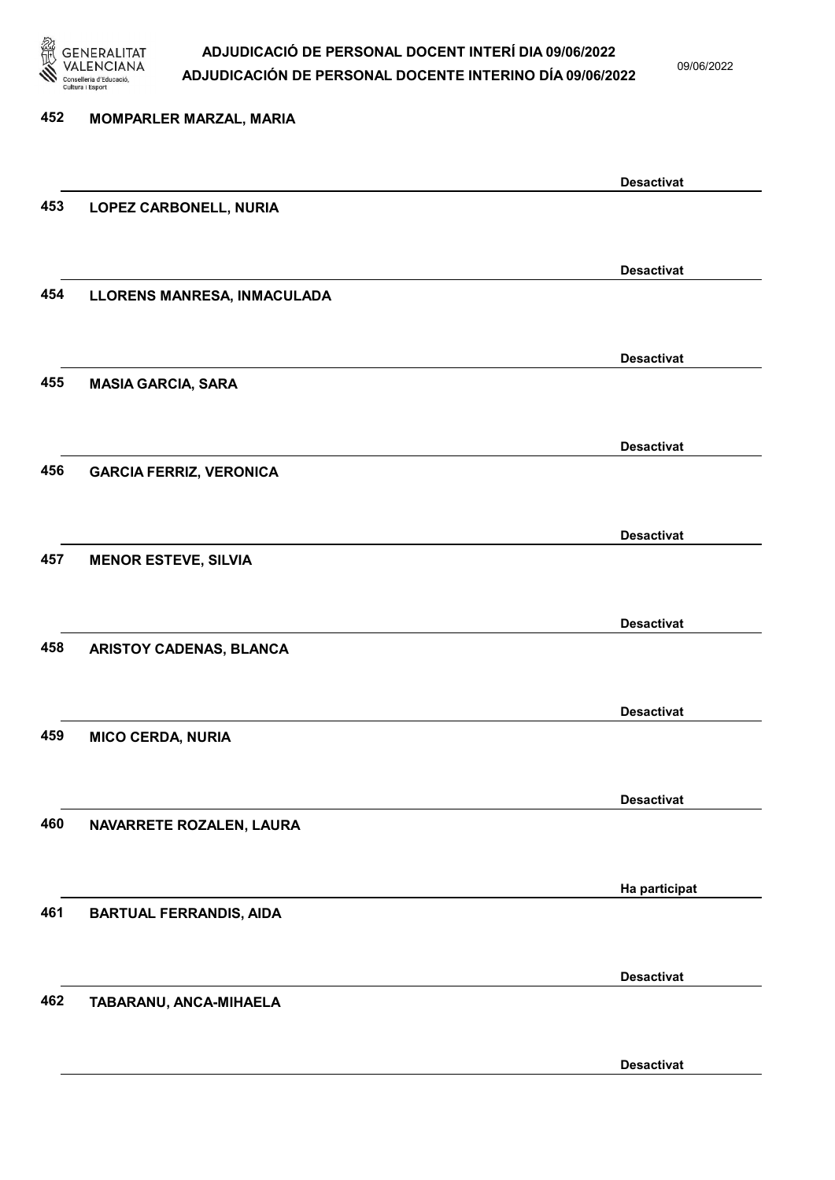

09/06/2022

| 452 | <b>MOMPARLER MARZAL, MARIA</b> |                   |
|-----|--------------------------------|-------------------|
|     |                                |                   |
|     |                                | <b>Desactivat</b> |
| 453 | LOPEZ CARBONELL, NURIA         |                   |
|     |                                |                   |
|     |                                | <b>Desactivat</b> |
| 454 | LLORENS MANRESA, INMACULADA    |                   |
|     |                                |                   |
|     |                                | <b>Desactivat</b> |
| 455 | <b>MASIA GARCIA, SARA</b>      |                   |
|     |                                |                   |
|     |                                | <b>Desactivat</b> |
| 456 | <b>GARCIA FERRIZ, VERONICA</b> |                   |
|     |                                |                   |
| 457 | <b>MENOR ESTEVE, SILVIA</b>    | <b>Desactivat</b> |
|     |                                |                   |
|     |                                | <b>Desactivat</b> |
| 458 | ARISTOY CADENAS, BLANCA        |                   |
|     |                                |                   |
|     |                                | <b>Desactivat</b> |
| 459 | <b>MICO CERDA, NURIA</b>       |                   |
|     |                                |                   |
|     |                                | <b>Desactivat</b> |
| 460 | NAVARRETE ROZALEN, LAURA       |                   |
|     |                                |                   |
|     |                                | Ha participat     |
| 461 | <b>BARTUAL FERRANDIS, AIDA</b> |                   |
|     |                                |                   |
|     |                                | <b>Desactivat</b> |
| 462 | TABARANU, ANCA-MIHAELA         |                   |
|     |                                |                   |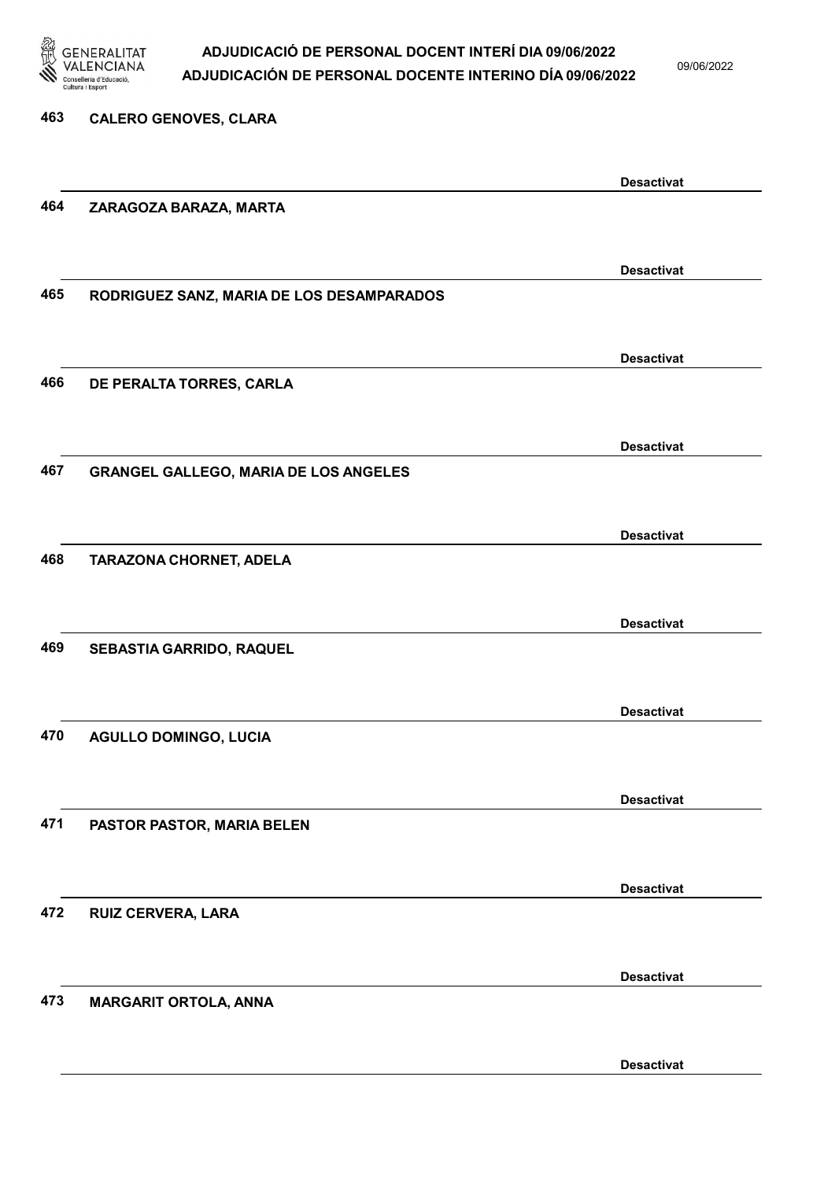

09/06/2022

Desactivat

## 463 CALERO GENOVES, CLARA Desactivat 464 ZARAGOZA BARAZA, MARTA Desactivat 465 RODRIGUEZ SANZ, MARIA DE LOS DESAMPARADOS Desactivat 466 DE PERALTA TORRES, CARLA Desactivat 467 GRANGEL GALLEGO, MARIA DE LOS ANGELES Desactivat 468 TARAZONA CHORNET, ADELA Desactivat 469 SEBASTIA GARRIDO, RAQUEL Desactivat 470 AGULLO DOMINGO, LUCIA Desactivat 471 PASTOR PASTOR, MARIA BELEN Desactivat 472 RUIZ CERVERA, LARA Desactivat 473 MARGARIT ORTOLA, ANNA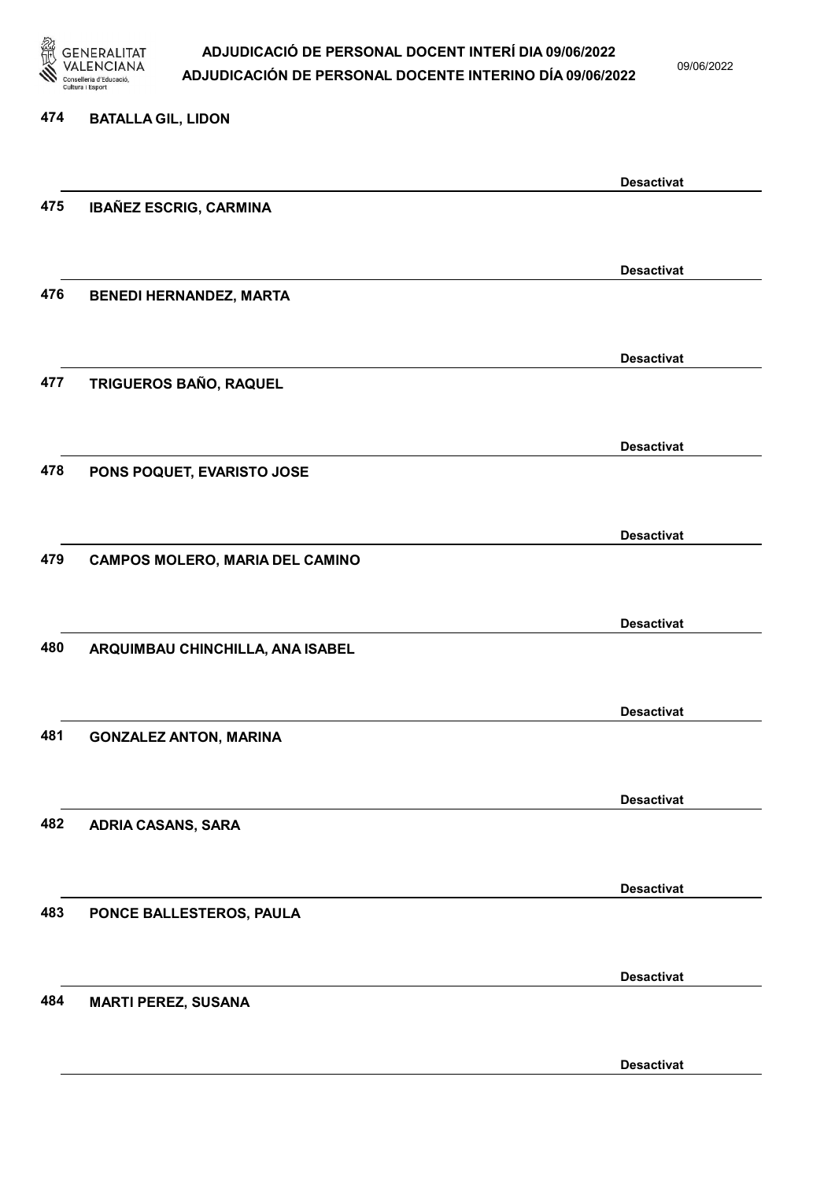

09/06/2022

#### 474 BATALLA GIL, LIDON

|     |                                        | <b>Desactivat</b> |
|-----|----------------------------------------|-------------------|
| 475 | IBAÑEZ ESCRIG, CARMINA                 |                   |
|     |                                        |                   |
|     |                                        | <b>Desactivat</b> |
| 476 | <b>BENEDI HERNANDEZ, MARTA</b>         |                   |
|     |                                        |                   |
|     |                                        | <b>Desactivat</b> |
| 477 | TRIGUEROS BAÑO, RAQUEL                 |                   |
|     |                                        |                   |
|     |                                        | <b>Desactivat</b> |
| 478 | PONS POQUET, EVARISTO JOSE             |                   |
|     |                                        |                   |
|     |                                        | <b>Desactivat</b> |
| 479 | <b>CAMPOS MOLERO, MARIA DEL CAMINO</b> |                   |
|     |                                        |                   |
|     |                                        | <b>Desactivat</b> |
| 480 | ARQUIMBAU CHINCHILLA, ANA ISABEL       |                   |
|     |                                        |                   |
|     |                                        | <b>Desactivat</b> |
| 481 | <b>GONZALEZ ANTON, MARINA</b>          |                   |
|     |                                        |                   |
|     |                                        | <b>Desactivat</b> |
| 482 | <b>ADRIA CASANS, SARA</b>              |                   |
|     |                                        |                   |
|     |                                        | <b>Desactivat</b> |
| 483 | PONCE BALLESTEROS, PAULA               |                   |
|     |                                        |                   |
|     |                                        | <b>Desactivat</b> |
| 484 | <b>MARTI PEREZ, SUSANA</b>             |                   |
|     |                                        |                   |
|     |                                        |                   |
|     |                                        | <b>Desactivat</b> |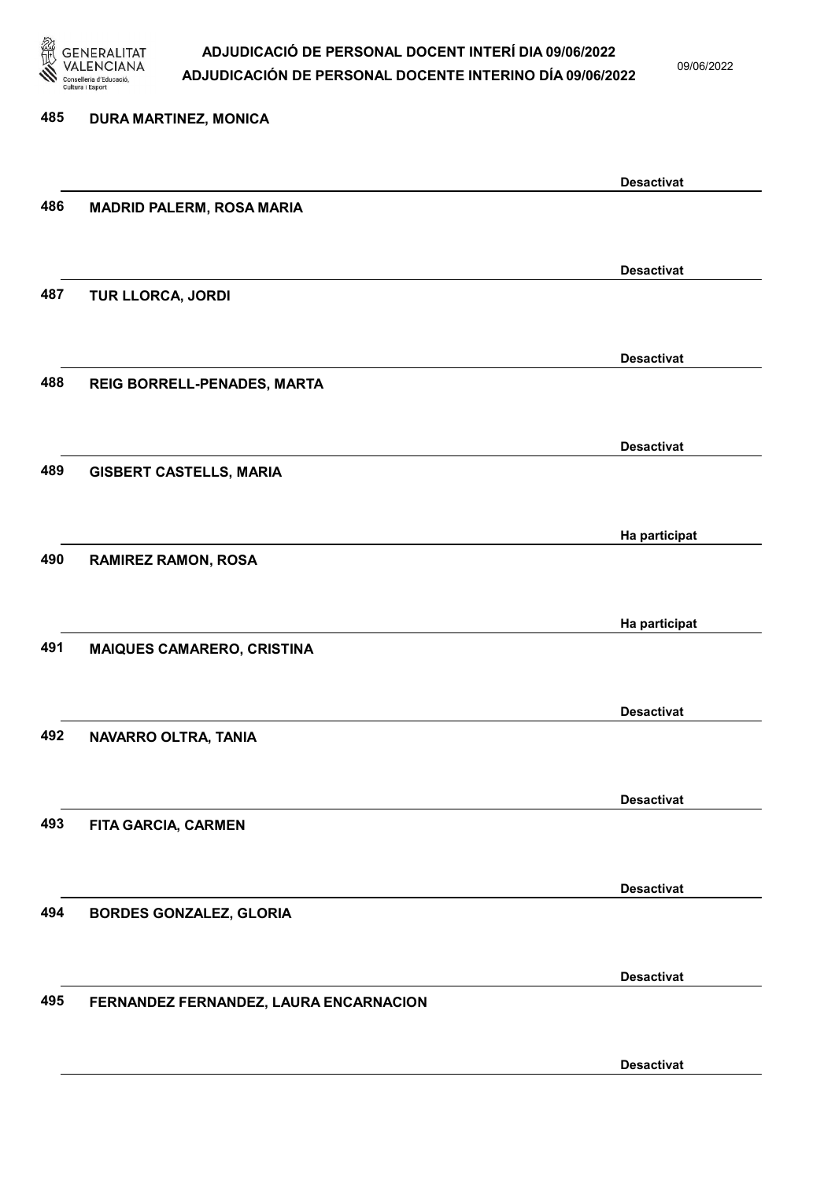

09/06/2022

## 485 DURA MARTINEZ, MONICA Desactivat 486 MADRID PALERM, ROSA MARIA Desactivat 487 TUR LLORCA, JORDI Desactivat 488 REIG BORRELL-PENADES, MARTA Desactivat 489 GISBERT CASTELLS, MARIA Ha participat 490 RAMIREZ RAMON, ROSA Ha participat 491 MAIQUES CAMARERO, CRISTINA Desactivat 492 NAVARRO OLTRA, TANIA Desactivat 493 FITA GARCIA, CARMEN Desactivat 494 BORDES GONZALEZ, GLORIA Desactivat 495 FERNANDEZ FERNANDEZ, LAURA ENCARNACION Desactivat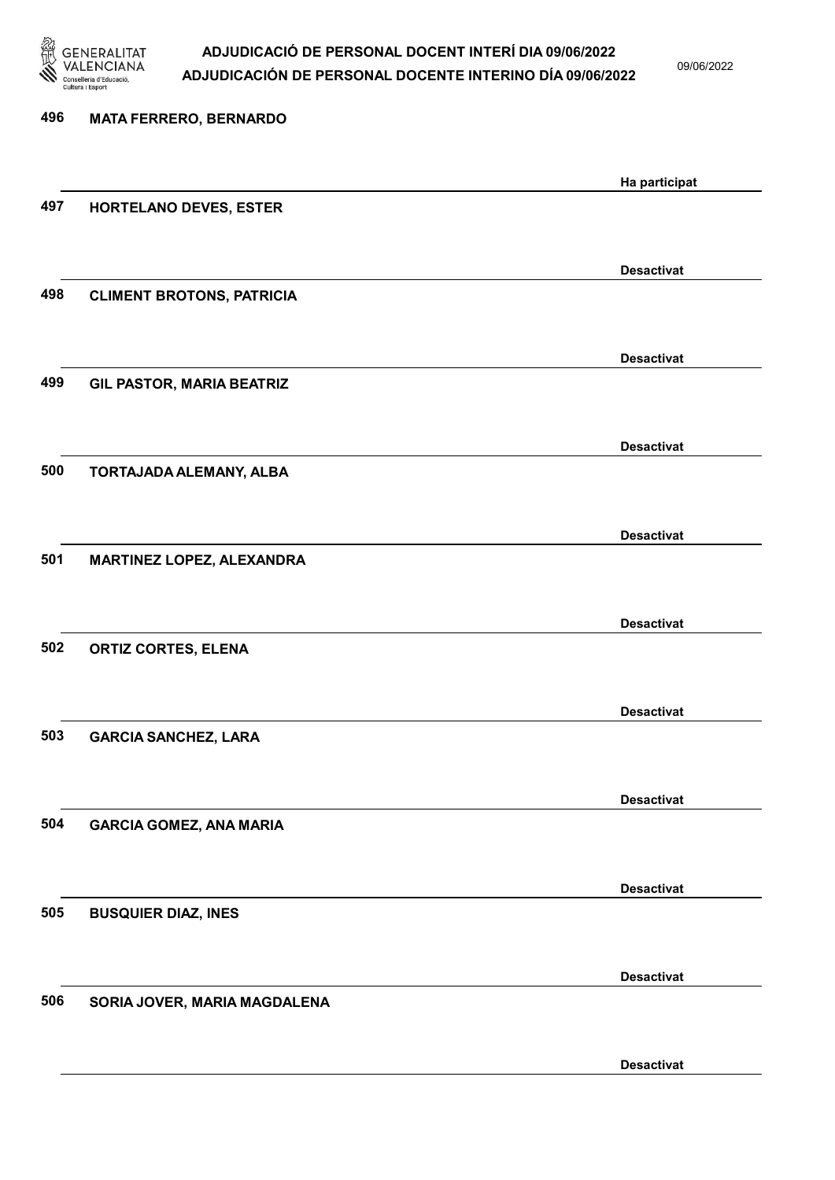

09/06/2022

| 496 | <b>MATA FERRERO, BERNARDO</b>    |                   |
|-----|----------------------------------|-------------------|
|     |                                  | Ha participat     |
| 497 | HORTELANO DEVES, ESTER           |                   |
|     |                                  | <b>Desactivat</b> |
| 498 | <b>CLIMENT BROTONS, PATRICIA</b> |                   |
|     |                                  | <b>Desactivat</b> |
| 499 | <b>GIL PASTOR, MARIA BEATRIZ</b> |                   |
|     |                                  | <b>Desactivat</b> |
| 500 | TORTAJADA ALEMANY, ALBA          |                   |
|     |                                  | <b>Desactivat</b> |
| 501 | MARTINEZ LOPEZ, ALEXANDRA        |                   |
|     |                                  | <b>Desactivat</b> |
| 502 | <b>ORTIZ CORTES, ELENA</b>       |                   |
|     |                                  | <b>Desactivat</b> |
| 503 | <b>GARCIA SANCHEZ, LARA</b>      |                   |
|     |                                  | <b>Desactivat</b> |
| 504 | <b>GARCIA GOMEZ, ANA MARIA</b>   |                   |
|     |                                  | <b>Desactivat</b> |
| 505 | <b>BUSQUIER DIAZ, INES</b>       |                   |
|     |                                  | <b>Desactivat</b> |
| 506 | SORIA JOVER, MARIA MAGDALENA     |                   |
|     |                                  | <b>Desactivat</b> |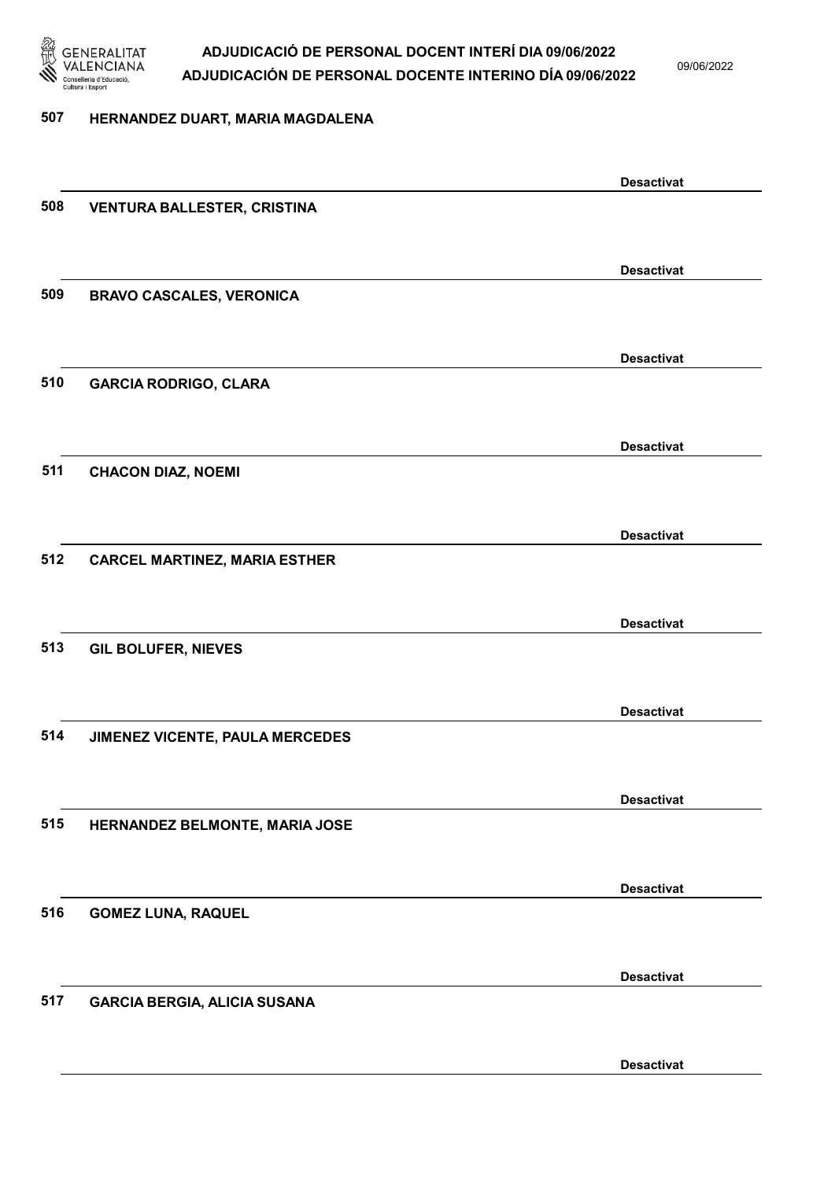

09/06/2022

#### 507 HERNANDEZ DUART, MARIA MAGDALENA

|     |                                      | <b>Desactivat</b> |
|-----|--------------------------------------|-------------------|
| 508 | <b>VENTURA BALLESTER, CRISTINA</b>   |                   |
|     |                                      |                   |
|     |                                      | <b>Desactivat</b> |
| 509 | <b>BRAVO CASCALES, VERONICA</b>      |                   |
|     |                                      |                   |
|     |                                      | <b>Desactivat</b> |
| 510 | <b>GARCIA RODRIGO, CLARA</b>         |                   |
|     |                                      |                   |
|     |                                      |                   |
|     |                                      | <b>Desactivat</b> |
| 511 | <b>CHACON DIAZ, NOEMI</b>            |                   |
|     |                                      |                   |
|     |                                      | <b>Desactivat</b> |
| 512 | <b>CARCEL MARTINEZ, MARIA ESTHER</b> |                   |
|     |                                      |                   |
|     |                                      | <b>Desactivat</b> |
| 513 | <b>GIL BOLUFER, NIEVES</b>           |                   |
|     |                                      |                   |
|     |                                      | <b>Desactivat</b> |
| 514 | JIMENEZ VICENTE, PAULA MERCEDES      |                   |
|     |                                      |                   |
|     |                                      |                   |
| 515 |                                      | <b>Desactivat</b> |
|     | HERNANDEZ BELMONTE, MARIA JOSE       |                   |
|     |                                      |                   |
|     |                                      | <b>Desactivat</b> |
| 516 | <b>GOMEZ LUNA, RAQUEL</b>            |                   |
|     |                                      |                   |
|     |                                      | <b>Desactivat</b> |
| 517 | <b>GARCIA BERGIA, ALICIA SUSANA</b>  |                   |
|     |                                      |                   |
|     |                                      | <b>Desactivat</b> |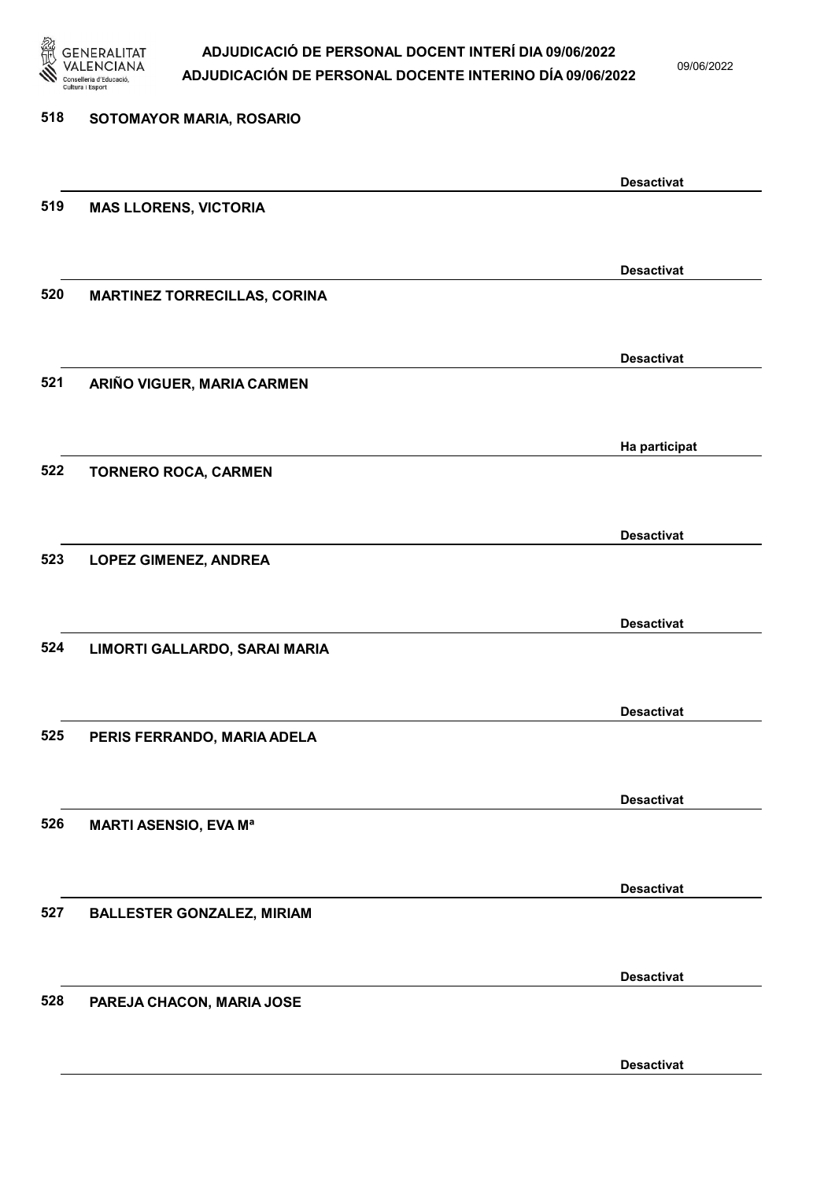

09/06/2022

| 518 | SOTOMAYOR MARIA, ROSARIO            |                   |
|-----|-------------------------------------|-------------------|
|     |                                     | <b>Desactivat</b> |
| 519 | <b>MAS LLORENS, VICTORIA</b>        |                   |
|     |                                     | <b>Desactivat</b> |
| 520 | <b>MARTINEZ TORRECILLAS, CORINA</b> |                   |
|     |                                     | <b>Desactivat</b> |
| 521 | ARIÑO VIGUER, MARIA CARMEN          |                   |
|     |                                     | Ha participat     |
| 522 | <b>TORNERO ROCA, CARMEN</b>         |                   |
|     |                                     | <b>Desactivat</b> |
| 523 | <b>LOPEZ GIMENEZ, ANDREA</b>        |                   |
|     |                                     | <b>Desactivat</b> |
| 524 | LIMORTI GALLARDO, SARAI MARIA       |                   |
|     |                                     | <b>Desactivat</b> |
| 525 | PERIS FERRANDO, MARIA ADELA         |                   |
|     |                                     | <b>Desactivat</b> |
| 526 | <b>MARTI ASENSIO, EVA Ma</b>        |                   |
|     |                                     | <b>Desactivat</b> |
| 527 | <b>BALLESTER GONZALEZ, MIRIAM</b>   |                   |
|     |                                     | <b>Desactivat</b> |
| 528 | PAREJA CHACON, MARIA JOSE           |                   |
|     |                                     | <b>Desactivat</b> |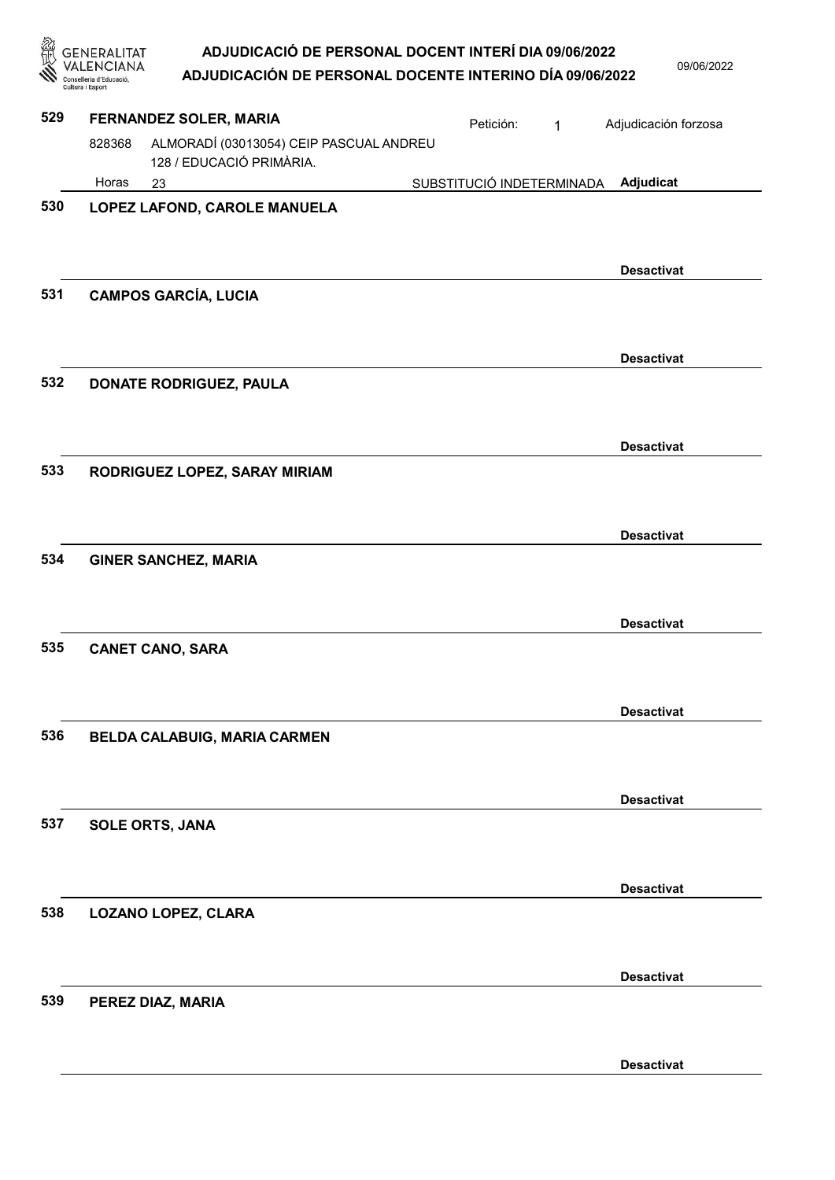|     |                                          | ADJUDICACIÓ DE PERSONAL DOCENT INTERÍ DIA 09/06/2022                |                           |   | 09/06/2022           |
|-----|------------------------------------------|---------------------------------------------------------------------|---------------------------|---|----------------------|
|     | Conselleria d'Educaci<br>Cultura i Espor | ADJUDICACIÓN DE PERSONAL DOCENTE INTERINO DÍA 09/06/2022            |                           |   |                      |
| 529 |                                          | FERNANDEZ SOLER, MARIA                                              | Petición:                 | 1 | Adjudicación forzosa |
|     | 828368                                   | ALMORADÍ (03013054) CEIP PASCUAL ANDREU<br>128 / EDUCACIÓ PRIMÀRIA. |                           |   |                      |
|     | Horas                                    | 23                                                                  | SUBSTITUCIÓ INDETERMINADA |   | Adjudicat            |
| 530 |                                          | LOPEZ LAFOND, CAROLE MANUELA                                        |                           |   |                      |
|     |                                          |                                                                     |                           |   |                      |
|     |                                          |                                                                     |                           |   | <b>Desactivat</b>    |
| 531 |                                          | <b>CAMPOS GARCÍA, LUCIA</b>                                         |                           |   |                      |
|     |                                          |                                                                     |                           |   |                      |
|     |                                          |                                                                     |                           |   | <b>Desactivat</b>    |
| 532 |                                          | DONATE RODRIGUEZ, PAULA                                             |                           |   |                      |
|     |                                          |                                                                     |                           |   |                      |
|     |                                          |                                                                     |                           |   | <b>Desactivat</b>    |
| 533 |                                          | RODRIGUEZ LOPEZ, SARAY MIRIAM                                       |                           |   |                      |
|     |                                          |                                                                     |                           |   |                      |
| 534 |                                          |                                                                     |                           |   | <b>Desactivat</b>    |
|     |                                          | <b>GINER SANCHEZ, MARIA</b>                                         |                           |   |                      |
|     |                                          |                                                                     |                           |   |                      |
| 535 |                                          | <b>CANET CANO, SARA</b>                                             |                           |   | <b>Desactivat</b>    |
|     |                                          |                                                                     |                           |   |                      |
|     |                                          |                                                                     |                           |   | <b>Desactivat</b>    |
| 536 |                                          | BELDA CALABUIG, MARIA CARMEN                                        |                           |   |                      |
|     |                                          |                                                                     |                           |   |                      |
|     |                                          |                                                                     |                           |   | <b>Desactivat</b>    |
| 537 |                                          | <b>SOLE ORTS, JANA</b>                                              |                           |   |                      |
|     |                                          |                                                                     |                           |   |                      |
|     |                                          |                                                                     |                           |   | <b>Desactivat</b>    |
| 538 |                                          | <b>LOZANO LOPEZ, CLARA</b>                                          |                           |   |                      |
|     |                                          |                                                                     |                           |   |                      |
|     |                                          |                                                                     |                           |   | <b>Desactivat</b>    |
| 539 |                                          | PEREZ DIAZ, MARIA                                                   |                           |   |                      |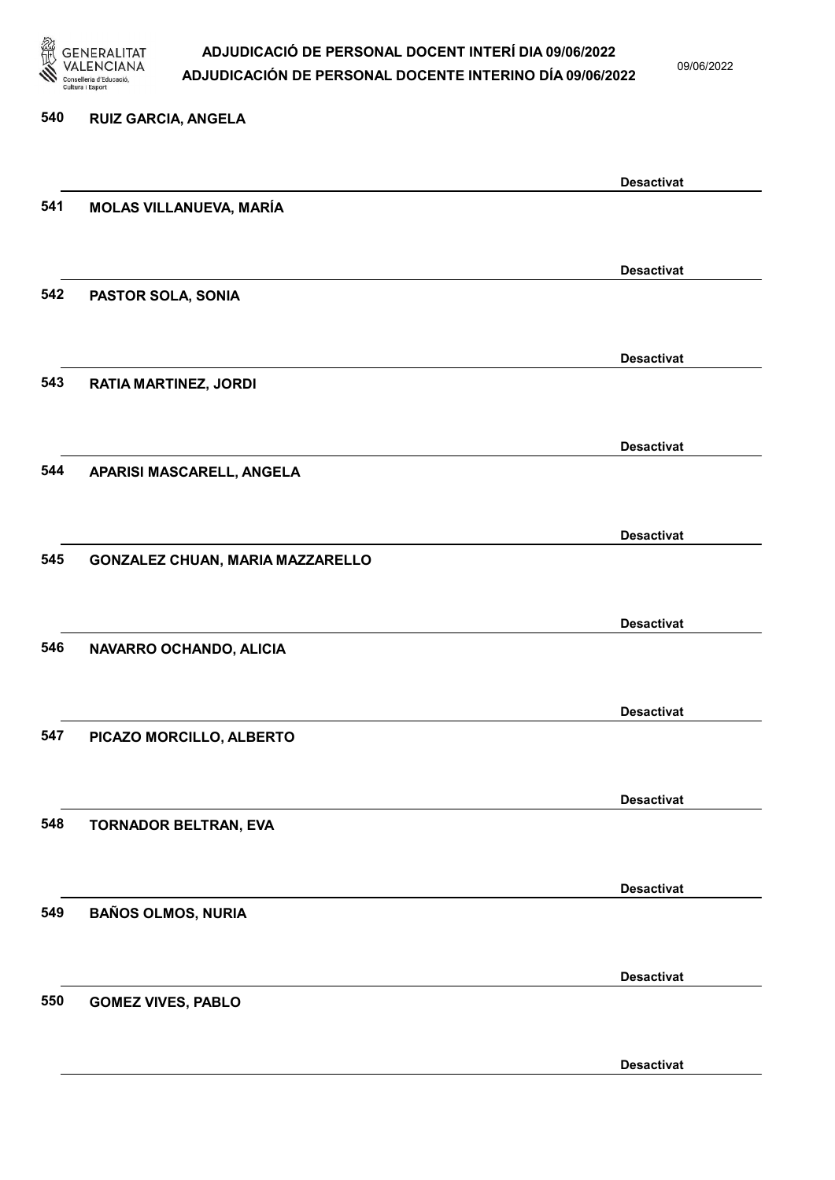

09/06/2022

Desactivat

# 540 RUIZ GARCIA, ANGELA Desactivat 541 MOLAS VILLANUEVA, MARÍA Desactivat 542 PASTOR SOLA, SONIA Desactivat 543 RATIA MARTINEZ, JORDI Desactivat 544 APARISI MASCARELL, ANGELA Desactivat 545 GONZALEZ CHUAN, MARIA MAZZARELLO Desactivat 546 NAVARRO OCHANDO, ALICIA Desactivat 547 PICAZO MORCILLO, ALBERTO Desactivat 548 TORNADOR BELTRAN, EVA Desactivat 549 BAÑOS OLMOS, NURIA Desactivat 550 GOMEZ VIVES, PABLO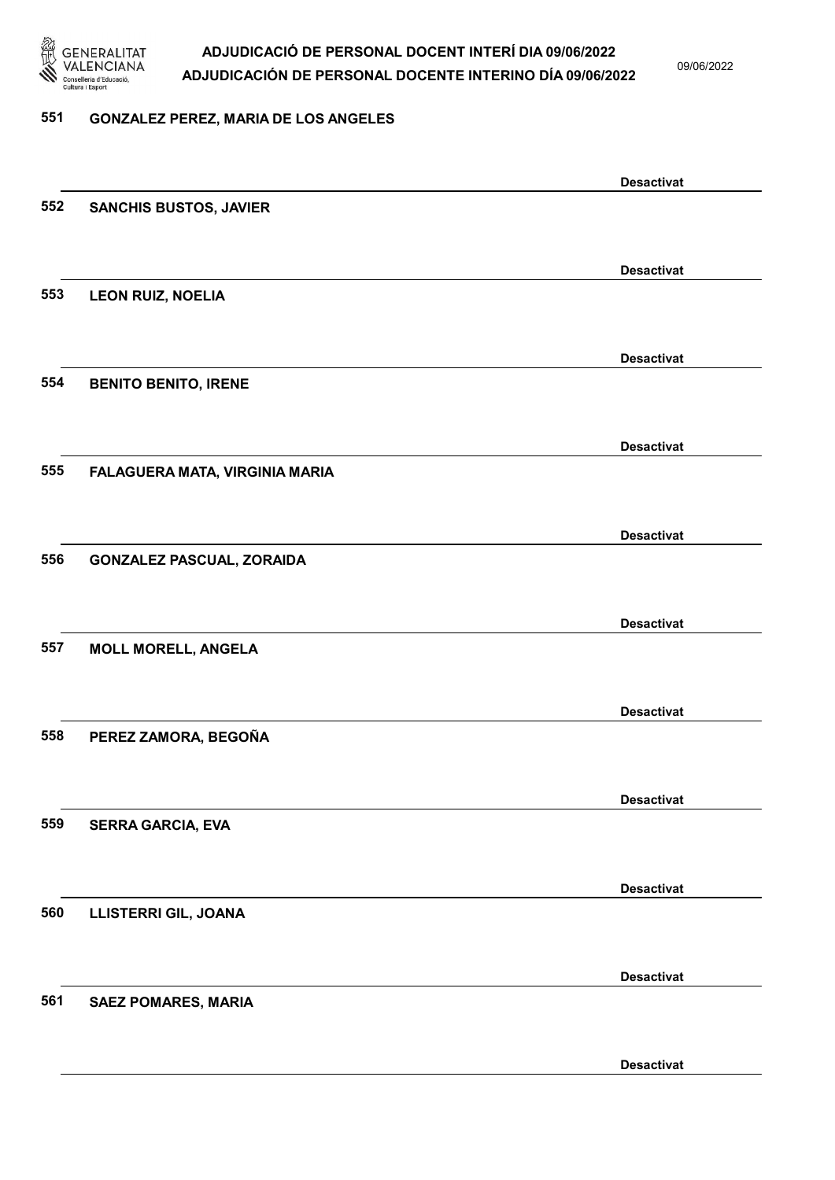

09/06/2022

#### 551 GONZALEZ PEREZ, MARIA DE LOS ANGELES

|     |                                  | <b>Desactivat</b> |
|-----|----------------------------------|-------------------|
| 552 | <b>SANCHIS BUSTOS, JAVIER</b>    |                   |
|     |                                  |                   |
|     |                                  |                   |
|     |                                  | <b>Desactivat</b> |
| 553 | <b>LEON RUIZ, NOELIA</b>         |                   |
|     |                                  |                   |
|     |                                  | <b>Desactivat</b> |
| 554 | <b>BENITO BENITO, IRENE</b>      |                   |
|     |                                  |                   |
|     |                                  |                   |
|     |                                  | <b>Desactivat</b> |
| 555 | FALAGUERA MATA, VIRGINIA MARIA   |                   |
|     |                                  |                   |
|     |                                  |                   |
|     |                                  | <b>Desactivat</b> |
| 556 | <b>GONZALEZ PASCUAL, ZORAIDA</b> |                   |
|     |                                  |                   |
|     |                                  | <b>Desactivat</b> |
| 557 |                                  |                   |
|     | <b>MOLL MORELL, ANGELA</b>       |                   |
|     |                                  |                   |
|     |                                  | <b>Desactivat</b> |
| 558 | PEREZ ZAMORA, BEGOÑA             |                   |
|     |                                  |                   |
|     |                                  |                   |
|     |                                  | <b>Desactivat</b> |
| 559 | <b>SERRA GARCIA, EVA</b>         |                   |
|     |                                  |                   |
|     |                                  |                   |
|     |                                  | <b>Desactivat</b> |
| 560 | LLISTERRI GIL, JOANA             |                   |
|     |                                  |                   |
|     |                                  | <b>Desactivat</b> |
| 561 | <b>SAEZ POMARES, MARIA</b>       |                   |
|     |                                  |                   |
|     |                                  |                   |
|     |                                  | <b>Desactivat</b> |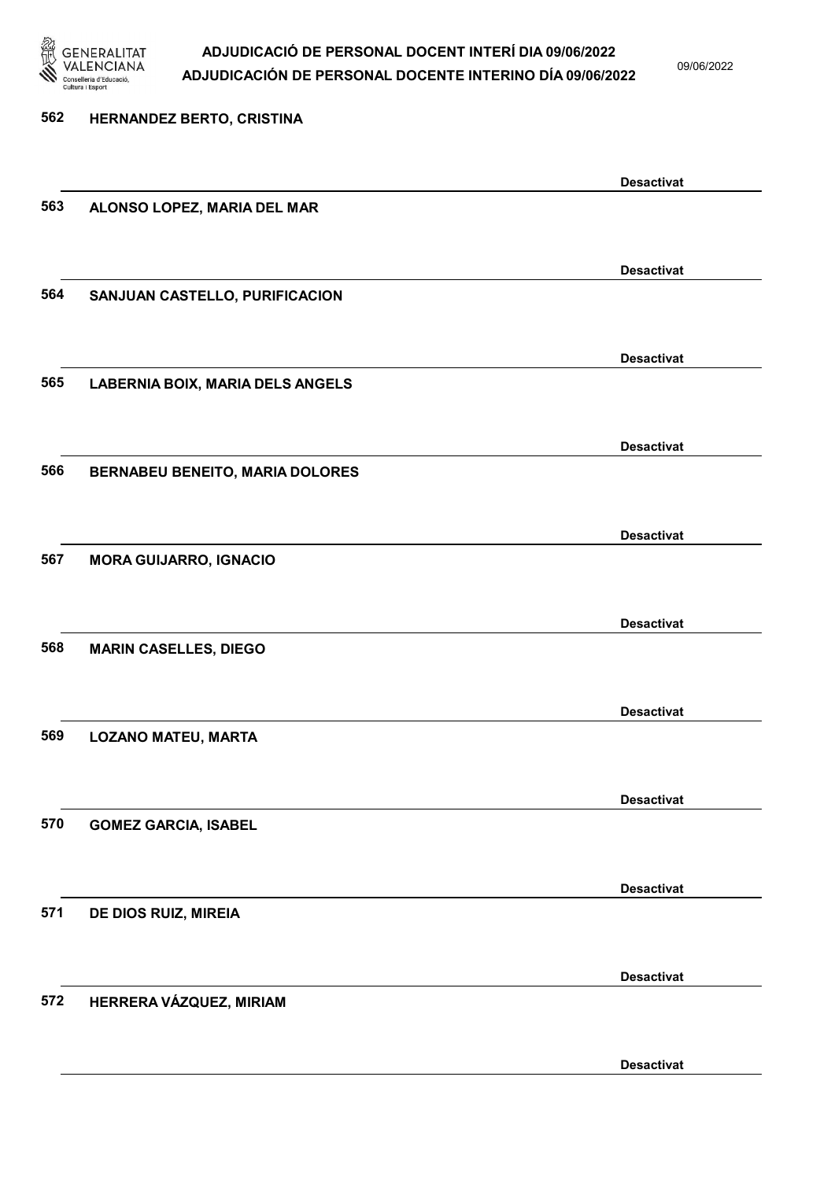

09/06/2022

| 562 | HERNANDEZ BERTO, CRISTINA               |                   |
|-----|-----------------------------------------|-------------------|
|     |                                         | <b>Desactivat</b> |
| 563 | ALONSO LOPEZ, MARIA DEL MAR             |                   |
|     |                                         | <b>Desactivat</b> |
| 564 | SANJUAN CASTELLO, PURIFICACION          |                   |
|     |                                         | <b>Desactivat</b> |
| 565 | <b>LABERNIA BOIX, MARIA DELS ANGELS</b> |                   |
|     |                                         | <b>Desactivat</b> |
| 566 | <b>BERNABEU BENEITO, MARIA DOLORES</b>  |                   |
| 567 |                                         | <b>Desactivat</b> |
|     | <b>MORA GUIJARRO, IGNACIO</b>           |                   |
| 568 | <b>MARIN CASELLES, DIEGO</b>            | <b>Desactivat</b> |
|     |                                         |                   |
| 569 | <b>LOZANO MATEU, MARTA</b>              | <b>Desactivat</b> |
|     |                                         |                   |
| 570 | <b>GOMEZ GARCIA, ISABEL</b>             | <b>Desactivat</b> |
|     |                                         |                   |
| 571 | DE DIOS RUIZ, MIREIA                    | <b>Desactivat</b> |
|     |                                         |                   |
| 572 | HERRERA VÁZQUEZ, MIRIAM                 | <b>Desactivat</b> |
|     |                                         | <b>Desactivat</b> |
|     |                                         |                   |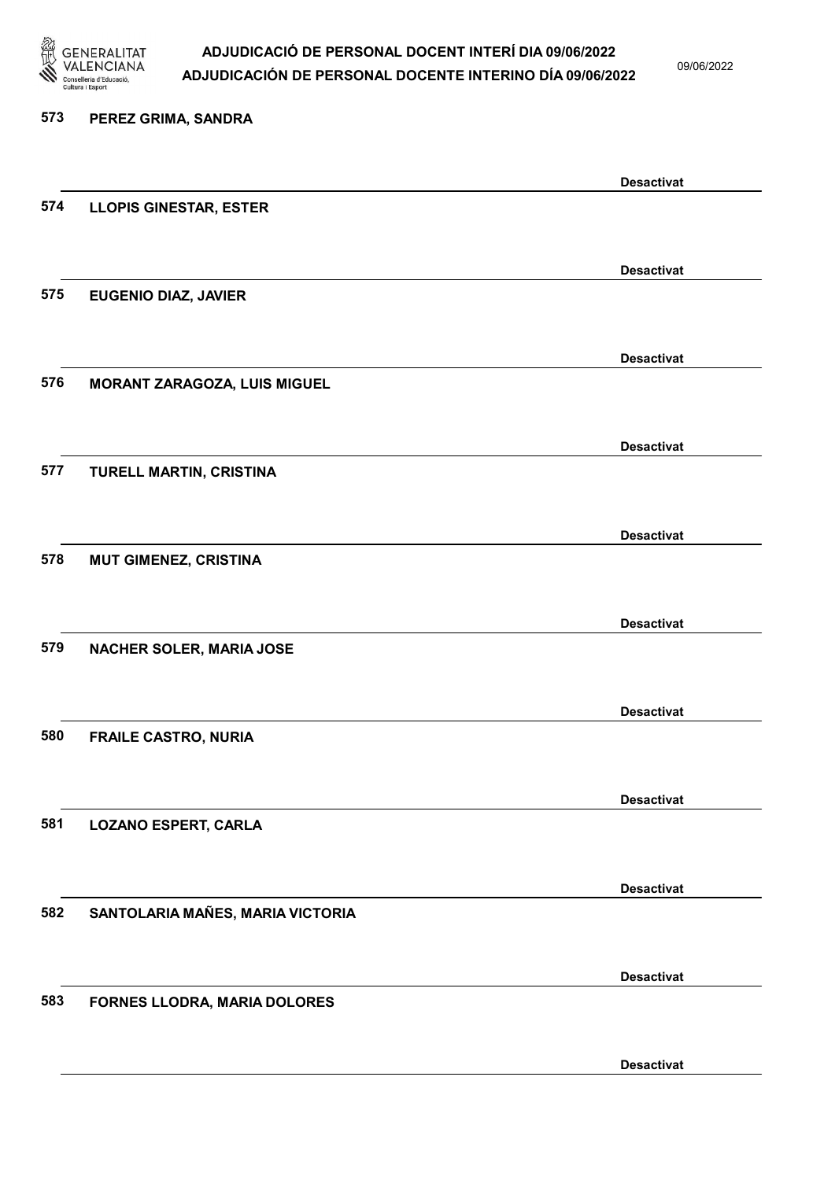

09/06/2022

## 573 PEREZ GRIMA, SANDRA Desactivat 574 LLOPIS GINESTAR, ESTER Desactivat 575 EUGENIO DIAZ, JAVIER Desactivat 576 MORANT ZARAGOZA, LUIS MIGUEL Desactivat 577 TURELL MARTIN, CRISTINA Desactivat 578 MUT GIMENEZ, CRISTINA Desactivat 579 NACHER SOLER, MARIA JOSE Desactivat 580 FRAILE CASTRO, NURIA Desactivat 581 LOZANO ESPERT, CARLA Desactivat 582 SANTOLARIA MAÑES, MARIA VICTORIA Desactivat 583 FORNES LLODRA, MARIA DOLORES Desactivat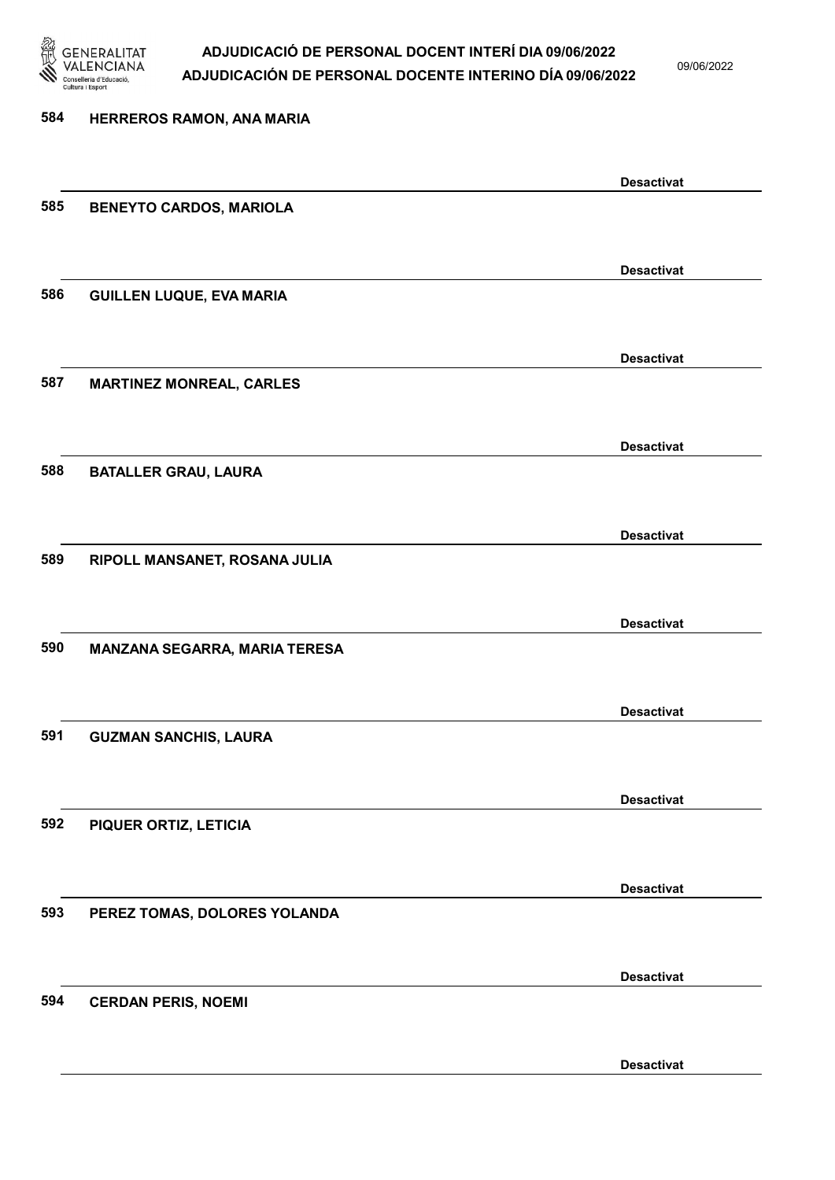

09/06/2022

| 584 | HERREROS RAMON, ANA MARIA       |                   |
|-----|---------------------------------|-------------------|
|     |                                 | <b>Desactivat</b> |
| 585 | <b>BENEYTO CARDOS, MARIOLA</b>  |                   |
|     |                                 | <b>Desactivat</b> |
| 586 | <b>GUILLEN LUQUE, EVA MARIA</b> |                   |
|     |                                 | <b>Desactivat</b> |
| 587 | <b>MARTINEZ MONREAL, CARLES</b> |                   |
|     |                                 | <b>Desactivat</b> |
| 588 | <b>BATALLER GRAU, LAURA</b>     |                   |
|     |                                 | <b>Desactivat</b> |
| 589 | RIPOLL MANSANET, ROSANA JULIA   |                   |
| 590 |                                 | <b>Desactivat</b> |
|     | MANZANA SEGARRA, MARIA TERESA   |                   |
| 591 | <b>GUZMAN SANCHIS, LAURA</b>    | <b>Desactivat</b> |
|     |                                 |                   |
| 592 | PIQUER ORTIZ, LETICIA           | <b>Desactivat</b> |
|     |                                 |                   |
| 593 | PEREZ TOMAS, DOLORES YOLANDA    | <b>Desactivat</b> |
|     |                                 |                   |
| 594 | <b>CERDAN PERIS, NOEMI</b>      | <b>Desactivat</b> |
|     |                                 |                   |
|     |                                 | <b>Desactivat</b> |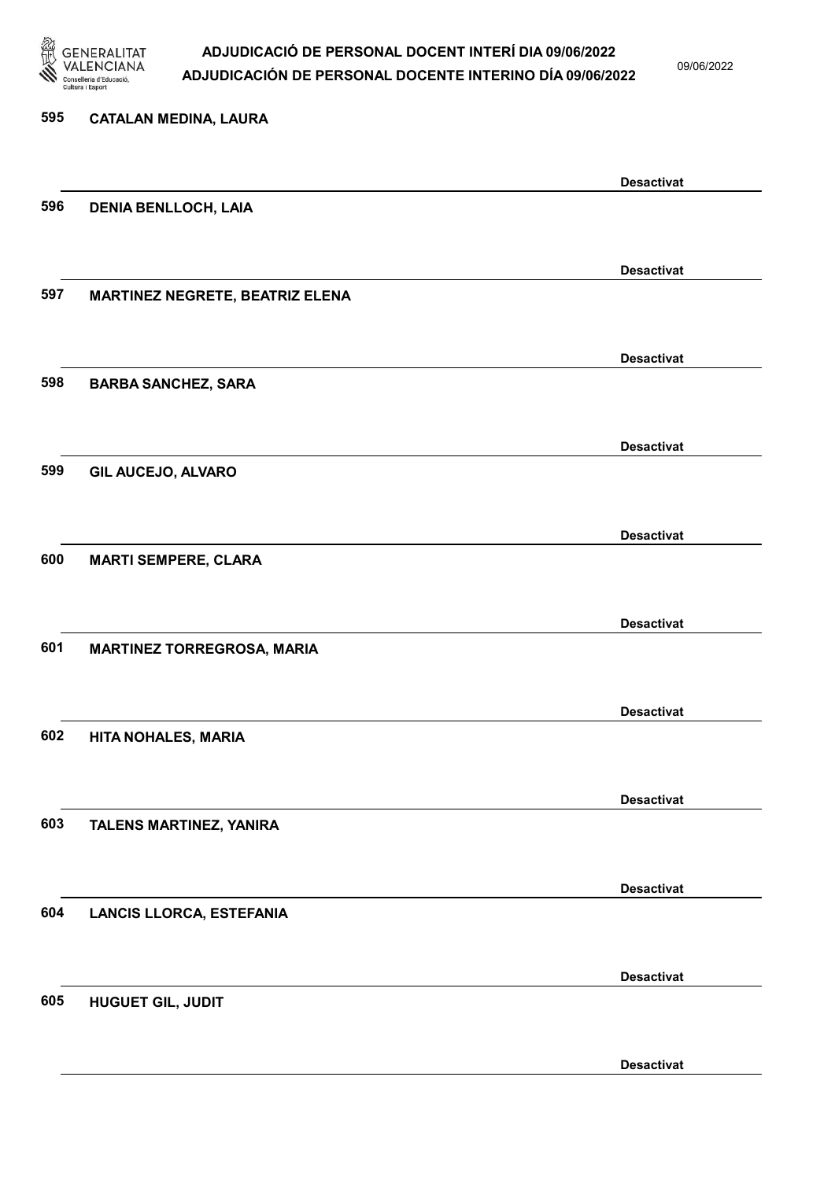

09/06/2022

| 595 | <b>CATALAN MEDINA, LAURA</b>      |                   |
|-----|-----------------------------------|-------------------|
|     |                                   | <b>Desactivat</b> |
| 596 | <b>DENIA BENLLOCH, LAIA</b>       |                   |
|     |                                   | <b>Desactivat</b> |
| 597 | MARTINEZ NEGRETE, BEATRIZ ELENA   |                   |
| 598 | <b>BARBA SANCHEZ, SARA</b>        | <b>Desactivat</b> |
|     |                                   |                   |
| 599 | <b>GIL AUCEJO, ALVARO</b>         | <b>Desactivat</b> |
|     |                                   |                   |
| 600 | <b>MARTI SEMPERE, CLARA</b>       | <b>Desactivat</b> |
|     |                                   |                   |
| 601 | <b>MARTINEZ TORREGROSA, MARIA</b> | <b>Desactivat</b> |
|     |                                   |                   |
| 602 | HITA NOHALES, MARIA               | <b>Desactivat</b> |
|     |                                   |                   |
| 603 | TALENS MARTINEZ, YANIRA           | <b>Desactivat</b> |
|     |                                   |                   |
| 604 | <b>LANCIS LLORCA, ESTEFANIA</b>   | <b>Desactivat</b> |
|     |                                   |                   |
| 605 | <b>HUGUET GIL, JUDIT</b>          | <b>Desactivat</b> |
|     |                                   |                   |
|     |                                   | <b>Desactivat</b> |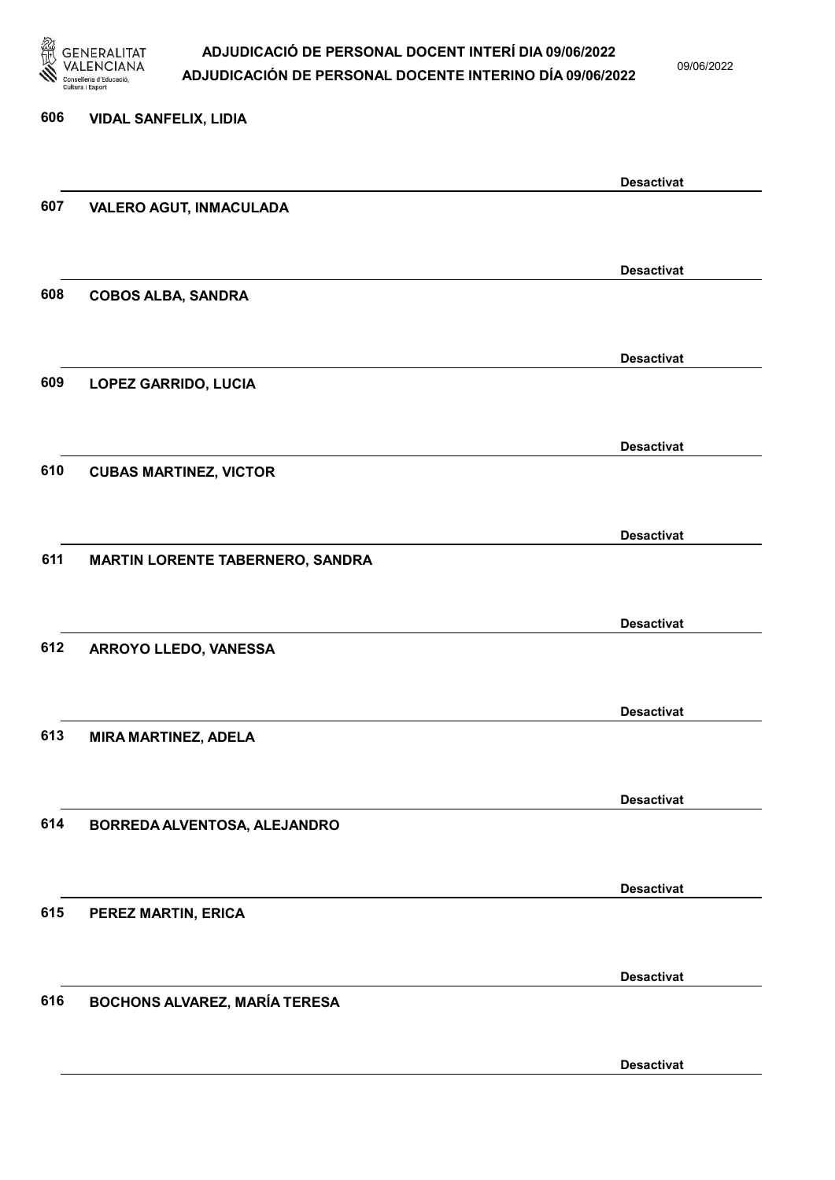

09/06/2022

Desactivat

# 606 VIDAL SANFELIX, LIDIA Desactivat 607 VALERO AGUT, INMACULADA Desactivat 608 COBOS ALBA, SANDRA Desactivat 609 LOPEZ GARRIDO, LUCIA Desactivat 610 CUBAS MARTINEZ, VICTOR Desactivat 611 MARTIN LORENTE TABERNERO, SANDRA Desactivat 612 ARROYO LLEDO, VANESSA Desactivat 613 MIRA MARTINEZ, ADELA Desactivat 614 BORREDA ALVENTOSA, ALEJANDRO Desactivat 615 PEREZ MARTIN, ERICA Desactivat 616 BOCHONS ALVAREZ, MARÍA TERESA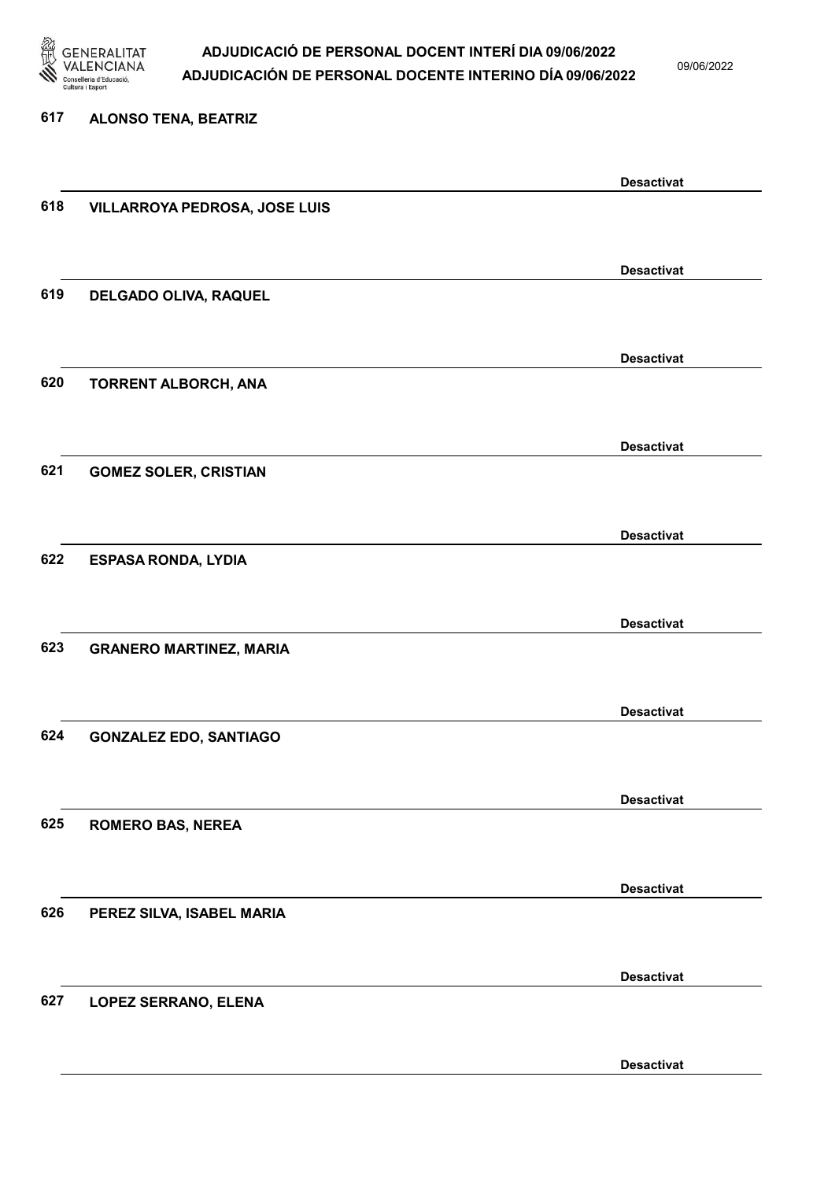

09/06/2022

#### 617 ALONSO TENA, BEATRIZ

|     |                                | <b>Desactivat</b> |
|-----|--------------------------------|-------------------|
| 618 | VILLARROYA PEDROSA, JOSE LUIS  |                   |
|     |                                |                   |
|     |                                |                   |
|     |                                | <b>Desactivat</b> |
| 619 | DELGADO OLIVA, RAQUEL          |                   |
|     |                                |                   |
|     |                                |                   |
|     |                                | <b>Desactivat</b> |
|     |                                |                   |
| 620 | <b>TORRENT ALBORCH, ANA</b>    |                   |
|     |                                |                   |
|     |                                |                   |
|     |                                | <b>Desactivat</b> |
| 621 | <b>GOMEZ SOLER, CRISTIAN</b>   |                   |
|     |                                |                   |
|     |                                |                   |
|     |                                | <b>Desactivat</b> |
| 622 | <b>ESPASA RONDA, LYDIA</b>     |                   |
|     |                                |                   |
|     |                                |                   |
|     |                                | <b>Desactivat</b> |
| 623 | <b>GRANERO MARTINEZ, MARIA</b> |                   |
|     |                                |                   |
|     |                                |                   |
|     |                                | <b>Desactivat</b> |
| 624 | <b>GONZALEZ EDO, SANTIAGO</b>  |                   |
|     |                                |                   |
|     |                                |                   |
|     |                                | <b>Desactivat</b> |
| 625 |                                |                   |
|     | <b>ROMERO BAS, NEREA</b>       |                   |
|     |                                |                   |
|     |                                |                   |
|     |                                | <b>Desactivat</b> |
| 626 | PEREZ SILVA, ISABEL MARIA      |                   |
|     |                                |                   |
|     |                                |                   |
|     |                                | <b>Desactivat</b> |
| 627 | LOPEZ SERRANO, ELENA           |                   |
|     |                                |                   |
|     |                                |                   |
|     |                                | <b>Desactivat</b> |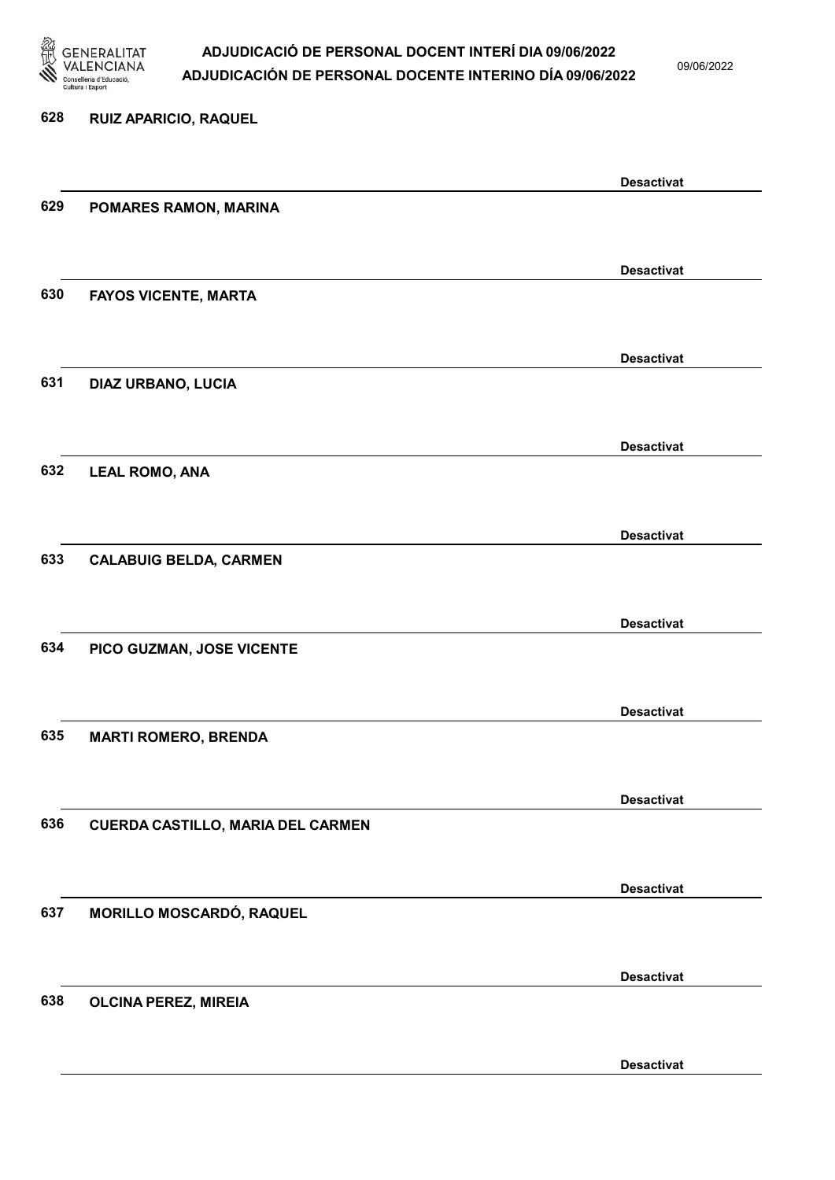

09/06/2022

## 628 RUIZ APARICIO, RAQUEL Desactivat 629 POMARES RAMON, MARINA Desactivat 630 FAYOS VICENTE, MARTA Desactivat 631 DIAZ URBANO, LUCIA Desactivat 632 LEAL ROMO, ANA Desactivat 633 CALABUIG BELDA, CARMEN Desactivat 634 PICO GUZMAN, JOSE VICENTE Desactivat 635 MARTI ROMERO, BRENDA Desactivat 636 CUERDA CASTILLO, MARIA DEL CARMEN Desactivat 637 MORILLO MOSCARDÓ, RAQUEL Desactivat 638 OLCINA PEREZ, MIREIA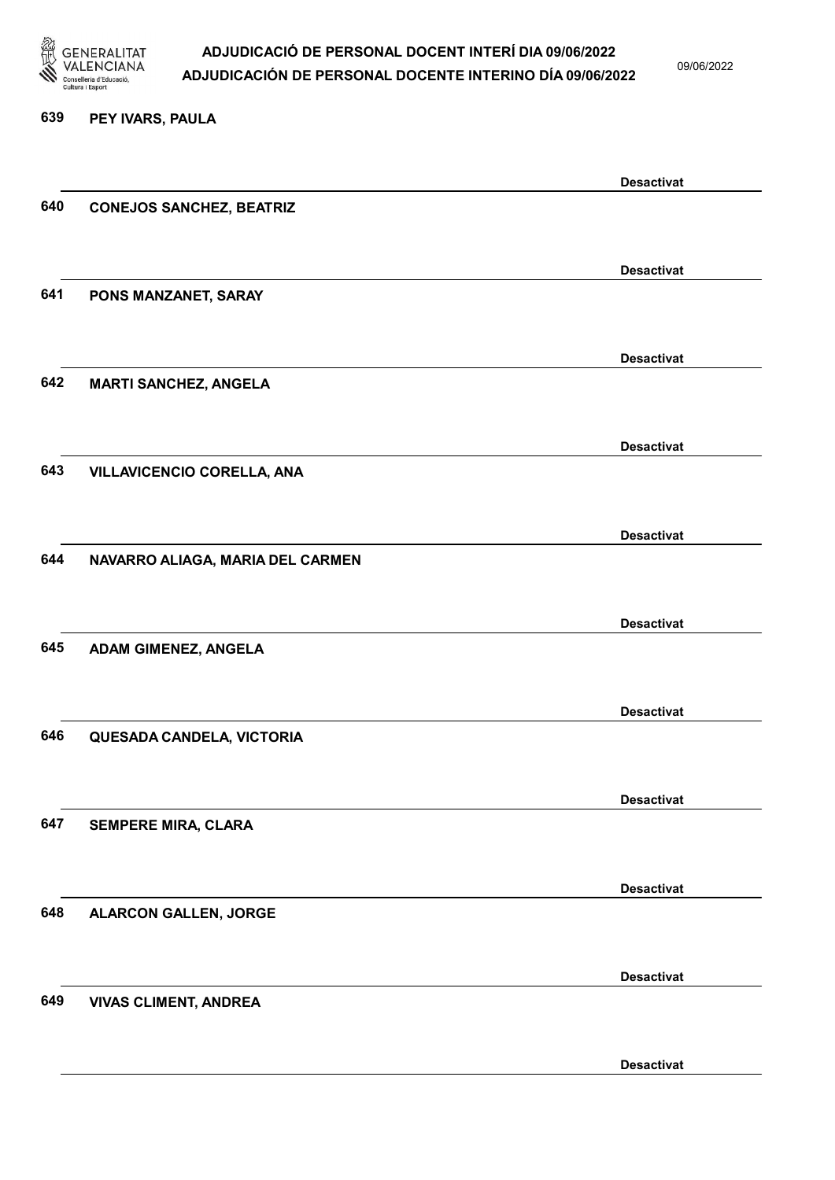

09/06/2022

#### 639 PEY IVARS, PAULA

|     |                                   | <b>Desactivat</b> |
|-----|-----------------------------------|-------------------|
| 640 | <b>CONEJOS SANCHEZ, BEATRIZ</b>   |                   |
|     |                                   |                   |
|     |                                   |                   |
|     |                                   | <b>Desactivat</b> |
| 641 | PONS MANZANET, SARAY              |                   |
|     |                                   |                   |
|     |                                   |                   |
|     |                                   | <b>Desactivat</b> |
| 642 |                                   |                   |
|     | <b>MARTI SANCHEZ, ANGELA</b>      |                   |
|     |                                   |                   |
|     |                                   | <b>Desactivat</b> |
|     |                                   |                   |
| 643 | <b>VILLAVICENCIO CORELLA, ANA</b> |                   |
|     |                                   |                   |
|     |                                   |                   |
|     |                                   | <b>Desactivat</b> |
| 644 | NAVARRO ALIAGA, MARIA DEL CARMEN  |                   |
|     |                                   |                   |
|     |                                   |                   |
|     |                                   | <b>Desactivat</b> |
| 645 | <b>ADAM GIMENEZ, ANGELA</b>       |                   |
|     |                                   |                   |
|     |                                   |                   |
|     |                                   | <b>Desactivat</b> |
| 646 | QUESADA CANDELA, VICTORIA         |                   |
|     |                                   |                   |
|     |                                   |                   |
|     |                                   | <b>Desactivat</b> |
| 647 | <b>SEMPERE MIRA, CLARA</b>        |                   |
|     |                                   |                   |
|     |                                   |                   |
|     |                                   | <b>Desactivat</b> |
| 648 | <b>ALARCON GALLEN, JORGE</b>      |                   |
|     |                                   |                   |
|     |                                   |                   |
|     |                                   | <b>Desactivat</b> |
| 649 |                                   |                   |
|     | <b>VIVAS CLIMENT, ANDREA</b>      |                   |
|     |                                   |                   |
|     |                                   | <b>Desactivat</b> |
|     |                                   |                   |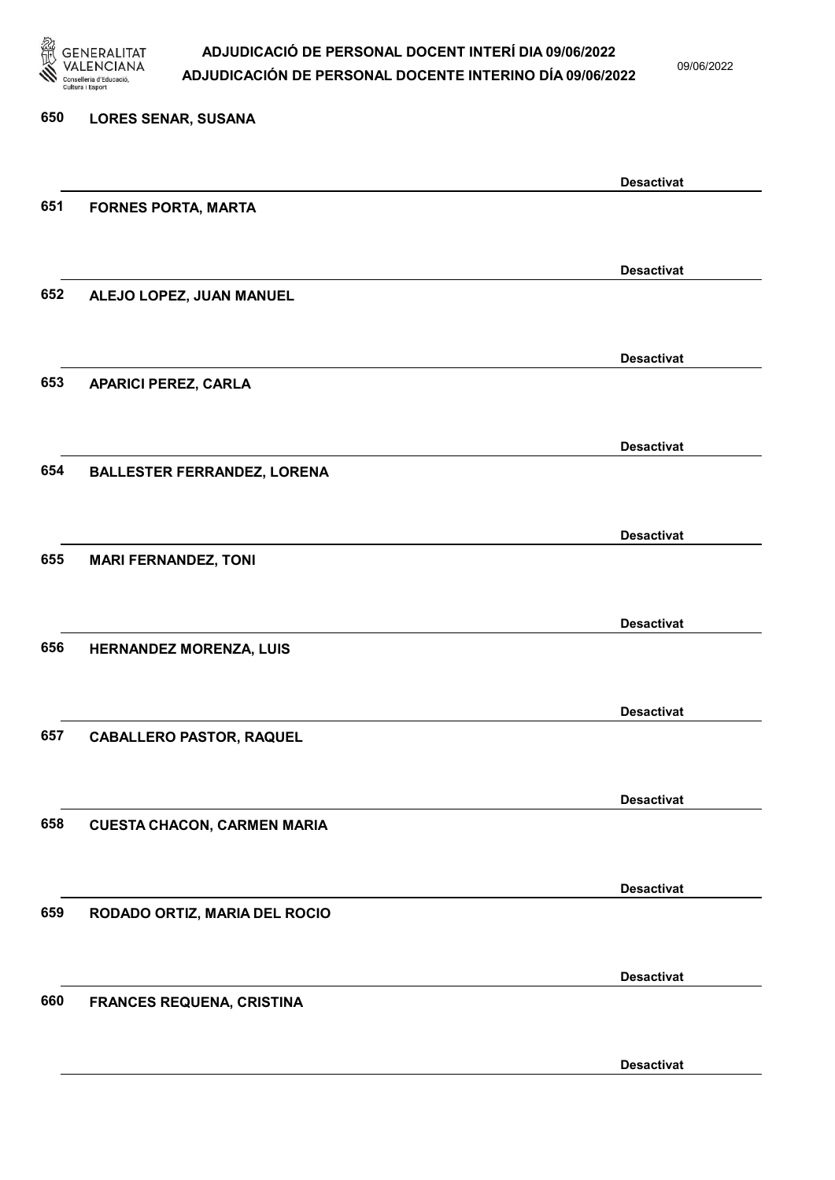

09/06/2022

Desactivat

# 650 LORES SENAR, SUSANA Desactivat 651 FORNES PORTA, MARTA Desactivat 652 ALEJO LOPEZ, JUAN MANUEL Desactivat 653 APARICI PEREZ, CARLA Desactivat 654 BALLESTER FERRANDEZ, LORENA Desactivat 655 MARI FERNANDEZ, TONI Desactivat 656 HERNANDEZ MORENZA, LUIS Desactivat 657 CABALLERO PASTOR, RAQUEL Desactivat 658 CUESTA CHACON, CARMEN MARIA Desactivat 659 RODADO ORTIZ, MARIA DEL ROCIO Desactivat 660 FRANCES REQUENA, CRISTINA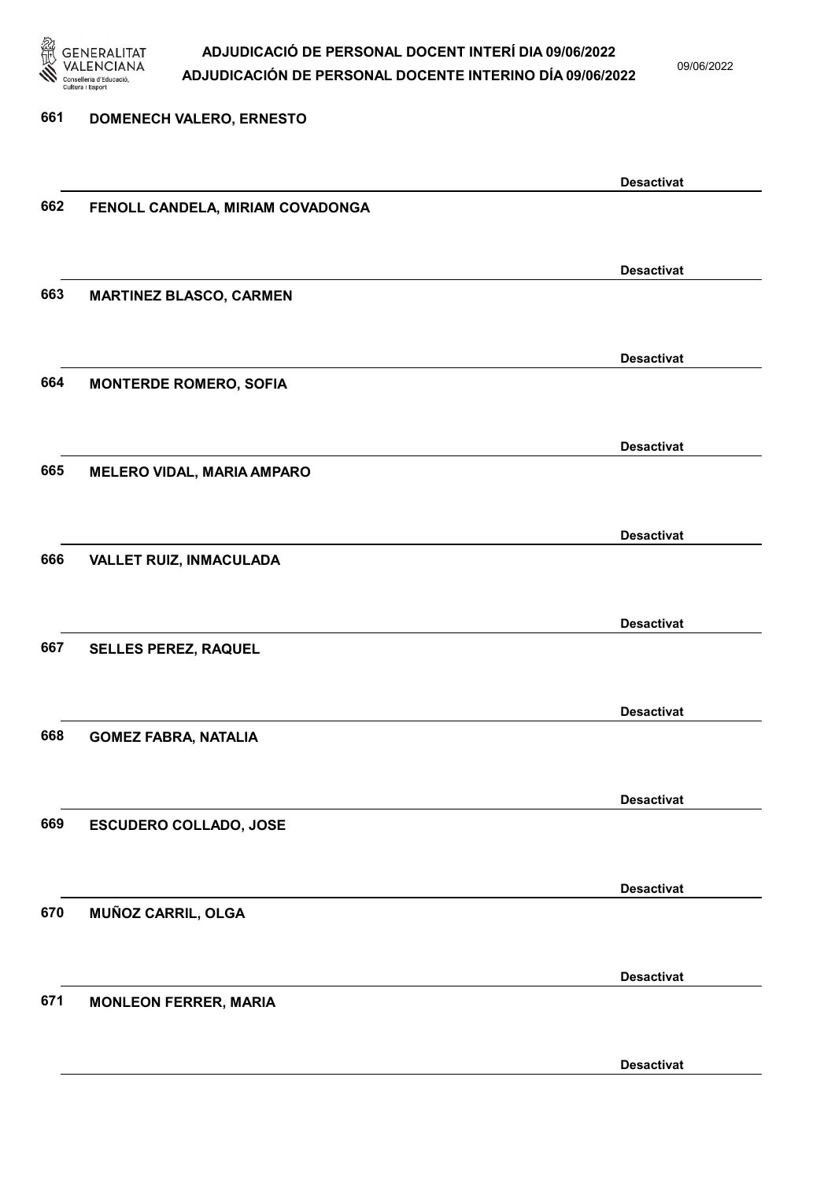

09/06/2022

Desactivat

# 661 DOMENECH VALERO, ERNESTO Desactivat 662 FENOLL CANDELA, MIRIAM COVADONGA Desactivat 663 MARTINEZ BLASCO, CARMEN Desactivat 664 MONTERDE ROMERO, SOFIA Desactivat 665 MELERO VIDAL, MARIA AMPARO Desactivat 666 VALLET RUIZ, INMACULADA Desactivat 667 SELLES PEREZ, RAQUEL Desactivat 668 GOMEZ FABRA, NATALIA Desactivat 669 ESCUDERO COLLADO, JOSE Desactivat 670 MUÑOZ CARRIL, OLGA Desactivat 671 MONLEON FERRER, MARIA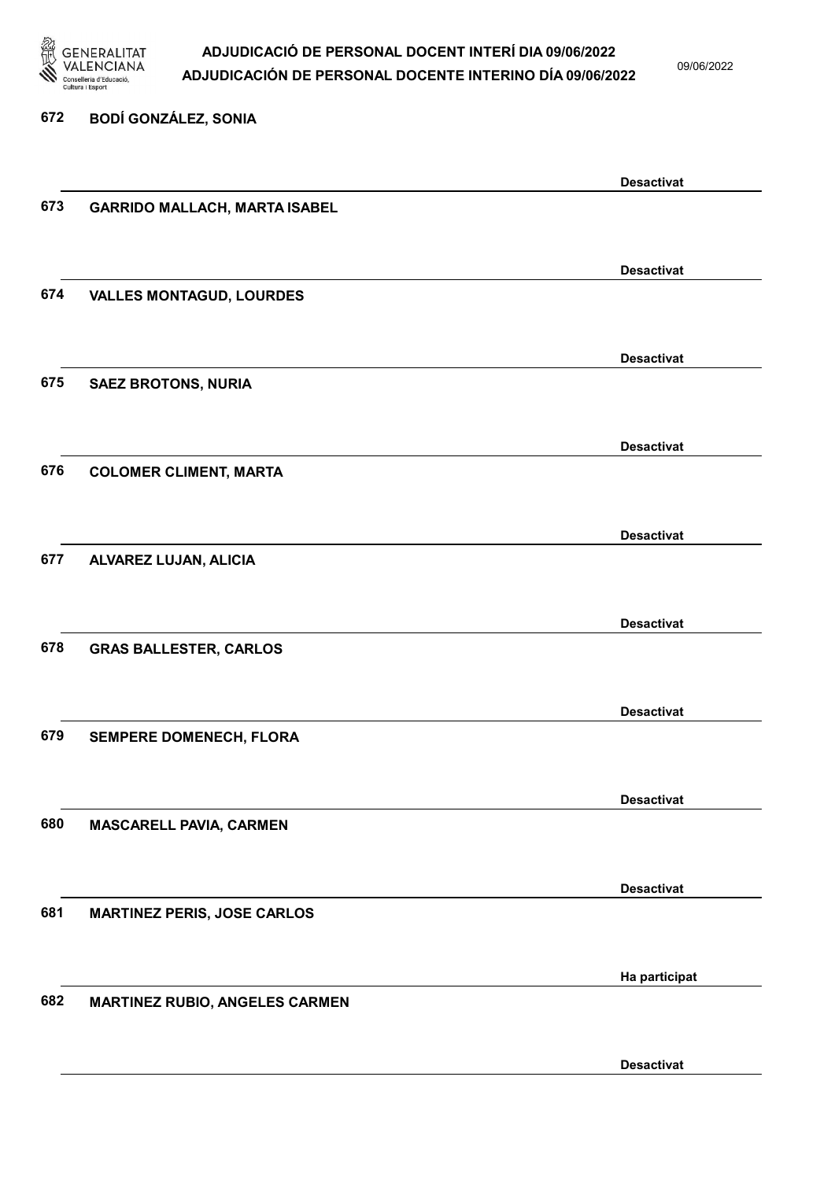

09/06/2022

| 672 | <b>BODÍ GONZÁLEZ, SONIA</b>           |                   |
|-----|---------------------------------------|-------------------|
|     |                                       | <b>Desactivat</b> |
| 673 | <b>GARRIDO MALLACH, MARTA ISABEL</b>  |                   |
|     |                                       | <b>Desactivat</b> |
| 674 | <b>VALLES MONTAGUD, LOURDES</b>       |                   |
|     |                                       | <b>Desactivat</b> |
| 675 | <b>SAEZ BROTONS, NURIA</b>            |                   |
|     |                                       | <b>Desactivat</b> |
| 676 | <b>COLOMER CLIMENT, MARTA</b>         |                   |
|     |                                       | <b>Desactivat</b> |
| 677 | ALVAREZ LUJAN, ALICIA                 |                   |
| 678 |                                       | <b>Desactivat</b> |
|     | <b>GRAS BALLESTER, CARLOS</b>         |                   |
| 679 | SEMPERE DOMENECH, FLORA               | <b>Desactivat</b> |
|     |                                       |                   |
| 680 | <b>MASCARELL PAVIA, CARMEN</b>        | <b>Desactivat</b> |
|     |                                       |                   |
| 681 | <b>MARTINEZ PERIS, JOSE CARLOS</b>    | <b>Desactivat</b> |
|     |                                       |                   |
| 682 | <b>MARTINEZ RUBIO, ANGELES CARMEN</b> | Ha participat     |
|     |                                       |                   |
|     |                                       | <b>Desactivat</b> |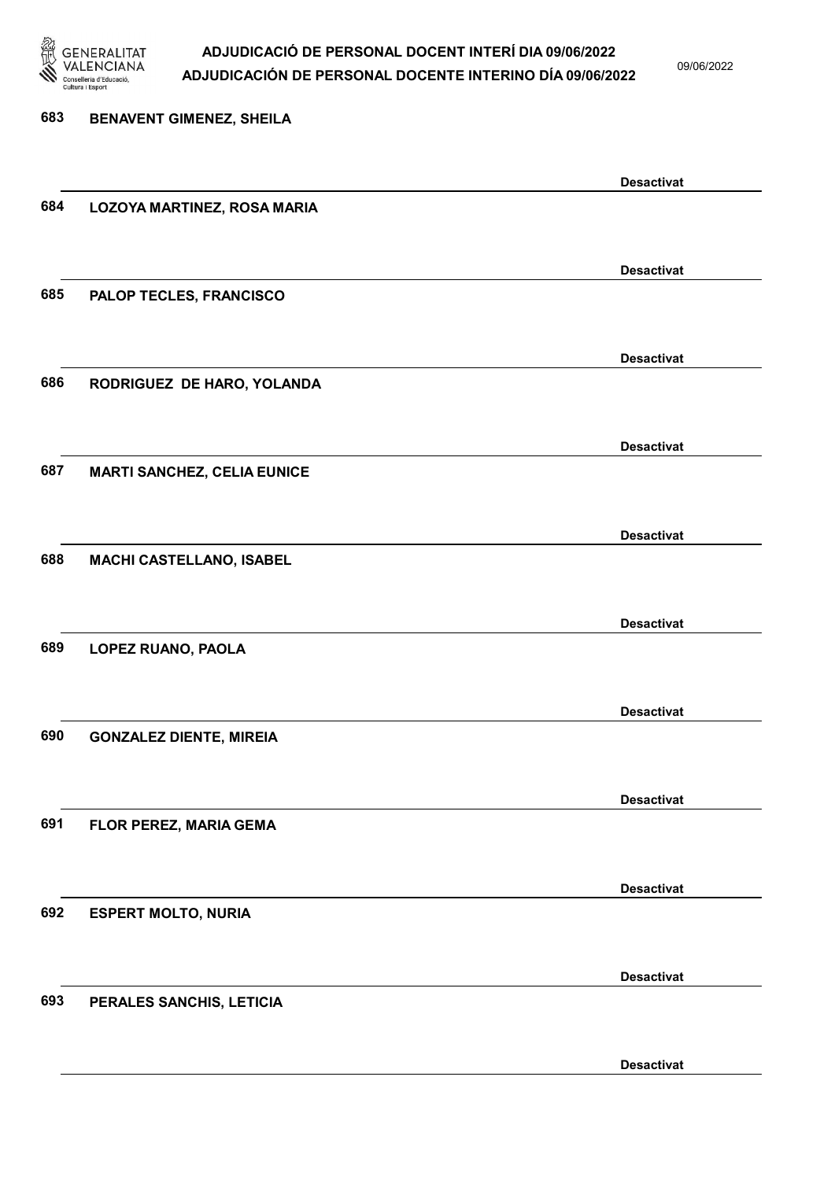

09/06/2022

| 683 | <b>BENAVENT GIMENEZ, SHEILA</b>    |                   |
|-----|------------------------------------|-------------------|
|     |                                    |                   |
|     |                                    | <b>Desactivat</b> |
| 684 | LOZOYA MARTINEZ, ROSA MARIA        |                   |
|     |                                    |                   |
|     |                                    | <b>Desactivat</b> |
| 685 | PALOP TECLES, FRANCISCO            |                   |
|     |                                    |                   |
|     |                                    | <b>Desactivat</b> |
| 686 | RODRIGUEZ DE HARO, YOLANDA         |                   |
|     |                                    |                   |
|     |                                    | <b>Desactivat</b> |
| 687 | <b>MARTI SANCHEZ, CELIA EUNICE</b> |                   |
|     |                                    |                   |
|     |                                    | <b>Desactivat</b> |
| 688 | MACHI CASTELLANO, ISABEL           |                   |
|     |                                    |                   |
|     |                                    | <b>Desactivat</b> |
| 689 | LOPEZ RUANO, PAOLA                 |                   |
|     |                                    |                   |
|     |                                    | <b>Desactivat</b> |
| 690 | <b>GONZALEZ DIENTE, MIREIA</b>     |                   |
|     |                                    |                   |
| 691 | FLOR PEREZ, MARIA GEMA             | <b>Desactivat</b> |
|     |                                    |                   |
|     |                                    | <b>Desactivat</b> |
| 692 | <b>ESPERT MOLTO, NURIA</b>         |                   |
|     |                                    |                   |
|     |                                    | <b>Desactivat</b> |
| 693 | PERALES SANCHIS, LETICIA           |                   |
|     |                                    |                   |
|     |                                    |                   |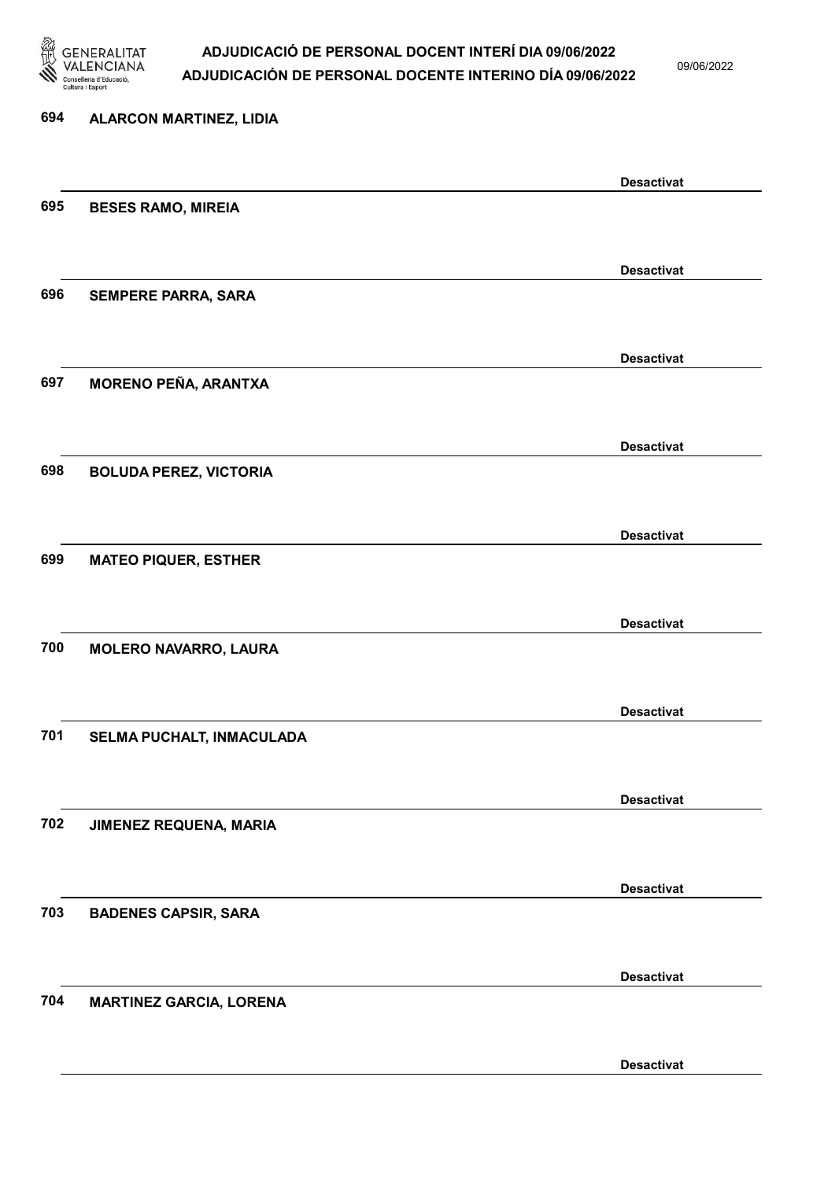

09/06/2022

# 694 ALARCON MARTINEZ, LIDIA Desactivat 695 BESES RAMO, MIREIA Desactivat 696 SEMPERE PARRA, SARA Desactivat 697 MORENO PEÑA, ARANTXA Desactivat 698 BOLUDA PEREZ, VICTORIA Desactivat 699 MATEO PIQUER, ESTHER Desactivat 700 MOLERO NAVARRO, LAURA Desactivat 701 SELMA PUCHALT, INMACULADA Desactivat 702 JIMENEZ REQUENA, MARIA Desactivat 703 BADENES CAPSIR, SARA Desactivat 704 MARTINEZ GARCIA, LORENA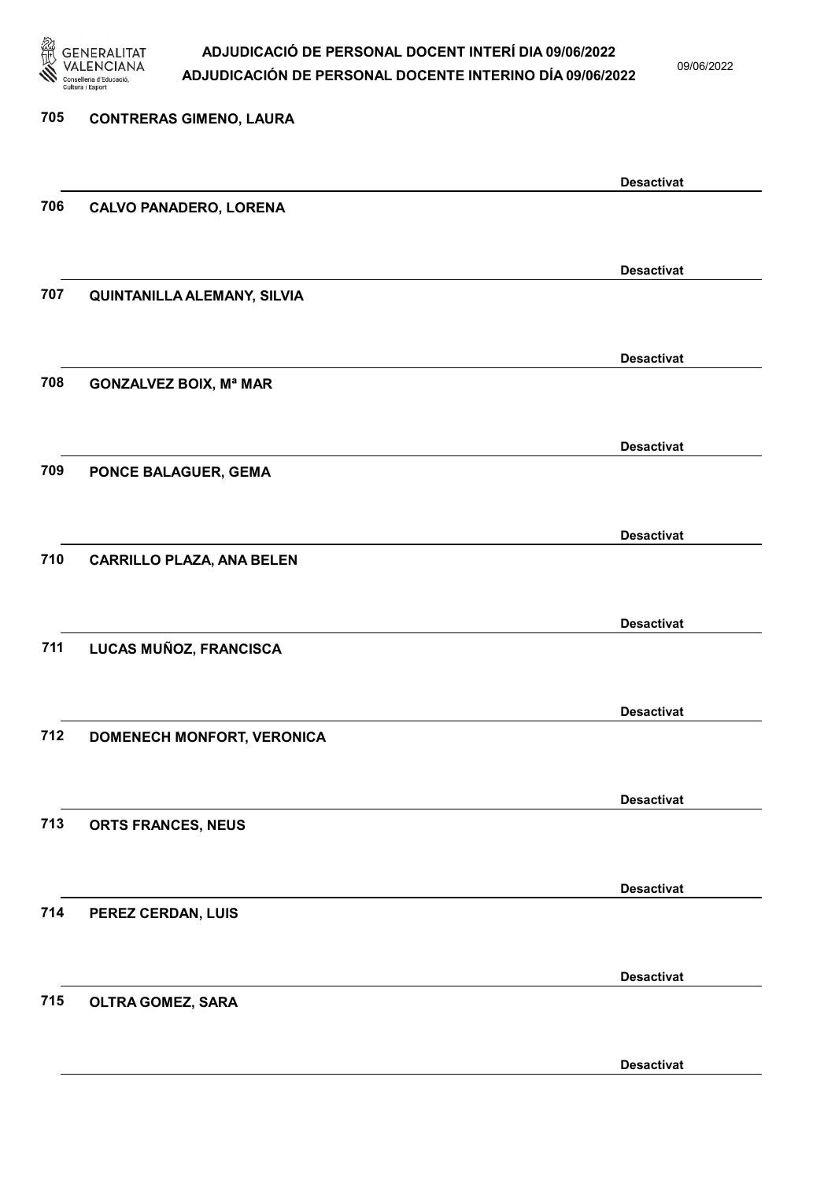

09/06/2022

| 705 | <b>CONTRERAS GIMENO, LAURA</b>     |                   |
|-----|------------------------------------|-------------------|
|     |                                    |                   |
|     |                                    | <b>Desactivat</b> |
| 706 | <b>CALVO PANADERO, LORENA</b>      |                   |
|     |                                    | <b>Desactivat</b> |
| 707 | <b>QUINTANILLA ALEMANY, SILVIA</b> |                   |
|     |                                    |                   |
|     |                                    | <b>Desactivat</b> |
| 708 | <b>GONZALVEZ BOIX, Mª MAR</b>      |                   |
|     |                                    | <b>Desactivat</b> |
| 709 | PONCE BALAGUER, GEMA               |                   |
|     |                                    |                   |
|     |                                    | <b>Desactivat</b> |
| 710 | <b>CARRILLO PLAZA, ANA BELEN</b>   |                   |
|     |                                    |                   |
|     |                                    | <b>Desactivat</b> |
| 711 | LUCAS MUÑOZ, FRANCISCA             |                   |
|     |                                    | <b>Desactivat</b> |
| 712 | DOMENECH MONFORT, VERONICA         |                   |
|     |                                    |                   |
|     |                                    | <b>Desactivat</b> |
| 713 | ORTS FRANCES, NEUS                 |                   |
|     |                                    |                   |
| 714 |                                    | <b>Desactivat</b> |
|     | PEREZ CERDAN, LUIS                 |                   |
|     |                                    | <b>Desactivat</b> |
| 715 | OLTRA GOMEZ, SARA                  |                   |
|     |                                    |                   |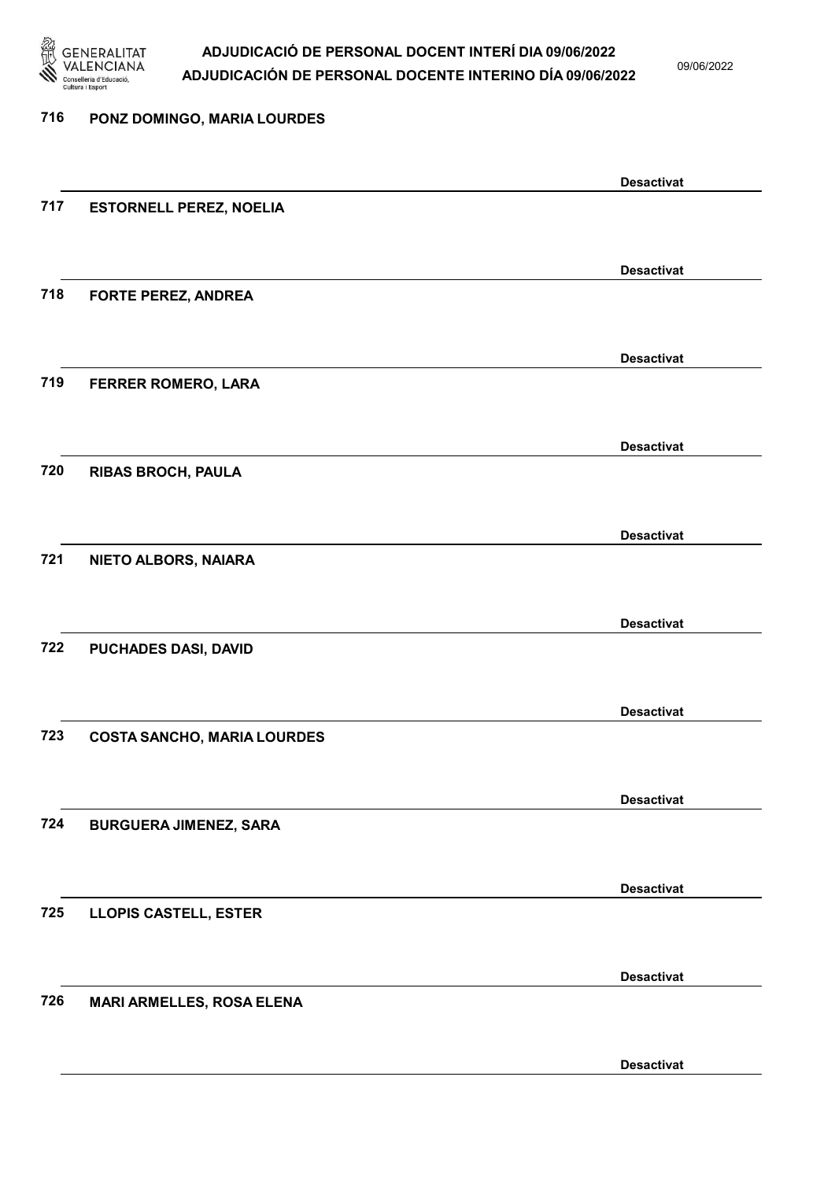

09/06/2022

| 716 | PONZ DOMINGO, MARIA LOURDES        |                   |
|-----|------------------------------------|-------------------|
|     |                                    |                   |
|     |                                    | <b>Desactivat</b> |
| 717 | <b>ESTORNELL PEREZ, NOELIA</b>     |                   |
|     |                                    |                   |
|     |                                    | <b>Desactivat</b> |
| 718 | <b>FORTE PEREZ, ANDREA</b>         |                   |
|     |                                    |                   |
|     |                                    | <b>Desactivat</b> |
| 719 | <b>FERRER ROMERO, LARA</b>         |                   |
|     |                                    |                   |
|     |                                    | <b>Desactivat</b> |
| 720 | <b>RIBAS BROCH, PAULA</b>          |                   |
|     |                                    |                   |
| 721 |                                    | <b>Desactivat</b> |
|     | NIETO ALBORS, NAIARA               |                   |
|     |                                    |                   |
| 722 | PUCHADES DASI, DAVID               | <b>Desactivat</b> |
|     |                                    |                   |
|     |                                    | <b>Desactivat</b> |
| 723 | <b>COSTA SANCHO, MARIA LOURDES</b> |                   |
|     |                                    |                   |
|     |                                    | <b>Desactivat</b> |
| 724 | <b>BURGUERA JIMENEZ, SARA</b>      |                   |
|     |                                    |                   |
|     |                                    | <b>Desactivat</b> |
| 725 | <b>LLOPIS CASTELL, ESTER</b>       |                   |
|     |                                    |                   |
|     |                                    | <b>Desactivat</b> |
| 726 | <b>MARI ARMELLES, ROSA ELENA</b>   |                   |
|     |                                    |                   |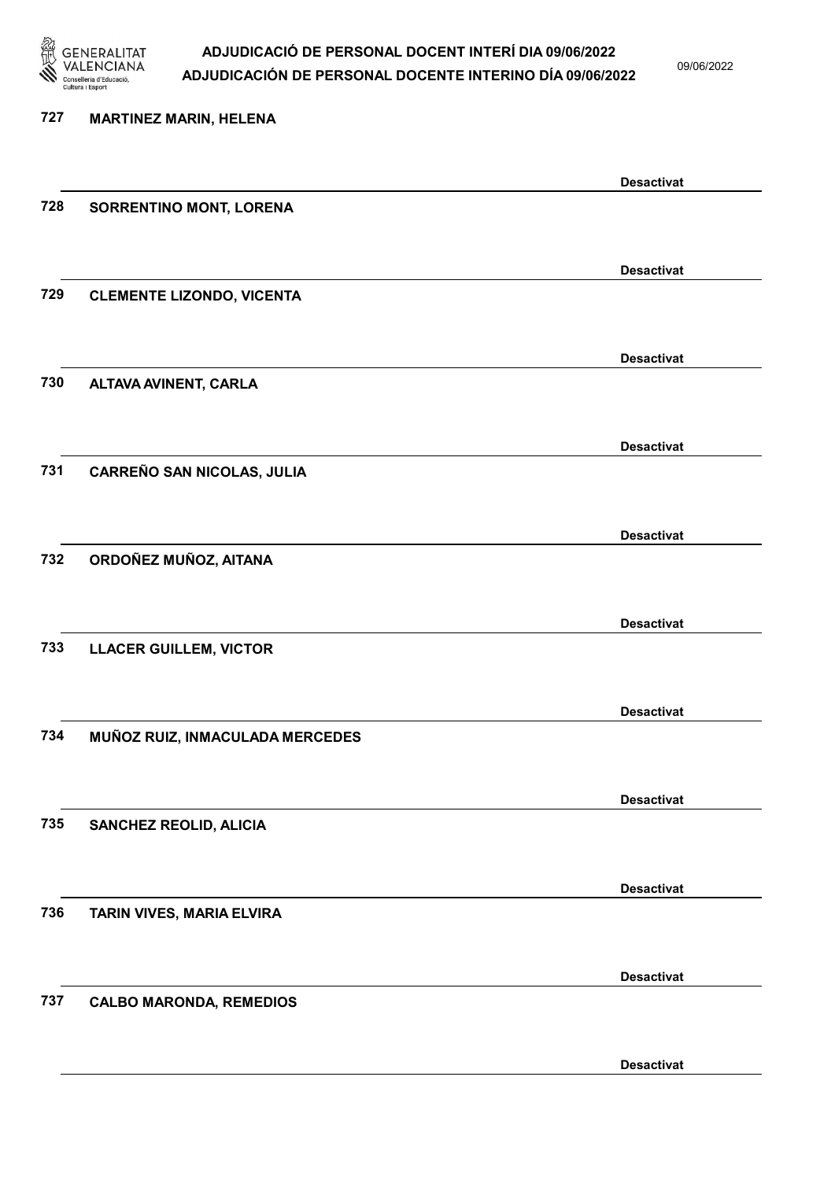

09/06/2022

| 727 | <b>MARTINEZ MARIN, HELENA</b>    |                   |
|-----|----------------------------------|-------------------|
|     |                                  | <b>Desactivat</b> |
| 728 | SORRENTINO MONT, LORENA          |                   |
|     |                                  | <b>Desactivat</b> |
| 729 | <b>CLEMENTE LIZONDO, VICENTA</b> |                   |
|     |                                  | <b>Desactivat</b> |
| 730 | <b>ALTAVA AVINENT, CARLA</b>     |                   |
|     |                                  | <b>Desactivat</b> |
| 731 | CARREÑO SAN NICOLAS, JULIA       |                   |
|     |                                  | <b>Desactivat</b> |
| 732 | ORDOÑEZ MUÑOZ, AITANA            |                   |
|     |                                  | <b>Desactivat</b> |
| 733 | <b>LLACER GUILLEM, VICTOR</b>    |                   |
|     |                                  | <b>Desactivat</b> |
| 734 | MUÑOZ RUIZ, INMACULADA MERCEDES  |                   |
|     |                                  | <b>Desactivat</b> |
| 735 | <b>SANCHEZ REOLID, ALICIA</b>    |                   |
|     |                                  | <b>Desactivat</b> |
| 736 | TARIN VIVES, MARIA ELVIRA        |                   |
|     |                                  | <b>Desactivat</b> |
| 737 | <b>CALBO MARONDA, REMEDIOS</b>   |                   |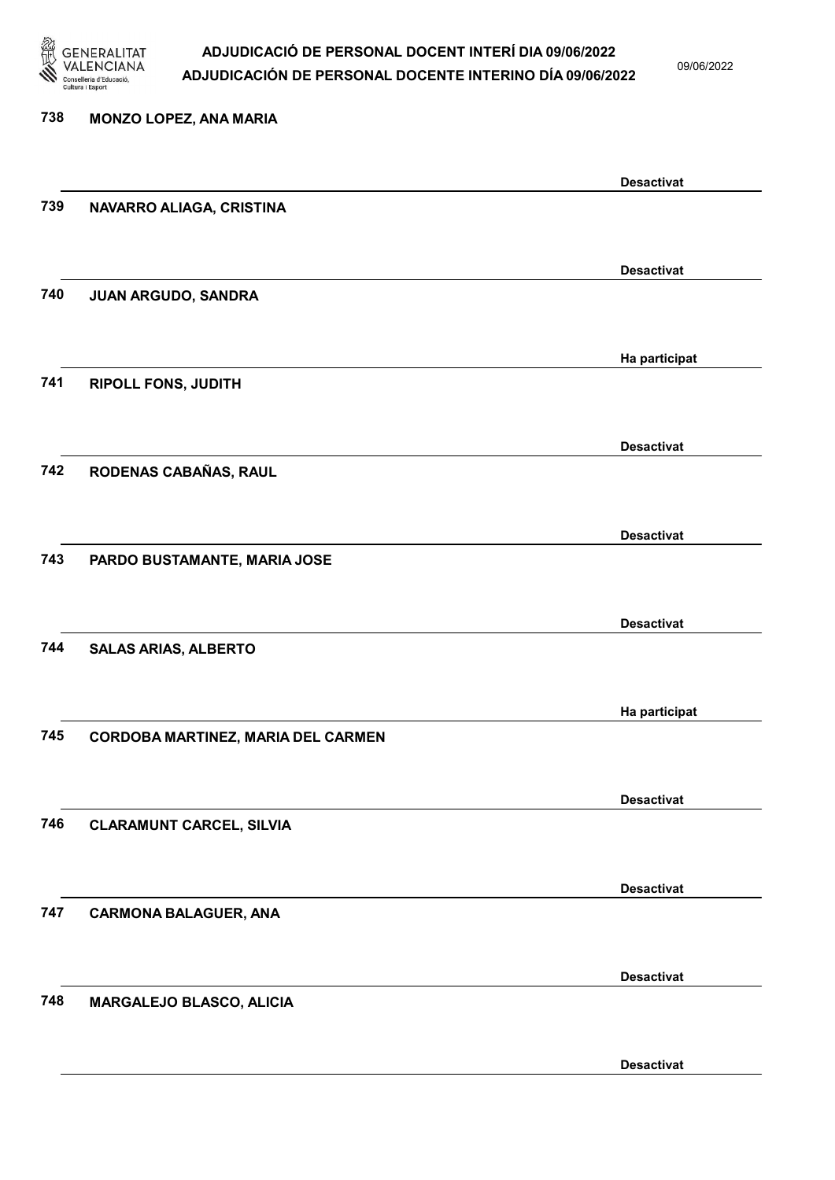

09/06/2022

Desactivat

# 738 MONZO LOPEZ, ANA MARIA Desactivat 739 NAVARRO ALIAGA, CRISTINA Desactivat 740 JUAN ARGUDO, SANDRA Ha participat 741 RIPOLL FONS, JUDITH Desactivat 742 RODENAS CABAÑAS, RAUL Desactivat 743 PARDO BUSTAMANTE, MARIA JOSE Desactivat 744 SALAS ARIAS, ALBERTO Ha participat 745 CORDOBA MARTINEZ, MARIA DEL CARMEN Desactivat 746 CLARAMUNT CARCEL, SILVIA Desactivat 747 CARMONA BALAGUER, ANA Desactivat 748 MARGALEJO BLASCO, ALICIA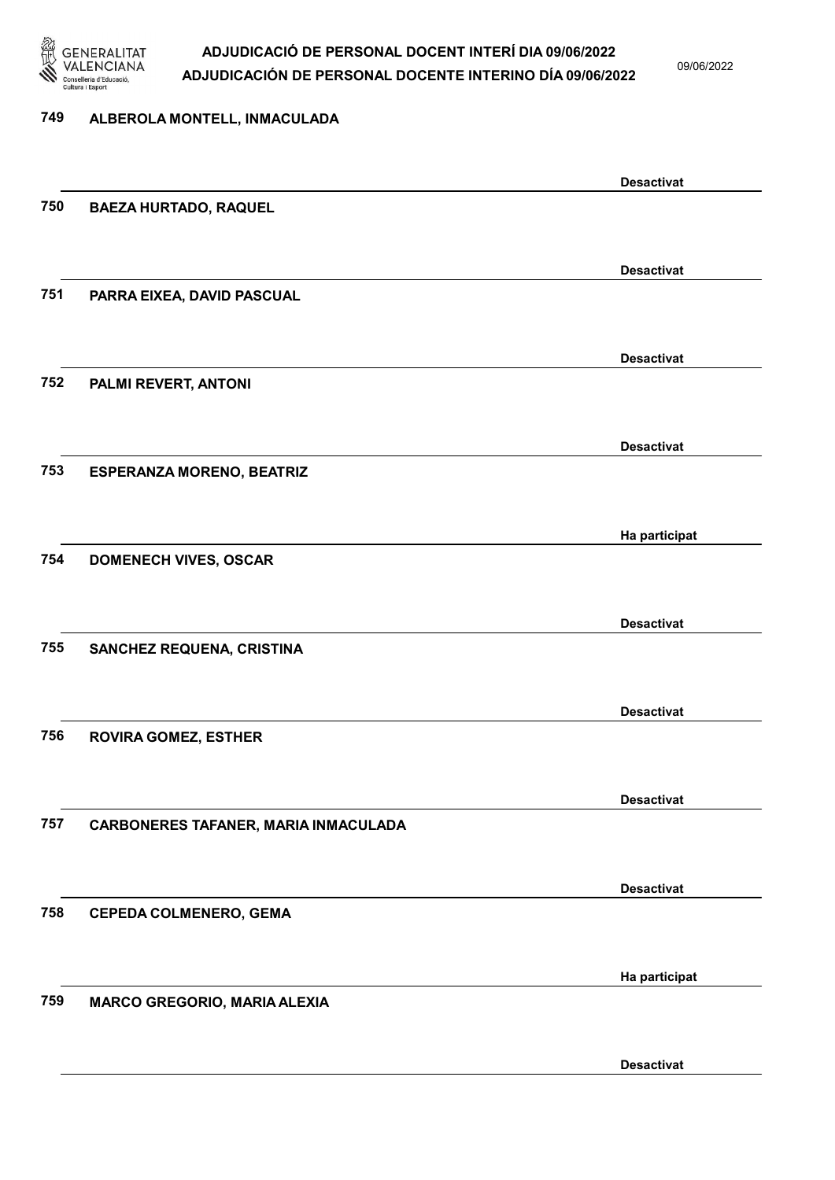

09/06/2022

#### 749 ALBEROLA MONTELL, INMACULADA

|     |                                      | <b>Desactivat</b> |
|-----|--------------------------------------|-------------------|
| 750 | <b>BAEZA HURTADO, RAQUEL</b>         |                   |
|     |                                      |                   |
|     |                                      | <b>Desactivat</b> |
| 751 | PARRA EIXEA, DAVID PASCUAL           |                   |
|     |                                      |                   |
|     |                                      |                   |
|     |                                      | <b>Desactivat</b> |
| 752 | PALMI REVERT, ANTONI                 |                   |
|     |                                      |                   |
|     |                                      | <b>Desactivat</b> |
| 753 | <b>ESPERANZA MORENO, BEATRIZ</b>     |                   |
|     |                                      |                   |
|     |                                      |                   |
|     |                                      | Ha participat     |
| 754 | <b>DOMENECH VIVES, OSCAR</b>         |                   |
|     |                                      |                   |
|     |                                      | <b>Desactivat</b> |
| 755 | SANCHEZ REQUENA, CRISTINA            |                   |
|     |                                      |                   |
|     |                                      |                   |
| 756 |                                      | <b>Desactivat</b> |
|     | <b>ROVIRA GOMEZ, ESTHER</b>          |                   |
|     |                                      |                   |
|     |                                      | <b>Desactivat</b> |
| 757 | CARBONERES TAFANER, MARIA INMACULADA |                   |
|     |                                      |                   |
|     |                                      | <b>Desactivat</b> |
| 758 | <b>CEPEDA COLMENERO, GEMA</b>        |                   |
|     |                                      |                   |
|     |                                      |                   |
|     |                                      | Ha participat     |
| 759 | <b>MARCO GREGORIO, MARIA ALEXIA</b>  |                   |
|     |                                      |                   |
|     |                                      | <b>Desactivat</b> |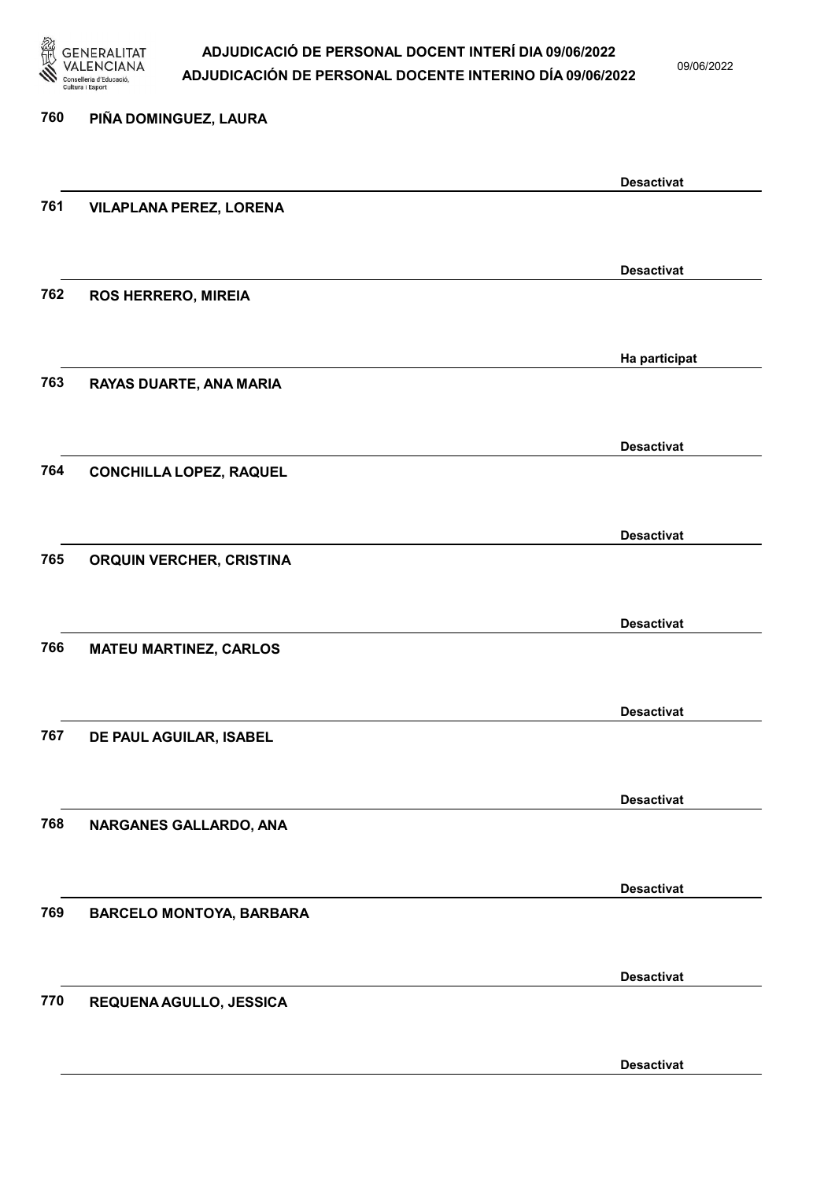

09/06/2022

# 760 PIÑA DOMINGUEZ, LAURA Desactivat 761 VILAPLANA PEREZ, LORENA Desactivat 762 ROS HERRERO, MIREIA Ha participat 763 RAYAS DUARTE, ANA MARIA Desactivat 764 CONCHILLA LOPEZ, RAQUEL Desactivat 765 ORQUIN VERCHER, CRISTINA Desactivat 766 MATEU MARTINEZ, CARLOS Desactivat 767 DE PAUL AGUILAR, ISABEL Desactivat 768 NARGANES GALLARDO, ANA Desactivat 769 BARCELO MONTOYA, BARBARA Desactivat 770 REQUENA AGULLO, JESSICA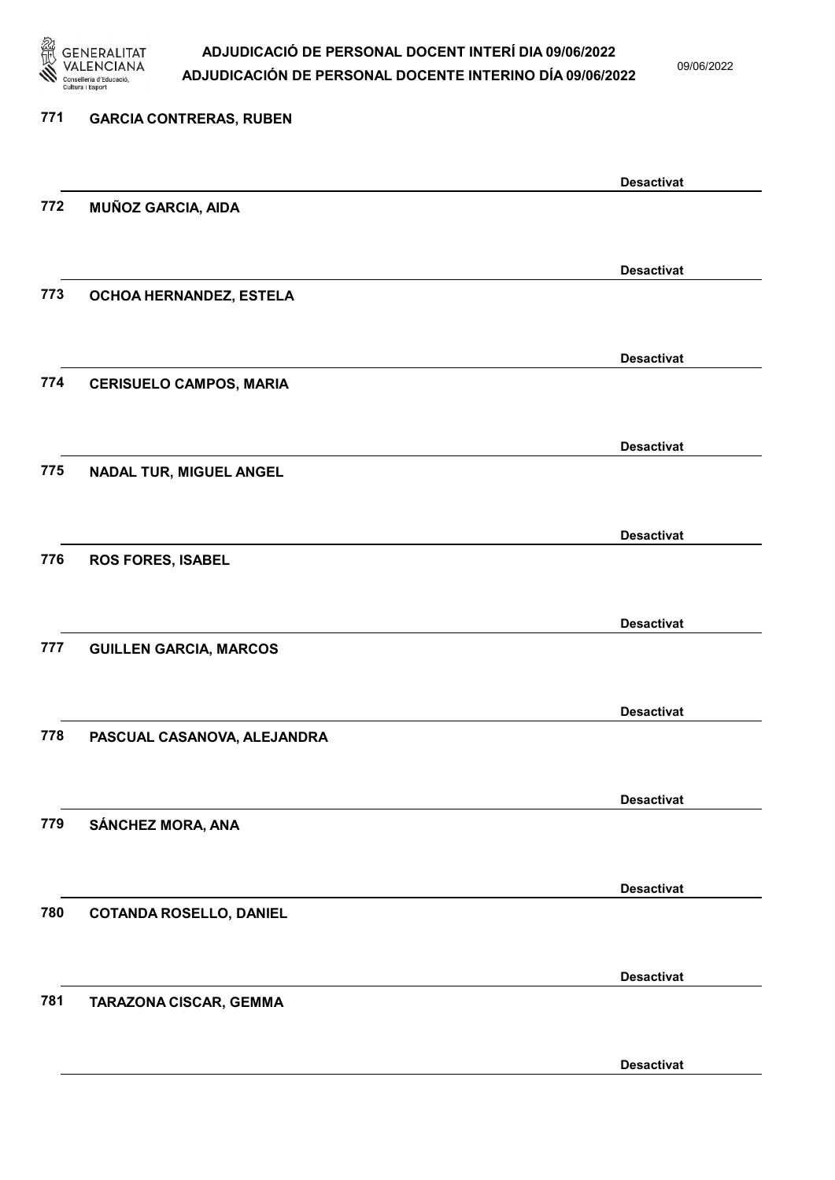

09/06/2022

| 771 | <b>GARCIA CONTRERAS, RUBEN</b> |                   |  |
|-----|--------------------------------|-------------------|--|
|     |                                | <b>Desactivat</b> |  |
| 772 | MUÑOZ GARCIA, AIDA             |                   |  |
|     |                                | <b>Desactivat</b> |  |
| 773 | OCHOA HERNANDEZ, ESTELA        |                   |  |
|     |                                | <b>Desactivat</b> |  |
| 774 | <b>CERISUELO CAMPOS, MARIA</b> |                   |  |
|     |                                | <b>Desactivat</b> |  |
| 775 | <b>NADAL TUR, MIGUEL ANGEL</b> |                   |  |
|     |                                | <b>Desactivat</b> |  |
| 776 | <b>ROS FORES, ISABEL</b>       |                   |  |
|     |                                | <b>Desactivat</b> |  |
| 777 | <b>GUILLEN GARCIA, MARCOS</b>  |                   |  |
|     |                                | <b>Desactivat</b> |  |
| 778 | PASCUAL CASANOVA, ALEJANDRA    |                   |  |
|     |                                | <b>Desactivat</b> |  |
| 779 | SÁNCHEZ MORA, ANA              |                   |  |
|     |                                | <b>Desactivat</b> |  |
| 780 | <b>COTANDA ROSELLO, DANIEL</b> |                   |  |
|     |                                | <b>Desactivat</b> |  |
| 781 | TARAZONA CISCAR, GEMMA         |                   |  |
|     |                                | <b>Desactivat</b> |  |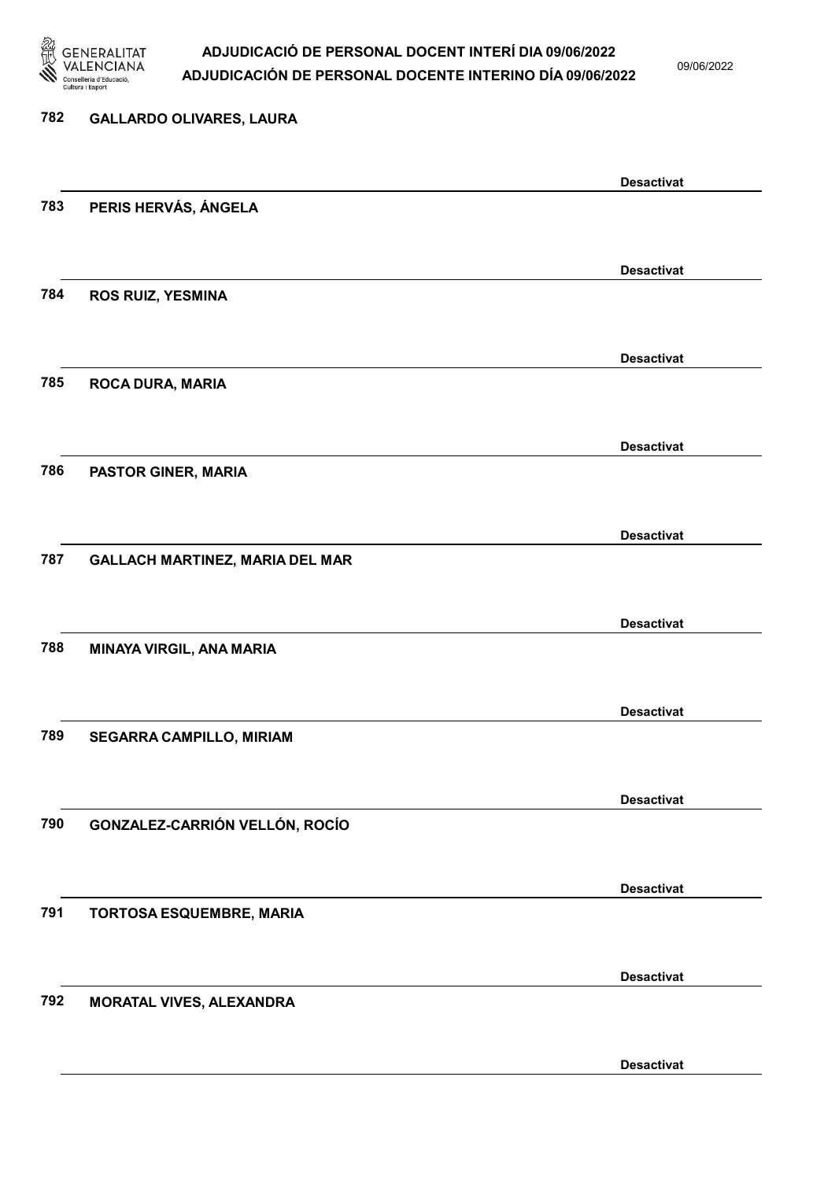

09/06/2022

# 782 GALLARDO OLIVARES, LAURA Desactivat 783 PERIS HERVÁS, ÁNGELA Desactivat 784 ROS RUIZ, YESMINA Desactivat 785 ROCA DURA, MARIA Desactivat 786 PASTOR GINER, MARIA Desactivat 787 GALLACH MARTINEZ, MARIA DEL MAR Desactivat 788 MINAYA VIRGIL, ANA MARIA Desactivat 789 SEGARRA CAMPILLO, MIRIAM Desactivat 790 GONZALEZ-CARRIÓN VELLÓN, ROCÍO Desactivat 791 TORTOSA ESQUEMBRE, MARIA Desactivat 792 MORATAL VIVES, ALEXANDRA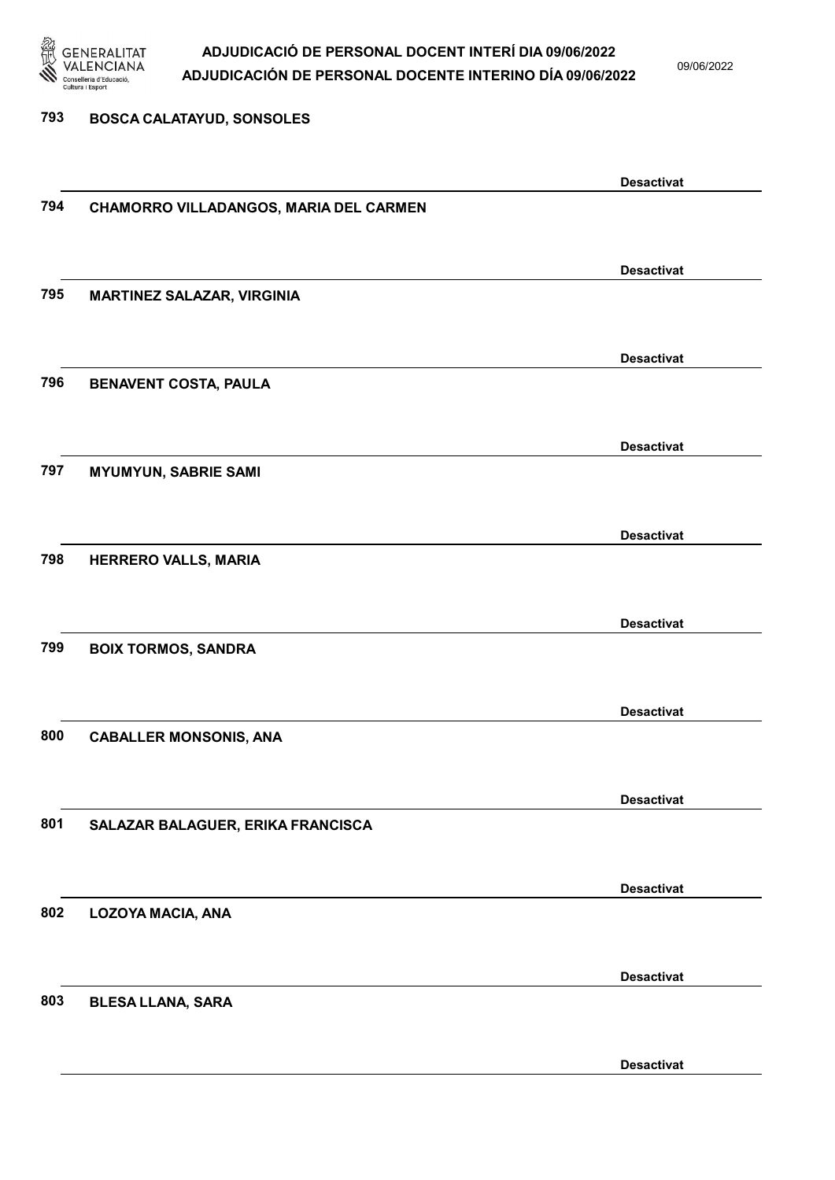

09/06/2022

Desactivat

# 793 BOSCA CALATAYUD, SONSOLES Desactivat 794 CHAMORRO VILLADANGOS, MARIA DEL CARMEN Desactivat 795 MARTINEZ SALAZAR, VIRGINIA Desactivat 796 BENAVENT COSTA, PAULA Desactivat 797 MYUMYUN, SABRIE SAMI Desactivat 798 HERRERO VALLS, MARIA Desactivat 799 BOIX TORMOS, SANDRA Desactivat 800 CABALLER MONSONIS, ANA Desactivat 801 SALAZAR BALAGUER, ERIKA FRANCISCA Desactivat 802 LOZOYA MACIA, ANA Desactivat 803 BLESA LLANA, SARA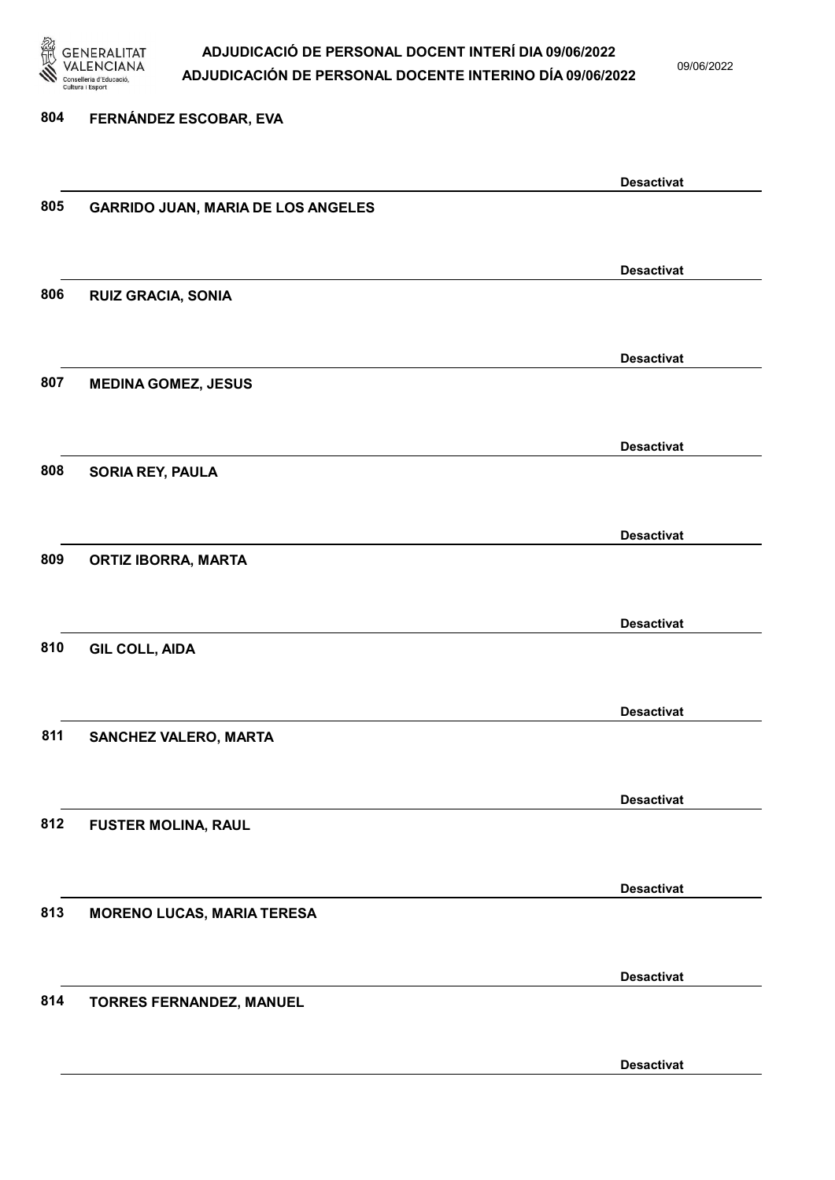

09/06/2022

804 FERNÁNDEZ ESCOBAR, EVA Desactivat 805 GARRIDO JUAN, MARIA DE LOS ANGELES Desactivat 806 RUIZ GRACIA, SONIA Desactivat 807 MEDINA GOMEZ, JESUS Desactivat 808 SORIA REY, PAULA Desactivat 809 ORTIZ IBORRA, MARTA Desactivat 810 GIL COLL, AIDA Desactivat 811 SANCHEZ VALERO, MARTA Desactivat 812 FUSTER MOLINA, RAUL Desactivat 813 MORENO LUCAS, MARIA TERESA Desactivat 814 TORRES FERNANDEZ, MANUEL Desactivat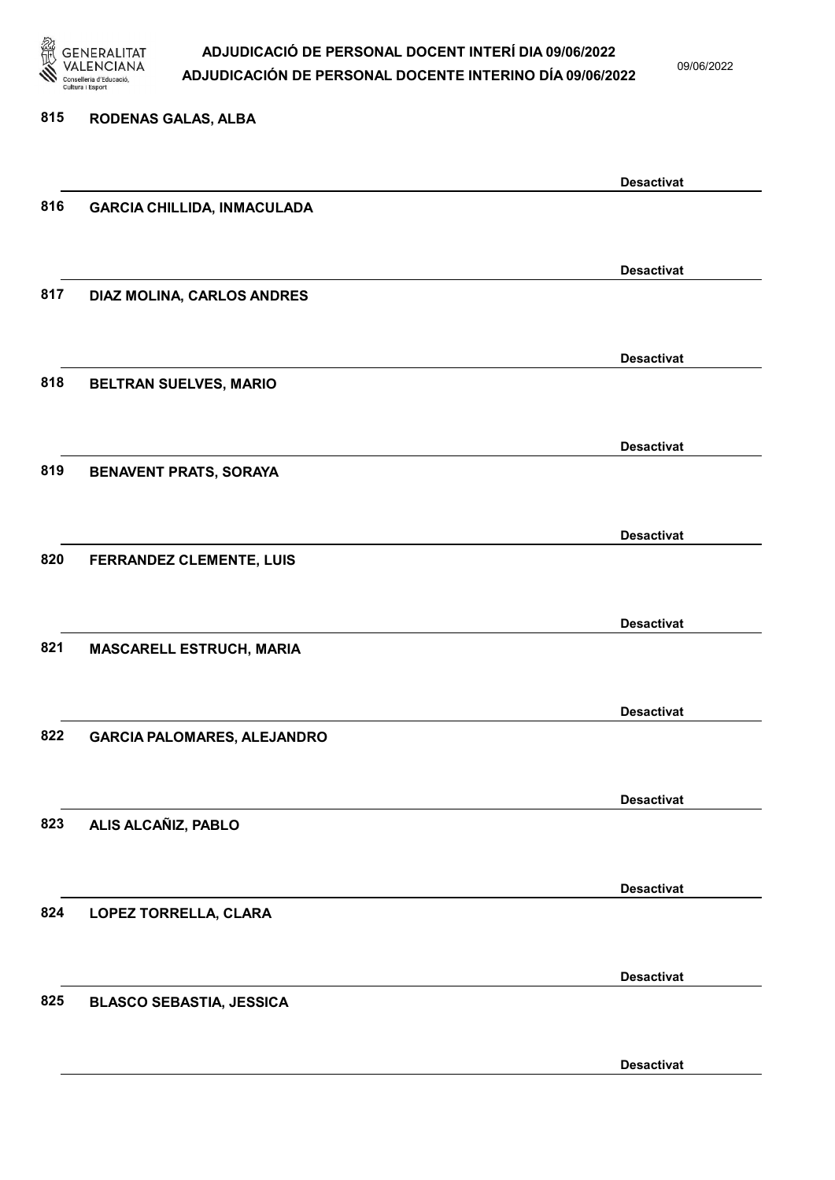

815 RODENAS GALAS, ALBA

### ADJUDICACIÓ DE PERSONAL DOCENT INTERÍ DIA 09/06/2022 ADJUDICACIÓN DE PERSONAL DOCENTE INTERINO DÍA 09/06/2022

09/06/2022

### Desactivat 816 GARCIA CHILLIDA, INMACULADA Desactivat 817 DIAZ MOLINA, CARLOS ANDRES Desactivat 818 BELTRAN SUELVES, MARIO Desactivat 819 BENAVENT PRATS, SORAYA Desactivat 820 FERRANDEZ CLEMENTE, LUIS Desactivat 821 MASCARELL ESTRUCH, MARIA Desactivat 822 GARCIA PALOMARES, ALEJANDRO Desactivat 823 ALIS ALCAÑIZ, PABLO Desactivat 824 LOPEZ TORRELLA, CLARA Desactivat 825 BLASCO SEBASTIA, JESSICA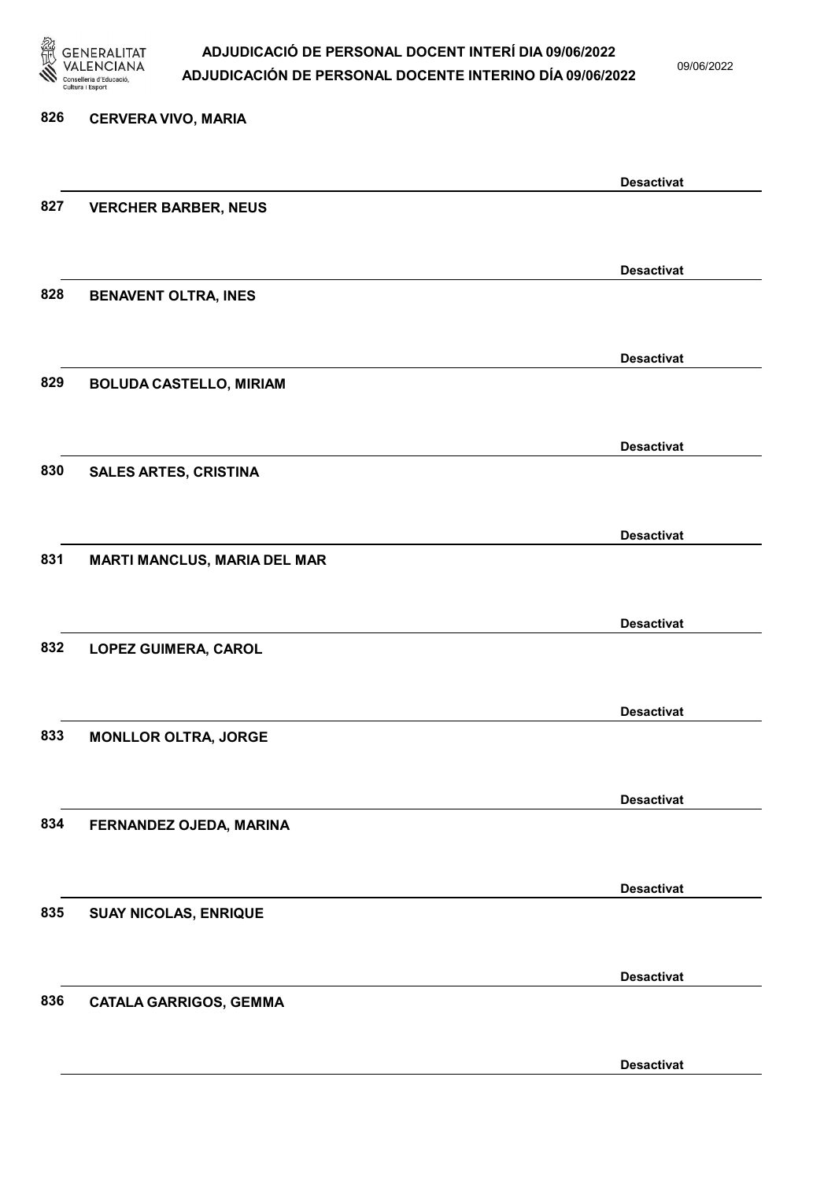

09/06/2022

Desactivat

# 826 CERVERA VIVO, MARIA Desactivat 827 VERCHER BARBER, NEUS Desactivat 828 BENAVENT OLTRA, INES Desactivat 829 BOLUDA CASTELLO, MIRIAM Desactivat 830 SALES ARTES, CRISTINA Desactivat 831 MARTI MANCLUS, MARIA DEL MAR Desactivat 832 LOPEZ GUIMERA, CAROL Desactivat 833 MONLLOR OLTRA, JORGE Desactivat 834 FERNANDEZ OJEDA, MARINA Desactivat 835 SUAY NICOLAS, ENRIQUE Desactivat 836 CATALA GARRIGOS, GEMMA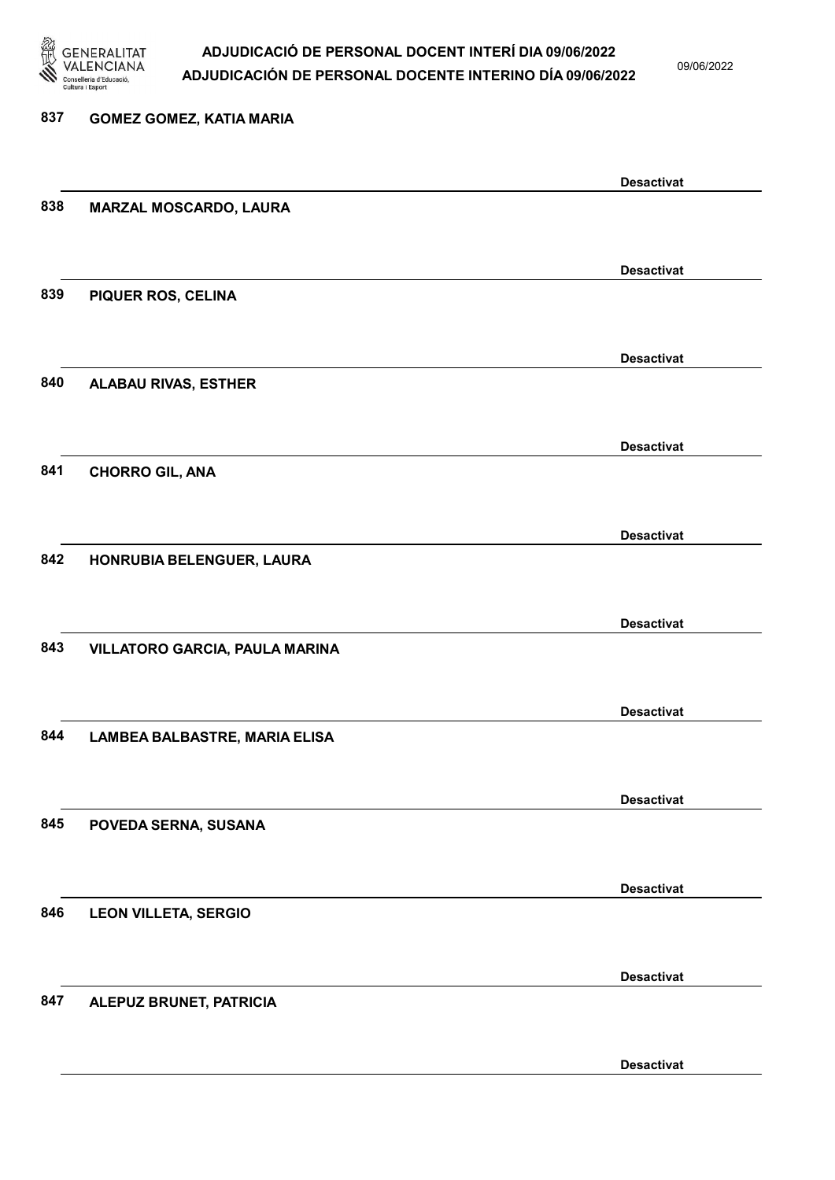

09/06/2022

Desactivat

# 837 GOMEZ GOMEZ, KATIA MARIA Desactivat 838 MARZAL MOSCARDO, LAURA Desactivat 839 PIQUER ROS, CELINA Desactivat 840 ALABAU RIVAS, ESTHER Desactivat 841 CHORRO GIL, ANA Desactivat 842 HONRUBIA BELENGUER, LAURA Desactivat 843 VILLATORO GARCIA, PAULA MARINA Desactivat 844 LAMBEA BALBASTRE, MARIA ELISA Desactivat 845 POVEDA SERNA, SUSANA Desactivat 846 LEON VILLETA, SERGIO Desactivat 847 ALEPUZ BRUNET, PATRICIA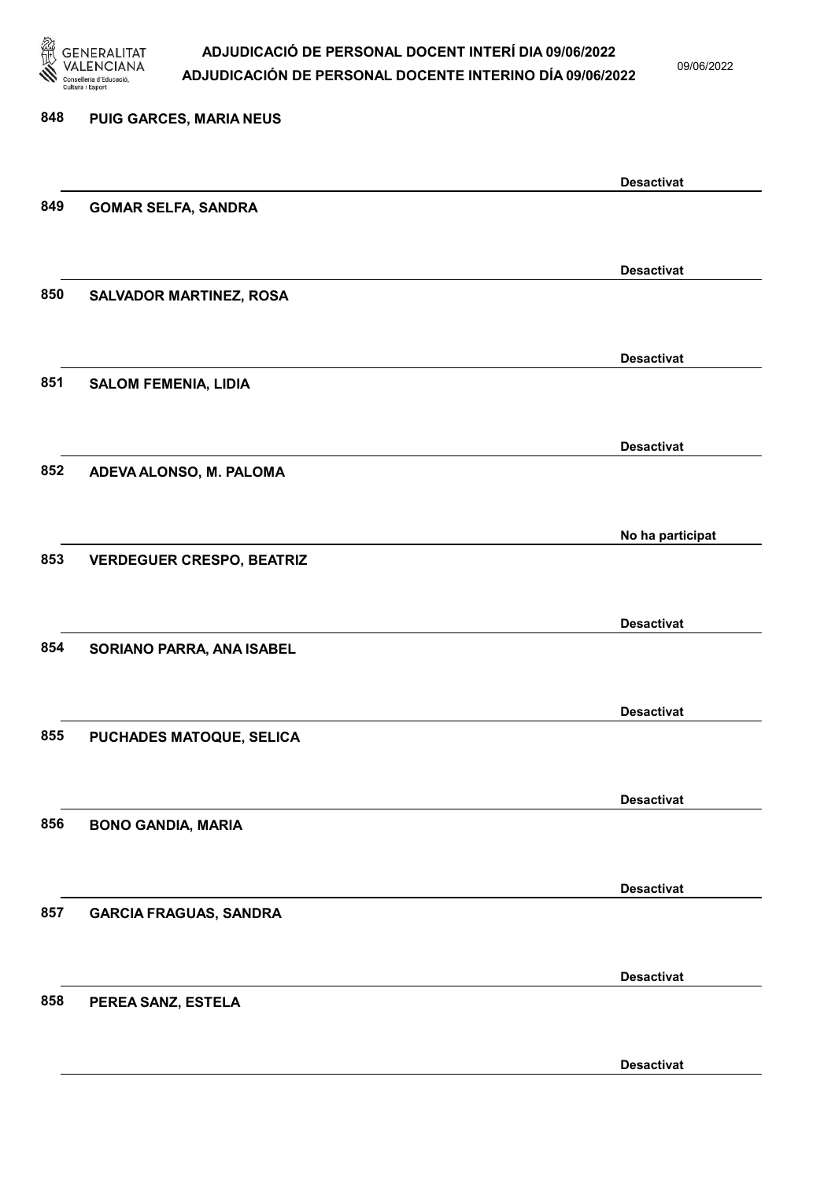

09/06/2022

| 848 | PUIG GARCES, MARIA NEUS          |                   |
|-----|----------------------------------|-------------------|
|     |                                  | <b>Desactivat</b> |
| 849 | <b>GOMAR SELFA, SANDRA</b>       |                   |
|     |                                  | <b>Desactivat</b> |
| 850 | <b>SALVADOR MARTINEZ, ROSA</b>   |                   |
|     |                                  | <b>Desactivat</b> |
| 851 | <b>SALOM FEMENIA, LIDIA</b>      |                   |
|     |                                  | <b>Desactivat</b> |
| 852 | ADEVA ALONSO, M. PALOMA          |                   |
|     |                                  | No ha participat  |
| 853 | <b>VERDEGUER CRESPO, BEATRIZ</b> |                   |
|     |                                  | <b>Desactivat</b> |
| 854 | SORIANO PARRA, ANA ISABEL        |                   |
|     |                                  | <b>Desactivat</b> |
| 855 | PUCHADES MATOQUE, SELICA         |                   |
|     |                                  | <b>Desactivat</b> |
| 856 | <b>BONO GANDIA, MARIA</b>        |                   |
|     |                                  | <b>Desactivat</b> |
| 857 | <b>GARCIA FRAGUAS, SANDRA</b>    |                   |
|     |                                  | <b>Desactivat</b> |
| 858 | PEREA SANZ, ESTELA               |                   |
|     |                                  |                   |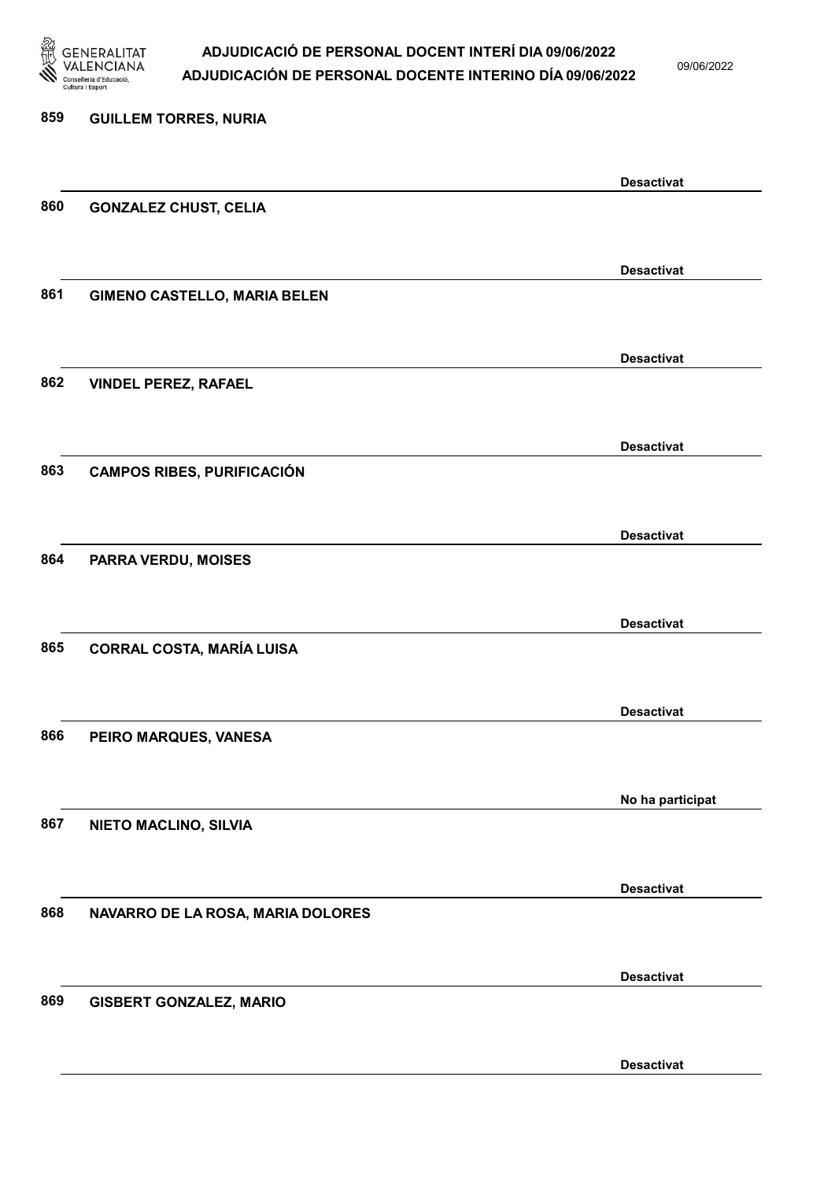

09/06/2022

| 859 | <b>GUILLEM TORRES, NURIA</b>        |                   |
|-----|-------------------------------------|-------------------|
|     |                                     | <b>Desactivat</b> |
| 860 | <b>GONZALEZ CHUST, CELIA</b>        |                   |
|     |                                     | <b>Desactivat</b> |
| 861 | <b>GIMENO CASTELLO, MARIA BELEN</b> |                   |
| 862 |                                     | <b>Desactivat</b> |
|     | <b>VINDEL PEREZ, RAFAEL</b>         |                   |
|     |                                     | <b>Desactivat</b> |
| 863 | <b>CAMPOS RIBES, PURIFICACIÓN</b>   |                   |
|     |                                     | <b>Desactivat</b> |
| 864 | PARRA VERDU, MOISES                 |                   |
|     |                                     | <b>Desactivat</b> |
| 865 | <b>CORRAL COSTA, MARÍA LUISA</b>    |                   |
|     |                                     | <b>Desactivat</b> |
| 866 | PEIRO MARQUES, VANESA               |                   |
|     |                                     | No ha participat  |
| 867 | NIETO MACLINO, SILVIA               |                   |
|     |                                     | <b>Desactivat</b> |
| 868 | NAVARRO DE LA ROSA, MARIA DOLORES   |                   |
|     |                                     | <b>Desactivat</b> |
| 869 | <b>GISBERT GONZALEZ, MARIO</b>      |                   |
|     |                                     | <b>Desactivat</b> |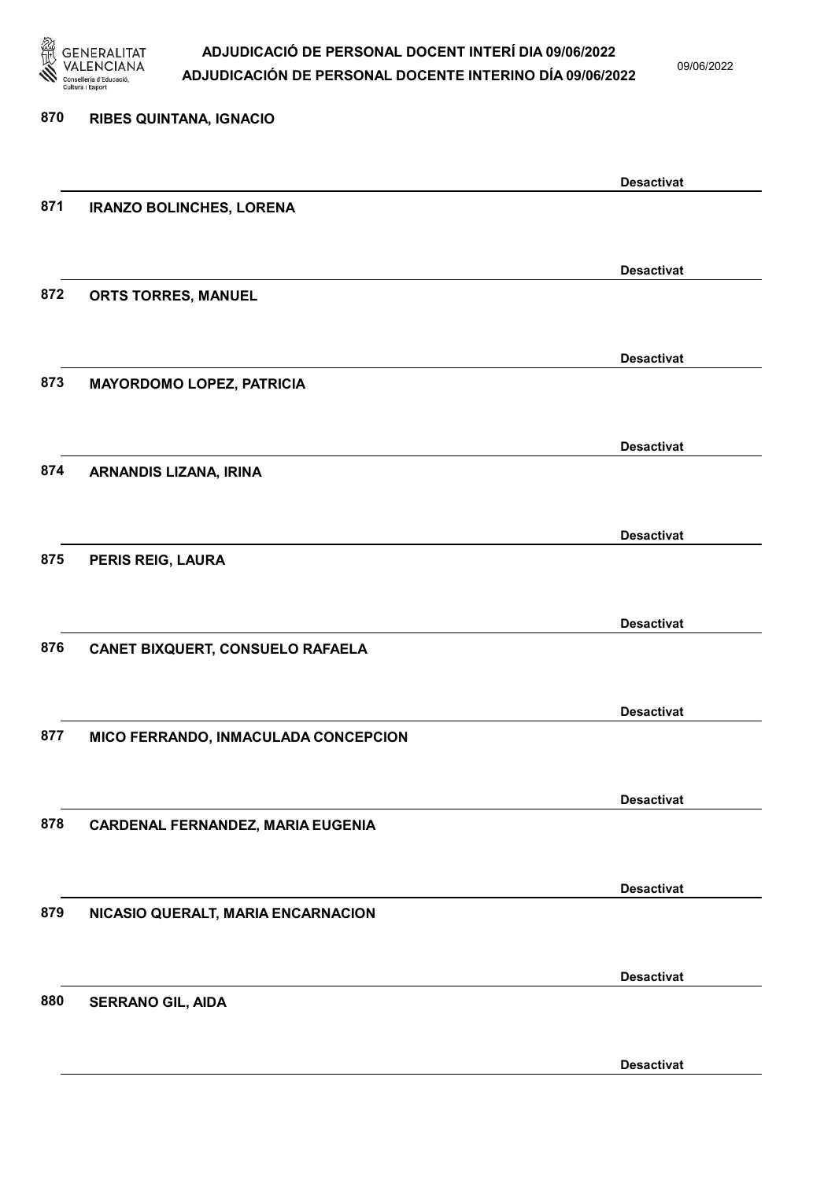

09/06/2022

Desactivat

# 870 RIBES QUINTANA, IGNACIO Desactivat 871 IRANZO BOLINCHES, LORENA Desactivat 872 ORTS TORRES, MANUEL Desactivat 873 MAYORDOMO LOPEZ, PATRICIA Desactivat 874 ARNANDIS LIZANA, IRINA Desactivat 875 PERIS REIG, LAURA Desactivat 876 CANET BIXQUERT, CONSUELO RAFAELA Desactivat 877 MICO FERRANDO, INMACULADA CONCEPCION Desactivat 878 CARDENAL FERNANDEZ, MARIA EUGENIA Desactivat 879 NICASIO QUERALT, MARIA ENCARNACION Desactivat 880 SERRANO GIL, AIDA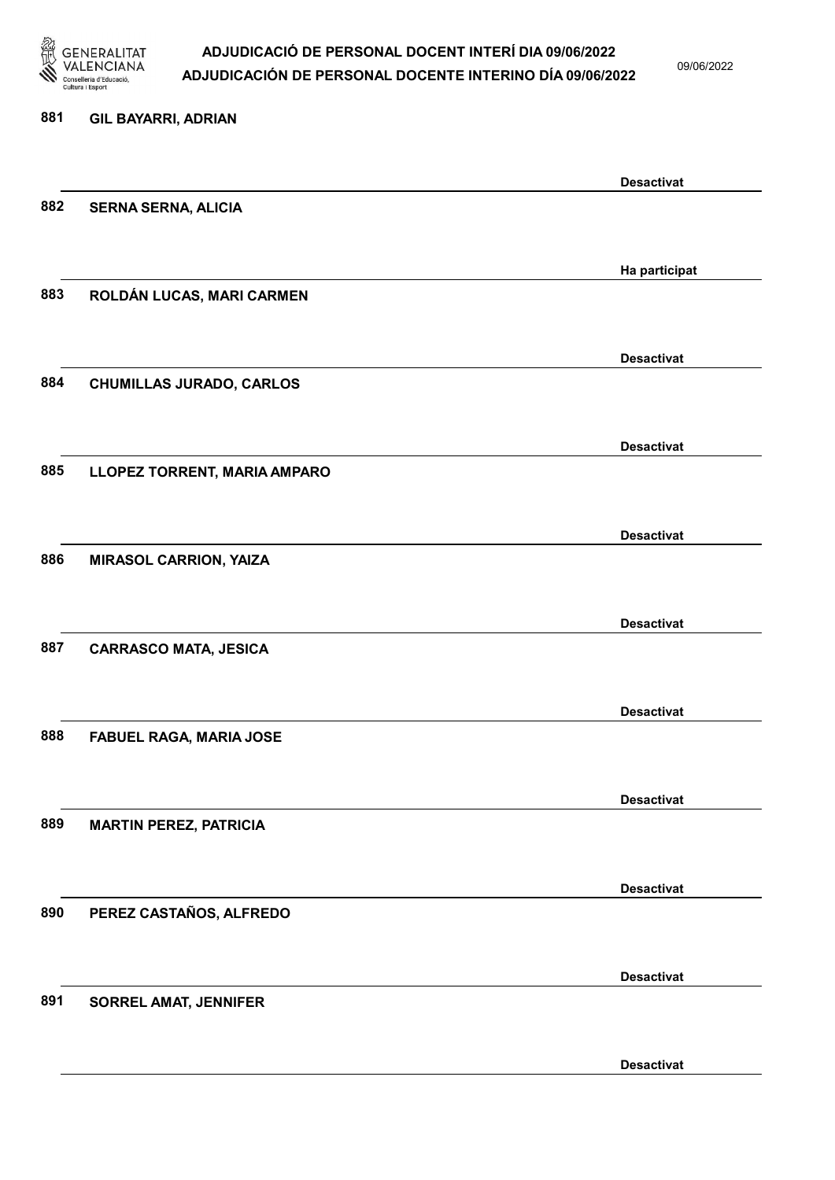

09/06/2022

| 881 | <b>GIL BAYARRI, ADRIAN</b>      |                   |
|-----|---------------------------------|-------------------|
|     |                                 | <b>Desactivat</b> |
| 882 | <b>SERNA SERNA, ALICIA</b>      |                   |
|     |                                 | Ha participat     |
| 883 | ROLDÁN LUCAS, MARI CARMEN       |                   |
|     |                                 | <b>Desactivat</b> |
| 884 | <b>CHUMILLAS JURADO, CARLOS</b> |                   |
|     |                                 | <b>Desactivat</b> |
| 885 | LLOPEZ TORRENT, MARIA AMPARO    |                   |
|     |                                 | <b>Desactivat</b> |
| 886 | <b>MIRASOL CARRION, YAIZA</b>   |                   |
|     |                                 | <b>Desactivat</b> |
| 887 | <b>CARRASCO MATA, JESICA</b>    |                   |
|     |                                 | <b>Desactivat</b> |
| 888 | <b>FABUEL RAGA, MARIA JOSE</b>  |                   |
|     |                                 | <b>Desactivat</b> |
| 889 | <b>MARTIN PEREZ, PATRICIA</b>   |                   |
|     |                                 | <b>Desactivat</b> |
| 890 | PEREZ CASTAÑOS, ALFREDO         |                   |
|     |                                 | <b>Desactivat</b> |
| 891 | <b>SORREL AMAT, JENNIFER</b>    |                   |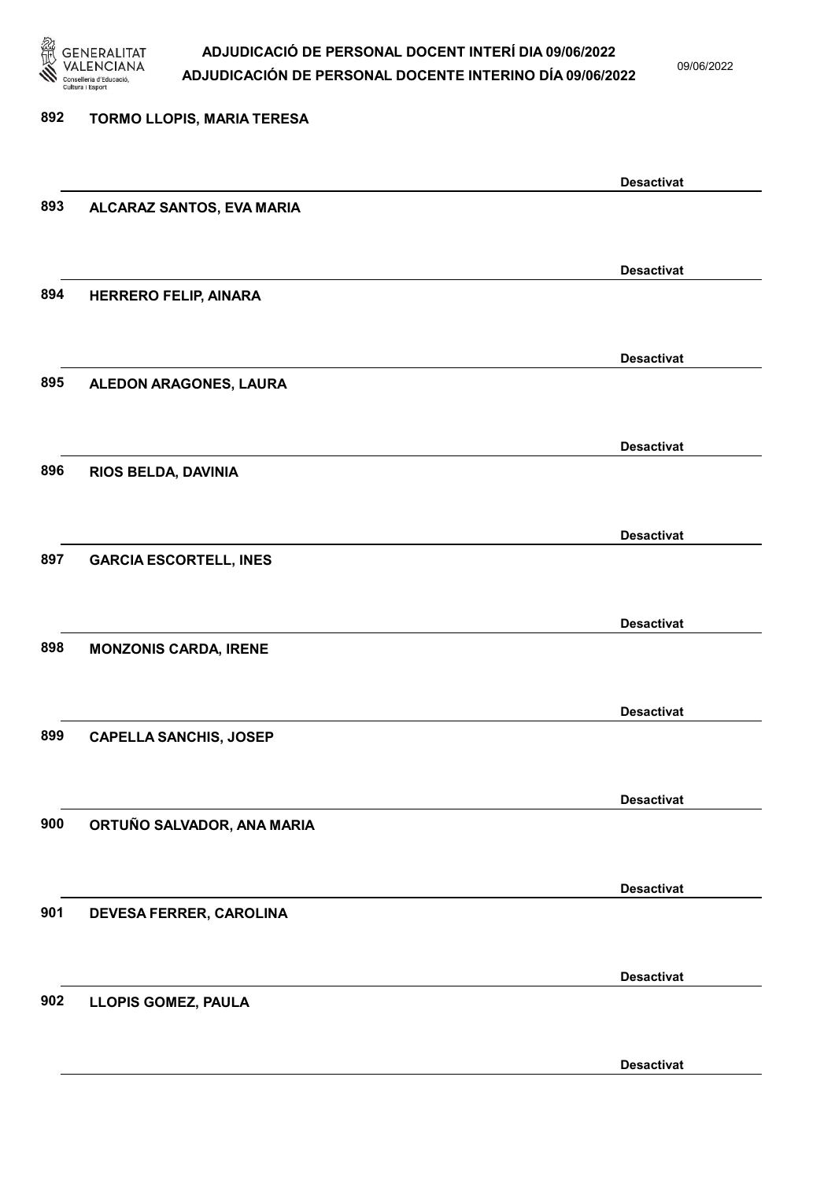

09/06/2022

### 892 TORMO LLOPIS, MARIA TERESA Desactivat 893 ALCARAZ SANTOS, EVA MARIA Desactivat 894 HERRERO FELIP, AINARA Desactivat 895 ALEDON ARAGONES, LAURA Desactivat 896 RIOS BELDA, DAVINIA Desactivat 897 GARCIA ESCORTELL, INES Desactivat 898 MONZONIS CARDA, IRENE Desactivat 899 CAPELLA SANCHIS, JOSEP Desactivat 900 ORTUÑO SALVADOR, ANA MARIA Desactivat 901 DEVESA FERRER, CAROLINA Desactivat 902 LLOPIS GOMEZ, PAULA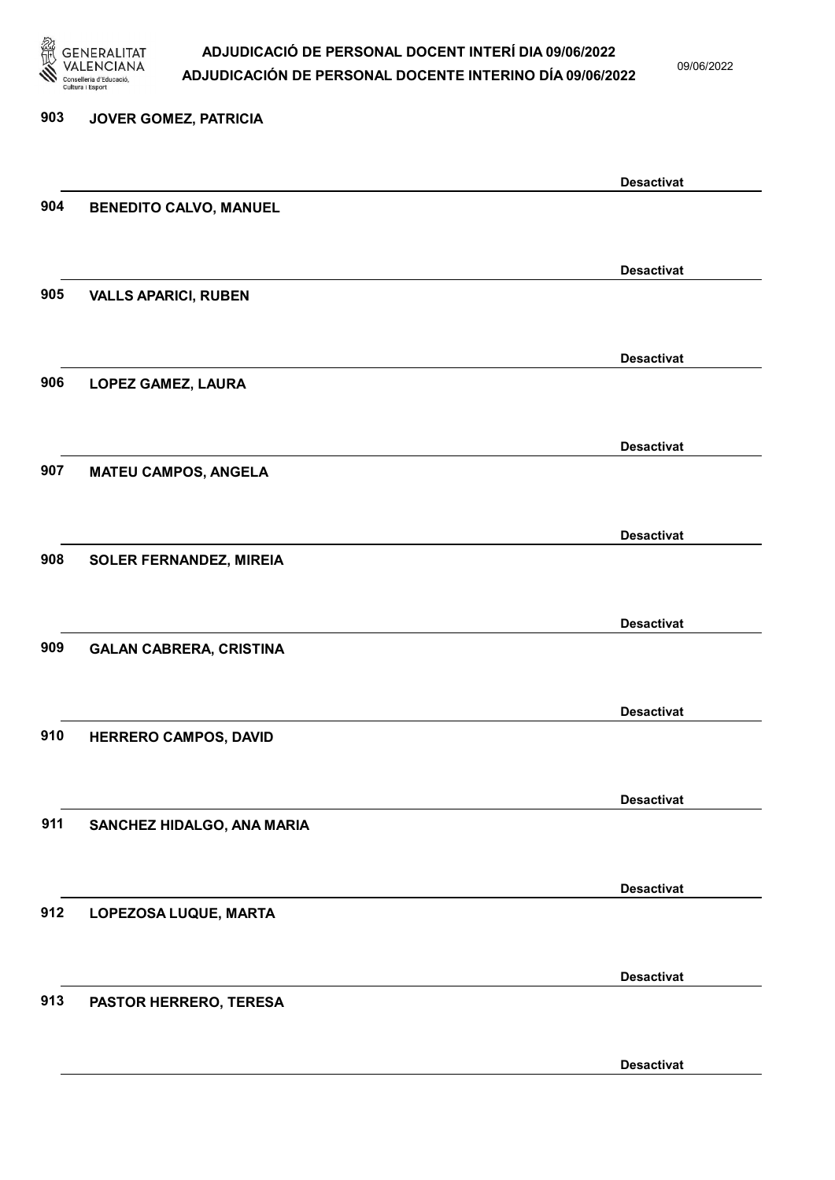

09/06/2022

Desactivat

# 903 JOVER GOMEZ, PATRICIA Desactivat 904 BENEDITO CALVO, MANUEL Desactivat 905 VALLS APARICI, RUBEN Desactivat 906 LOPEZ GAMEZ, LAURA Desactivat 907 MATEU CAMPOS, ANGELA Desactivat 908 SOLER FERNANDEZ, MIREIA Desactivat 909 GALAN CABRERA, CRISTINA Desactivat 910 HERRERO CAMPOS, DAVID Desactivat 911 SANCHEZ HIDALGO, ANA MARIA Desactivat 912 LOPEZOSA LUQUE, MARTA Desactivat 913 PASTOR HERRERO, TERESA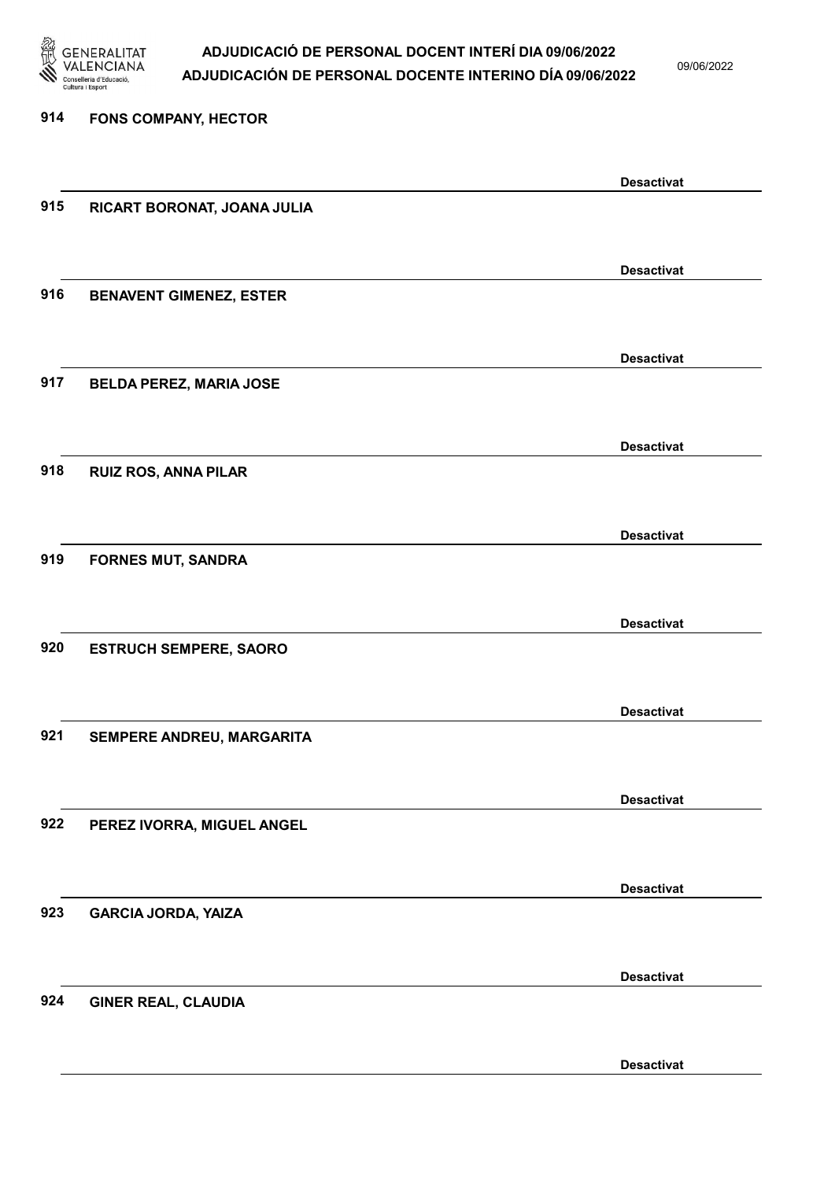

09/06/2022

Desactivat

# 914 FONS COMPANY, HECTOR Desactivat 915 RICART BORONAT, JOANA JULIA Desactivat 916 BENAVENT GIMENEZ, ESTER Desactivat 917 BELDA PEREZ, MARIA JOSE Desactivat 918 RUIZ ROS, ANNA PILAR Desactivat 919 FORNES MUT, SANDRA Desactivat 920 ESTRUCH SEMPERE, SAORO Desactivat 921 SEMPERE ANDREU, MARGARITA Desactivat 922 PEREZ IVORRA, MIGUEL ANGEL Desactivat 923 GARCIA JORDA, YAIZA Desactivat 924 GINER REAL, CLAUDIA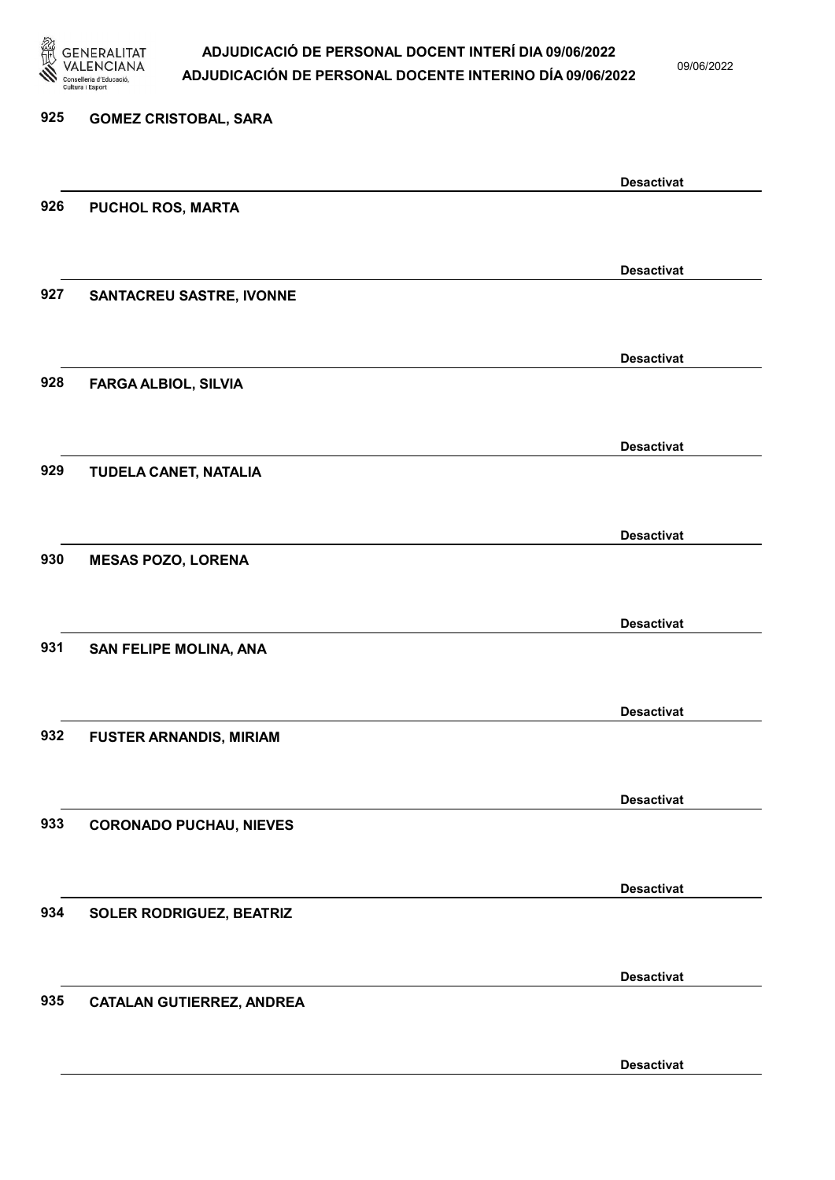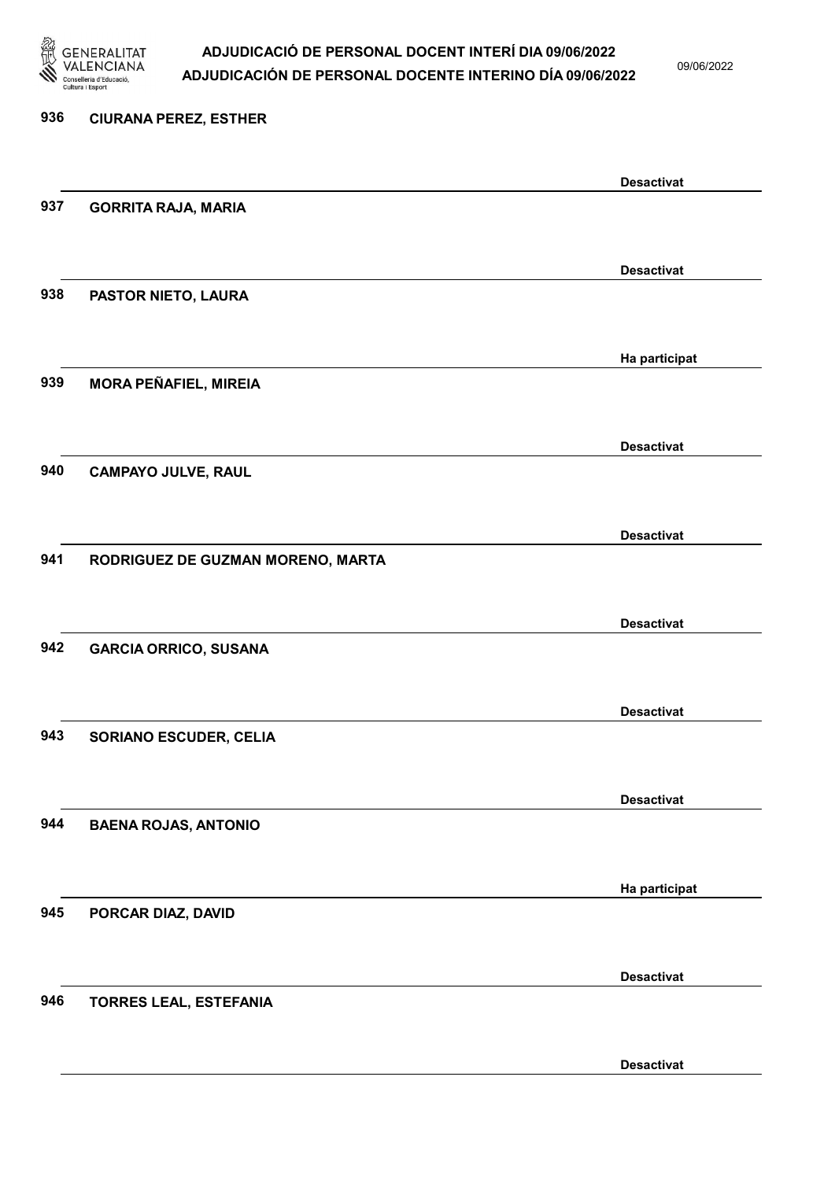

09/06/2022

Desactivat

# 936 CIURANA PEREZ, ESTHER Desactivat 937 GORRITA RAJA, MARIA Desactivat 938 PASTOR NIETO, LAURA Ha participat 939 MORA PEÑAFIEL, MIREIA Desactivat 940 CAMPAYO JULVE, RAUL Desactivat 941 RODRIGUEZ DE GUZMAN MORENO, MARTA Desactivat 942 GARCIA ORRICO, SUSANA Desactivat 943 SORIANO ESCUDER, CELIA Desactivat 944 BAENA ROJAS, ANTONIO Ha participat 945 PORCAR DIAZ, DAVID Desactivat 946 TORRES LEAL, ESTEFANIA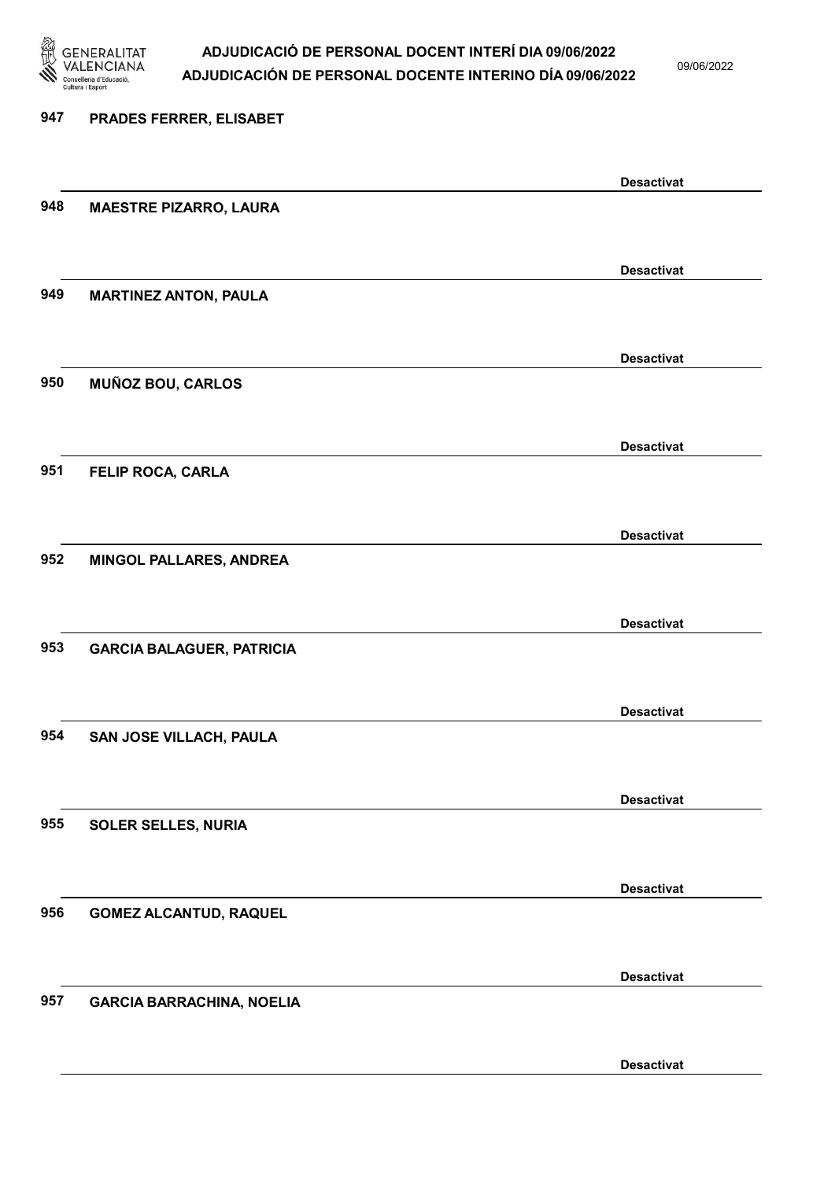

09/06/2022

| 947 | PRADES FERRER, ELISABET          |                   |
|-----|----------------------------------|-------------------|
|     |                                  | <b>Desactivat</b> |
| 948 | <b>MAESTRE PIZARRO, LAURA</b>    |                   |
|     |                                  | <b>Desactivat</b> |
| 949 | <b>MARTINEZ ANTON, PAULA</b>     |                   |
|     |                                  | <b>Desactivat</b> |
| 950 | <b>MUÑOZ BOU, CARLOS</b>         |                   |
| 951 |                                  | <b>Desactivat</b> |
|     | FELIP ROCA, CARLA                |                   |
| 952 | MINGOL PALLARES, ANDREA          | <b>Desactivat</b> |
|     |                                  |                   |
| 953 | <b>GARCIA BALAGUER, PATRICIA</b> | <b>Desactivat</b> |
|     |                                  |                   |
| 954 | SAN JOSE VILLACH, PAULA          | <b>Desactivat</b> |
|     |                                  |                   |
| 955 | <b>SOLER SELLES, NURIA</b>       | <b>Desactivat</b> |
|     |                                  |                   |
| 956 | <b>GOMEZ ALCANTUD, RAQUEL</b>    | <b>Desactivat</b> |
|     |                                  | <b>Desactivat</b> |
| 957 | <b>GARCIA BARRACHINA, NOELIA</b> |                   |
|     |                                  | <b>Desactivat</b> |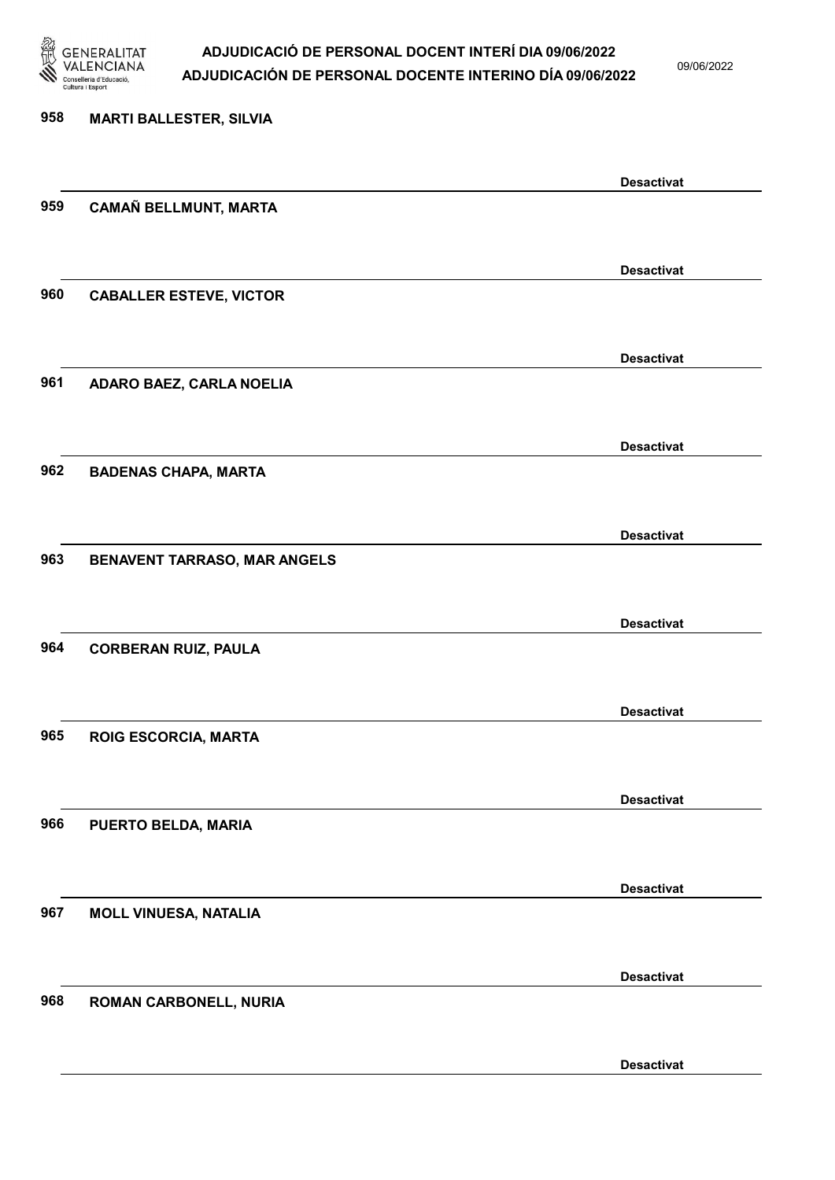

09/06/2022

Desactivat

# 958 MARTI BALLESTER, SILVIA Desactivat 959 CAMAÑ BELLMUNT, MARTA Desactivat 960 CABALLER ESTEVE, VICTOR Desactivat 961 ADARO BAEZ, CARLA NOELIA Desactivat 962 BADENAS CHAPA, MARTA Desactivat 963 BENAVENT TARRASO, MAR ANGELS Desactivat 964 CORBERAN RUIZ, PAULA Desactivat 965 ROIG ESCORCIA, MARTA Desactivat 966 PUERTO BELDA, MARIA Desactivat 967 MOLL VINUESA, NATALIA Desactivat 968 ROMAN CARBONELL, NURIA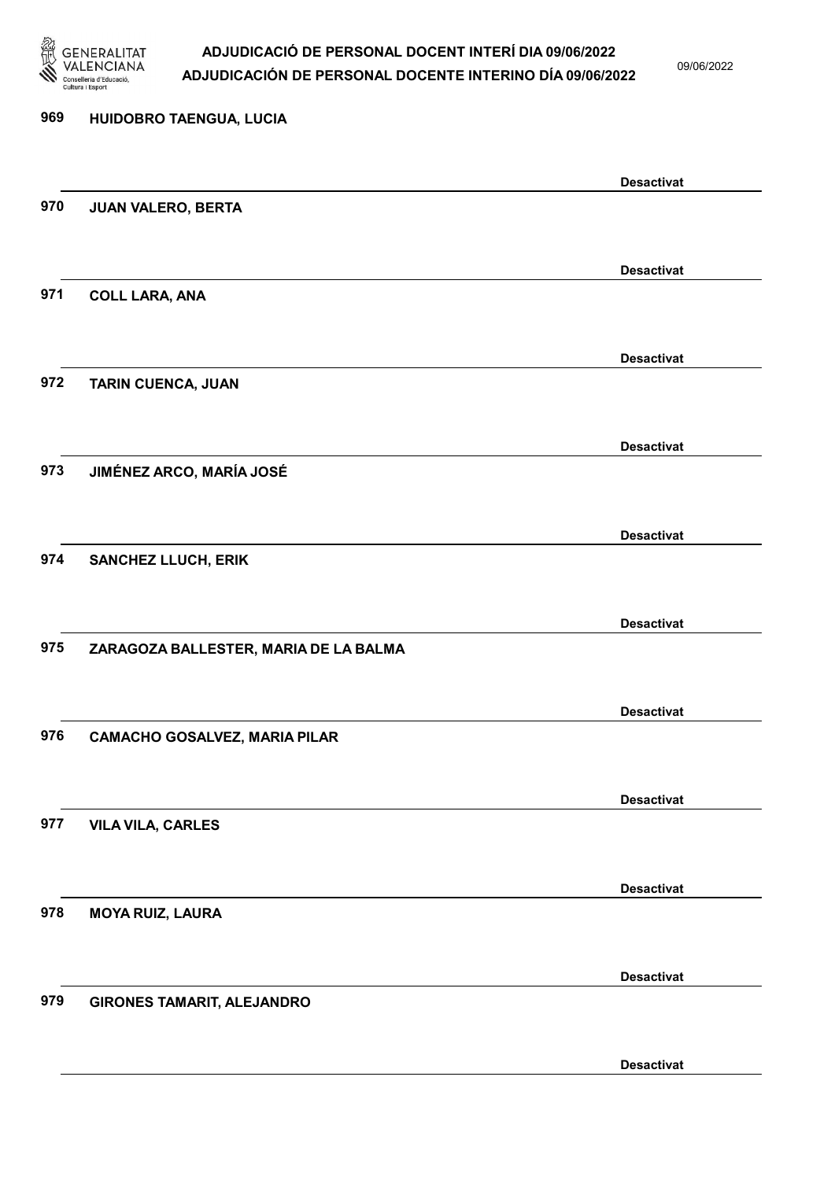

09/06/2022

| 969 | HUIDOBRO TAENGUA, LUCIA               |                   |
|-----|---------------------------------------|-------------------|
|     |                                       | <b>Desactivat</b> |
| 970 | JUAN VALERO, BERTA                    |                   |
|     |                                       | <b>Desactivat</b> |
| 971 | <b>COLL LARA, ANA</b>                 |                   |
|     |                                       | <b>Desactivat</b> |
| 972 | TARIN CUENCA, JUAN                    |                   |
|     |                                       | <b>Desactivat</b> |
| 973 | JIMÉNEZ ARCO, MARÍA JOSÉ              |                   |
| 974 |                                       | <b>Desactivat</b> |
|     | <b>SANCHEZ LLUCH, ERIK</b>            |                   |
| 975 | ZARAGOZA BALLESTER, MARIA DE LA BALMA | <b>Desactivat</b> |
|     |                                       |                   |
| 976 | <b>CAMACHO GOSALVEZ, MARIA PILAR</b>  | <b>Desactivat</b> |
|     |                                       |                   |
| 977 | <b>VILA VILA, CARLES</b>              | <b>Desactivat</b> |
|     |                                       |                   |
| 978 | <b>MOYA RUIZ, LAURA</b>               | <b>Desactivat</b> |
|     |                                       |                   |
| 979 | <b>GIRONES TAMARIT, ALEJANDRO</b>     | <b>Desactivat</b> |
|     |                                       | <b>Desactivat</b> |
|     |                                       |                   |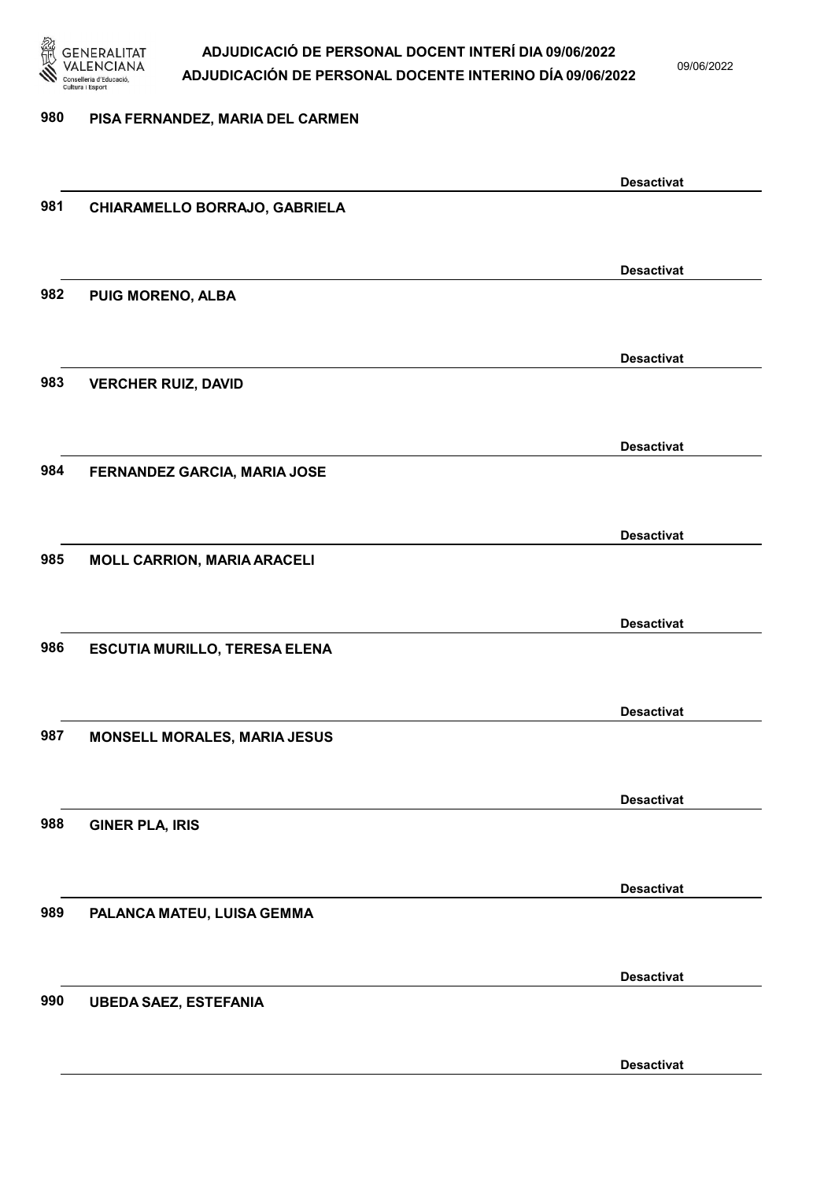

09/06/2022

#### 980 PISA FERNANDEZ, MARIA DEL CARMEN

|     |                                      | <b>Desactivat</b> |
|-----|--------------------------------------|-------------------|
| 981 | CHIARAMELLO BORRAJO, GABRIELA        |                   |
|     |                                      |                   |
|     |                                      |                   |
|     |                                      | <b>Desactivat</b> |
| 982 | PUIG MORENO, ALBA                    |                   |
|     |                                      |                   |
|     |                                      |                   |
|     |                                      | <b>Desactivat</b> |
| 983 | <b>VERCHER RUIZ, DAVID</b>           |                   |
|     |                                      |                   |
|     |                                      |                   |
|     |                                      | <b>Desactivat</b> |
| 984 | FERNANDEZ GARCIA, MARIA JOSE         |                   |
|     |                                      |                   |
|     |                                      |                   |
|     |                                      | <b>Desactivat</b> |
| 985 | <b>MOLL CARRION, MARIA ARACELI</b>   |                   |
|     |                                      |                   |
|     |                                      |                   |
|     |                                      | <b>Desactivat</b> |
| 986 | <b>ESCUTIA MURILLO, TERESA ELENA</b> |                   |
|     |                                      |                   |
|     |                                      |                   |
|     |                                      | <b>Desactivat</b> |
| 987 | MONSELL MORALES, MARIA JESUS         |                   |
|     |                                      |                   |
|     |                                      |                   |
|     |                                      | <b>Desactivat</b> |
| 988 | <b>GINER PLA, IRIS</b>               |                   |
|     |                                      |                   |
|     |                                      |                   |
|     |                                      | <b>Desactivat</b> |
| 989 | PALANCA MATEU, LUISA GEMMA           |                   |
|     |                                      |                   |
|     |                                      |                   |
|     |                                      | <b>Desactivat</b> |
| 990 | <b>UBEDA SAEZ, ESTEFANIA</b>         |                   |
|     |                                      |                   |
|     |                                      |                   |
|     |                                      | <b>Desactivat</b> |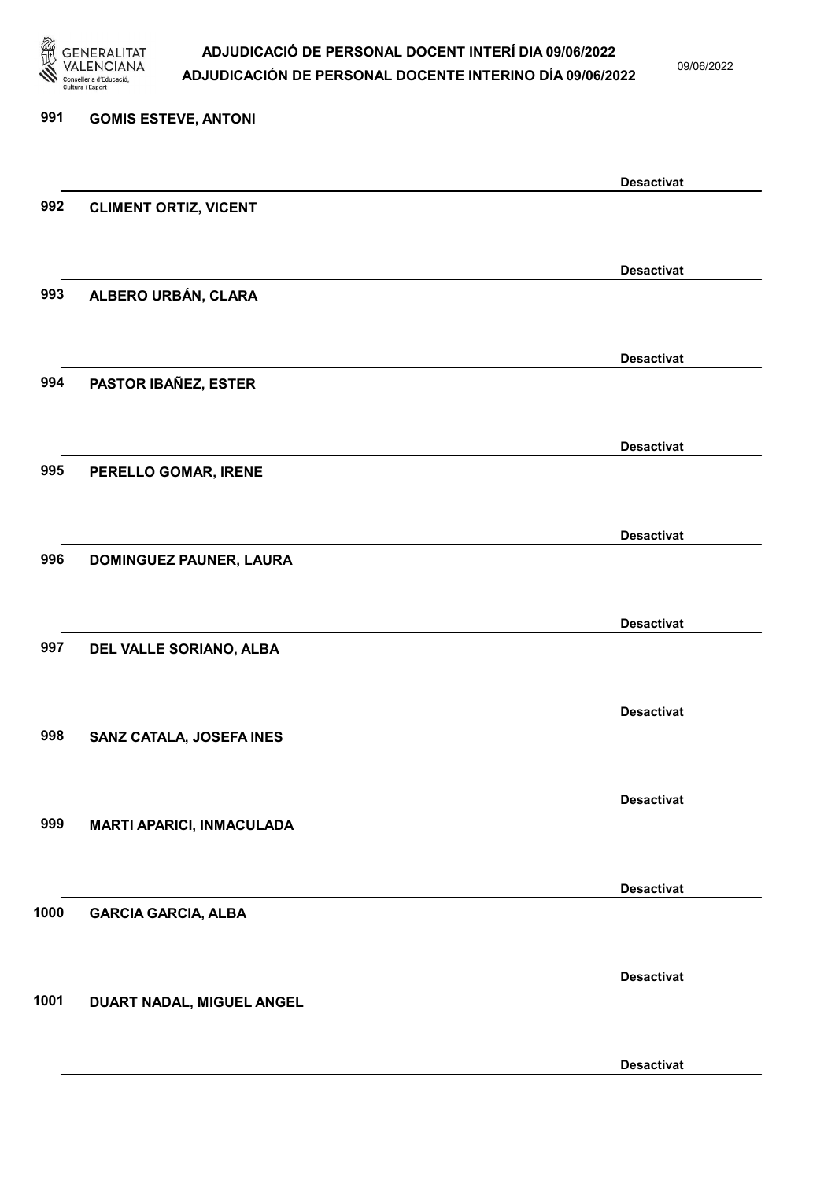

09/06/2022

Desactivat

# 991 GOMIS ESTEVE, ANTONI Desactivat 992 CLIMENT ORTIZ, VICENT Desactivat 993 ALBERO URBÁN, CLARA Desactivat 994 PASTOR IBAÑEZ, ESTER Desactivat 995 PERELLO GOMAR, IRENE Desactivat 996 DOMINGUEZ PAUNER, LAURA Desactivat 997 DEL VALLE SORIANO, ALBA Desactivat 998 SANZ CATALA, JOSEFA INES Desactivat 999 MARTI APARICI, INMACULADA Desactivat 1000 GARCIA GARCIA, ALBA Desactivat 1001 DUART NADAL, MIGUEL ANGEL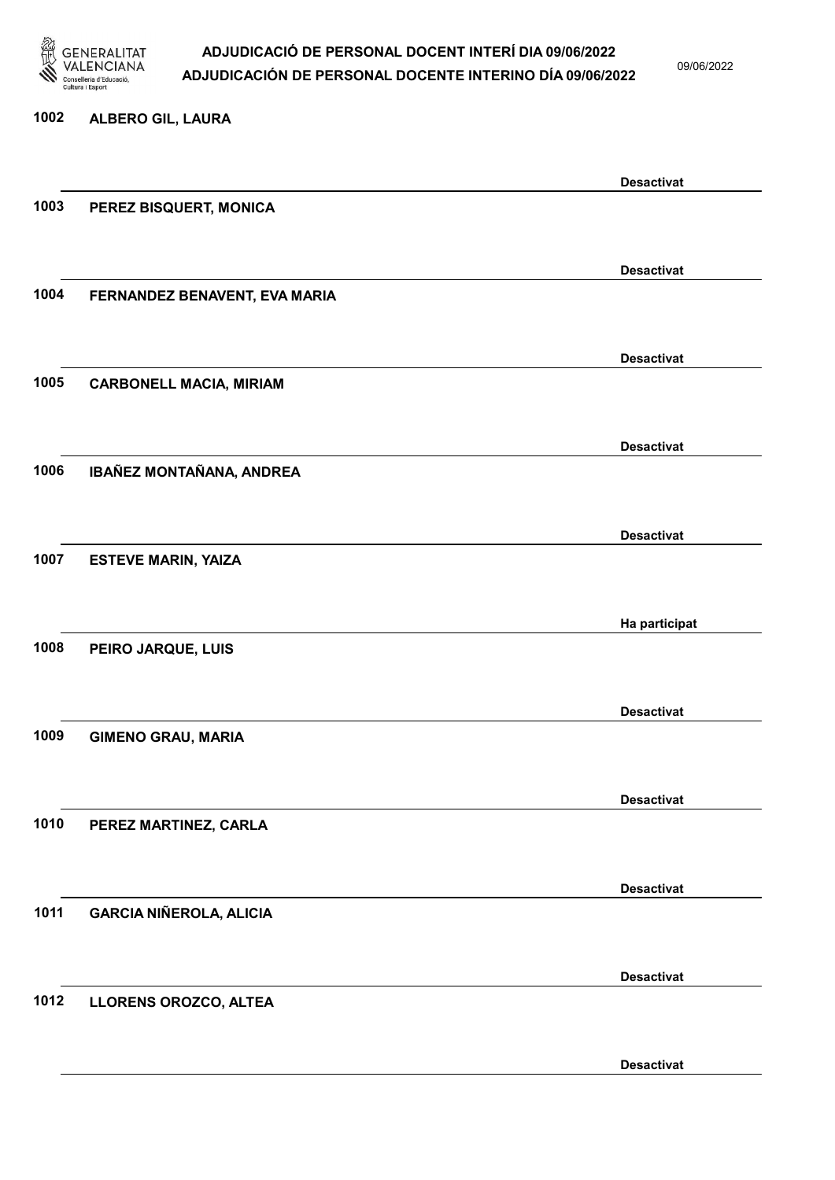

09/06/2022

Desactivat

# 1002 ALBERO GIL, LAURA Desactivat 1003 PEREZ BISQUERT, MONICA Desactivat 1004 FERNANDEZ BENAVENT, EVA MARIA Desactivat 1005 CARBONELL MACIA, MIRIAM Desactivat 1006 IBAÑEZ MONTAÑANA, ANDREA Desactivat 1007 ESTEVE MARIN, YAIZA Ha participat 1008 PEIRO JARQUE, LUIS Desactivat 1009 GIMENO GRAU, MARIA Desactivat 1010 PEREZ MARTINEZ, CARLA Desactivat 1011 GARCIA NIÑEROLA, ALICIA Desactivat 1012 LLORENS OROZCO, ALTEA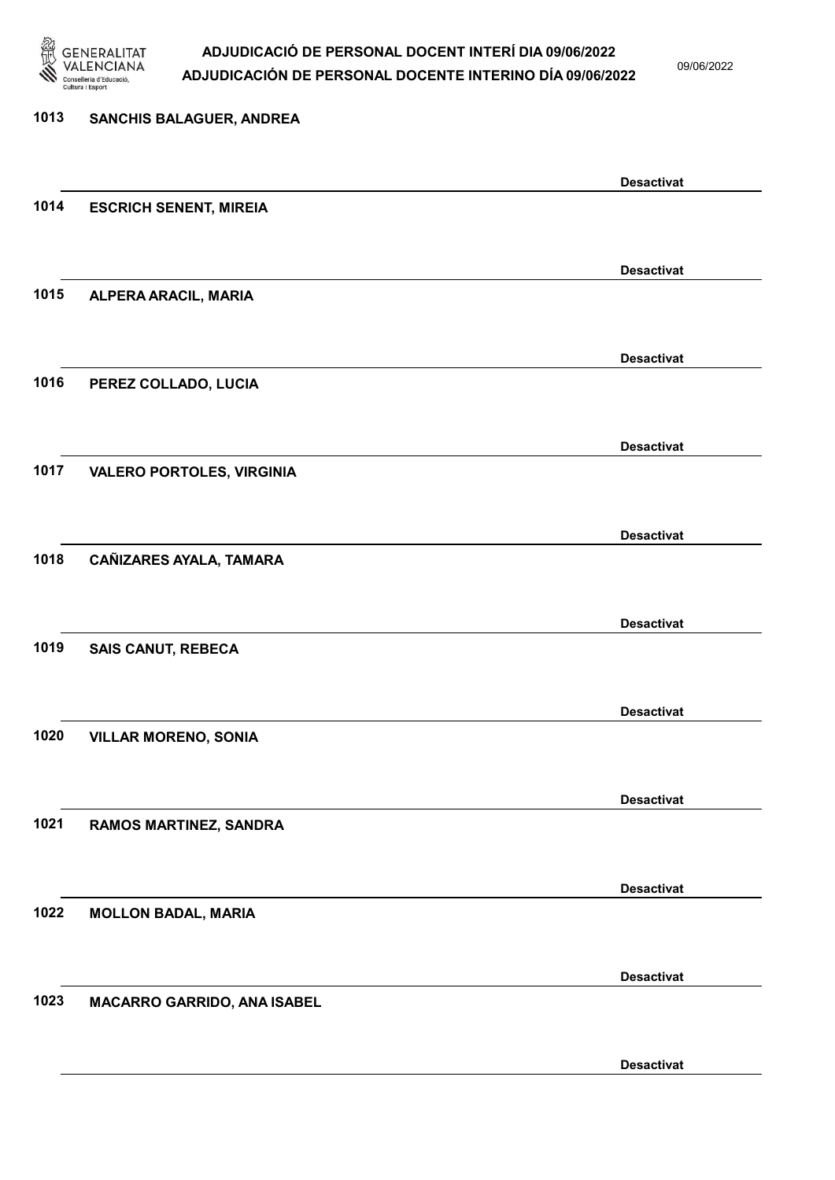

09/06/2022

Desactivat

# 1013 SANCHIS BALAGUER, ANDREA Desactivat 1014 ESCRICH SENENT, MIREIA Desactivat 1015 ALPERA ARACIL, MARIA Desactivat 1016 PEREZ COLLADO, LUCIA Desactivat 1017 VALERO PORTOLES, VIRGINIA Desactivat 1018 CAÑIZARES AYALA, TAMARA Desactivat 1019 SAIS CANUT, REBECA Desactivat 1020 VILLAR MORENO, SONIA Desactivat 1021 RAMOS MARTINEZ, SANDRA Desactivat 1022 MOLLON BADAL, MARIA Desactivat 1023 MACARRO GARRIDO, ANA ISABEL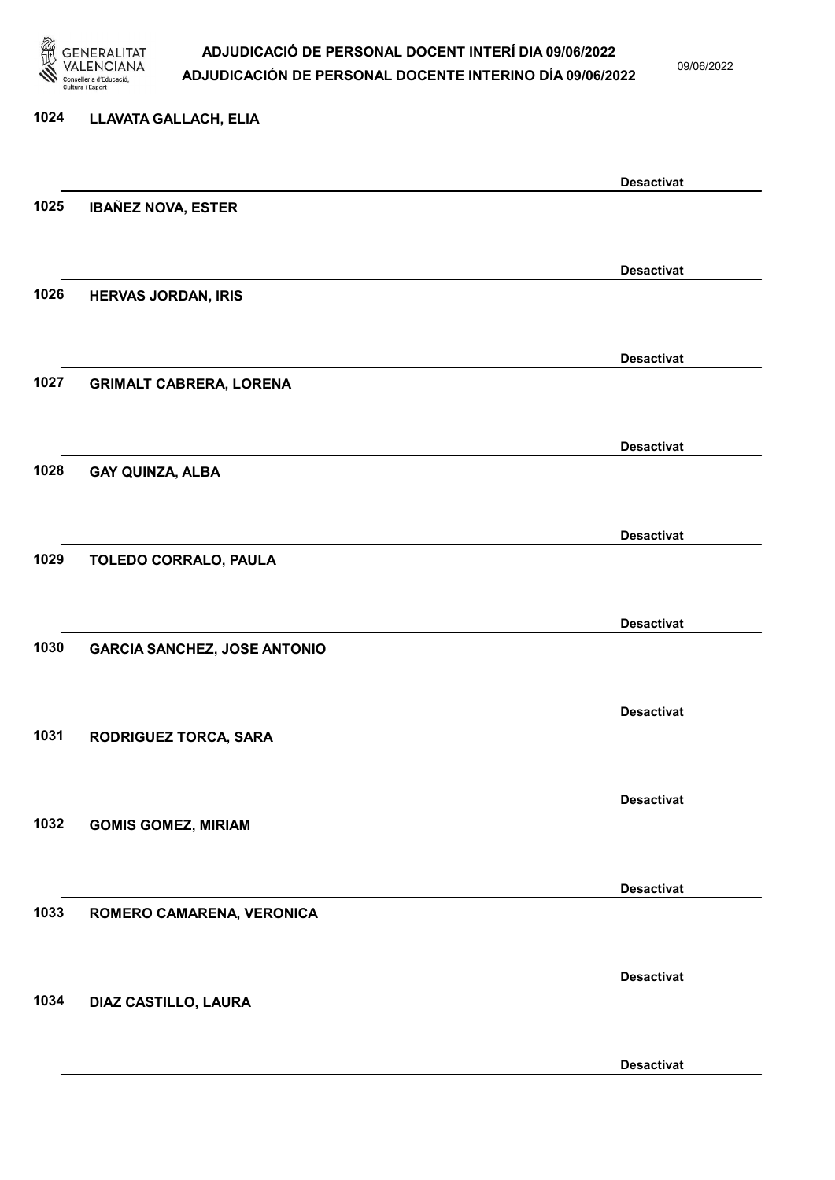

09/06/2022

#### 1024 LLAVATA GALLACH, ELIA

|      |                                     | <b>Desactivat</b> |
|------|-------------------------------------|-------------------|
| 1025 | <b>IBAÑEZ NOVA, ESTER</b>           |                   |
|      |                                     |                   |
|      |                                     | <b>Desactivat</b> |
| 1026 | <b>HERVAS JORDAN, IRIS</b>          |                   |
|      |                                     |                   |
|      |                                     | <b>Desactivat</b> |
| 1027 | <b>GRIMALT CABRERA, LORENA</b>      |                   |
|      |                                     |                   |
|      |                                     | <b>Desactivat</b> |
| 1028 | <b>GAY QUINZA, ALBA</b>             |                   |
|      |                                     |                   |
|      |                                     | <b>Desactivat</b> |
| 1029 | <b>TOLEDO CORRALO, PAULA</b>        |                   |
|      |                                     |                   |
|      |                                     | <b>Desactivat</b> |
| 1030 | <b>GARCIA SANCHEZ, JOSE ANTONIO</b> |                   |
|      |                                     |                   |
|      |                                     | <b>Desactivat</b> |
| 1031 | RODRIGUEZ TORCA, SARA               |                   |
|      |                                     |                   |
|      |                                     | <b>Desactivat</b> |
| 1032 | <b>GOMIS GOMEZ, MIRIAM</b>          |                   |
|      |                                     |                   |
|      |                                     | <b>Desactivat</b> |
| 1033 | ROMERO CAMARENA, VERONICA           |                   |
|      |                                     |                   |
|      |                                     | <b>Desactivat</b> |
| 1034 | DIAZ CASTILLO, LAURA                |                   |
|      |                                     |                   |
|      |                                     | <b>Desactivat</b> |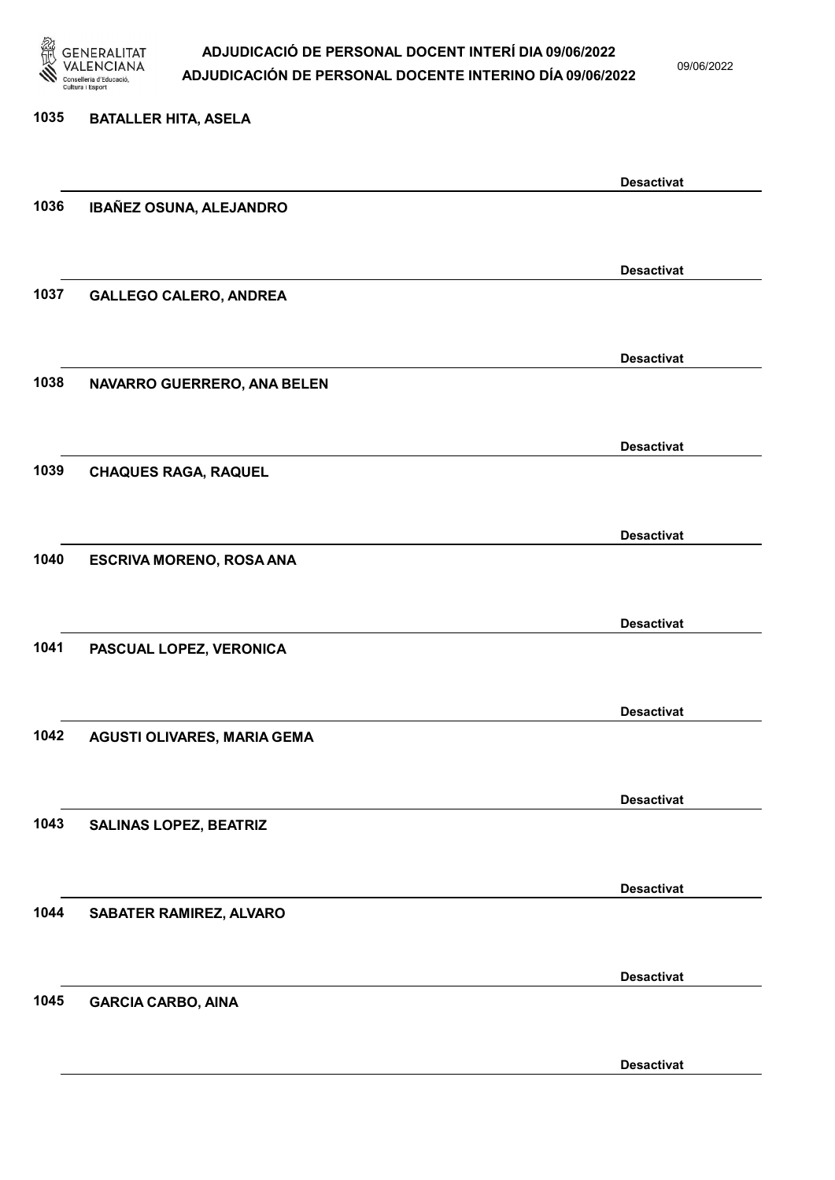

09/06/2022

#### 1035 BATALLER HITA, ASELA

|      |                               | <b>Desactivat</b> |
|------|-------------------------------|-------------------|
| 1036 | IBAÑEZ OSUNA, ALEJANDRO       |                   |
|      |                               |                   |
|      |                               | <b>Desactivat</b> |
| 1037 | <b>GALLEGO CALERO, ANDREA</b> |                   |
|      |                               |                   |
|      |                               |                   |
|      |                               | <b>Desactivat</b> |
| 1038 | NAVARRO GUERRERO, ANA BELEN   |                   |
|      |                               |                   |
|      |                               | <b>Desactivat</b> |
| 1039 | <b>CHAQUES RAGA, RAQUEL</b>   |                   |
|      |                               |                   |
|      |                               | <b>Desactivat</b> |
| 1040 | ESCRIVA MORENO, ROSA ANA      |                   |
|      |                               |                   |
|      |                               |                   |
| 1041 |                               | <b>Desactivat</b> |
|      | PASCUAL LOPEZ, VERONICA       |                   |
|      |                               |                   |
|      |                               | <b>Desactivat</b> |
| 1042 | AGUSTI OLIVARES, MARIA GEMA   |                   |
|      |                               |                   |
|      |                               | <b>Desactivat</b> |
| 1043 | <b>SALINAS LOPEZ, BEATRIZ</b> |                   |
|      |                               |                   |
|      |                               | <b>Desactivat</b> |
| 1044 | SABATER RAMIREZ, ALVARO       |                   |
|      |                               |                   |
|      |                               |                   |
|      |                               | <b>Desactivat</b> |
| 1045 | <b>GARCIA CARBO, AINA</b>     |                   |
|      |                               |                   |
|      |                               | <b>Desactivat</b> |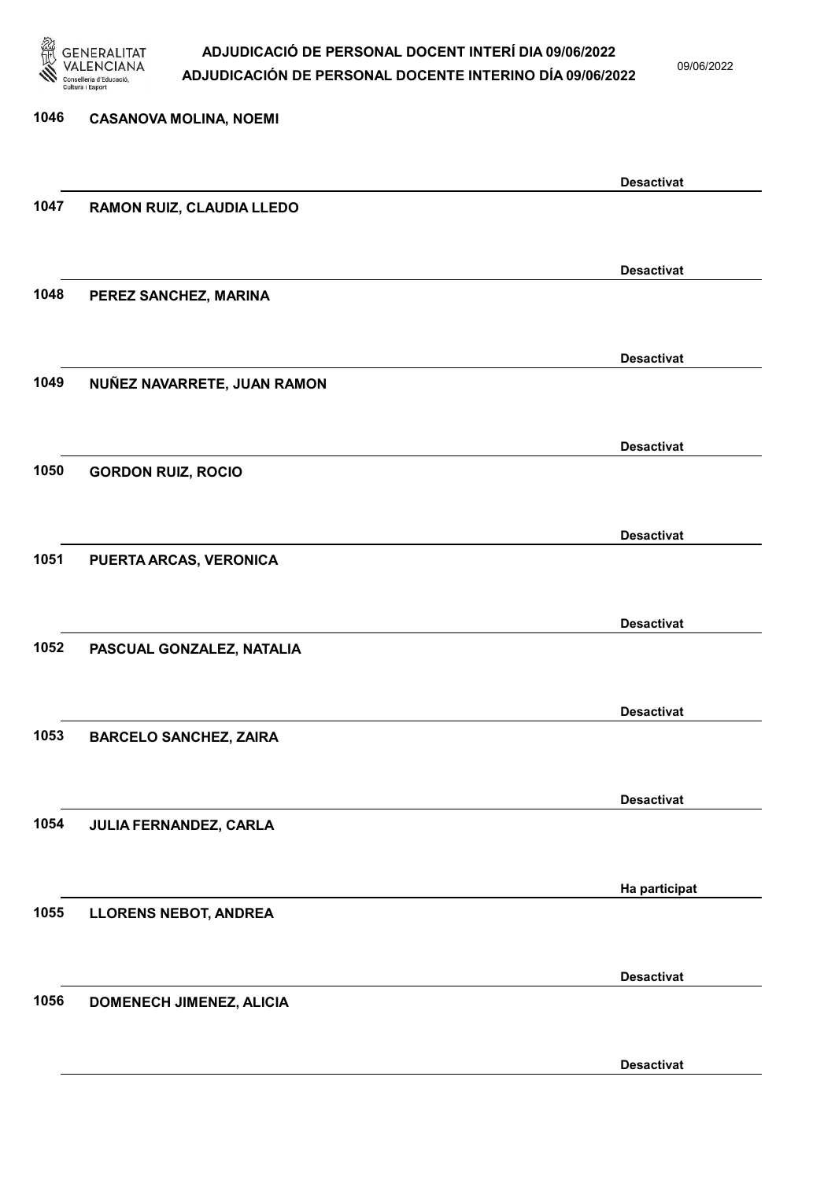

09/06/2022

| 1046 | <b>CASANOVA MOLINA, NOEMI</b> |                   |
|------|-------------------------------|-------------------|
|      |                               | <b>Desactivat</b> |
| 1047 | RAMON RUIZ, CLAUDIA LLEDO     |                   |
|      |                               | <b>Desactivat</b> |
| 1048 | PEREZ SANCHEZ, MARINA         |                   |
|      |                               |                   |
| 1049 | NUÑEZ NAVARRETE, JUAN RAMON   | <b>Desactivat</b> |
|      |                               |                   |
| 1050 | <b>GORDON RUIZ, ROCIO</b>     | <b>Desactivat</b> |
|      |                               |                   |
| 1051 | PUERTA ARCAS, VERONICA        | <b>Desactivat</b> |
|      |                               |                   |
|      |                               | <b>Desactivat</b> |
| 1052 | PASCUAL GONZALEZ, NATALIA     |                   |
|      |                               | <b>Desactivat</b> |
| 1053 | <b>BARCELO SANCHEZ, ZAIRA</b> |                   |
|      |                               | <b>Desactivat</b> |
| 1054 | JULIA FERNANDEZ, CARLA        |                   |
|      |                               | Ha participat     |
| 1055 | <b>LLORENS NEBOT, ANDREA</b>  |                   |
|      |                               | <b>Desactivat</b> |
| 1056 | DOMENECH JIMENEZ, ALICIA      |                   |
|      |                               |                   |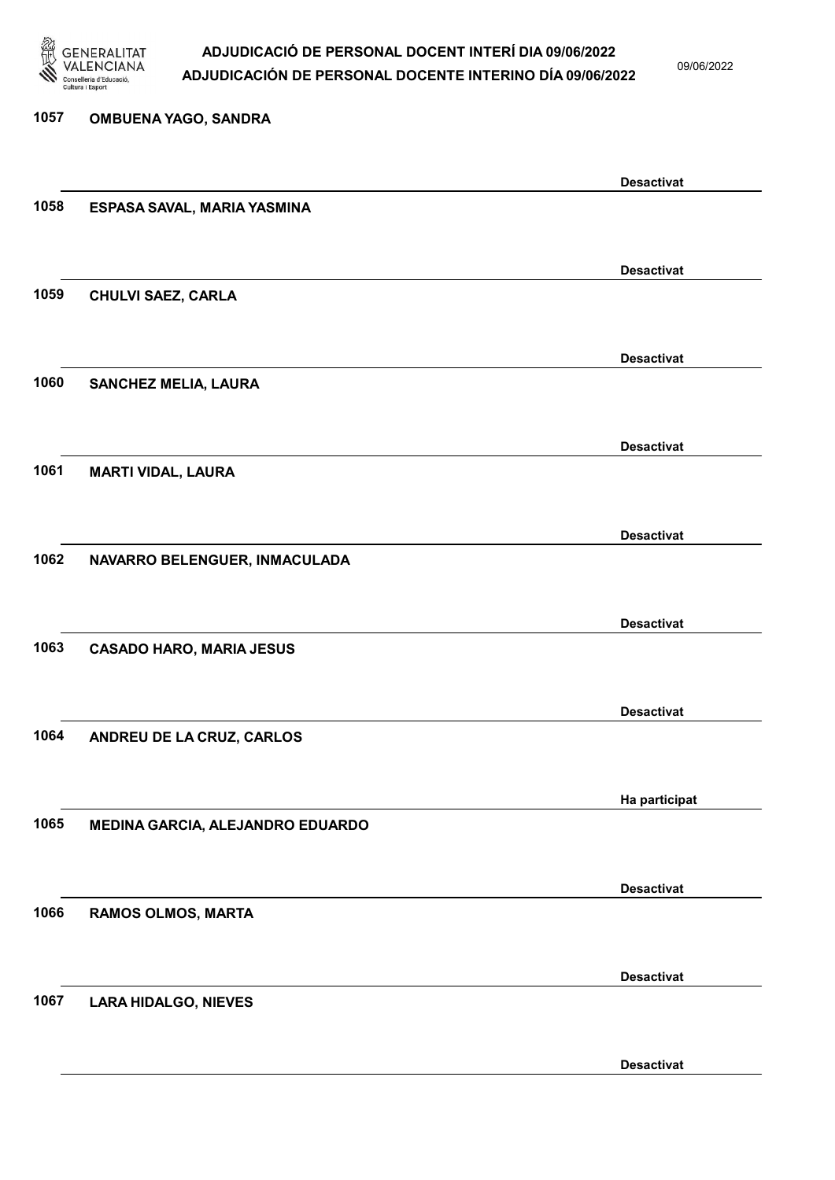

09/06/2022

Desactivat

# 1057 OMBUENA YAGO, SANDRA Desactivat 1058 ESPASA SAVAL, MARIA YASMINA Desactivat 1059 CHULVI SAEZ, CARLA Desactivat 1060 SANCHEZ MELIA, LAURA Desactivat 1061 MARTI VIDAL, LAURA Desactivat 1062 NAVARRO BELENGUER, INMACULADA Desactivat 1063 CASADO HARO, MARIA JESUS Desactivat 1064 ANDREU DE LA CRUZ, CARLOS Ha participat 1065 MEDINA GARCIA, ALEJANDRO EDUARDO Desactivat 1066 RAMOS OLMOS, MARTA Desactivat 1067 LARA HIDALGO, NIEVES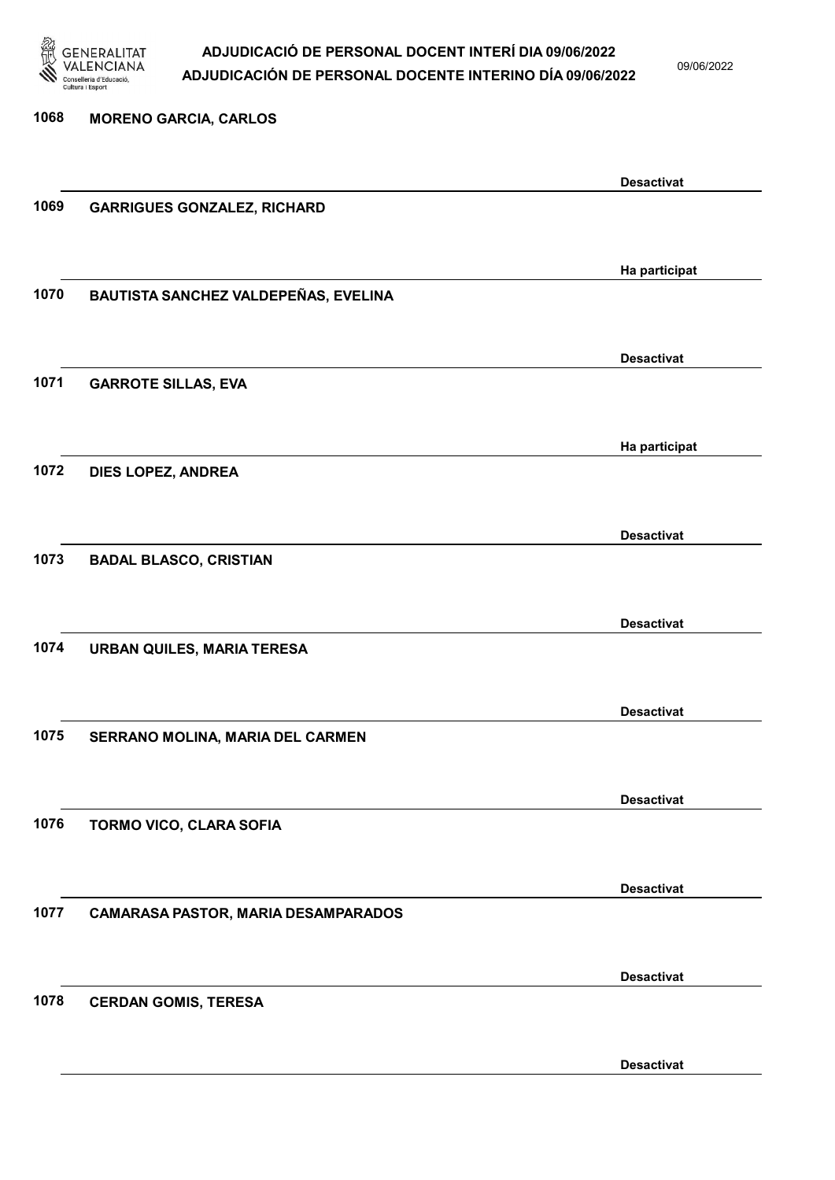

09/06/2022

Desactivat

1068 MORENO GARCIA, CARLOS Desactivat 1069 GARRIGUES GONZALEZ, RICHARD Ha participat 1070 BAUTISTA SANCHEZ VALDEPEÑAS, EVELINA Desactivat 1071 GARROTE SILLAS, EVA Ha participat 1072 DIES LOPEZ, ANDREA Desactivat 1073 BADAL BLASCO, CRISTIAN Desactivat 1074 URBAN QUILES, MARIA TERESA Desactivat 1075 SERRANO MOLINA, MARIA DEL CARMEN Desactivat 1076 TORMO VICO, CLARA SOFIA Desactivat 1077 CAMARASA PASTOR, MARIA DESAMPARADOS Desactivat 1078 CERDAN GOMIS, TERESA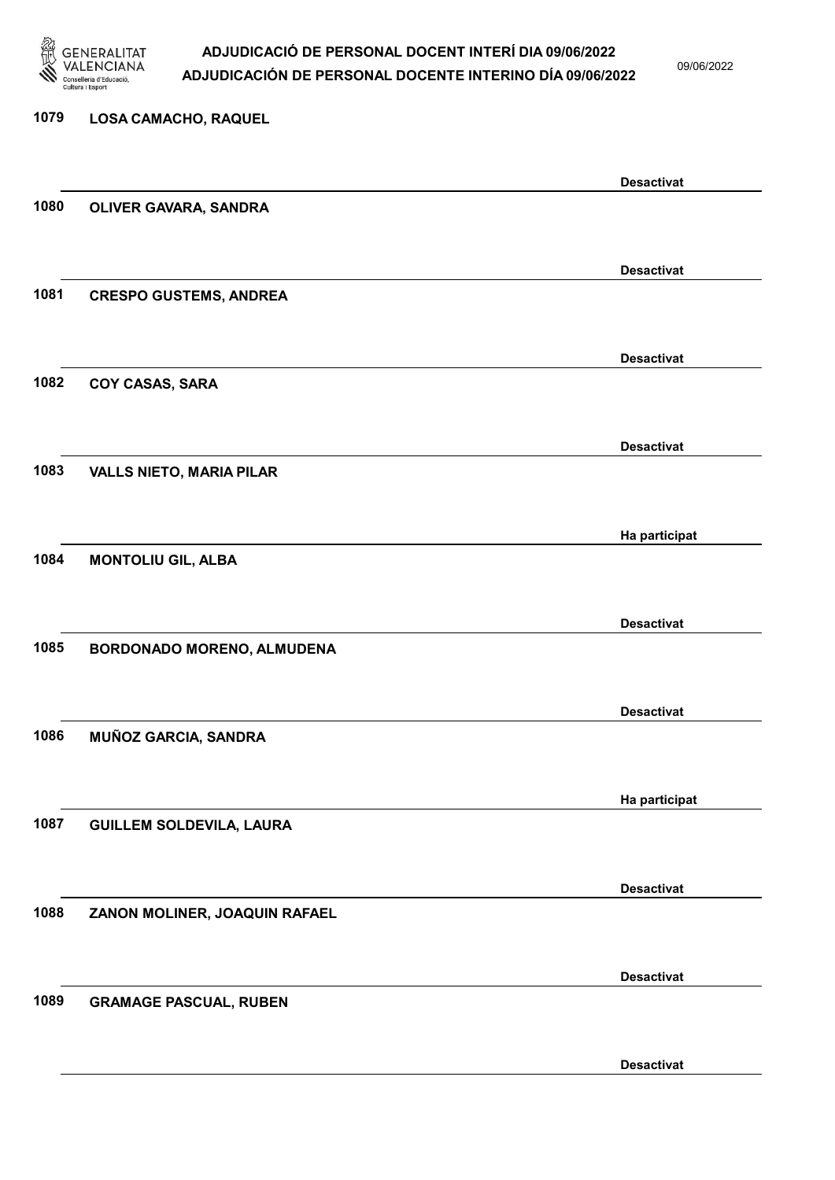

09/06/2022

Desactivat

# 1079 LOSA CAMACHO, RAQUEL Desactivat 1080 OLIVER GAVARA, SANDRA Desactivat 1081 CRESPO GUSTEMS, ANDREA Desactivat 1082 COY CASAS, SARA Desactivat 1083 VALLS NIETO, MARIA PILAR Ha participat 1084 MONTOLIU GIL, ALBA Desactivat 1085 BORDONADO MORENO, ALMUDENA Desactivat 1086 MUÑOZ GARCIA, SANDRA Ha participat 1087 GUILLEM SOLDEVILA, LAURA Desactivat 1088 ZANON MOLINER, JOAQUIN RAFAEL Desactivat 1089 GRAMAGE PASCUAL, RUBEN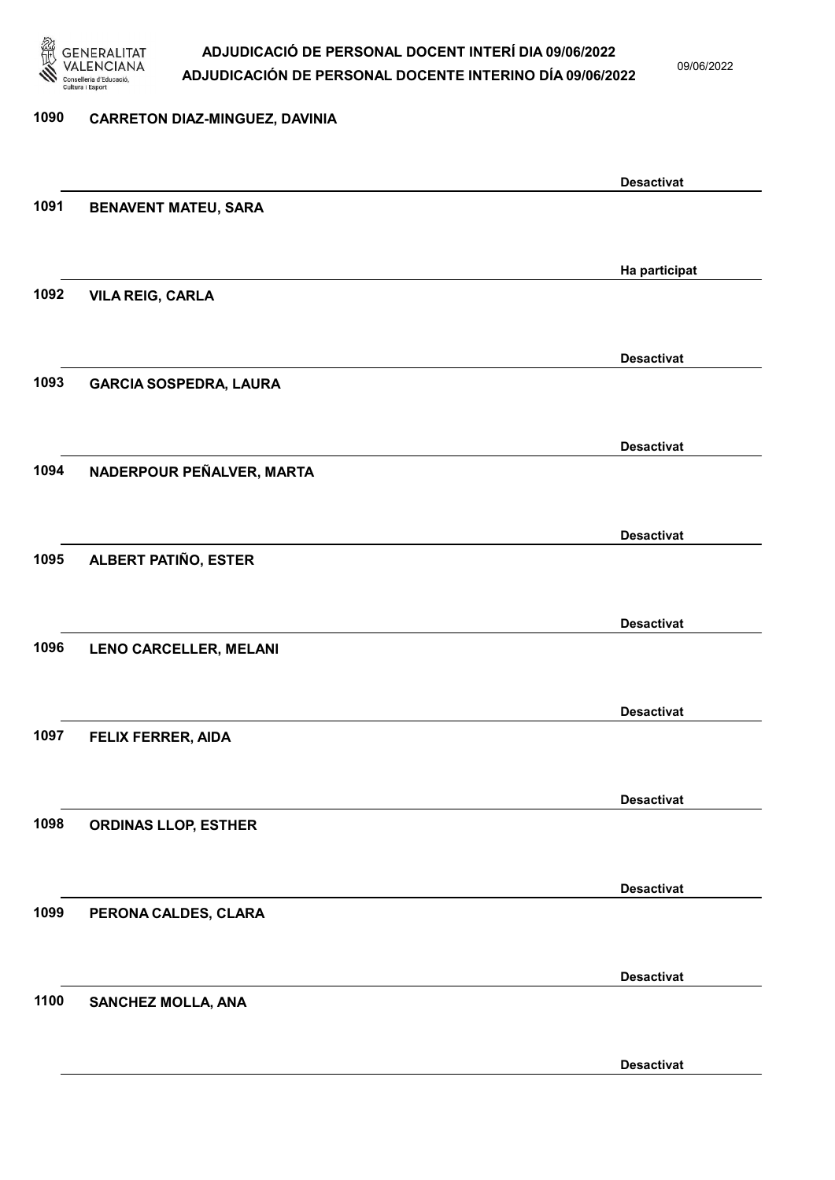

09/06/2022

Desactivat

# 1090 CARRETON DIAZ-MINGUEZ, DAVINIA Desactivat 1091 BENAVENT MATEU, SARA Ha participat 1092 VILA REIG, CARLA Desactivat 1093 GARCIA SOSPEDRA, LAURA Desactivat 1094 NADERPOUR PEÑALVER, MARTA Desactivat 1095 ALBERT PATIÑO, ESTER Desactivat 1096 LENO CARCELLER, MELANI Desactivat 1097 FELIX FERRER, AIDA Desactivat 1098 ORDINAS LLOP, ESTHER Desactivat 1099 PERONA CALDES, CLARA Desactivat 1100 SANCHEZ MOLLA, ANA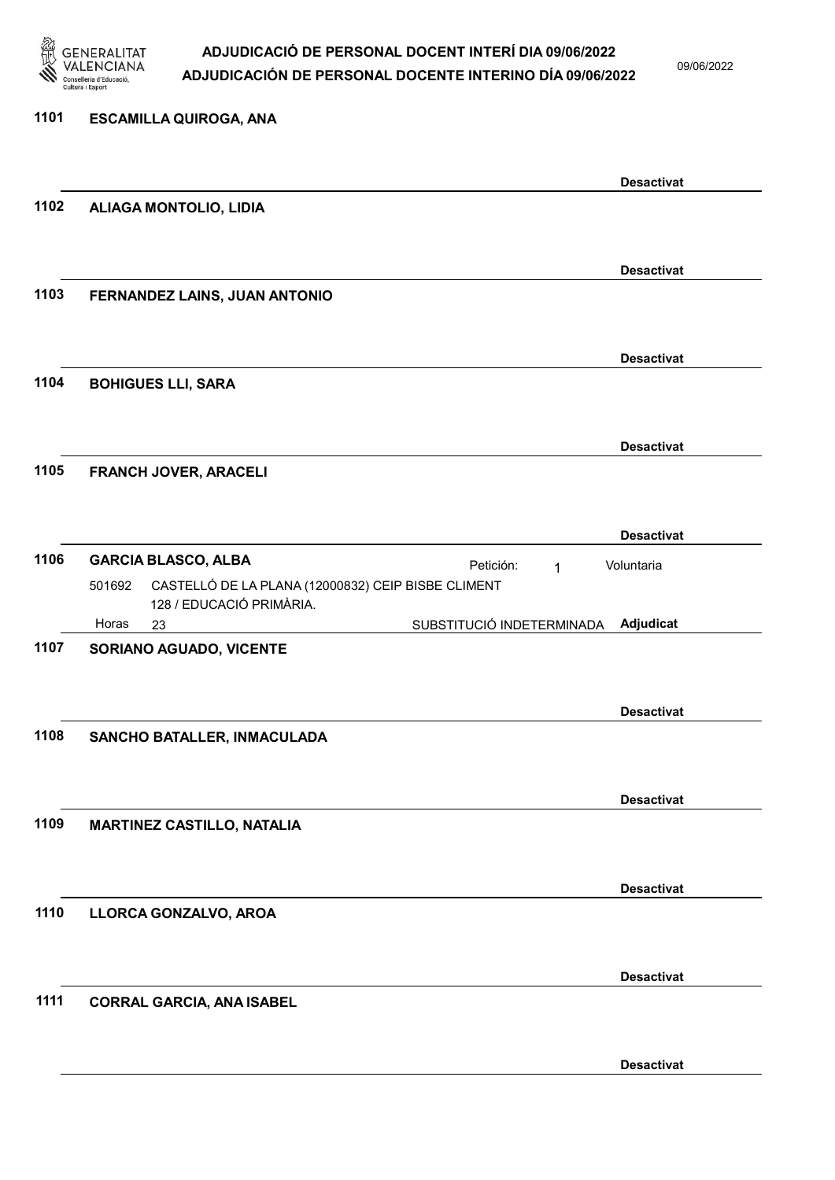

09/06/2022

| 1101 | <b>ESCAMILLA QUIROGA, ANA</b>                                                                                                                       |                   |
|------|-----------------------------------------------------------------------------------------------------------------------------------------------------|-------------------|
|      |                                                                                                                                                     | <b>Desactivat</b> |
| 1102 | ALIAGA MONTOLIO, LIDIA                                                                                                                              |                   |
|      |                                                                                                                                                     | <b>Desactivat</b> |
| 1103 | FERNANDEZ LAINS, JUAN ANTONIO                                                                                                                       |                   |
|      |                                                                                                                                                     |                   |
| 1104 | <b>BOHIGUES LLI, SARA</b>                                                                                                                           | <b>Desactivat</b> |
|      |                                                                                                                                                     |                   |
| 1105 | FRANCH JOVER, ARACELI                                                                                                                               | <b>Desactivat</b> |
|      |                                                                                                                                                     |                   |
|      |                                                                                                                                                     | <b>Desactivat</b> |
| 1106 | <b>GARCIA BLASCO, ALBA</b><br>Petición:<br>$\mathbf{1}$<br>CASTELLÓ DE LA PLANA (12000832) CEIP BISBE CLIMENT<br>501692<br>128 / EDUCACIÓ PRIMÀRIA. | Voluntaria        |
|      | Horas<br>SUBSTITUCIÓ INDETERMINADA<br>23                                                                                                            | Adjudicat         |
| 1107 | <b>SORIANO AGUADO, VICENTE</b>                                                                                                                      |                   |
|      |                                                                                                                                                     | <b>Desactivat</b> |
| 1108 | SANCHO BATALLER, INMACULADA                                                                                                                         |                   |
|      |                                                                                                                                                     | <b>Desactivat</b> |
| 1109 | <b>MARTINEZ CASTILLO, NATALIA</b>                                                                                                                   |                   |
|      |                                                                                                                                                     | <b>Desactivat</b> |
| 1110 | LLORCA GONZALVO, AROA                                                                                                                               |                   |
|      |                                                                                                                                                     | <b>Desactivat</b> |
| 1111 | <b>CORRAL GARCIA, ANA ISABEL</b>                                                                                                                    |                   |
|      |                                                                                                                                                     |                   |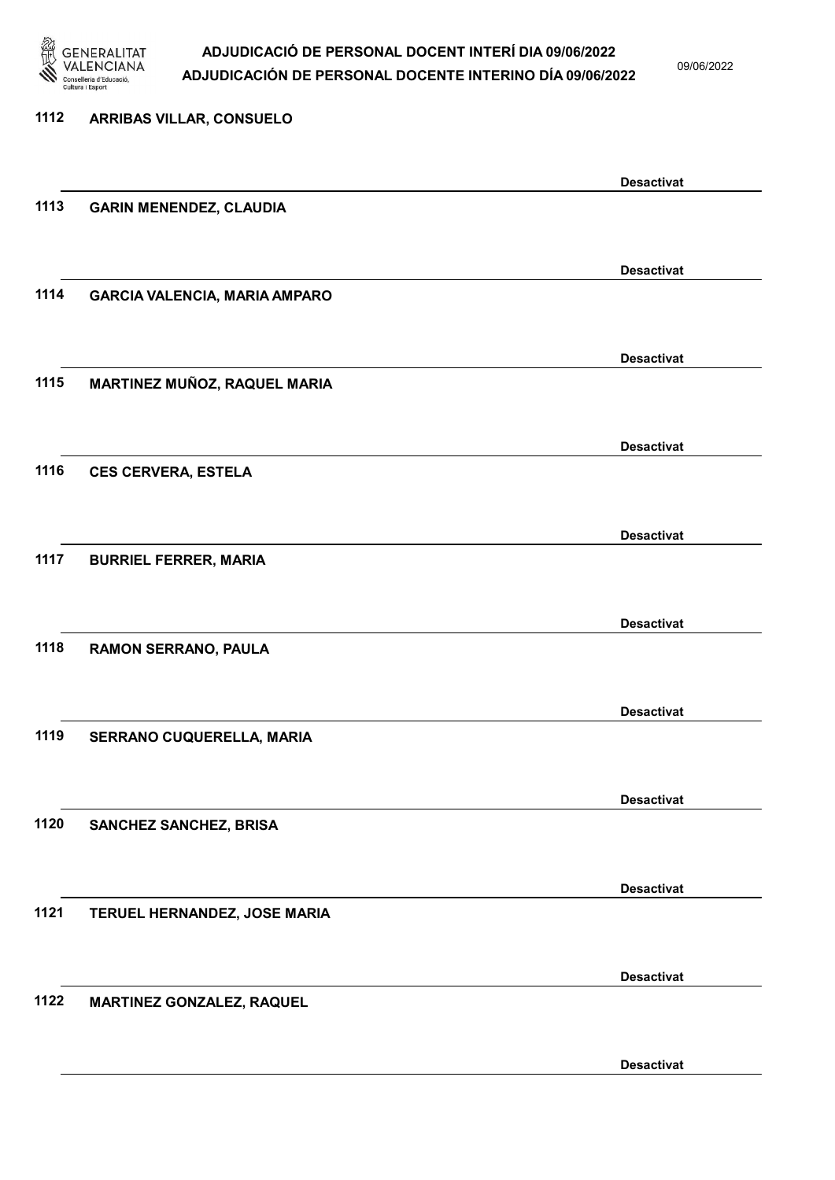

09/06/2022

Desactivat

# 1112 ARRIBAS VILLAR, CONSUELO Desactivat 1113 GARIN MENENDEZ, CLAUDIA Desactivat 1114 GARCIA VALENCIA, MARIA AMPARO Desactivat 1115 MARTINEZ MUÑOZ, RAQUEL MARIA Desactivat 1116 CES CERVERA, ESTELA Desactivat 1117 BURRIEL FERRER, MARIA Desactivat 1118 RAMON SERRANO, PAULA Desactivat 1119 SERRANO CUQUERELLA, MARIA Desactivat 1120 SANCHEZ SANCHEZ, BRISA Desactivat 1121 TERUEL HERNANDEZ, JOSE MARIA Desactivat 1122 MARTINEZ GONZALEZ, RAQUEL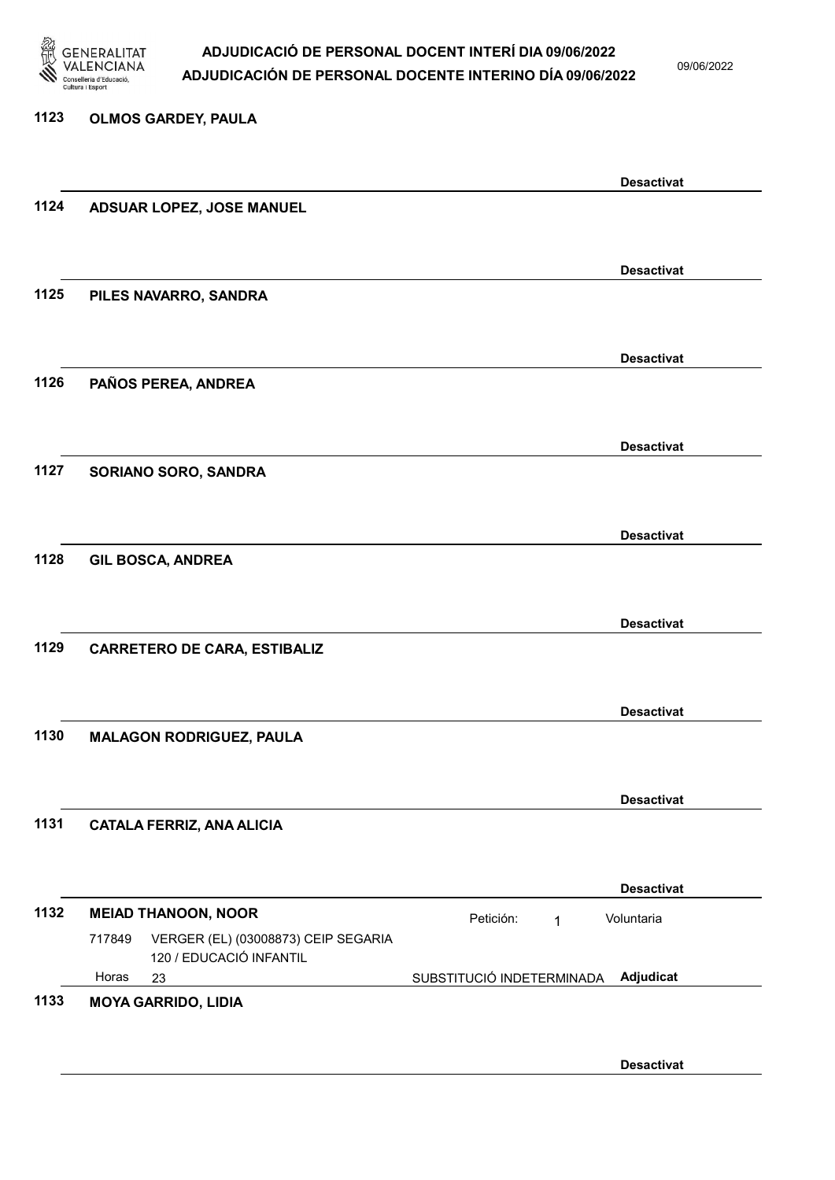

09/06/2022

Desactivat

### 1123 OLMOS GARDEY, PAULA Desactivat 1124 ADSUAR LOPEZ, JOSE MANUEL Desactivat 1125 PILES NAVARRO, SANDRA Desactivat 1126 PAÑOS PEREA, ANDREA Desactivat 1127 SORIANO SORO, SANDRA Desactivat 1128 GIL BOSCA, ANDREA Desactivat 1129 CARRETERO DE CARA, ESTIBALIZ Desactivat 1130 MALAGON RODRIGUEZ, PAULA Desactivat 1131 CATALA FERRIZ, ANA ALICIA Desactivat 1132 MEIAD THANOON, NOOR<br>
1 23 SUBSTITUCIÓ INDETERMINADA VERGER (EL) (03008873) CEIP SEGARIA 120 / EDUCACIÓ INFANTIL Adjudicat Voluntaria 717849 Horas 1133 MOYA GARRIDO, LIDIA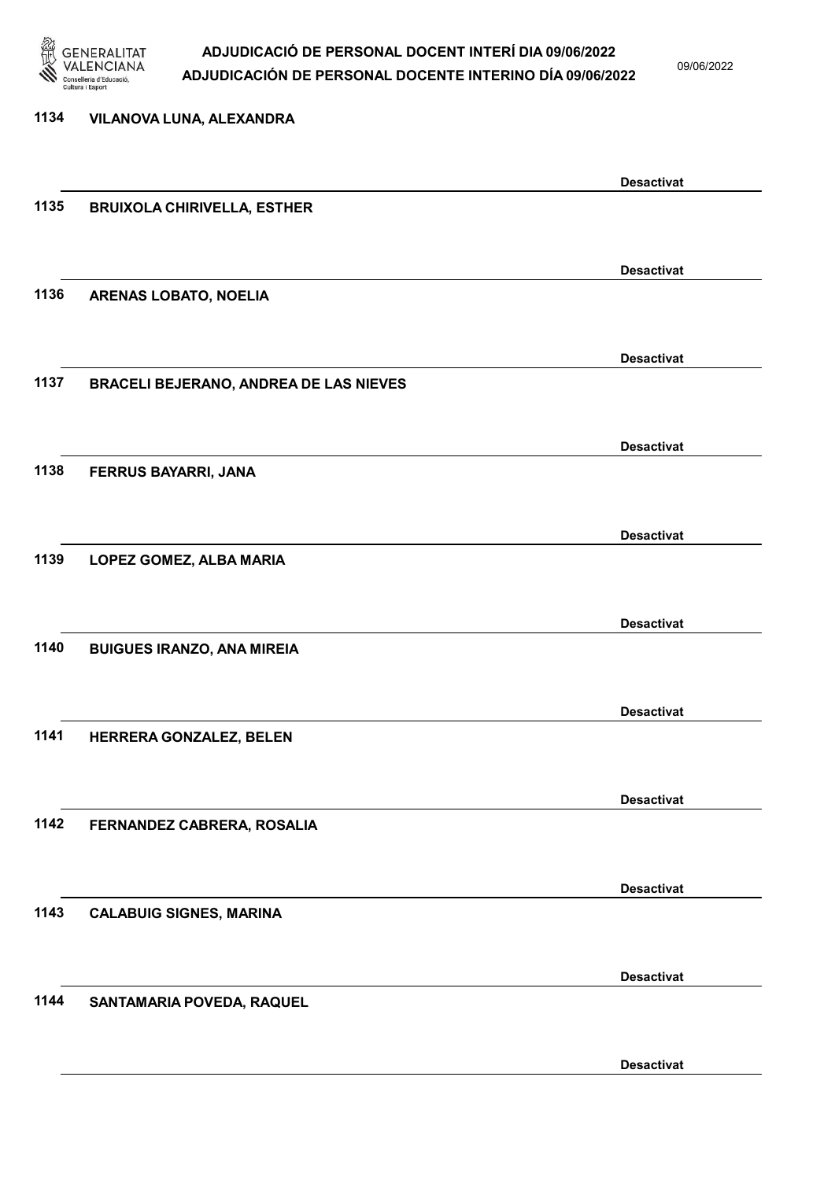

09/06/2022

| <b>Desactivat</b><br>1135<br><b>BRUIXOLA CHIRIVELLA, ESTHER</b><br><b>Desactivat</b><br>1136<br>ARENAS LOBATO, NOELIA<br><b>Desactivat</b><br>1137<br>BRACELI BEJERANO, ANDREA DE LAS NIEVES<br><b>Desactivat</b><br>1138<br>FERRUS BAYARRI, JANA<br><b>Desactivat</b><br>1139<br>LOPEZ GOMEZ, ALBA MARIA<br><b>Desactivat</b><br>1140<br><b>BUIGUES IRANZO, ANA MIREIA</b> |  |
|-----------------------------------------------------------------------------------------------------------------------------------------------------------------------------------------------------------------------------------------------------------------------------------------------------------------------------------------------------------------------------|--|
|                                                                                                                                                                                                                                                                                                                                                                             |  |
|                                                                                                                                                                                                                                                                                                                                                                             |  |
|                                                                                                                                                                                                                                                                                                                                                                             |  |
|                                                                                                                                                                                                                                                                                                                                                                             |  |
|                                                                                                                                                                                                                                                                                                                                                                             |  |
|                                                                                                                                                                                                                                                                                                                                                                             |  |
|                                                                                                                                                                                                                                                                                                                                                                             |  |
|                                                                                                                                                                                                                                                                                                                                                                             |  |
|                                                                                                                                                                                                                                                                                                                                                                             |  |
|                                                                                                                                                                                                                                                                                                                                                                             |  |
|                                                                                                                                                                                                                                                                                                                                                                             |  |
|                                                                                                                                                                                                                                                                                                                                                                             |  |
|                                                                                                                                                                                                                                                                                                                                                                             |  |
|                                                                                                                                                                                                                                                                                                                                                                             |  |
|                                                                                                                                                                                                                                                                                                                                                                             |  |
|                                                                                                                                                                                                                                                                                                                                                                             |  |
|                                                                                                                                                                                                                                                                                                                                                                             |  |
|                                                                                                                                                                                                                                                                                                                                                                             |  |
|                                                                                                                                                                                                                                                                                                                                                                             |  |
|                                                                                                                                                                                                                                                                                                                                                                             |  |
|                                                                                                                                                                                                                                                                                                                                                                             |  |
| <b>Desactivat</b>                                                                                                                                                                                                                                                                                                                                                           |  |
| 1141<br>HERRERA GONZALEZ, BELEN                                                                                                                                                                                                                                                                                                                                             |  |
|                                                                                                                                                                                                                                                                                                                                                                             |  |
| <b>Desactivat</b>                                                                                                                                                                                                                                                                                                                                                           |  |
| 1142<br>FERNANDEZ CABRERA, ROSALIA                                                                                                                                                                                                                                                                                                                                          |  |
|                                                                                                                                                                                                                                                                                                                                                                             |  |
|                                                                                                                                                                                                                                                                                                                                                                             |  |
| <b>Desactivat</b>                                                                                                                                                                                                                                                                                                                                                           |  |
| 1143<br><b>CALABUIG SIGNES, MARINA</b>                                                                                                                                                                                                                                                                                                                                      |  |
|                                                                                                                                                                                                                                                                                                                                                                             |  |
| <b>Desactivat</b>                                                                                                                                                                                                                                                                                                                                                           |  |
| 1144<br>SANTAMARIA POVEDA, RAQUEL                                                                                                                                                                                                                                                                                                                                           |  |
|                                                                                                                                                                                                                                                                                                                                                                             |  |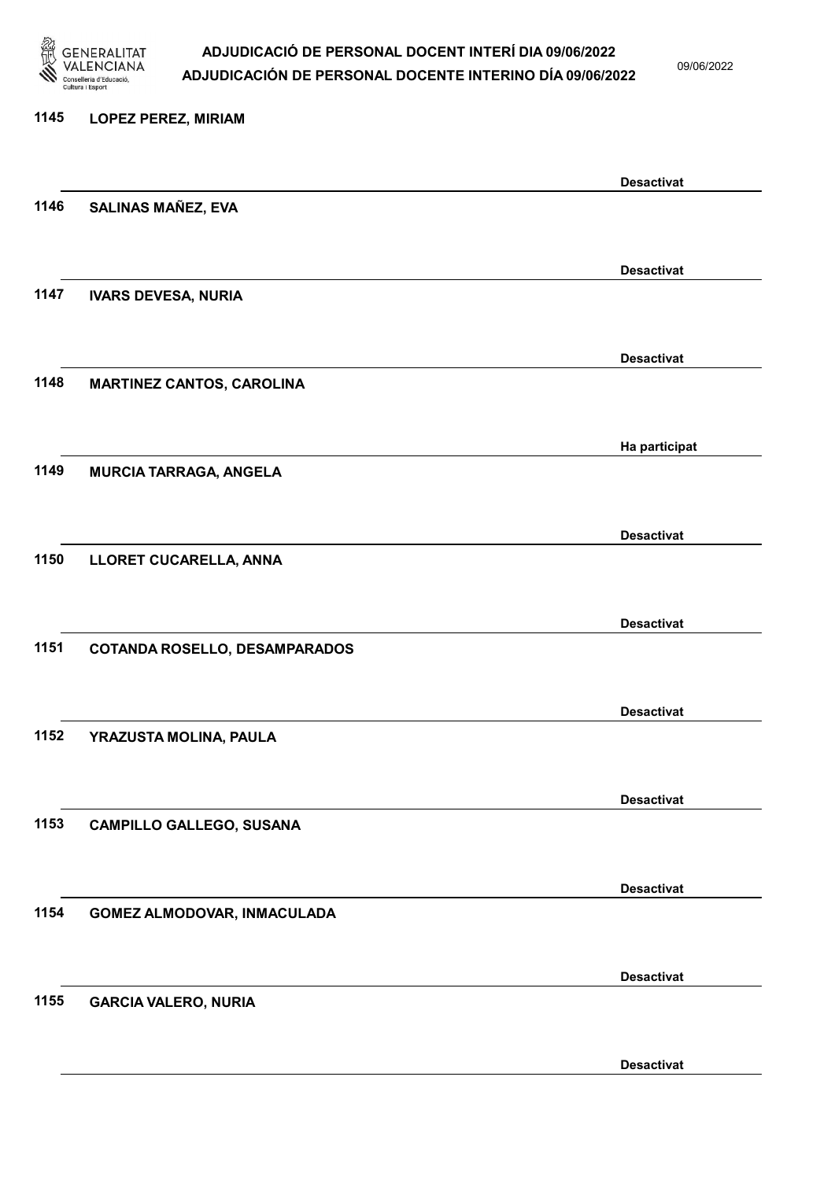

09/06/2022

| 1145 | <b>LOPEZ PEREZ, MIRIAM</b>           |                   |
|------|--------------------------------------|-------------------|
|      |                                      | <b>Desactivat</b> |
| 1146 | <b>SALINAS MAÑEZ, EVA</b>            |                   |
|      |                                      | <b>Desactivat</b> |
| 1147 | <b>IVARS DEVESA, NURIA</b>           |                   |
|      |                                      | <b>Desactivat</b> |
| 1148 | <b>MARTINEZ CANTOS, CAROLINA</b>     |                   |
|      |                                      | Ha participat     |
| 1149 | <b>MURCIA TARRAGA, ANGELA</b>        |                   |
|      |                                      | <b>Desactivat</b> |
| 1150 | LLORET CUCARELLA, ANNA               |                   |
| 1151 |                                      | <b>Desactivat</b> |
|      | <b>COTANDA ROSELLO, DESAMPARADOS</b> |                   |
| 1152 |                                      | <b>Desactivat</b> |
|      | YRAZUSTA MOLINA, PAULA               |                   |
| 1153 |                                      | <b>Desactivat</b> |
|      | <b>CAMPILLO GALLEGO, SUSANA</b>      |                   |
|      |                                      | <b>Desactivat</b> |
| 1154 | GOMEZ ALMODOVAR, INMACULADA          |                   |
|      |                                      | <b>Desactivat</b> |
| 1155 | <b>GARCIA VALERO, NURIA</b>          |                   |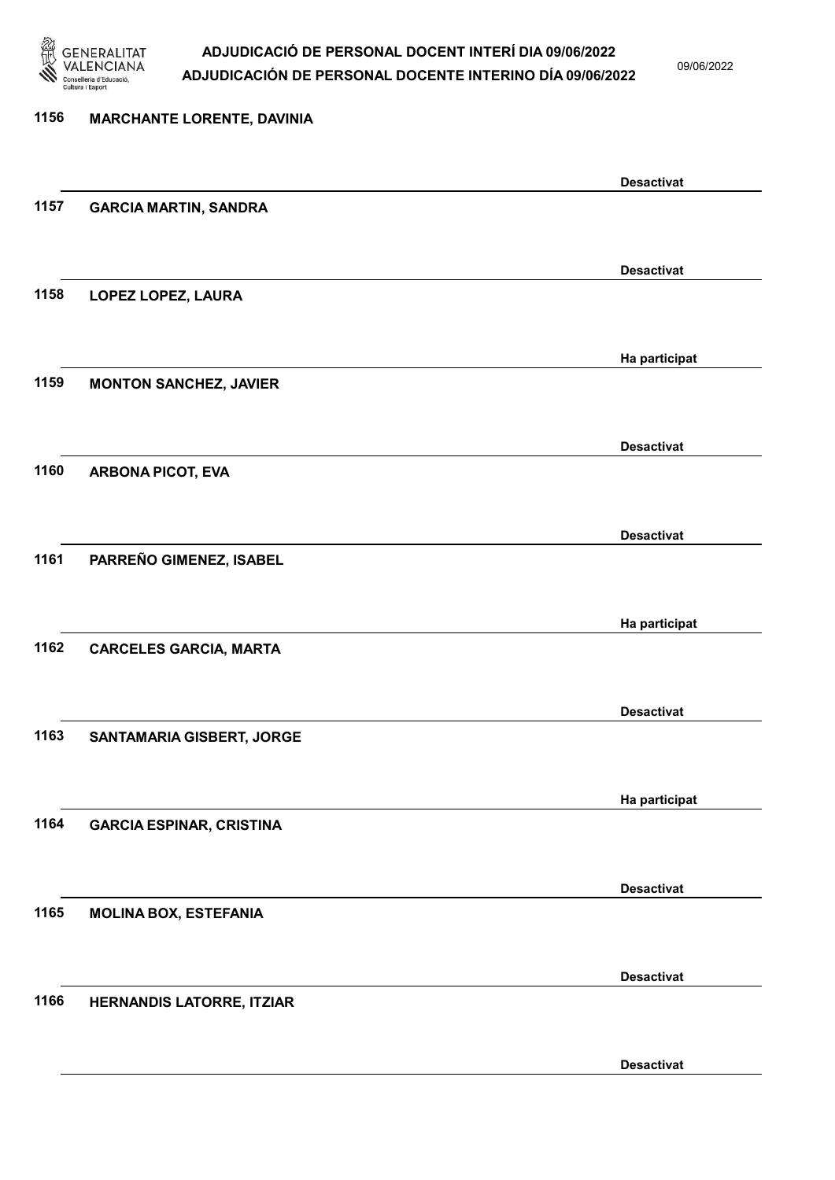

09/06/2022

### 1156 MARCHANTE LORENTE, DAVINIA Desactivat 1157 GARCIA MARTIN, SANDRA Desactivat 1158 LOPEZ LOPEZ, LAURA Ha participat 1159 MONTON SANCHEZ, JAVIER Desactivat 1160 ARBONA PICOT, EVA Desactivat 1161 PARREÑO GIMENEZ, ISABEL Ha participat 1162 CARCELES GARCIA, MARTA Desactivat 1163 SANTAMARIA GISBERT, JORGE Ha participat 1164 GARCIA ESPINAR, CRISTINA Desactivat 1165 MOLINA BOX, ESTEFANIA Desactivat 1166 HERNANDIS LATORRE, ITZIAR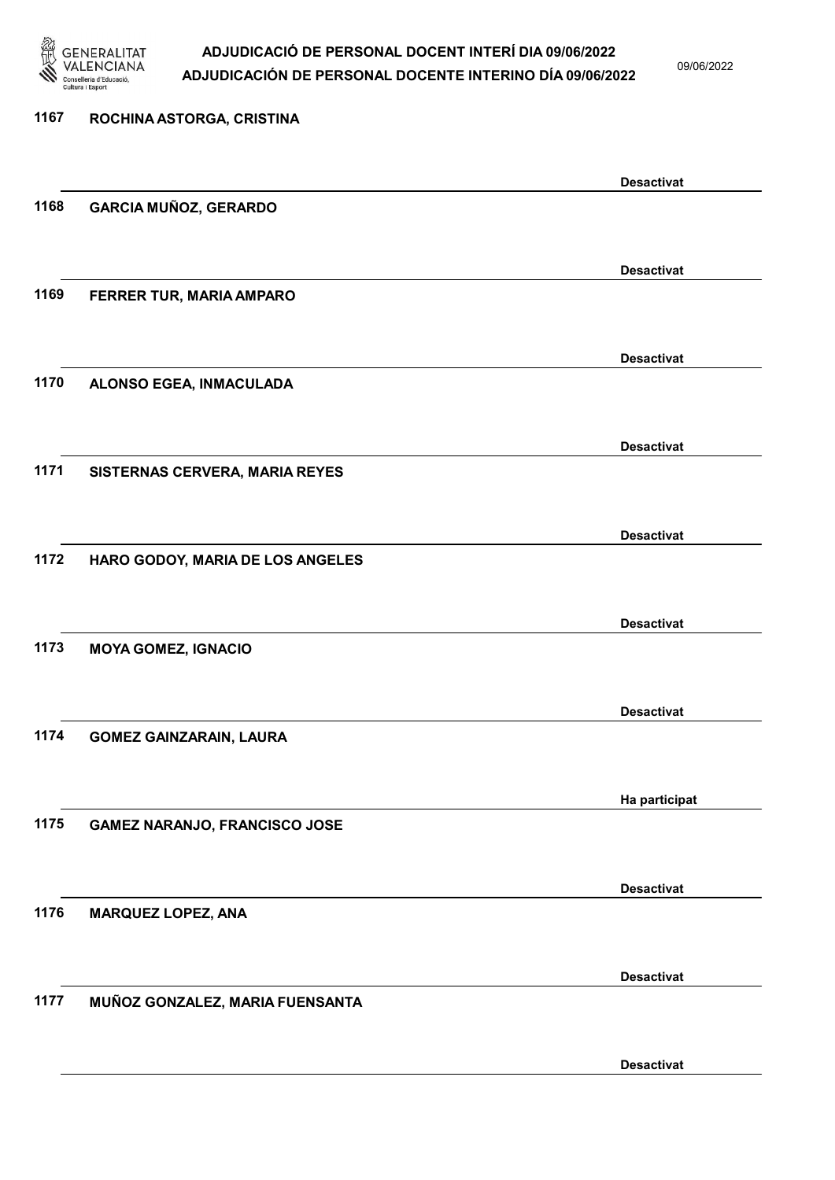

09/06/2022

| 1167 | ROCHINA ASTORGA, CRISTINA            |                   |
|------|--------------------------------------|-------------------|
|      |                                      | <b>Desactivat</b> |
| 1168 | <b>GARCIA MUÑOZ, GERARDO</b>         |                   |
|      |                                      | <b>Desactivat</b> |
| 1169 | FERRER TUR, MARIA AMPARO             |                   |
|      |                                      | <b>Desactivat</b> |
| 1170 | ALONSO EGEA, INMACULADA              |                   |
|      |                                      | <b>Desactivat</b> |
| 1171 | SISTERNAS CERVERA, MARIA REYES       |                   |
|      |                                      | <b>Desactivat</b> |
| 1172 | HARO GODOY, MARIA DE LOS ANGELES     |                   |
|      |                                      | <b>Desactivat</b> |
| 1173 | <b>MOYA GOMEZ, IGNACIO</b>           |                   |
|      |                                      | <b>Desactivat</b> |
| 1174 | <b>GOMEZ GAINZARAIN, LAURA</b>       |                   |
|      |                                      | Ha participat     |
| 1175 | <b>GAMEZ NARANJO, FRANCISCO JOSE</b> |                   |
|      |                                      | <b>Desactivat</b> |
| 1176 | <b>MARQUEZ LOPEZ, ANA</b>            |                   |
|      |                                      | <b>Desactivat</b> |
| 1177 | MUÑOZ GONZALEZ, MARIA FUENSANTA      |                   |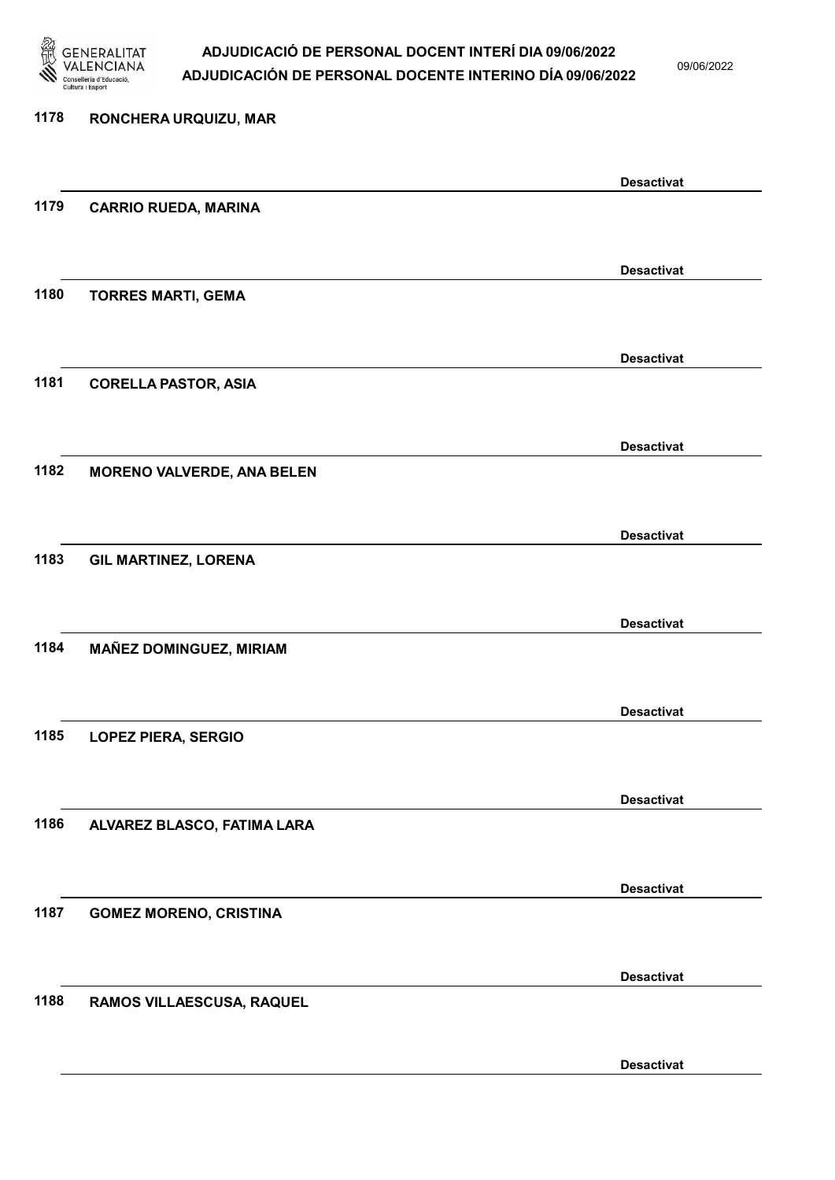

09/06/2022

Desactivat

# 1178 RONCHERA URQUIZU, MAR Desactivat 1179 CARRIO RUEDA, MARINA Desactivat 1180 TORRES MARTI, GEMA Desactivat 1181 CORELLA PASTOR, ASIA Desactivat 1182 MORENO VALVERDE, ANA BELEN Desactivat 1183 GIL MARTINEZ, LORENA Desactivat 1184 MAÑEZ DOMINGUEZ, MIRIAM Desactivat 1185 LOPEZ PIERA, SERGIO Desactivat 1186 ALVAREZ BLASCO, FATIMA LARA Desactivat 1187 GOMEZ MORENO, CRISTINA Desactivat 1188 RAMOS VILLAESCUSA, RAQUEL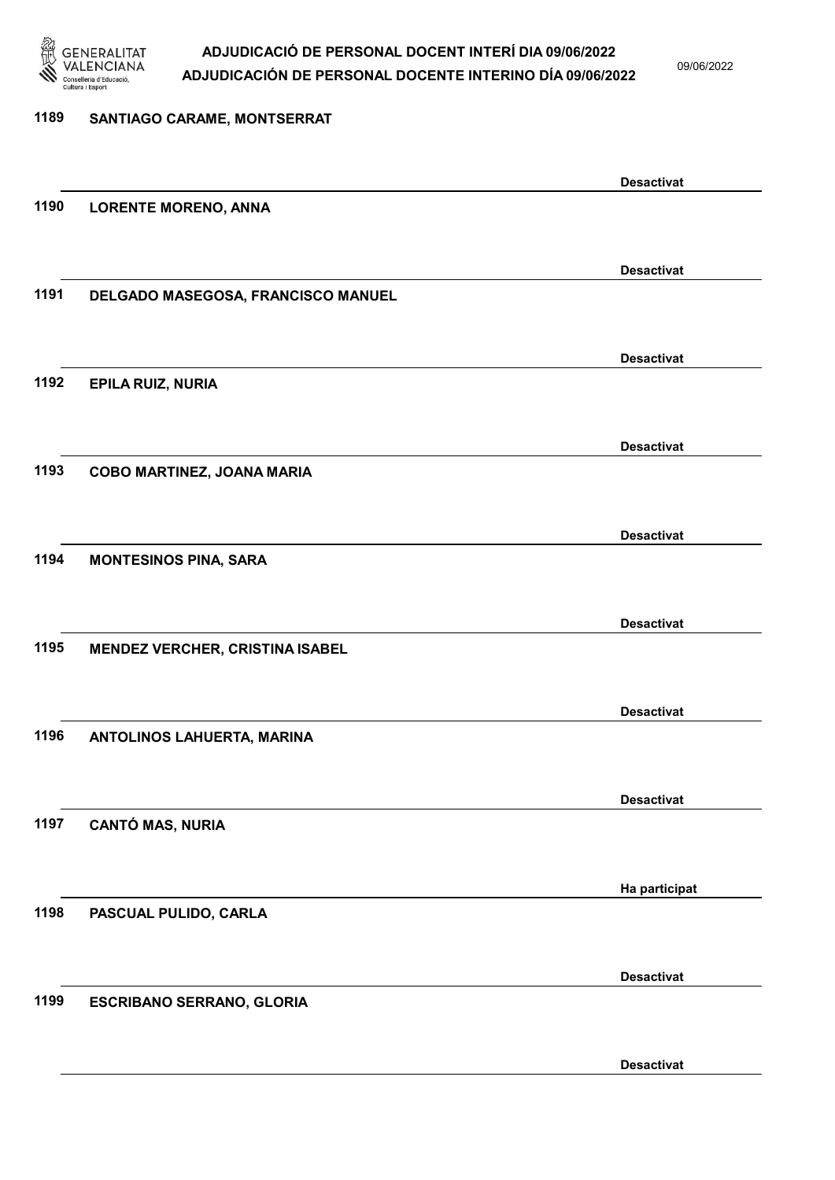

09/06/2022

| 1189 | SANTIAGO CARAME, MONTSERRAT            |                   |
|------|----------------------------------------|-------------------|
|      |                                        |                   |
|      |                                        | <b>Desactivat</b> |
| 1190 | <b>LORENTE MORENO, ANNA</b>            |                   |
|      |                                        |                   |
|      |                                        | <b>Desactivat</b> |
| 1191 | DELGADO MASEGOSA, FRANCISCO MANUEL     |                   |
|      |                                        |                   |
|      |                                        | <b>Desactivat</b> |
| 1192 | EPILA RUIZ, NURIA                      |                   |
|      |                                        |                   |
|      |                                        | <b>Desactivat</b> |
| 1193 | COBO MARTINEZ, JOANA MARIA             |                   |
|      |                                        |                   |
| 1194 | <b>MONTESINOS PINA, SARA</b>           | <b>Desactivat</b> |
|      |                                        |                   |
|      |                                        | <b>Desactivat</b> |
| 1195 | <b>MENDEZ VERCHER, CRISTINA ISABEL</b> |                   |
|      |                                        |                   |
|      |                                        | <b>Desactivat</b> |
| 1196 | ANTOLINOS LAHUERTA, MARINA             |                   |
|      |                                        |                   |
|      |                                        | <b>Desactivat</b> |
| 1197 | <b>CANTÓ MAS, NURIA</b>                |                   |
|      |                                        |                   |
|      |                                        | Ha participat     |
| 1198 | PASCUAL PULIDO, CARLA                  |                   |
|      |                                        |                   |
|      |                                        | <b>Desactivat</b> |
| 1199 | <b>ESCRIBANO SERRANO, GLORIA</b>       |                   |
|      |                                        |                   |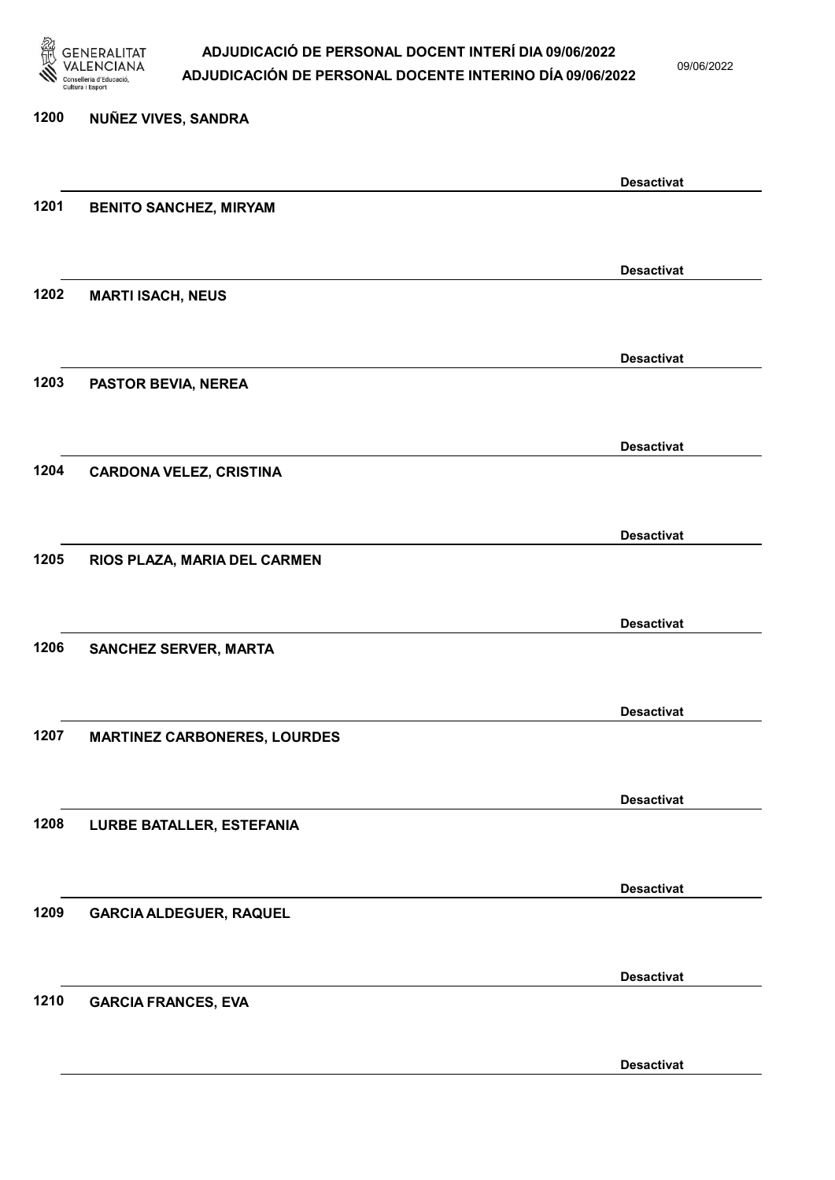

09/06/2022

Desactivat

# 1200 NUÑEZ VIVES, SANDRA Desactivat 1201 BENITO SANCHEZ, MIRYAM Desactivat 1202 MARTI ISACH, NEUS Desactivat 1203 PASTOR BEVIA, NEREA Desactivat 1204 CARDONA VELEZ, CRISTINA Desactivat 1205 RIOS PLAZA, MARIA DEL CARMEN Desactivat 1206 SANCHEZ SERVER, MARTA Desactivat 1207 MARTINEZ CARBONERES, LOURDES Desactivat 1208 LURBE BATALLER, ESTEFANIA Desactivat 1209 GARCIA ALDEGUER, RAQUEL Desactivat 1210 GARCIA FRANCES, EVA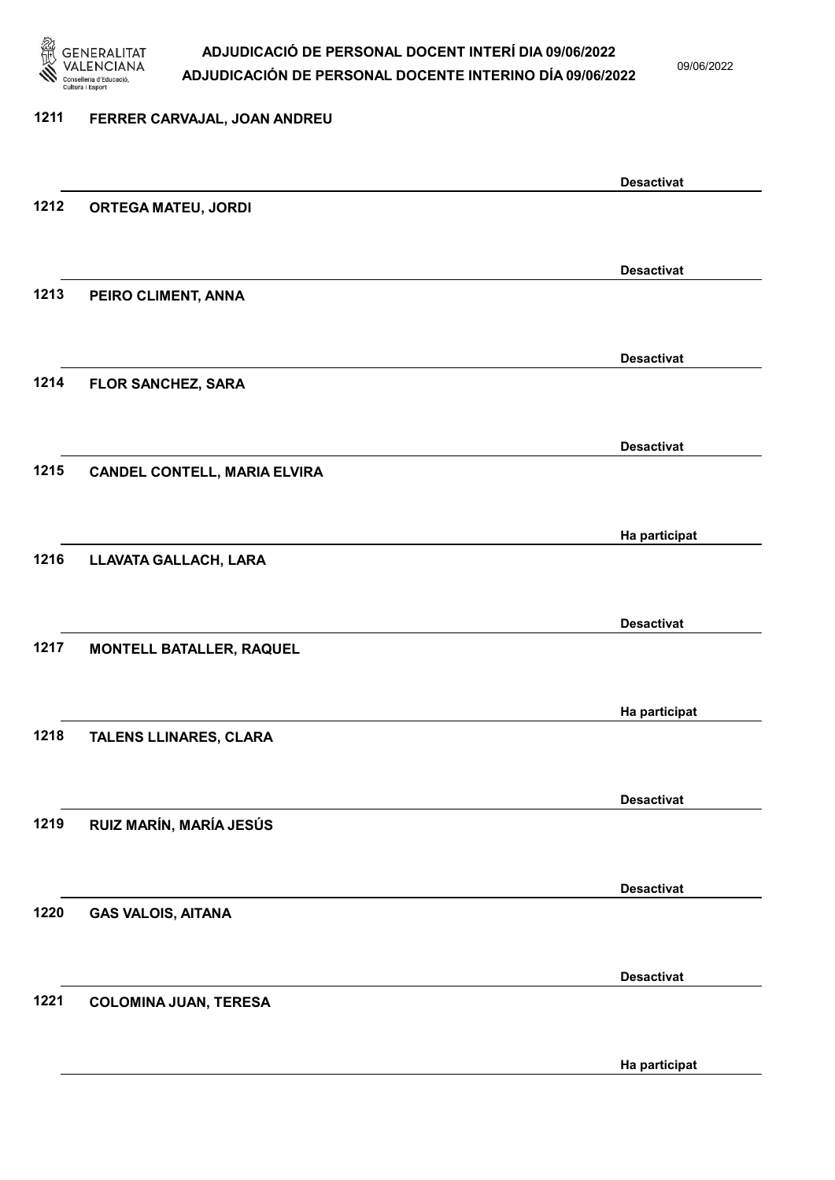

09/06/2022

Ha participat

# 1211 FERRER CARVAJAL, JOAN ANDREU Desactivat 1212 ORTEGA MATEU, JORDI Desactivat 1213 PEIRO CLIMENT, ANNA Desactivat 1214 FLOR SANCHEZ, SARA Desactivat 1215 CANDEL CONTELL, MARIA ELVIRA Ha participat 1216 LLAVATA GALLACH, LARA Desactivat 1217 MONTELL BATALLER, RAQUEL Ha participat 1218 TALENS LLINARES, CLARA Desactivat 1219 RUIZ MARÍN, MARÍA JESÚS Desactivat 1220 GAS VALOIS, AITANA Desactivat 1221 COLOMINA JUAN, TERESA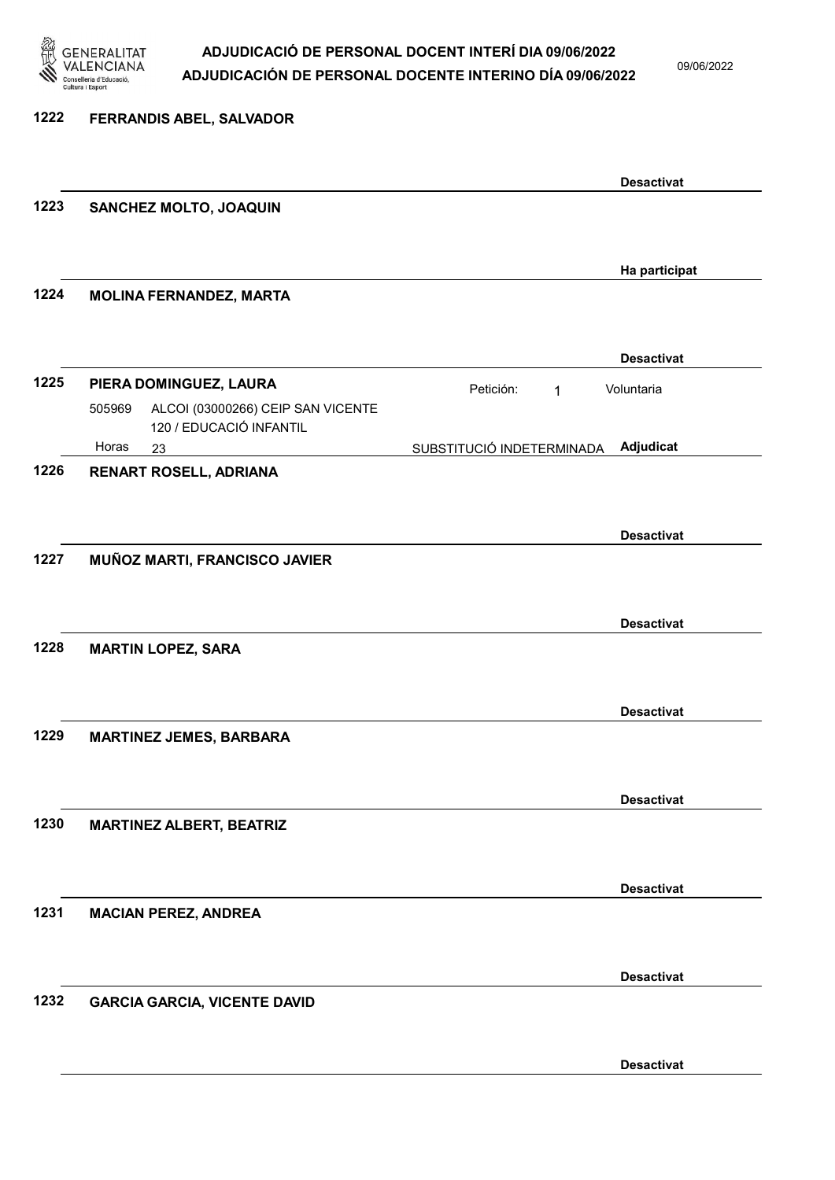

09/06/2022

| 1222 | FERRANDIS ABEL, SALVADOR                                              |                                         |
|------|-----------------------------------------------------------------------|-----------------------------------------|
|      |                                                                       | <b>Desactivat</b>                       |
| 1223 | SANCHEZ MOLTO, JOAQUIN                                                |                                         |
|      |                                                                       | Ha participat                           |
| 1224 | <b>MOLINA FERNANDEZ, MARTA</b>                                        |                                         |
|      |                                                                       | <b>Desactivat</b>                       |
| 1225 | PIERA DOMINGUEZ, LAURA<br>ALCOI (03000266) CEIP SAN VICENTE<br>505969 | Petición:<br>Voluntaria<br>$\mathbf{1}$ |
|      | 120 / EDUCACIÓ INFANTIL<br>Horas<br>23                                | Adjudicat<br>SUBSTITUCIÓ INDETERMINADA  |
| 1226 | RENART ROSELL, ADRIANA                                                |                                         |
|      |                                                                       | <b>Desactivat</b>                       |
| 1227 | MUÑOZ MARTI, FRANCISCO JAVIER                                         |                                         |
|      |                                                                       | <b>Desactivat</b>                       |
| 1228 | <b>MARTIN LOPEZ, SARA</b>                                             |                                         |
|      |                                                                       | <b>Desactivat</b>                       |
| 1229 | <b>MARTINEZ JEMES, BARBARA</b>                                        |                                         |
|      |                                                                       |                                         |
| 1230 | <b>MARTINEZ ALBERT, BEATRIZ</b>                                       | <b>Desactivat</b>                       |
|      |                                                                       |                                         |
| 1231 | <b>MACIAN PEREZ, ANDREA</b>                                           | <b>Desactivat</b>                       |
|      |                                                                       |                                         |
| 1232 | <b>GARCIA GARCIA, VICENTE DAVID</b>                                   | <b>Desactivat</b>                       |
|      |                                                                       |                                         |
|      |                                                                       | <b>Desactivat</b>                       |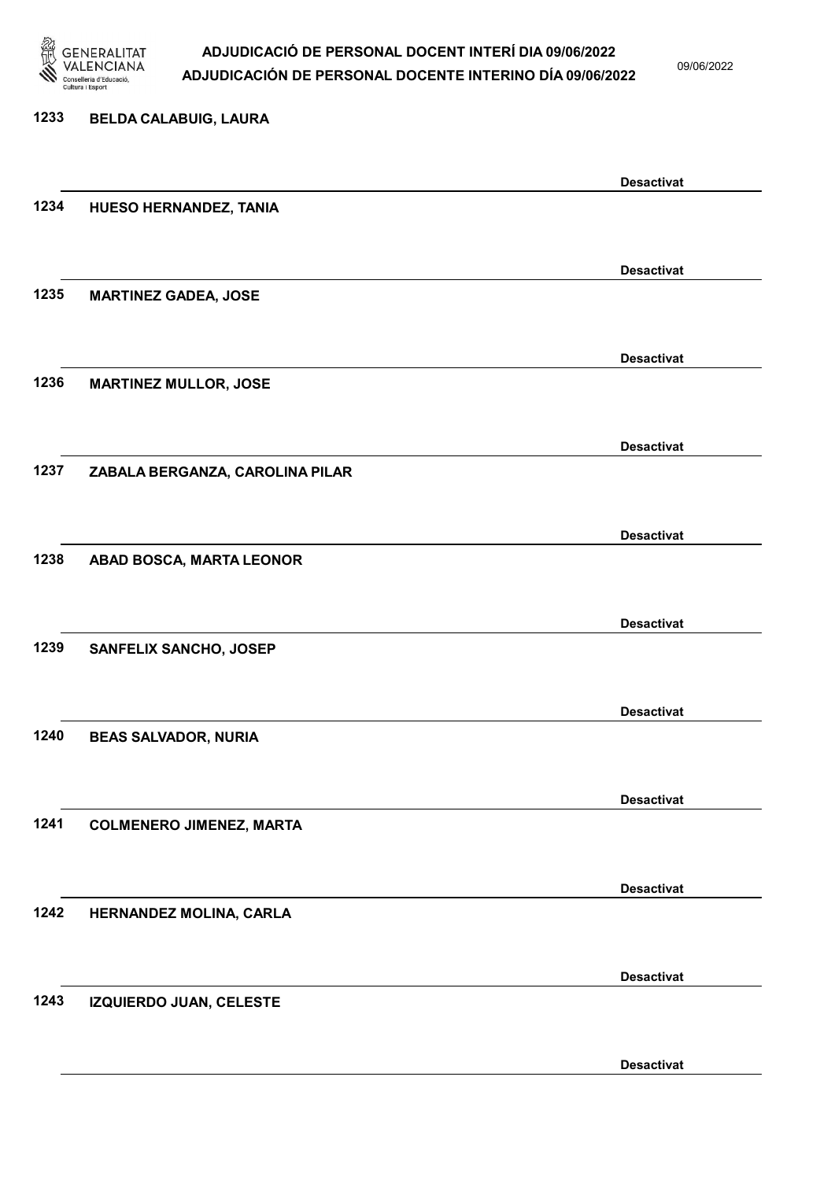

09/06/2022

Desactivat

# 1233 BELDA CALABUIG, LAURA Desactivat 1234 HUESO HERNANDEZ, TANIA Desactivat 1235 MARTINEZ GADEA, JOSE Desactivat 1236 MARTINEZ MULLOR, JOSE Desactivat 1237 ZABALA BERGANZA, CAROLINA PILAR Desactivat 1238 ABAD BOSCA, MARTA LEONOR Desactivat 1239 SANFELIX SANCHO, JOSEP Desactivat 1240 BEAS SALVADOR, NURIA Desactivat 1241 COLMENERO JIMENEZ, MARTA Desactivat 1242 HERNANDEZ MOLINA, CARLA Desactivat 1243 IZQUIERDO JUAN, CELESTE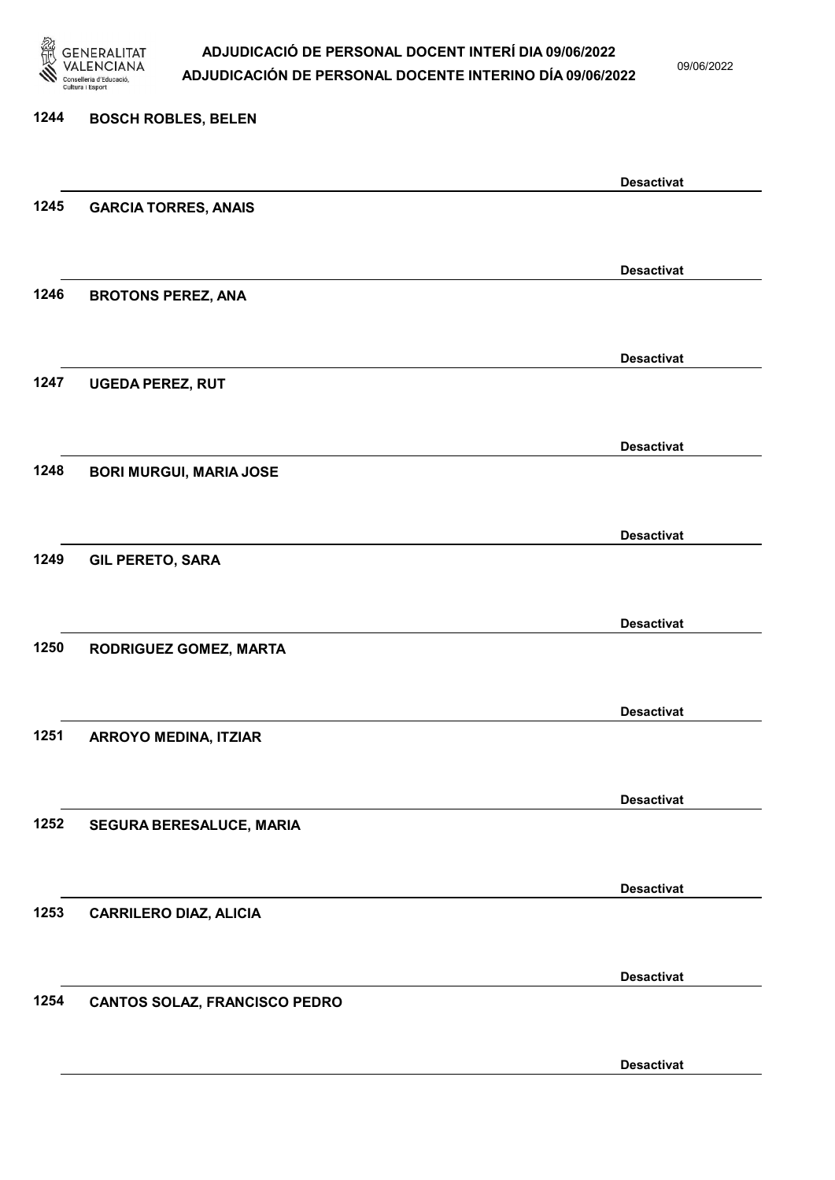

09/06/2022

Desactivat

# 1244 BOSCH ROBLES, BELEN Desactivat 1245 GARCIA TORRES, ANAIS Desactivat 1246 BROTONS PEREZ, ANA Desactivat 1247 UGEDA PEREZ, RUT Desactivat 1248 BORI MURGUI, MARIA JOSE Desactivat 1249 GIL PERETO, SARA Desactivat 1250 RODRIGUEZ GOMEZ, MARTA Desactivat 1251 ARROYO MEDINA, ITZIAR Desactivat 1252 SEGURA BERESALUCE, MARIA Desactivat 1253 CARRILERO DIAZ, ALICIA Desactivat 1254 CANTOS SOLAZ, FRANCISCO PEDRO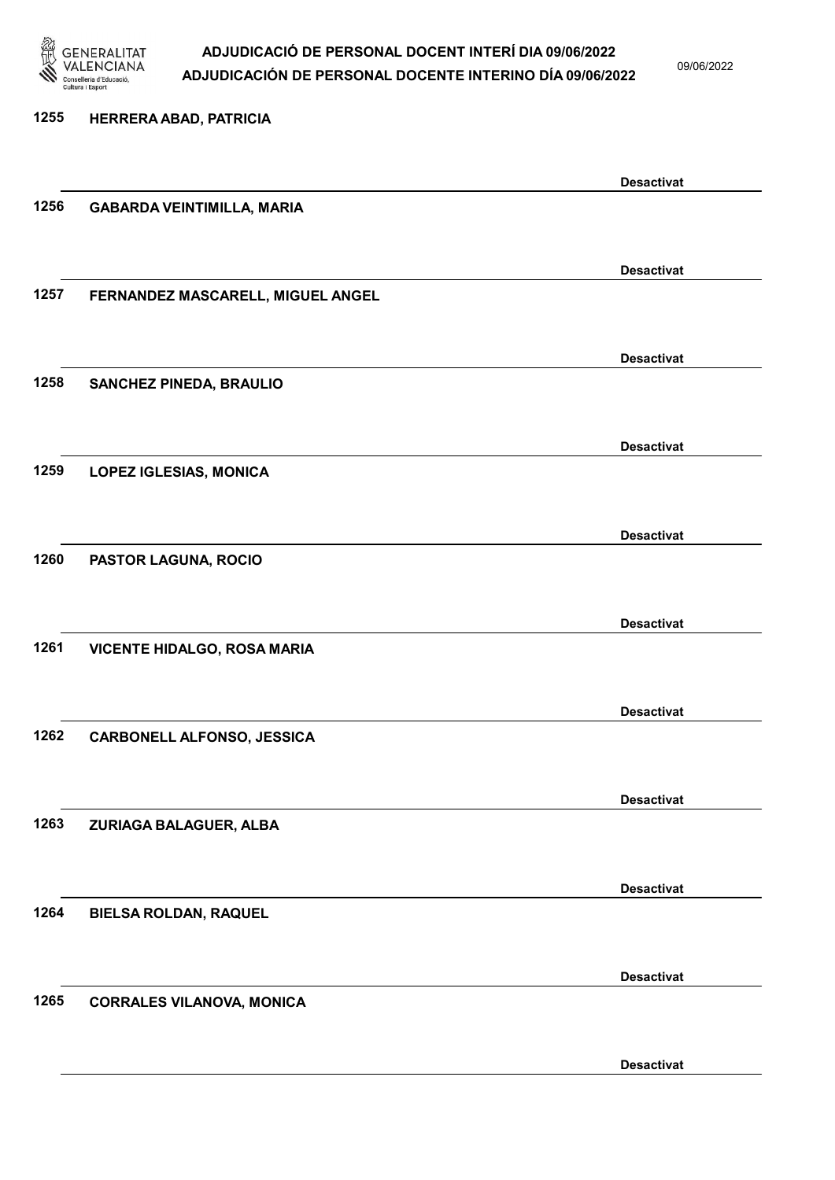

09/06/2022

| 1255 | HERRERA ABAD, PATRICIA             |                   |
|------|------------------------------------|-------------------|
|      |                                    |                   |
|      |                                    | <b>Desactivat</b> |
| 1256 | <b>GABARDA VEINTIMILLA, MARIA</b>  |                   |
|      |                                    |                   |
|      |                                    | <b>Desactivat</b> |
| 1257 | FERNANDEZ MASCARELL, MIGUEL ANGEL  |                   |
|      |                                    |                   |
|      |                                    | <b>Desactivat</b> |
| 1258 | <b>SANCHEZ PINEDA, BRAULIO</b>     |                   |
|      |                                    |                   |
|      |                                    | <b>Desactivat</b> |
| 1259 | <b>LOPEZ IGLESIAS, MONICA</b>      |                   |
|      |                                    |                   |
|      |                                    | <b>Desactivat</b> |
| 1260 | PASTOR LAGUNA, ROCIO               |                   |
|      |                                    |                   |
| 1261 |                                    | <b>Desactivat</b> |
|      | <b>VICENTE HIDALGO, ROSA MARIA</b> |                   |
|      |                                    |                   |
| 1262 | <b>CARBONELL ALFONSO, JESSICA</b>  | <b>Desactivat</b> |
|      |                                    |                   |
|      |                                    | <b>Desactivat</b> |
| 1263 | ZURIAGA BALAGUER, ALBA             |                   |
|      |                                    |                   |
|      |                                    | <b>Desactivat</b> |
| 1264 | <b>BIELSA ROLDAN, RAQUEL</b>       |                   |
|      |                                    |                   |
|      |                                    | <b>Desactivat</b> |
| 1265 | <b>CORRALES VILANOVA, MONICA</b>   |                   |
|      |                                    |                   |
|      |                                    |                   |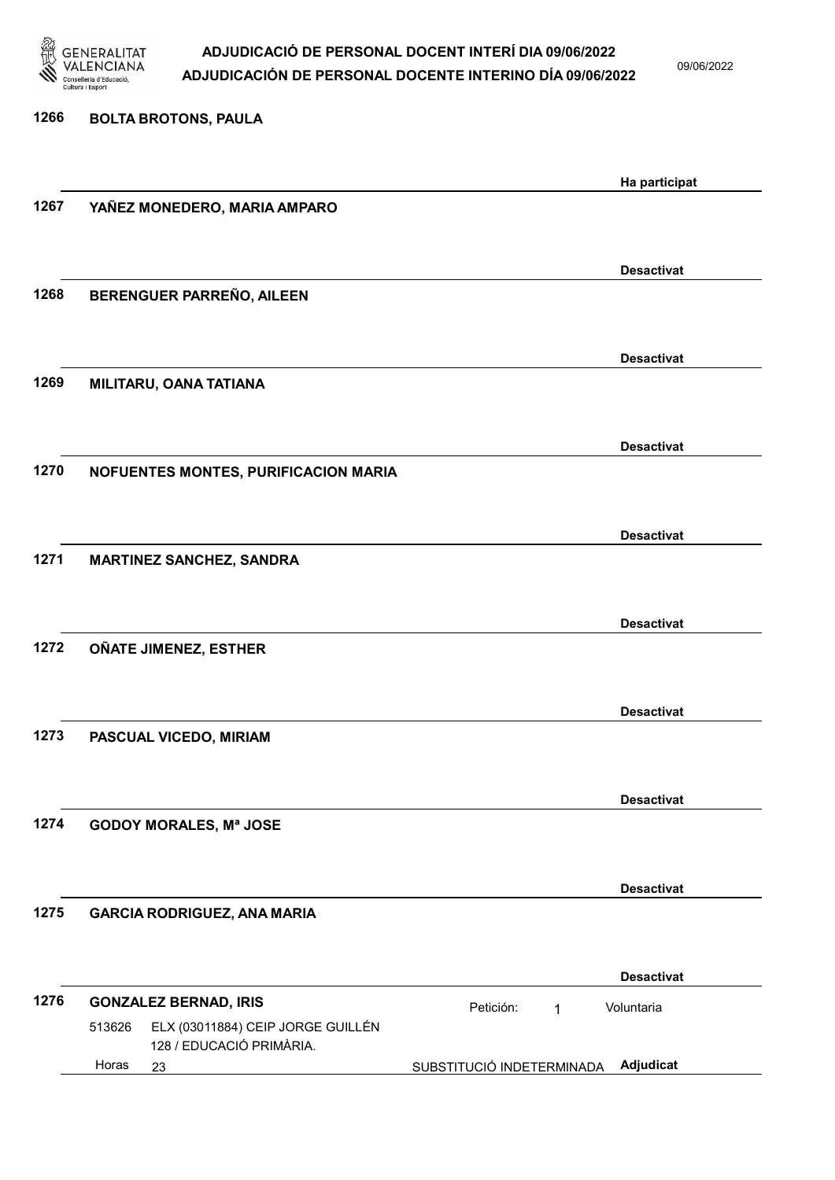

09/06/2022

| 1266 | <b>BOLTA BROTONS, PAULA</b>                                             |                           |                   |
|------|-------------------------------------------------------------------------|---------------------------|-------------------|
|      |                                                                         |                           | Ha participat     |
| 1267 | YAÑEZ MONEDERO, MARIA AMPARO                                            |                           |                   |
|      |                                                                         |                           | <b>Desactivat</b> |
| 1268 | BERENGUER PARREÑO, AILEEN                                               |                           |                   |
|      |                                                                         |                           | <b>Desactivat</b> |
| 1269 | MILITARU, OANA TATIANA                                                  |                           |                   |
|      |                                                                         |                           | <b>Desactivat</b> |
| 1270 | NOFUENTES MONTES, PURIFICACION MARIA                                    |                           |                   |
|      |                                                                         |                           | <b>Desactivat</b> |
| 1271 | <b>MARTINEZ SANCHEZ, SANDRA</b>                                         |                           |                   |
|      |                                                                         |                           | <b>Desactivat</b> |
| 1272 | OÑATE JIMENEZ, ESTHER                                                   |                           |                   |
|      |                                                                         |                           | <b>Desactivat</b> |
| 1273 | PASCUAL VICEDO, MIRIAM                                                  |                           |                   |
|      |                                                                         |                           | <b>Desactivat</b> |
| 1274 | <b>GODOY MORALES, Mª JOSE</b>                                           |                           |                   |
|      |                                                                         |                           | <b>Desactivat</b> |
| 1275 | <b>GARCIA RODRIGUEZ, ANA MARIA</b>                                      |                           |                   |
|      |                                                                         |                           | <b>Desactivat</b> |
| 1276 | <b>GONZALEZ BERNAD, IRIS</b>                                            | Petición:<br>$\mathbf{1}$ | Voluntaria        |
|      | ELX (03011884) CEIP JORGE GUILLÉN<br>513626<br>128 / EDUCACIÓ PRIMÀRIA. |                           |                   |
|      | Horas<br>23                                                             | SUBSTITUCIÓ INDETERMINADA | Adjudicat         |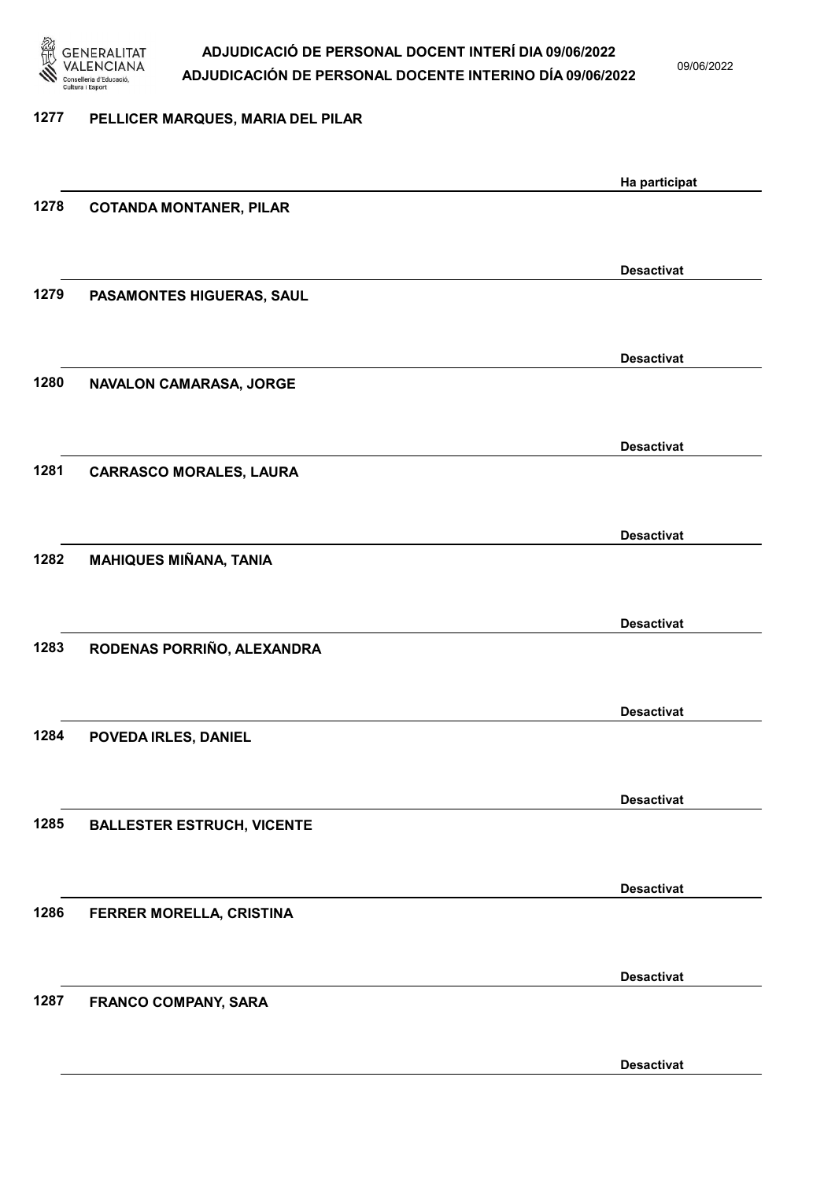

09/06/2022

#### 1277 PELLICER MARQUES, MARIA DEL PILAR

|      |                                   | Ha participat     |
|------|-----------------------------------|-------------------|
| 1278 | <b>COTANDA MONTANER, PILAR</b>    |                   |
|      |                                   |                   |
|      |                                   | <b>Desactivat</b> |
| 1279 | PASAMONTES HIGUERAS, SAUL         |                   |
|      |                                   |                   |
|      |                                   |                   |
|      |                                   | <b>Desactivat</b> |
| 1280 | NAVALON CAMARASA, JORGE           |                   |
|      |                                   |                   |
|      |                                   | <b>Desactivat</b> |
| 1281 | <b>CARRASCO MORALES, LAURA</b>    |                   |
|      |                                   |                   |
|      |                                   | <b>Desactivat</b> |
| 1282 | <b>MAHIQUES MIÑANA, TANIA</b>     |                   |
|      |                                   |                   |
|      |                                   |                   |
|      |                                   | <b>Desactivat</b> |
| 1283 | RODENAS PORRIÑO, ALEXANDRA        |                   |
|      |                                   |                   |
|      |                                   | <b>Desactivat</b> |
| 1284 | POVEDA IRLES, DANIEL              |                   |
|      |                                   |                   |
|      |                                   | <b>Desactivat</b> |
| 1285 | <b>BALLESTER ESTRUCH, VICENTE</b> |                   |
|      |                                   |                   |
|      |                                   |                   |
|      |                                   | <b>Desactivat</b> |
| 1286 | FERRER MORELLA, CRISTINA          |                   |
|      |                                   |                   |
|      |                                   | <b>Desactivat</b> |
| 1287 | <b>FRANCO COMPANY, SARA</b>       |                   |
|      |                                   |                   |
|      |                                   | <b>Desactivat</b> |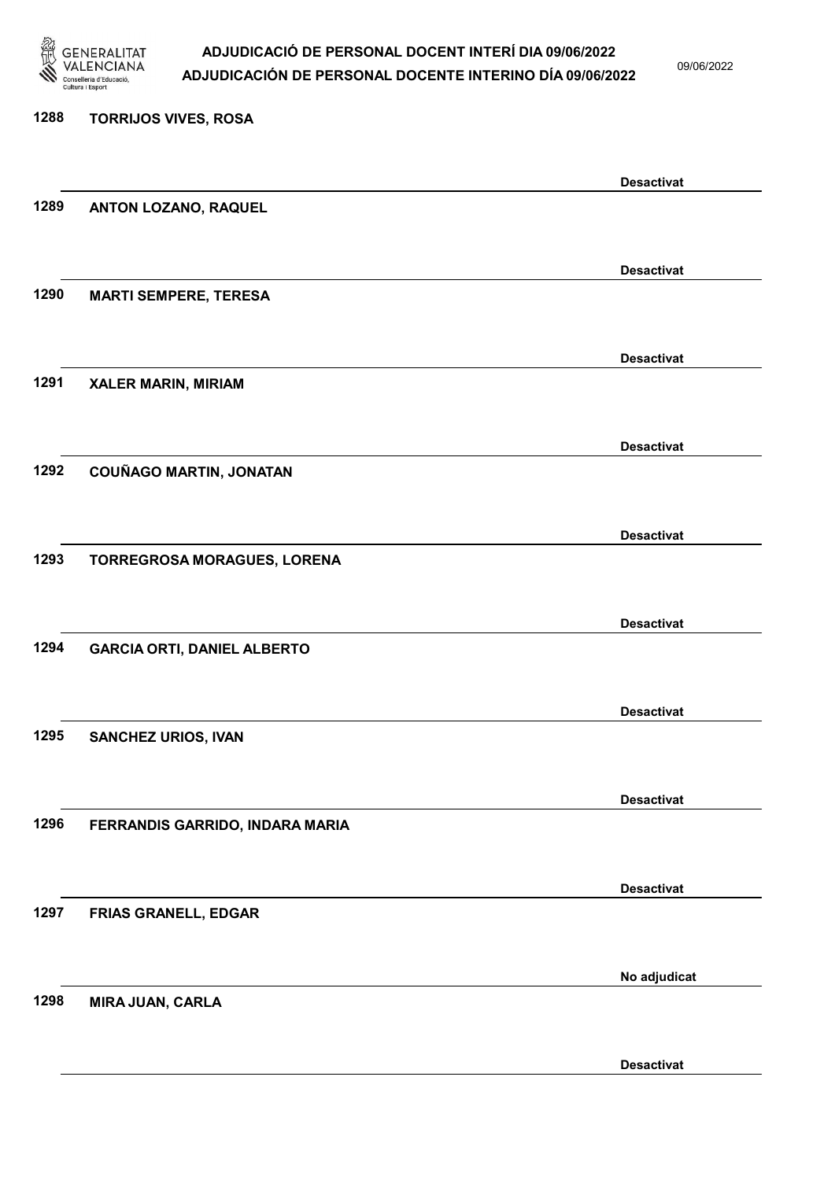

09/06/2022

Desactivat

# 1288 TORRIJOS VIVES, ROSA Desactivat 1289 ANTON LOZANO, RAQUEL Desactivat 1290 MARTI SEMPERE, TERESA Desactivat 1291 XALER MARIN, MIRIAM Desactivat 1292 COUÑAGO MARTIN, JONATAN Desactivat 1293 TORREGROSA MORAGUES, LORENA Desactivat 1294 GARCIA ORTI, DANIEL ALBERTO Desactivat 1295 SANCHEZ URIOS, IVAN Desactivat 1296 FERRANDIS GARRIDO, INDARA MARIA Desactivat 1297 FRIAS GRANELL, EDGAR No adjudicat 1298 MIRA JUAN, CARLA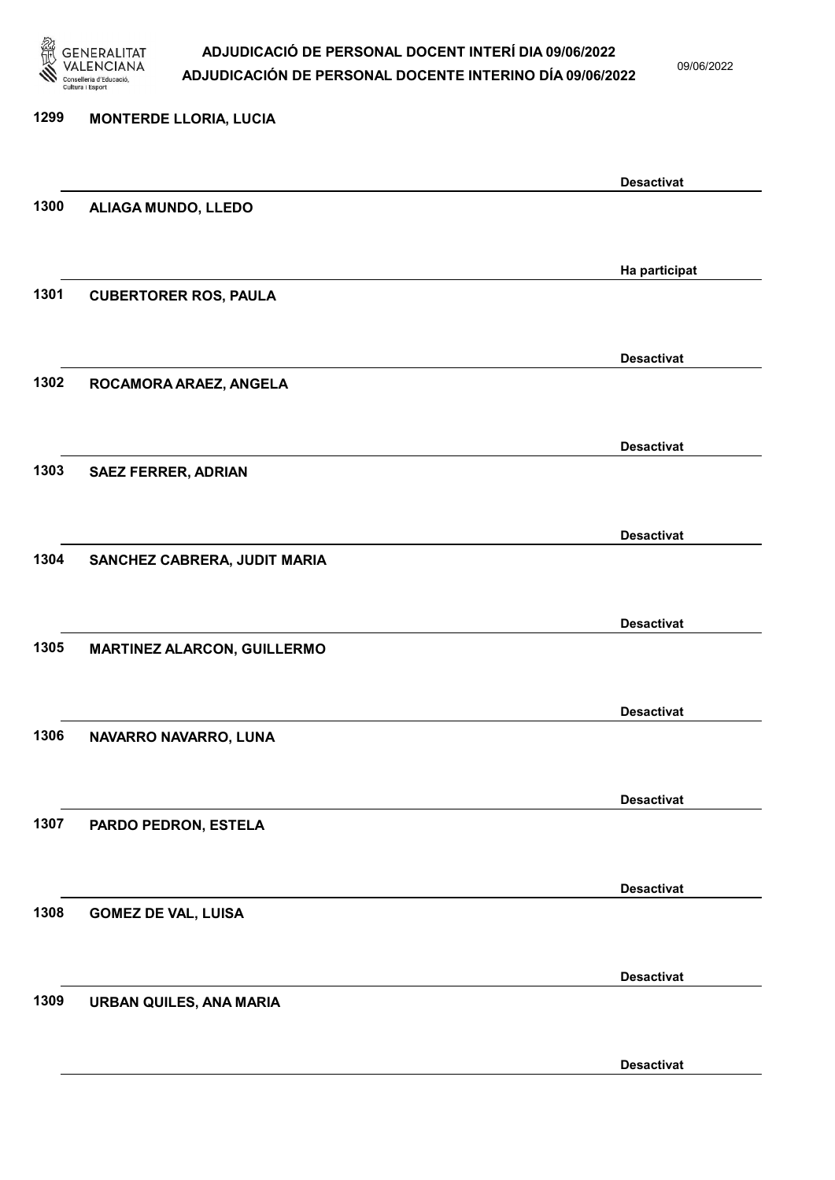

09/06/2022

Desactivat

# 1299 MONTERDE LLORIA, LUCIA Desactivat 1300 ALIAGA MUNDO, LLEDO Ha participat 1301 CUBERTORER ROS, PAULA Desactivat 1302 ROCAMORA ARAEZ, ANGELA Desactivat 1303 SAEZ FERRER, ADRIAN Desactivat 1304 SANCHEZ CABRERA, JUDIT MARIA Desactivat 1305 MARTINEZ ALARCON, GUILLERMO Desactivat 1306 NAVARRO NAVARRO, LUNA Desactivat 1307 PARDO PEDRON, ESTELA Desactivat 1308 GOMEZ DE VAL, LUISA Desactivat 1309 URBAN QUILES, ANA MARIA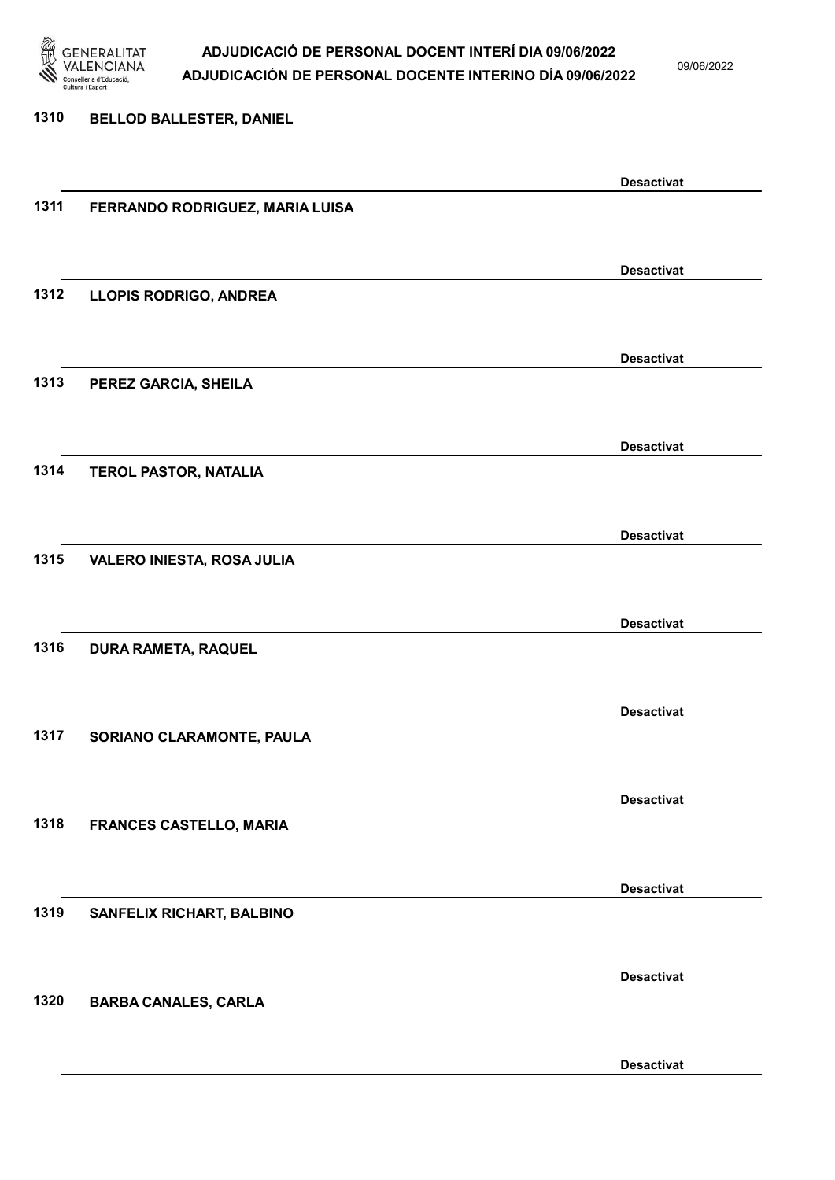

09/06/2022

### 1310 BELLOD BALLESTER, DANIEL Desactivat 1311 FERRANDO RODRIGUEZ, MARIA LUISA Desactivat 1312 LLOPIS RODRIGO, ANDREA Desactivat 1313 PEREZ GARCIA, SHEILA Desactivat 1314 TEROL PASTOR, NATALIA Desactivat 1315 VALERO INIESTA, ROSA JULIA Desactivat 1316 DURA RAMETA, RAQUEL Desactivat 1317 SORIANO CLARAMONTE, PAULA Desactivat 1318 FRANCES CASTELLO, MARIA Desactivat 1319 SANFELIX RICHART, BALBINO Desactivat 1320 BARBA CANALES, CARLA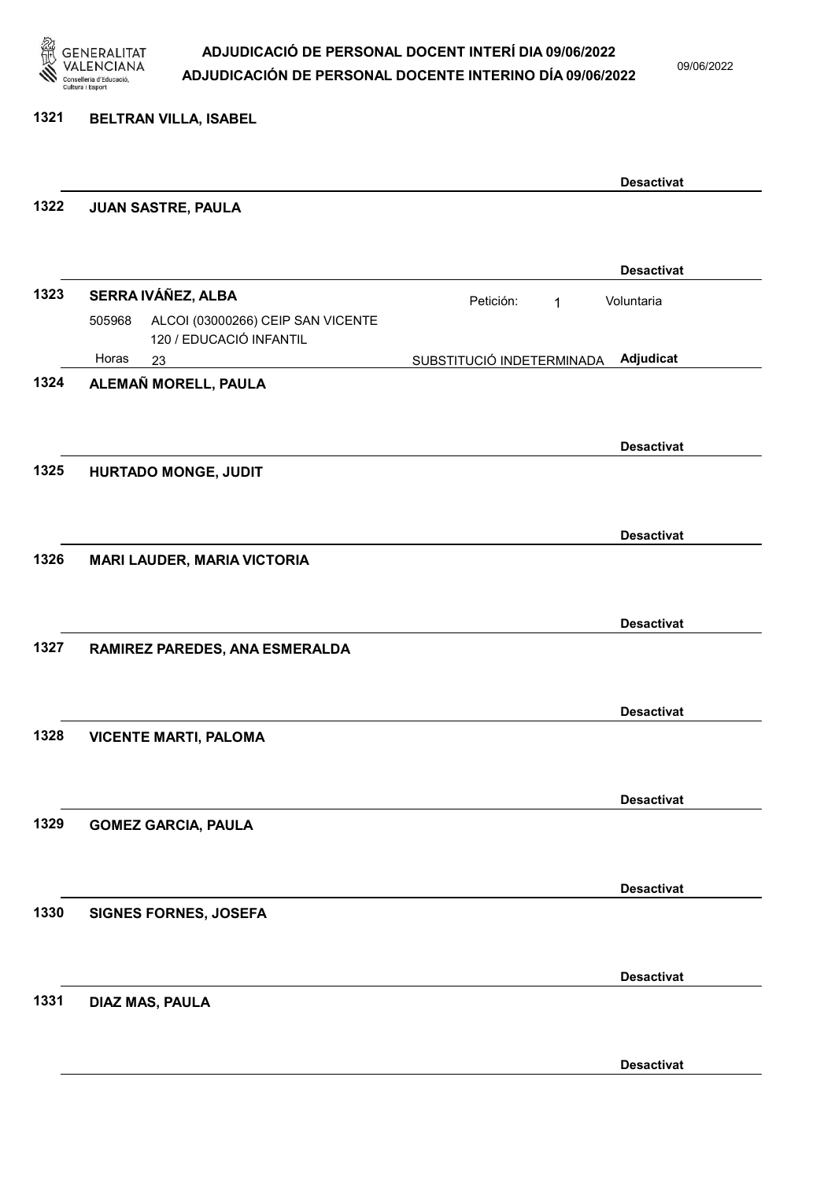

09/06/2022

#### 1321 BELTRAN VILLA, ISABEL

|      |                                                                        |                           | <b>Desactivat</b> |
|------|------------------------------------------------------------------------|---------------------------|-------------------|
| 1322 | JUAN SASTRE, PAULA                                                     |                           |                   |
|      |                                                                        |                           | <b>Desactivat</b> |
| 1323 | SERRA IVÁÑEZ, ALBA                                                     | Petición:<br>1            | Voluntaria        |
|      | ALCOI (03000266) CEIP SAN VICENTE<br>505968<br>120 / EDUCACIÓ INFANTIL |                           |                   |
| 1324 | Horas<br>23<br>ALEMAÑ MORELL, PAULA                                    | SUBSTITUCIÓ INDETERMINADA | Adjudicat         |
|      |                                                                        |                           |                   |
|      |                                                                        |                           |                   |
|      |                                                                        |                           | <b>Desactivat</b> |
| 1325 | HURTADO MONGE, JUDIT                                                   |                           |                   |
|      |                                                                        |                           |                   |
|      |                                                                        |                           | <b>Desactivat</b> |
| 1326 | <b>MARI LAUDER, MARIA VICTORIA</b>                                     |                           |                   |
|      |                                                                        |                           |                   |
|      |                                                                        |                           | <b>Desactivat</b> |
| 1327 | RAMIREZ PAREDES, ANA ESMERALDA                                         |                           |                   |
|      |                                                                        |                           |                   |
|      |                                                                        |                           | <b>Desactivat</b> |
| 1328 | <b>VICENTE MARTI, PALOMA</b>                                           |                           |                   |
|      |                                                                        |                           |                   |
|      |                                                                        |                           |                   |
|      |                                                                        |                           | <b>Desactivat</b> |
| 1329 | <b>GOMEZ GARCIA, PAULA</b>                                             |                           |                   |
|      |                                                                        |                           |                   |
|      |                                                                        |                           | <b>Desactivat</b> |
| 1330 | <b>SIGNES FORNES, JOSEFA</b>                                           |                           |                   |
|      |                                                                        |                           |                   |
|      |                                                                        |                           |                   |
|      |                                                                        |                           | <b>Desactivat</b> |
| 1331 | <b>DIAZ MAS, PAULA</b>                                                 |                           |                   |
|      |                                                                        |                           |                   |
|      |                                                                        |                           | <b>Desactivat</b> |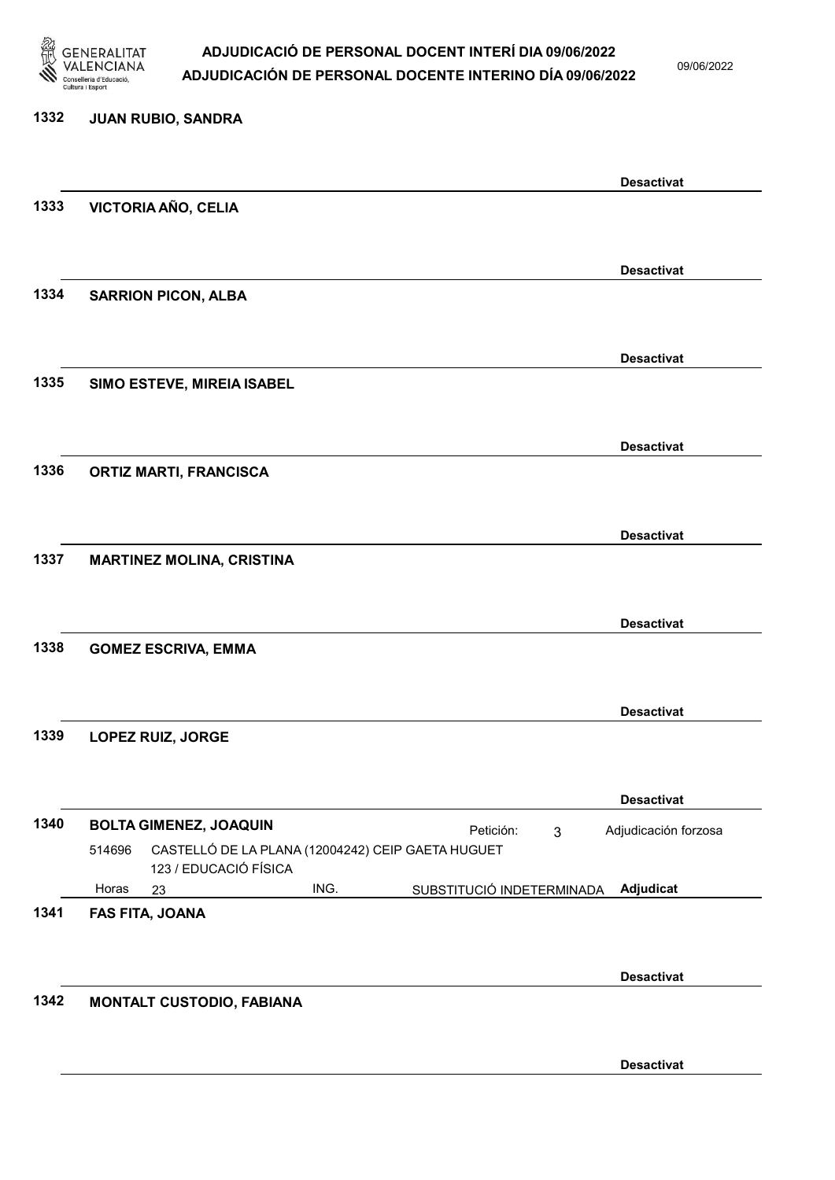

09/06/2022

Desactivat

### 1332 JUAN RUBIO, SANDRA Desactivat 1333 VICTORIA AÑO, CELIA Desactivat 1334 SARRION PICON, ALBA Desactivat 1335 SIMO ESTEVE, MIREIA ISABEL Desactivat 1336 ORTIZ MARTI, FRANCISCA Desactivat 1337 MARTINEZ MOLINA, CRISTINA Desactivat 1338 GOMEZ ESCRIVA, EMMA Desactivat 1339 LOPEZ RUIZ, JORGE Desactivat 1340 BOLTA GIMENEZ, JOAQUIN Petición: 3 23 ING. SUBSTITUCIÓ INDETERMINADA CASTELLÓ DE LA PLANA (12004242) CEIP GAETA HUGUET 123 / EDUCACIÓ FÍSICA Adjudicat Adjudicación forzosa 514696 Horas 1341 FAS FITA, JOANA Desactivat 1342 MONTALT CUSTODIO, FABIANA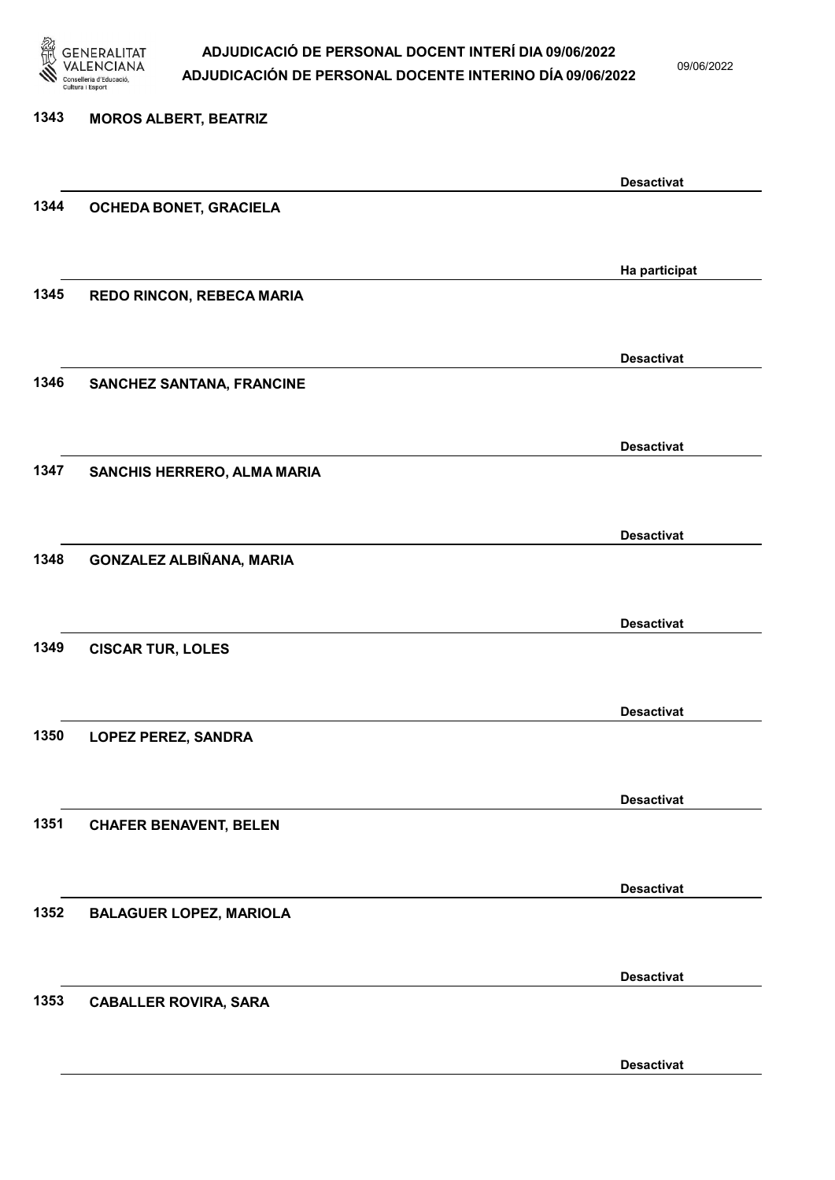

09/06/2022

Desactivat

# 1343 MOROS ALBERT, BEATRIZ Desactivat 1344 OCHEDA BONET, GRACIELA Ha participat 1345 REDO RINCON, REBECA MARIA Desactivat 1346 SANCHEZ SANTANA, FRANCINE Desactivat 1347 SANCHIS HERRERO, ALMA MARIA Desactivat 1348 GONZALEZ ALBIÑANA, MARIA Desactivat 1349 CISCAR TUR, LOLES Desactivat 1350 LOPEZ PEREZ, SANDRA Desactivat 1351 CHAFER BENAVENT, BELEN Desactivat 1352 BALAGUER LOPEZ, MARIOLA Desactivat 1353 CABALLER ROVIRA, SARA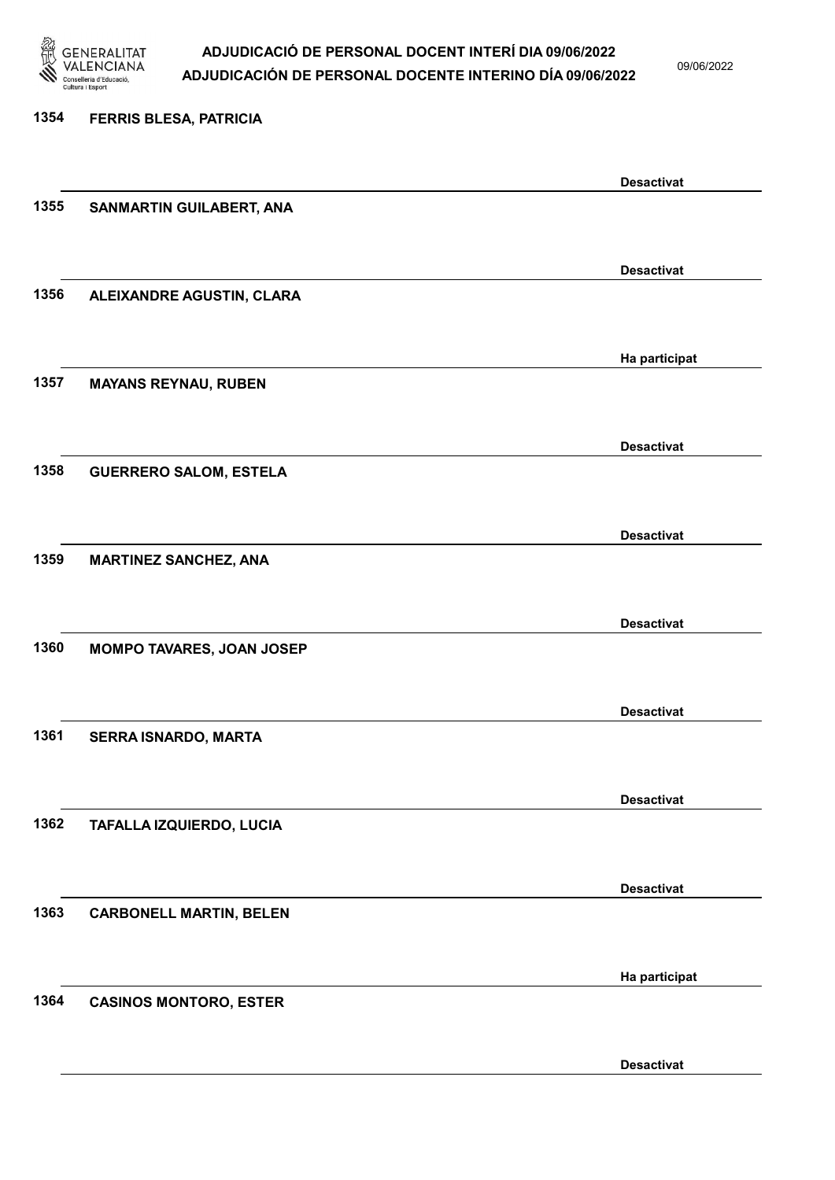

09/06/2022

Desactivat

# 1354 FERRIS BLESA, PATRICIA Desactivat 1355 SANMARTIN GUILABERT, ANA Desactivat 1356 ALEIXANDRE AGUSTIN, CLARA Ha participat 1357 MAYANS REYNAU, RUBEN Desactivat 1358 GUERRERO SALOM, ESTELA Desactivat 1359 MARTINEZ SANCHEZ, ANA Desactivat 1360 MOMPO TAVARES, JOAN JOSEP Desactivat 1361 SERRA ISNARDO, MARTA Desactivat 1362 TAFALLA IZQUIERDO, LUCIA Desactivat 1363 CARBONELL MARTIN, BELEN Ha participat 1364 CASINOS MONTORO, ESTER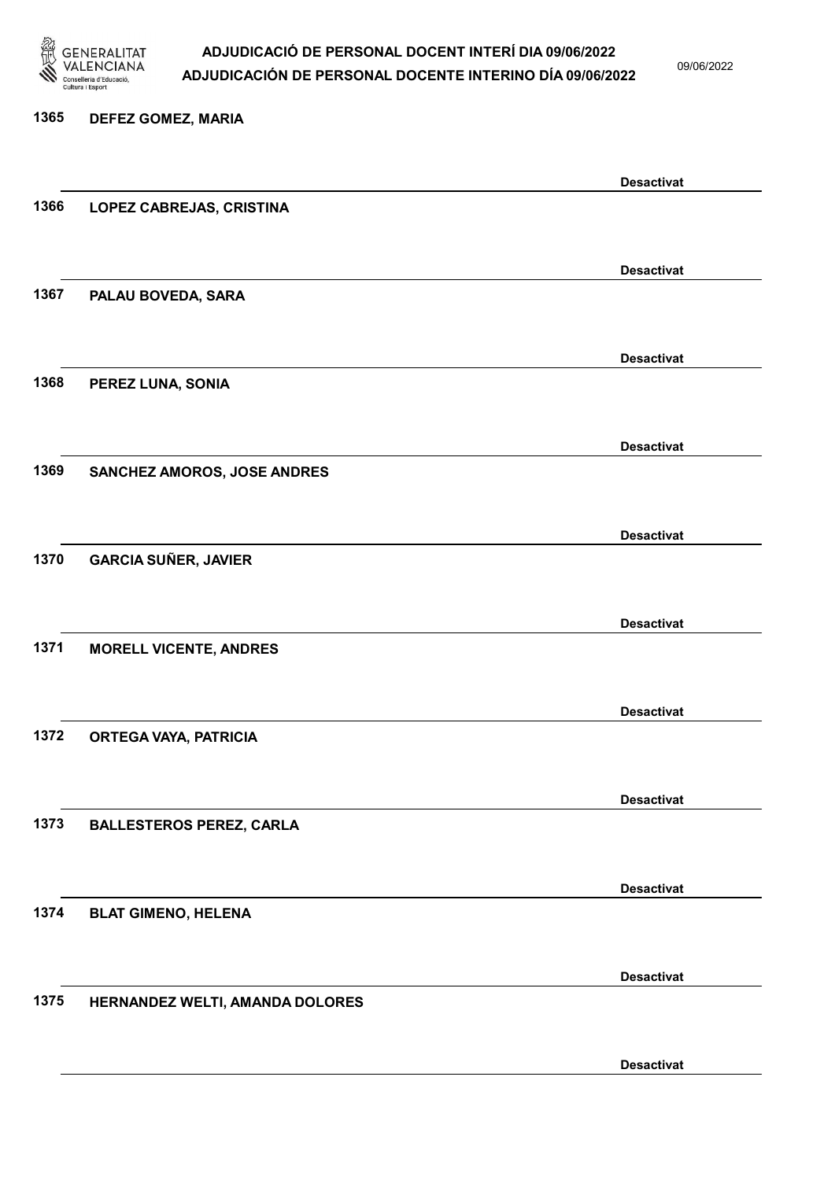

09/06/2022

Desactivat

# 1365 DEFEZ GOMEZ, MARIA Desactivat 1366 LOPEZ CABREJAS, CRISTINA Desactivat 1367 PALAU BOVEDA, SARA Desactivat 1368 PEREZ LUNA, SONIA Desactivat 1369 SANCHEZ AMOROS, JOSE ANDRES Desactivat 1370 GARCIA SUÑER, JAVIER Desactivat 1371 MORELL VICENTE, ANDRES Desactivat 1372 ORTEGA VAYA, PATRICIA Desactivat 1373 BALLESTEROS PEREZ, CARLA Desactivat 1374 BLAT GIMENO, HELENA Desactivat 1375 HERNANDEZ WELTI, AMANDA DOLORES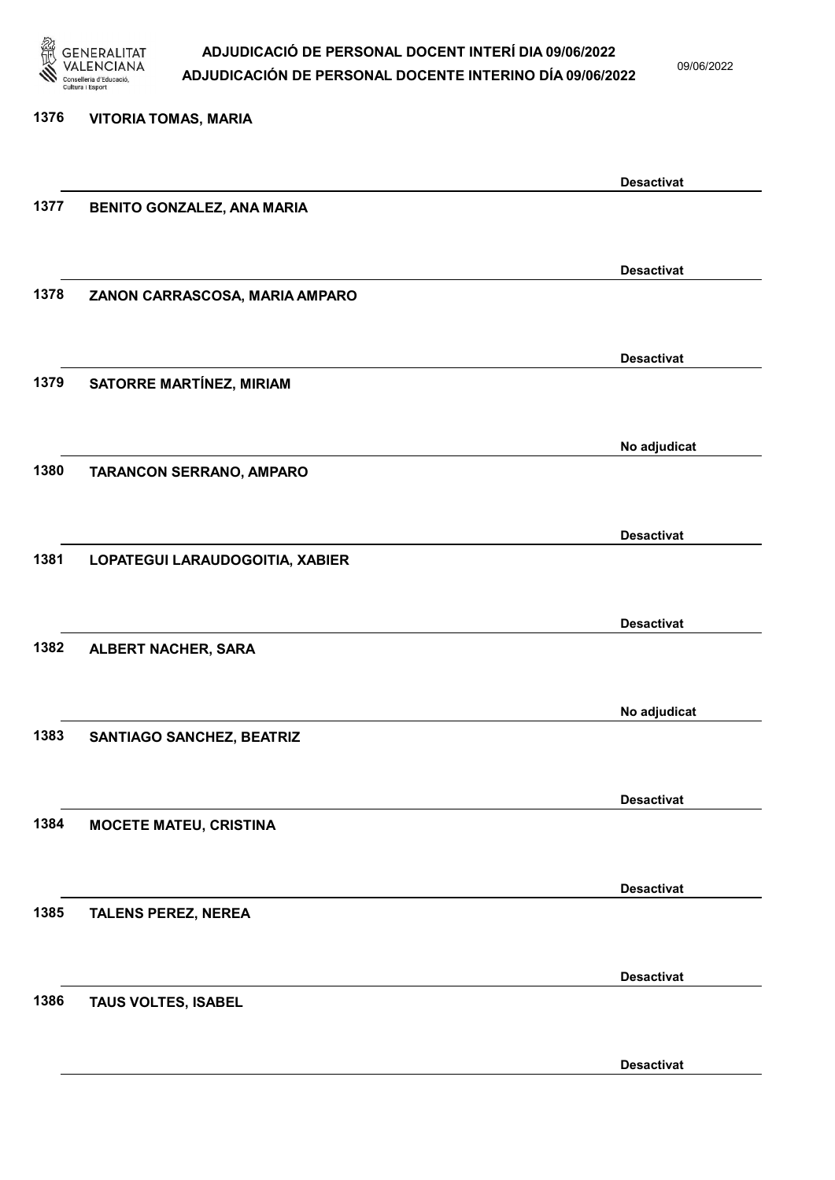

09/06/2022

Desactivat

# 1376 VITORIA TOMAS, MARIA Desactivat 1377 BENITO GONZALEZ, ANA MARIA Desactivat 1378 ZANON CARRASCOSA, MARIA AMPARO Desactivat 1379 SATORRE MARTÍNEZ, MIRIAM No adjudicat 1380 TARANCON SERRANO, AMPARO Desactivat 1381 LOPATEGUI LARAUDOGOITIA, XABIER Desactivat 1382 ALBERT NACHER, SARA No adjudicat 1383 SANTIAGO SANCHEZ, BEATRIZ Desactivat 1384 MOCETE MATEU, CRISTINA Desactivat 1385 TALENS PEREZ, NEREA Desactivat 1386 TAUS VOLTES, ISABEL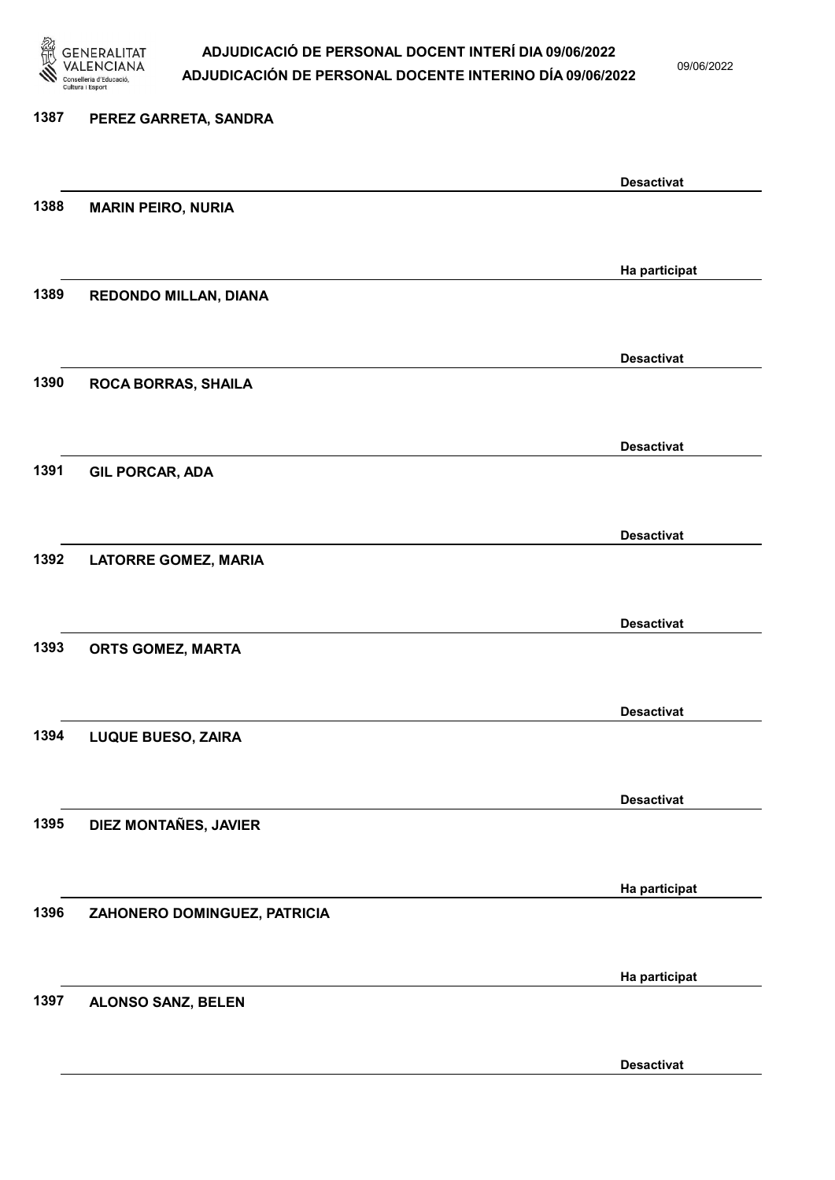

09/06/2022

Desactivat

# 1387 PEREZ GARRETA, SANDRA Desactivat 1388 MARIN PEIRO, NURIA Ha participat 1389 REDONDO MILLAN, DIANA Desactivat 1390 ROCA BORRAS, SHAILA Desactivat 1391 GIL PORCAR, ADA Desactivat 1392 LATORRE GOMEZ, MARIA Desactivat 1393 ORTS GOMEZ, MARTA Desactivat 1394 LUQUE BUESO, ZAIRA Desactivat 1395 DIEZ MONTAÑES, JAVIER Ha participat 1396 ZAHONERO DOMINGUEZ, PATRICIA Ha participat 1397 ALONSO SANZ, BELEN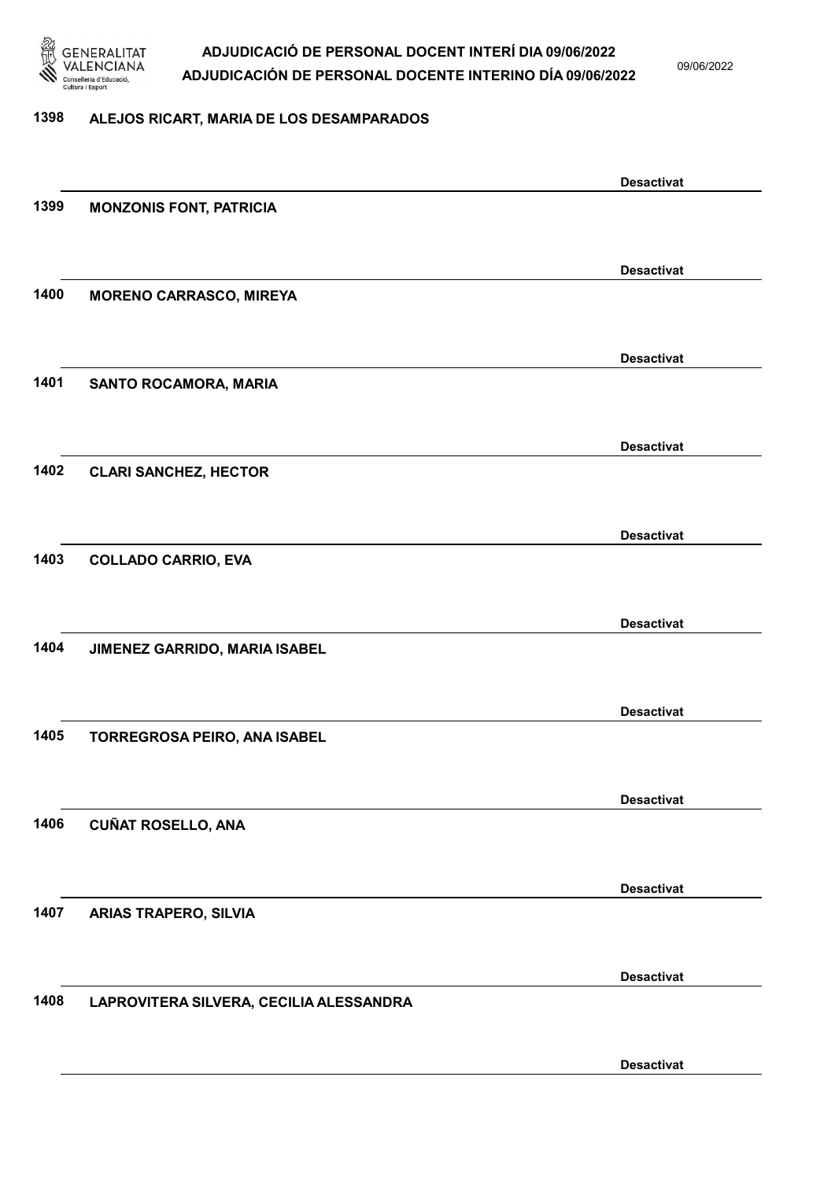

09/06/2022

#### 1398 ALEJOS RICART, MARIA DE LOS DESAMPARADOS

|      |                                         | <b>Desactivat</b> |
|------|-----------------------------------------|-------------------|
| 1399 | <b>MONZONIS FONT, PATRICIA</b>          |                   |
|      |                                         |                   |
|      |                                         | <b>Desactivat</b> |
| 1400 | <b>MORENO CARRASCO, MIREYA</b>          |                   |
|      |                                         |                   |
|      |                                         | <b>Desactivat</b> |
| 1401 | SANTO ROCAMORA, MARIA                   |                   |
|      |                                         |                   |
|      |                                         | <b>Desactivat</b> |
| 1402 | <b>CLARI SANCHEZ, HECTOR</b>            |                   |
|      |                                         |                   |
|      |                                         | <b>Desactivat</b> |
| 1403 | <b>COLLADO CARRIO, EVA</b>              |                   |
|      |                                         |                   |
|      |                                         |                   |
| 1404 | JIMENEZ GARRIDO, MARIA ISABEL           | <b>Desactivat</b> |
|      |                                         |                   |
|      |                                         |                   |
|      |                                         | <b>Desactivat</b> |
| 1405 | TORREGROSA PEIRO, ANA ISABEL            |                   |
|      |                                         |                   |
|      |                                         | <b>Desactivat</b> |
| 1406 | <b>CUÑAT ROSELLO, ANA</b>               |                   |
|      |                                         |                   |
|      |                                         | <b>Desactivat</b> |
| 1407 | <b>ARIAS TRAPERO, SILVIA</b>            |                   |
|      |                                         |                   |
|      |                                         | <b>Desactivat</b> |
| 1408 | LAPROVITERA SILVERA, CECILIA ALESSANDRA |                   |
|      |                                         |                   |
|      |                                         | <b>Desactivat</b> |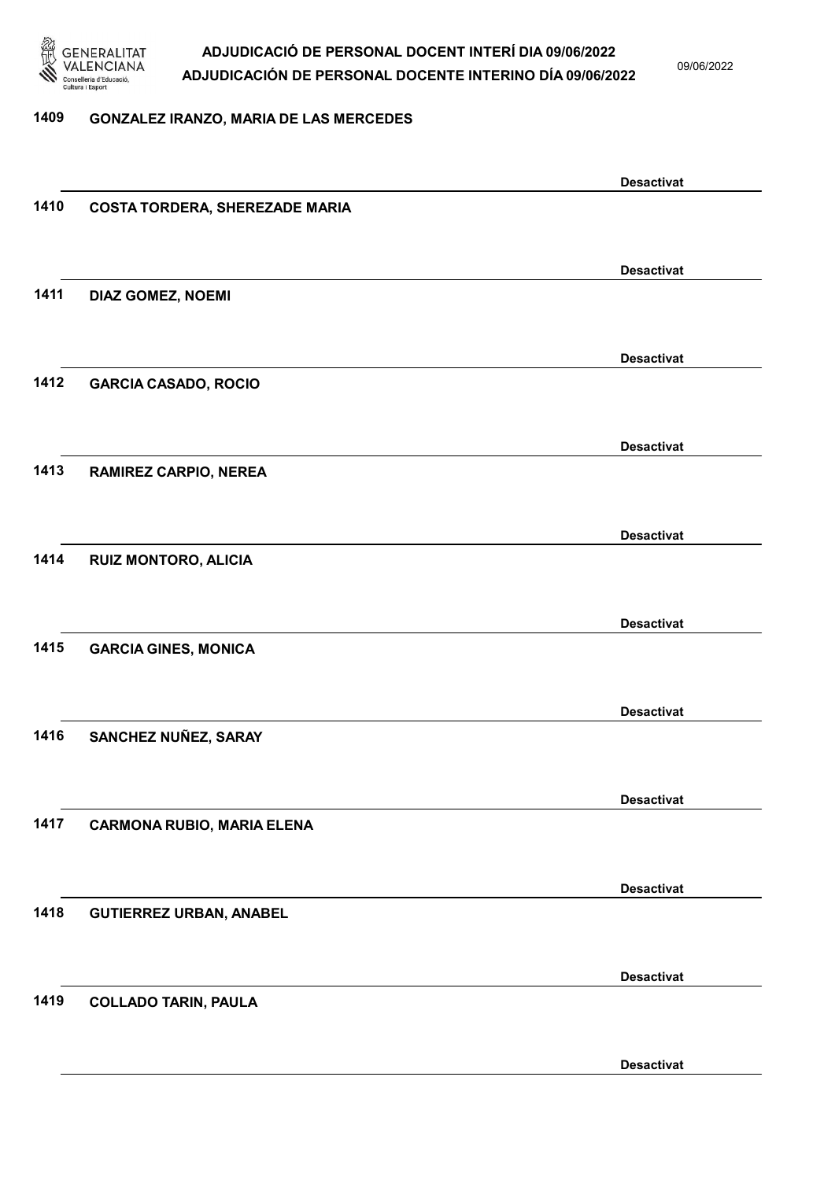

09/06/2022

#### 1409 GONZALEZ IRANZO, MARIA DE LAS MERCEDES

|      |                                       | <b>Desactivat</b> |
|------|---------------------------------------|-------------------|
| 1410 | <b>COSTA TORDERA, SHEREZADE MARIA</b> |                   |
|      |                                       |                   |
|      |                                       | <b>Desactivat</b> |
| 1411 | DIAZ GOMEZ, NOEMI                     |                   |
|      |                                       |                   |
|      |                                       |                   |
|      |                                       | <b>Desactivat</b> |
| 1412 | <b>GARCIA CASADO, ROCIO</b>           |                   |
|      |                                       |                   |
|      |                                       | <b>Desactivat</b> |
| 1413 | <b>RAMIREZ CARPIO, NEREA</b>          |                   |
|      |                                       |                   |
|      |                                       |                   |
|      |                                       | <b>Desactivat</b> |
| 1414 | RUIZ MONTORO, ALICIA                  |                   |
|      |                                       |                   |
|      |                                       | <b>Desactivat</b> |
| 1415 | <b>GARCIA GINES, MONICA</b>           |                   |
|      |                                       |                   |
|      |                                       | <b>Desactivat</b> |
| 1416 | SANCHEZ NUÑEZ, SARAY                  |                   |
|      |                                       |                   |
|      |                                       |                   |
|      |                                       | <b>Desactivat</b> |
| 1417 | <b>CARMONA RUBIO, MARIA ELENA</b>     |                   |
|      |                                       |                   |
|      |                                       | <b>Desactivat</b> |
| 1418 | <b>GUTIERREZ URBAN, ANABEL</b>        |                   |
|      |                                       |                   |
|      |                                       | <b>Desactivat</b> |
| 1419 | <b>COLLADO TARIN, PAULA</b>           |                   |
|      |                                       |                   |
|      |                                       |                   |
|      |                                       | <b>Desactivat</b> |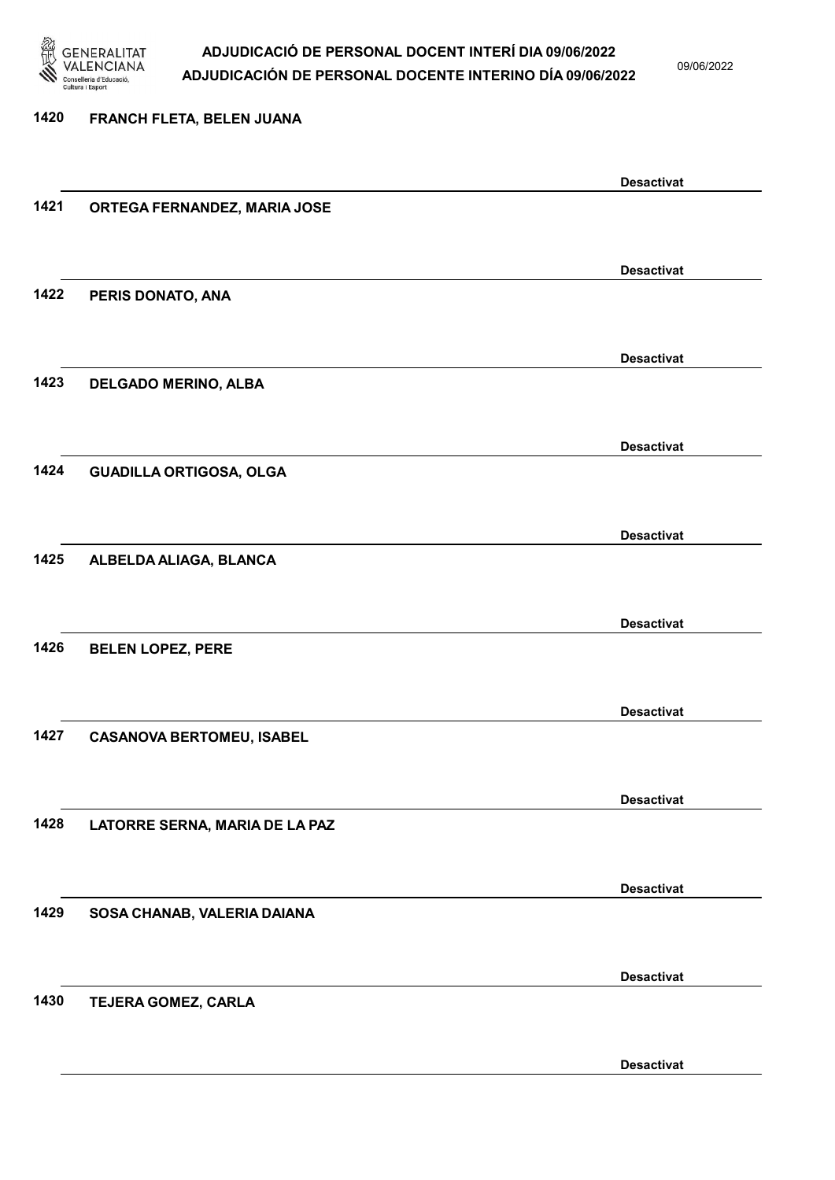

09/06/2022

Desactivat

# 1420 FRANCH FLETA, BELEN JUANA Desactivat 1421 ORTEGA FERNANDEZ, MARIA JOSE Desactivat 1422 PERIS DONATO, ANA Desactivat 1423 DELGADO MERINO, ALBA Desactivat 1424 GUADILLA ORTIGOSA, OLGA Desactivat 1425 ALBELDA ALIAGA, BLANCA Desactivat 1426 BELEN LOPEZ, PERE Desactivat 1427 CASANOVA BERTOMEU, ISABEL Desactivat 1428 LATORRE SERNA, MARIA DE LA PAZ Desactivat 1429 SOSA CHANAB, VALERIA DAIANA Desactivat 1430 TEJERA GOMEZ, CARLA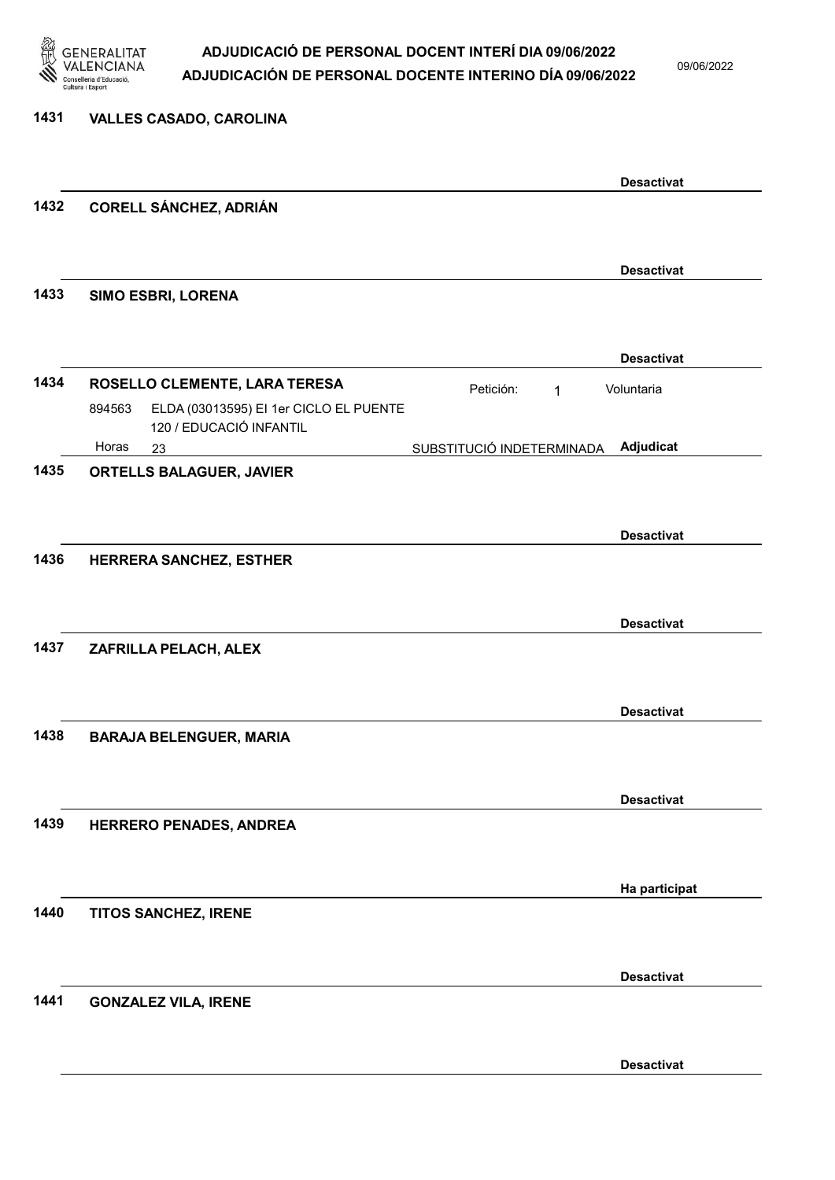

09/06/2022

| 1431 | <b>VALLES CASADO, CAROLINA</b>                                                                               |                           |                   |
|------|--------------------------------------------------------------------------------------------------------------|---------------------------|-------------------|
|      |                                                                                                              |                           | <b>Desactivat</b> |
| 1432 | <b>CORELL SÁNCHEZ, ADRIÁN</b>                                                                                |                           |                   |
|      |                                                                                                              |                           | <b>Desactivat</b> |
| 1433 | SIMO ESBRI, LORENA                                                                                           |                           |                   |
|      |                                                                                                              |                           | <b>Desactivat</b> |
| 1434 | ROSELLO CLEMENTE, LARA TERESA<br>ELDA (03013595) EI 1er CICLO EL PUENTE<br>894563<br>120 / EDUCACIÓ INFANTIL | Petición:<br>1            | Voluntaria        |
|      | Horas<br>23                                                                                                  | SUBSTITUCIÓ INDETERMINADA | Adjudicat         |
| 1435 | <b>ORTELLS BALAGUER, JAVIER</b>                                                                              |                           |                   |
|      |                                                                                                              |                           | <b>Desactivat</b> |
| 1436 | HERRERA SANCHEZ, ESTHER                                                                                      |                           | <b>Desactivat</b> |
| 1437 | ZAFRILLA PELACH, ALEX                                                                                        |                           |                   |
|      |                                                                                                              |                           | <b>Desactivat</b> |
| 1438 | <b>BARAJA BELENGUER, MARIA</b>                                                                               |                           |                   |
|      |                                                                                                              |                           | <b>Desactivat</b> |
| 1439 | HERRERO PENADES, ANDREA                                                                                      |                           |                   |
|      |                                                                                                              |                           | Ha participat     |
| 1440 | TITOS SANCHEZ, IRENE                                                                                         |                           |                   |
| 1441 | <b>GONZALEZ VILA, IRENE</b>                                                                                  |                           | <b>Desactivat</b> |
|      |                                                                                                              |                           |                   |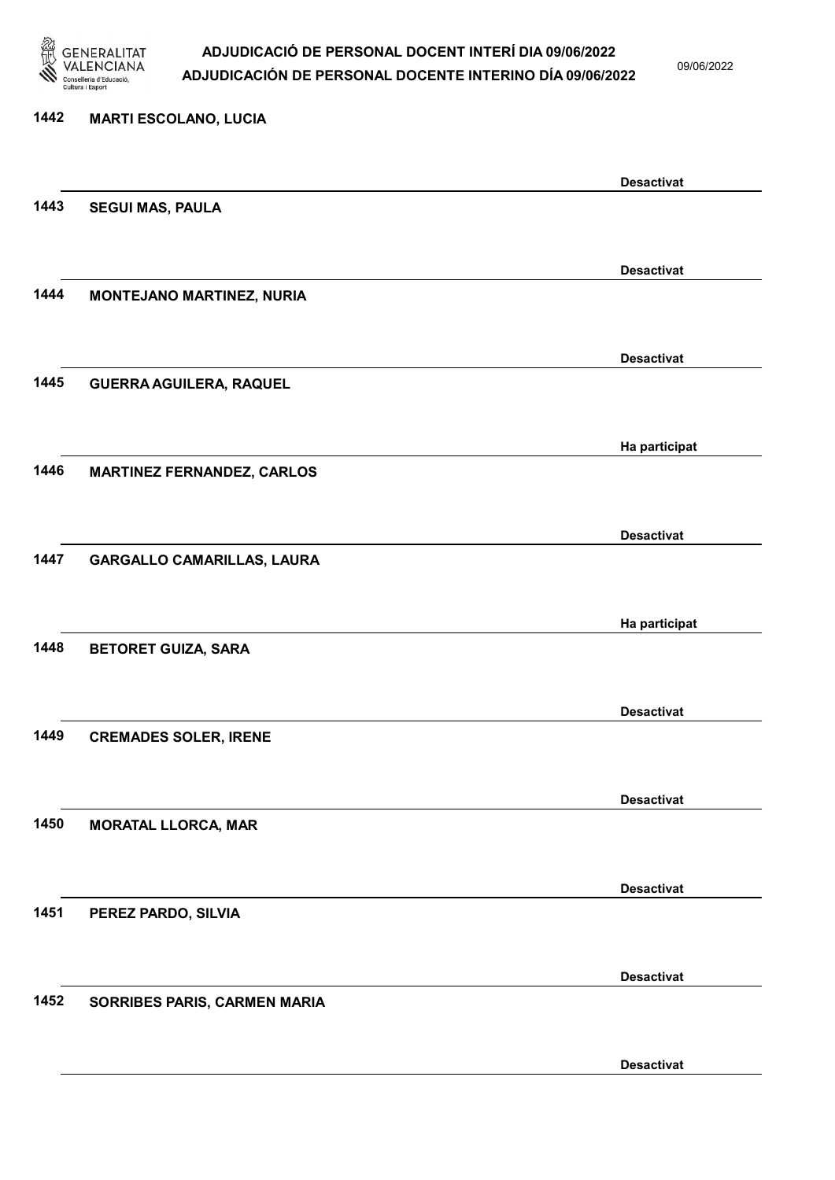

09/06/2022

Desactivat

# 1442 MARTI ESCOLANO, LUCIA Desactivat 1443 SEGUI MAS, PAULA Desactivat 1444 MONTEJANO MARTINEZ, NURIA Desactivat 1445 GUERRA AGUILERA, RAQUEL Ha participat 1446 MARTINEZ FERNANDEZ, CARLOS Desactivat 1447 GARGALLO CAMARILLAS, LAURA Ha participat 1448 BETORET GUIZA, SARA Desactivat 1449 CREMADES SOLER, IRENE Desactivat 1450 MORATAL LLORCA, MAR Desactivat 1451 PEREZ PARDO, SILVIA Desactivat 1452 SORRIBES PARIS, CARMEN MARIA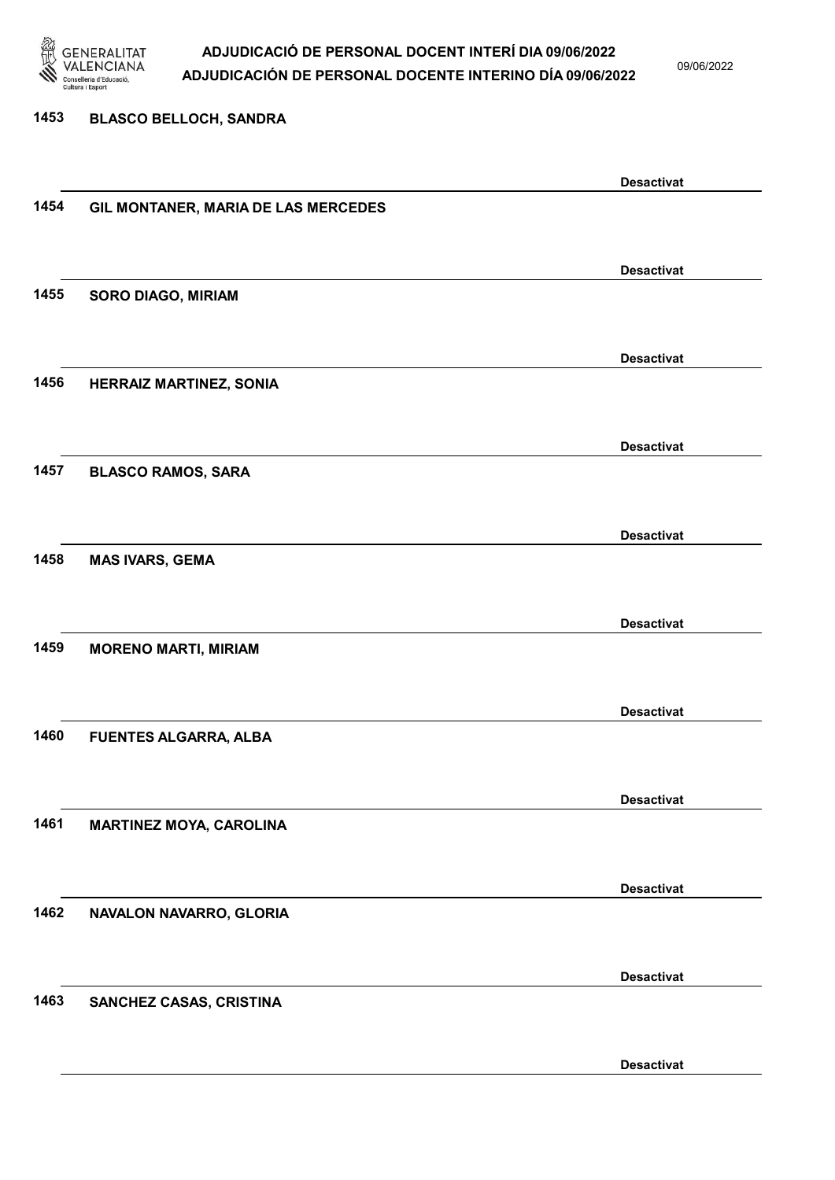

09/06/2022

#### 1453 BLASCO BELLOCH, SANDRA

|      |                                     | <b>Desactivat</b> |
|------|-------------------------------------|-------------------|
| 1454 | GIL MONTANER, MARIA DE LAS MERCEDES |                   |
|      |                                     |                   |
|      |                                     |                   |
|      |                                     | <b>Desactivat</b> |
| 1455 | <b>SORO DIAGO, MIRIAM</b>           |                   |
|      |                                     |                   |
|      |                                     |                   |
|      |                                     | <b>Desactivat</b> |
| 1456 | HERRAIZ MARTINEZ, SONIA             |                   |
|      |                                     |                   |
|      |                                     |                   |
|      |                                     | <b>Desactivat</b> |
| 1457 | <b>BLASCO RAMOS, SARA</b>           |                   |
|      |                                     |                   |
|      |                                     |                   |
|      |                                     | <b>Desactivat</b> |
| 1458 | <b>MAS IVARS, GEMA</b>              |                   |
|      |                                     |                   |
|      |                                     |                   |
|      |                                     | <b>Desactivat</b> |
| 1459 | <b>MORENO MARTI, MIRIAM</b>         |                   |
|      |                                     |                   |
|      |                                     |                   |
|      |                                     | <b>Desactivat</b> |
| 1460 | FUENTES ALGARRA, ALBA               |                   |
|      |                                     |                   |
|      |                                     | <b>Desactivat</b> |
|      |                                     |                   |
| 1461 | <b>MARTINEZ MOYA, CAROLINA</b>      |                   |
|      |                                     |                   |
|      |                                     | <b>Desactivat</b> |
| 1462 |                                     |                   |
|      | NAVALON NAVARRO, GLORIA             |                   |
|      |                                     |                   |
|      |                                     | <b>Desactivat</b> |
| 1463 |                                     |                   |
|      | SANCHEZ CASAS, CRISTINA             |                   |
|      |                                     |                   |
|      |                                     | <b>Desactivat</b> |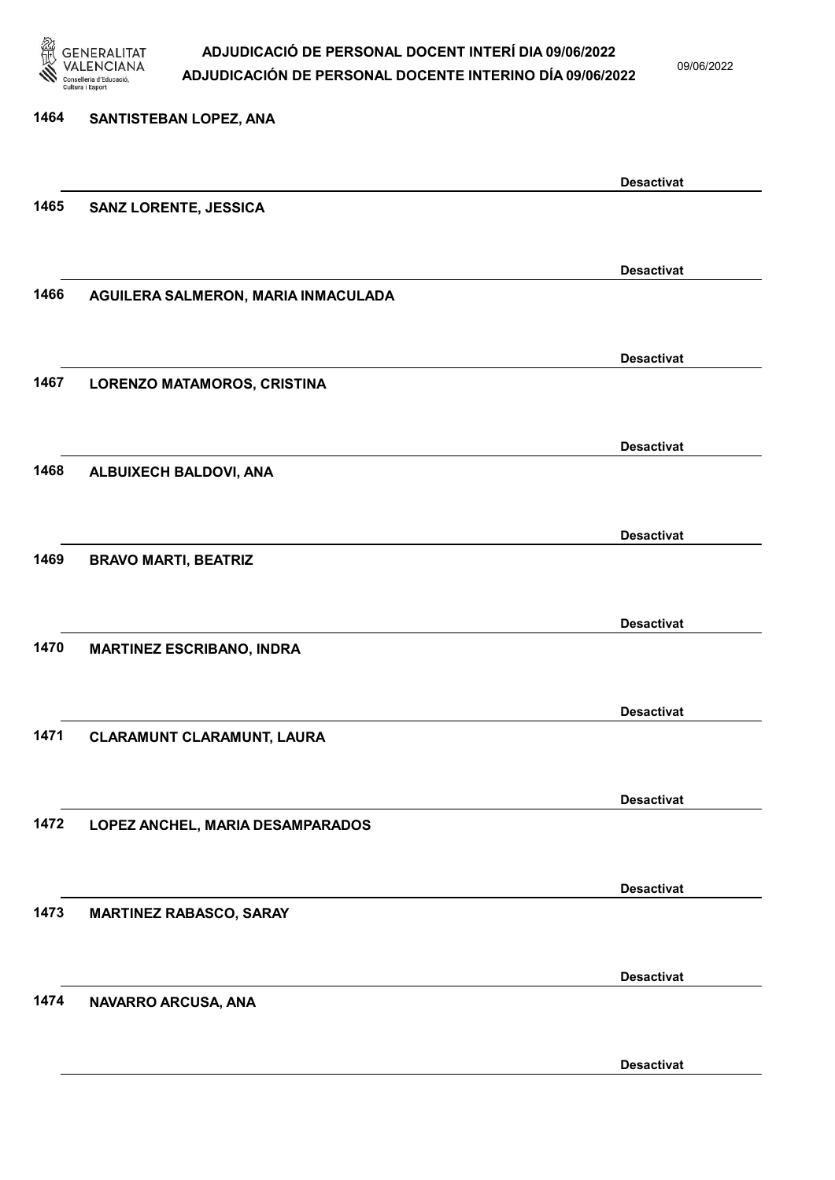

09/06/2022

| 1464 | SANTISTEBAN LOPEZ, ANA              |                   |
|------|-------------------------------------|-------------------|
|      |                                     | <b>Desactivat</b> |
| 1465 | <b>SANZ LORENTE, JESSICA</b>        |                   |
|      |                                     |                   |
|      |                                     | <b>Desactivat</b> |
| 1466 | AGUILERA SALMERON, MARIA INMACULADA |                   |
|      |                                     | <b>Desactivat</b> |
| 1467 | LORENZO MATAMOROS, CRISTINA         |                   |
|      |                                     |                   |
| 1468 | ALBUIXECH BALDOVI, ANA              | <b>Desactivat</b> |
|      |                                     |                   |
|      |                                     | <b>Desactivat</b> |
| 1469 | <b>BRAVO MARTI, BEATRIZ</b>         |                   |
|      |                                     |                   |
|      |                                     | <b>Desactivat</b> |
| 1470 | <b>MARTINEZ ESCRIBANO, INDRA</b>    |                   |
|      |                                     | <b>Desactivat</b> |
| 1471 | <b>CLARAMUNT CLARAMUNT, LAURA</b>   |                   |
|      |                                     |                   |
|      |                                     | <b>Desactivat</b> |
| 1472 | LOPEZ ANCHEL, MARIA DESAMPARADOS    |                   |
|      |                                     | <b>Desactivat</b> |
| 1473 | <b>MARTINEZ RABASCO, SARAY</b>      |                   |
|      |                                     |                   |
|      |                                     | <b>Desactivat</b> |
| 1474 | NAVARRO ARCUSA, ANA                 |                   |
|      |                                     |                   |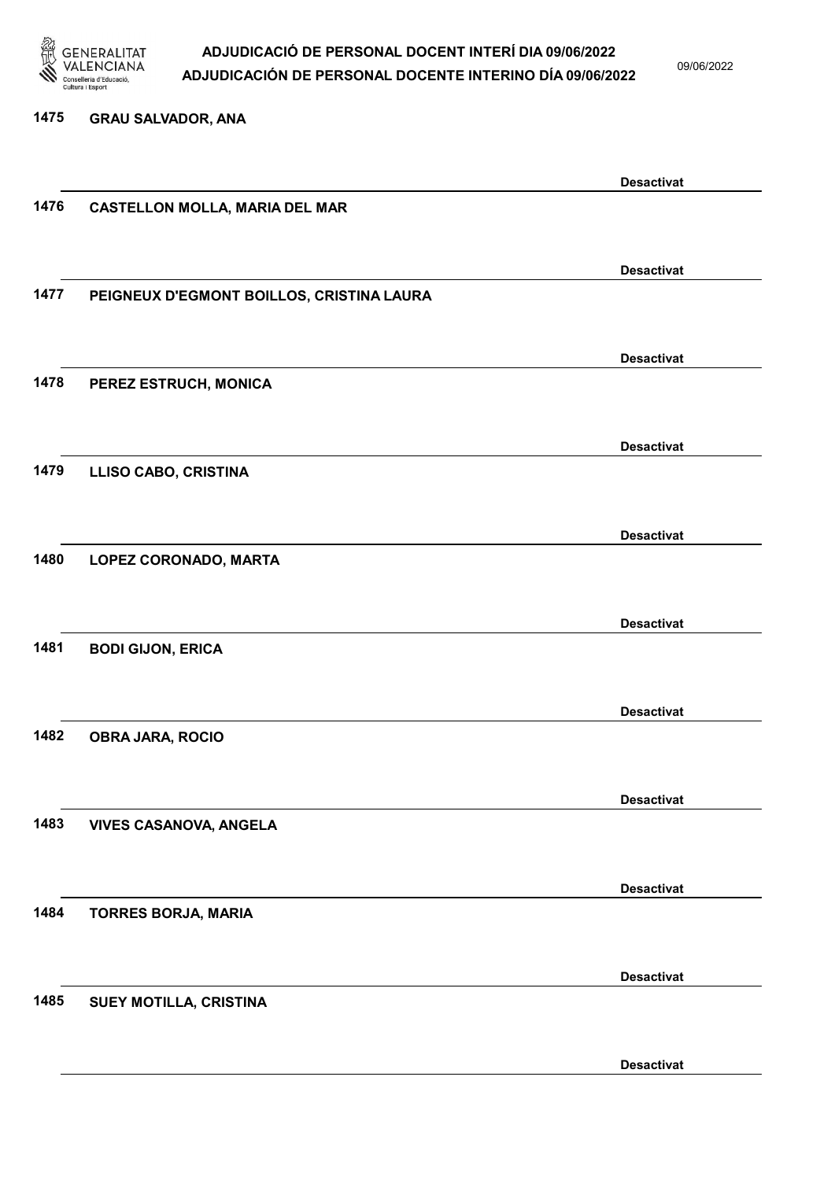

09/06/2022

#### 1475 GRAU SALVADOR, ANA

|      |                                           | <b>Desactivat</b> |
|------|-------------------------------------------|-------------------|
| 1476 | <b>CASTELLON MOLLA, MARIA DEL MAR</b>     |                   |
|      |                                           |                   |
|      |                                           | <b>Desactivat</b> |
| 1477 | PEIGNEUX D'EGMONT BOILLOS, CRISTINA LAURA |                   |
|      |                                           |                   |
|      |                                           |                   |
|      |                                           | <b>Desactivat</b> |
| 1478 | PEREZ ESTRUCH, MONICA                     |                   |
|      |                                           |                   |
|      |                                           | <b>Desactivat</b> |
| 1479 | <b>LLISO CABO, CRISTINA</b>               |                   |
|      |                                           |                   |
|      |                                           | <b>Desactivat</b> |
| 1480 | LOPEZ CORONADO, MARTA                     |                   |
|      |                                           |                   |
|      |                                           |                   |
|      |                                           | <b>Desactivat</b> |
| 1481 | <b>BODI GIJON, ERICA</b>                  |                   |
|      |                                           |                   |
|      |                                           | <b>Desactivat</b> |
| 1482 | <b>OBRA JARA, ROCIO</b>                   |                   |
|      |                                           |                   |
|      |                                           | <b>Desactivat</b> |
| 1483 | <b>VIVES CASANOVA, ANGELA</b>             |                   |
|      |                                           |                   |
|      |                                           |                   |
| 1484 |                                           | <b>Desactivat</b> |
|      | <b>TORRES BORJA, MARIA</b>                |                   |
|      |                                           |                   |
|      |                                           | <b>Desactivat</b> |
| 1485 | SUEY MOTILLA, CRISTINA                    |                   |
|      |                                           |                   |
|      |                                           | <b>Desactivat</b> |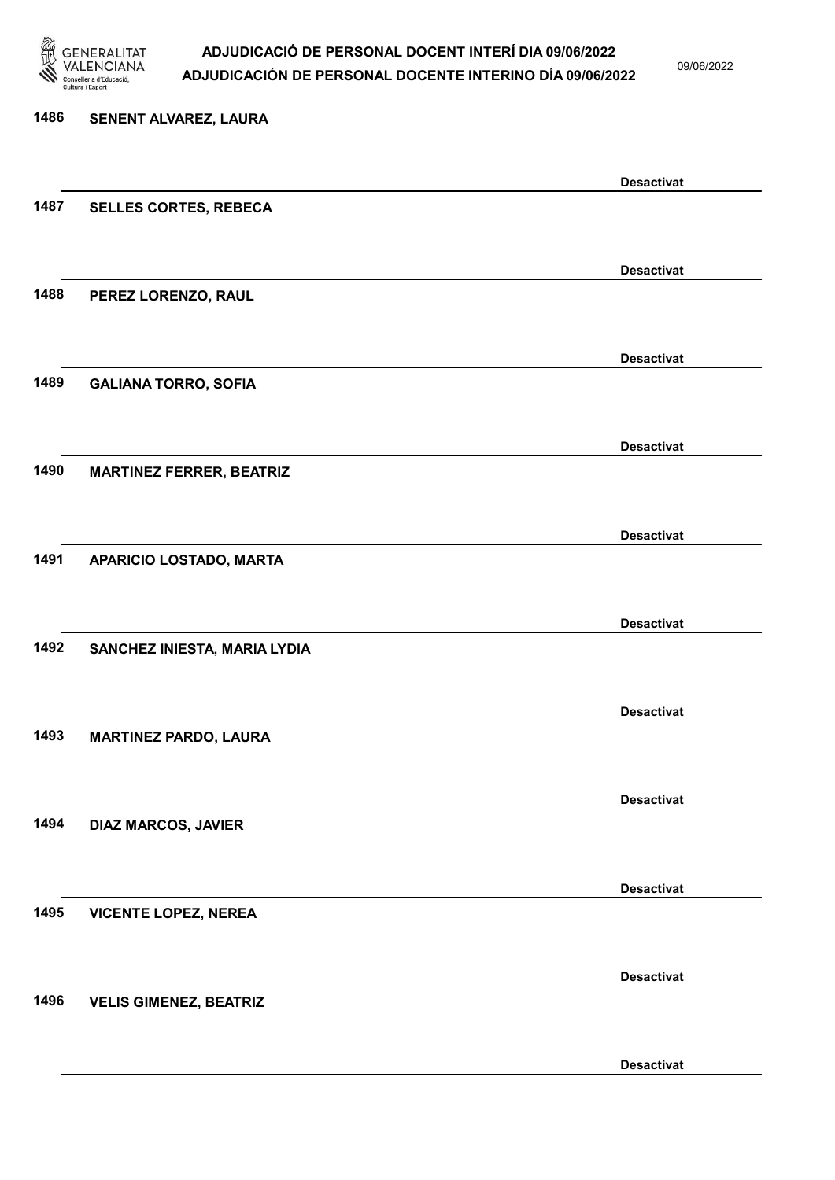

09/06/2022

Desactivat

# 1486 SENENT ALVAREZ, LAURA Desactivat 1487 SELLES CORTES, REBECA Desactivat 1488 PEREZ LORENZO, RAUL Desactivat 1489 GALIANA TORRO, SOFIA Desactivat 1490 MARTINEZ FERRER, BEATRIZ Desactivat 1491 APARICIO LOSTADO, MARTA Desactivat 1492 SANCHEZ INIESTA, MARIA LYDIA Desactivat 1493 MARTINEZ PARDO, LAURA Desactivat 1494 DIAZ MARCOS, JAVIER Desactivat 1495 VICENTE LOPEZ, NEREA Desactivat 1496 VELIS GIMENEZ, BEATRIZ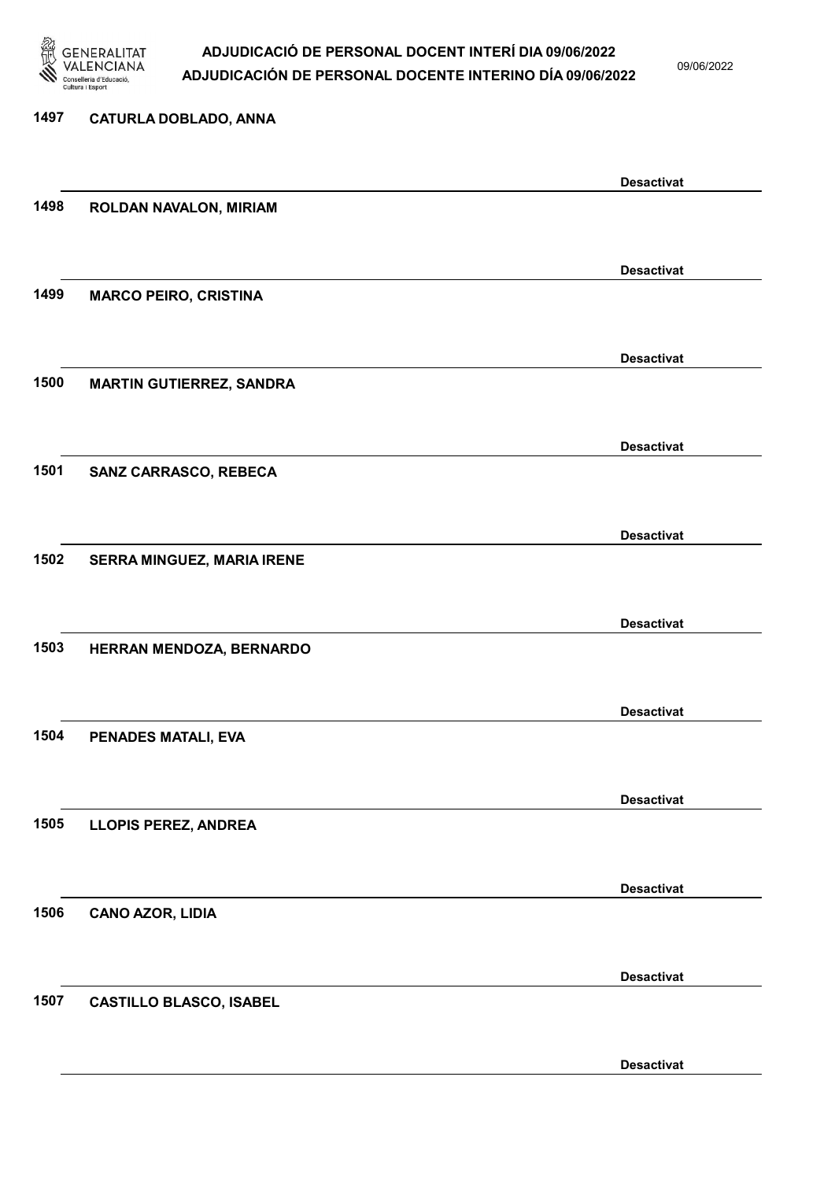

09/06/2022

Desactivat

# 1497 CATURLA DOBLADO, ANNA Desactivat 1498 ROLDAN NAVALON, MIRIAM Desactivat 1499 MARCO PEIRO, CRISTINA Desactivat 1500 MARTIN GUTIERREZ, SANDRA Desactivat 1501 SANZ CARRASCO, REBECA Desactivat 1502 SERRA MINGUEZ, MARIA IRENE Desactivat 1503 HERRAN MENDOZA, BERNARDO Desactivat 1504 PENADES MATALI, EVA Desactivat 1505 LLOPIS PEREZ, ANDREA Desactivat 1506 CANO AZOR, LIDIA Desactivat 1507 CASTILLO BLASCO, ISABEL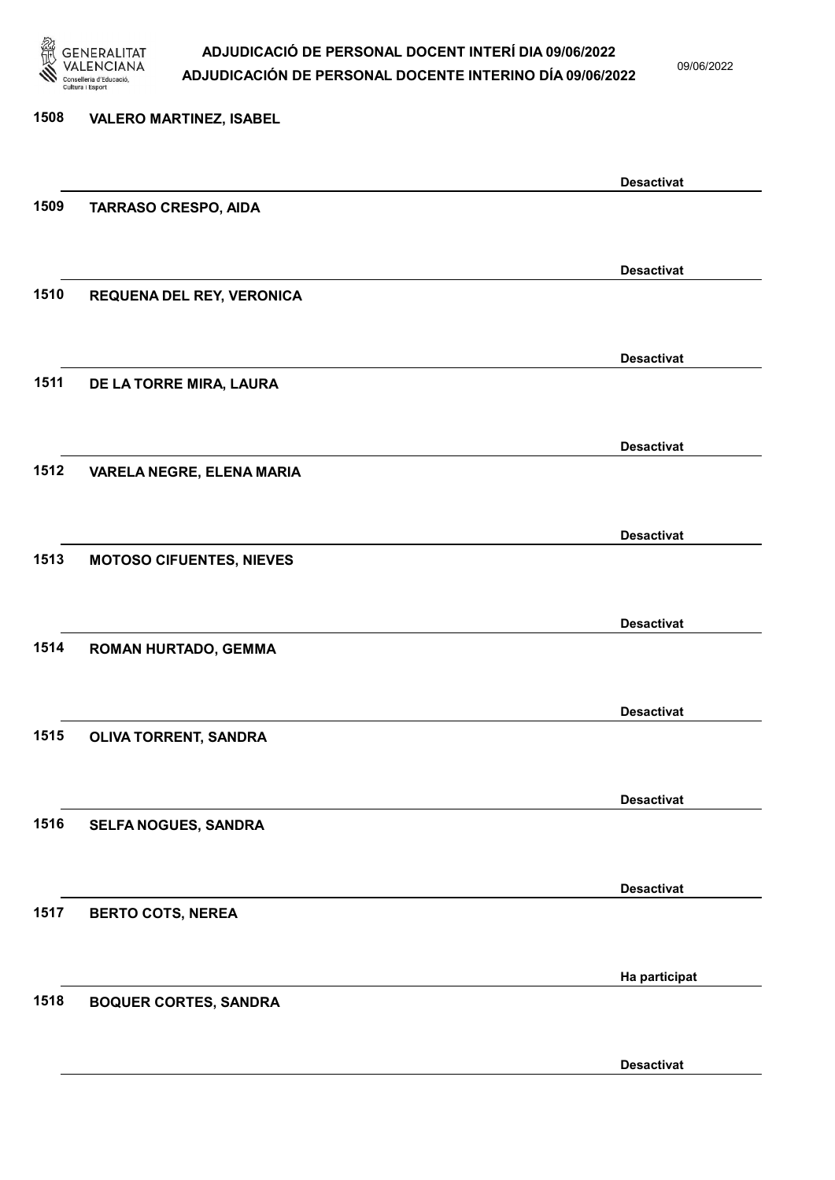

09/06/2022

| 1508 | <b>VALERO MARTINEZ, ISABEL</b>  |                   |
|------|---------------------------------|-------------------|
|      |                                 | <b>Desactivat</b> |
| 1509 | <b>TARRASO CRESPO, AIDA</b>     |                   |
|      |                                 |                   |
| 1510 | REQUENA DEL REY, VERONICA       | <b>Desactivat</b> |
|      |                                 |                   |
|      |                                 | <b>Desactivat</b> |
| 1511 | DE LA TORRE MIRA, LAURA         |                   |
|      |                                 | <b>Desactivat</b> |
| 1512 | VARELA NEGRE, ELENA MARIA       |                   |
|      |                                 |                   |
| 1513 |                                 | <b>Desactivat</b> |
|      | <b>MOTOSO CIFUENTES, NIEVES</b> |                   |
|      |                                 | <b>Desactivat</b> |
| 1514 | <b>ROMAN HURTADO, GEMMA</b>     |                   |
|      |                                 |                   |
| 1515 | OLIVA TORRENT, SANDRA           | <b>Desactivat</b> |
|      |                                 |                   |
|      |                                 | <b>Desactivat</b> |
| 1516 | SELFA NOGUES, SANDRA            |                   |
|      |                                 | <b>Desactivat</b> |
| 1517 | <b>BERTO COTS, NEREA</b>        |                   |
|      |                                 |                   |
| 1518 |                                 | Ha participat     |
|      | <b>BOQUER CORTES, SANDRA</b>    |                   |
|      |                                 |                   |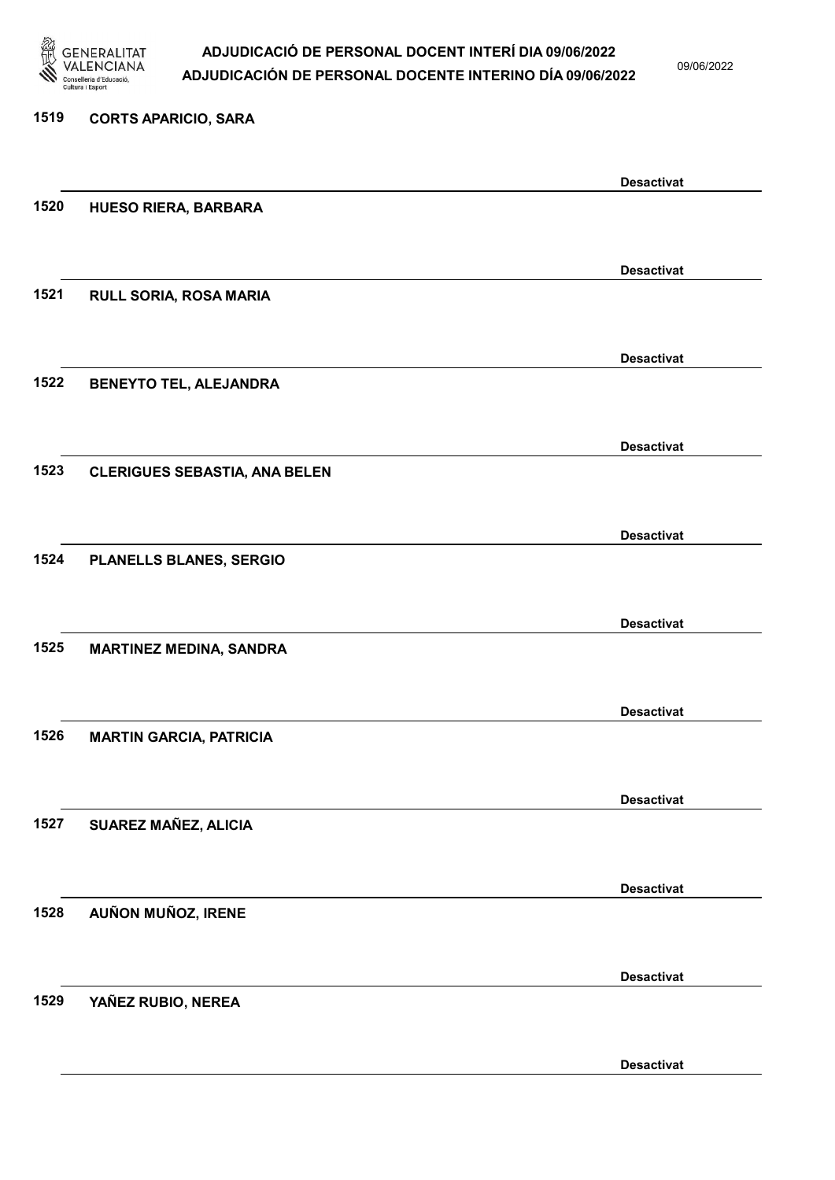

09/06/2022

### 1519 CORTS APARICIO, SARA Desactivat 1520 HUESO RIERA, BARBARA Desactivat 1521 RULL SORIA, ROSA MARIA Desactivat 1522 BENEYTO TEL, ALEJANDRA Desactivat 1523 CLERIGUES SEBASTIA, ANA BELEN Desactivat 1524 PLANELLS BLANES, SERGIO Desactivat 1525 MARTINEZ MEDINA, SANDRA Desactivat 1526 MARTIN GARCIA, PATRICIA Desactivat 1527 SUAREZ MAÑEZ, ALICIA Desactivat 1528 AUÑON MUÑOZ, IRENE Desactivat 1529 YAÑEZ RUBIO, NEREA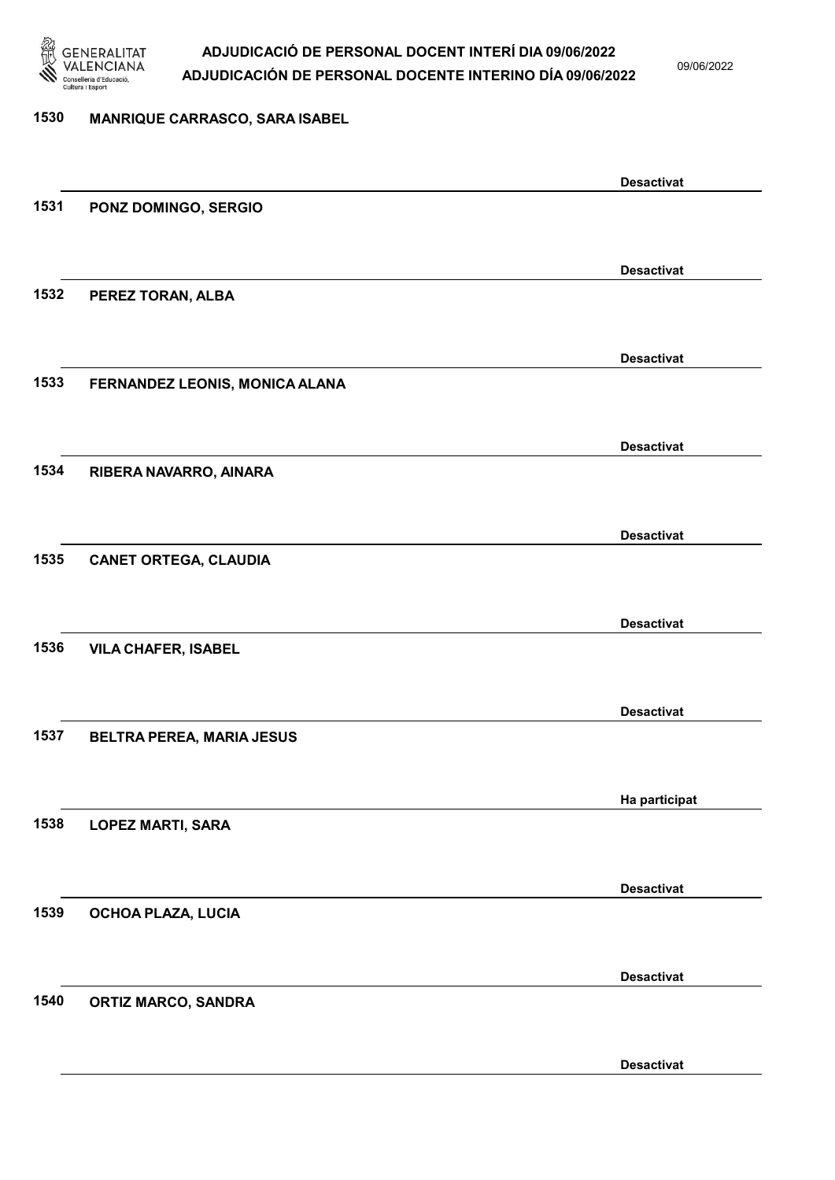

09/06/2022

#### 1530 MANRIQUE CARRASCO, SARA ISABEL

|      |                                | <b>Desactivat</b> |
|------|--------------------------------|-------------------|
| 1531 | PONZ DOMINGO, SERGIO           |                   |
|      |                                |                   |
|      |                                | <b>Desactivat</b> |
| 1532 |                                |                   |
|      | PEREZ TORAN, ALBA              |                   |
|      |                                |                   |
|      |                                | <b>Desactivat</b> |
| 1533 | FERNANDEZ LEONIS, MONICA ALANA |                   |
|      |                                |                   |
|      |                                | <b>Desactivat</b> |
| 1534 | RIBERA NAVARRO, AINARA         |                   |
|      |                                |                   |
|      |                                |                   |
|      |                                | <b>Desactivat</b> |
| 1535 | <b>CANET ORTEGA, CLAUDIA</b>   |                   |
|      |                                |                   |
|      |                                | <b>Desactivat</b> |
| 1536 | <b>VILA CHAFER, ISABEL</b>     |                   |
|      |                                |                   |
|      |                                | <b>Desactivat</b> |
| 1537 |                                |                   |
|      | BELTRA PEREA, MARIA JESUS      |                   |
|      |                                |                   |
|      |                                | Ha participat     |
| 1538 | <b>LOPEZ MARTI, SARA</b>       |                   |
|      |                                |                   |
|      |                                | <b>Desactivat</b> |
| 1539 | OCHOA PLAZA, LUCIA             |                   |
|      |                                |                   |
|      |                                |                   |
|      |                                | <b>Desactivat</b> |
| 1540 | <b>ORTIZ MARCO, SANDRA</b>     |                   |
|      |                                |                   |
|      |                                | <b>Desactivat</b> |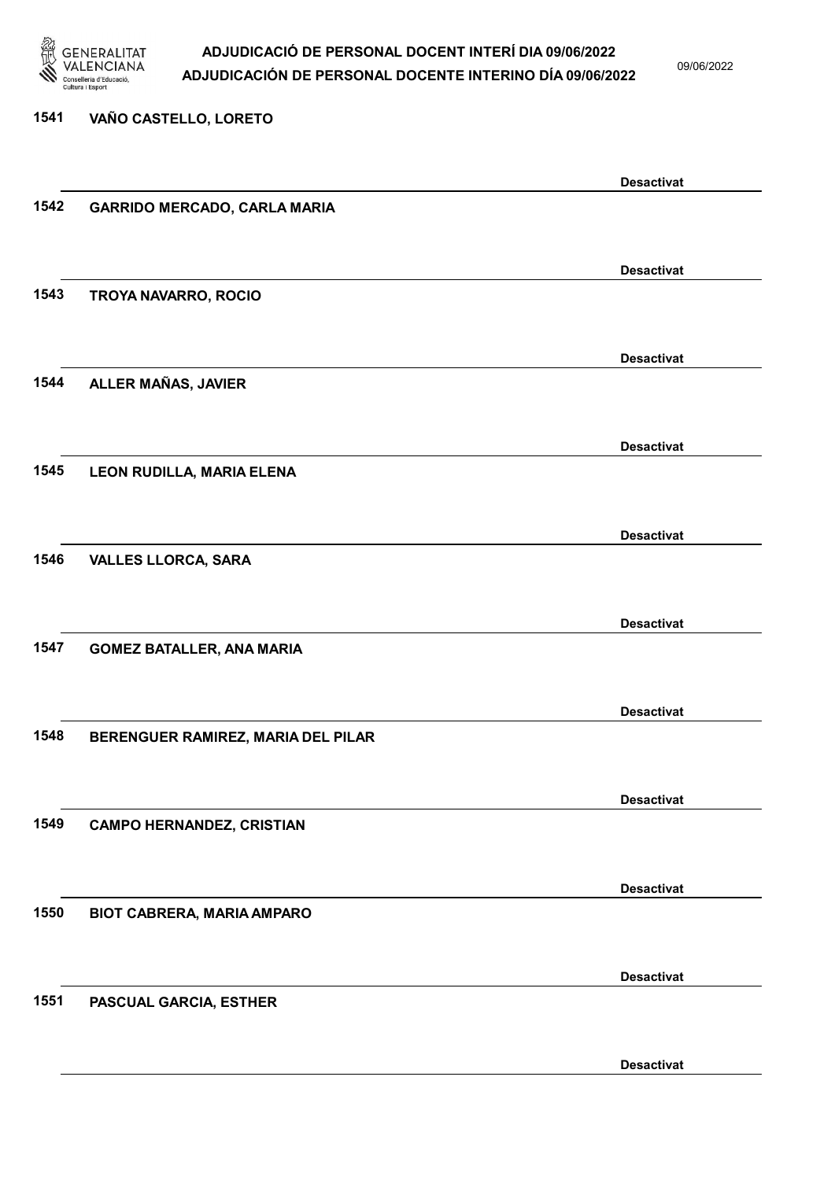

09/06/2022

# 1541 VAÑO CASTELLO, LORETO Desactivat 1542 GARRIDO MERCADO, CARLA MARIA Desactivat 1543 TROYA NAVARRO, ROCIO Desactivat 1544 ALLER MAÑAS, JAVIER Desactivat 1545 LEON RUDILLA, MARIA ELENA Desactivat 1546 VALLES LLORCA, SARA Desactivat 1547 GOMEZ BATALLER, ANA MARIA Desactivat 1548 BERENGUER RAMIREZ, MARIA DEL PILAR Desactivat 1549 CAMPO HERNANDEZ, CRISTIAN Desactivat 1550 BIOT CABRERA, MARIA AMPARO Desactivat 1551 PASCUAL GARCIA, ESTHER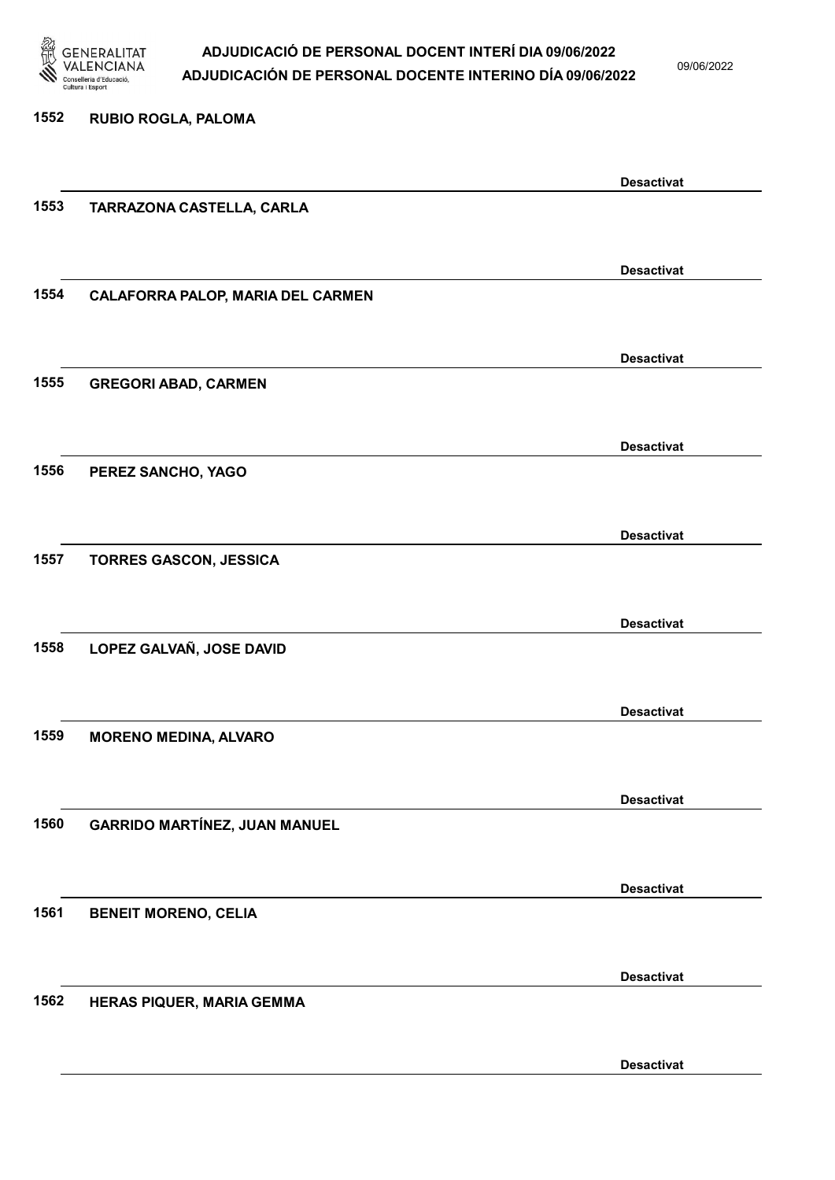

09/06/2022

Desactivat

1552 RUBIO ROGLA, PALOMA Desactivat 1553 TARRAZONA CASTELLA, CARLA Desactivat 1554 CALAFORRA PALOP, MARIA DEL CARMEN Desactivat 1555 GREGORI ABAD, CARMEN Desactivat 1556 PEREZ SANCHO, YAGO Desactivat 1557 TORRES GASCON, JESSICA Desactivat 1558 LOPEZ GALVAÑ, JOSE DAVID Desactivat 1559 MORENO MEDINA, ALVARO Desactivat 1560 GARRIDO MARTÍNEZ, JUAN MANUEL Desactivat 1561 BENEIT MORENO, CELIA Desactivat 1562 HERAS PIQUER, MARIA GEMMA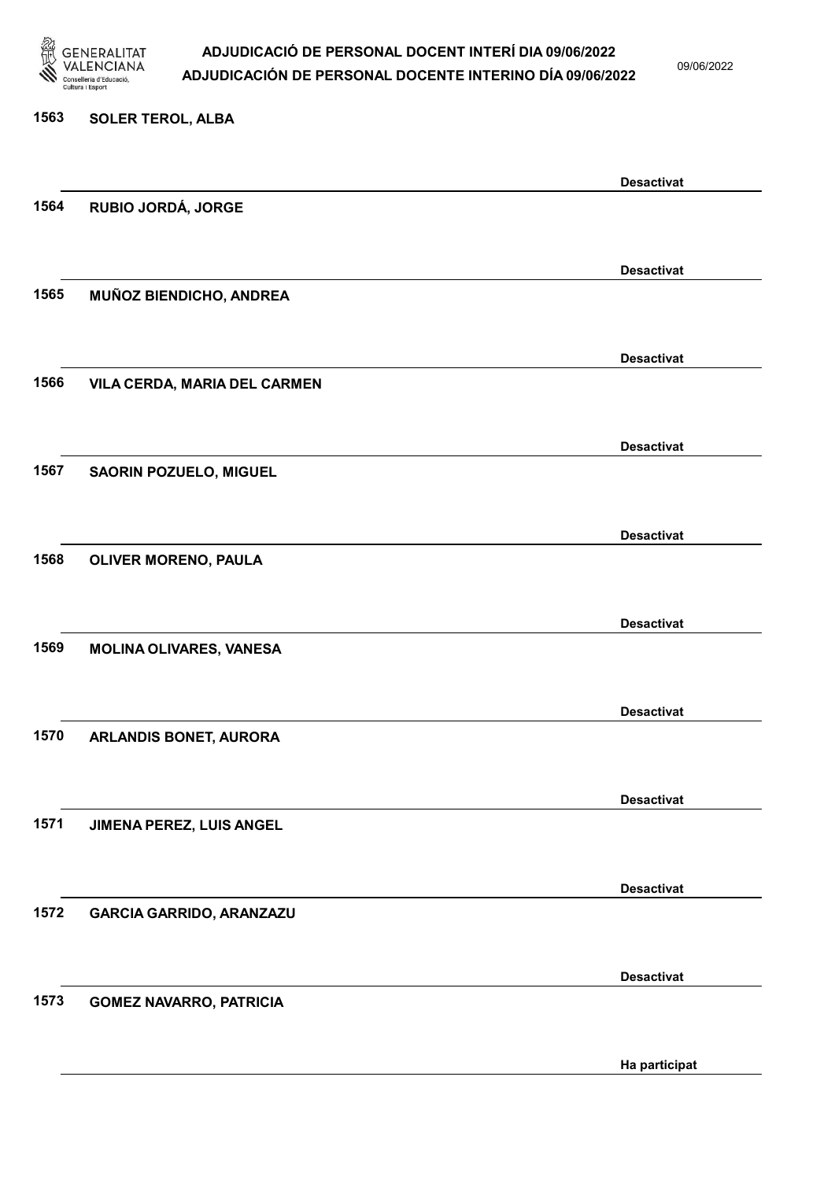

09/06/2022

# 1563 SOLER TEROL, ALBA Desactivat 1564 RUBIO JORDÁ, JORGE Desactivat 1565 MUÑOZ BIENDICHO, ANDREA Desactivat 1566 VILA CERDA, MARIA DEL CARMEN Desactivat 1567 SAORIN POZUELO, MIGUEL Desactivat 1568 OLIVER MORENO, PAULA Desactivat 1569 MOLINA OLIVARES, VANESA Desactivat 1570 ARLANDIS BONET, AURORA Desactivat 1571 JIMENA PEREZ, LUIS ANGEL Desactivat 1572 GARCIA GARRIDO, ARANZAZU Desactivat 1573 GOMEZ NAVARRO, PATRICIA

Ha participat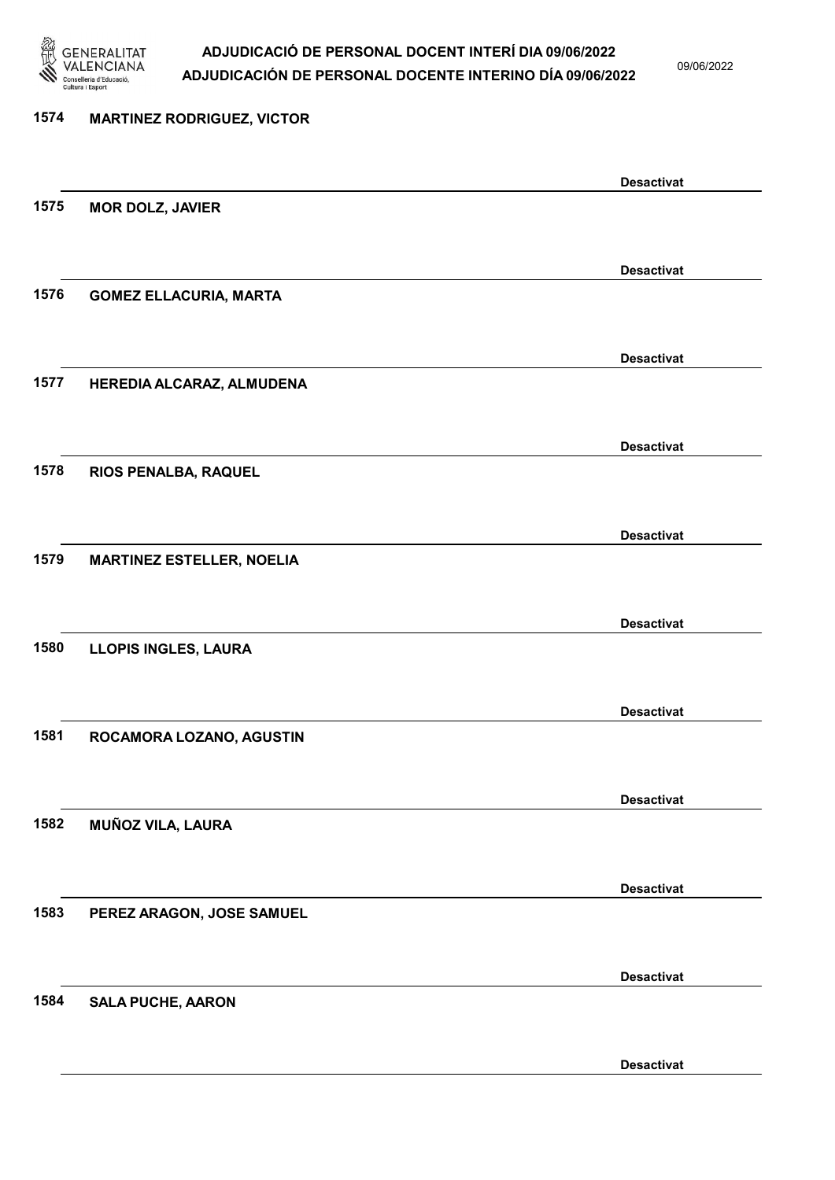

09/06/2022

| <b>MARTINEZ RODRIGUEZ, VICTOR</b> |                                                |
|-----------------------------------|------------------------------------------------|
|                                   | <b>Desactivat</b>                              |
| <b>MOR DOLZ, JAVIER</b>           |                                                |
|                                   | <b>Desactivat</b>                              |
| <b>GOMEZ ELLACURIA, MARTA</b>     |                                                |
|                                   | <b>Desactivat</b>                              |
|                                   |                                                |
|                                   | <b>Desactivat</b>                              |
| RIOS PENALBA, RAQUEL              |                                                |
|                                   | <b>Desactivat</b>                              |
| <b>MARTINEZ ESTELLER, NOELIA</b>  |                                                |
|                                   | <b>Desactivat</b>                              |
| <b>LLOPIS INGLES, LAURA</b>       |                                                |
|                                   | <b>Desactivat</b>                              |
| ROCAMORA LOZANO, AGUSTIN          |                                                |
|                                   | <b>Desactivat</b>                              |
|                                   |                                                |
|                                   | <b>Desactivat</b>                              |
| PEREZ ARAGON, JOSE SAMUEL         |                                                |
|                                   | <b>Desactivat</b>                              |
| <b>SALA PUCHE, AARON</b>          |                                                |
|                                   | HEREDIA ALCARAZ, ALMUDENA<br>MUÑOZ VILA, LAURA |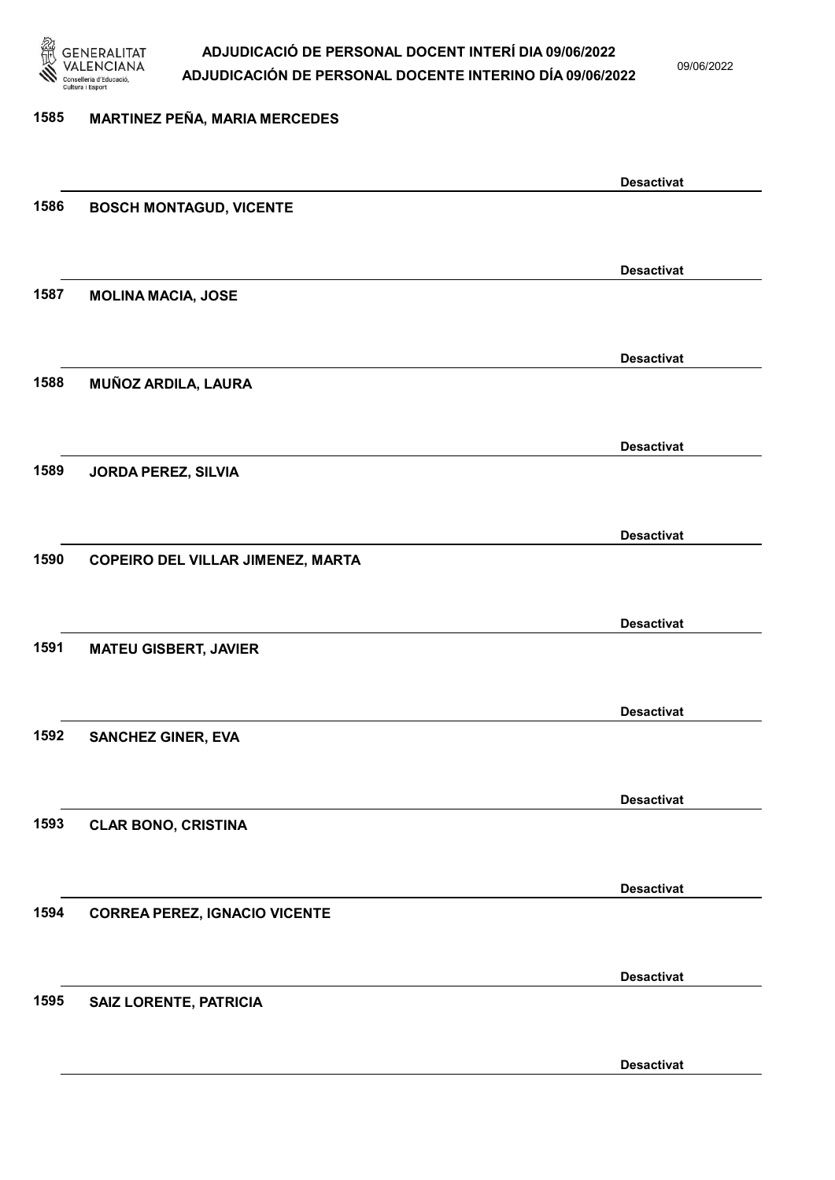

09/06/2022

#### 1585 MARTINEZ PEÑA, MARIA MERCEDES

|      |                                          | <b>Desactivat</b> |
|------|------------------------------------------|-------------------|
| 1586 | <b>BOSCH MONTAGUD, VICENTE</b>           |                   |
|      |                                          |                   |
|      |                                          | <b>Desactivat</b> |
| 1587 | <b>MOLINA MACIA, JOSE</b>                |                   |
|      |                                          |                   |
|      |                                          |                   |
|      |                                          | <b>Desactivat</b> |
| 1588 | MUÑOZ ARDILA, LAURA                      |                   |
|      |                                          |                   |
|      |                                          | <b>Desactivat</b> |
| 1589 | JORDA PEREZ, SILVIA                      |                   |
|      |                                          |                   |
|      |                                          | <b>Desactivat</b> |
| 1590 | <b>COPEIRO DEL VILLAR JIMENEZ, MARTA</b> |                   |
|      |                                          |                   |
|      |                                          |                   |
|      |                                          | <b>Desactivat</b> |
| 1591 | <b>MATEU GISBERT, JAVIER</b>             |                   |
|      |                                          |                   |
|      |                                          | <b>Desactivat</b> |
| 1592 | <b>SANCHEZ GINER, EVA</b>                |                   |
|      |                                          |                   |
|      |                                          | <b>Desactivat</b> |
| 1593 | <b>CLAR BONO, CRISTINA</b>               |                   |
|      |                                          |                   |
|      |                                          |                   |
|      |                                          | <b>Desactivat</b> |
| 1594 | <b>CORREA PEREZ, IGNACIO VICENTE</b>     |                   |
|      |                                          |                   |
|      |                                          | <b>Desactivat</b> |
| 1595 | <b>SAIZ LORENTE, PATRICIA</b>            |                   |
|      |                                          |                   |
|      |                                          | <b>Desactivat</b> |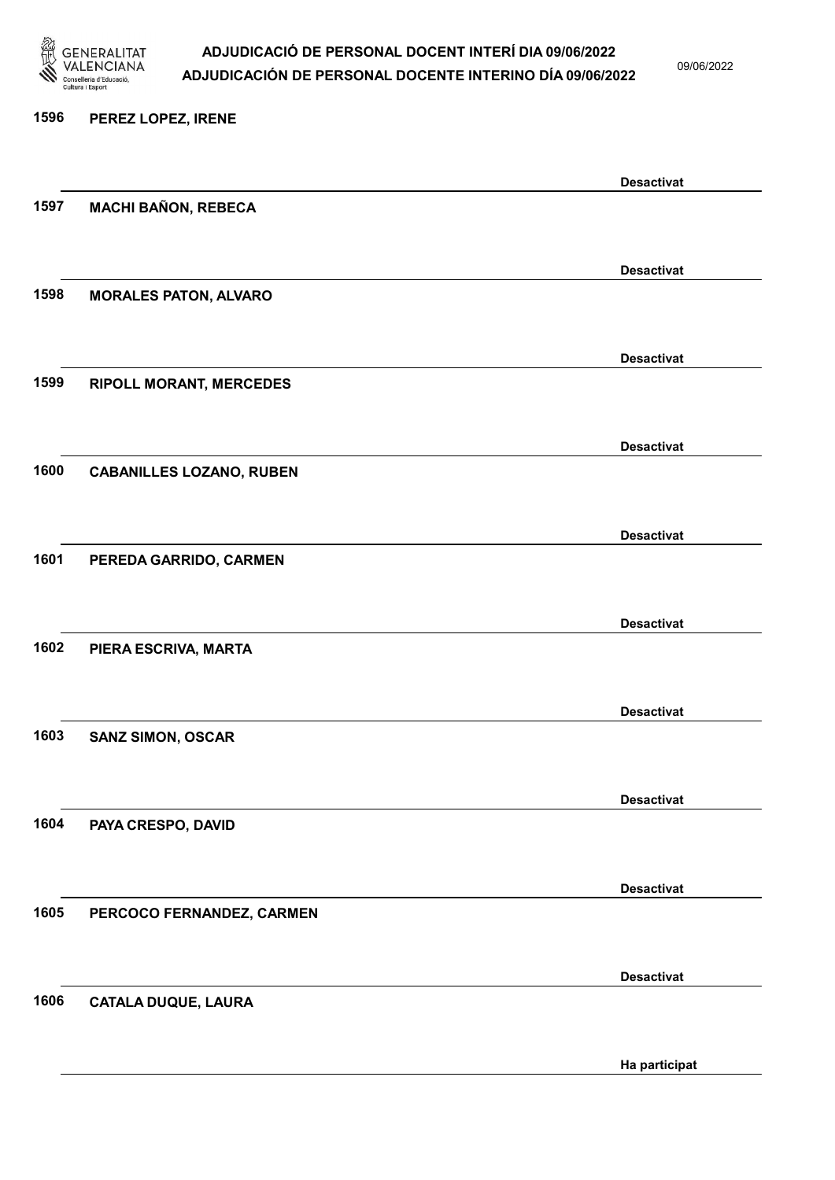

09/06/2022

#### 1596 PEREZ LOPEZ, IRENE

| 1597 | <b>MACHI BAÑON, REBECA</b>      | <b>Desactivat</b> |
|------|---------------------------------|-------------------|
|      |                                 |                   |
|      |                                 |                   |
| 1598 | <b>MORALES PATON, ALVARO</b>    | <b>Desactivat</b> |
|      |                                 |                   |
|      |                                 | <b>Desactivat</b> |
| 1599 | <b>RIPOLL MORANT, MERCEDES</b>  |                   |
|      |                                 |                   |
|      |                                 | <b>Desactivat</b> |
| 1600 | <b>CABANILLES LOZANO, RUBEN</b> |                   |
|      |                                 |                   |
|      |                                 | <b>Desactivat</b> |
| 1601 | PEREDA GARRIDO, CARMEN          |                   |
|      |                                 |                   |
|      |                                 | <b>Desactivat</b> |
| 1602 | PIERA ESCRIVA, MARTA            |                   |
|      |                                 |                   |
|      |                                 | <b>Desactivat</b> |
| 1603 | <b>SANZ SIMON, OSCAR</b>        |                   |
|      |                                 |                   |
|      |                                 | <b>Desactivat</b> |
| 1604 | PAYA CRESPO, DAVID              |                   |
|      |                                 |                   |
|      |                                 | <b>Desactivat</b> |
| 1605 | PERCOCO FERNANDEZ, CARMEN       |                   |
|      |                                 |                   |
|      |                                 | <b>Desactivat</b> |
| 1606 | <b>CATALA DUQUE, LAURA</b>      |                   |
|      |                                 |                   |
|      |                                 | Ha participat     |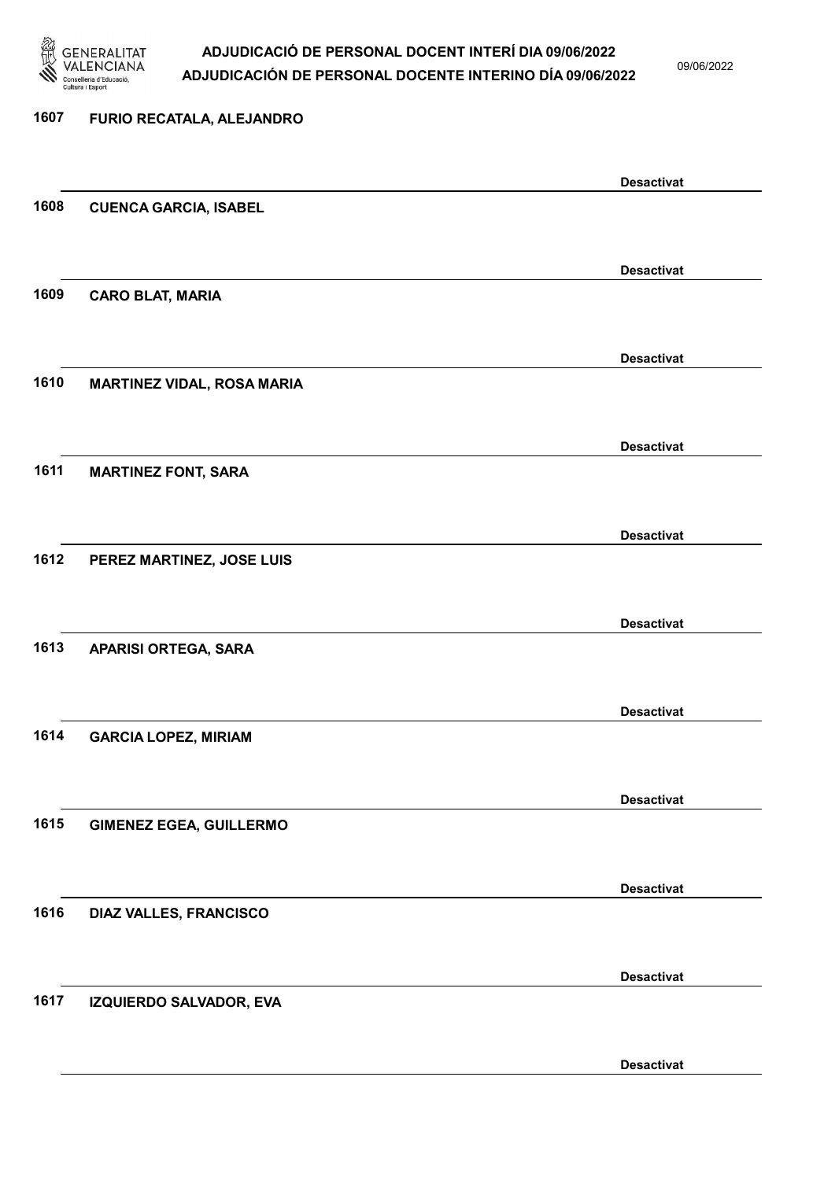

09/06/2022

Desactivat

# 1607 FURIO RECATALA, ALEJANDRO Desactivat 1608 CUENCA GARCIA, ISABEL Desactivat 1609 CARO BLAT, MARIA Desactivat 1610 MARTINEZ VIDAL, ROSA MARIA Desactivat 1611 MARTINEZ FONT, SARA Desactivat 1612 PEREZ MARTINEZ, JOSE LUIS Desactivat 1613 APARISI ORTEGA, SARA Desactivat 1614 GARCIA LOPEZ, MIRIAM Desactivat 1615 GIMENEZ EGEA, GUILLERMO Desactivat 1616 DIAZ VALLES, FRANCISCO Desactivat 1617 IZQUIERDO SALVADOR, EVA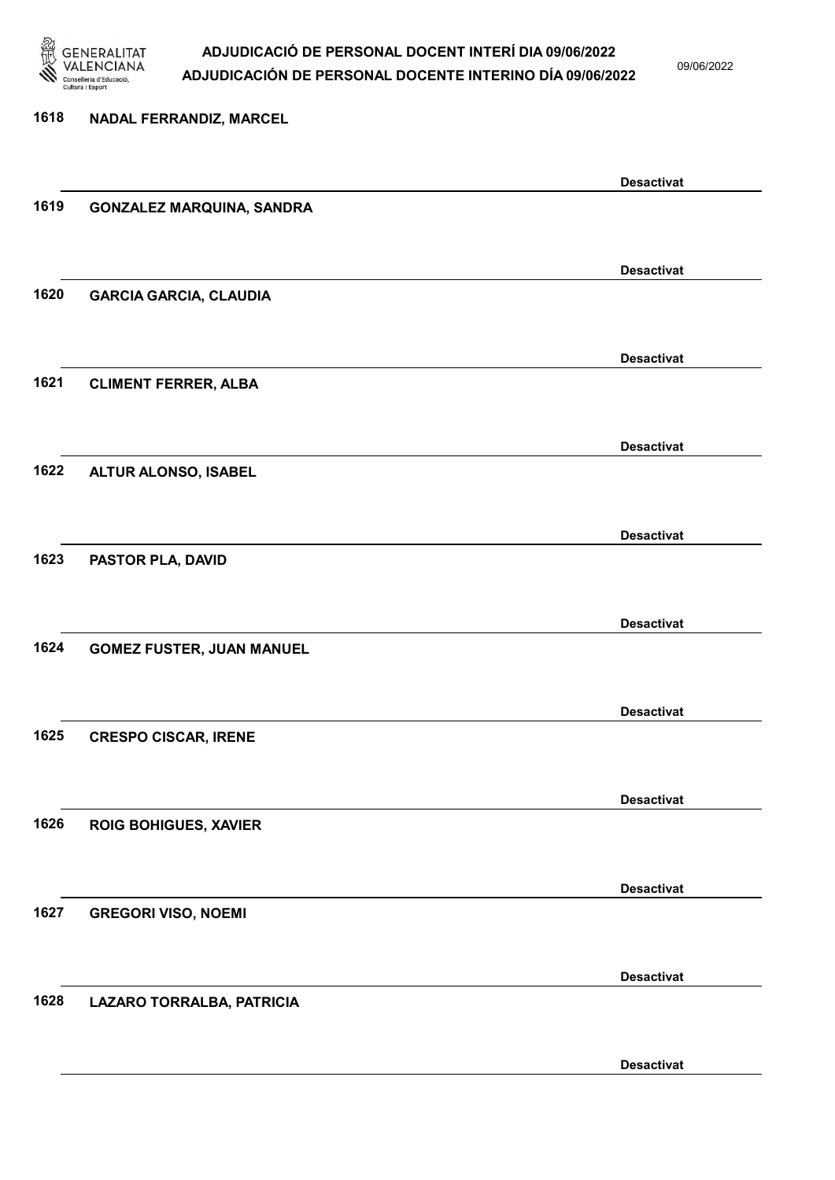

09/06/2022

Desactivat

## 1618 NADAL FERRANDIZ, MARCEL Desactivat 1619 GONZALEZ MARQUINA, SANDRA Desactivat 1620 GARCIA GARCIA, CLAUDIA Desactivat 1621 CLIMENT FERRER, ALBA Desactivat 1622 ALTUR ALONSO, ISABEL Desactivat 1623 PASTOR PLA, DAVID Desactivat 1624 GOMEZ FUSTER, JUAN MANUEL Desactivat 1625 CRESPO CISCAR, IRENE Desactivat 1626 ROIG BOHIGUES, XAVIER Desactivat 1627 GREGORI VISO, NOEMI Desactivat 1628 LAZARO TORRALBA, PATRICIA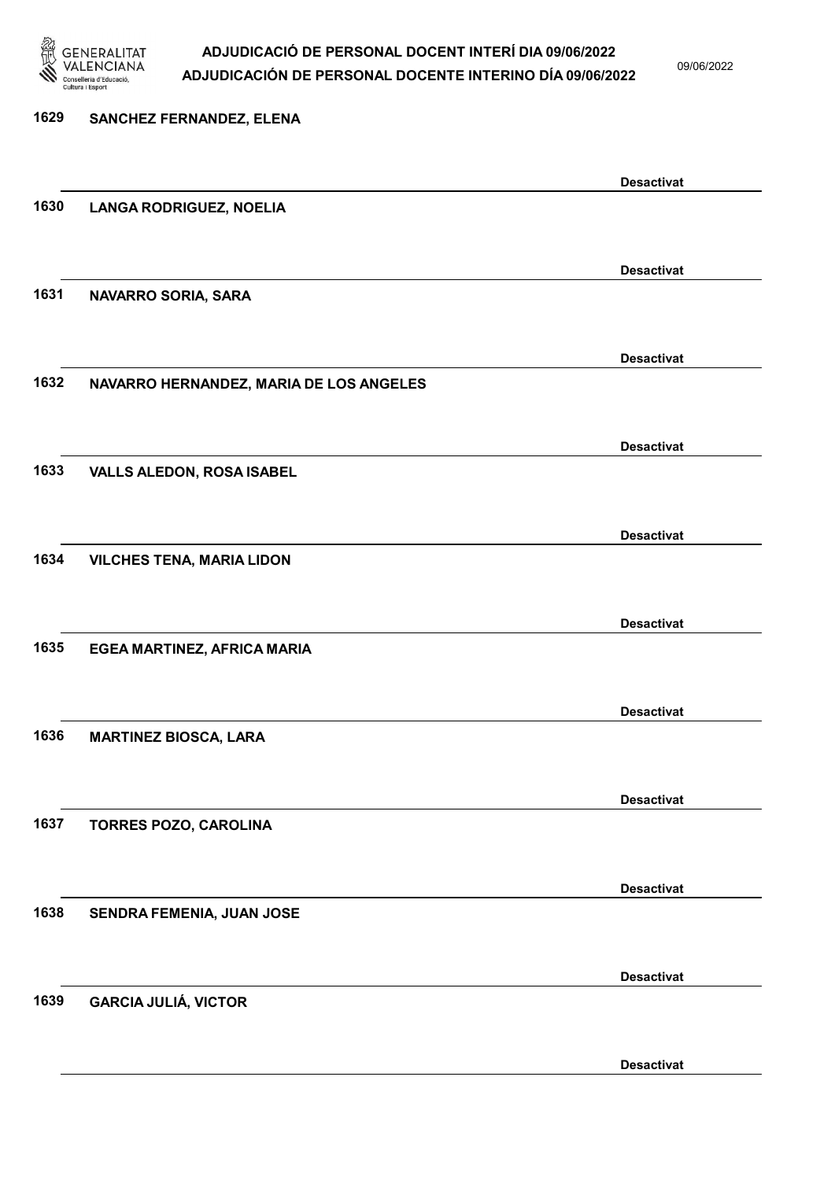

09/06/2022

Desactivat

# 1629 SANCHEZ FERNANDEZ, ELENA Desactivat 1630 LANGA RODRIGUEZ, NOELIA Desactivat 1631 NAVARRO SORIA, SARA Desactivat 1632 NAVARRO HERNANDEZ, MARIA DE LOS ANGELES Desactivat 1633 VALLS ALEDON, ROSA ISABEL Desactivat 1634 VILCHES TENA, MARIA LIDON Desactivat 1635 EGEA MARTINEZ, AFRICA MARIA Desactivat 1636 MARTINEZ BIOSCA, LARA Desactivat 1637 TORRES POZO, CAROLINA Desactivat 1638 SENDRA FEMENIA, JUAN JOSE Desactivat 1639 GARCIA JULIÁ, VICTOR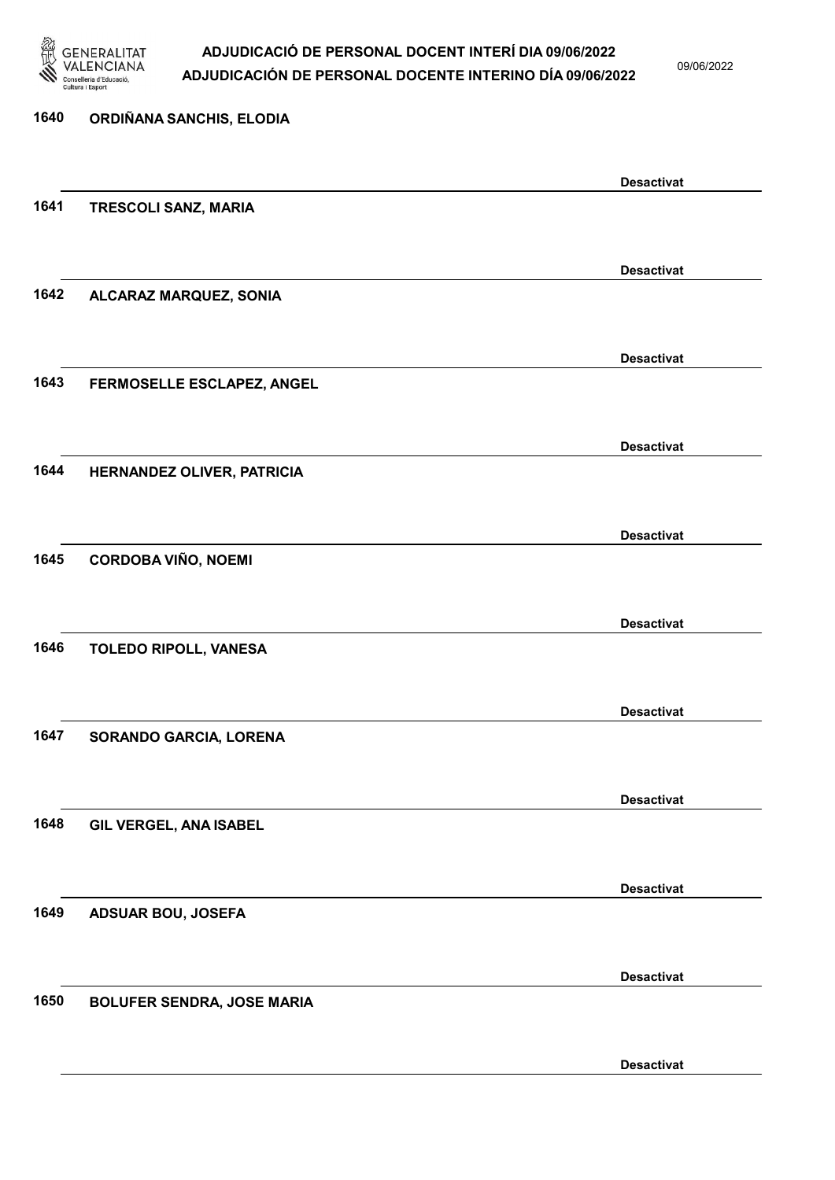

09/06/2022

| 1640 | ORDIÑANA SANCHIS, ELODIA          |                   |
|------|-----------------------------------|-------------------|
|      |                                   | <b>Desactivat</b> |
| 1641 | TRESCOLI SANZ, MARIA              |                   |
|      |                                   | <b>Desactivat</b> |
| 1642 | ALCARAZ MARQUEZ, SONIA            |                   |
|      |                                   | <b>Desactivat</b> |
| 1643 | FERMOSELLE ESCLAPEZ, ANGEL        |                   |
|      |                                   | <b>Desactivat</b> |
| 1644 | HERNANDEZ OLIVER, PATRICIA        |                   |
|      |                                   | <b>Desactivat</b> |
| 1645 | <b>CORDOBA VIÑO, NOEMI</b>        |                   |
|      |                                   | <b>Desactivat</b> |
| 1646 | TOLEDO RIPOLL, VANESA             |                   |
|      |                                   | <b>Desactivat</b> |
| 1647 | SORANDO GARCIA, LORENA            |                   |
|      |                                   | <b>Desactivat</b> |
| 1648 | GIL VERGEL, ANA ISABEL            |                   |
|      |                                   | <b>Desactivat</b> |
| 1649 | <b>ADSUAR BOU, JOSEFA</b>         |                   |
|      |                                   | <b>Desactivat</b> |
| 1650 | <b>BOLUFER SENDRA, JOSE MARIA</b> |                   |
|      |                                   | <b>Desactivat</b> |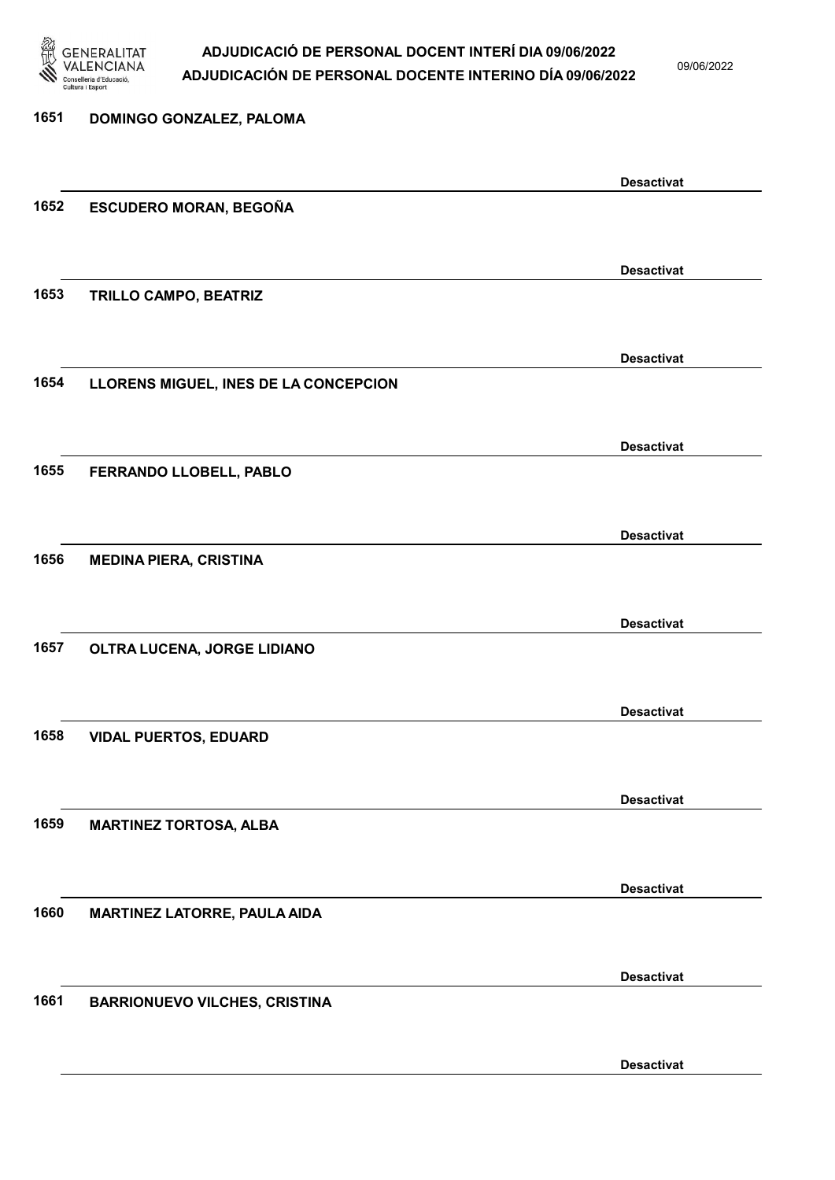

09/06/2022

### 1651 DOMINGO GONZALEZ, PALOMA Desactivat 1652 ESCUDERO MORAN, BEGOÑA Desactivat 1653 TRILLO CAMPO, BEATRIZ Desactivat 1654 LLORENS MIGUEL, INES DE LA CONCEPCION Desactivat 1655 FERRANDO LLOBELL, PABLO Desactivat 1656 MEDINA PIERA, CRISTINA Desactivat 1657 OLTRA LUCENA, JORGE LIDIANO Desactivat 1658 VIDAL PUERTOS, EDUARD Desactivat 1659 MARTINEZ TORTOSA, ALBA Desactivat 1660 MARTINEZ LATORRE, PAULA AIDA Desactivat 1661 BARRIONUEVO VILCHES, CRISTINA Desactivat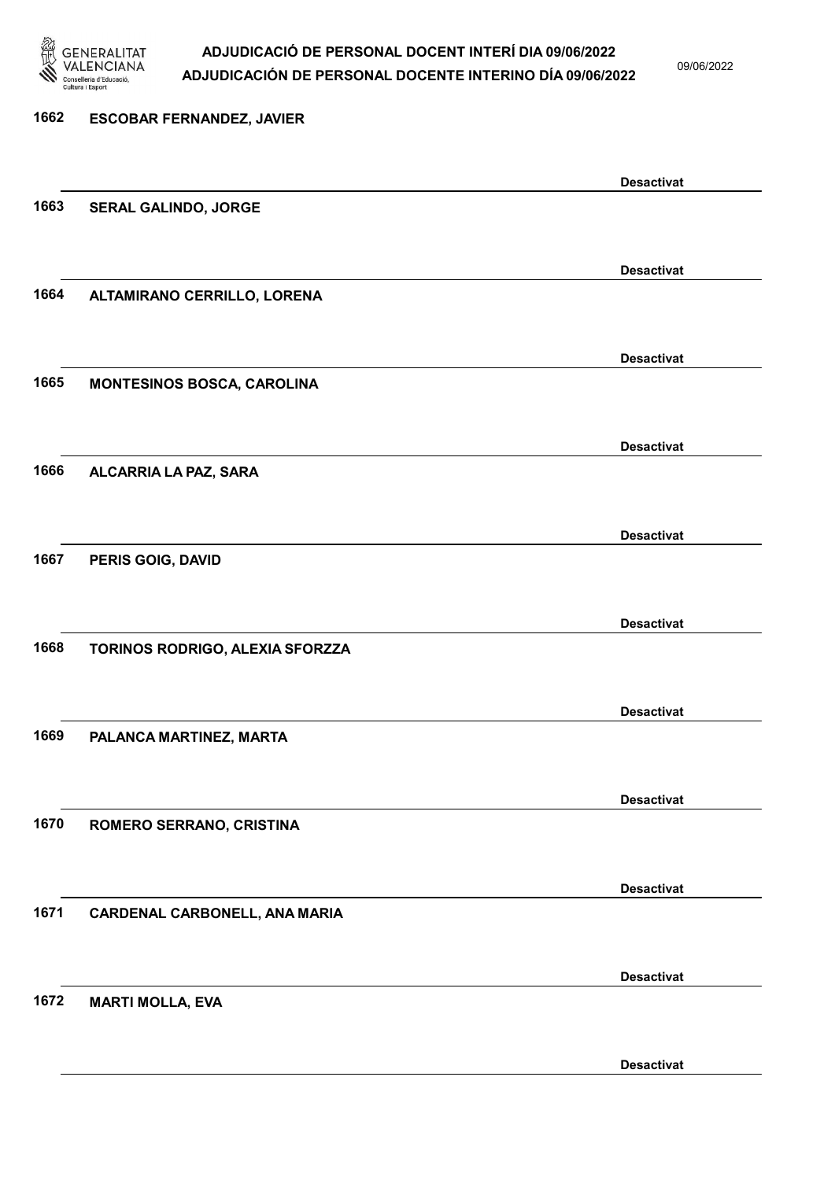

09/06/2022

| 1662 | <b>ESCOBAR FERNANDEZ, JAVIER</b>  |                   |
|------|-----------------------------------|-------------------|
|      |                                   | <b>Desactivat</b> |
| 1663 | SERAL GALINDO, JORGE              |                   |
|      |                                   | <b>Desactivat</b> |
| 1664 | ALTAMIRANO CERRILLO, LORENA       |                   |
|      |                                   | <b>Desactivat</b> |
| 1665 | <b>MONTESINOS BOSCA, CAROLINA</b> |                   |
|      |                                   | <b>Desactivat</b> |
| 1666 | ALCARRIA LA PAZ, SARA             |                   |
|      |                                   | <b>Desactivat</b> |
| 1667 | PERIS GOIG, DAVID                 |                   |
|      |                                   | <b>Desactivat</b> |
| 1668 | TORINOS RODRIGO, ALEXIA SFORZZA   |                   |
|      |                                   | <b>Desactivat</b> |
| 1669 | PALANCA MARTINEZ, MARTA           |                   |
|      |                                   | <b>Desactivat</b> |
| 1670 | ROMERO SERRANO, CRISTINA          |                   |
|      |                                   | <b>Desactivat</b> |
| 1671 | CARDENAL CARBONELL, ANA MARIA     |                   |
|      |                                   | <b>Desactivat</b> |
| 1672 | <b>MARTI MOLLA, EVA</b>           |                   |

Desactivat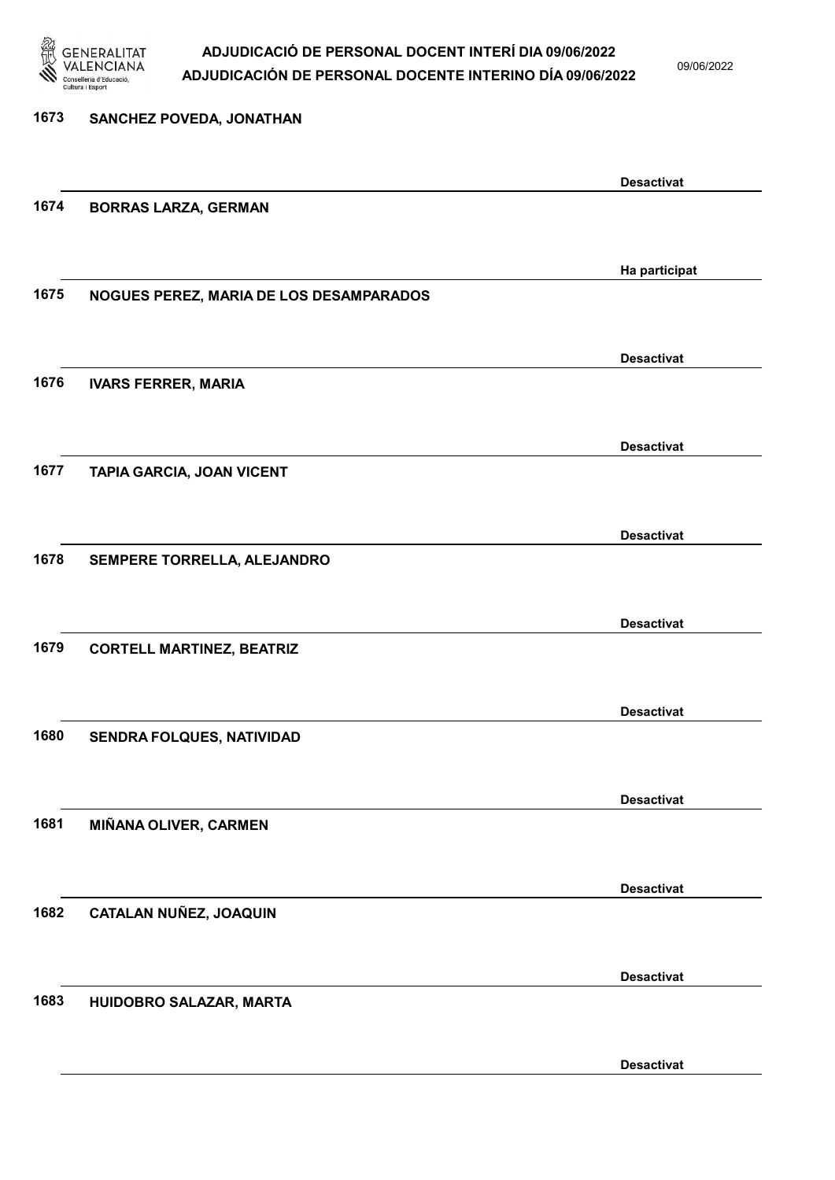

09/06/2022

Desactivat

# 1673 SANCHEZ POVEDA, JONATHAN Desactivat 1674 BORRAS LARZA, GERMAN Ha participat 1675 NOGUES PEREZ, MARIA DE LOS DESAMPARADOS Desactivat 1676 IVARS FERRER, MARIA Desactivat 1677 TAPIA GARCIA, JOAN VICENT Desactivat 1678 SEMPERE TORRELLA, ALEJANDRO Desactivat 1679 CORTELL MARTINEZ, BEATRIZ Desactivat 1680 SENDRA FOLQUES, NATIVIDAD Desactivat 1681 MIÑANA OLIVER, CARMEN Desactivat 1682 CATALAN NUÑEZ, JOAQUIN Desactivat 1683 HUIDOBRO SALAZAR, MARTA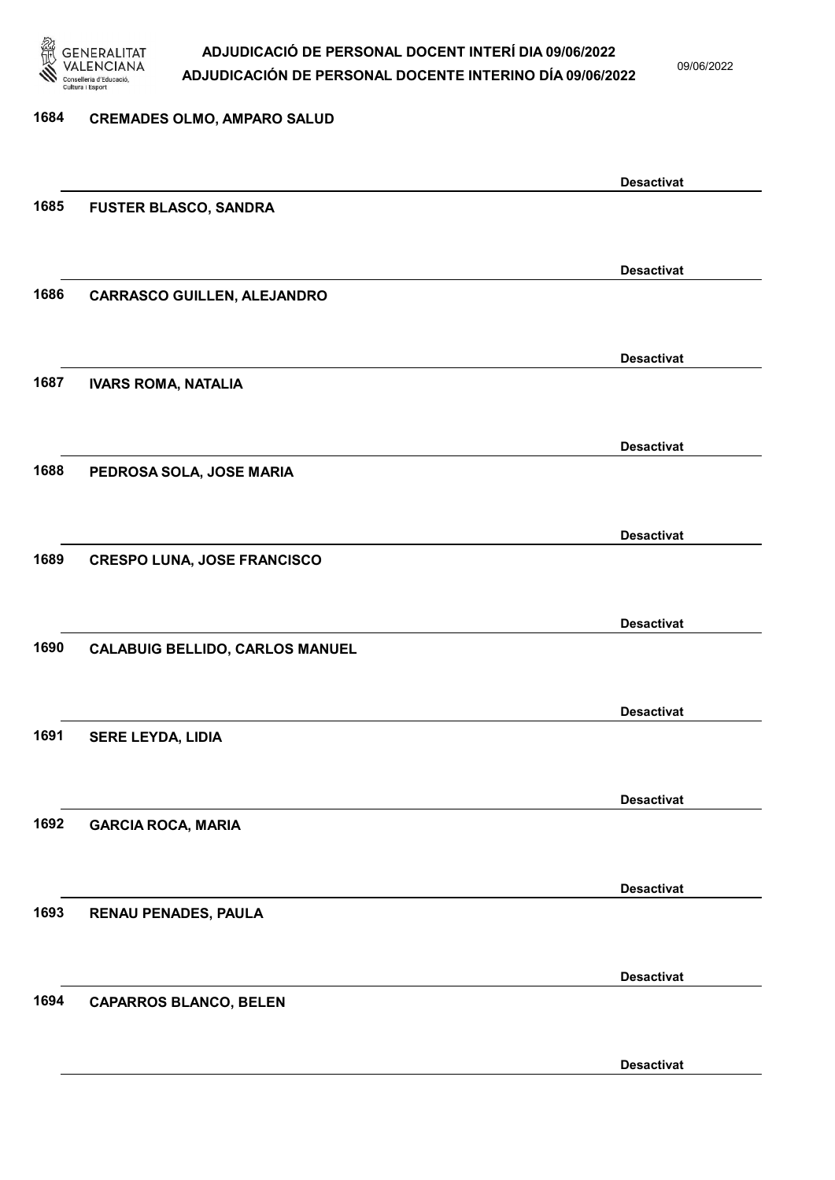

09/06/2022

Desactivat

| 1684 | <b>CREMADES OLMO, AMPARO SALUD</b>     |                   |
|------|----------------------------------------|-------------------|
|      |                                        |                   |
|      |                                        | <b>Desactivat</b> |
| 1685 | <b>FUSTER BLASCO, SANDRA</b>           |                   |
|      |                                        |                   |
|      |                                        | <b>Desactivat</b> |
| 1686 | <b>CARRASCO GUILLEN, ALEJANDRO</b>     |                   |
|      |                                        |                   |
|      |                                        | <b>Desactivat</b> |
| 1687 | <b>IVARS ROMA, NATALIA</b>             |                   |
|      |                                        |                   |
|      |                                        | <b>Desactivat</b> |
| 1688 | PEDROSA SOLA, JOSE MARIA               |                   |
|      |                                        |                   |
|      |                                        | <b>Desactivat</b> |
| 1689 | <b>CRESPO LUNA, JOSE FRANCISCO</b>     |                   |
|      |                                        |                   |
|      |                                        | <b>Desactivat</b> |
| 1690 | <b>CALABUIG BELLIDO, CARLOS MANUEL</b> |                   |
|      |                                        |                   |
|      |                                        | <b>Desactivat</b> |
| 1691 | <b>SERE LEYDA, LIDIA</b>               |                   |
|      |                                        |                   |
|      |                                        | <b>Desactivat</b> |
| 1692 | <b>GARCIA ROCA, MARIA</b>              |                   |
|      |                                        |                   |
|      |                                        | <b>Desactivat</b> |
| 1693 | <b>RENAU PENADES, PAULA</b>            |                   |
|      |                                        |                   |
|      |                                        | <b>Desactivat</b> |
| 1694 | <b>CAPARROS BLANCO, BELEN</b>          |                   |
|      |                                        |                   |
|      |                                        |                   |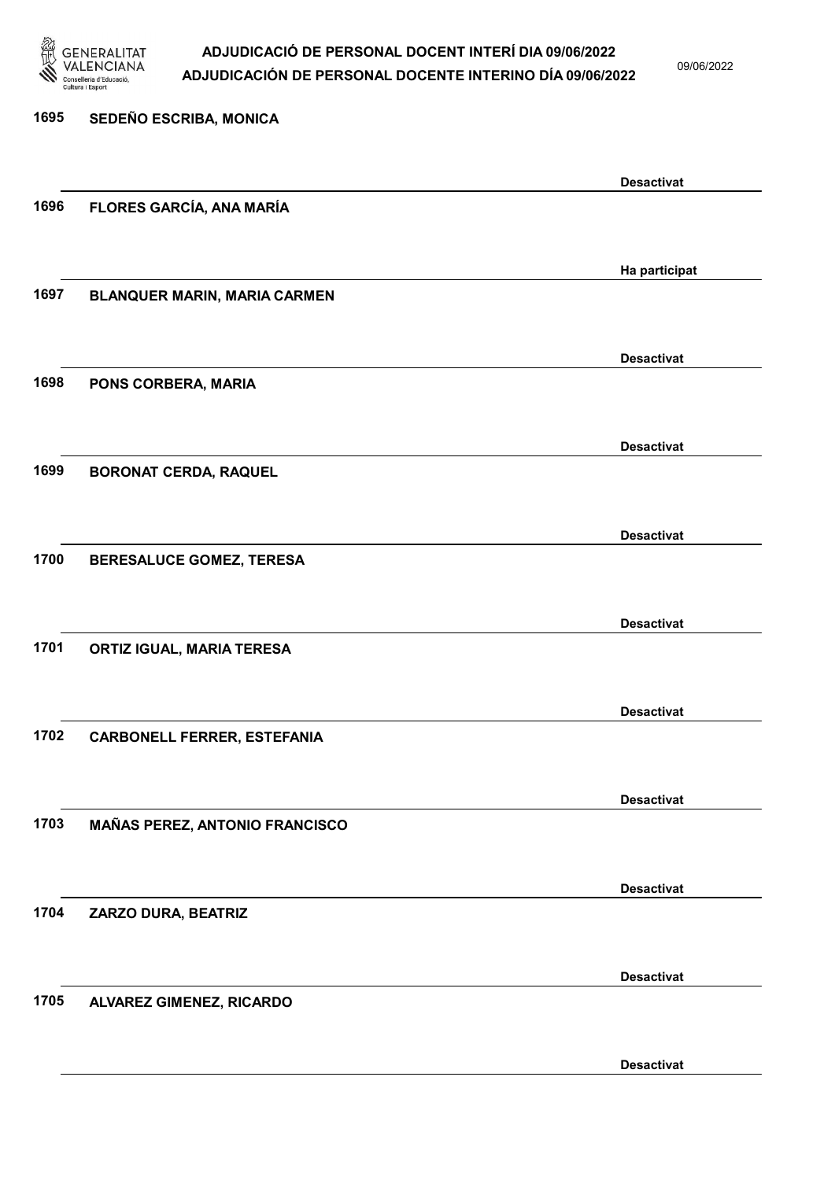

09/06/2022

| 1695 | SEDEÑO ESCRIBA, MONICA              |                   |
|------|-------------------------------------|-------------------|
|      |                                     | <b>Desactivat</b> |
| 1696 | FLORES GARCÍA, ANA MARÍA            |                   |
|      |                                     |                   |
|      |                                     | Ha participat     |
| 1697 | <b>BLANQUER MARIN, MARIA CARMEN</b> |                   |
|      |                                     |                   |
| 1698 | PONS CORBERA, MARIA                 | <b>Desactivat</b> |
|      |                                     |                   |
|      |                                     | <b>Desactivat</b> |
| 1699 | <b>BORONAT CERDA, RAQUEL</b>        |                   |
|      |                                     |                   |
|      |                                     | <b>Desactivat</b> |
| 1700 | BERESALUCE GOMEZ, TERESA            |                   |
|      |                                     | <b>Desactivat</b> |
| 1701 | <b>ORTIZ IGUAL, MARIA TERESA</b>    |                   |
|      |                                     |                   |
|      |                                     | <b>Desactivat</b> |
| 1702 | <b>CARBONELL FERRER, ESTEFANIA</b>  |                   |
|      |                                     |                   |
| 1703 |                                     | <b>Desactivat</b> |
|      | MAÑAS PEREZ, ANTONIO FRANCISCO      |                   |
|      |                                     | <b>Desactivat</b> |
| 1704 | ZARZO DURA, BEATRIZ                 |                   |
|      |                                     |                   |
|      |                                     | <b>Desactivat</b> |
| 1705 | ALVAREZ GIMENEZ, RICARDO            |                   |
|      |                                     |                   |

Desactivat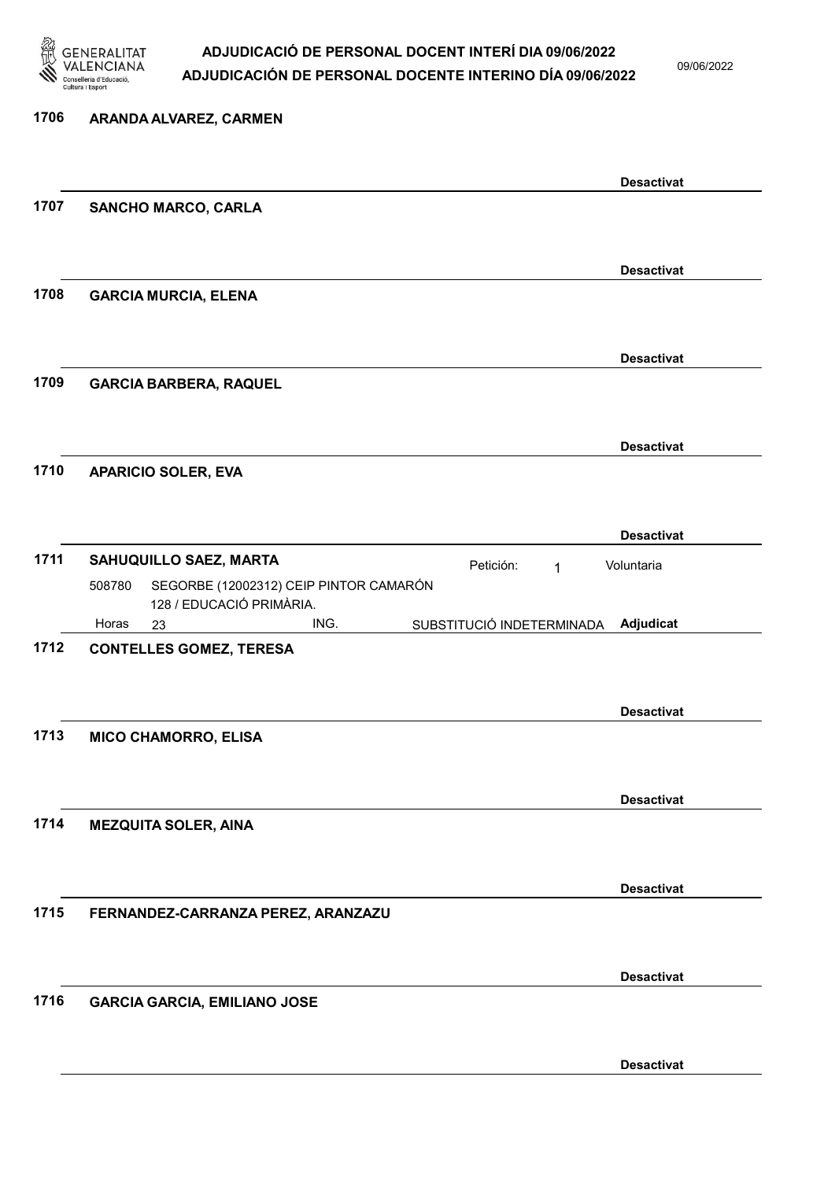

09/06/2022

| 1706 | ARANDA ALVAREZ, CARMEN                                                             |                   |
|------|------------------------------------------------------------------------------------|-------------------|
|      |                                                                                    | <b>Desactivat</b> |
| 1707 | <b>SANCHO MARCO, CARLA</b>                                                         |                   |
|      |                                                                                    | <b>Desactivat</b> |
| 1708 | <b>GARCIA MURCIA, ELENA</b>                                                        |                   |
| 1709 | <b>GARCIA BARBERA, RAQUEL</b>                                                      | <b>Desactivat</b> |
|      |                                                                                    |                   |
| 1710 | <b>APARICIO SOLER, EVA</b>                                                         | <b>Desactivat</b> |
|      |                                                                                    | <b>Desactivat</b> |
| 1711 | SAHUQUILLO SAEZ, MARTA<br>Petición:<br>1                                           | Voluntaria        |
|      | SEGORBE (12002312) CEIP PINTOR CAMARÓN<br>508780<br>128 / EDUCACIÓ PRIMÀRIA.       |                   |
| 1712 | Horas<br>ING.<br>SUBSTITUCIÓ INDETERMINADA<br>23<br><b>CONTELLES GOMEZ, TERESA</b> | Adjudicat         |
|      |                                                                                    | <b>Desactivat</b> |
| 1713 | <b>MICO CHAMORRO, ELISA</b>                                                        |                   |
|      |                                                                                    | <b>Desactivat</b> |
| 1714 | <b>MEZQUITA SOLER, AINA</b>                                                        |                   |
| 1715 | FERNANDEZ-CARRANZA PEREZ, ARANZAZU                                                 | <b>Desactivat</b> |
|      |                                                                                    |                   |
| 1716 | <b>GARCIA GARCIA, EMILIANO JOSE</b>                                                | <b>Desactivat</b> |
|      |                                                                                    |                   |
|      |                                                                                    | <b>Desactivat</b> |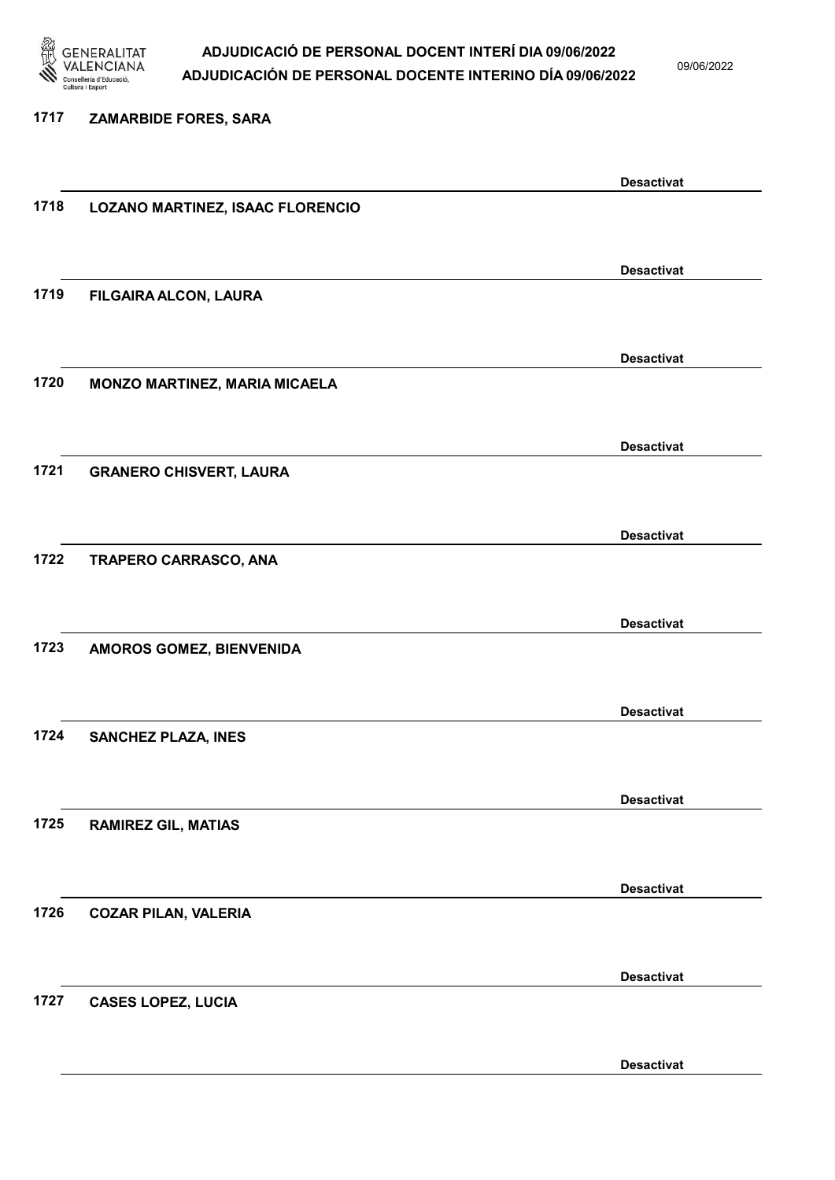

09/06/2022

#### 1717 ZAMARBIDE FORES, SARA

|      |                                  | <b>Desactivat</b> |
|------|----------------------------------|-------------------|
| 1718 | LOZANO MARTINEZ, ISAAC FLORENCIO |                   |
|      |                                  |                   |
|      |                                  | <b>Desactivat</b> |
| 1719 | FILGAIRA ALCON, LAURA            |                   |
|      |                                  |                   |
|      |                                  |                   |
|      |                                  | <b>Desactivat</b> |
| 1720 | MONZO MARTINEZ, MARIA MICAELA    |                   |
|      |                                  |                   |
|      |                                  | <b>Desactivat</b> |
| 1721 | <b>GRANERO CHISVERT, LAURA</b>   |                   |
|      |                                  |                   |
|      |                                  | <b>Desactivat</b> |
| 1722 | TRAPERO CARRASCO, ANA            |                   |
|      |                                  |                   |
|      |                                  |                   |
|      |                                  | <b>Desactivat</b> |
| 1723 | AMOROS GOMEZ, BIENVENIDA         |                   |
|      |                                  |                   |
|      |                                  | <b>Desactivat</b> |
| 1724 | <b>SANCHEZ PLAZA, INES</b>       |                   |
|      |                                  |                   |
|      |                                  | <b>Desactivat</b> |
| 1725 | <b>RAMIREZ GIL, MATIAS</b>       |                   |
|      |                                  |                   |
|      |                                  |                   |
| 1726 | <b>COZAR PILAN, VALERIA</b>      | <b>Desactivat</b> |
|      |                                  |                   |
|      |                                  |                   |
|      |                                  | <b>Desactivat</b> |
| 1727 | <b>CASES LOPEZ, LUCIA</b>        |                   |
|      |                                  |                   |
|      |                                  | <b>Desactivat</b> |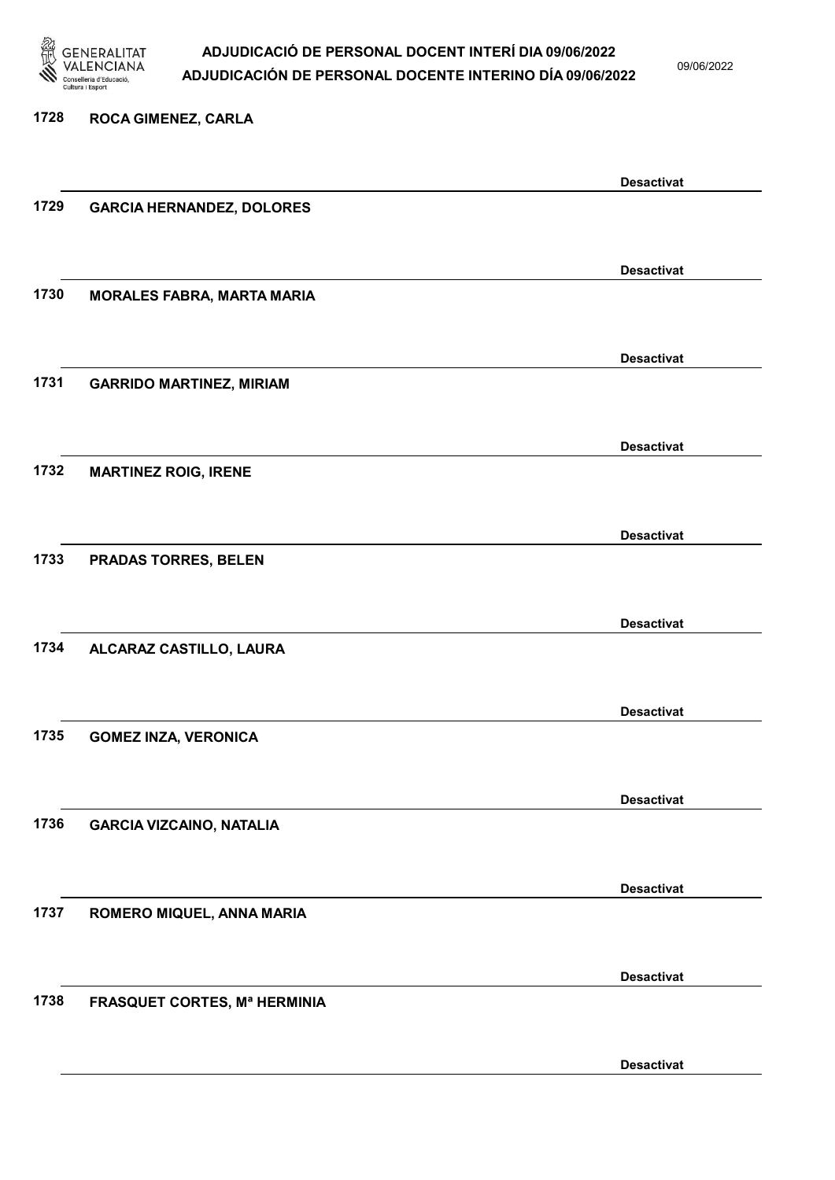

09/06/2022

Desactivat

## 1728 ROCA GIMENEZ, CARLA Desactivat 1729 GARCIA HERNANDEZ, DOLORES Desactivat 1730 MORALES FABRA, MARTA MARIA Desactivat 1731 GARRIDO MARTINEZ, MIRIAM Desactivat 1732 MARTINEZ ROIG, IRENE Desactivat 1733 PRADAS TORRES, BELEN Desactivat 1734 ALCARAZ CASTILLO, LAURA Desactivat 1735 GOMEZ INZA, VERONICA Desactivat 1736 GARCIA VIZCAINO, NATALIA Desactivat 1737 ROMERO MIQUEL, ANNA MARIA Desactivat 1738 FRASQUET CORTES, Mª HERMINIA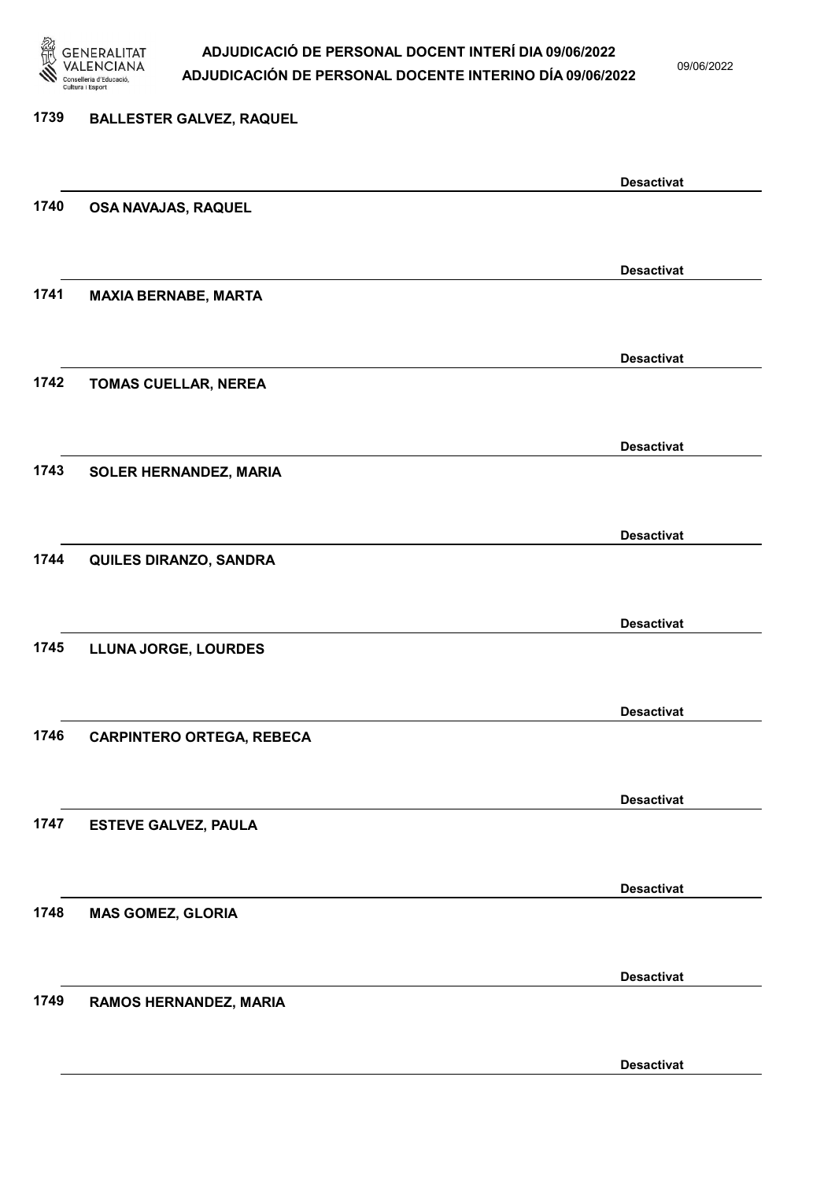

09/06/2022

Desactivat

## 1739 BALLESTER GALVEZ, RAQUEL Desactivat 1740 OSA NAVAJAS, RAQUEL Desactivat 1741 MAXIA BERNABE, MARTA Desactivat 1742 TOMAS CUELLAR, NEREA Desactivat 1743 SOLER HERNANDEZ, MARIA Desactivat 1744 QUILES DIRANZO, SANDRA Desactivat 1745 LLUNA JORGE, LOURDES Desactivat 1746 CARPINTERO ORTEGA, REBECA Desactivat 1747 ESTEVE GALVEZ, PAULA Desactivat 1748 MAS GOMEZ, GLORIA Desactivat 1749 RAMOS HERNANDEZ, MARIA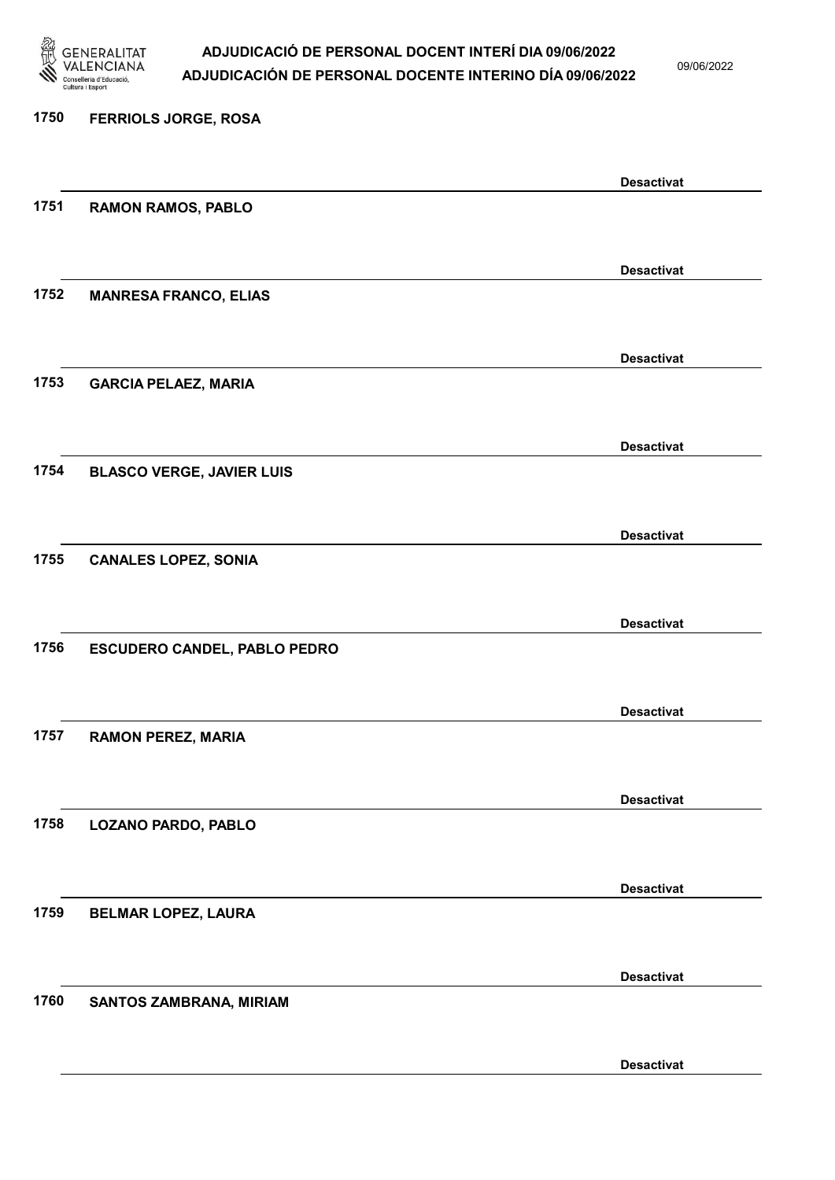

09/06/2022

Desactivat

# 1750 FERRIOLS JORGE, ROSA Desactivat 1751 RAMON RAMOS, PABLO Desactivat 1752 MANRESA FRANCO, ELIAS Desactivat 1753 GARCIA PELAEZ, MARIA Desactivat 1754 BLASCO VERGE, JAVIER LUIS Desactivat 1755 CANALES LOPEZ, SONIA Desactivat 1756 ESCUDERO CANDEL, PABLO PEDRO Desactivat 1757 RAMON PEREZ, MARIA Desactivat 1758 LOZANO PARDO, PABLO Desactivat 1759 BELMAR LOPEZ, LAURA Desactivat 1760 SANTOS ZAMBRANA, MIRIAM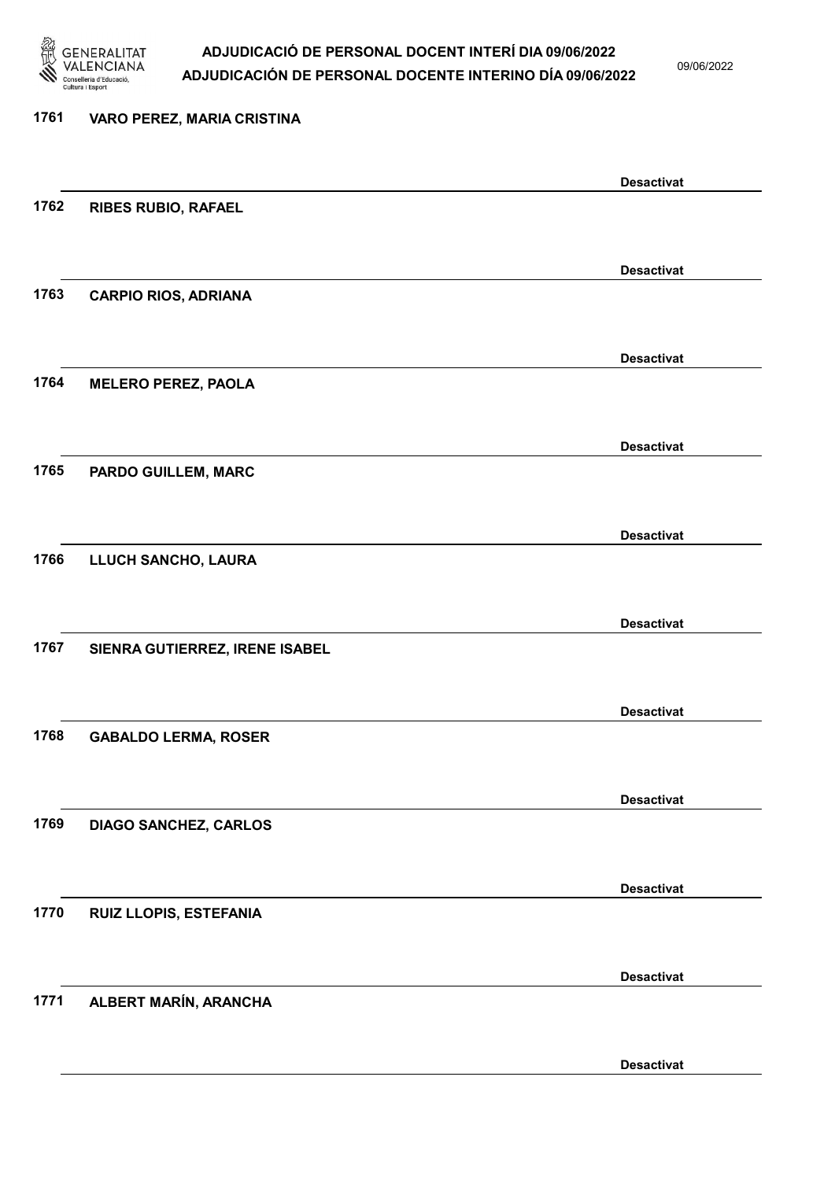

09/06/2022

Desactivat

# 1761 VARO PEREZ, MARIA CRISTINA Desactivat 1762 RIBES RUBIO, RAFAEL Desactivat 1763 CARPIO RIOS, ADRIANA Desactivat 1764 MELERO PEREZ, PAOLA Desactivat 1765 PARDO GUILLEM, MARC Desactivat 1766 LLUCH SANCHO, LAURA Desactivat 1767 SIENRA GUTIERREZ, IRENE ISABEL Desactivat 1768 GABALDO LERMA, ROSER Desactivat 1769 DIAGO SANCHEZ, CARLOS Desactivat 1770 RUIZ LLOPIS, ESTEFANIA Desactivat 1771 ALBERT MARÍN, ARANCHA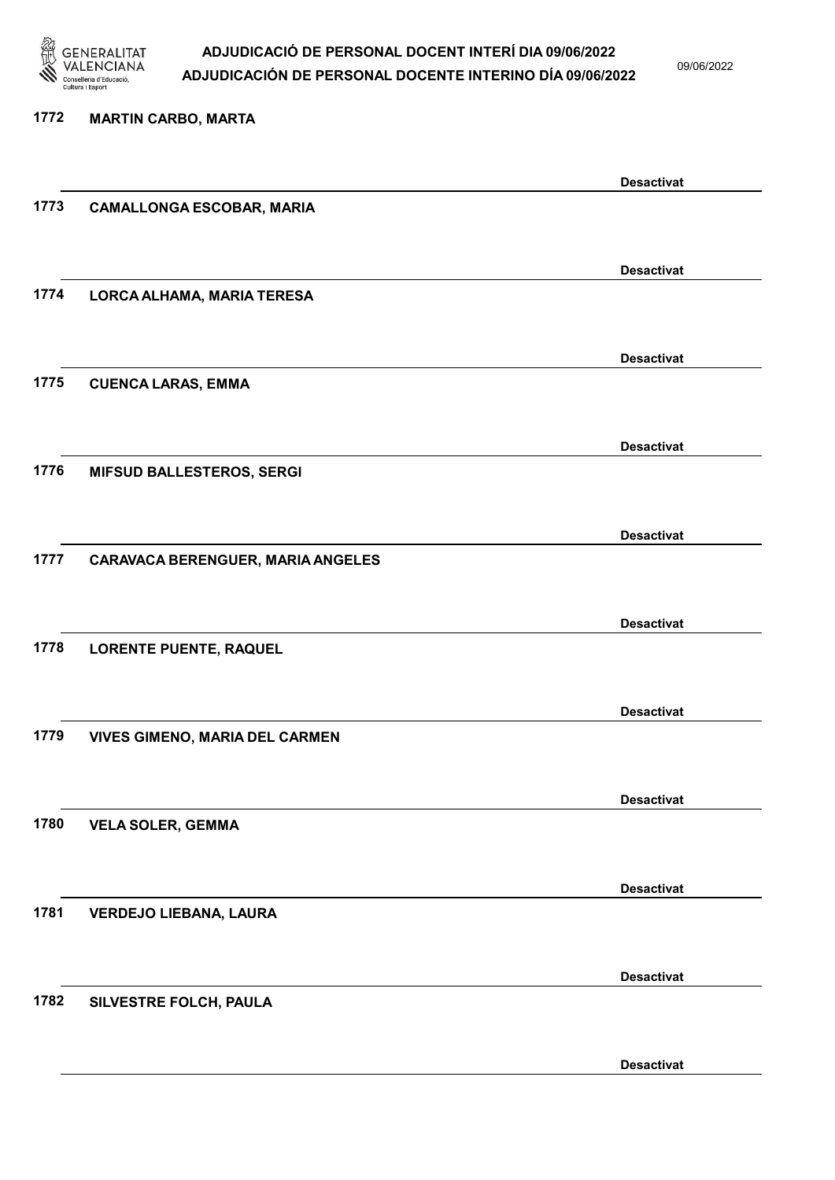

09/06/2022

Desactivat

# 1772 MARTIN CARBO, MARTA Desactivat 1773 CAMALLONGA ESCOBAR, MARIA Desactivat 1774 LORCA ALHAMA, MARIA TERESA Desactivat 1775 CUENCA LARAS, EMMA Desactivat 1776 MIFSUD BALLESTEROS, SERGI Desactivat 1777 CARAVACA BERENGUER, MARIA ANGELES Desactivat 1778 LORENTE PUENTE, RAQUEL Desactivat 1779 VIVES GIMENO, MARIA DEL CARMEN Desactivat 1780 VELA SOLER, GEMMA Desactivat 1781 VERDEJO LIEBANA, LAURA Desactivat 1782 SILVESTRE FOLCH, PAULA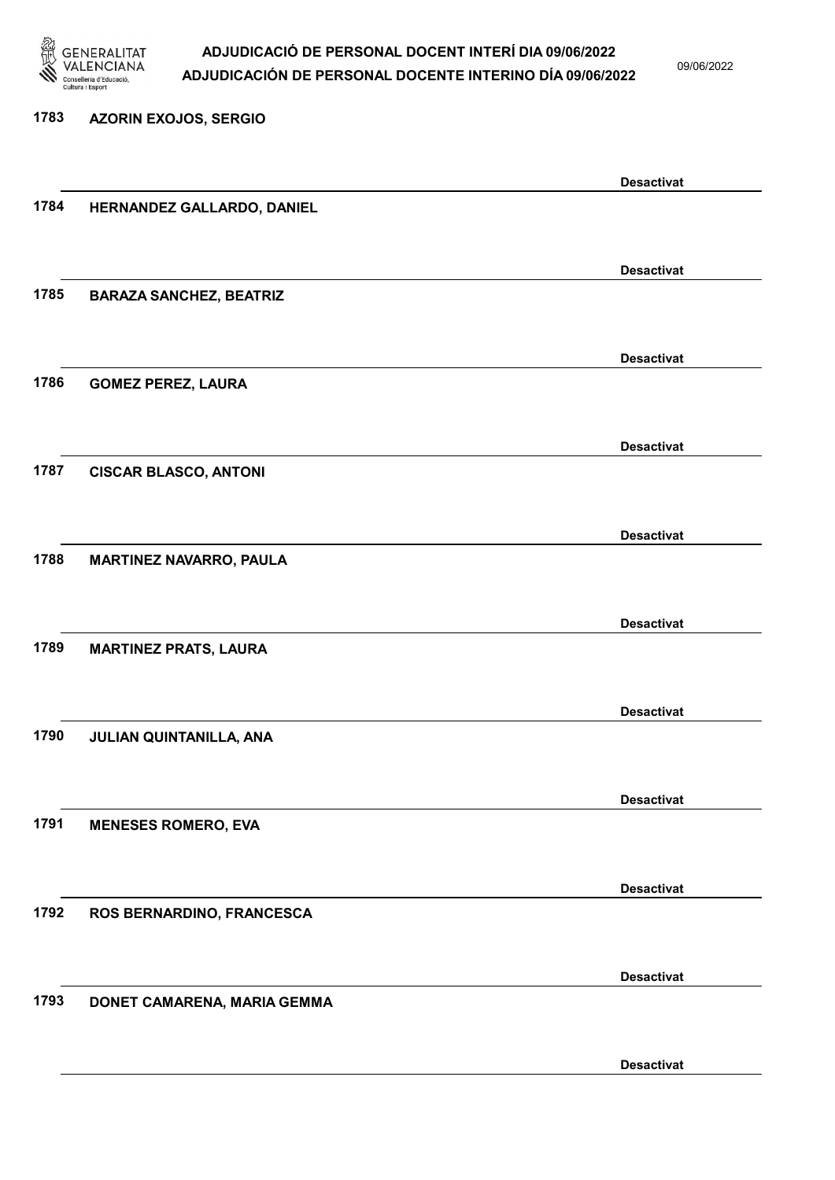

09/06/2022

Desactivat

| 1783 | <b>AZORIN EXOJOS, SERGIO</b>   |                   |
|------|--------------------------------|-------------------|
|      |                                | <b>Desactivat</b> |
| 1784 | HERNANDEZ GALLARDO, DANIEL     |                   |
|      |                                | <b>Desactivat</b> |
| 1785 | <b>BARAZA SANCHEZ, BEATRIZ</b> |                   |
|      |                                | <b>Desactivat</b> |
| 1786 | <b>GOMEZ PEREZ, LAURA</b>      |                   |
|      |                                | <b>Desactivat</b> |
| 1787 | <b>CISCAR BLASCO, ANTONI</b>   |                   |
|      |                                | <b>Desactivat</b> |
| 1788 | <b>MARTINEZ NAVARRO, PAULA</b> |                   |
|      |                                | <b>Desactivat</b> |
| 1789 | <b>MARTINEZ PRATS, LAURA</b>   |                   |
|      |                                | <b>Desactivat</b> |
| 1790 | JULIAN QUINTANILLA, ANA        |                   |
|      |                                | <b>Desactivat</b> |
| 1791 | <b>MENESES ROMERO, EVA</b>     |                   |
|      |                                | <b>Desactivat</b> |
| 1792 | ROS BERNARDINO, FRANCESCA      |                   |
|      |                                | <b>Desactivat</b> |
| 1793 | DONET CAMARENA, MARIA GEMMA    |                   |
|      |                                |                   |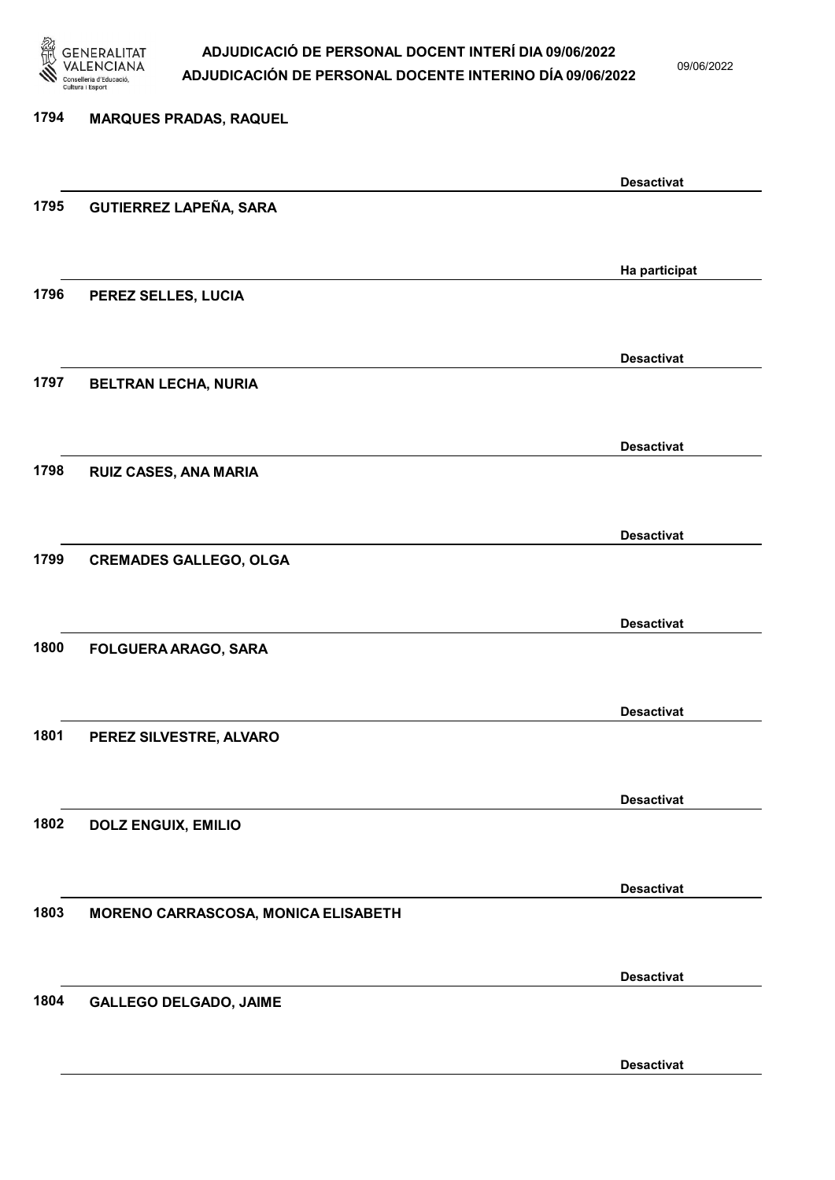

09/06/2022

Desactivat

# 1794 MARQUES PRADAS, RAQUEL Desactivat 1795 GUTIERREZ LAPEÑA, SARA Ha participat 1796 PEREZ SELLES, LUCIA Desactivat 1797 BELTRAN LECHA, NURIA Desactivat 1798 RUIZ CASES, ANA MARIA Desactivat 1799 CREMADES GALLEGO, OLGA Desactivat 1800 FOLGUERA ARAGO, SARA Desactivat 1801 PEREZ SILVESTRE, ALVARO Desactivat 1802 DOLZ ENGUIX, EMILIO Desactivat 1803 MORENO CARRASCOSA, MONICA ELISABETH Desactivat 1804 GALLEGO DELGADO, JAIME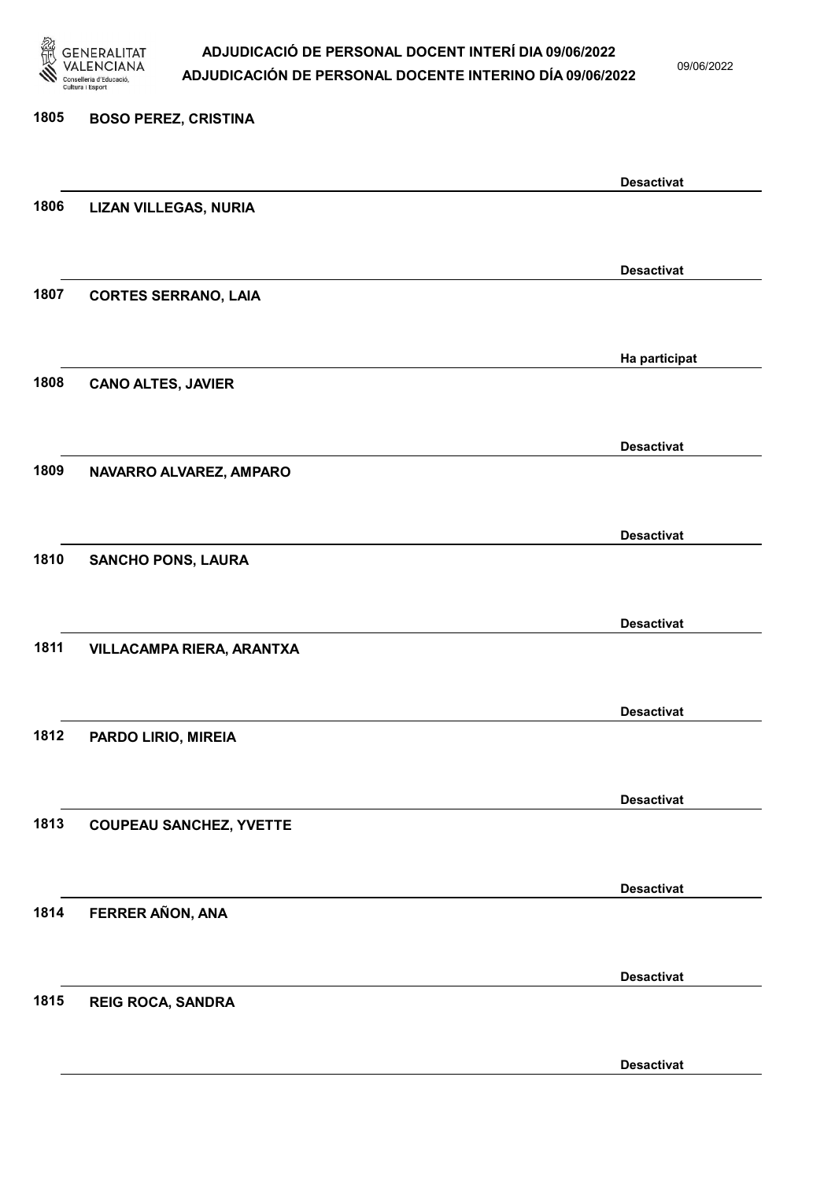

09/06/2022

Desactivat

# 1805 BOSO PEREZ, CRISTINA Desactivat 1806 LIZAN VILLEGAS, NURIA Desactivat 1807 CORTES SERRANO, LAIA Ha participat 1808 CANO ALTES, JAVIER Desactivat 1809 NAVARRO ALVAREZ, AMPARO Desactivat 1810 SANCHO PONS, LAURA Desactivat 1811 VILLACAMPA RIERA, ARANTXA Desactivat 1812 PARDO LIRIO, MIREIA Desactivat 1813 COUPEAU SANCHEZ, YVETTE Desactivat 1814 FERRER AÑON, ANA Desactivat 1815 REIG ROCA, SANDRA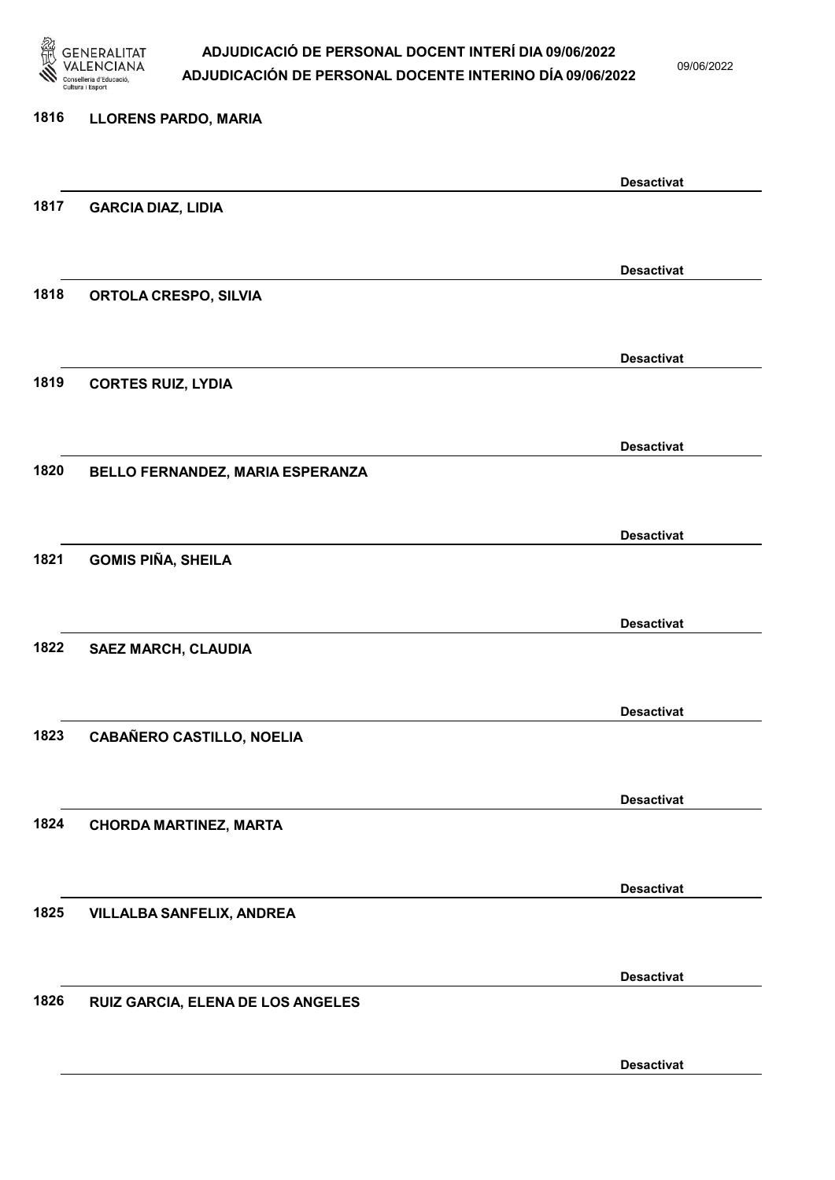

09/06/2022

Desactivat

# 1816 LLORENS PARDO, MARIA Desactivat 1817 GARCIA DIAZ, LIDIA Desactivat 1818 ORTOLA CRESPO, SILVIA Desactivat 1819 CORTES RUIZ, LYDIA Desactivat 1820 BELLO FERNANDEZ, MARIA ESPERANZA Desactivat 1821 GOMIS PIÑA, SHEILA Desactivat 1822 SAEZ MARCH, CLAUDIA Desactivat 1823 CABAÑERO CASTILLO, NOELIA Desactivat 1824 CHORDA MARTINEZ, MARTA Desactivat 1825 VILLALBA SANFELIX, ANDREA Desactivat 1826 RUIZ GARCIA, ELENA DE LOS ANGELES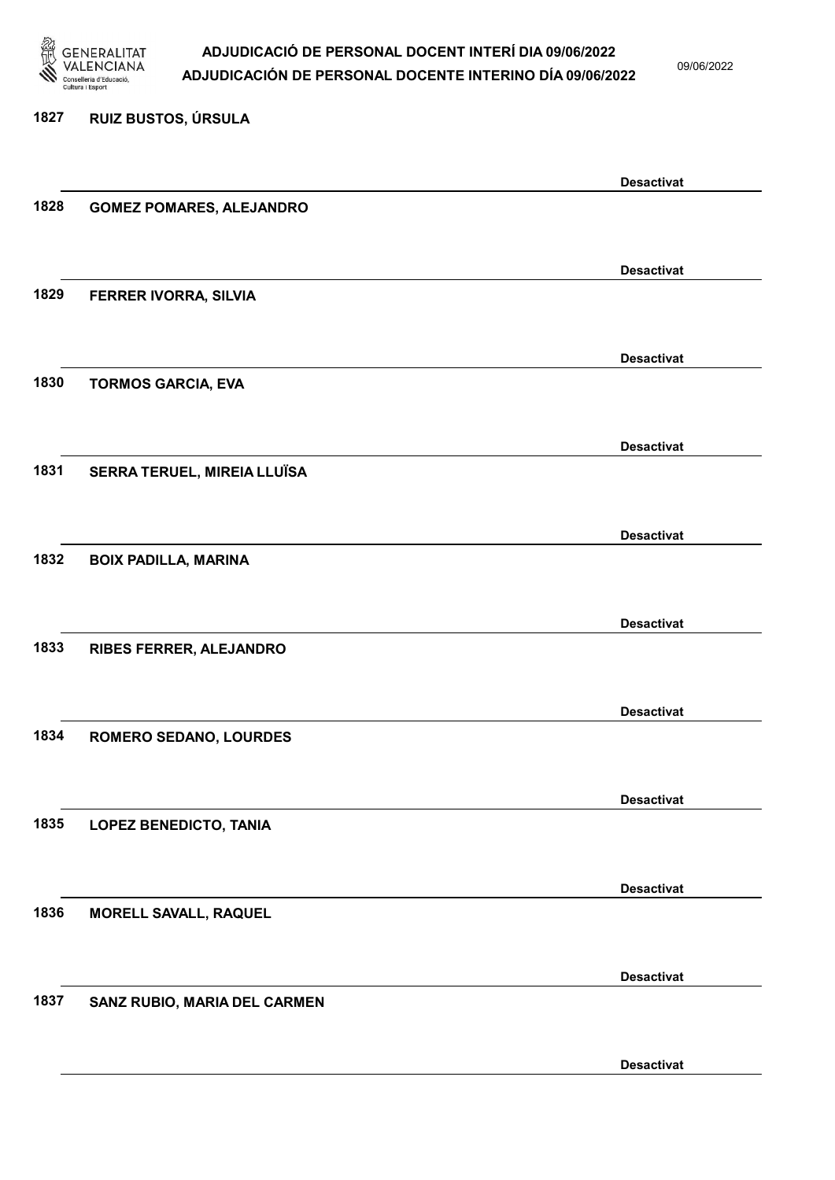

09/06/2022

Desactivat

### 1827 RUIZ BUSTOS, ÚRSULA Desactivat 1828 GOMEZ POMARES, ALEJANDRO Desactivat 1829 FERRER IVORRA, SILVIA Desactivat 1830 TORMOS GARCIA, EVA Desactivat 1831 SERRA TERUEL, MIREIA LLUÏSA Desactivat 1832 BOIX PADILLA, MARINA Desactivat 1833 RIBES FERRER, ALEJANDRO Desactivat 1834 ROMERO SEDANO, LOURDES Desactivat 1835 LOPEZ BENEDICTO, TANIA Desactivat 1836 MORELL SAVALL, RAQUEL Desactivat 1837 SANZ RUBIO, MARIA DEL CARMEN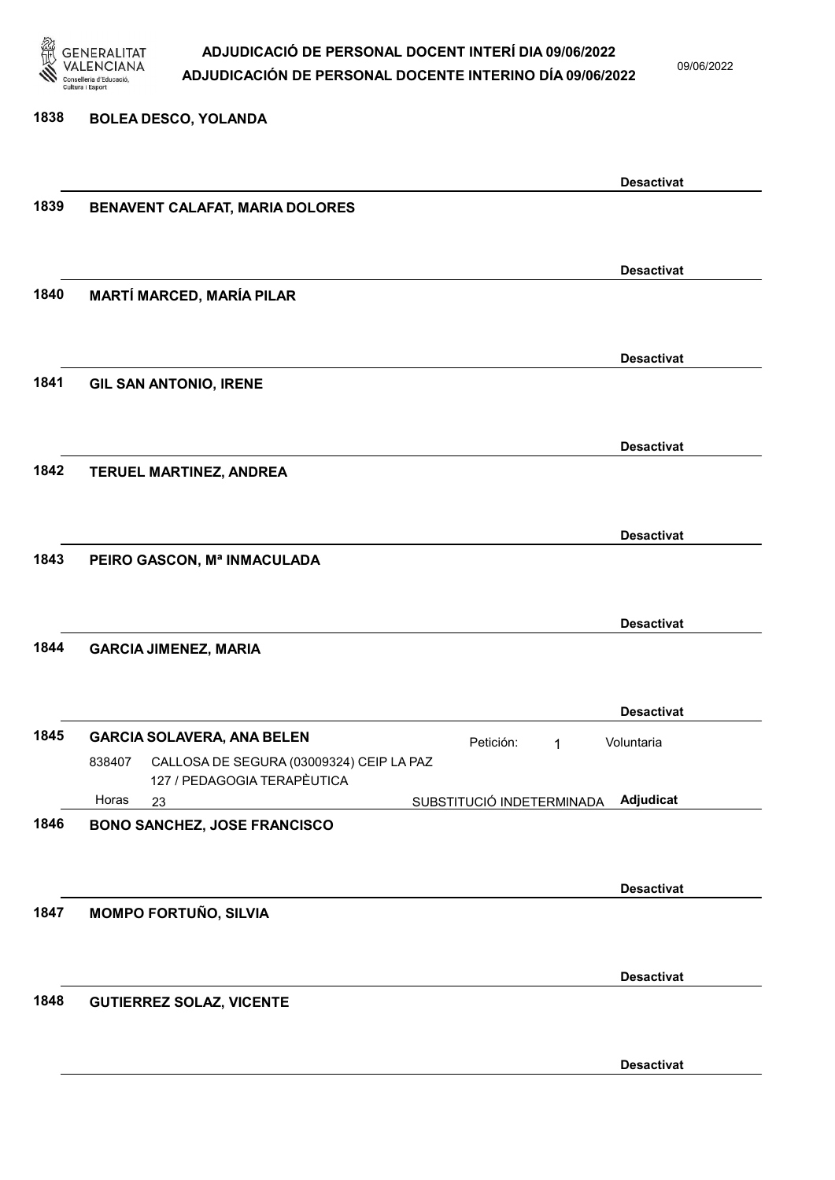

09/06/2022

#### 1838 BOLEA DESCO, YOLANDA

|      |                                                                                   | <b>Desactivat</b>                      |
|------|-----------------------------------------------------------------------------------|----------------------------------------|
| 1839 | BENAVENT CALAFAT, MARIA DOLORES                                                   |                                        |
|      |                                                                                   |                                        |
|      |                                                                                   | <b>Desactivat</b>                      |
| 1840 | <b>MARTÍ MARCED, MARÍA PILAR</b>                                                  |                                        |
|      |                                                                                   |                                        |
|      |                                                                                   | <b>Desactivat</b>                      |
| 1841 | <b>GIL SAN ANTONIO, IRENE</b>                                                     |                                        |
|      |                                                                                   |                                        |
|      |                                                                                   | <b>Desactivat</b>                      |
| 1842 | TERUEL MARTINEZ, ANDREA                                                           |                                        |
|      |                                                                                   |                                        |
|      |                                                                                   | <b>Desactivat</b>                      |
| 1843 | PEIRO GASCON, Mª INMACULADA                                                       |                                        |
|      |                                                                                   |                                        |
|      |                                                                                   | <b>Desactivat</b>                      |
| 1844 | <b>GARCIA JIMENEZ, MARIA</b>                                                      |                                        |
|      |                                                                                   |                                        |
|      |                                                                                   | <b>Desactivat</b>                      |
| 1845 | <b>GARCIA SOLAVERA, ANA BELEN</b>                                                 | Petición:<br>Voluntaria<br>1           |
|      | CALLOSA DE SEGURA (03009324) CEIP LA PAZ<br>838407<br>127 / PEDAGOGIA TERAPÈUTICA |                                        |
|      | Horas<br>23                                                                       | Adjudicat<br>SUBSTITUCIÓ INDETERMINADA |
| 1846 | <b>BONO SANCHEZ, JOSE FRANCISCO</b>                                               |                                        |
|      |                                                                                   |                                        |
|      |                                                                                   | <b>Desactivat</b>                      |
| 1847 | <b>MOMPO FORTUÑO, SILVIA</b>                                                      |                                        |
|      |                                                                                   |                                        |
|      |                                                                                   | <b>Desactivat</b>                      |
| 1848 | <b>GUTIERREZ SOLAZ, VICENTE</b>                                                   |                                        |
|      |                                                                                   |                                        |
|      |                                                                                   | <b>Desactivat</b>                      |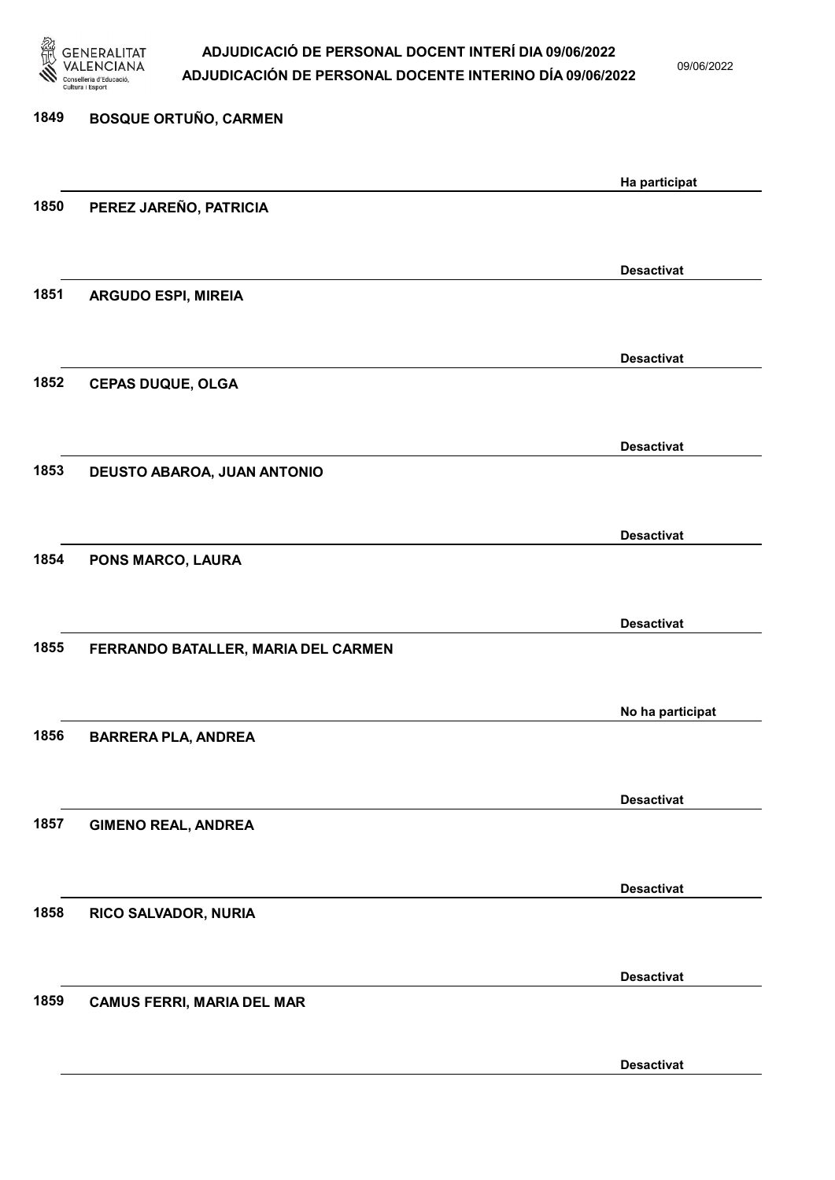

09/06/2022

| 1849 | <b>BOSQUE ORTUÑO, CARMEN</b>        |                   |
|------|-------------------------------------|-------------------|
|      |                                     | Ha participat     |
| 1850 | PEREZ JAREÑO, PATRICIA              |                   |
|      |                                     | <b>Desactivat</b> |
| 1851 | <b>ARGUDO ESPI, MIREIA</b>          |                   |
|      |                                     | <b>Desactivat</b> |
| 1852 | <b>CEPAS DUQUE, OLGA</b>            |                   |
|      |                                     | <b>Desactivat</b> |
| 1853 | DEUSTO ABAROA, JUAN ANTONIO         |                   |
|      |                                     | <b>Desactivat</b> |
| 1854 | PONS MARCO, LAURA                   |                   |
|      |                                     | <b>Desactivat</b> |
| 1855 | FERRANDO BATALLER, MARIA DEL CARMEN |                   |
|      |                                     | No ha participat  |
| 1856 | <b>BARRERA PLA, ANDREA</b>          |                   |
|      |                                     | <b>Desactivat</b> |
| 1857 | <b>GIMENO REAL, ANDREA</b>          |                   |
|      |                                     | <b>Desactivat</b> |
| 1858 | RICO SALVADOR, NURIA                |                   |
|      |                                     | <b>Desactivat</b> |
| 1859 | <b>CAMUS FERRI, MARIA DEL MAR</b>   |                   |
|      |                                     | <b>Desactivat</b> |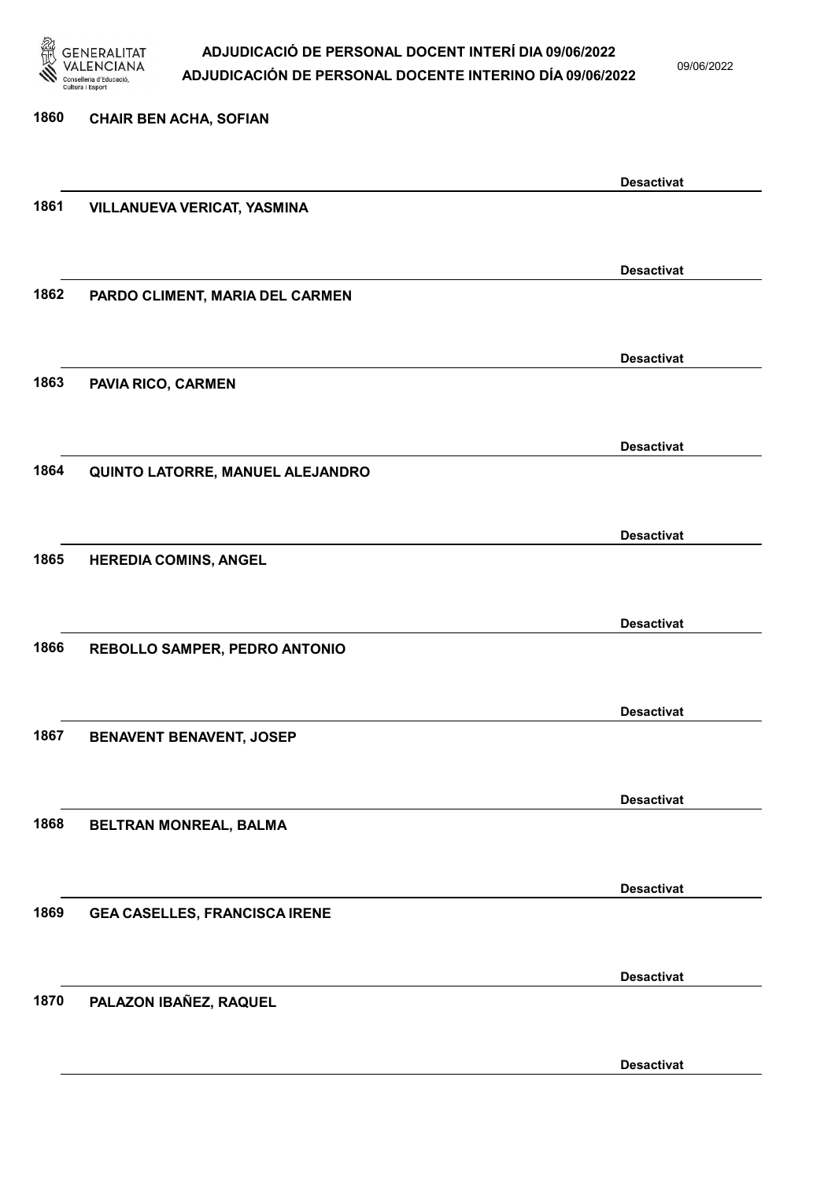

09/06/2022

| 1860 | <b>CHAIR BEN ACHA, SOFIAN</b>        |                   |
|------|--------------------------------------|-------------------|
|      |                                      | <b>Desactivat</b> |
| 1861 | <b>VILLANUEVA VERICAT, YASMINA</b>   |                   |
|      |                                      |                   |
| 1862 | PARDO CLIMENT, MARIA DEL CARMEN      | <b>Desactivat</b> |
|      |                                      |                   |
|      |                                      | <b>Desactivat</b> |
| 1863 | PAVIA RICO, CARMEN                   |                   |
|      |                                      |                   |
| 1864 | QUINTO LATORRE, MANUEL ALEJANDRO     | <b>Desactivat</b> |
|      |                                      |                   |
|      |                                      | <b>Desactivat</b> |
| 1865 | <b>HEREDIA COMINS, ANGEL</b>         |                   |
|      |                                      | <b>Desactivat</b> |
| 1866 | REBOLLO SAMPER, PEDRO ANTONIO        |                   |
|      |                                      |                   |
|      |                                      | <b>Desactivat</b> |
| 1867 | <b>BENAVENT BENAVENT, JOSEP</b>      |                   |
|      |                                      | <b>Desactivat</b> |
| 1868 | BELTRAN MONREAL, BALMA               |                   |
|      |                                      |                   |
| 1869 |                                      | <b>Desactivat</b> |
|      | <b>GEA CASELLES, FRANCISCA IRENE</b> |                   |
|      |                                      | <b>Desactivat</b> |
| 1870 | PALAZON IBAÑEZ, RAQUEL               |                   |
|      |                                      |                   |

Desactivat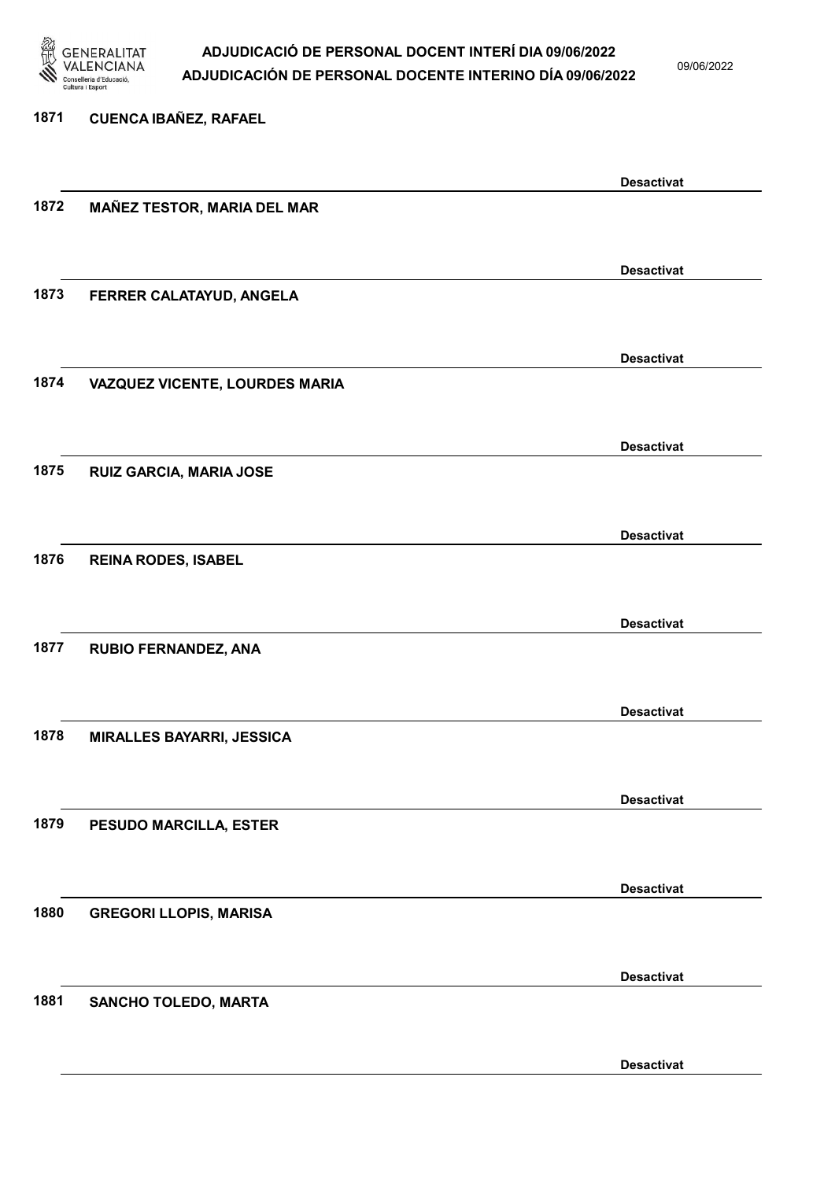

09/06/2022

| 1871 | <b>CUENCA IBAÑEZ, RAFAEL</b>       |                   |
|------|------------------------------------|-------------------|
|      |                                    | <b>Desactivat</b> |
| 1872 | <b>MAÑEZ TESTOR, MARIA DEL MAR</b> |                   |
|      |                                    | <b>Desactivat</b> |
| 1873 | FERRER CALATAYUD, ANGELA           |                   |
|      |                                    | <b>Desactivat</b> |
| 1874 | VAZQUEZ VICENTE, LOURDES MARIA     |                   |
|      |                                    | <b>Desactivat</b> |
| 1875 | RUIZ GARCIA, MARIA JOSE            |                   |
|      |                                    | <b>Desactivat</b> |
| 1876 | <b>REINA RODES, ISABEL</b>         |                   |
| 1877 |                                    | <b>Desactivat</b> |
|      | RUBIO FERNANDEZ, ANA               |                   |
| 1878 | <b>MIRALLES BAYARRI, JESSICA</b>   | <b>Desactivat</b> |
|      |                                    |                   |
| 1879 | PESUDO MARCILLA, ESTER             | <b>Desactivat</b> |
|      |                                    |                   |
| 1880 | <b>GREGORI LLOPIS, MARISA</b>      | <b>Desactivat</b> |
|      |                                    |                   |
| 1881 | <b>SANCHO TOLEDO, MARTA</b>        | <b>Desactivat</b> |
|      |                                    |                   |
|      |                                    | <b>Desactivat</b> |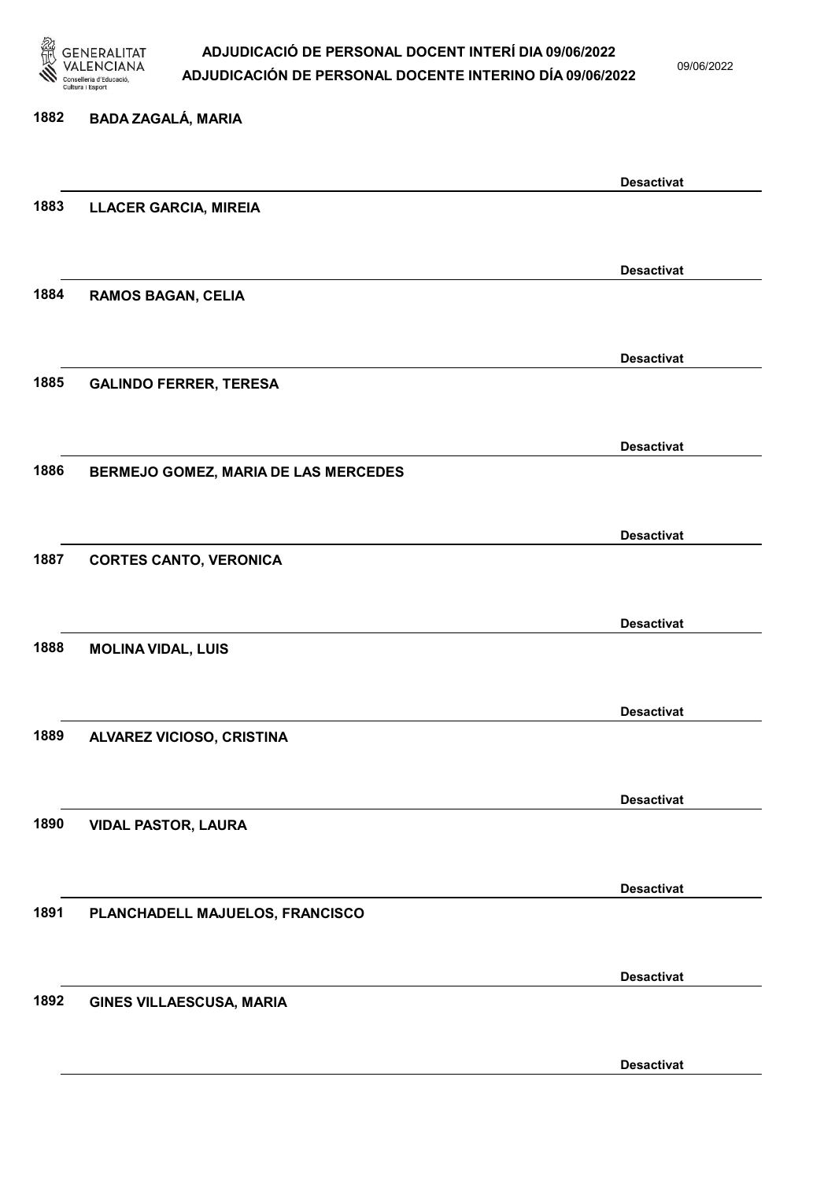

09/06/2022

Desactivat

# 1882 BADA ZAGALÁ, MARIA Desactivat 1883 LLACER GARCIA, MIREIA Desactivat 1884 RAMOS BAGAN, CELIA Desactivat 1885 GALINDO FERRER, TERESA Desactivat 1886 BERMEJO GOMEZ, MARIA DE LAS MERCEDES Desactivat 1887 CORTES CANTO, VERONICA Desactivat 1888 MOLINA VIDAL, LUIS Desactivat 1889 ALVAREZ VICIOSO, CRISTINA Desactivat 1890 VIDAL PASTOR, LAURA Desactivat 1891 PLANCHADELL MAJUELOS, FRANCISCO Desactivat 1892 GINES VILLAESCUSA, MARIA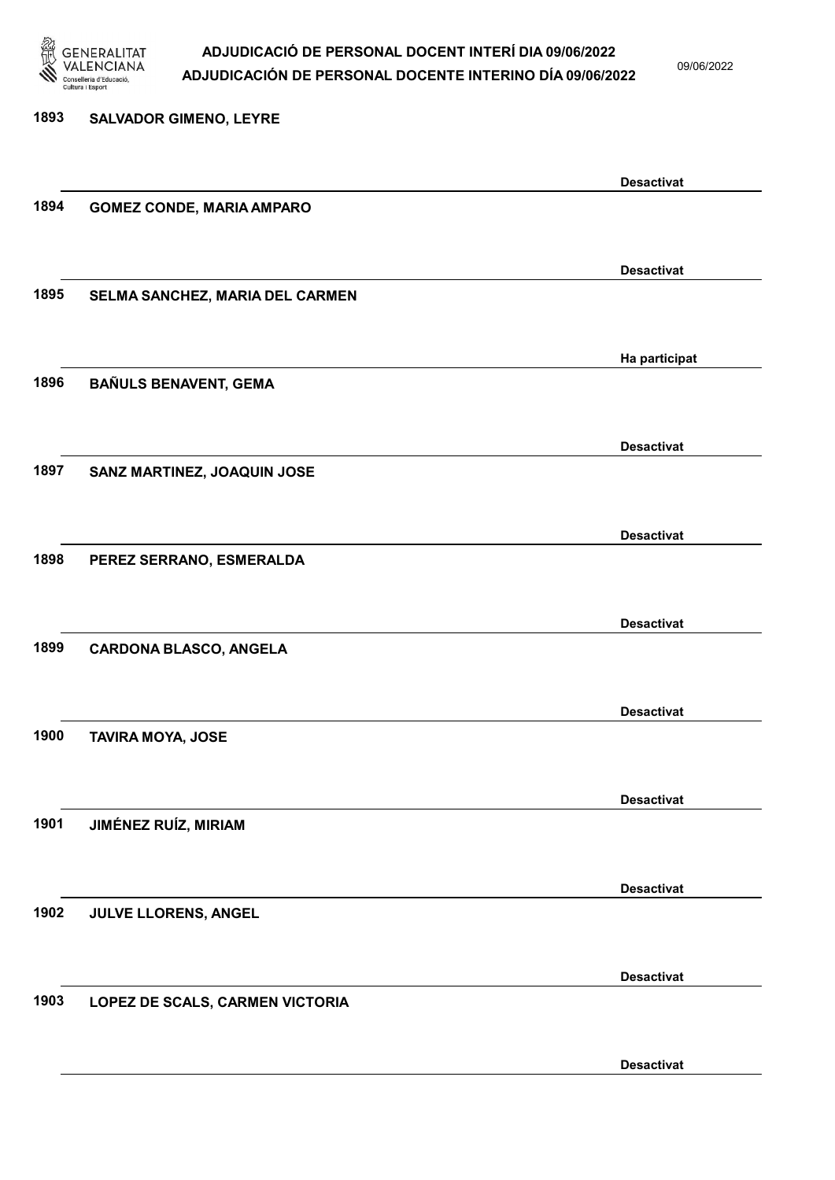

09/06/2022

1893 SALVADOR GIMENO, LEYRE Desactivat 1894 GOMEZ CONDE, MARIA AMPARO Desactivat 1895 SELMA SANCHEZ, MARIA DEL CARMEN Ha participat 1896 BAÑULS BENAVENT, GEMA Desactivat 1897 SANZ MARTINEZ, JOAQUIN JOSE Desactivat 1898 PEREZ SERRANO, ESMERALDA Desactivat 1899 CARDONA BLASCO, ANGELA Desactivat 1900 TAVIRA MOYA, JOSE Desactivat 1901 JIMÉNEZ RUÍZ, MIRIAM Desactivat 1902 JULVE LLORENS, ANGEL Desactivat 1903 LOPEZ DE SCALS, CARMEN VICTORIA Desactivat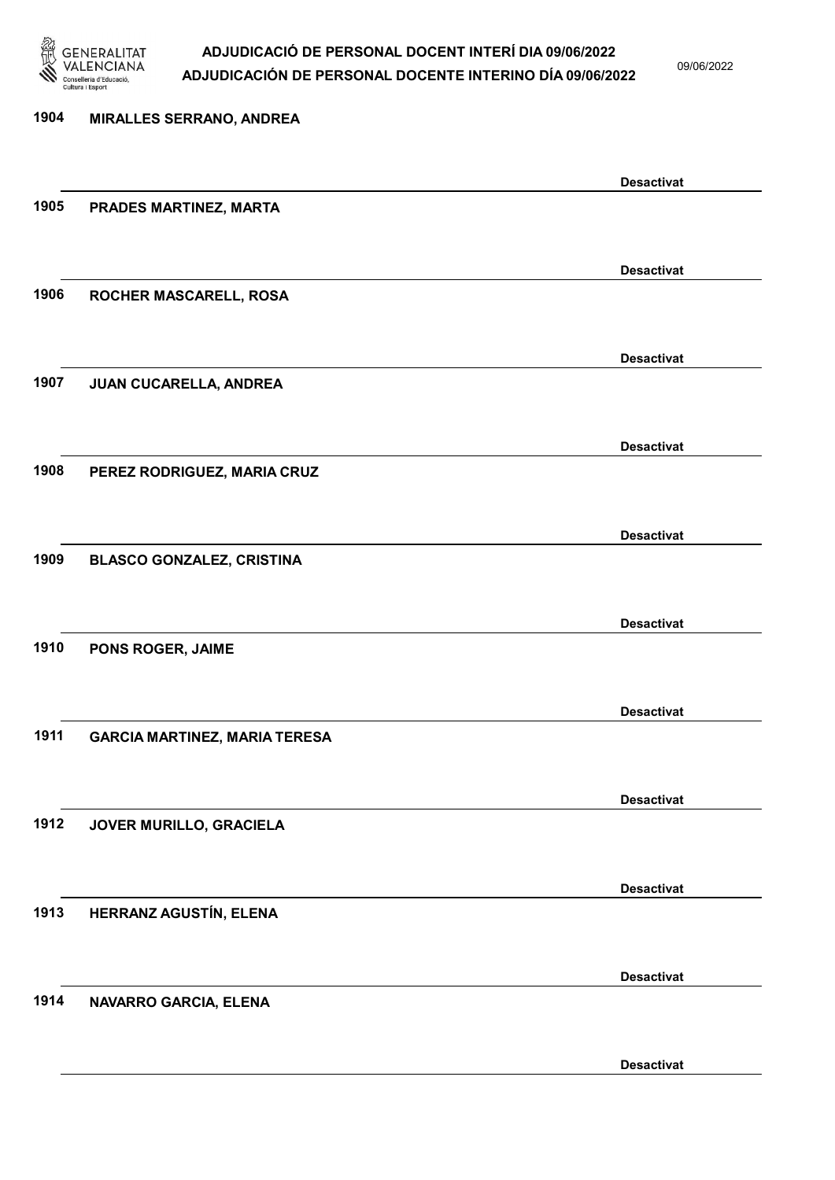

09/06/2022

Desactivat

# 1904 MIRALLES SERRANO, ANDREA Desactivat 1905 PRADES MARTINEZ, MARTA Desactivat 1906 ROCHER MASCARELL, ROSA Desactivat 1907 JUAN CUCARELLA, ANDREA Desactivat 1908 PEREZ RODRIGUEZ, MARIA CRUZ Desactivat 1909 BLASCO GONZALEZ, CRISTINA Desactivat 1910 PONS ROGER, JAIME Desactivat 1911 GARCIA MARTINEZ, MARIA TERESA Desactivat 1912 JOVER MURILLO, GRACIELA Desactivat 1913 HERRANZ AGUSTÍN, ELENA Desactivat 1914 NAVARRO GARCIA, ELENA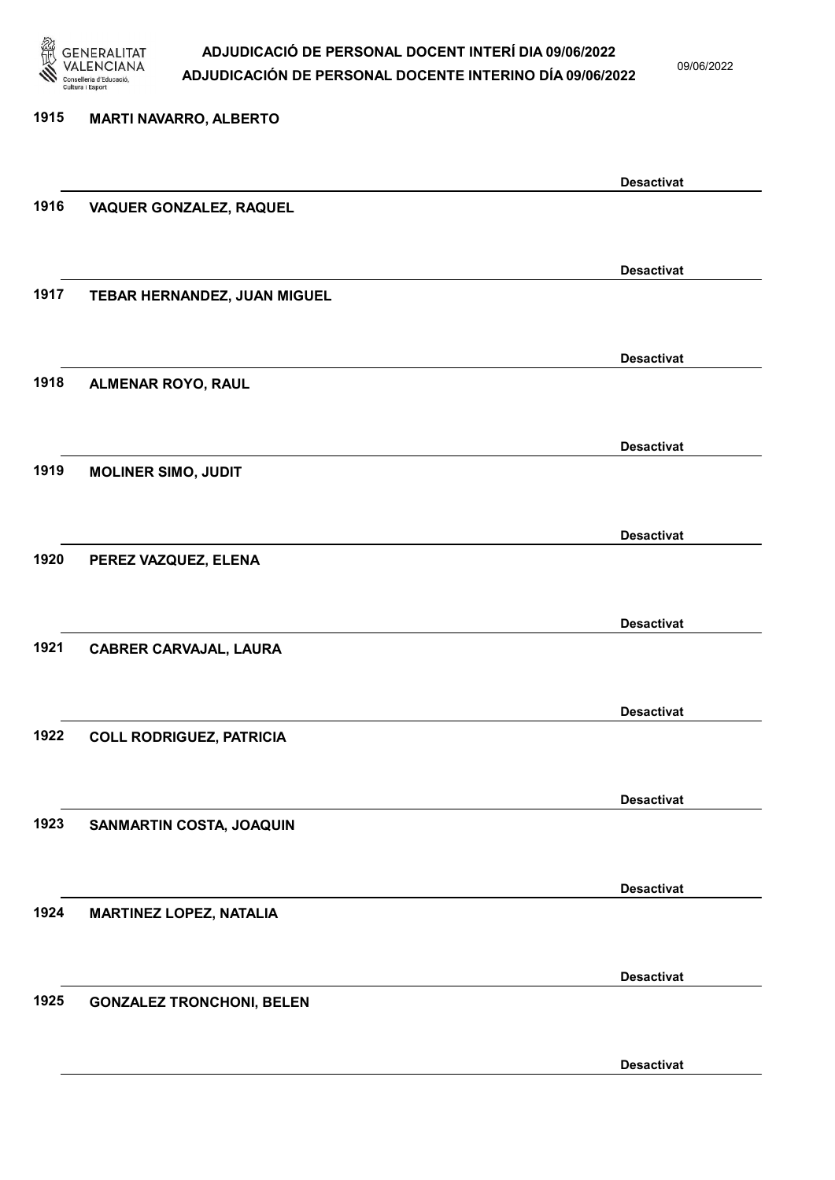

09/06/2022

Desactivat

| 1915 | <b>MARTI NAVARRO, ALBERTO</b>    |                   |
|------|----------------------------------|-------------------|
|      |                                  |                   |
|      |                                  | <b>Desactivat</b> |
| 1916 | VAQUER GONZALEZ, RAQUEL          |                   |
|      |                                  |                   |
|      |                                  | <b>Desactivat</b> |
| 1917 | TEBAR HERNANDEZ, JUAN MIGUEL     |                   |
|      |                                  |                   |
|      |                                  | <b>Desactivat</b> |
| 1918 | <b>ALMENAR ROYO, RAUL</b>        |                   |
|      |                                  |                   |
|      |                                  | <b>Desactivat</b> |
| 1919 | <b>MOLINER SIMO, JUDIT</b>       |                   |
|      |                                  |                   |
|      |                                  | <b>Desactivat</b> |
| 1920 | PEREZ VAZQUEZ, ELENA             |                   |
|      |                                  |                   |
| 1921 |                                  | <b>Desactivat</b> |
|      | <b>CABRER CARVAJAL, LAURA</b>    |                   |
|      |                                  |                   |
| 1922 | <b>COLL RODRIGUEZ, PATRICIA</b>  | <b>Desactivat</b> |
|      |                                  |                   |
|      |                                  | <b>Desactivat</b> |
| 1923 | SANMARTIN COSTA, JOAQUIN         |                   |
|      |                                  |                   |
|      |                                  | <b>Desactivat</b> |
| 1924 | <b>MARTINEZ LOPEZ, NATALIA</b>   |                   |
|      |                                  |                   |
|      |                                  | <b>Desactivat</b> |
| 1925 | <b>GONZALEZ TRONCHONI, BELEN</b> |                   |
|      |                                  |                   |
|      |                                  |                   |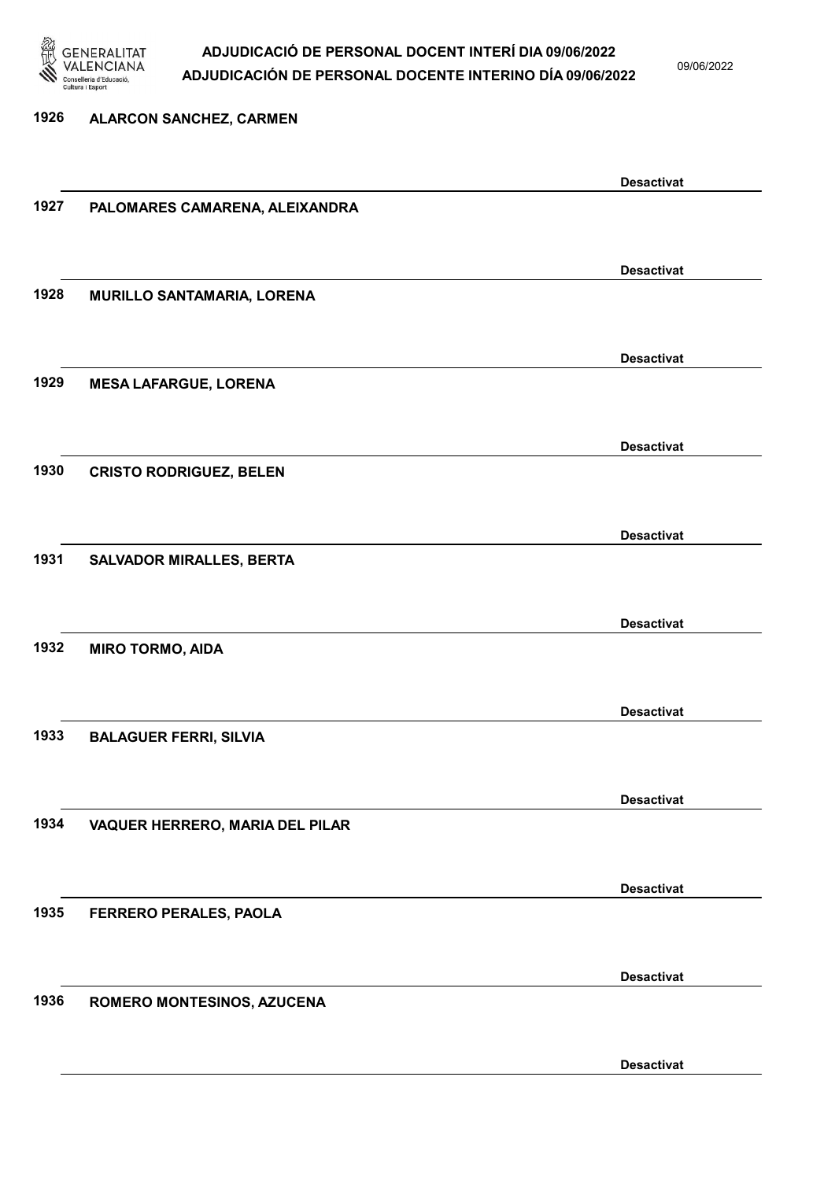

09/06/2022

Desactivat

# 1926 ALARCON SANCHEZ, CARMEN Desactivat 1927 PALOMARES CAMARENA, ALEIXANDRA Desactivat 1928 MURILLO SANTAMARIA, LORENA Desactivat 1929 MESA LAFARGUE, LORENA Desactivat 1930 CRISTO RODRIGUEZ, BELEN Desactivat 1931 SALVADOR MIRALLES, BERTA Desactivat 1932 MIRO TORMO, AIDA Desactivat 1933 BALAGUER FERRI, SILVIA Desactivat 1934 VAQUER HERRERO, MARIA DEL PILAR Desactivat 1935 FERRERO PERALES, PAOLA Desactivat 1936 ROMERO MONTESINOS, AZUCENA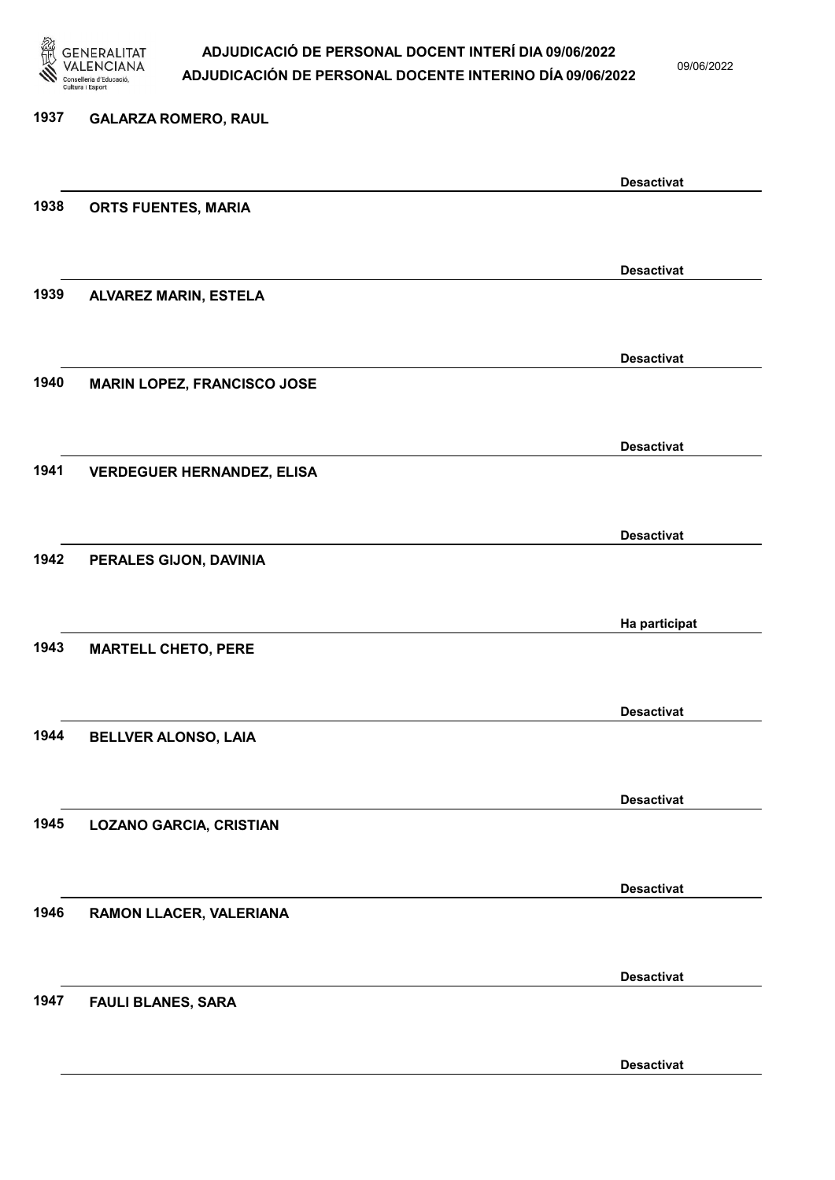

1937 GALARZA ROMERO, RAUL

#### ADJUDICACIÓ DE PERSONAL DOCENT INTERÍ DIA 09/06/2022 ADJUDICACIÓN DE PERSONAL DOCENTE INTERINO DÍA 09/06/2022

09/06/2022

Desactivat

# Desactivat 1938 ORTS FUENTES, MARIA Desactivat 1939 ALVAREZ MARIN, ESTELA Desactivat 1940 MARIN LOPEZ, FRANCISCO JOSE Desactivat 1941 VERDEGUER HERNANDEZ, ELISA Desactivat 1942 PERALES GIJON, DAVINIA Ha participat 1943 MARTELL CHETO, PERE Desactivat 1944 BELLVER ALONSO, LAIA Desactivat 1945 LOZANO GARCIA, CRISTIAN Desactivat 1946 RAMON LLACER, VALERIANA Desactivat 1947 FAULI BLANES, SARA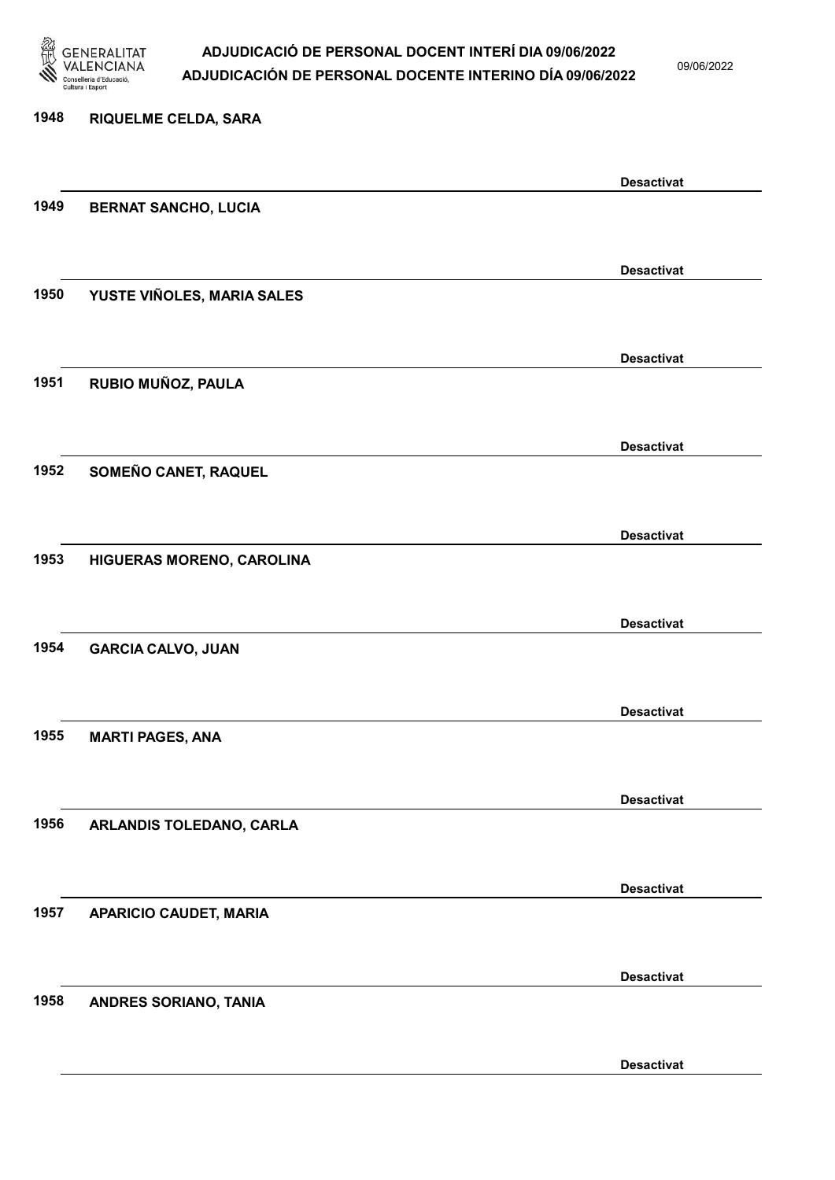

09/06/2022

### 1948 RIQUELME CELDA, SARA Desactivat 1949 BERNAT SANCHO, LUCIA Desactivat 1950 YUSTE VIÑOLES, MARIA SALES Desactivat 1951 RUBIO MUÑOZ, PAULA Desactivat 1952 SOMEÑO CANET, RAQUEL Desactivat 1953 HIGUERAS MORENO, CAROLINA Desactivat 1954 GARCIA CALVO, JUAN Desactivat 1955 MARTI PAGES, ANA Desactivat 1956 ARLANDIS TOLEDANO, CARLA Desactivat 1957 APARICIO CAUDET, MARIA Desactivat 1958 ANDRES SORIANO, TANIA Desactivat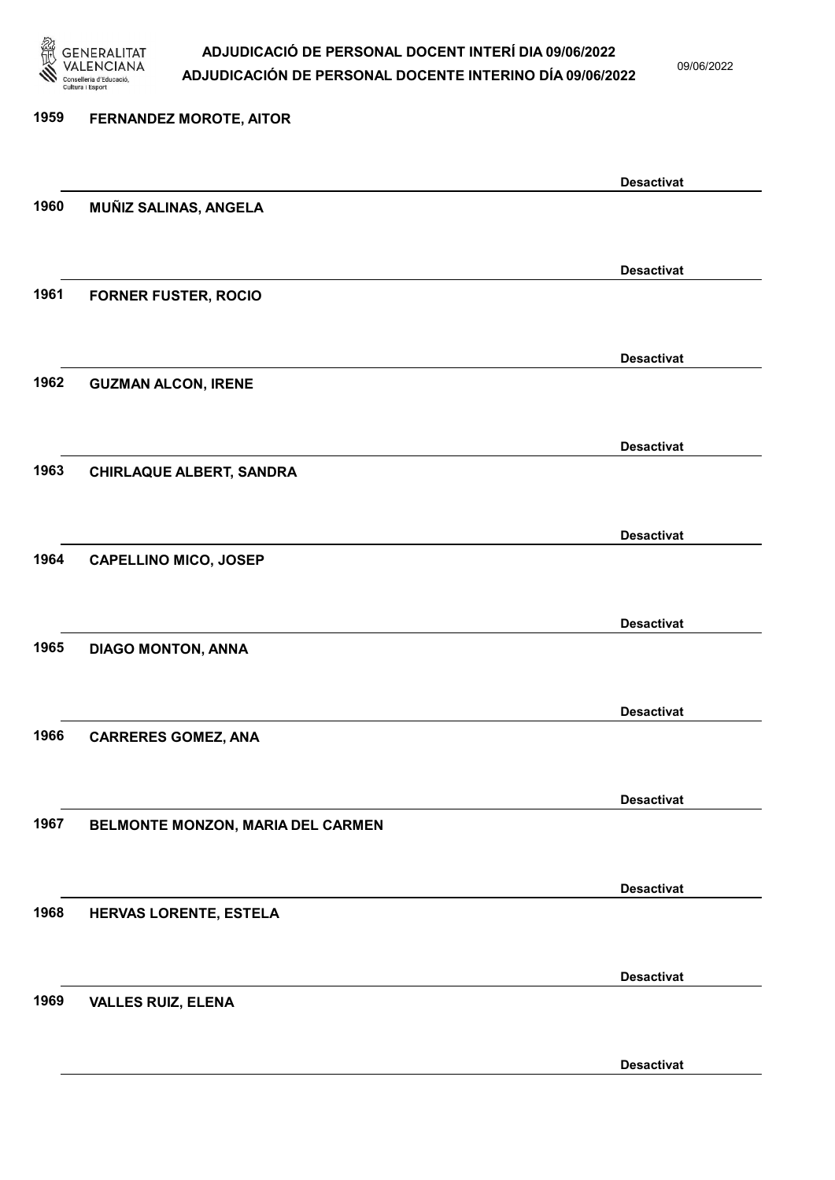

09/06/2022

Desactivat

# 1959 FERNANDEZ MOROTE, AITOR Desactivat 1960 MUÑIZ SALINAS, ANGELA Desactivat 1961 FORNER FUSTER, ROCIO Desactivat 1962 GUZMAN ALCON, IRENE Desactivat 1963 CHIRLAQUE ALBERT, SANDRA Desactivat 1964 CAPELLINO MICO, JOSEP Desactivat 1965 DIAGO MONTON, ANNA Desactivat 1966 CARRERES GOMEZ, ANA Desactivat 1967 BELMONTE MONZON, MARIA DEL CARMEN Desactivat 1968 HERVAS LORENTE, ESTELA Desactivat 1969 VALLES RUIZ, ELENA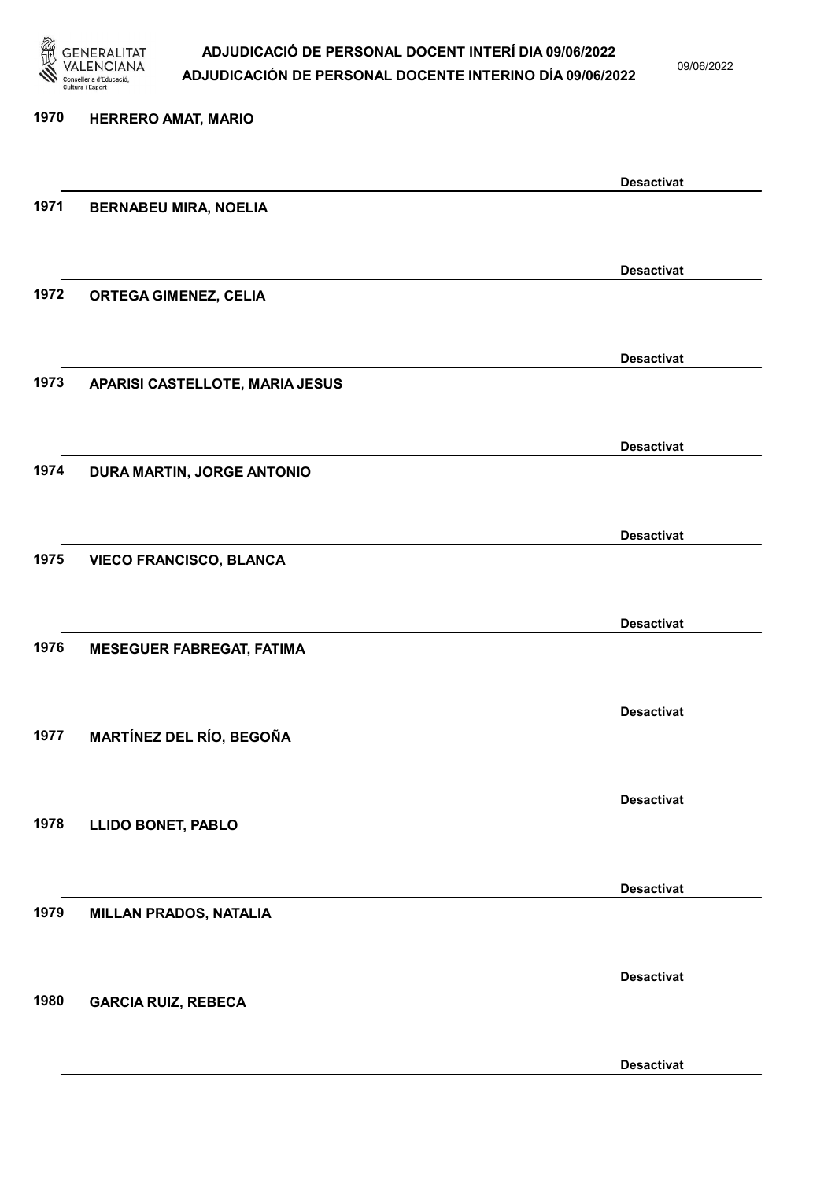

09/06/2022

Desactivat

| 1970 | <b>HERRERO AMAT, MARIO</b>       |                   |
|------|----------------------------------|-------------------|
|      |                                  | <b>Desactivat</b> |
| 1971 | <b>BERNABEU MIRA, NOELIA</b>     |                   |
|      |                                  | <b>Desactivat</b> |
| 1972 | <b>ORTEGA GIMENEZ, CELIA</b>     |                   |
|      |                                  | <b>Desactivat</b> |
| 1973 | APARISI CASTELLOTE, MARIA JESUS  |                   |
|      |                                  | <b>Desactivat</b> |
| 1974 | DURA MARTIN, JORGE ANTONIO       |                   |
|      |                                  | <b>Desactivat</b> |
| 1975 | <b>VIECO FRANCISCO, BLANCA</b>   |                   |
|      |                                  | <b>Desactivat</b> |
| 1976 | <b>MESEGUER FABREGAT, FATIMA</b> |                   |
|      |                                  | <b>Desactivat</b> |
| 1977 | <b>MARTÍNEZ DEL RÍO, BEGOÑA</b>  |                   |
| 1978 |                                  | <b>Desactivat</b> |
|      | <b>LLIDO BONET, PABLO</b>        |                   |
| 1979 | <b>MILLAN PRADOS, NATALIA</b>    | <b>Desactivat</b> |
|      |                                  |                   |
| 1980 | <b>GARCIA RUIZ, REBECA</b>       | <b>Desactivat</b> |
|      |                                  |                   |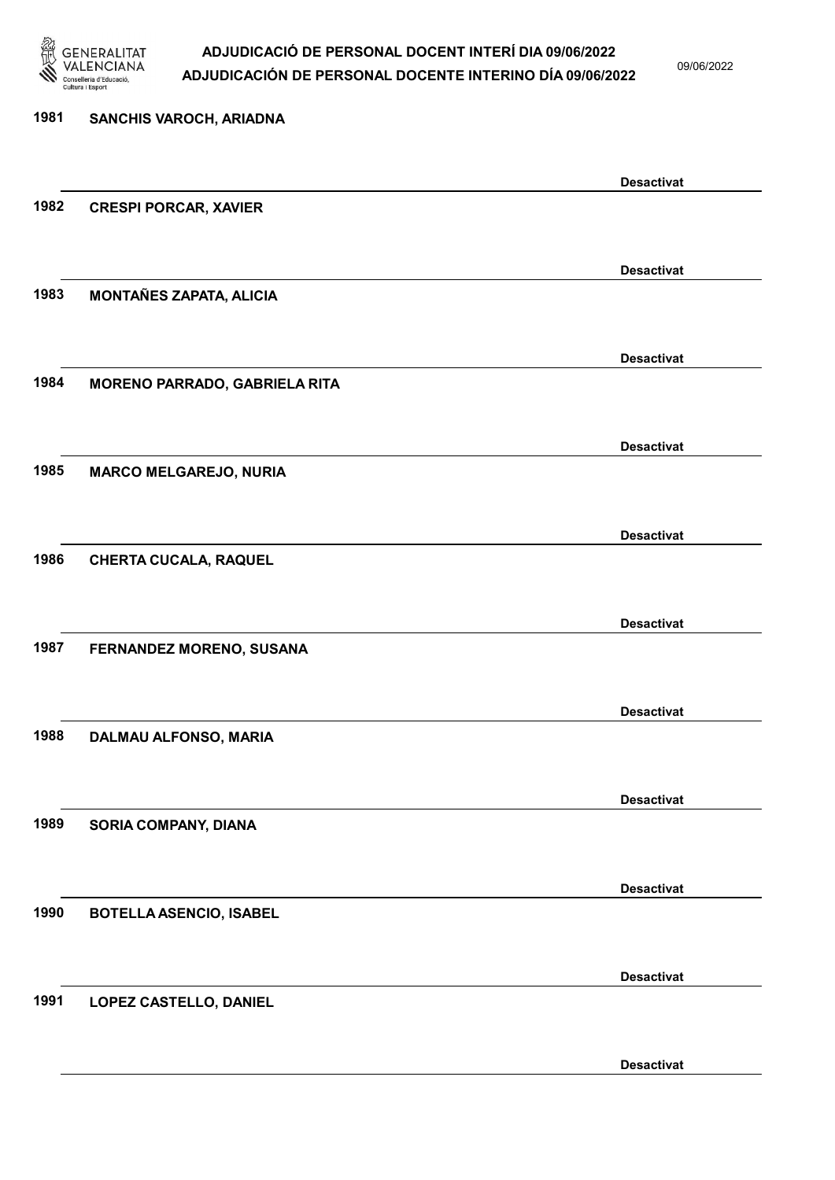

09/06/2022

Desactivat

| 1981 | SANCHIS VAROCH, ARIADNA              |                   |
|------|--------------------------------------|-------------------|
|      |                                      | <b>Desactivat</b> |
| 1982 | <b>CRESPI PORCAR, XAVIER</b>         |                   |
|      |                                      | <b>Desactivat</b> |
| 1983 | <b>MONTAÑES ZAPATA, ALICIA</b>       |                   |
|      |                                      | <b>Desactivat</b> |
| 1984 | <b>MORENO PARRADO, GABRIELA RITA</b> |                   |
|      |                                      | <b>Desactivat</b> |
| 1985 | <b>MARCO MELGAREJO, NURIA</b>        |                   |
|      |                                      | <b>Desactivat</b> |
| 1986 | <b>CHERTA CUCALA, RAQUEL</b>         | <b>Desactivat</b> |
| 1987 | FERNANDEZ MORENO, SUSANA             |                   |
|      |                                      |                   |
| 1988 | DALMAU ALFONSO, MARIA                | <b>Desactivat</b> |
|      |                                      |                   |
|      |                                      | <b>Desactivat</b> |
| 1989 | SORIA COMPANY, DIANA                 |                   |
|      |                                      | <b>Desactivat</b> |
| 1990 | <b>BOTELLA ASENCIO, ISABEL</b>       |                   |
|      |                                      | <b>Desactivat</b> |
| 1991 | LOPEZ CASTELLO, DANIEL               |                   |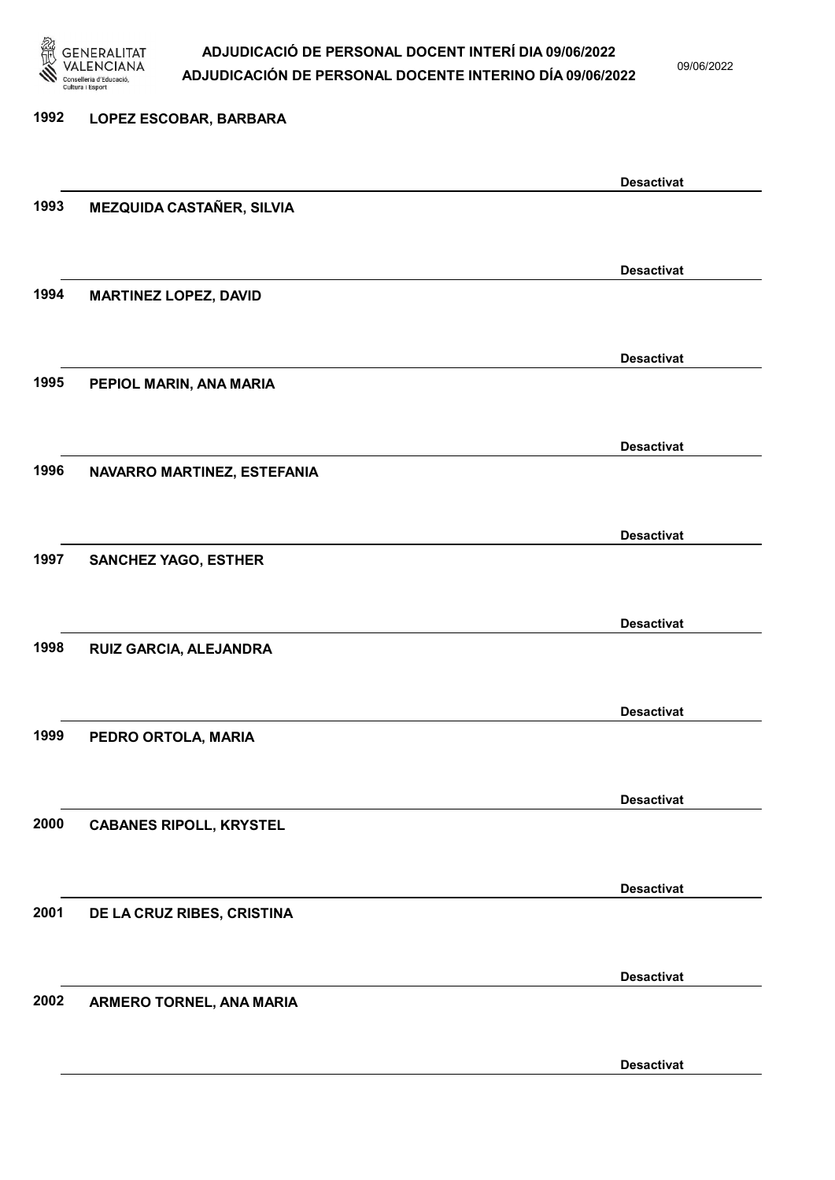

09/06/2022

Desactivat

# 1992 LOPEZ ESCOBAR, BARBARA Desactivat 1993 MEZQUIDA CASTAÑER, SILVIA Desactivat 1994 MARTINEZ LOPEZ, DAVID Desactivat 1995 PEPIOL MARIN, ANA MARIA Desactivat 1996 NAVARRO MARTINEZ, ESTEFANIA Desactivat 1997 SANCHEZ YAGO, ESTHER Desactivat 1998 RUIZ GARCIA, ALEJANDRA Desactivat 1999 PEDRO ORTOLA, MARIA Desactivat 2000 CABANES RIPOLL, KRYSTEL Desactivat 2001 DE LA CRUZ RIBES, CRISTINA Desactivat 2002 ARMERO TORNEL, ANA MARIA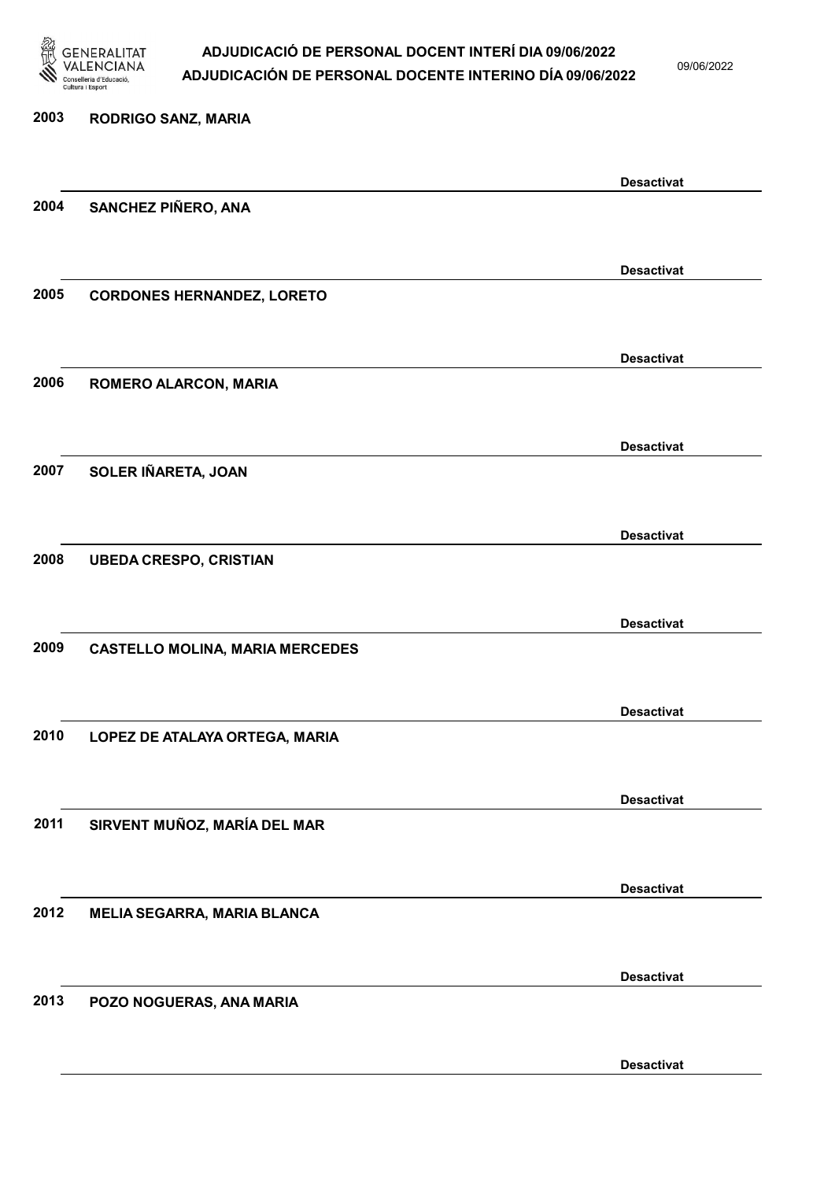

09/06/2022

Desactivat

# 2003 RODRIGO SANZ, MARIA Desactivat 2004 SANCHEZ PIÑERO, ANA Desactivat 2005 CORDONES HERNANDEZ, LORETO Desactivat 2006 ROMERO ALARCON, MARIA Desactivat 2007 SOLER IÑARETA, JOAN Desactivat 2008 UBEDA CRESPO, CRISTIAN Desactivat 2009 CASTELLO MOLINA, MARIA MERCEDES Desactivat 2010 LOPEZ DE ATALAYA ORTEGA, MARIA Desactivat 2011 SIRVENT MUÑOZ, MARÍA DEL MAR Desactivat 2012 MELIA SEGARRA, MARIA BLANCA Desactivat 2013 POZO NOGUERAS, ANA MARIA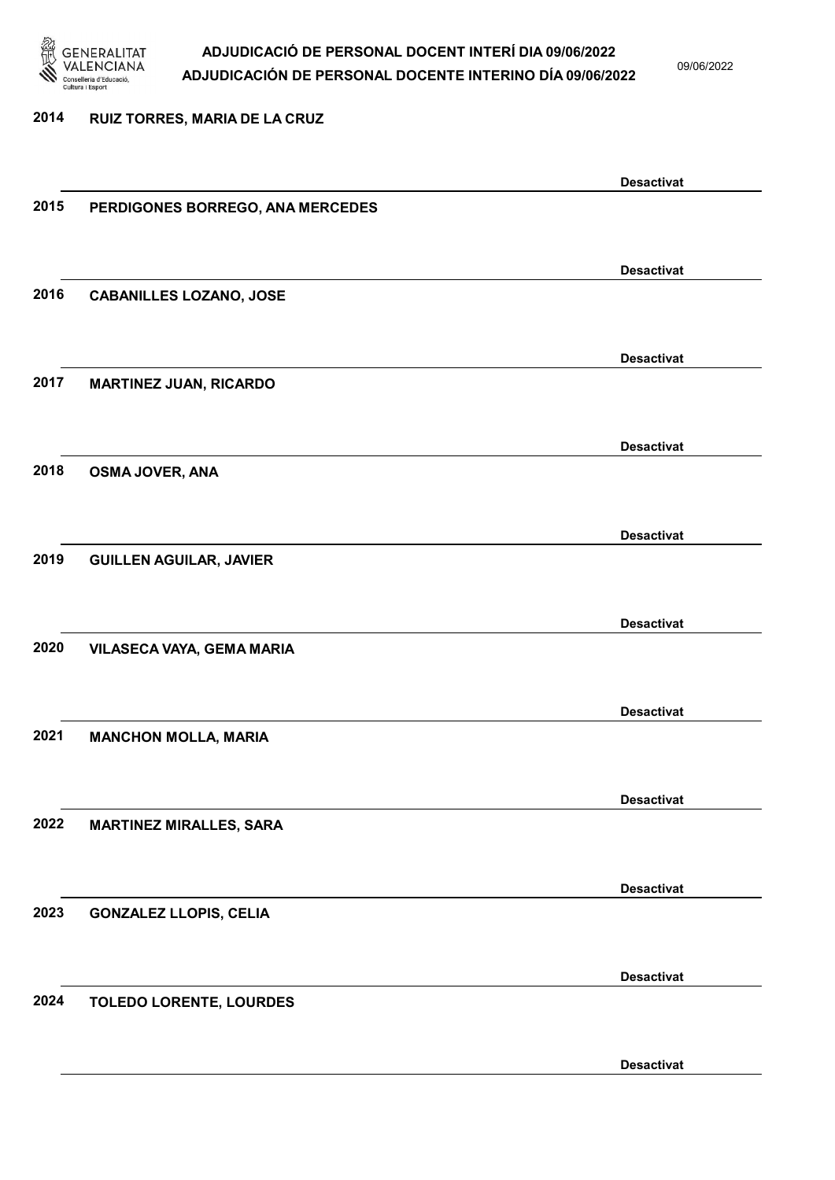

09/06/2022

#### 2014 RUIZ TORRES, MARIA DE LA CRUZ

|      |                                  | <b>Desactivat</b> |
|------|----------------------------------|-------------------|
| 2015 | PERDIGONES BORREGO, ANA MERCEDES |                   |
|      |                                  |                   |
|      |                                  |                   |
| 2016 |                                  | <b>Desactivat</b> |
|      | <b>CABANILLES LOZANO, JOSE</b>   |                   |
|      |                                  |                   |
|      |                                  | <b>Desactivat</b> |
| 2017 | <b>MARTINEZ JUAN, RICARDO</b>    |                   |
|      |                                  |                   |
|      |                                  |                   |
| 2018 |                                  | <b>Desactivat</b> |
|      | <b>OSMA JOVER, ANA</b>           |                   |
|      |                                  |                   |
|      |                                  | <b>Desactivat</b> |
| 2019 | <b>GUILLEN AGUILAR, JAVIER</b>   |                   |
|      |                                  |                   |
|      |                                  | <b>Desactivat</b> |
| 2020 |                                  |                   |
|      | VILASECA VAYA, GEMA MARIA        |                   |
|      |                                  |                   |
|      |                                  | <b>Desactivat</b> |
| 2021 | <b>MANCHON MOLLA, MARIA</b>      |                   |
|      |                                  |                   |
|      |                                  | <b>Desactivat</b> |
| 2022 | <b>MARTINEZ MIRALLES, SARA</b>   |                   |
|      |                                  |                   |
|      |                                  |                   |
|      |                                  | <b>Desactivat</b> |
| 2023 | <b>GONZALEZ LLOPIS, CELIA</b>    |                   |
|      |                                  |                   |
|      |                                  |                   |
| 2024 |                                  | <b>Desactivat</b> |
|      | TOLEDO LORENTE, LOURDES          |                   |
|      |                                  |                   |
|      |                                  | <b>Desactivat</b> |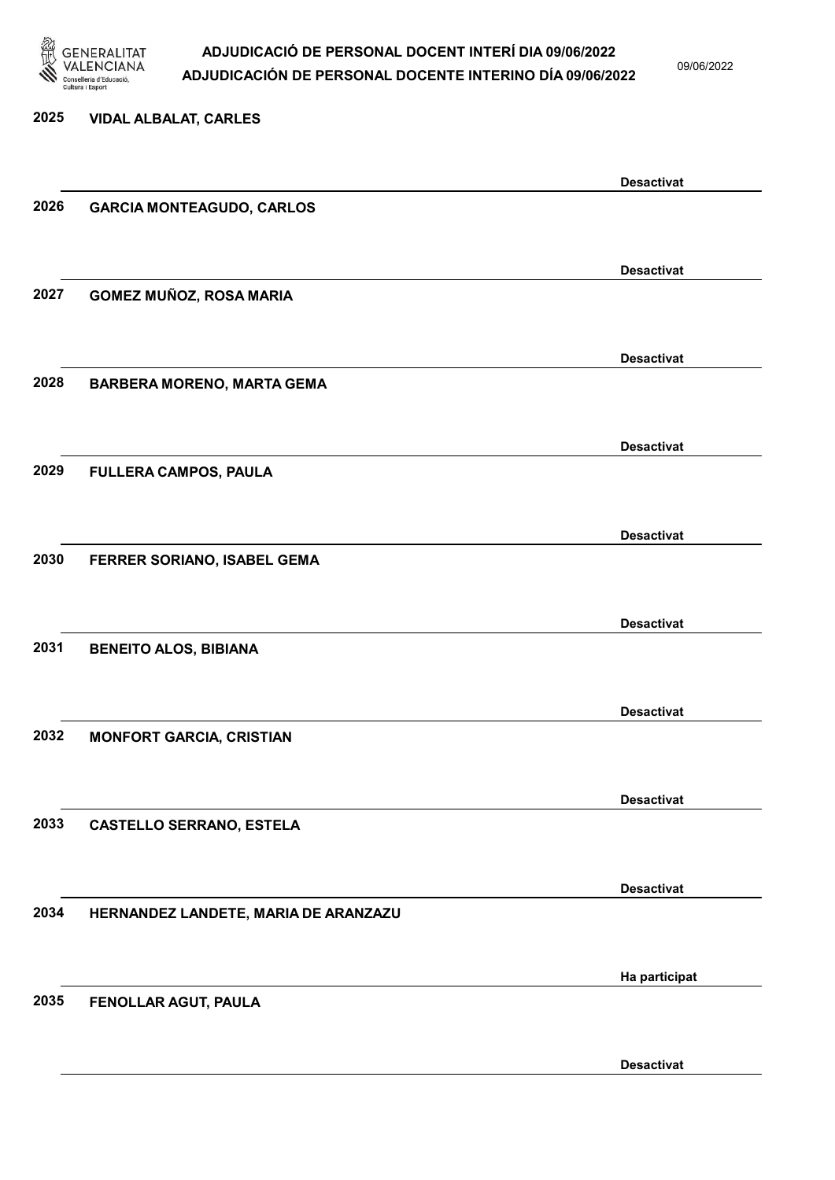

09/06/2022

Desactivat

2025 VIDAL ALBALAT, CARLES Desactivat 2026 GARCIA MONTEAGUDO, CARLOS Desactivat 2027 GOMEZ MUÑOZ, ROSA MARIA Desactivat 2028 BARBERA MORENO, MARTA GEMA Desactivat 2029 FULLERA CAMPOS, PAULA Desactivat 2030 FERRER SORIANO, ISABEL GEMA Desactivat 2031 BENEITO ALOS, BIBIANA Desactivat 2032 MONFORT GARCIA, CRISTIAN Desactivat 2033 CASTELLO SERRANO, ESTELA Desactivat 2034 HERNANDEZ LANDETE, MARIA DE ARANZAZU Ha participat 2035 FENOLLAR AGUT, PAULA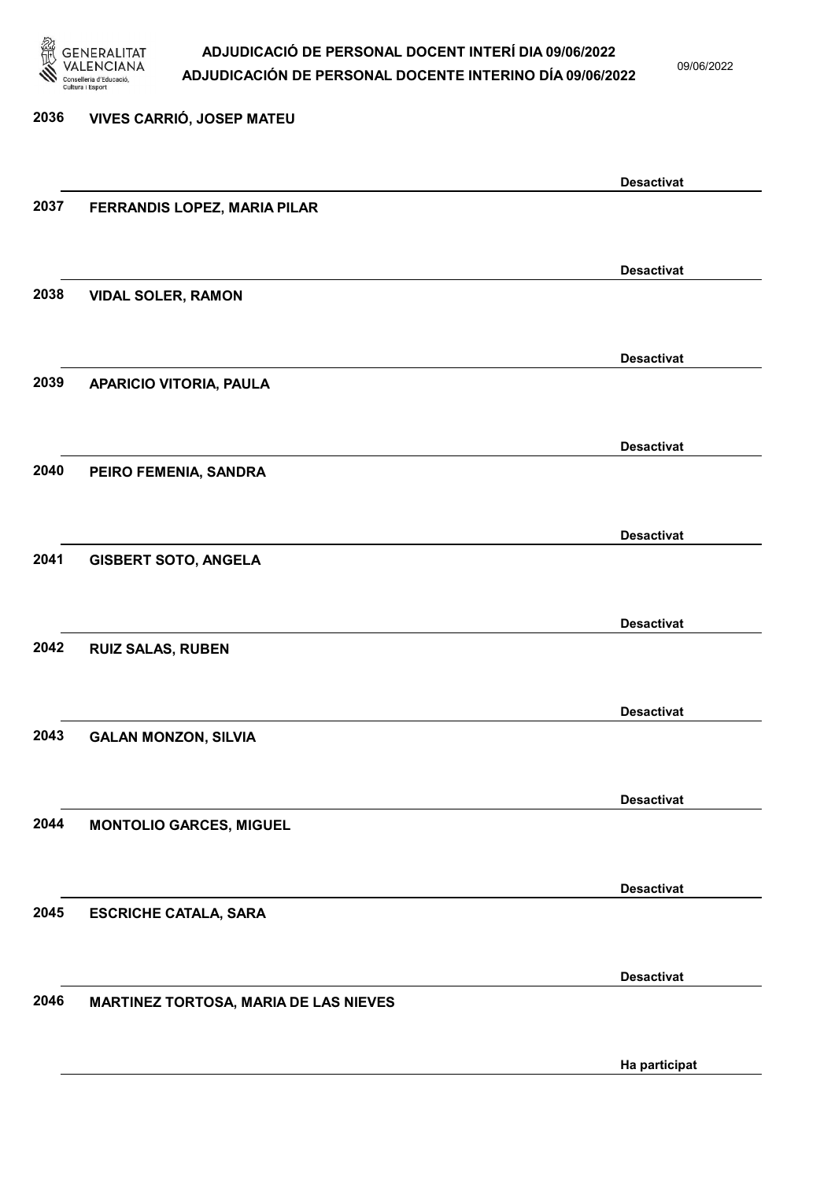

09/06/2022

2036 VIVES CARRIÓ, JOSEP MATEU Desactivat 2037 FERRANDIS LOPEZ, MARIA PILAR Desactivat 2038 VIDAL SOLER, RAMON Desactivat 2039 APARICIO VITORIA, PAULA Desactivat 2040 PEIRO FEMENIA, SANDRA Desactivat 2041 GISBERT SOTO, ANGELA Desactivat 2042 RUIZ SALAS, RUBEN Desactivat 2043 GALAN MONZON, SILVIA Desactivat 2044 MONTOLIO GARCES, MIGUEL Desactivat 2045 ESCRICHE CATALA, SARA Desactivat 2046 MARTINEZ TORTOSA, MARIA DE LAS NIEVES Ha participat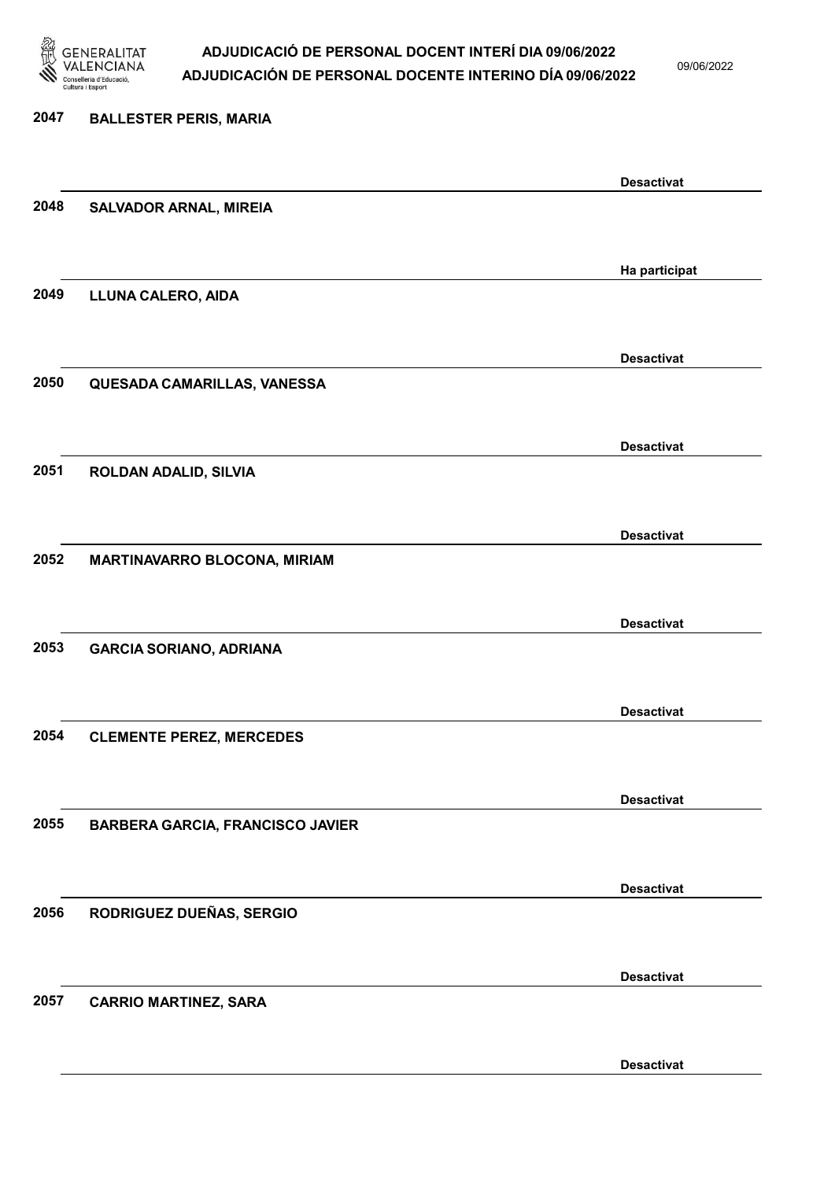

09/06/2022

Desactivat

# 2047 BALLESTER PERIS, MARIA Desactivat 2048 SALVADOR ARNAL, MIREIA Ha participat 2049 LLUNA CALERO, AIDA Desactivat 2050 QUESADA CAMARILLAS, VANESSA Desactivat 2051 ROLDAN ADALID, SILVIA Desactivat 2052 MARTINAVARRO BLOCONA, MIRIAM Desactivat 2053 GARCIA SORIANO, ADRIANA Desactivat 2054 CLEMENTE PEREZ, MERCEDES Desactivat 2055 BARBERA GARCIA, FRANCISCO JAVIER Desactivat 2056 RODRIGUEZ DUEÑAS, SERGIO Desactivat 2057 CARRIO MARTINEZ, SARA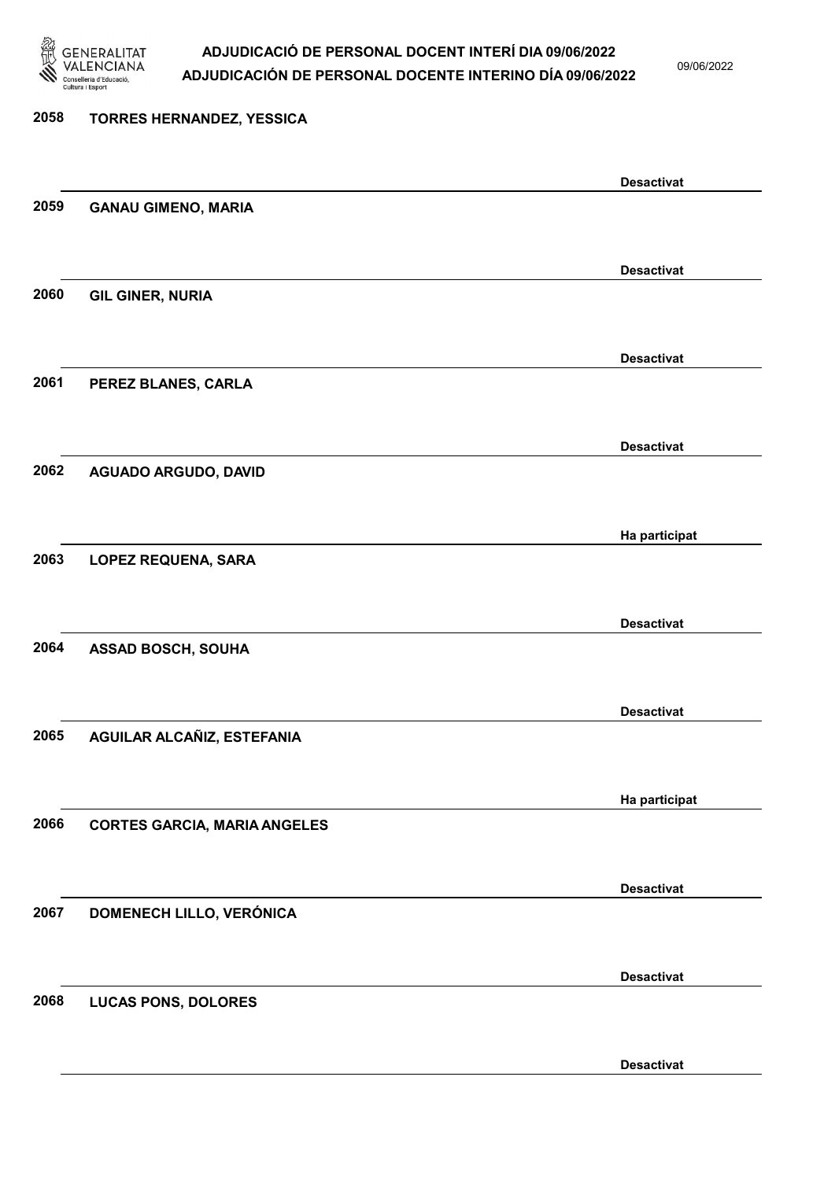

09/06/2022

Desactivat

# 2058 TORRES HERNANDEZ, YESSICA Desactivat 2059 GANAU GIMENO, MARIA Desactivat 2060 GIL GINER, NURIA Desactivat 2061 PEREZ BLANES, CARLA Desactivat 2062 AGUADO ARGUDO, DAVID Ha participat 2063 LOPEZ REQUENA, SARA Desactivat 2064 ASSAD BOSCH, SOUHA Desactivat 2065 AGUILAR ALCAÑIZ, ESTEFANIA Ha participat 2066 CORTES GARCIA, MARIA ANGELES Desactivat 2067 DOMENECH LILLO, VERÓNICA Desactivat 2068 LUCAS PONS, DOLORES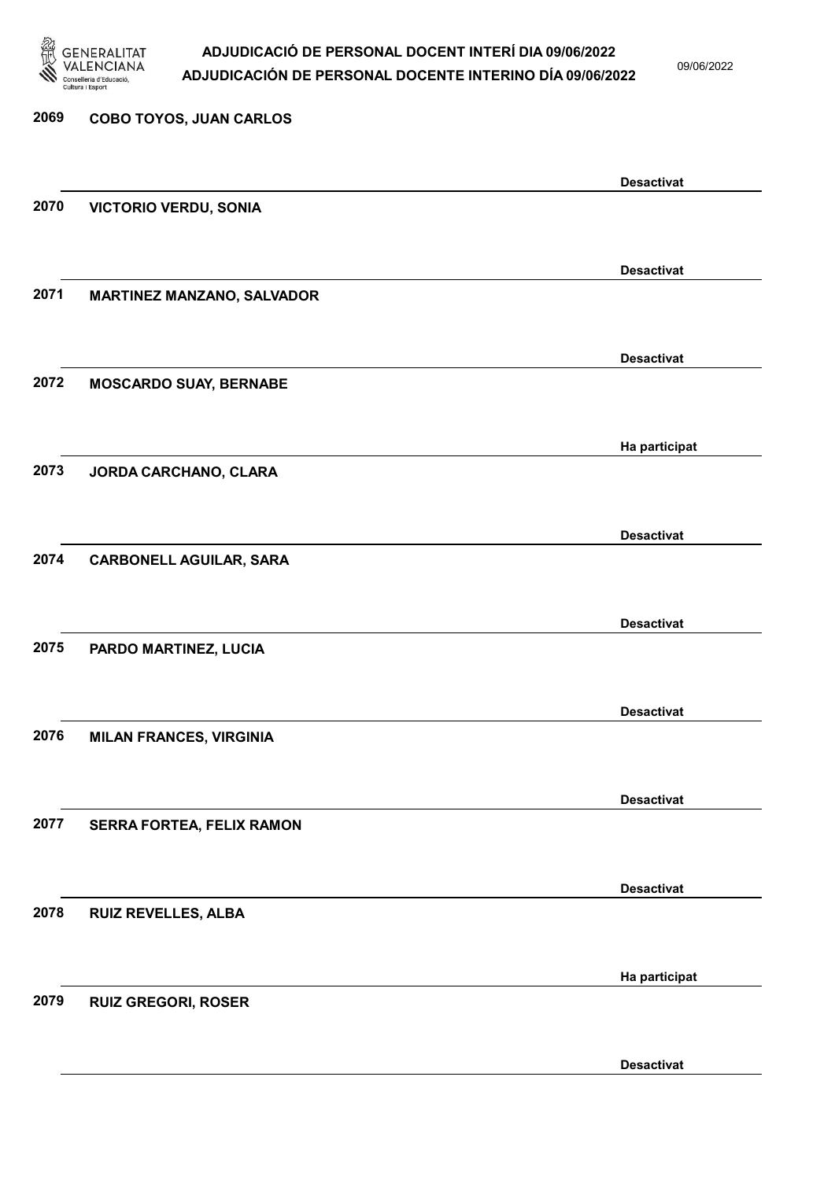

09/06/2022

Desactivat

# 2069 COBO TOYOS, JUAN CARLOS Desactivat 2070 VICTORIO VERDU, SONIA Desactivat 2071 MARTINEZ MANZANO, SALVADOR Desactivat 2072 MOSCARDO SUAY, BERNABE Ha participat 2073 JORDA CARCHANO, CLARA Desactivat 2074 CARBONELL AGUILAR, SARA Desactivat 2075 PARDO MARTINEZ, LUCIA Desactivat 2076 MILAN FRANCES, VIRGINIA Desactivat 2077 SERRA FORTEA, FELIX RAMON Desactivat 2078 RUIZ REVELLES, ALBA Ha participat 2079 RUIZ GREGORI, ROSER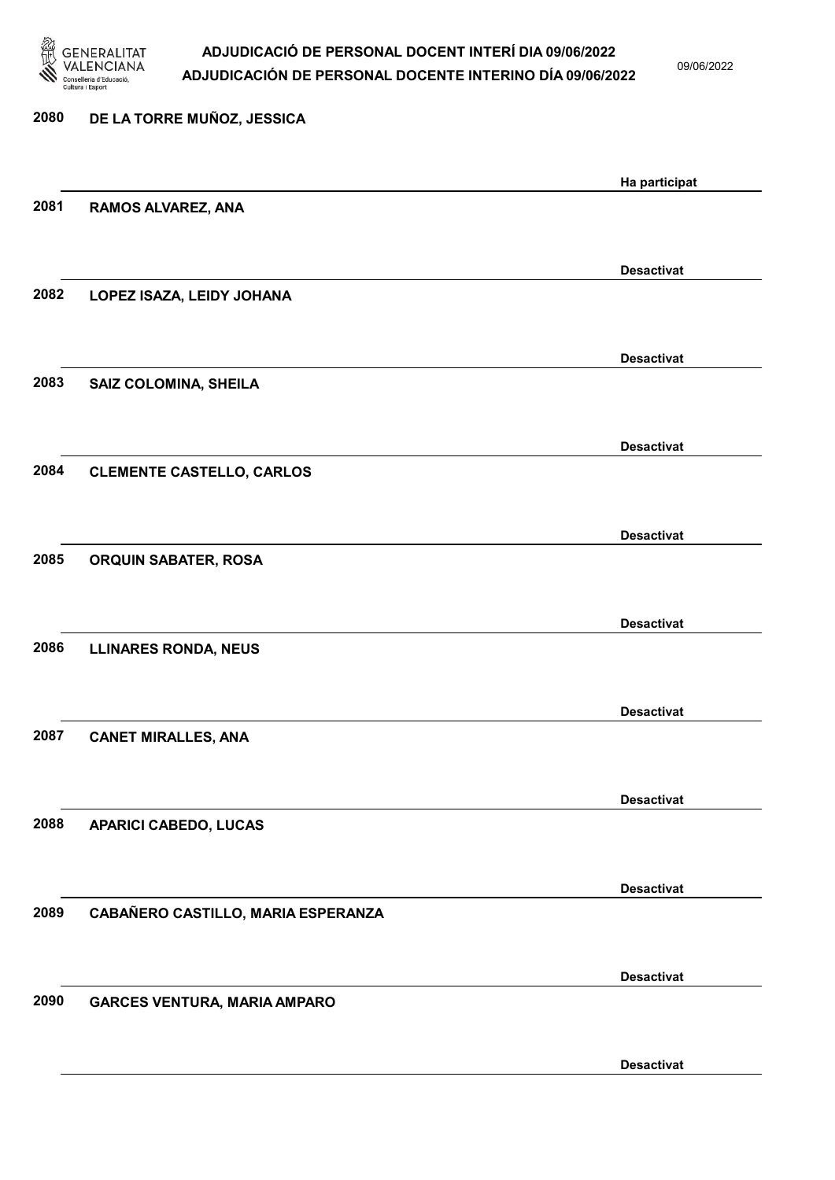

09/06/2022

| 2080 | DE LA TORRE MUÑOZ, JESSICA          |                   |
|------|-------------------------------------|-------------------|
|      |                                     | Ha participat     |
| 2081 | RAMOS ALVAREZ, ANA                  |                   |
|      |                                     | <b>Desactivat</b> |
| 2082 | LOPEZ ISAZA, LEIDY JOHANA           |                   |
|      |                                     | <b>Desactivat</b> |
| 2083 | <b>SAIZ COLOMINA, SHEILA</b>        |                   |
|      |                                     | <b>Desactivat</b> |
| 2084 | <b>CLEMENTE CASTELLO, CARLOS</b>    |                   |
|      |                                     | <b>Desactivat</b> |
| 2085 | <b>ORQUIN SABATER, ROSA</b>         |                   |
| 2086 |                                     | <b>Desactivat</b> |
|      | <b>LLINARES RONDA, NEUS</b>         |                   |
| 2087 | <b>CANET MIRALLES, ANA</b>          | <b>Desactivat</b> |
|      |                                     |                   |
| 2088 | <b>APARICI CABEDO, LUCAS</b>        | <b>Desactivat</b> |
|      |                                     |                   |
| 2089 | CABAÑERO CASTILLO, MARIA ESPERANZA  | <b>Desactivat</b> |
|      |                                     |                   |
| 2090 | <b>GARCES VENTURA, MARIA AMPARO</b> | <b>Desactivat</b> |
|      |                                     | <b>Desactivat</b> |
|      |                                     |                   |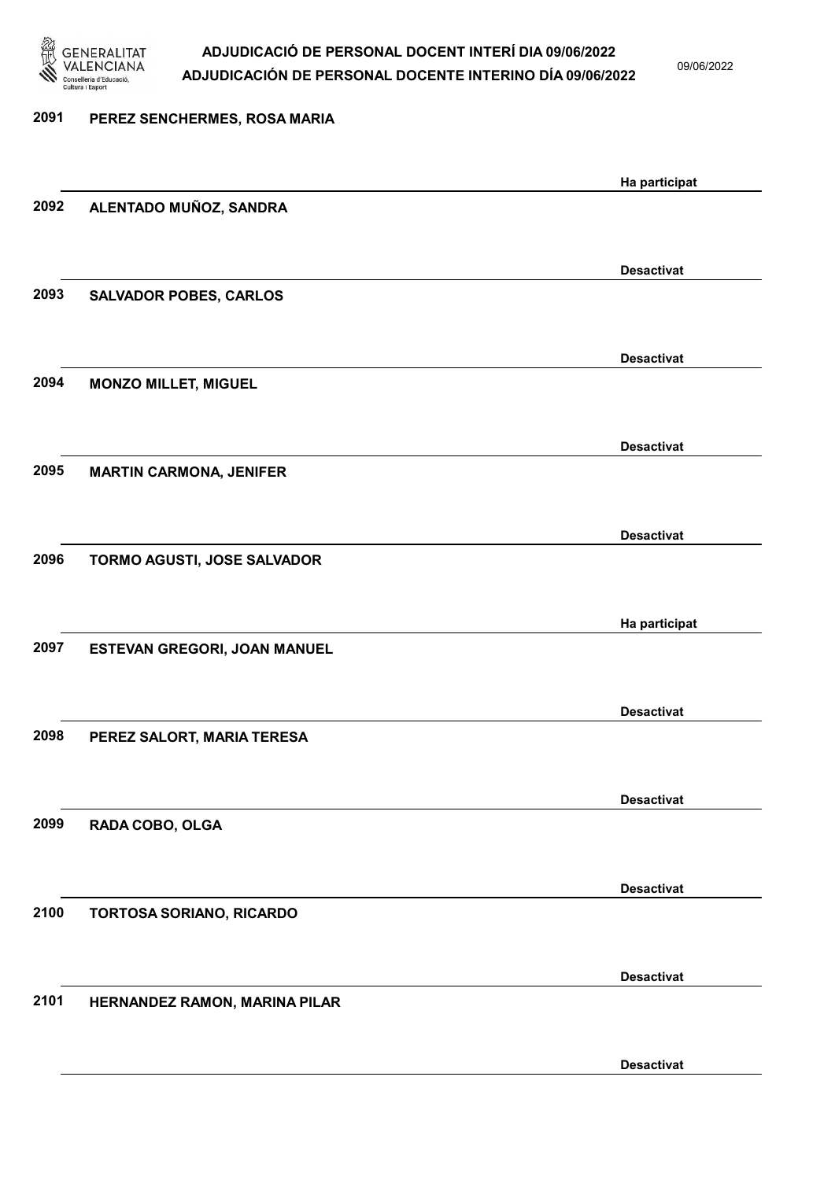

09/06/2022

| 2091 | PEREZ SENCHERMES, ROSA MARIA   |                   |
|------|--------------------------------|-------------------|
|      |                                | Ha participat     |
| 2092 | ALENTADO MUÑOZ, SANDRA         |                   |
|      |                                | <b>Desactivat</b> |
| 2093 | <b>SALVADOR POBES, CARLOS</b>  |                   |
|      |                                | <b>Desactivat</b> |
| 2094 | <b>MONZO MILLET, MIGUEL</b>    |                   |
|      |                                | <b>Desactivat</b> |
| 2095 | <b>MARTIN CARMONA, JENIFER</b> |                   |
|      |                                | <b>Desactivat</b> |
| 2096 | TORMO AGUSTI, JOSE SALVADOR    |                   |
|      |                                | Ha participat     |
| 2097 | ESTEVAN GREGORI, JOAN MANUEL   |                   |
|      |                                | <b>Desactivat</b> |
| 2098 | PEREZ SALORT, MARIA TERESA     |                   |
|      |                                | <b>Desactivat</b> |
| 2099 | RADA COBO, OLGA                |                   |
| 2100 |                                | <b>Desactivat</b> |
|      | TORTOSA SORIANO, RICARDO       |                   |
| 2101 | HERNANDEZ RAMON, MARINA PILAR  | <b>Desactivat</b> |
|      |                                |                   |
|      |                                | <b>Desactivat</b> |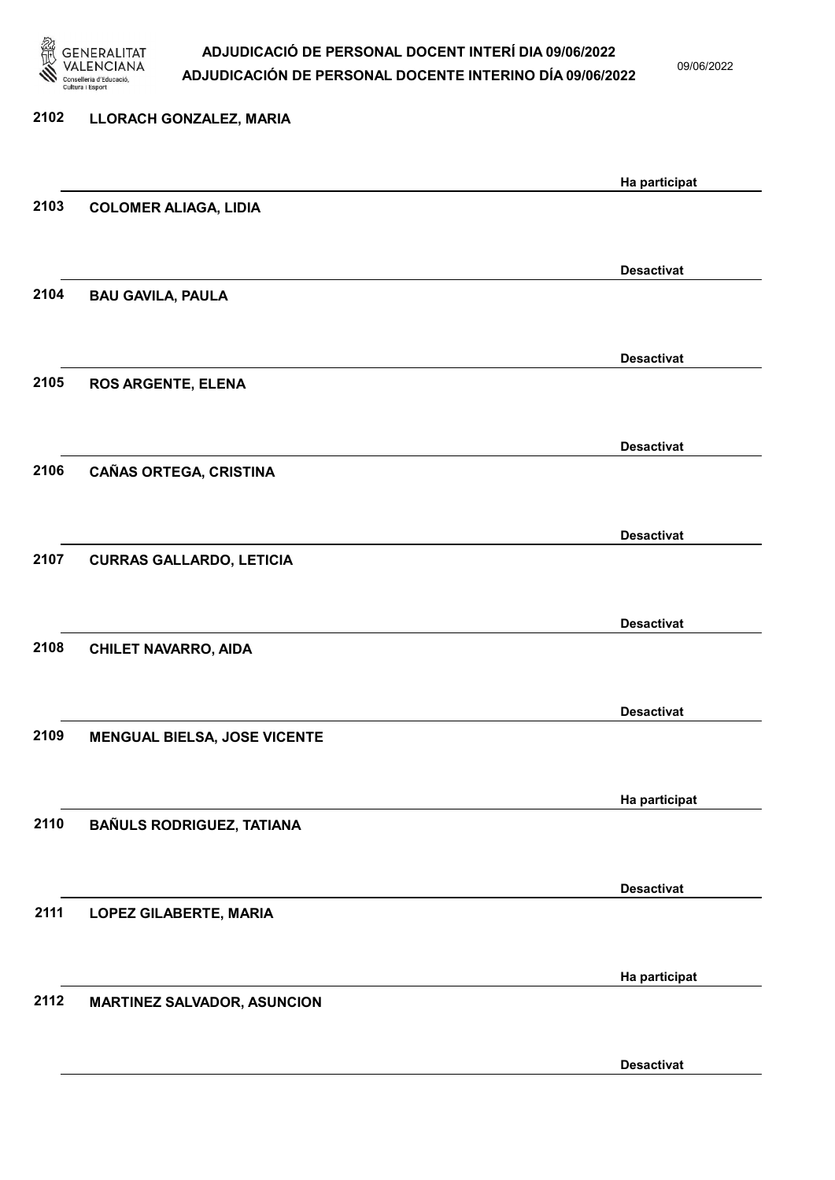

09/06/2022

Desactivat

# 2102 LLORACH GONZALEZ, MARIA Ha participat 2103 COLOMER ALIAGA, LIDIA Desactivat 2104 BAU GAVILA, PAULA Desactivat 2105 ROS ARGENTE, ELENA Desactivat 2106 CAÑAS ORTEGA, CRISTINA Desactivat 2107 CURRAS GALLARDO, LETICIA Desactivat 2108 CHILET NAVARRO, AIDA Desactivat 2109 MENGUAL BIELSA, JOSE VICENTE Ha participat 2110 BAÑULS RODRIGUEZ, TATIANA Desactivat 2111 LOPEZ GILABERTE, MARIA Ha participat 2112 MARTINEZ SALVADOR, ASUNCION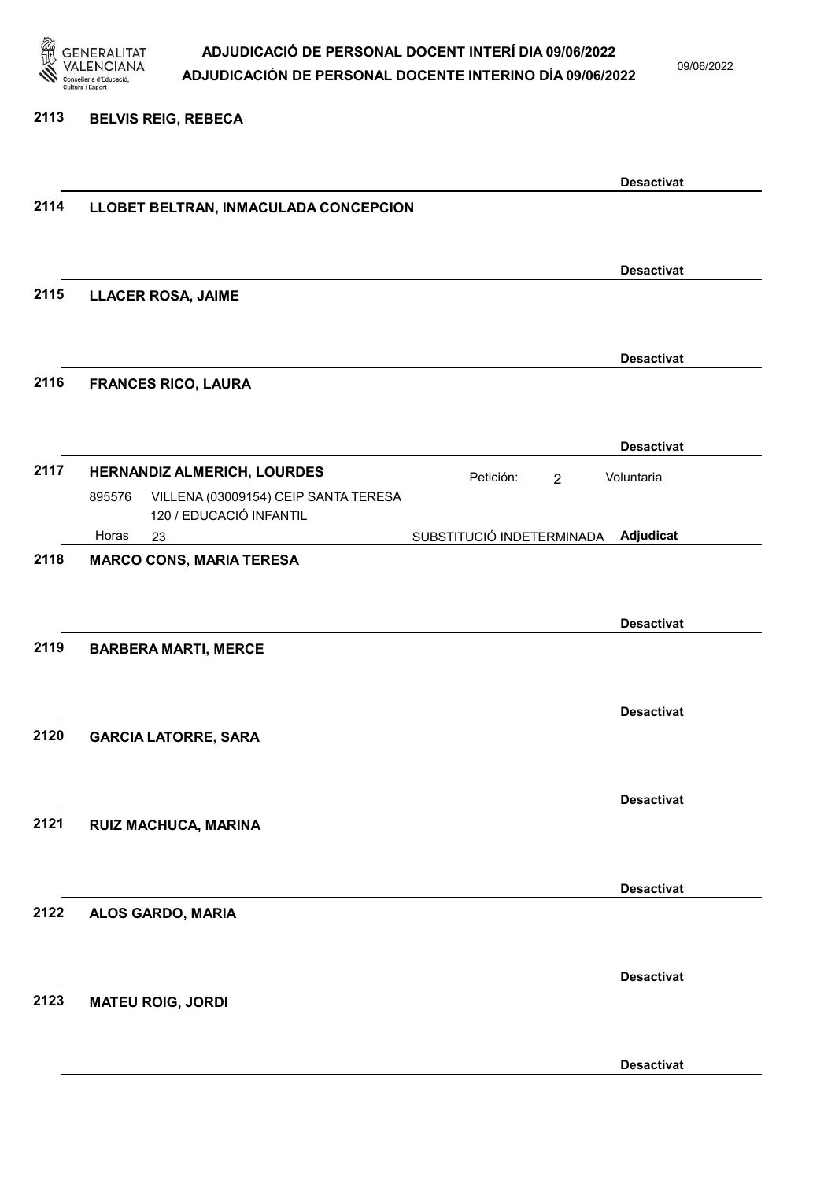

2113 BELVIS REIG, REBECA

### ADJUDICACIÓ DE PERSONAL DOCENT INTERÍ DIA 09/06/2022 ADJUDICACIÓN DE PERSONAL DOCENTE INTERINO DÍA 09/06/2022

09/06/2022

Desactivat 2114 LLOBET BELTRAN, INMACULADA CONCEPCION Desactivat 2115 LLACER ROSA, JAIME Desactivat 2116 FRANCES RICO, LAURA Desactivat 2117 HERNANDIZ ALMERICH, LOURDES Petición: 2 23 SUBSTITUCIÓ INDETERMINADA VILLENA (03009154) CEIP SANTA TERESA 120 / EDUCACIÓ INFANTIL Adjudicat Voluntaria 895576 Horas 2118 MARCO CONS, MARIA TERESA Desactivat 2119 BARBERA MARTI, MERCE Desactivat 2120 GARCIA LATORRE, SARA Desactivat 2121 RUIZ MACHUCA, MARINA Desactivat 2122 ALOS GARDO, MARIA Desactivat 2123 MATEU ROIG, JORDI

Desactivat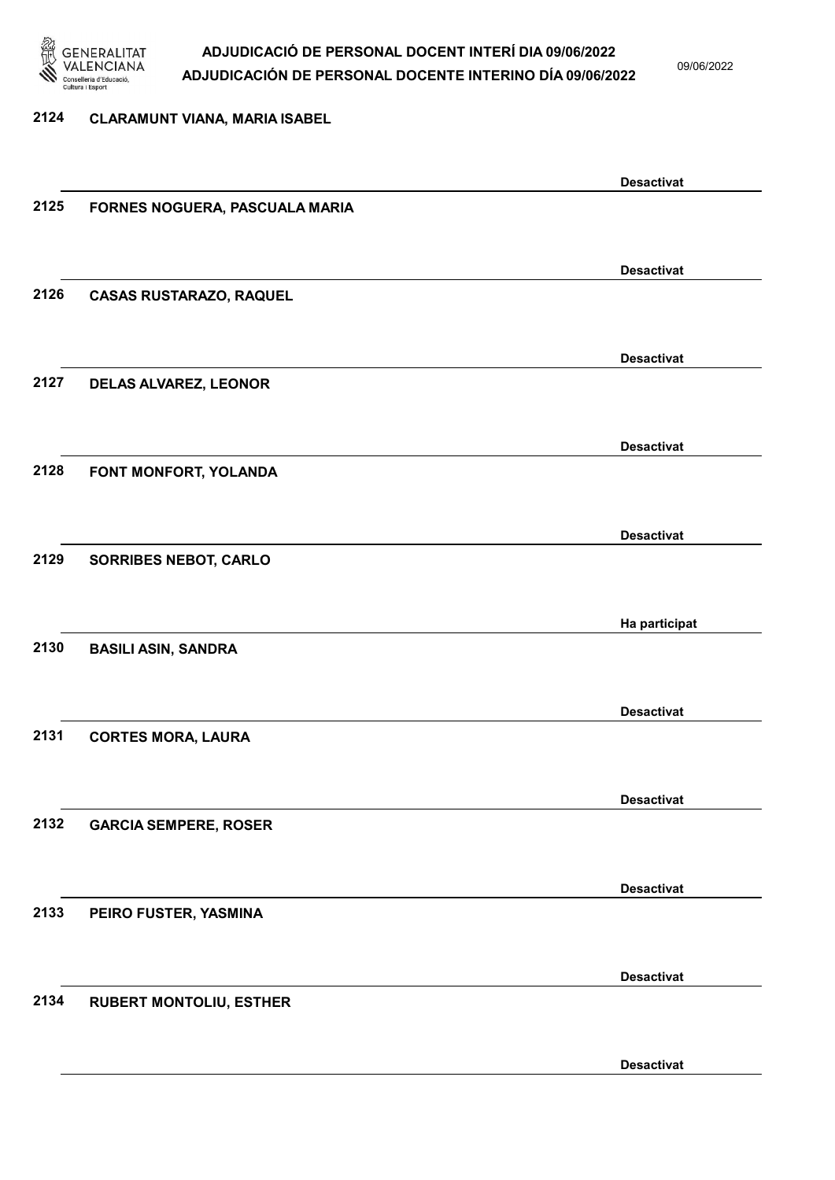

09/06/2022

#### 2124 CLARAMUNT VIANA, MARIA ISABEL

|      |                                | <b>Desactivat</b> |
|------|--------------------------------|-------------------|
| 2125 | FORNES NOGUERA, PASCUALA MARIA |                   |
|      |                                |                   |
|      |                                |                   |
| 2126 |                                | <b>Desactivat</b> |
|      | <b>CASAS RUSTARAZO, RAQUEL</b> |                   |
|      |                                |                   |
|      |                                | <b>Desactivat</b> |
| 2127 | DELAS ALVAREZ, LEONOR          |                   |
|      |                                |                   |
|      |                                | <b>Desactivat</b> |
| 2128 | FONT MONFORT, YOLANDA          |                   |
|      |                                |                   |
|      |                                |                   |
|      |                                | <b>Desactivat</b> |
| 2129 | <b>SORRIBES NEBOT, CARLO</b>   |                   |
|      |                                |                   |
|      |                                | Ha participat     |
| 2130 | <b>BASILI ASIN, SANDRA</b>     |                   |
|      |                                |                   |
|      |                                |                   |
|      |                                | <b>Desactivat</b> |
| 2131 | <b>CORTES MORA, LAURA</b>      |                   |
|      |                                |                   |
|      |                                | <b>Desactivat</b> |
| 2132 | <b>GARCIA SEMPERE, ROSER</b>   |                   |
|      |                                |                   |
|      |                                |                   |
| 2133 |                                | <b>Desactivat</b> |
|      | PEIRO FUSTER, YASMINA          |                   |
|      |                                |                   |
|      |                                | <b>Desactivat</b> |
| 2134 | <b>RUBERT MONTOLIU, ESTHER</b> |                   |
|      |                                |                   |
|      |                                | <b>Desactivat</b> |
|      |                                |                   |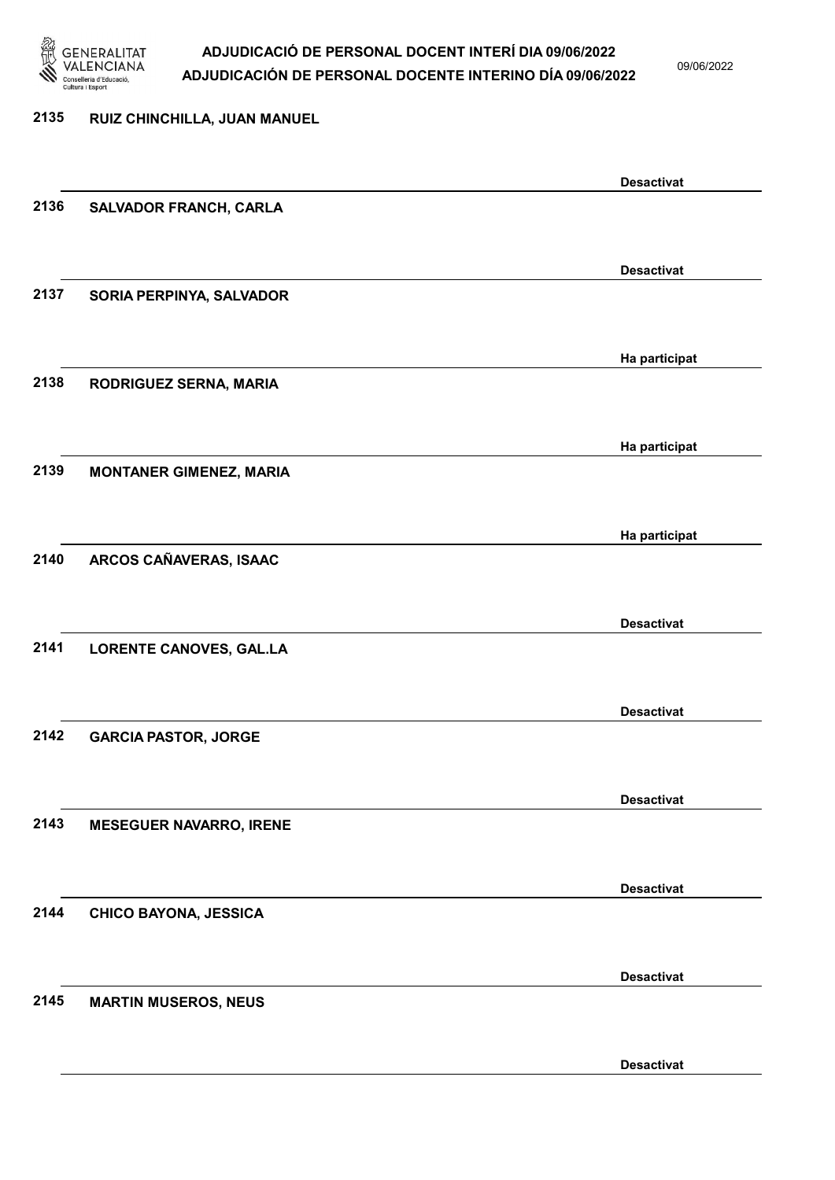

09/06/2022

Desactivat

# 2135 RUIZ CHINCHILLA, JUAN MANUEL Desactivat 2136 SALVADOR FRANCH, CARLA Desactivat 2137 SORIA PERPINYA, SALVADOR Ha participat 2138 RODRIGUEZ SERNA, MARIA Ha participat 2139 MONTANER GIMENEZ, MARIA Ha participat 2140 ARCOS CAÑAVERAS, ISAAC Desactivat 2141 LORENTE CANOVES, GAL.LA Desactivat 2142 GARCIA PASTOR, JORGE Desactivat 2143 MESEGUER NAVARRO, IRENE Desactivat 2144 CHICO BAYONA, JESSICA Desactivat 2145 MARTIN MUSEROS, NEUS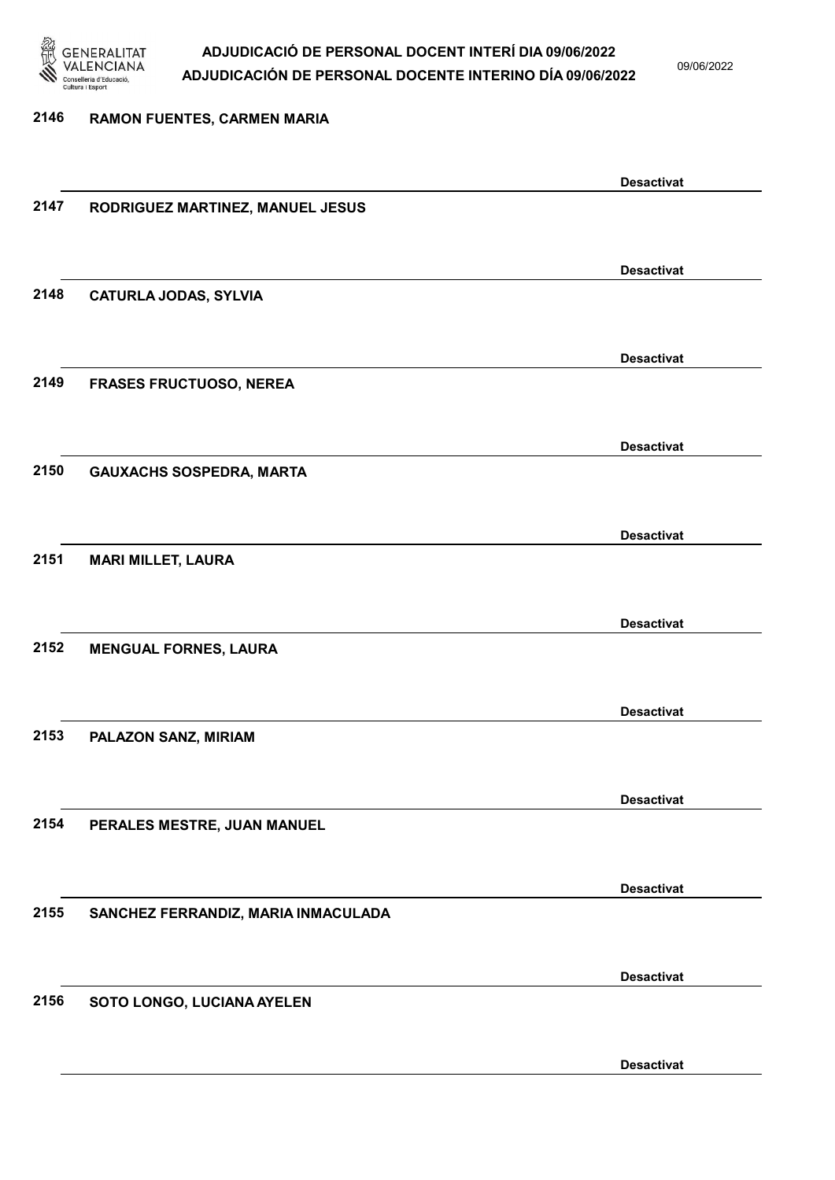

09/06/2022

Desactivat

# 2146 RAMON FUENTES, CARMEN MARIA Desactivat 2147 RODRIGUEZ MARTINEZ, MANUEL JESUS Desactivat 2148 CATURLA JODAS, SYLVIA Desactivat 2149 FRASES FRUCTUOSO, NEREA Desactivat 2150 GAUXACHS SOSPEDRA, MARTA Desactivat 2151 MARI MILLET, LAURA Desactivat 2152 MENGUAL FORNES, LAURA Desactivat 2153 PALAZON SANZ, MIRIAM Desactivat 2154 PERALES MESTRE, JUAN MANUEL Desactivat 2155 SANCHEZ FERRANDIZ, MARIA INMACULADA Desactivat 2156 SOTO LONGO, LUCIANA AYELEN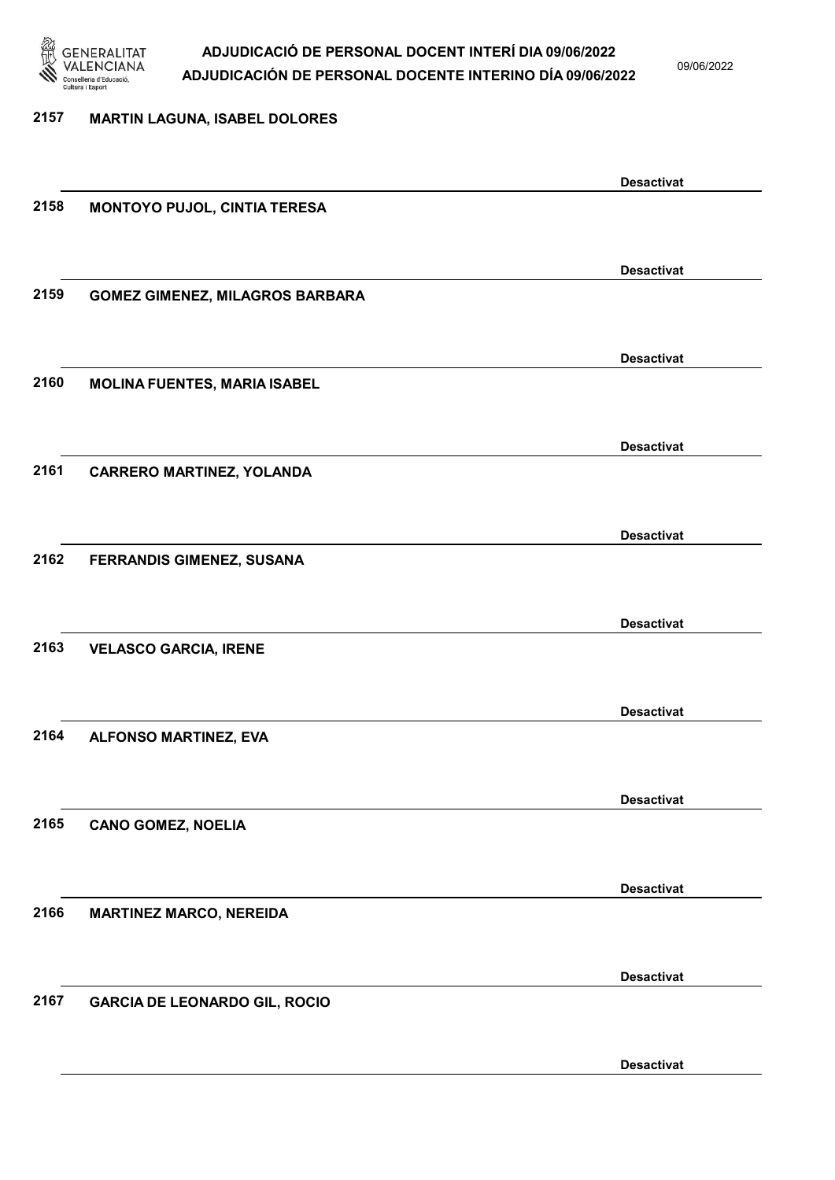

09/06/2022

# 2157 MARTIN LAGUNA, ISABEL DOLORES

|      |                                        | <b>Desactivat</b> |
|------|----------------------------------------|-------------------|
| 2158 | MONTOYO PUJOL, CINTIA TERESA           |                   |
|      |                                        |                   |
|      |                                        | <b>Desactivat</b> |
| 2159 |                                        |                   |
|      | <b>GOMEZ GIMENEZ, MILAGROS BARBARA</b> |                   |
|      |                                        |                   |
|      |                                        | <b>Desactivat</b> |
| 2160 | <b>MOLINA FUENTES, MARIA ISABEL</b>    |                   |
|      |                                        |                   |
|      |                                        | <b>Desactivat</b> |
| 2161 | <b>CARRERO MARTINEZ, YOLANDA</b>       |                   |
|      |                                        |                   |
|      |                                        |                   |
|      |                                        | <b>Desactivat</b> |
| 2162 | FERRANDIS GIMENEZ, SUSANA              |                   |
|      |                                        |                   |
|      |                                        | <b>Desactivat</b> |
| 2163 | <b>VELASCO GARCIA, IRENE</b>           |                   |
|      |                                        |                   |
|      |                                        | <b>Desactivat</b> |
| 2164 | ALFONSO MARTINEZ, EVA                  |                   |
|      |                                        |                   |
|      |                                        |                   |
|      |                                        | <b>Desactivat</b> |
| 2165 | <b>CANO GOMEZ, NOELIA</b>              |                   |
|      |                                        |                   |
|      |                                        | <b>Desactivat</b> |
| 2166 | <b>MARTINEZ MARCO, NEREIDA</b>         |                   |
|      |                                        |                   |
|      |                                        |                   |
| 2167 |                                        | <b>Desactivat</b> |
|      | <b>GARCIA DE LEONARDO GIL, ROCIO</b>   |                   |
|      |                                        |                   |
|      |                                        | <b>Desactivat</b> |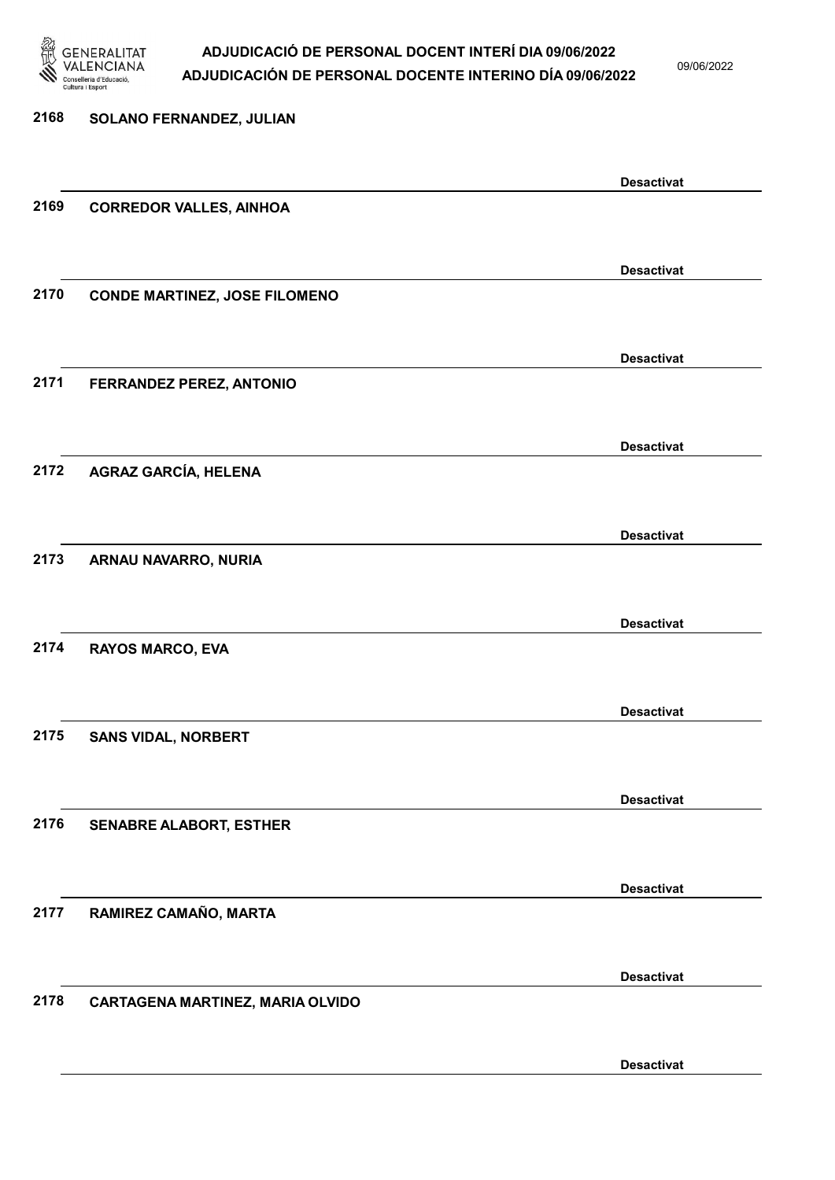

09/06/2022

| 2168 | SOLANO FERNANDEZ, JULIAN             |                   |
|------|--------------------------------------|-------------------|
|      |                                      | <b>Desactivat</b> |
| 2169 | <b>CORREDOR VALLES, AINHOA</b>       |                   |
|      |                                      | <b>Desactivat</b> |
| 2170 | <b>CONDE MARTINEZ, JOSE FILOMENO</b> |                   |
|      |                                      | <b>Desactivat</b> |
| 2171 | FERRANDEZ PEREZ, ANTONIO             |                   |
|      |                                      | <b>Desactivat</b> |
| 2172 | <b>AGRAZ GARCÍA, HELENA</b>          |                   |
|      |                                      | <b>Desactivat</b> |
| 2173 | ARNAU NAVARRO, NURIA                 |                   |
|      |                                      | <b>Desactivat</b> |
| 2174 | <b>RAYOS MARCO, EVA</b>              |                   |
|      |                                      | <b>Desactivat</b> |
| 2175 | <b>SANS VIDAL, NORBERT</b>           |                   |
|      |                                      | <b>Desactivat</b> |
| 2176 | <b>SENABRE ALABORT, ESTHER</b>       |                   |
|      |                                      | <b>Desactivat</b> |
| 2177 | RAMIREZ CAMAÑO, MARTA                |                   |
|      |                                      | <b>Desactivat</b> |
| 2178 | CARTAGENA MARTINEZ, MARIA OLVIDO     |                   |
|      |                                      | <b>Desactivat</b> |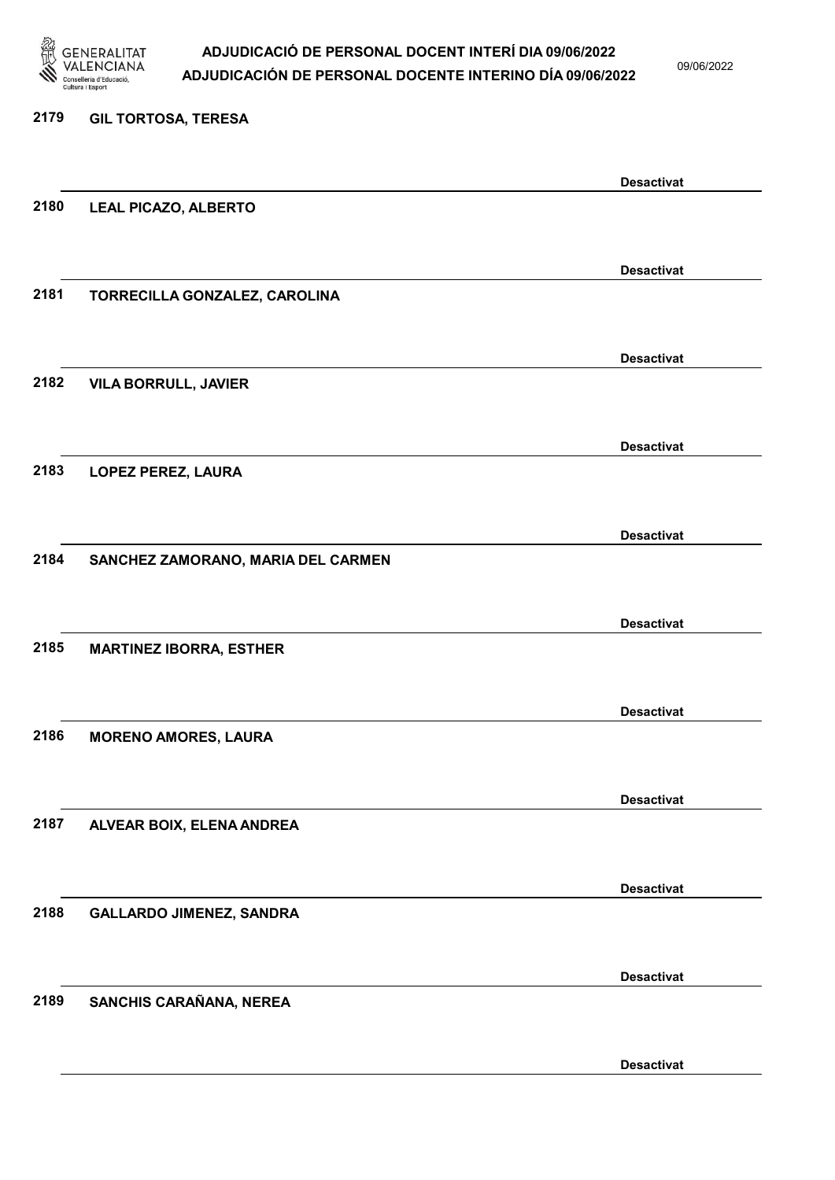

09/06/2022

Desactivat

# 2179 GIL TORTOSA, TERESA Desactivat 2180 LEAL PICAZO, ALBERTO Desactivat 2181 TORRECILLA GONZALEZ, CAROLINA Desactivat 2182 VILA BORRULL, JAVIER Desactivat 2183 LOPEZ PEREZ, LAURA Desactivat 2184 SANCHEZ ZAMORANO, MARIA DEL CARMEN Desactivat 2185 MARTINEZ IBORRA, ESTHER Desactivat 2186 MORENO AMORES, LAURA Desactivat 2187 ALVEAR BOIX, ELENA ANDREA Desactivat 2188 GALLARDO JIMENEZ, SANDRA Desactivat 2189 SANCHIS CARAÑANA, NEREA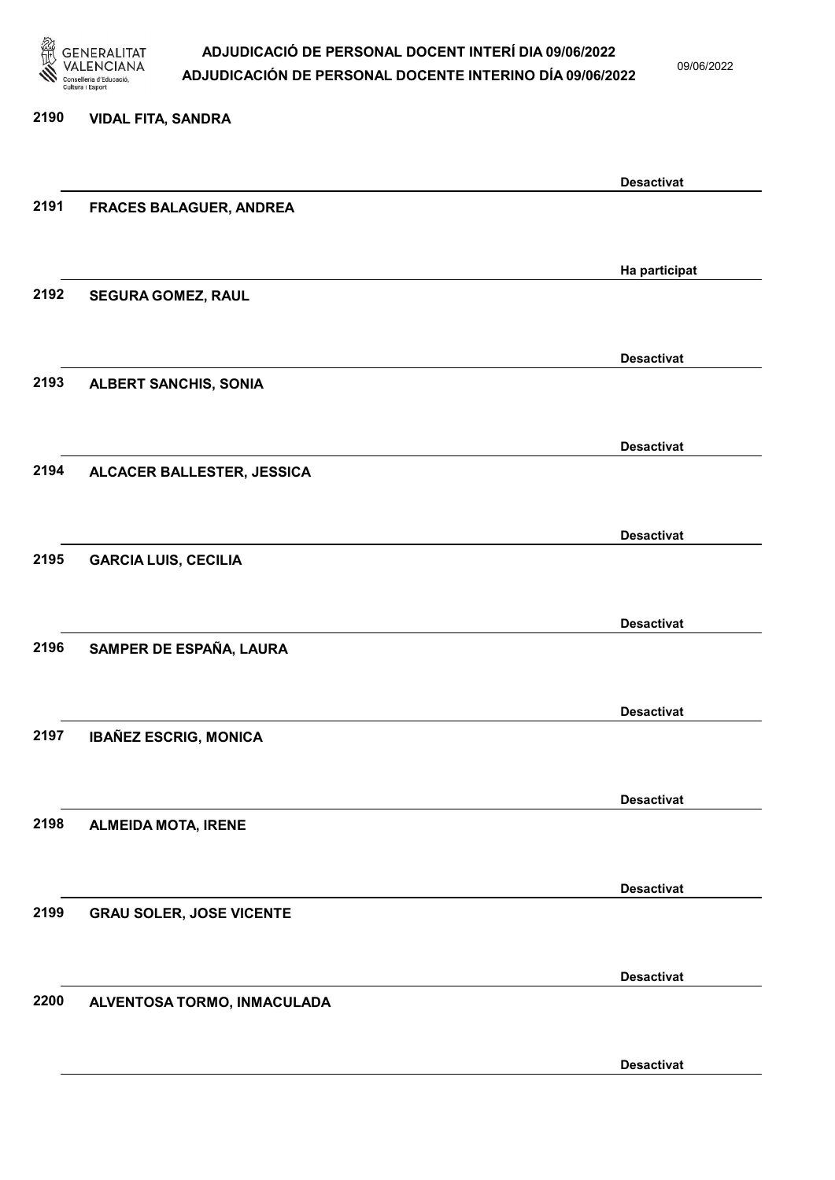

09/06/2022

#### 2190 VIDAL FITA, SANDRA

|      |                                 | <b>Desactivat</b> |
|------|---------------------------------|-------------------|
| 2191 | FRACES BALAGUER, ANDREA         |                   |
|      |                                 |                   |
|      |                                 |                   |
|      |                                 | Ha participat     |
| 2192 | SEGURA GOMEZ, RAUL              |                   |
|      |                                 |                   |
|      |                                 | <b>Desactivat</b> |
| 2193 | <b>ALBERT SANCHIS, SONIA</b>    |                   |
|      |                                 |                   |
|      |                                 |                   |
|      |                                 | <b>Desactivat</b> |
| 2194 | ALCACER BALLESTER, JESSICA      |                   |
|      |                                 |                   |
|      |                                 |                   |
|      |                                 | <b>Desactivat</b> |
| 2195 | <b>GARCIA LUIS, CECILIA</b>     |                   |
|      |                                 |                   |
|      |                                 | <b>Desactivat</b> |
| 2196 | SAMPER DE ESPAÑA, LAURA         |                   |
|      |                                 |                   |
|      |                                 |                   |
|      |                                 | <b>Desactivat</b> |
| 2197 | <b>IBAÑEZ ESCRIG, MONICA</b>    |                   |
|      |                                 |                   |
|      |                                 | <b>Desactivat</b> |
| 2198 |                                 |                   |
|      | <b>ALMEIDA MOTA, IRENE</b>      |                   |
|      |                                 |                   |
|      |                                 | <b>Desactivat</b> |
| 2199 | <b>GRAU SOLER, JOSE VICENTE</b> |                   |
|      |                                 |                   |
|      |                                 |                   |
|      |                                 | <b>Desactivat</b> |
| 2200 | ALVENTOSA TORMO, INMACULADA     |                   |
|      |                                 |                   |
|      |                                 | <b>Desactivat</b> |
|      |                                 |                   |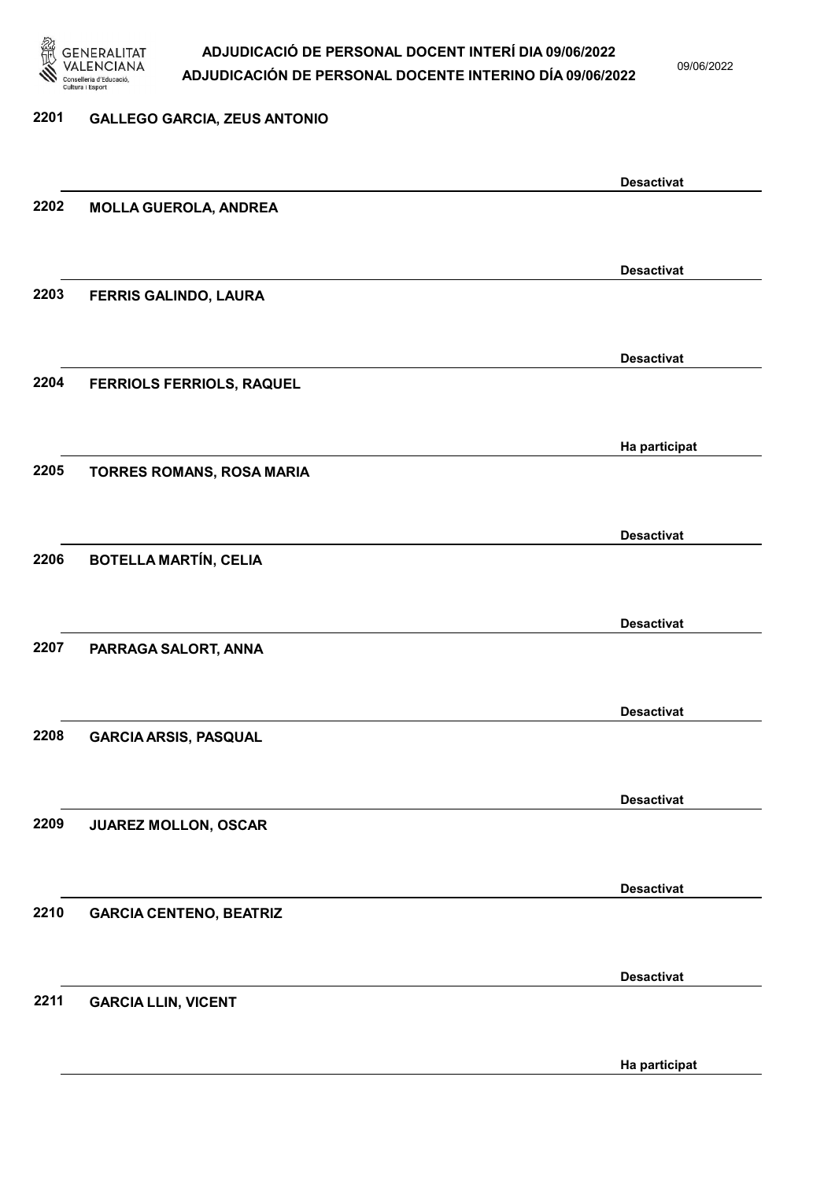

09/06/2022

#### 2201 GALLEGO GARCIA, ZEUS ANTONIO

|      |                                  | <b>Desactivat</b> |
|------|----------------------------------|-------------------|
| 2202 | <b>MOLLA GUEROLA, ANDREA</b>     |                   |
|      |                                  |                   |
|      |                                  | <b>Desactivat</b> |
| 2203 | FERRIS GALINDO, LAURA            |                   |
|      |                                  |                   |
|      |                                  |                   |
| 2204 |                                  | <b>Desactivat</b> |
|      | <b>FERRIOLS FERRIOLS, RAQUEL</b> |                   |
|      |                                  |                   |
|      |                                  | Ha participat     |
| 2205 | TORRES ROMANS, ROSA MARIA        |                   |
|      |                                  |                   |
|      |                                  | <b>Desactivat</b> |
| 2206 | <b>BOTELLA MARTÍN, CELIA</b>     |                   |
|      |                                  |                   |
|      |                                  | <b>Desactivat</b> |
| 2207 | PARRAGA SALORT, ANNA             |                   |
|      |                                  |                   |
|      |                                  | <b>Desactivat</b> |
| 2208 | <b>GARCIA ARSIS, PASQUAL</b>     |                   |
|      |                                  |                   |
|      |                                  |                   |
| 2209 |                                  | <b>Desactivat</b> |
|      | JUAREZ MOLLON, OSCAR             |                   |
|      |                                  |                   |
|      |                                  | <b>Desactivat</b> |
| 2210 | <b>GARCIA CENTENO, BEATRIZ</b>   |                   |
|      |                                  |                   |
|      |                                  | <b>Desactivat</b> |
| 2211 | <b>GARCIA LLIN, VICENT</b>       |                   |
|      |                                  |                   |
|      |                                  | Ha participat     |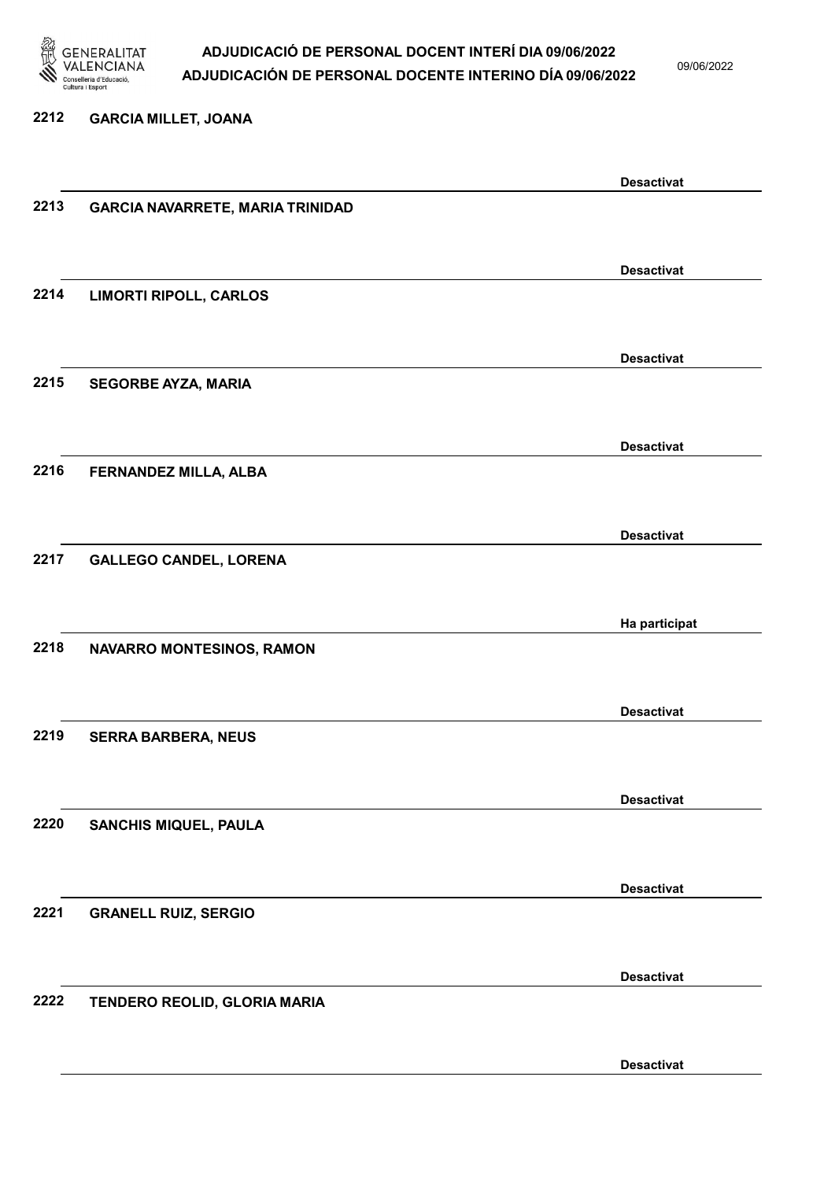

09/06/2022

### 2212 GARCIA MILLET, JOANA

|      |                                         | <b>Desactivat</b> |
|------|-----------------------------------------|-------------------|
| 2213 | <b>GARCIA NAVARRETE, MARIA TRINIDAD</b> |                   |
|      |                                         |                   |
|      |                                         |                   |
|      |                                         |                   |
|      |                                         | <b>Desactivat</b> |
| 2214 | <b>LIMORTI RIPOLL, CARLOS</b>           |                   |
|      |                                         |                   |
|      |                                         |                   |
|      |                                         | <b>Desactivat</b> |
| 2215 |                                         |                   |
|      | <b>SEGORBE AYZA, MARIA</b>              |                   |
|      |                                         |                   |
|      |                                         |                   |
|      |                                         | <b>Desactivat</b> |
| 2216 | FERNANDEZ MILLA, ALBA                   |                   |
|      |                                         |                   |
|      |                                         |                   |
|      |                                         | <b>Desactivat</b> |
|      |                                         |                   |
| 2217 | <b>GALLEGO CANDEL, LORENA</b>           |                   |
|      |                                         |                   |
|      |                                         |                   |
|      |                                         | Ha participat     |
| 2218 | NAVARRO MONTESINOS, RAMON               |                   |
|      |                                         |                   |
|      |                                         |                   |
|      |                                         | <b>Desactivat</b> |
|      |                                         |                   |
| 2219 | <b>SERRA BARBERA, NEUS</b>              |                   |
|      |                                         |                   |
|      |                                         |                   |
|      |                                         | <b>Desactivat</b> |
| 2220 | <b>SANCHIS MIQUEL, PAULA</b>            |                   |
|      |                                         |                   |
|      |                                         |                   |
|      |                                         | <b>Desactivat</b> |
|      |                                         |                   |
| 2221 | <b>GRANELL RUIZ, SERGIO</b>             |                   |
|      |                                         |                   |
|      |                                         |                   |
|      |                                         | <b>Desactivat</b> |
| 2222 | TENDERO REOLID, GLORIA MARIA            |                   |
|      |                                         |                   |
|      |                                         |                   |
|      |                                         |                   |
|      |                                         | <b>Desactivat</b> |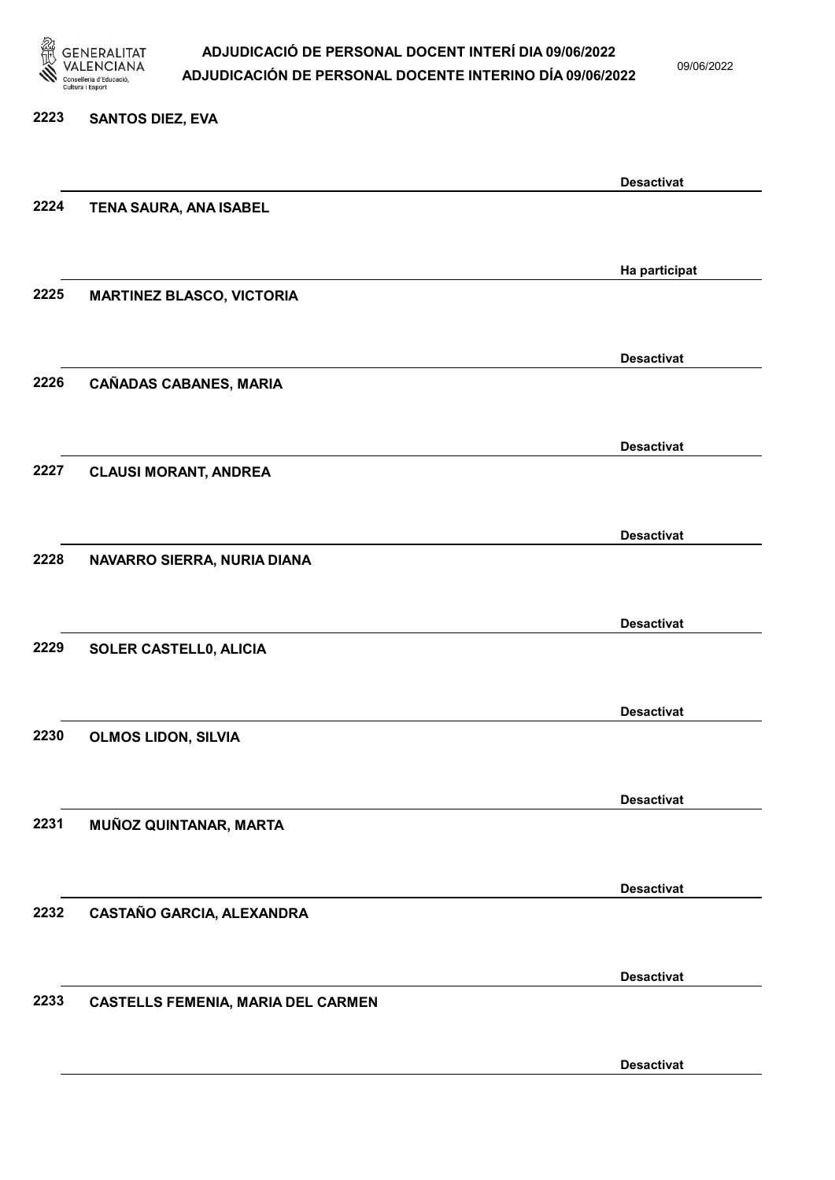

09/06/2022

#### 2223 SANTOS DIEZ, EVA

|      |                                           | <b>Desactivat</b> |
|------|-------------------------------------------|-------------------|
| 2224 | TENA SAURA, ANA ISABEL                    |                   |
|      |                                           |                   |
|      |                                           | Ha participat     |
| 2225 | <b>MARTINEZ BLASCO, VICTORIA</b>          |                   |
|      |                                           |                   |
|      |                                           |                   |
| 2226 | <b>CAÑADAS CABANES, MARIA</b>             | <b>Desactivat</b> |
|      |                                           |                   |
|      |                                           |                   |
|      |                                           | <b>Desactivat</b> |
| 2227 | <b>CLAUSI MORANT, ANDREA</b>              |                   |
|      |                                           |                   |
|      |                                           | <b>Desactivat</b> |
| 2228 | NAVARRO SIERRA, NURIA DIANA               |                   |
|      |                                           |                   |
|      |                                           | <b>Desactivat</b> |
| 2229 | SOLER CASTELL0, ALICIA                    |                   |
|      |                                           |                   |
|      |                                           | <b>Desactivat</b> |
| 2230 | <b>OLMOS LIDON, SILVIA</b>                |                   |
|      |                                           |                   |
|      |                                           |                   |
| 2231 |                                           | <b>Desactivat</b> |
|      | MUÑOZ QUINTANAR, MARTA                    |                   |
|      |                                           |                   |
|      |                                           | <b>Desactivat</b> |
| 2232 | CASTAÑO GARCIA, ALEXANDRA                 |                   |
|      |                                           |                   |
|      |                                           | <b>Desactivat</b> |
| 2233 | <b>CASTELLS FEMENIA, MARIA DEL CARMEN</b> |                   |
|      |                                           |                   |
|      |                                           | <b>Desactivat</b> |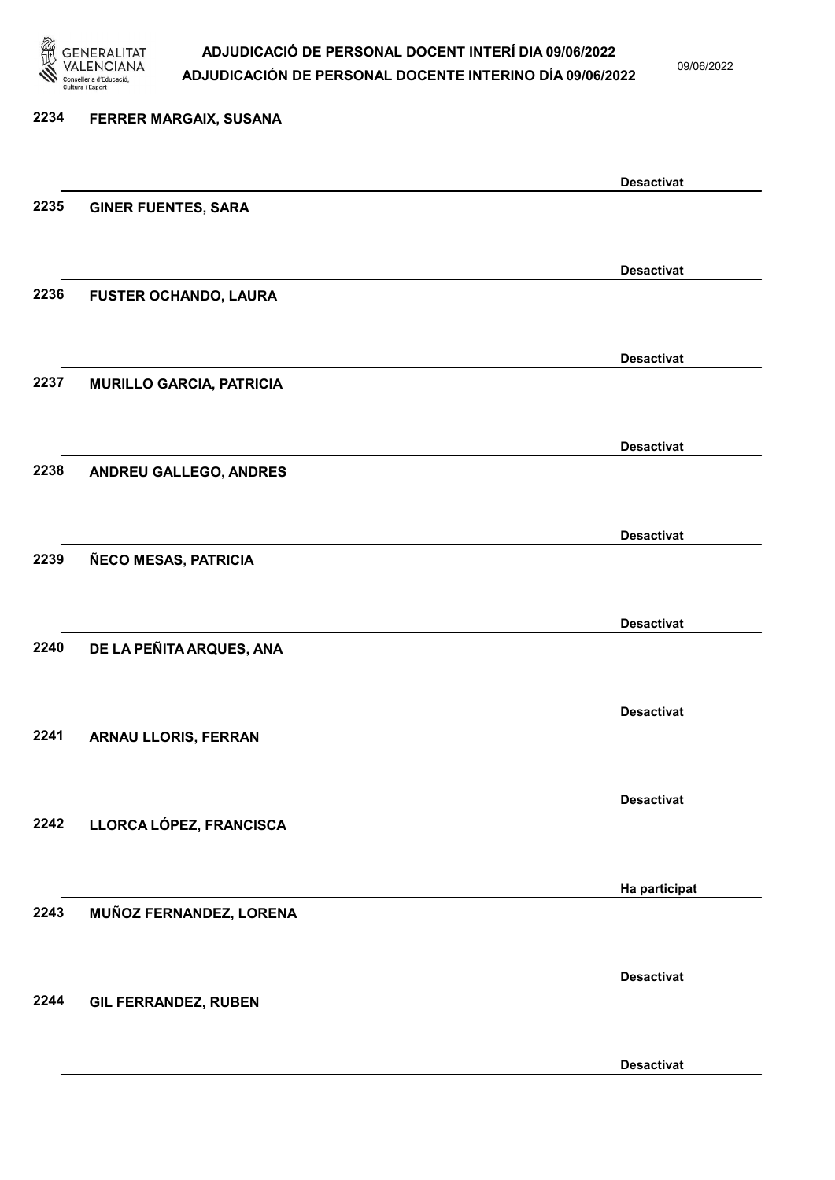

09/06/2022

Desactivat

# 2234 FERRER MARGAIX, SUSANA Desactivat 2235 GINER FUENTES, SARA Desactivat 2236 FUSTER OCHANDO, LAURA Desactivat 2237 MURILLO GARCIA, PATRICIA Desactivat 2238 ANDREU GALLEGO, ANDRES Desactivat 2239 ÑECO MESAS, PATRICIA Desactivat 2240 DE LA PEÑITA ARQUES, ANA Desactivat 2241 ARNAU LLORIS, FERRAN Desactivat 2242 LLORCA LÓPEZ, FRANCISCA Ha participat 2243 MUÑOZ FERNANDEZ, LORENA Desactivat 2244 GIL FERRANDEZ, RUBEN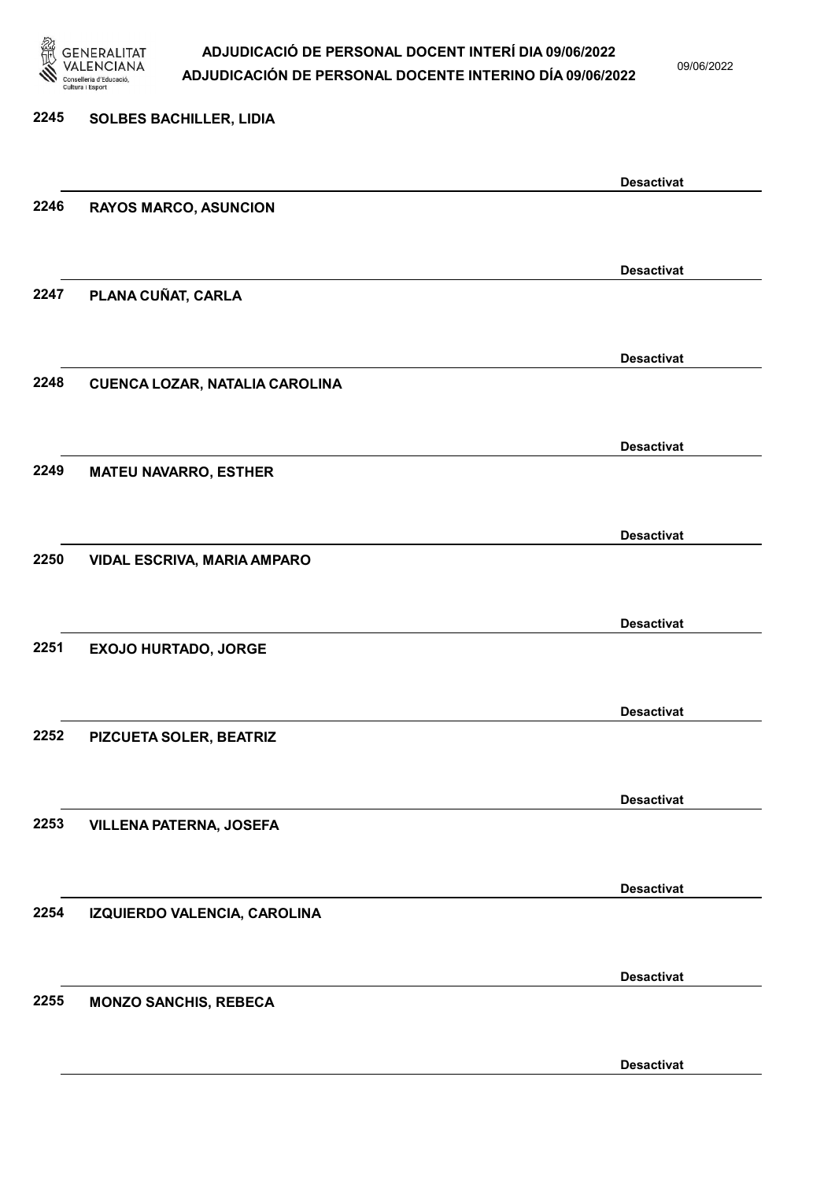

09/06/2022

Desactivat

| 2245 | <b>SOLBES BACHILLER, LIDIA</b>        |                   |
|------|---------------------------------------|-------------------|
|      |                                       | <b>Desactivat</b> |
| 2246 | <b>RAYOS MARCO, ASUNCION</b>          |                   |
|      |                                       | <b>Desactivat</b> |
| 2247 | PLANA CUÑAT, CARLA                    |                   |
|      |                                       | <b>Desactivat</b> |
| 2248 | <b>CUENCA LOZAR, NATALIA CAROLINA</b> |                   |
| 2249 |                                       | <b>Desactivat</b> |
|      | <b>MATEU NAVARRO, ESTHER</b>          |                   |
| 2250 | VIDAL ESCRIVA, MARIA AMPARO           | <b>Desactivat</b> |
|      |                                       |                   |
|      |                                       | <b>Desactivat</b> |
| 2251 | <b>EXOJO HURTADO, JORGE</b>           |                   |
|      |                                       | <b>Desactivat</b> |
| 2252 | PIZCUETA SOLER, BEATRIZ               |                   |
|      |                                       | <b>Desactivat</b> |
| 2253 | <b>VILLENA PATERNA, JOSEFA</b>        |                   |
|      |                                       | <b>Desactivat</b> |
| 2254 | IZQUIERDO VALENCIA, CAROLINA          |                   |
|      |                                       | <b>Desactivat</b> |
| 2255 | <b>MONZO SANCHIS, REBECA</b>          |                   |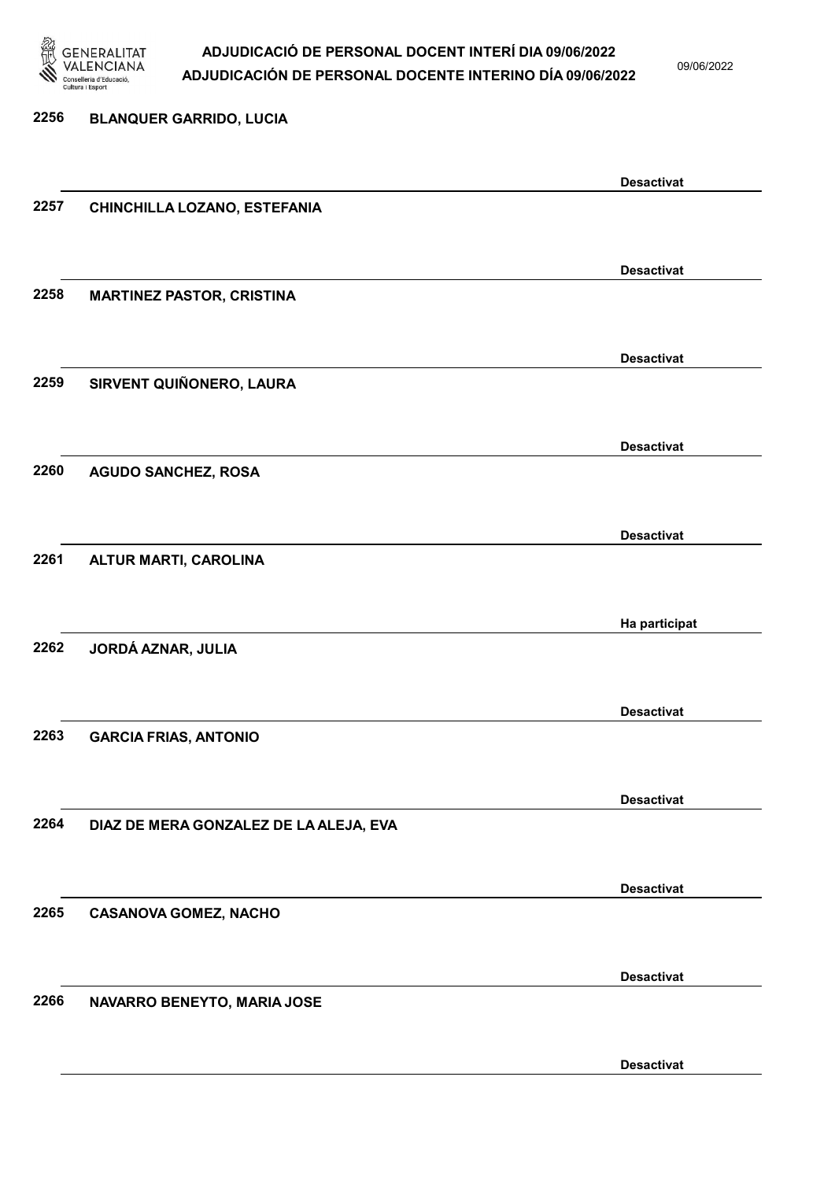

09/06/2022

Desactivat

# 2256 BLANQUER GARRIDO, LUCIA Desactivat 2257 CHINCHILLA LOZANO, ESTEFANIA Desactivat 2258 MARTINEZ PASTOR, CRISTINA Desactivat 2259 SIRVENT QUIÑONERO, LAURA Desactivat 2260 AGUDO SANCHEZ, ROSA Desactivat 2261 ALTUR MARTI, CAROLINA Ha participat 2262 JORDÁ AZNAR, JULIA Desactivat 2263 GARCIA FRIAS, ANTONIO Desactivat 2264 DIAZ DE MERA GONZALEZ DE LA ALEJA, EVA Desactivat 2265 CASANOVA GOMEZ, NACHO Desactivat 2266 NAVARRO BENEYTO, MARIA JOSE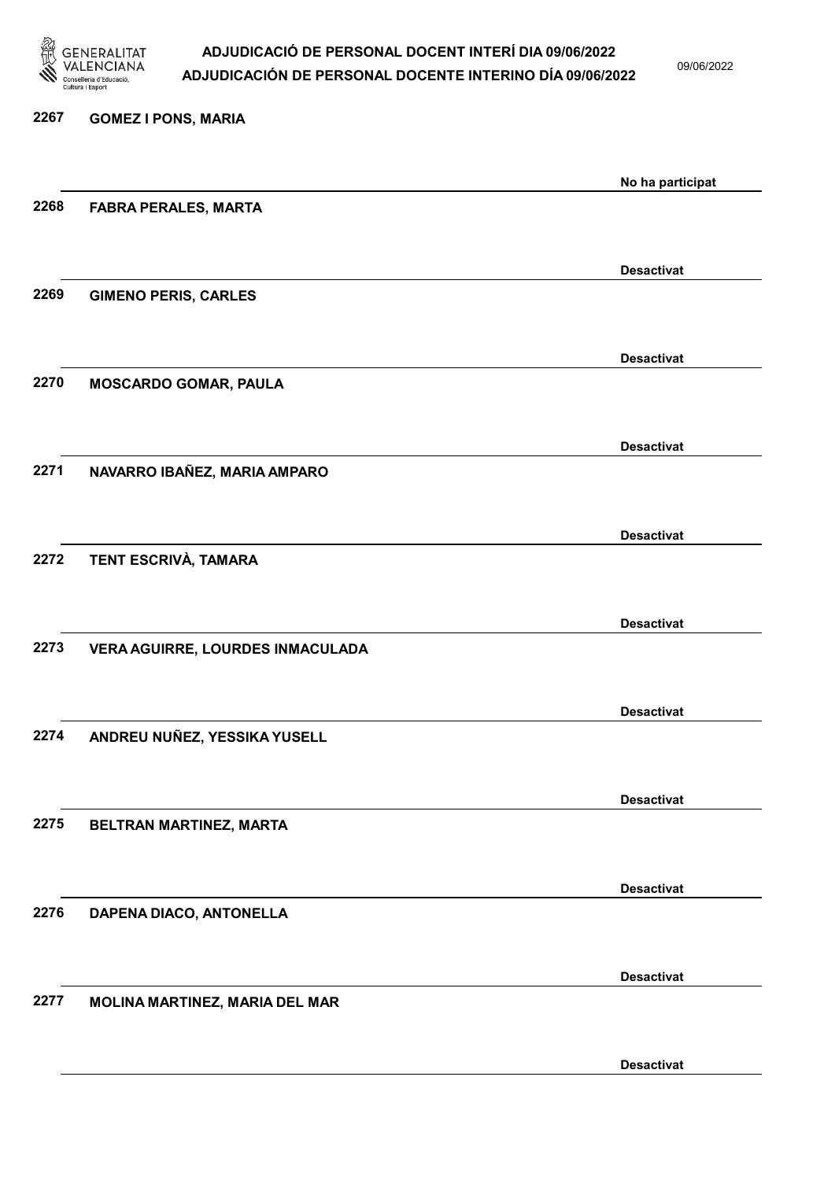

09/06/2022

Desactivat

| 2267 | <b>GOMEZ I PONS, MARIA</b>       |                   |
|------|----------------------------------|-------------------|
|      |                                  | No ha participat  |
| 2268 | <b>FABRA PERALES, MARTA</b>      |                   |
|      |                                  |                   |
| 2269 | <b>GIMENO PERIS, CARLES</b>      | <b>Desactivat</b> |
|      |                                  |                   |
|      |                                  | <b>Desactivat</b> |
| 2270 | <b>MOSCARDO GOMAR, PAULA</b>     |                   |
|      |                                  | <b>Desactivat</b> |
| 2271 | NAVARRO IBAÑEZ, MARIA AMPARO     |                   |
|      |                                  |                   |
| 2272 | TENT ESCRIVÀ, TAMARA             | <b>Desactivat</b> |
|      |                                  |                   |
|      |                                  | <b>Desactivat</b> |
| 2273 | VERA AGUIRRE, LOURDES INMACULADA |                   |
|      |                                  | <b>Desactivat</b> |
| 2274 | ANDREU NUÑEZ, YESSIKA YUSELL     |                   |
|      |                                  |                   |
| 2275 |                                  | <b>Desactivat</b> |
|      | BELTRAN MARTINEZ, MARTA          |                   |
|      |                                  | <b>Desactivat</b> |
| 2276 | DAPENA DIACO, ANTONELLA          |                   |
|      |                                  | <b>Desactivat</b> |
| 2277 | MOLINA MARTINEZ, MARIA DEL MAR   |                   |
|      |                                  |                   |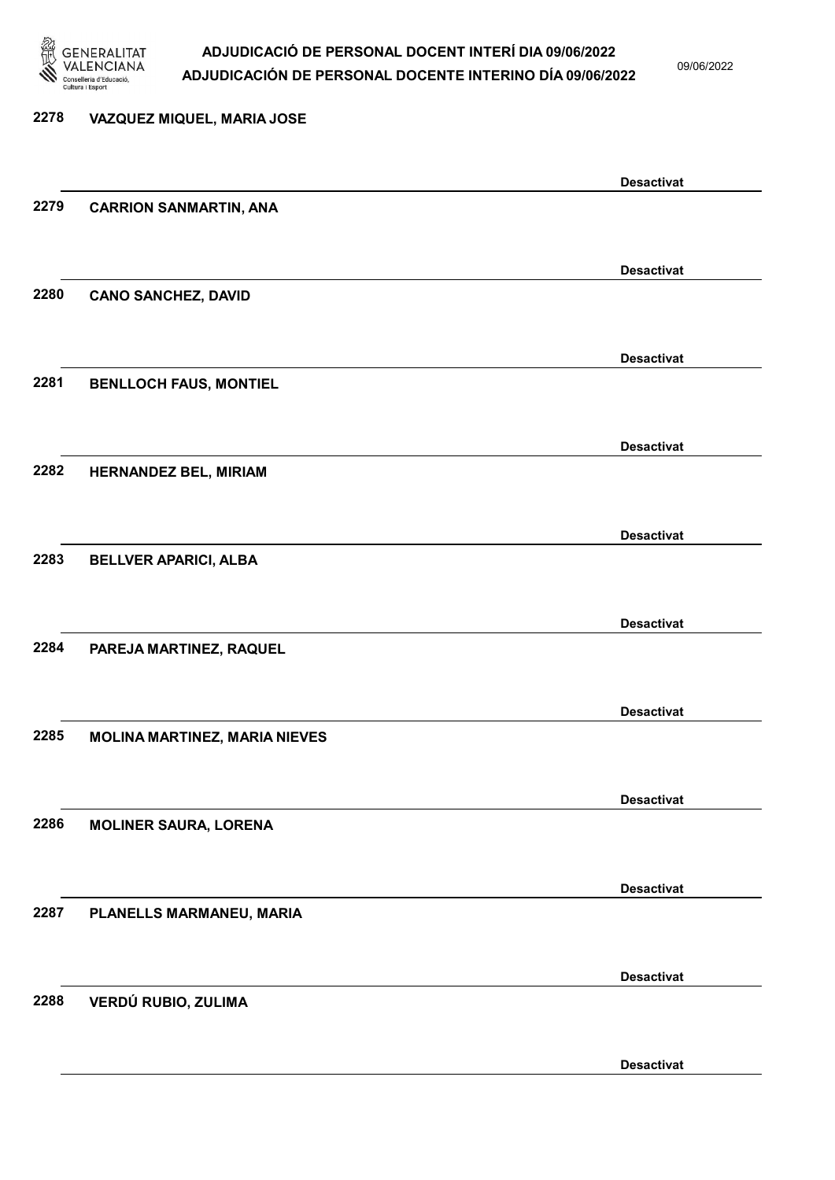

09/06/2022

Desactivat

# 2278 VAZQUEZ MIQUEL, MARIA JOSE Desactivat 2279 CARRION SANMARTIN, ANA Desactivat 2280 CANO SANCHEZ, DAVID Desactivat 2281 BENLLOCH FAUS, MONTIEL Desactivat 2282 HERNANDEZ BEL, MIRIAM Desactivat 2283 BELLVER APARICI, ALBA Desactivat 2284 PAREJA MARTINEZ, RAQUEL Desactivat 2285 MOLINA MARTINEZ, MARIA NIEVES Desactivat 2286 MOLINER SAURA, LORENA Desactivat 2287 PLANELLS MARMANEU, MARIA Desactivat 2288 VERDÚ RUBIO, ZULIMA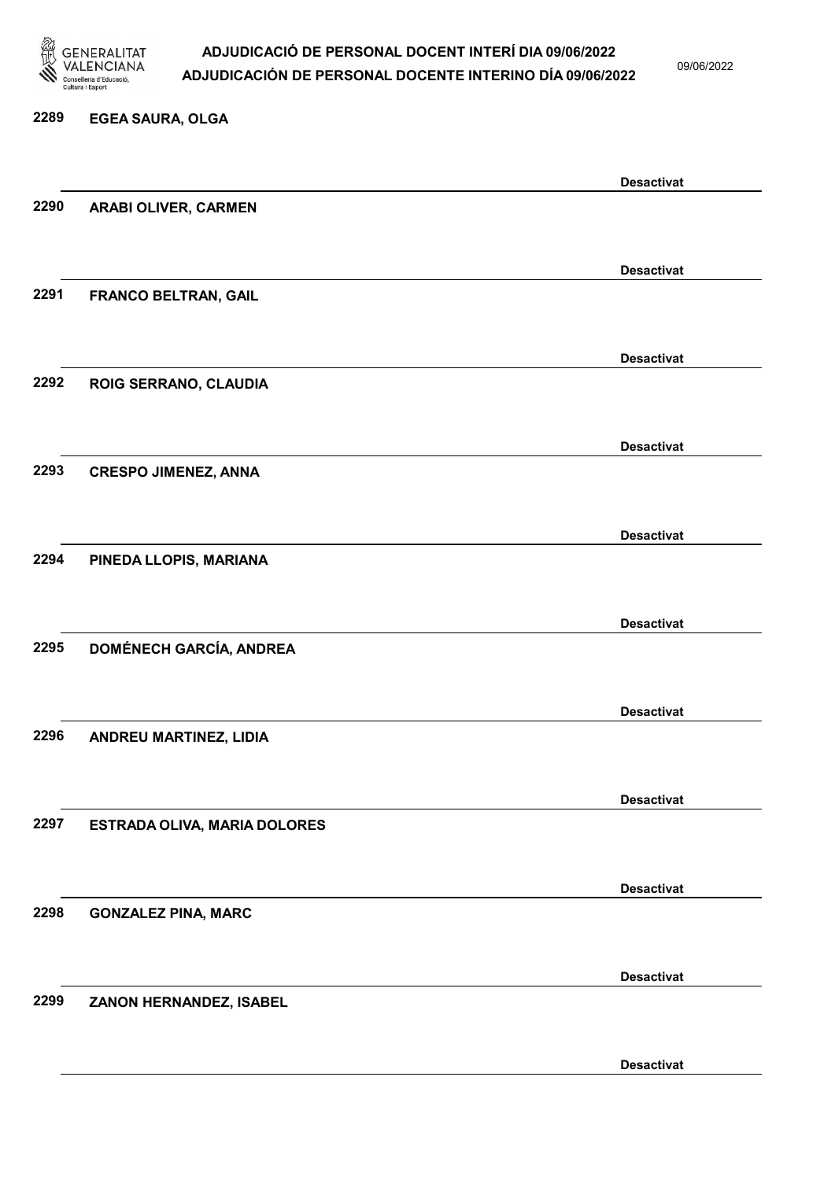

09/06/2022

#### 2289 EGEA SAURA, OLGA

|      |                                | <b>Desactivat</b> |
|------|--------------------------------|-------------------|
| 2290 | ARABI OLIVER, CARMEN           |                   |
|      |                                |                   |
|      |                                | <b>Desactivat</b> |
| 2291 | FRANCO BELTRAN, GAIL           |                   |
|      |                                |                   |
|      |                                |                   |
|      |                                | <b>Desactivat</b> |
| 2292 | ROIG SERRANO, CLAUDIA          |                   |
|      |                                |                   |
|      |                                | <b>Desactivat</b> |
| 2293 | <b>CRESPO JIMENEZ, ANNA</b>    |                   |
|      |                                |                   |
|      |                                | <b>Desactivat</b> |
| 2294 | PINEDA LLOPIS, MARIANA         |                   |
|      |                                |                   |
|      |                                |                   |
| 2295 |                                | <b>Desactivat</b> |
|      | <b>DOMÉNECH GARCÍA, ANDREA</b> |                   |
|      |                                |                   |
|      |                                | <b>Desactivat</b> |
| 2296 | ANDREU MARTINEZ, LIDIA         |                   |
|      |                                |                   |
|      |                                | <b>Desactivat</b> |
| 2297 | ESTRADA OLIVA, MARIA DOLORES   |                   |
|      |                                |                   |
|      |                                |                   |
| 2298 |                                | <b>Desactivat</b> |
|      | <b>GONZALEZ PINA, MARC</b>     |                   |
|      |                                |                   |
|      |                                | <b>Desactivat</b> |
| 2299 | ZANON HERNANDEZ, ISABEL        |                   |
|      |                                |                   |
|      |                                | <b>Desactivat</b> |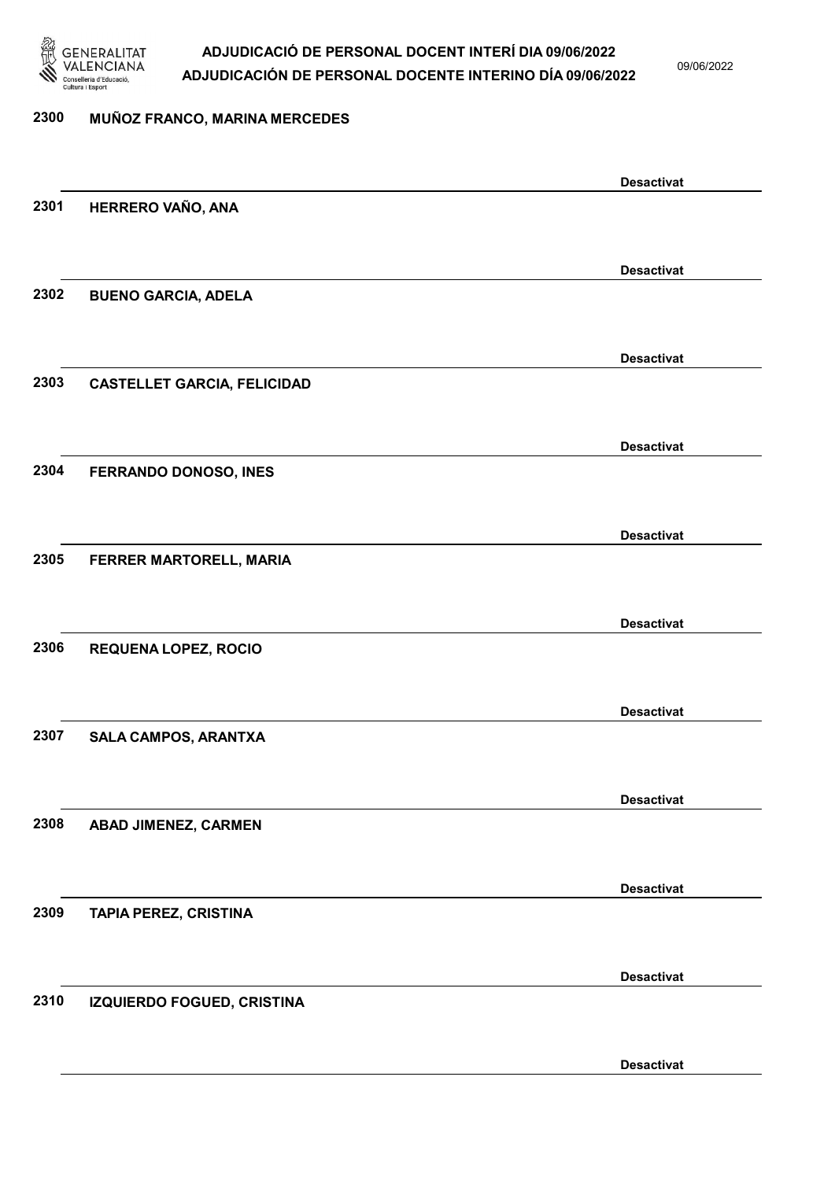

09/06/2022

#### 2300 MUÑOZ FRANCO, MARINA MERCEDES

|      |                                    | <b>Desactivat</b> |
|------|------------------------------------|-------------------|
| 2301 | HERRERO VAÑO, ANA                  |                   |
|      |                                    |                   |
|      |                                    | <b>Desactivat</b> |
| 2302 | <b>BUENO GARCIA, ADELA</b>         |                   |
|      |                                    |                   |
|      |                                    | <b>Desactivat</b> |
| 2303 | <b>CASTELLET GARCIA, FELICIDAD</b> |                   |
|      |                                    |                   |
|      |                                    | <b>Desactivat</b> |
| 2304 | FERRANDO DONOSO, INES              |                   |
|      |                                    |                   |
|      |                                    | <b>Desactivat</b> |
| 2305 | FERRER MARTORELL, MARIA            |                   |
|      |                                    |                   |
|      |                                    | <b>Desactivat</b> |
| 2306 | <b>REQUENA LOPEZ, ROCIO</b>        |                   |
|      |                                    |                   |
|      |                                    | <b>Desactivat</b> |
| 2307 | SALA CAMPOS, ARANTXA               |                   |
|      |                                    |                   |
|      |                                    | <b>Desactivat</b> |
| 2308 | ABAD JIMENEZ, CARMEN               |                   |
|      |                                    |                   |
|      |                                    | <b>Desactivat</b> |
| 2309 | TAPIA PEREZ, CRISTINA              |                   |
|      |                                    |                   |
|      |                                    | <b>Desactivat</b> |
| 2310 | IZQUIERDO FOGUED, CRISTINA         |                   |
|      |                                    |                   |
|      |                                    | <b>Desactivat</b> |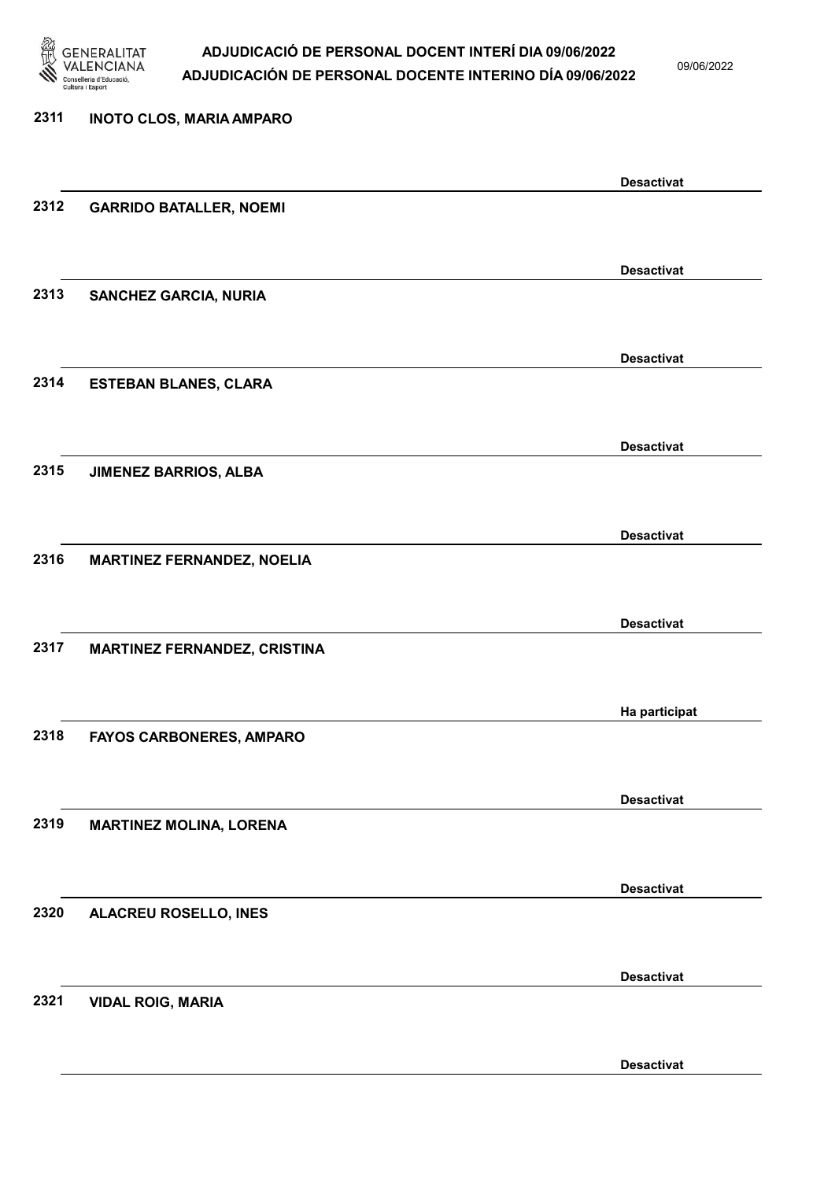

09/06/2022

| 2311 | <b>INOTO CLOS, MARIA AMPARO</b>     |                   |
|------|-------------------------------------|-------------------|
|      |                                     | <b>Desactivat</b> |
| 2312 | <b>GARRIDO BATALLER, NOEMI</b>      |                   |
|      |                                     | <b>Desactivat</b> |
| 2313 | <b>SANCHEZ GARCIA, NURIA</b>        |                   |
|      |                                     | <b>Desactivat</b> |
| 2314 | <b>ESTEBAN BLANES, CLARA</b>        |                   |
|      |                                     | <b>Desactivat</b> |
| 2315 | <b>JIMENEZ BARRIOS, ALBA</b>        |                   |
|      |                                     | <b>Desactivat</b> |
| 2316 | <b>MARTINEZ FERNANDEZ, NOELIA</b>   |                   |
|      |                                     | <b>Desactivat</b> |
| 2317 | <b>MARTINEZ FERNANDEZ, CRISTINA</b> |                   |
|      |                                     | Ha participat     |
| 2318 | <b>FAYOS CARBONERES, AMPARO</b>     |                   |
|      |                                     | <b>Desactivat</b> |
| 2319 | <b>MARTINEZ MOLINA, LORENA</b>      |                   |
|      |                                     | <b>Desactivat</b> |
| 2320 | ALACREU ROSELLO, INES               |                   |
| 2321 | <b>VIDAL ROIG, MARIA</b>            | <b>Desactivat</b> |
|      |                                     |                   |

Desactivat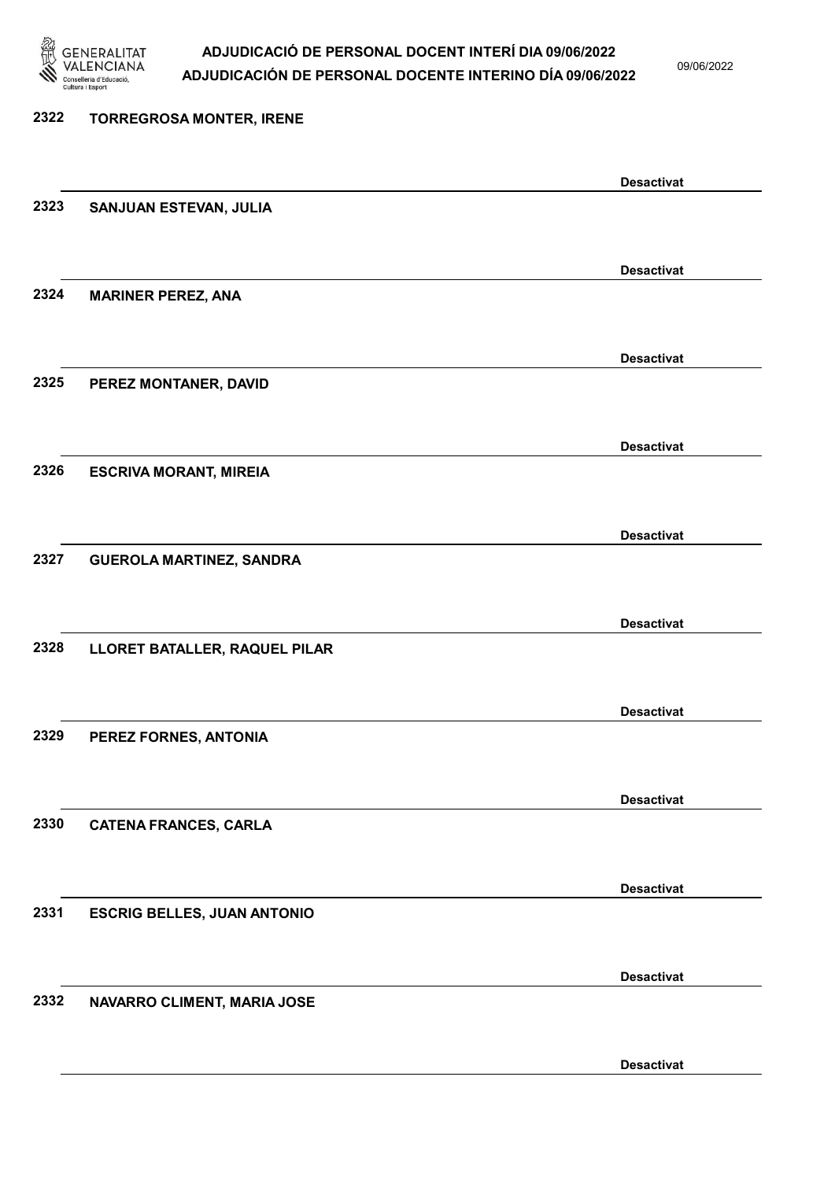

09/06/2022

| 2322 | <b>TORREGROSA MONTER, IRENE</b>    |                   |
|------|------------------------------------|-------------------|
|      |                                    | <b>Desactivat</b> |
| 2323 | SANJUAN ESTEVAN, JULIA             |                   |
|      |                                    | <b>Desactivat</b> |
| 2324 | <b>MARINER PEREZ, ANA</b>          |                   |
|      |                                    | <b>Desactivat</b> |
| 2325 | PEREZ MONTANER, DAVID              |                   |
|      |                                    | <b>Desactivat</b> |
| 2326 | <b>ESCRIVA MORANT, MIREIA</b>      |                   |
|      |                                    | <b>Desactivat</b> |
| 2327 | <b>GUEROLA MARTINEZ, SANDRA</b>    |                   |
| 2328 |                                    | <b>Desactivat</b> |
|      | LLORET BATALLER, RAQUEL PILAR      |                   |
| 2329 | PEREZ FORNES, ANTONIA              | <b>Desactivat</b> |
|      |                                    |                   |
| 2330 | <b>CATENA FRANCES, CARLA</b>       | <b>Desactivat</b> |
|      |                                    |                   |
| 2331 | <b>ESCRIG BELLES, JUAN ANTONIO</b> | <b>Desactivat</b> |
|      |                                    |                   |
| 2332 | NAVARRO CLIMENT, MARIA JOSE        | <b>Desactivat</b> |
|      |                                    |                   |
|      |                                    | <b>Desactivat</b> |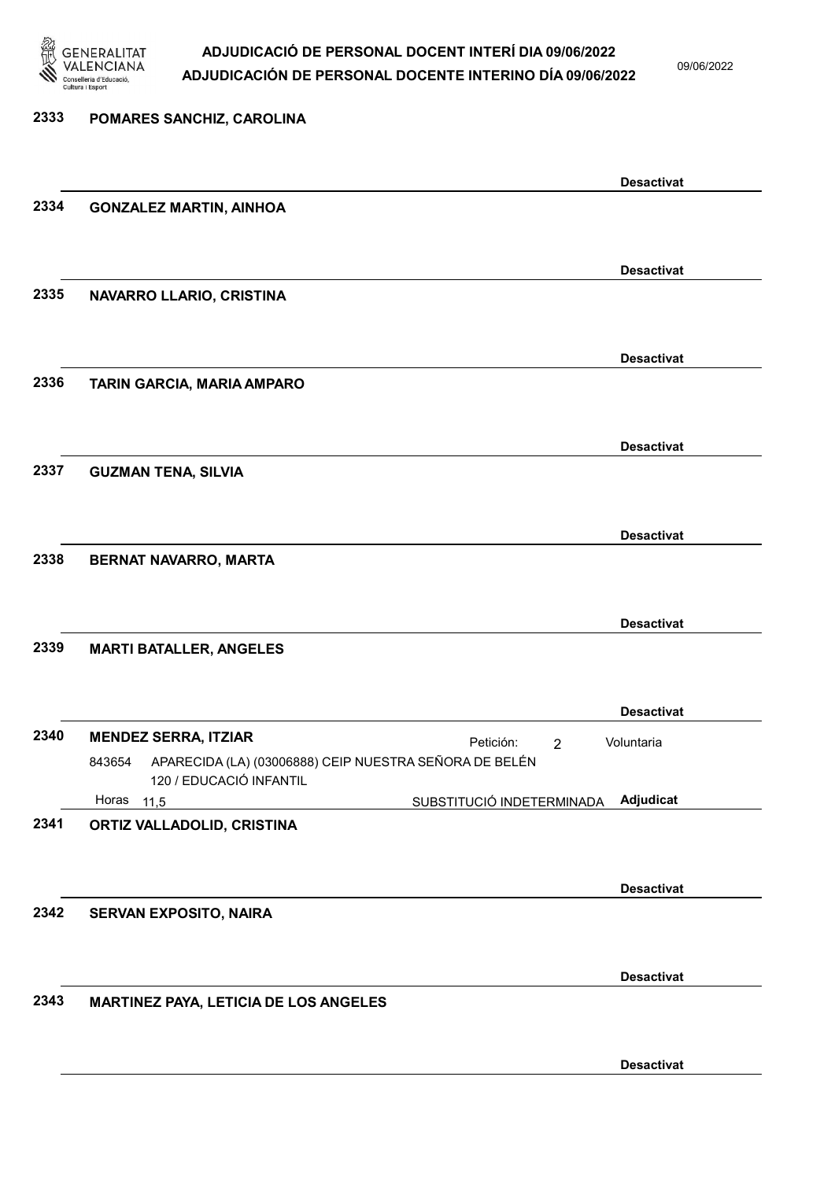

09/06/2022

# 2333 POMARES SANCHIZ, CAROLINA Desactivat 2334 GONZALEZ MARTIN, AINHOA Desactivat 2335 NAVARRO LLARIO, CRISTINA Desactivat 2336 TARIN GARCIA, MARIA AMPARO Desactivat 2337 GUZMAN TENA, SILVIA Desactivat 2338 BERNAT NAVARRO, MARTA Desactivat 2339 MARTI BATALLER, ANGELES Desactivat 2340 MENDEZ SERRA, ITZIAR **Petición:** 2 SUBSTITUCIÓ INDETERMINADA APARECIDA (LA) (03006888) CEIP NUESTRA SEÑORA DE BELÉN 120 / EDUCACIÓ INFANTIL Adjudicat Voluntaria 843654 Horas 11,5 2341 ORTIZ VALLADOLID, CRISTINA Desactivat 2342 SERVAN EXPOSITO, NAIRA Desactivat 2343 MARTINEZ PAYA, LETICIA DE LOS ANGELES Desactivat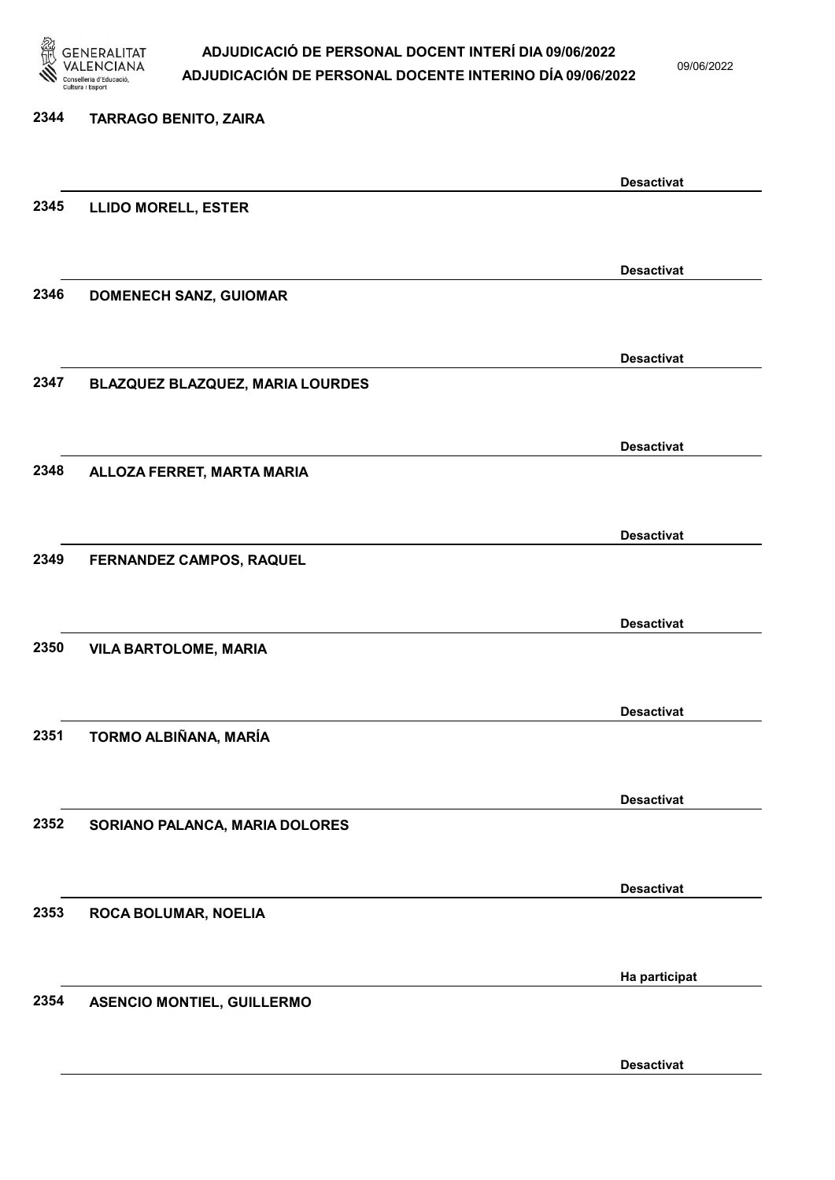

09/06/2022

Desactivat

# 2344 TARRAGO BENITO, ZAIRA Desactivat 2345 LLIDO MORELL, ESTER Desactivat 2346 DOMENECH SANZ, GUIOMAR Desactivat 2347 BLAZQUEZ BLAZQUEZ, MARIA LOURDES Desactivat 2348 ALLOZA FERRET, MARTA MARIA Desactivat 2349 FERNANDEZ CAMPOS, RAQUEL Desactivat 2350 VILA BARTOLOME, MARIA Desactivat 2351 TORMO ALBIÑANA, MARÍA Desactivat 2352 SORIANO PALANCA, MARIA DOLORES Desactivat 2353 ROCA BOLUMAR, NOELIA Ha participat 2354 ASENCIO MONTIEL, GUILLERMO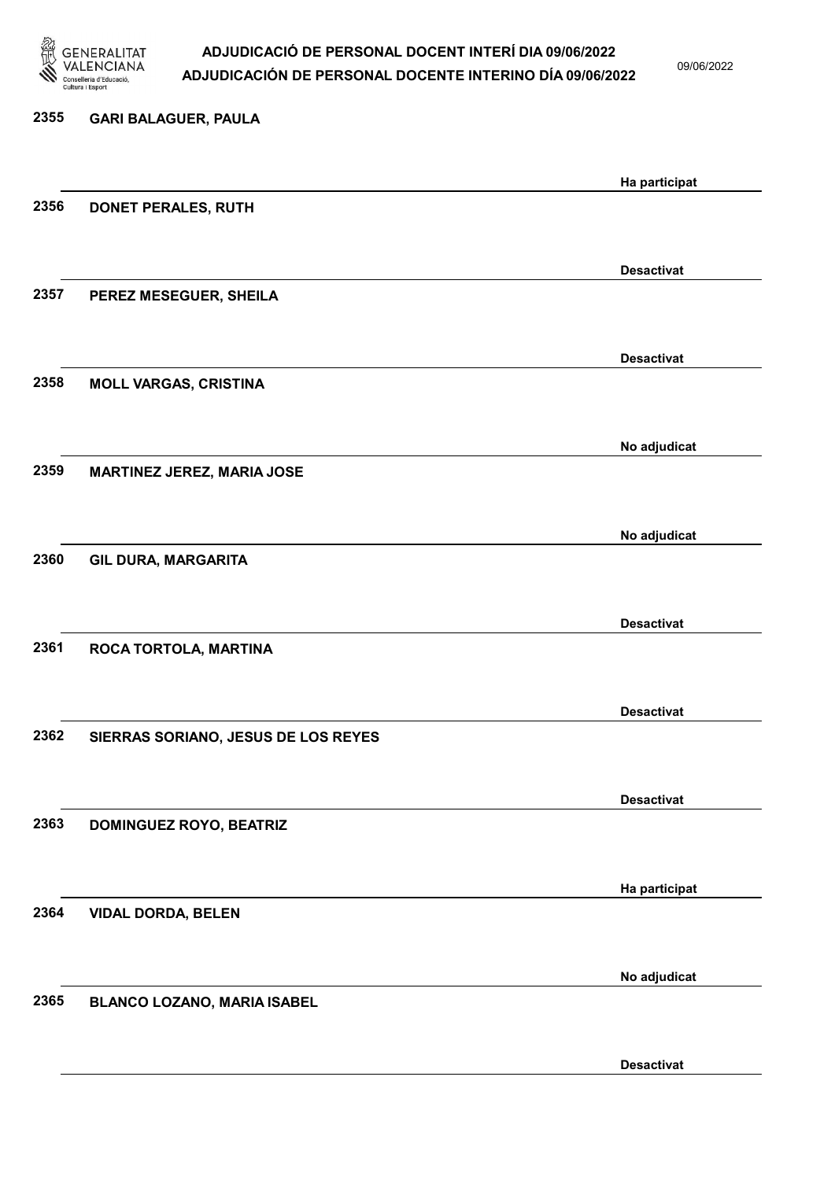

09/06/2022

| 2355 | <b>GARI BALAGUER, PAULA</b>         |                   |
|------|-------------------------------------|-------------------|
|      |                                     | Ha participat     |
| 2356 | DONET PERALES, RUTH                 |                   |
|      |                                     | <b>Desactivat</b> |
| 2357 | PEREZ MESEGUER, SHEILA              |                   |
|      |                                     | <b>Desactivat</b> |
| 2358 | <b>MOLL VARGAS, CRISTINA</b>        |                   |
|      |                                     | No adjudicat      |
| 2359 | <b>MARTINEZ JEREZ, MARIA JOSE</b>   |                   |
|      |                                     |                   |
| 2360 |                                     | No adjudicat      |
|      | GIL DURA, MARGARITA                 |                   |
|      |                                     | <b>Desactivat</b> |
| 2361 | ROCA TORTOLA, MARTINA               |                   |
|      |                                     |                   |
|      |                                     | <b>Desactivat</b> |
| 2362 | SIERRAS SORIANO, JESUS DE LOS REYES |                   |
|      |                                     | <b>Desactivat</b> |
| 2363 | <b>DOMINGUEZ ROYO, BEATRIZ</b>      |                   |
|      |                                     |                   |
|      |                                     | Ha participat     |
| 2364 | <b>VIDAL DORDA, BELEN</b>           |                   |
|      |                                     | No adjudicat      |
| 2365 | <b>BLANCO LOZANO, MARIA ISABEL</b>  |                   |
|      |                                     |                   |

Desactivat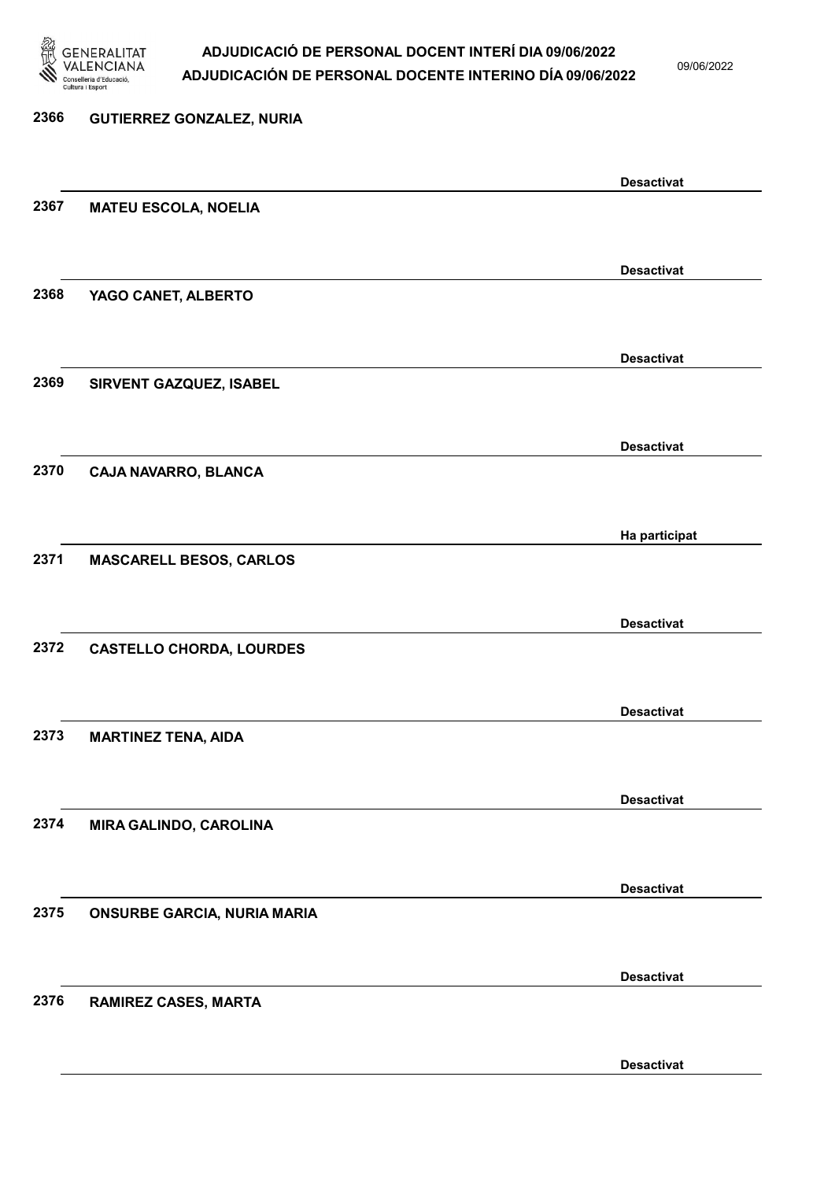

09/06/2022

Desactivat

# 2366 GUTIERREZ GONZALEZ, NURIA Desactivat 2367 MATEU ESCOLA, NOELIA Desactivat 2368 YAGO CANET, ALBERTO Desactivat 2369 SIRVENT GAZQUEZ, ISABEL Desactivat 2370 CAJA NAVARRO, BLANCA Ha participat 2371 MASCARELL BESOS, CARLOS Desactivat 2372 CASTELLO CHORDA, LOURDES Desactivat 2373 MARTINEZ TENA, AIDA Desactivat 2374 MIRA GALINDO, CAROLINA Desactivat 2375 ONSURBE GARCIA, NURIA MARIA Desactivat 2376 RAMIREZ CASES, MARTA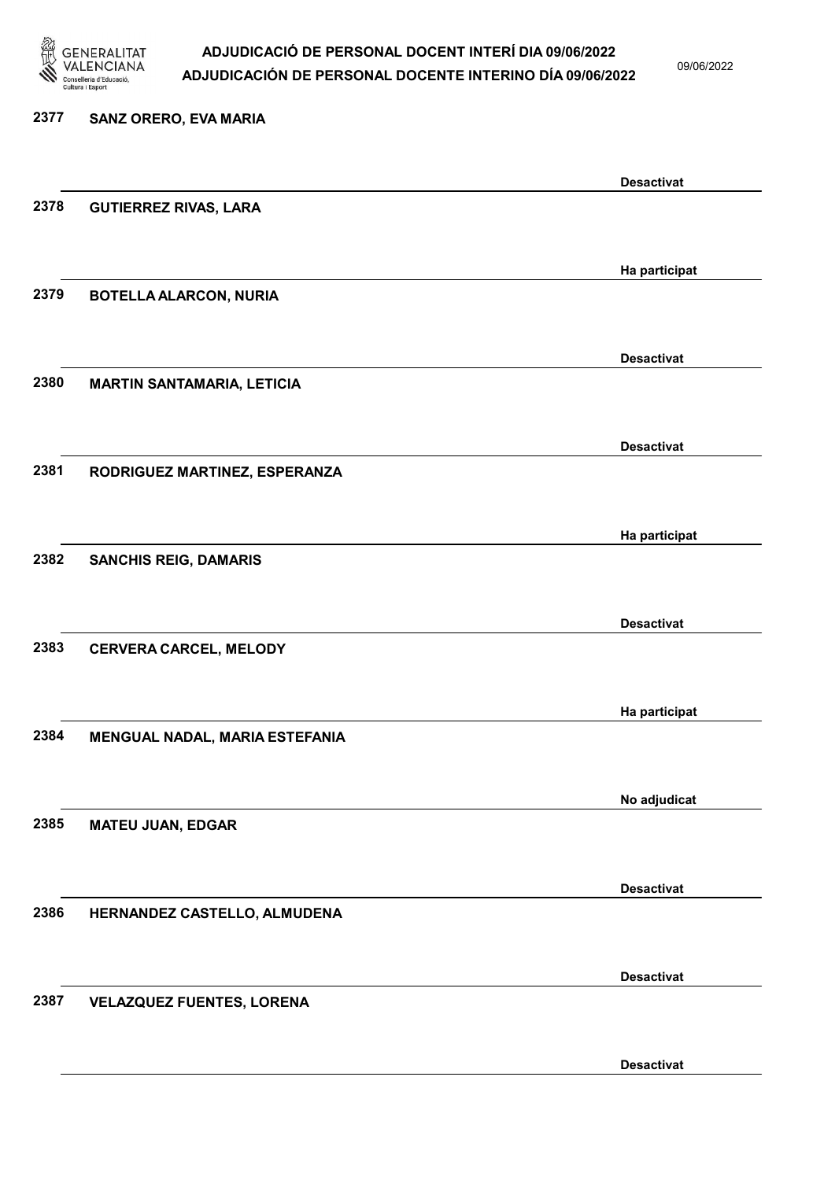

09/06/2022

Desactivat

# 2377 SANZ ORERO, EVA MARIA Desactivat 2378 GUTIERREZ RIVAS, LARA Ha participat 2379 BOTELLA ALARCON, NURIA Desactivat 2380 MARTIN SANTAMARIA, LETICIA Desactivat 2381 RODRIGUEZ MARTINEZ, ESPERANZA Ha participat 2382 SANCHIS REIG, DAMARIS Desactivat 2383 CERVERA CARCEL, MELODY Ha participat 2384 MENGUAL NADAL, MARIA ESTEFANIA No adjudicat 2385 MATEU JUAN, EDGAR Desactivat 2386 HERNANDEZ CASTELLO, ALMUDENA Desactivat 2387 VELAZQUEZ FUENTES, LORENA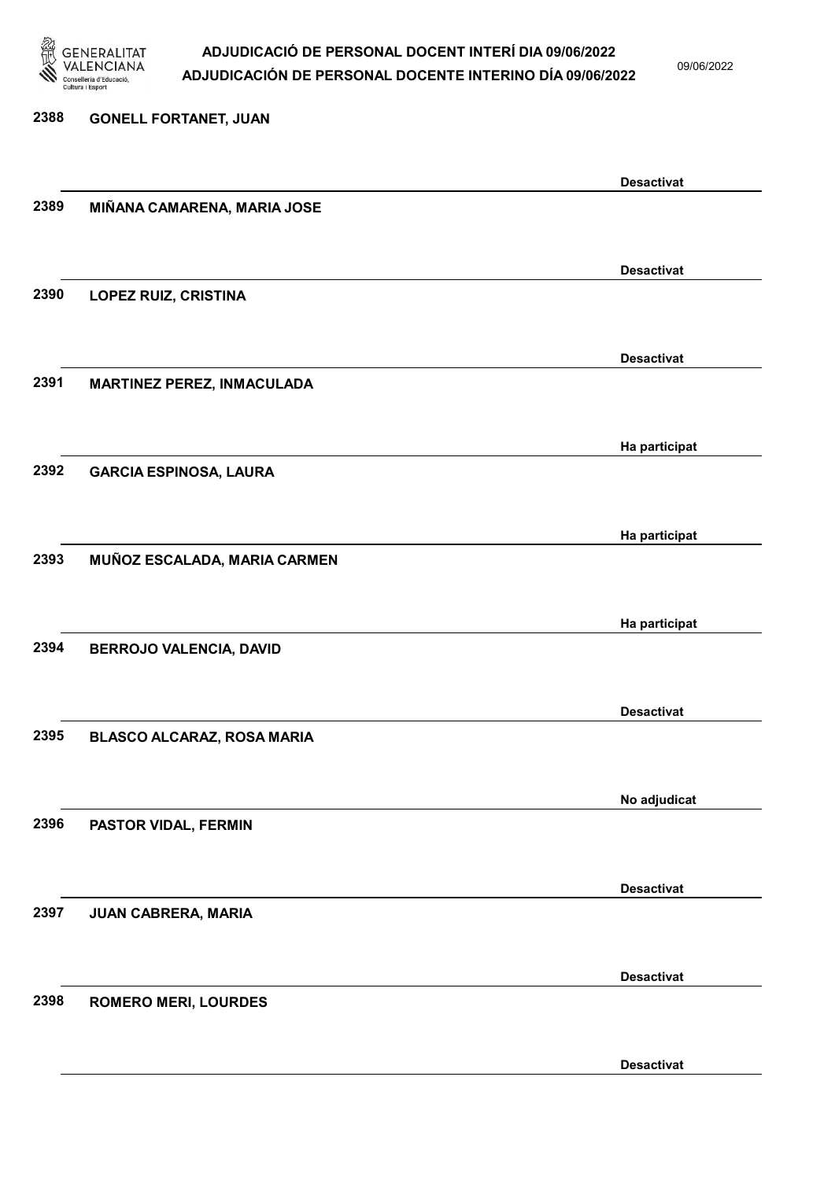

09/06/2022

2388 GONELL FORTANET, JUAN Desactivat 2389 MIÑANA CAMARENA, MARIA JOSE Desactivat 2390 LOPEZ RUIZ, CRISTINA Desactivat 2391 MARTINEZ PEREZ, INMACULADA Ha participat 2392 GARCIA ESPINOSA, LAURA Ha participat 2393 MUÑOZ ESCALADA, MARIA CARMEN Ha participat 2394 BERROJO VALENCIA, DAVID Desactivat 2395 BLASCO ALCARAZ, ROSA MARIA No adjudicat 2396 PASTOR VIDAL, FERMIN Desactivat 2397 JUAN CABRERA, MARIA Desactivat 2398 ROMERO MERI, LOURDES

Desactivat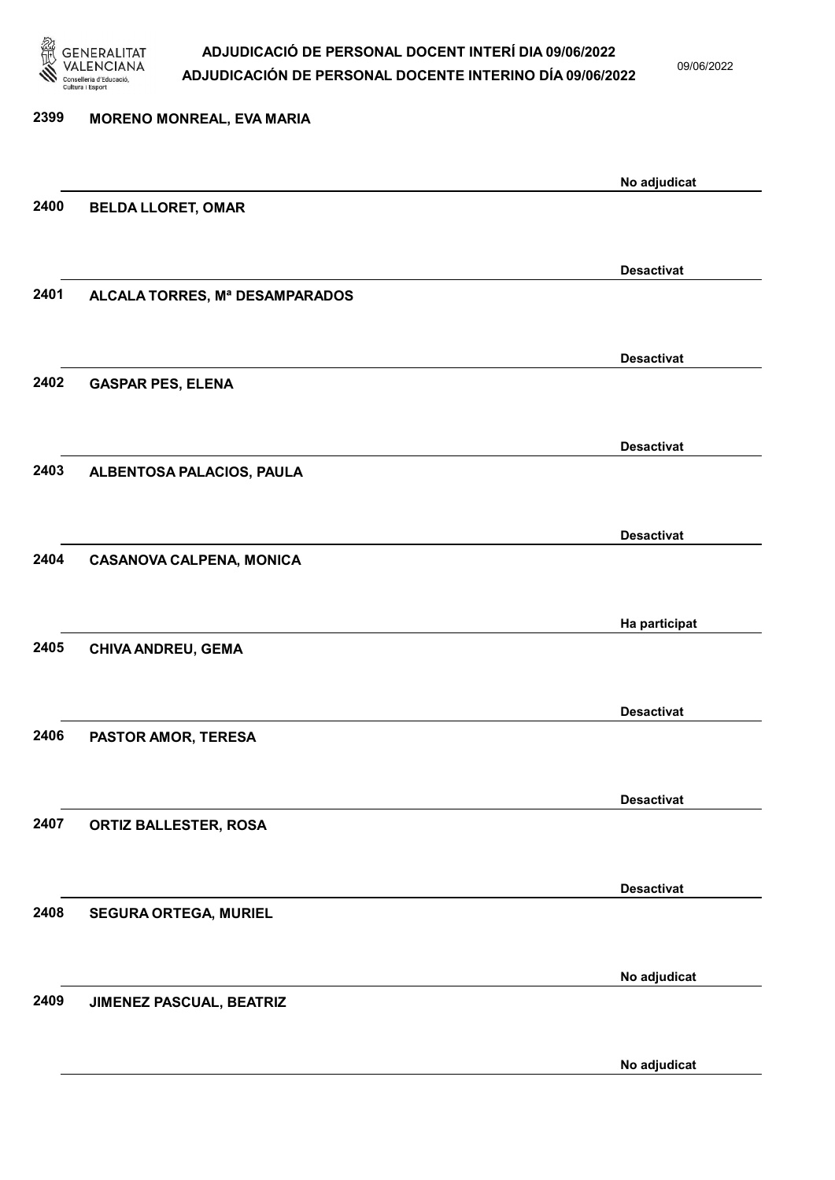

H)

09/06/2022

|      |                                 | No adjudicat      |
|------|---------------------------------|-------------------|
| 2400 | <b>BELDA LLORET, OMAR</b>       |                   |
|      |                                 |                   |
|      |                                 | <b>Desactivat</b> |
| 2401 | ALCALA TORRES, Mª DESAMPARADOS  |                   |
|      |                                 |                   |
|      |                                 |                   |
|      |                                 | <b>Desactivat</b> |
| 2402 | <b>GASPAR PES, ELENA</b>        |                   |
|      |                                 |                   |
|      |                                 | <b>Desactivat</b> |
| 2403 | ALBENTOSA PALACIOS, PAULA       |                   |
|      |                                 |                   |
|      |                                 |                   |
| 2404 |                                 | <b>Desactivat</b> |
|      | <b>CASANOVA CALPENA, MONICA</b> |                   |
|      |                                 |                   |
|      |                                 | Ha participat     |
| 2405 | CHIVA ANDREU, GEMA              |                   |
|      |                                 |                   |
|      |                                 | <b>Desactivat</b> |
| 2406 | PASTOR AMOR, TERESA             |                   |
|      |                                 |                   |
|      |                                 | <b>Desactivat</b> |
| 2407 | ORTIZ BALLESTER, ROSA           |                   |
|      |                                 |                   |
|      |                                 |                   |
|      |                                 | <b>Desactivat</b> |
| 2408 | <b>SEGURA ORTEGA, MURIEL</b>    |                   |
|      |                                 |                   |
|      |                                 | No adjudicat      |
| 2409 | JIMENEZ PASCUAL, BEATRIZ        |                   |
|      |                                 |                   |
|      |                                 |                   |
|      |                                 | No adjudicat      |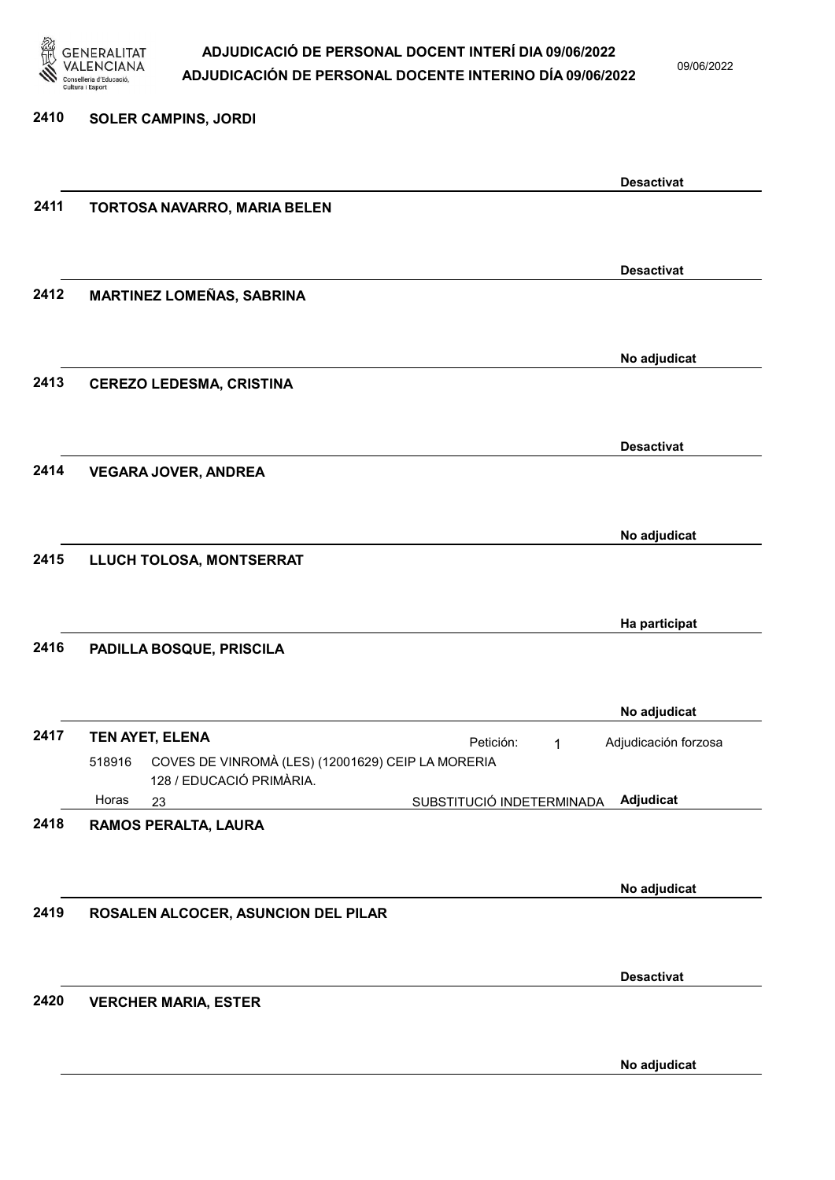

09/06/2022

| 2410 | <b>SOLER CAMPINS, JORDI</b>                                                             |   |                      |
|------|-----------------------------------------------------------------------------------------|---|----------------------|
|      |                                                                                         |   | <b>Desactivat</b>    |
| 2411 | TORTOSA NAVARRO, MARIA BELEN                                                            |   |                      |
|      |                                                                                         |   |                      |
|      |                                                                                         |   | <b>Desactivat</b>    |
| 2412 | <b>MARTINEZ LOMEÑAS, SABRINA</b>                                                        |   |                      |
|      |                                                                                         |   | No adjudicat         |
| 2413 | <b>CEREZO LEDESMA, CRISTINA</b>                                                         |   |                      |
|      |                                                                                         |   |                      |
| 2414 |                                                                                         |   | <b>Desactivat</b>    |
|      | <b>VEGARA JOVER, ANDREA</b>                                                             |   |                      |
|      |                                                                                         |   | No adjudicat         |
| 2415 | LLUCH TOLOSA, MONTSERRAT                                                                |   |                      |
|      |                                                                                         |   |                      |
| 2416 | PADILLA BOSQUE, PRISCILA                                                                |   | Ha participat        |
|      |                                                                                         |   |                      |
|      |                                                                                         |   | No adjudicat         |
| 2417 | TEN AYET, ELENA<br>Petición:                                                            | 1 | Adjudicación forzosa |
|      | COVES DE VINROMÀ (LES) (12001629) CEIP LA MORERIA<br>518916<br>128 / EDUCACIÓ PRIMÀRIA. |   |                      |
| 2418 | Horas<br>SUBSTITUCIÓ INDETERMINADA<br>23<br>RAMOS PERALTA, LAURA                        |   | Adjudicat            |
|      |                                                                                         |   |                      |
|      |                                                                                         |   | No adjudicat         |
| 2419 | ROSALEN ALCOCER, ASUNCION DEL PILAR                                                     |   |                      |
|      |                                                                                         |   |                      |
| 2420 | <b>VERCHER MARIA, ESTER</b>                                                             |   | <b>Desactivat</b>    |
|      |                                                                                         |   |                      |
|      |                                                                                         |   | No adjudicat         |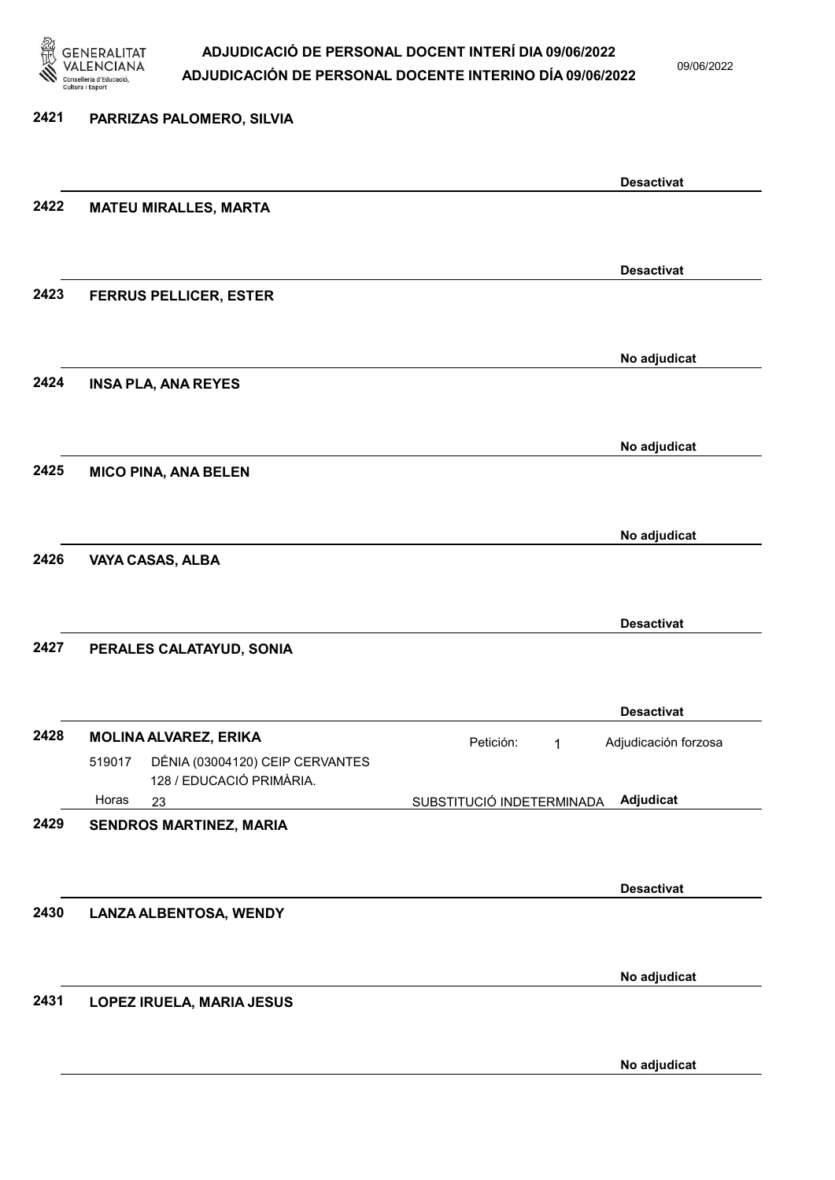

09/06/2022

### 2421 PARRIZAS PALOMERO, SILVIA Desactivat 2422 MATEU MIRALLES, MARTA Desactivat 2423 FERRUS PELLICER, ESTER No adjudicat 2424 INSA PLA, ANA REYES No adjudicat 2425 MICO PINA, ANA BELEN No adjudicat 2426 VAYA CASAS, ALBA Desactivat 2427 PERALES CALATAYUD, SONIA Desactivat 2428 MOLINA ALVAREZ, ERIKA **Petición:** 1 23 SUBSTITUCIÓ INDETERMINADA DÉNIA (03004120) CEIP CERVANTES 128 / EDUCACIÓ PRIMÀRIA. Adjudicat Adjudicación forzosa 519017 Horas 2429 SENDROS MARTINEZ, MARIA Desactivat 2430 LANZA ALBENTOSA, WENDY No adjudicat 2431 LOPEZ IRUELA, MARIA JESUS No adjudicat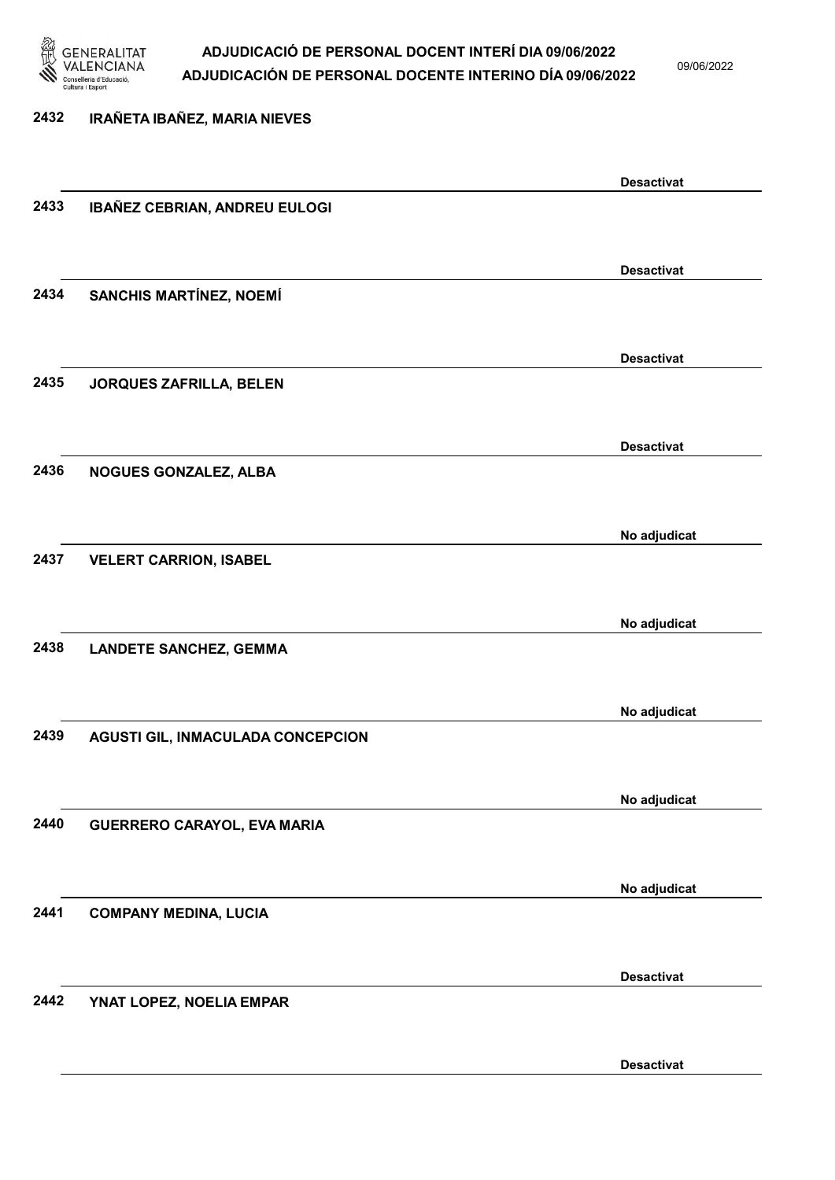

09/06/2022

### 2432 IRAÑETA IBAÑEZ, MARIA NIEVES Desactivat 2433 IBAÑEZ CEBRIAN, ANDREU EULOGI Desactivat 2434 SANCHIS MARTÍNEZ, NOEMÍ Desactivat 2435 JORQUES ZAFRILLA, BELEN Desactivat 2436 NOGUES GONZALEZ, ALBA No adjudicat 2437 VELERT CARRION, ISABEL No adjudicat 2438 LANDETE SANCHEZ, GEMMA No adjudicat 2439 AGUSTI GIL, INMACULADA CONCEPCION No adjudicat 2440 GUERRERO CARAYOL, EVA MARIA No adjudicat 2441 COMPANY MEDINA, LUCIA Desactivat 2442 YNAT LOPEZ, NOELIA EMPAR

Desactivat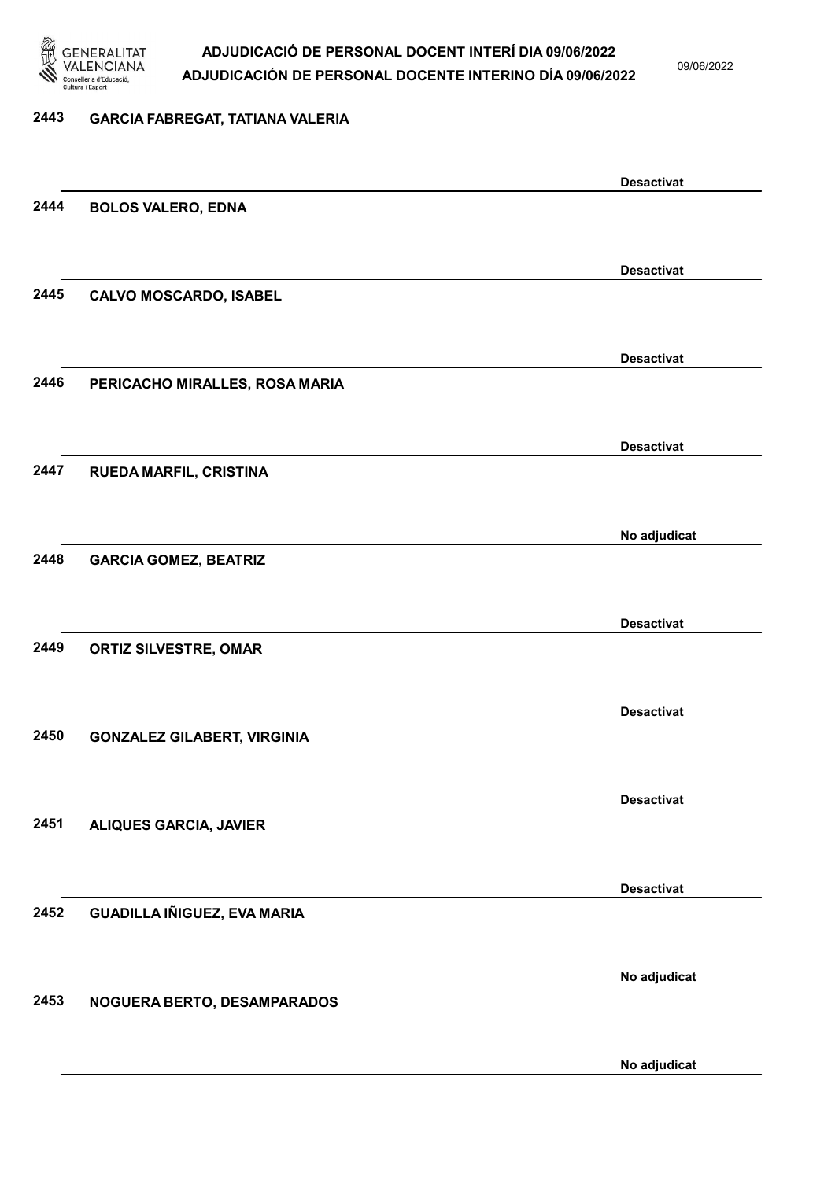

09/06/2022

#### 2443 GARCIA FABREGAT, TATIANA VALERIA

Desactivat 2444 BOLOS VALERO, EDNA Desactivat 2445 CALVO MOSCARDO, ISABEL Desactivat 2446 PERICACHO MIRALLES, ROSA MARIA Desactivat 2447 RUEDA MARFIL, CRISTINA No adjudicat 2448 GARCIA GOMEZ, BEATRIZ Desactivat 2449 ORTIZ SILVESTRE, OMAR Desactivat 2450 GONZALEZ GILABERT, VIRGINIA Desactivat 2451 ALIQUES GARCIA, JAVIER Desactivat 2452 GUADILLA IÑIGUEZ, EVA MARIA No adjudicat 2453 NOGUERA BERTO, DESAMPARADOS No adjudicat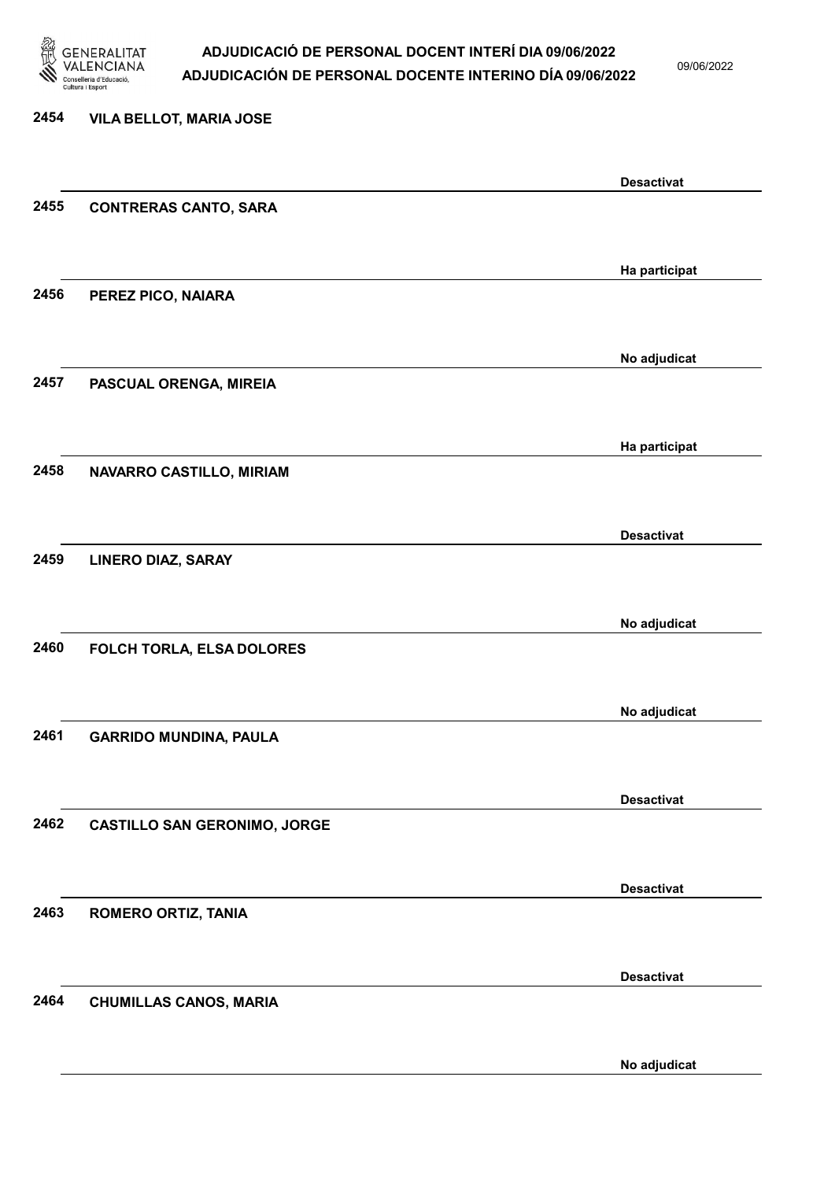

2454 VILA BELLOT, MARIA JOSE

#### ADJUDICACIÓ DE PERSONAL DOCENT INTERÍ DIA 09/06/2022 ADJUDICACIÓN DE PERSONAL DOCENTE INTERINO DÍA 09/06/2022

09/06/2022

### Desactivat 2455 CONTRERAS CANTO, SARA Ha participat 2456 PEREZ PICO, NAIARA No adjudicat 2457 PASCUAL ORENGA, MIREIA Ha participat 2458 NAVARRO CASTILLO, MIRIAM Desactivat 2459 LINERO DIAZ, SARAY No adjudicat 2460 FOLCH TORLA, ELSA DOLORES No adjudicat 2461 GARRIDO MUNDINA, PAULA Desactivat 2462 CASTILLO SAN GERONIMO, JORGE Desactivat 2463 ROMERO ORTIZ, TANIA Desactivat 2464 CHUMILLAS CANOS, MARIA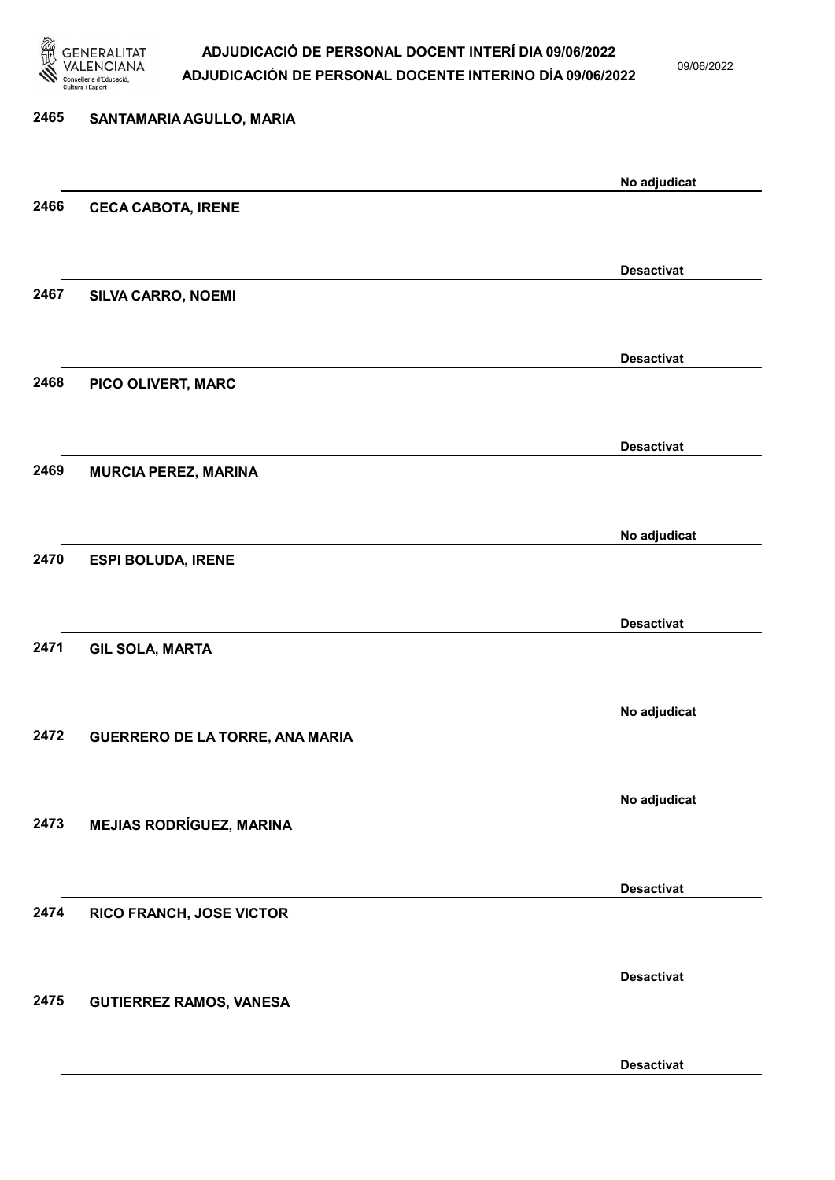

09/06/2022

Desactivat

# 2465 SANTAMARIA AGULLO, MARIA No adjudicat 2466 CECA CABOTA, IRENE Desactivat 2467 SILVA CARRO, NOEMI Desactivat 2468 PICO OLIVERT, MARC Desactivat 2469 MURCIA PEREZ, MARINA No adjudicat 2470 ESPI BOLUDA, IRENE Desactivat 2471 GIL SOLA, MARTA No adjudicat 2472 GUERRERO DE LA TORRE, ANA MARIA No adjudicat 2473 MEJIAS RODRÍGUEZ, MARINA Desactivat 2474 RICO FRANCH, JOSE VICTOR Desactivat 2475 GUTIERREZ RAMOS, VANESA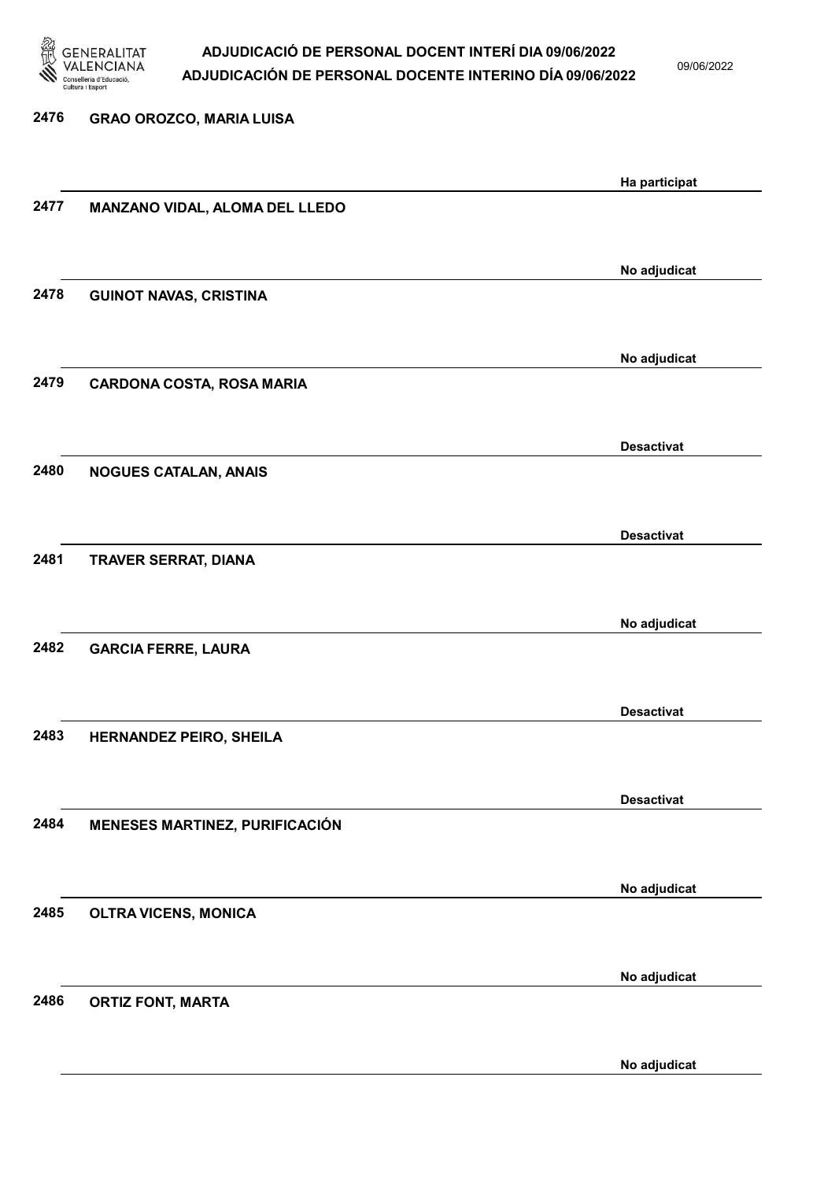

09/06/2022

| 2476 | <b>GRAO OROZCO, MARIA LUISA</b>  |                   |
|------|----------------------------------|-------------------|
|      |                                  |                   |
|      |                                  | Ha participat     |
| 2477 | MANZANO VIDAL, ALOMA DEL LLEDO   |                   |
|      |                                  |                   |
|      |                                  | No adjudicat      |
| 2478 | <b>GUINOT NAVAS, CRISTINA</b>    |                   |
|      |                                  |                   |
|      |                                  | No adjudicat      |
| 2479 | <b>CARDONA COSTA, ROSA MARIA</b> |                   |
|      |                                  |                   |
|      |                                  | <b>Desactivat</b> |
| 2480 | <b>NOGUES CATALAN, ANAIS</b>     |                   |
|      |                                  |                   |
| 2481 | TRAVER SERRAT, DIANA             | <b>Desactivat</b> |
|      |                                  |                   |
|      |                                  | No adjudicat      |
| 2482 | <b>GARCIA FERRE, LAURA</b>       |                   |
|      |                                  |                   |
|      |                                  | <b>Desactivat</b> |
| 2483 | HERNANDEZ PEIRO, SHEILA          |                   |
|      |                                  |                   |
|      |                                  | <b>Desactivat</b> |
| 2484 | MENESES MARTINEZ, PURIFICACIÓN   |                   |
|      |                                  |                   |
|      |                                  | No adjudicat      |
| 2485 | <b>OLTRA VICENS, MONICA</b>      |                   |
|      |                                  |                   |
|      |                                  | No adjudicat      |
| 2486 | <b>ORTIZ FONT, MARTA</b>         |                   |
|      |                                  |                   |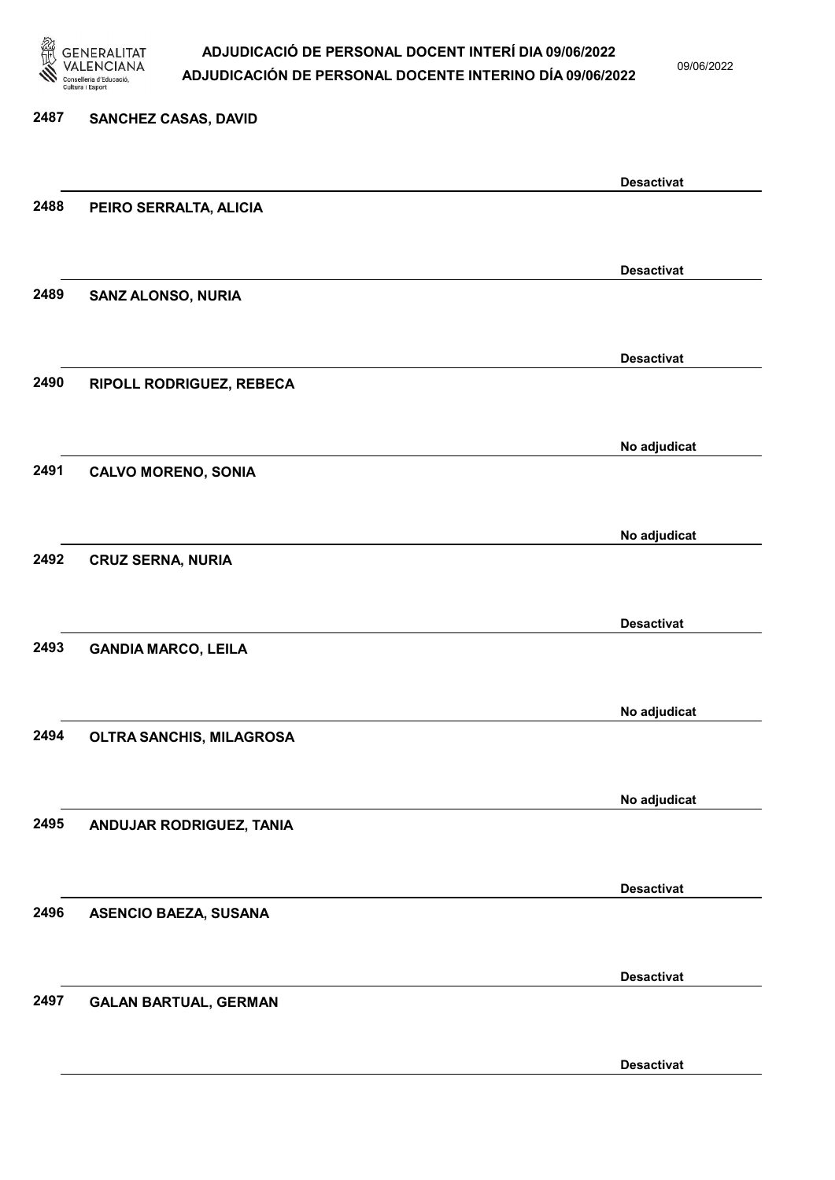

09/06/2022

Desactivat

# 2487 SANCHEZ CASAS, DAVID Desactivat 2488 PEIRO SERRALTA, ALICIA Desactivat 2489 SANZ ALONSO, NURIA Desactivat 2490 RIPOLL RODRIGUEZ, REBECA No adjudicat 2491 CALVO MORENO, SONIA No adjudicat 2492 CRUZ SERNA, NURIA Desactivat 2493 GANDIA MARCO, LEILA No adjudicat 2494 OLTRA SANCHIS, MILAGROSA No adjudicat 2495 ANDUJAR RODRIGUEZ, TANIA Desactivat 2496 ASENCIO BAEZA, SUSANA Desactivat 2497 GALAN BARTUAL, GERMAN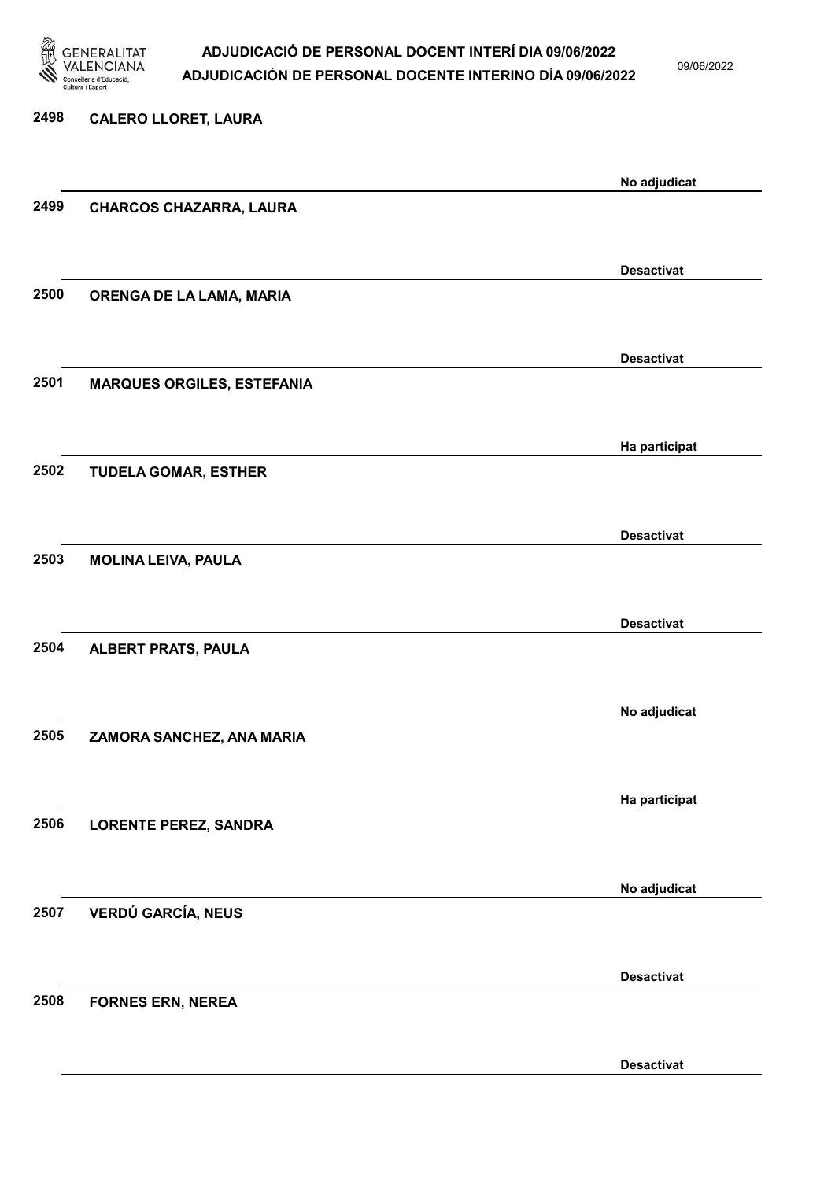

09/06/2022

Desactivat

# 2498 CALERO LLORET, LAURA No adjudicat 2499 CHARCOS CHAZARRA, LAURA Desactivat 2500 ORENGA DE LA LAMA, MARIA Desactivat 2501 MARQUES ORGILES, ESTEFANIA Ha participat 2502 TUDELA GOMAR, ESTHER Desactivat 2503 MOLINA LEIVA, PAULA Desactivat 2504 ALBERT PRATS, PAULA No adjudicat 2505 ZAMORA SANCHEZ, ANA MARIA Ha participat 2506 LORENTE PEREZ, SANDRA No adjudicat 2507 VERDÚ GARCÍA, NEUS Desactivat 2508 FORNES ERN, NEREA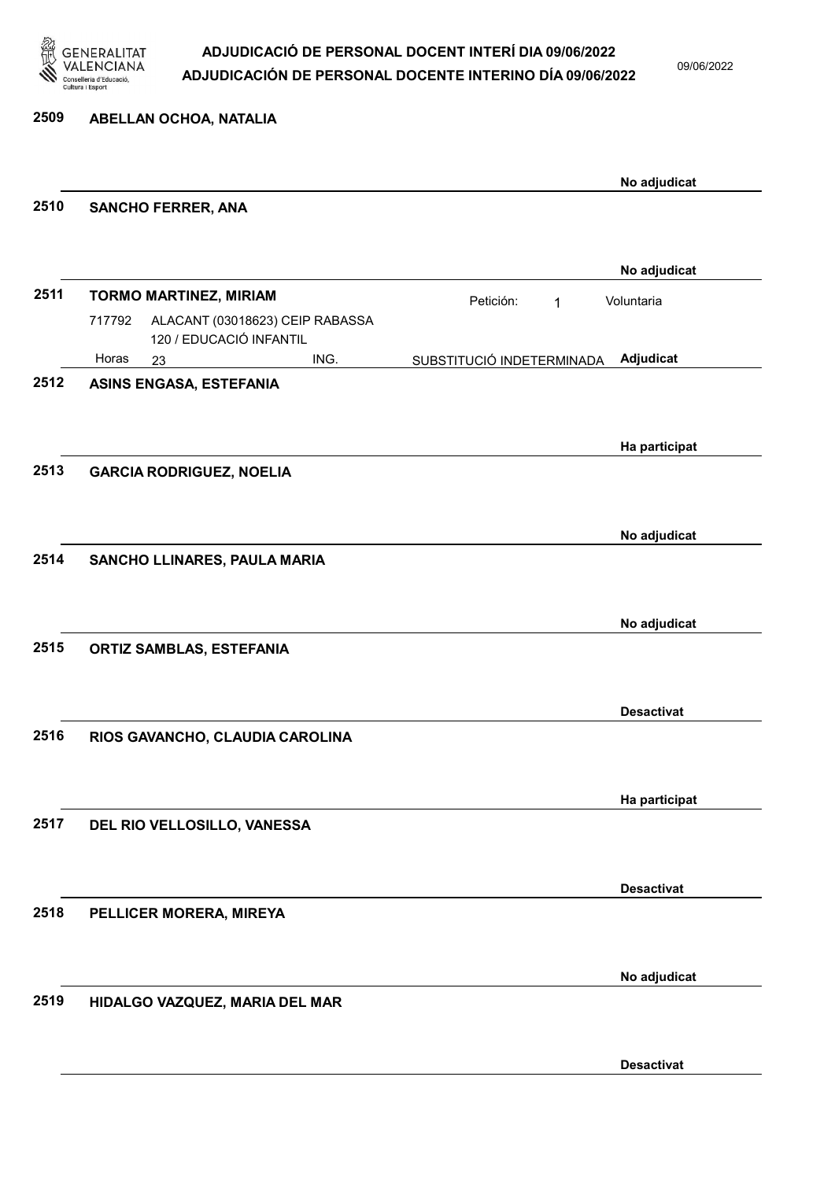

09/06/2022

#### 2509 ABELLAN OCHOA, NATALIA

|      |                                                                      |                           | No adjudicat      |
|------|----------------------------------------------------------------------|---------------------------|-------------------|
| 2510 | <b>SANCHO FERRER, ANA</b>                                            |                           |                   |
|      |                                                                      |                           | No adjudicat      |
| 2511 | <b>TORMO MARTINEZ, MIRIAM</b>                                        | Petición:<br>1            | Voluntaria        |
|      | ALACANT (03018623) CEIP RABASSA<br>717792<br>120 / EDUCACIÓ INFANTIL |                           |                   |
|      | Horas<br>ING.<br>23                                                  | SUBSTITUCIÓ INDETERMINADA | Adjudicat         |
| 2512 | <b>ASINS ENGASA, ESTEFANIA</b>                                       |                           |                   |
|      |                                                                      |                           |                   |
|      |                                                                      |                           | Ha participat     |
| 2513 | <b>GARCIA RODRIGUEZ, NOELIA</b>                                      |                           |                   |
|      |                                                                      |                           |                   |
|      |                                                                      |                           | No adjudicat      |
| 2514 | SANCHO LLINARES, PAULA MARIA                                         |                           |                   |
|      |                                                                      |                           |                   |
|      |                                                                      |                           |                   |
|      |                                                                      |                           | No adjudicat      |
| 2515 | <b>ORTIZ SAMBLAS, ESTEFANIA</b>                                      |                           |                   |
|      |                                                                      |                           |                   |
|      |                                                                      |                           | <b>Desactivat</b> |
| 2516 | RIOS GAVANCHO, CLAUDIA CAROLINA                                      |                           |                   |
|      |                                                                      |                           |                   |
|      |                                                                      |                           | Ha participat     |
| 2517 | DEL RIO VELLOSILLO, VANESSA                                          |                           |                   |
|      |                                                                      |                           |                   |
|      |                                                                      |                           |                   |
|      |                                                                      |                           | <b>Desactivat</b> |
| 2518 | PELLICER MORERA, MIREYA                                              |                           |                   |
|      |                                                                      |                           |                   |
|      |                                                                      |                           | No adjudicat      |
| 2519 | HIDALGO VAZQUEZ, MARIA DEL MAR                                       |                           |                   |
|      |                                                                      |                           |                   |
|      |                                                                      |                           | <b>Desactivat</b> |
|      |                                                                      |                           |                   |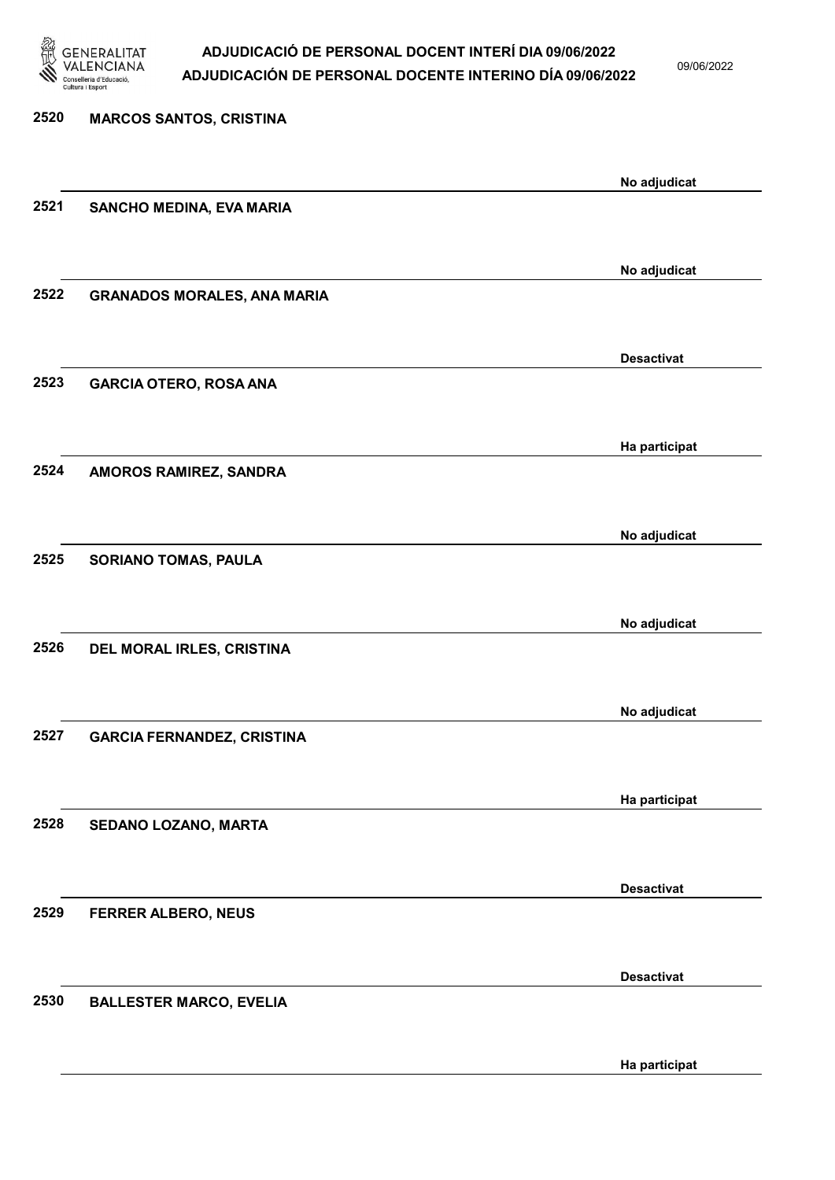

09/06/2022

| 2520 | <b>MARCOS SANTOS, CRISTINA</b>     |                   |
|------|------------------------------------|-------------------|
|      |                                    | No adjudicat      |
| 2521 | SANCHO MEDINA, EVA MARIA           |                   |
|      |                                    | No adjudicat      |
| 2522 | <b>GRANADOS MORALES, ANA MARIA</b> |                   |
|      |                                    | <b>Desactivat</b> |
| 2523 | <b>GARCIA OTERO, ROSA ANA</b>      |                   |
|      |                                    | Ha participat     |
| 2524 | AMOROS RAMIREZ, SANDRA             |                   |
| 2525 | <b>SORIANO TOMAS, PAULA</b>        | No adjudicat      |
|      |                                    |                   |
|      |                                    | No adjudicat      |
| 2526 | DEL MORAL IRLES, CRISTINA          |                   |
|      |                                    | No adjudicat      |
| 2527 | <b>GARCIA FERNANDEZ, CRISTINA</b>  |                   |
|      |                                    | Ha participat     |
| 2528 | SEDANO LOZANO, MARTA               |                   |
|      |                                    | <b>Desactivat</b> |
| 2529 | FERRER ALBERO, NEUS                |                   |
|      |                                    | <b>Desactivat</b> |
| 2530 | <b>BALLESTER MARCO, EVELIA</b>     |                   |

Ha participat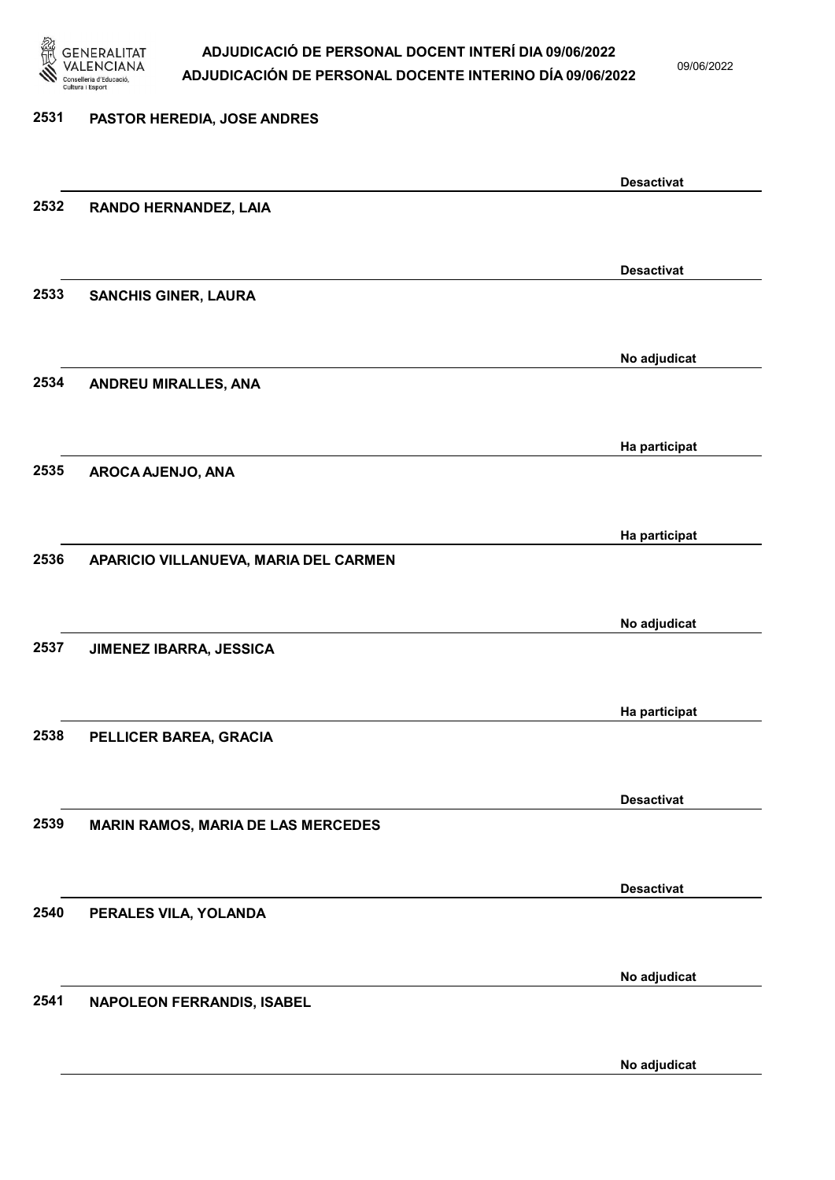

09/06/2022

### 2531 PASTOR HEREDIA, JOSE ANDRES Desactivat 2532 RANDO HERNANDEZ, LAIA Desactivat 2533 SANCHIS GINER, LAURA No adjudicat 2534 ANDREU MIRALLES, ANA Ha participat 2535 AROCA AJENJO, ANA Ha participat 2536 APARICIO VILLANUEVA, MARIA DEL CARMEN No adjudicat 2537 JIMENEZ IBARRA, JESSICA Ha participat 2538 PELLICER BAREA, GRACIA Desactivat 2539 MARIN RAMOS, MARIA DE LAS MERCEDES Desactivat 2540 PERALES VILA, YOLANDA No adjudicat 2541 NAPOLEON FERRANDIS, ISABEL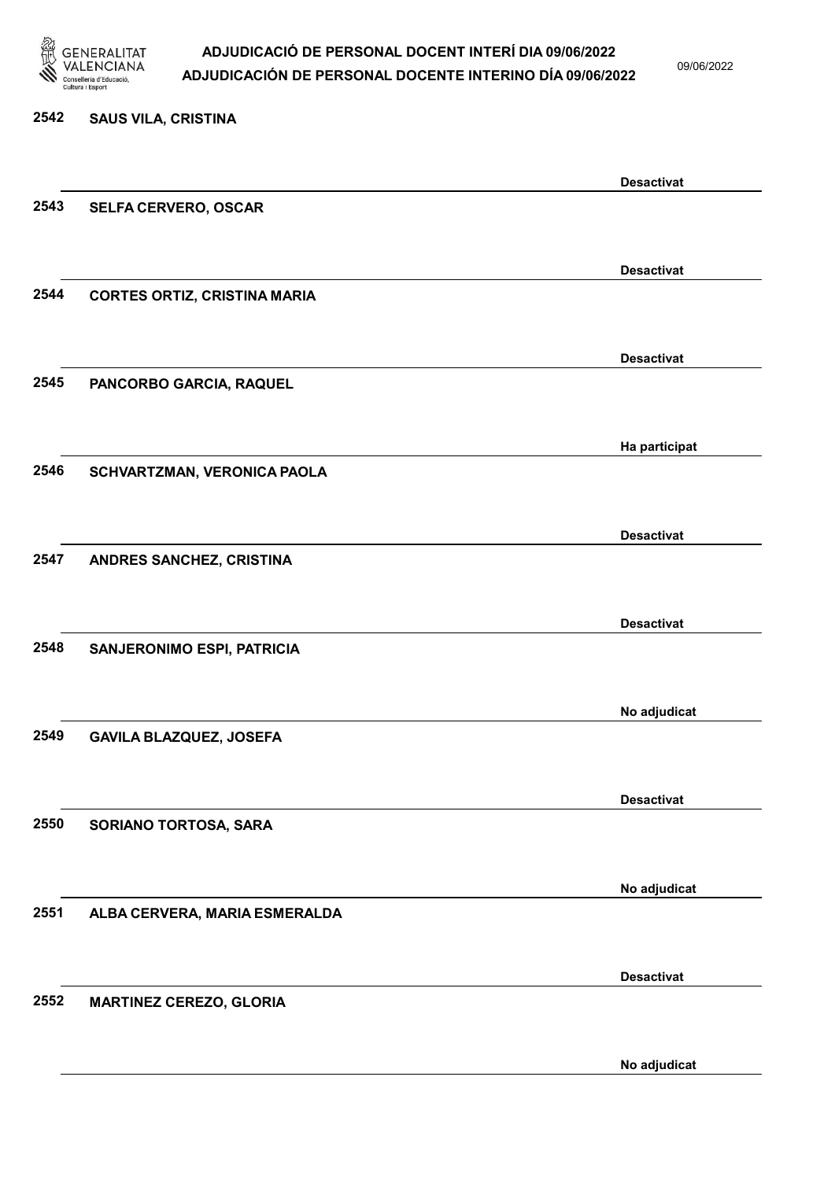

09/06/2022

| 2542 | <b>SAUS VILA, CRISTINA</b>          |                   |
|------|-------------------------------------|-------------------|
|      |                                     | <b>Desactivat</b> |
| 2543 | <b>SELFA CERVERO, OSCAR</b>         |                   |
|      |                                     | <b>Desactivat</b> |
| 2544 | <b>CORTES ORTIZ, CRISTINA MARIA</b> |                   |
|      |                                     | <b>Desactivat</b> |
| 2545 | PANCORBO GARCIA, RAQUEL             |                   |
|      |                                     | Ha participat     |
| 2546 | SCHVARTZMAN, VERONICA PAOLA         |                   |
|      |                                     | <b>Desactivat</b> |
| 2547 | ANDRES SANCHEZ, CRISTINA            |                   |
|      |                                     | <b>Desactivat</b> |
| 2548 | SANJERONIMO ESPI, PATRICIA          |                   |
|      |                                     | No adjudicat      |
| 2549 | <b>GAVILA BLAZQUEZ, JOSEFA</b>      |                   |
|      |                                     | <b>Desactivat</b> |
| 2550 | SORIANO TORTOSA, SARA               |                   |
|      |                                     | No adjudicat      |
| 2551 | ALBA CERVERA, MARIA ESMERALDA       |                   |
|      |                                     | <b>Desactivat</b> |
| 2552 | <b>MARTINEZ CEREZO, GLORIA</b>      |                   |
|      |                                     |                   |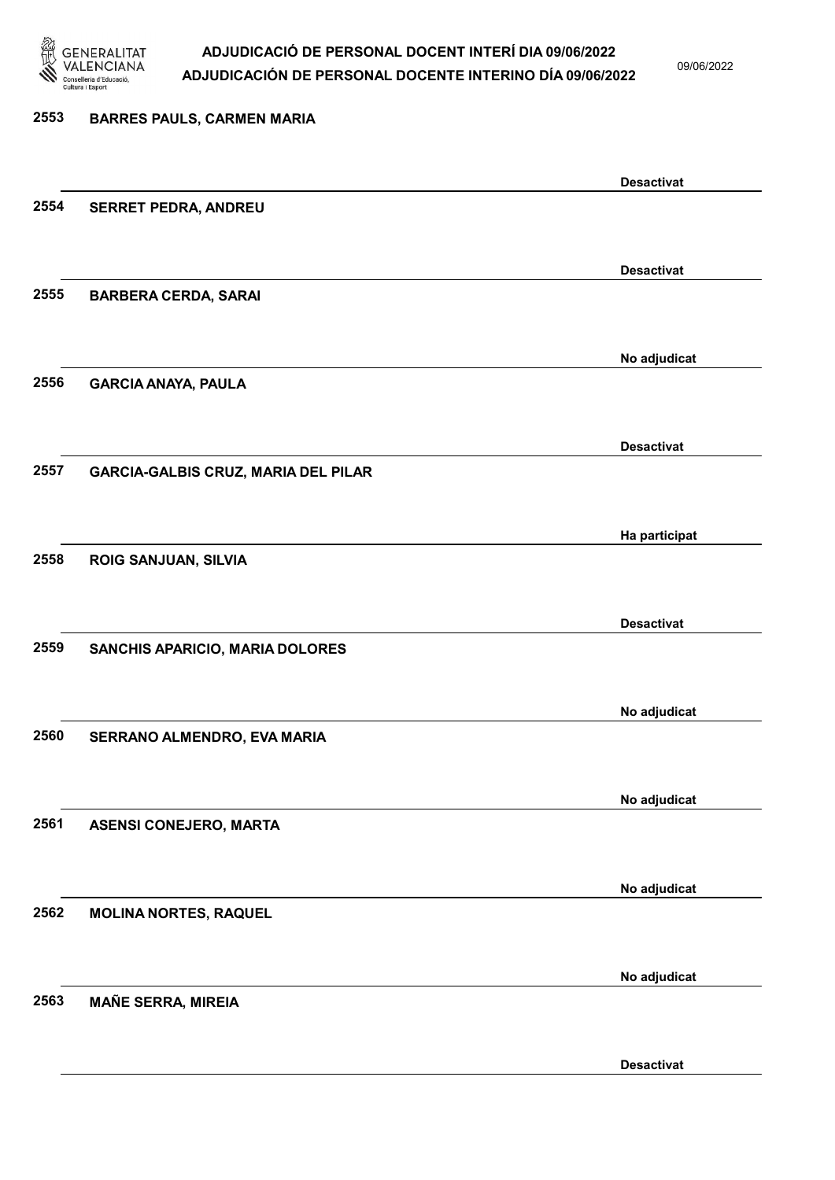

09/06/2022

### 2553 BARRES PAULS, CARMEN MARIA Desactivat 2554 SERRET PEDRA, ANDREU Desactivat 2555 BARBERA CERDA, SARAI No adjudicat 2556 GARCIA ANAYA, PAULA Desactivat 2557 GARCIA-GALBIS CRUZ, MARIA DEL PILAR Ha participat 2558 ROIG SANJUAN, SILVIA Desactivat 2559 SANCHIS APARICIO, MARIA DOLORES No adjudicat 2560 SERRANO ALMENDRO, EVA MARIA No adjudicat 2561 ASENSI CONEJERO, MARTA No adjudicat 2562 MOLINA NORTES, RAQUEL No adjudicat 2563 MAÑE SERRA, MIREIA

Desactivat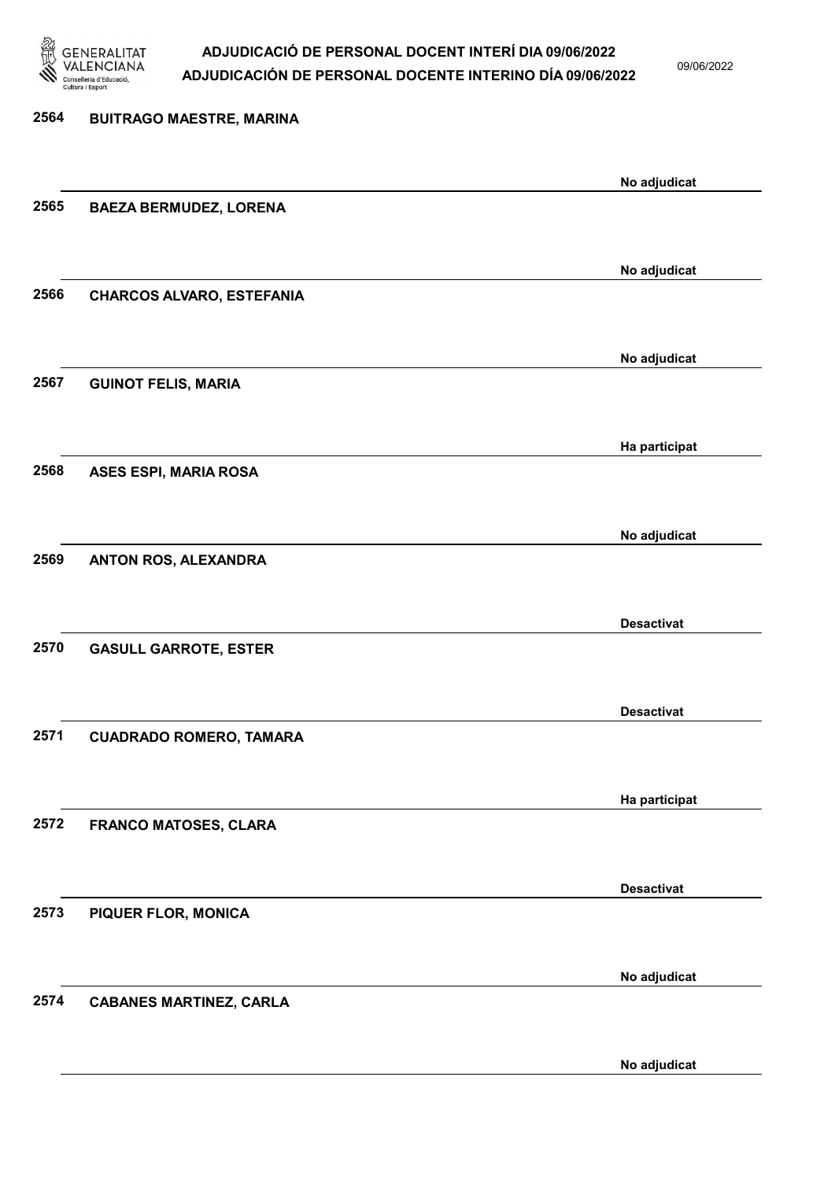

09/06/2022

### 2564 BUITRAGO MAESTRE, MARINA No adjudicat 2565 BAEZA BERMUDEZ, LORENA No adjudicat 2566 CHARCOS ALVARO, ESTEFANIA No adjudicat 2567 GUINOT FELIS, MARIA Ha participat 2568 ASES ESPI, MARIA ROSA No adjudicat 2569 ANTON ROS, ALEXANDRA Desactivat 2570 GASULL GARROTE, ESTER Desactivat 2571 CUADRADO ROMERO, TAMARA Ha participat 2572 FRANCO MATOSES, CLARA Desactivat 2573 PIQUER FLOR, MONICA No adjudicat 2574 CABANES MARTINEZ, CARLA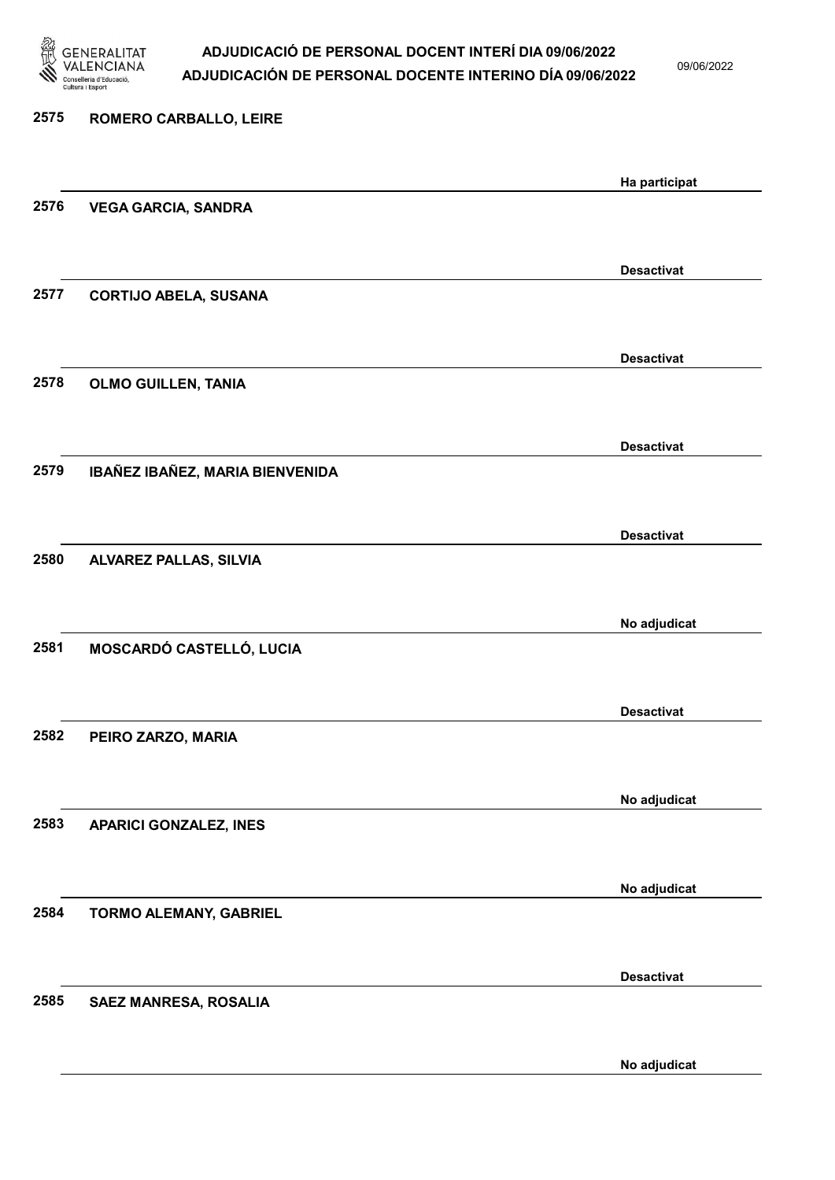

09/06/2022

| 2575 | ROMERO CARBALLO, LEIRE          |                   |
|------|---------------------------------|-------------------|
|      |                                 | Ha participat     |
| 2576 | <b>VEGA GARCIA, SANDRA</b>      |                   |
|      |                                 |                   |
|      |                                 | <b>Desactivat</b> |
| 2577 | <b>CORTIJO ABELA, SUSANA</b>    |                   |
|      |                                 | <b>Desactivat</b> |
| 2578 | <b>OLMO GUILLEN, TANIA</b>      |                   |
|      |                                 |                   |
|      |                                 | <b>Desactivat</b> |
| 2579 | IBAÑEZ IBAÑEZ, MARIA BIENVENIDA |                   |
|      |                                 | <b>Desactivat</b> |
| 2580 | <b>ALVAREZ PALLAS, SILVIA</b>   |                   |
|      |                                 |                   |
|      |                                 | No adjudicat      |
| 2581 | MOSCARDÓ CASTELLÓ, LUCIA        |                   |
|      |                                 |                   |
| 2582 |                                 | <b>Desactivat</b> |
|      | PEIRO ZARZO, MARIA              |                   |
|      |                                 | No adjudicat      |
| 2583 | <b>APARICI GONZALEZ, INES</b>   |                   |
|      |                                 |                   |
|      |                                 | No adjudicat      |
| 2584 | TORMO ALEMANY, GABRIEL          |                   |
|      |                                 | <b>Desactivat</b> |
| 2585 | SAEZ MANRESA, ROSALIA           |                   |
|      |                                 |                   |
|      |                                 | No adjudicat      |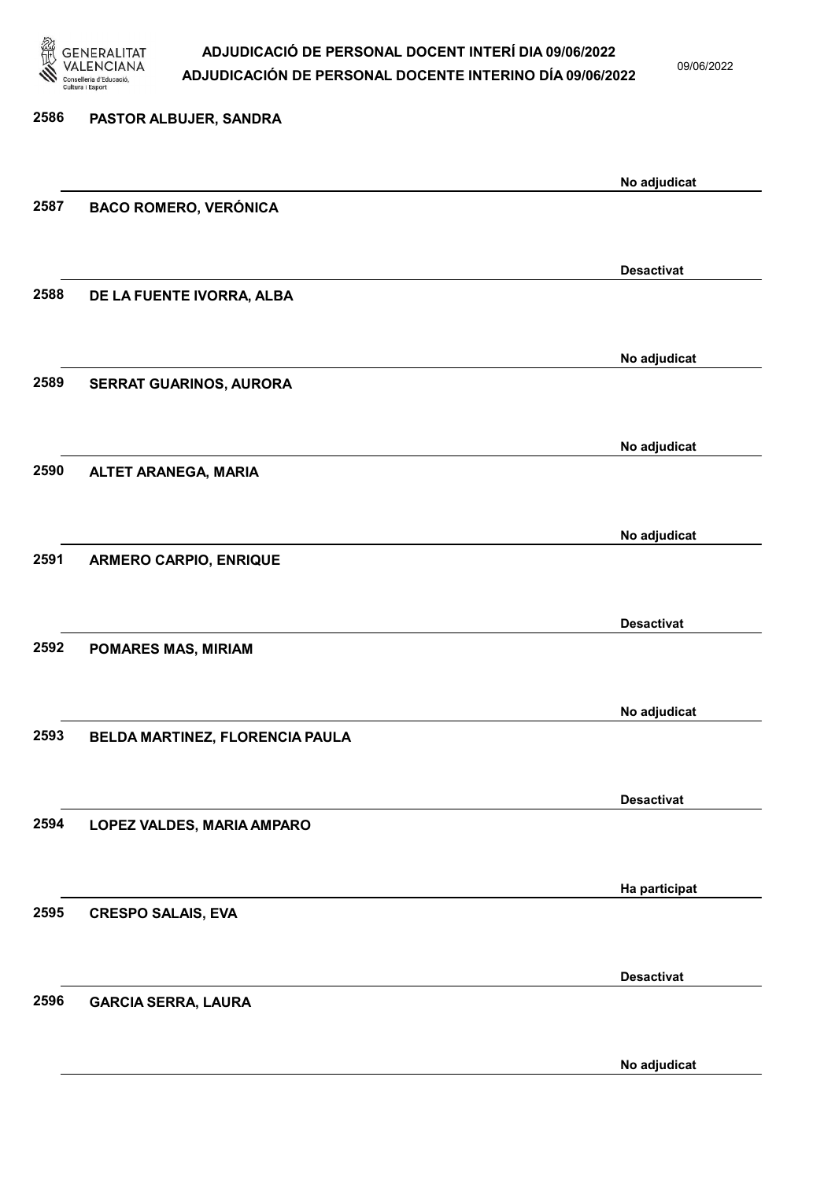

09/06/2022

| 2586 | PASTOR ALBUJER, SANDRA          |                   |
|------|---------------------------------|-------------------|
|      |                                 | No adjudicat      |
| 2587 | <b>BACO ROMERO, VERÓNICA</b>    |                   |
|      |                                 | <b>Desactivat</b> |
| 2588 | DE LA FUENTE IVORRA, ALBA       |                   |
|      |                                 | No adjudicat      |
| 2589 | <b>SERRAT GUARINOS, AURORA</b>  |                   |
|      |                                 | No adjudicat      |
| 2590 | <b>ALTET ARANEGA, MARIA</b>     |                   |
|      |                                 | No adjudicat      |
| 2591 | <b>ARMERO CARPIO, ENRIQUE</b>   |                   |
|      |                                 | <b>Desactivat</b> |
| 2592 | <b>POMARES MAS, MIRIAM</b>      |                   |
|      |                                 |                   |
| 2593 | BELDA MARTINEZ, FLORENCIA PAULA | No adjudicat      |
|      |                                 |                   |
| 2594 | LOPEZ VALDES, MARIA AMPARO      | <b>Desactivat</b> |
|      |                                 |                   |
| 2595 | <b>CRESPO SALAIS, EVA</b>       | Ha participat     |
|      |                                 |                   |
| 2596 | <b>GARCIA SERRA, LAURA</b>      | <b>Desactivat</b> |
|      |                                 |                   |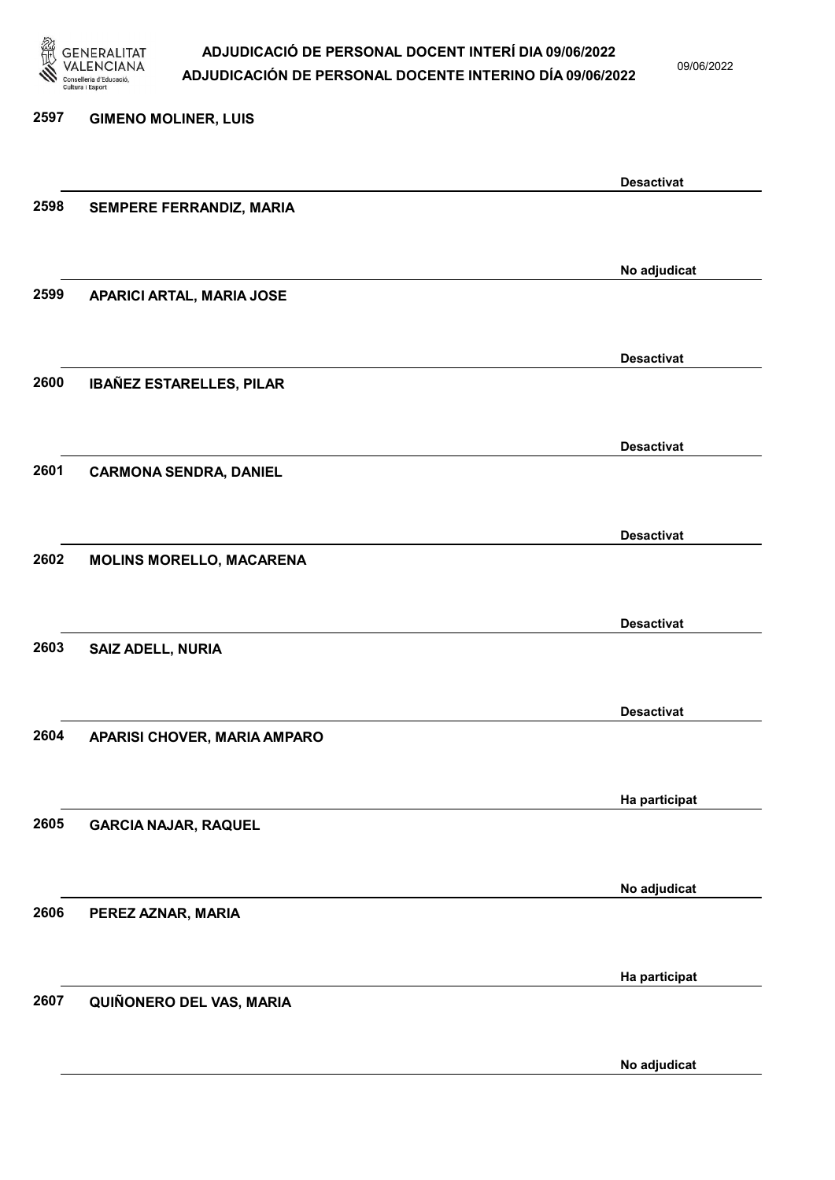

09/06/2022

### 2597 GIMENO MOLINER, LUIS Desactivat 2598 SEMPERE FERRANDIZ, MARIA No adjudicat 2599 APARICI ARTAL, MARIA JOSE Desactivat 2600 IBAÑEZ ESTARELLES, PILAR Desactivat 2601 CARMONA SENDRA, DANIEL Desactivat 2602 MOLINS MORELLO, MACARENA Desactivat 2603 SAIZ ADELL, NURIA Desactivat 2604 APARISI CHOVER, MARIA AMPARO Ha participat 2605 GARCIA NAJAR, RAQUEL No adjudicat 2606 PEREZ AZNAR, MARIA Ha participat 2607 QUIÑONERO DEL VAS, MARIA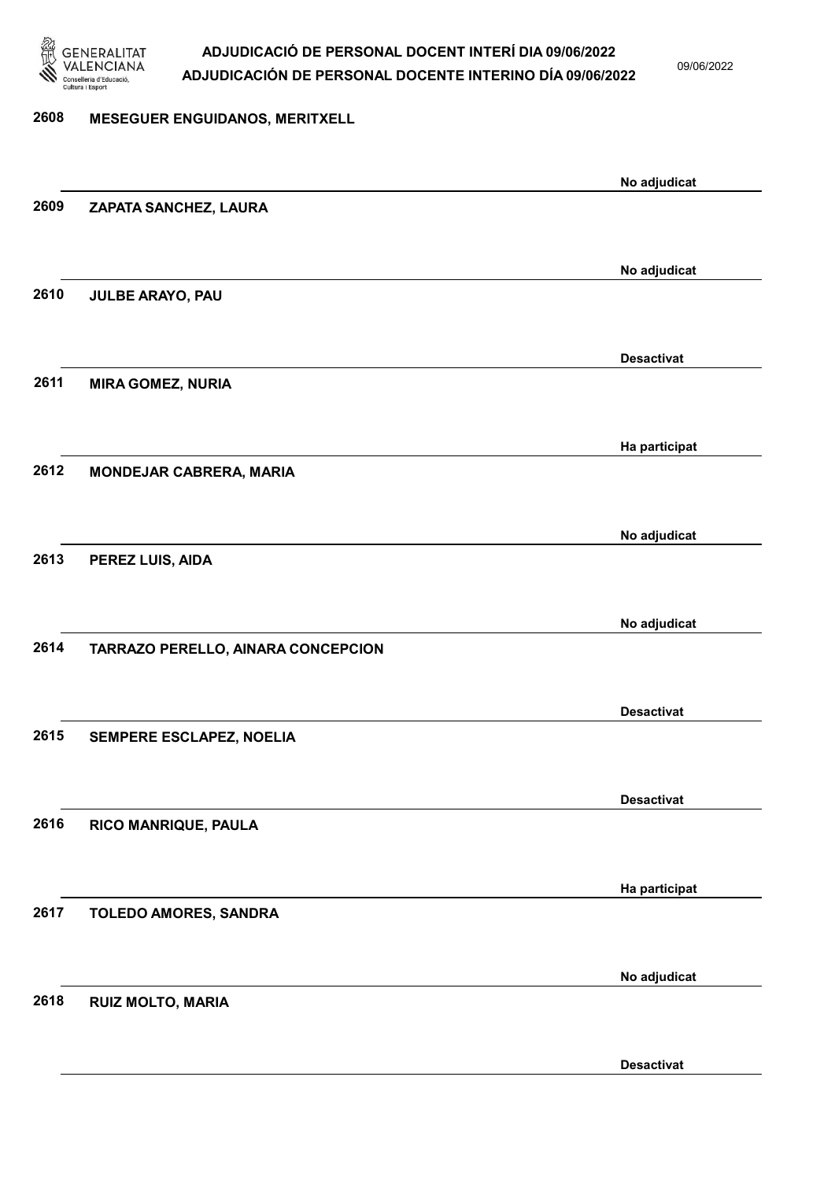

09/06/2022

#### 2608 MESEGUER ENGUIDANOS, MERITXELL

|      |                                    | No adjudicat      |
|------|------------------------------------|-------------------|
| 2609 | ZAPATA SANCHEZ, LAURA              |                   |
|      |                                    |                   |
|      |                                    | No adjudicat      |
| 2610 | JULBE ARAYO, PAU                   |                   |
|      |                                    |                   |
|      |                                    |                   |
|      |                                    | <b>Desactivat</b> |
| 2611 | <b>MIRA GOMEZ, NURIA</b>           |                   |
|      |                                    |                   |
|      |                                    | Ha participat     |
| 2612 | <b>MONDEJAR CABRERA, MARIA</b>     |                   |
|      |                                    |                   |
|      |                                    | No adjudicat      |
| 2613 | PEREZ LUIS, AIDA                   |                   |
|      |                                    |                   |
|      |                                    |                   |
| 2614 |                                    | No adjudicat      |
|      | TARRAZO PERELLO, AINARA CONCEPCION |                   |
|      |                                    |                   |
|      |                                    | <b>Desactivat</b> |
| 2615 | SEMPERE ESCLAPEZ, NOELIA           |                   |
|      |                                    |                   |
|      |                                    | <b>Desactivat</b> |
| 2616 | RICO MANRIQUE, PAULA               |                   |
|      |                                    |                   |
|      |                                    | Ha participat     |
| 2617 | TOLEDO AMORES, SANDRA              |                   |
|      |                                    |                   |
|      |                                    |                   |
|      |                                    | No adjudicat      |
| 2618 | <b>RUIZ MOLTO, MARIA</b>           |                   |
|      |                                    |                   |
|      |                                    | <b>Desactivat</b> |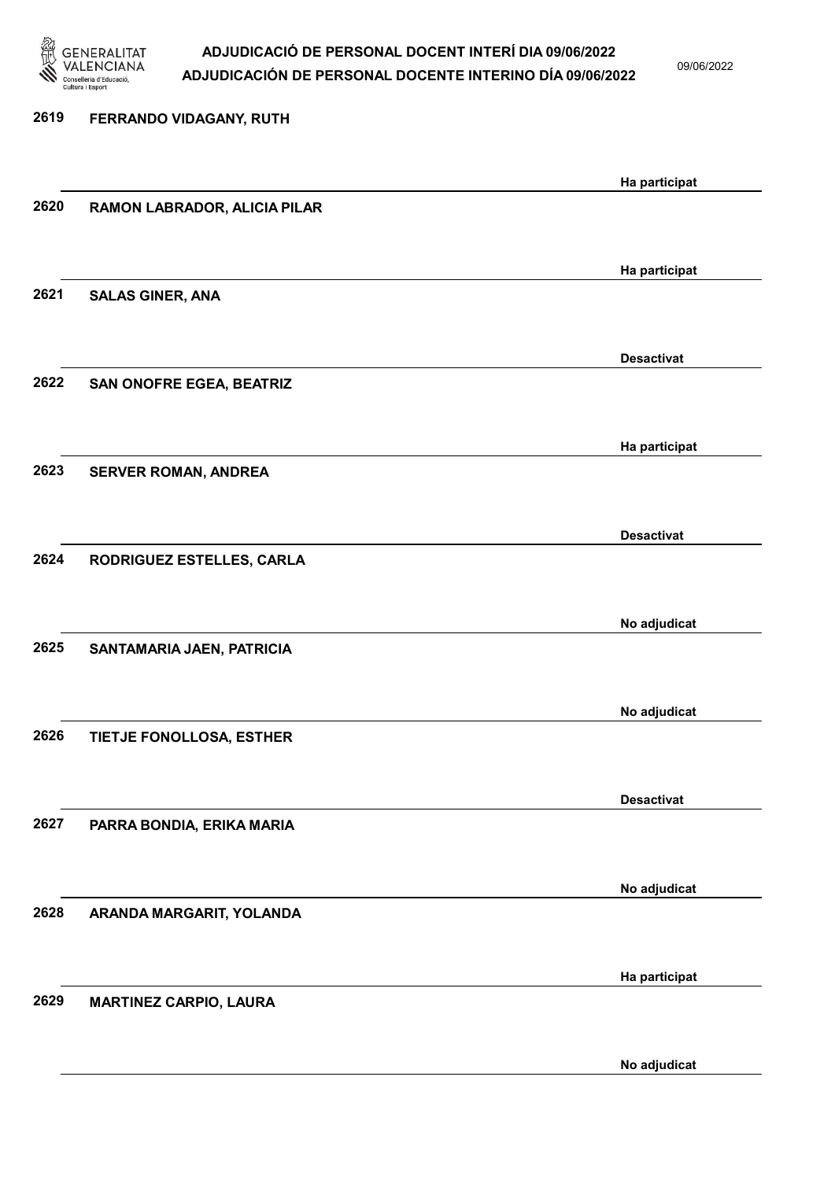

09/06/2022

| 2619 | FERRANDO VIDAGANY, RUTH       |                   |
|------|-------------------------------|-------------------|
|      |                               | Ha participat     |
| 2620 | RAMON LABRADOR, ALICIA PILAR  |                   |
|      |                               |                   |
| 2621 | <b>SALAS GINER, ANA</b>       | Ha participat     |
|      |                               |                   |
|      |                               | <b>Desactivat</b> |
| 2622 | SAN ONOFRE EGEA, BEATRIZ      |                   |
|      |                               | Ha participat     |
| 2623 | <b>SERVER ROMAN, ANDREA</b>   |                   |
|      |                               |                   |
| 2624 | RODRIGUEZ ESTELLES, CARLA     | <b>Desactivat</b> |
|      |                               |                   |
|      |                               | No adjudicat      |
| 2625 | SANTAMARIA JAEN, PATRICIA     |                   |
|      |                               | No adjudicat      |
| 2626 | TIETJE FONOLLOSA, ESTHER      |                   |
|      |                               |                   |
| 2627 |                               | <b>Desactivat</b> |
|      | PARRA BONDIA, ERIKA MARIA     |                   |
|      |                               | No adjudicat      |
| 2628 | ARANDA MARGARIT, YOLANDA      |                   |
|      |                               |                   |
| 2629 | <b>MARTINEZ CARPIO, LAURA</b> | Ha participat     |
|      |                               |                   |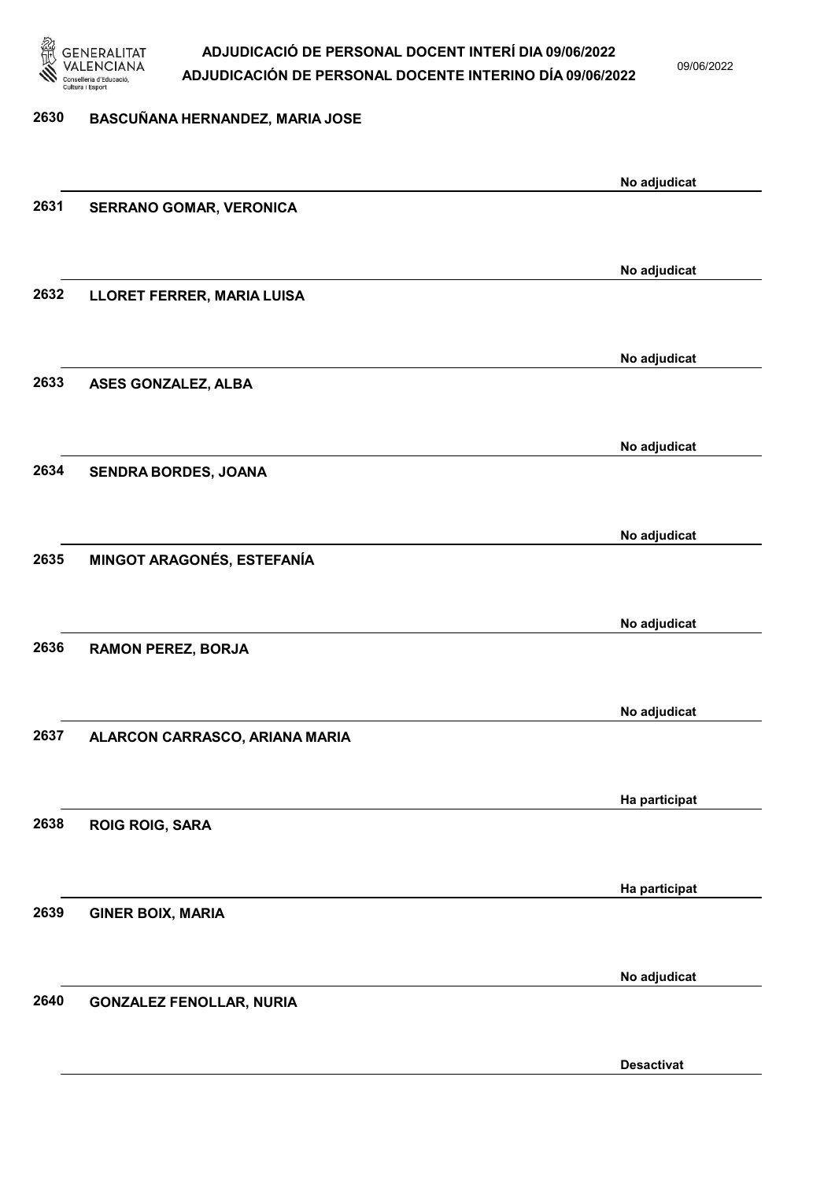

09/06/2022

#### 2630 BASCUÑANA HERNANDEZ, MARIA JOSE

|      |                                 | No adjudicat      |
|------|---------------------------------|-------------------|
| 2631 | <b>SERRANO GOMAR, VERONICA</b>  |                   |
|      |                                 |                   |
|      |                                 | No adjudicat      |
| 2632 | LLORET FERRER, MARIA LUISA      |                   |
|      |                                 |                   |
|      |                                 | No adjudicat      |
| 2633 | ASES GONZALEZ, ALBA             |                   |
|      |                                 |                   |
|      |                                 |                   |
| 2634 |                                 | No adjudicat      |
|      | SENDRA BORDES, JOANA            |                   |
|      |                                 |                   |
|      |                                 | No adjudicat      |
| 2635 | MINGOT ARAGONÉS, ESTEFANÍA      |                   |
|      |                                 |                   |
|      |                                 | No adjudicat      |
| 2636 | <b>RAMON PEREZ, BORJA</b>       |                   |
|      |                                 |                   |
|      |                                 | No adjudicat      |
| 2637 | ALARCON CARRASCO, ARIANA MARIA  |                   |
|      |                                 |                   |
|      |                                 | Ha participat     |
| 2638 | <b>ROIG ROIG, SARA</b>          |                   |
|      |                                 |                   |
|      |                                 | Ha participat     |
| 2639 | <b>GINER BOIX, MARIA</b>        |                   |
|      |                                 |                   |
|      |                                 |                   |
| 2640 | <b>GONZALEZ FENOLLAR, NURIA</b> | No adjudicat      |
|      |                                 |                   |
|      |                                 |                   |
|      |                                 | <b>Desactivat</b> |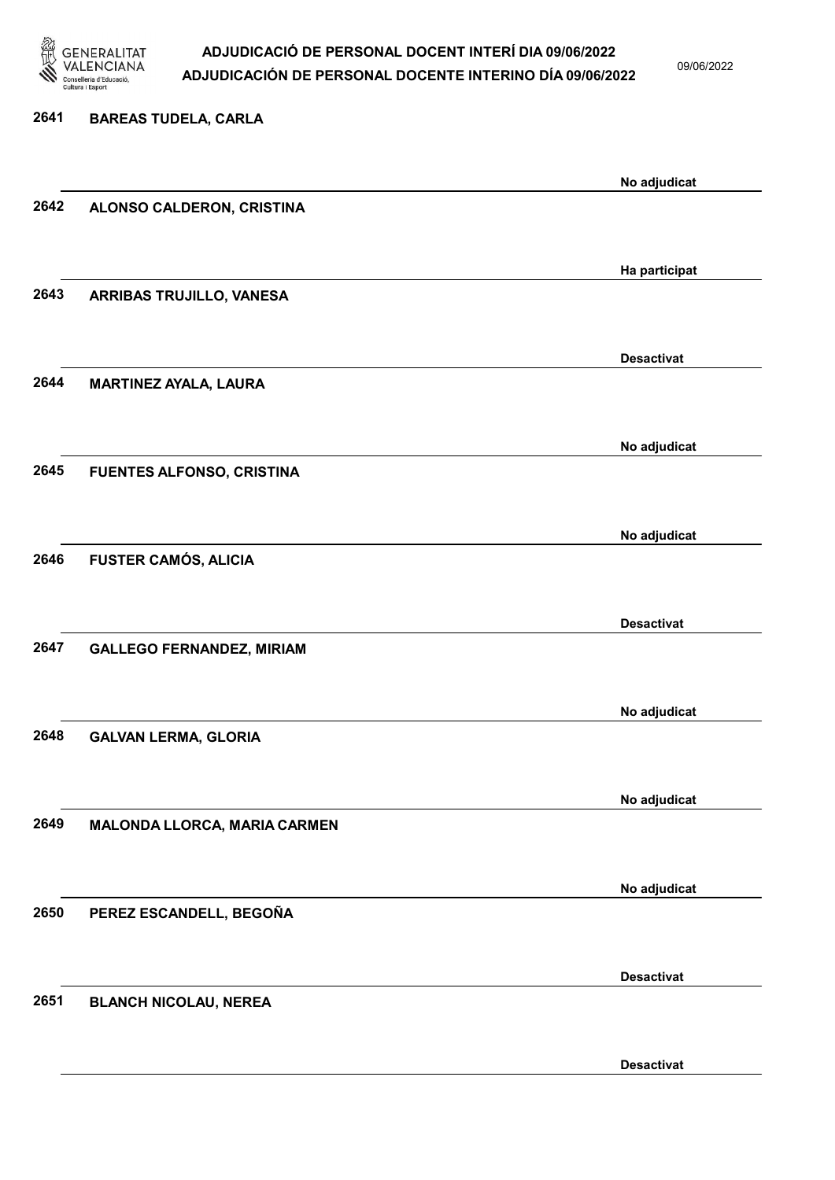

09/06/2022

Desactivat

| 2641 | <b>BAREAS TUDELA, CARLA</b>      |                   |
|------|----------------------------------|-------------------|
|      |                                  | No adjudicat      |
| 2642 | ALONSO CALDERON, CRISTINA        |                   |
|      |                                  |                   |
| 2643 |                                  | Ha participat     |
|      | ARRIBAS TRUJILLO, VANESA         |                   |
|      |                                  | <b>Desactivat</b> |
| 2644 | <b>MARTINEZ AYALA, LAURA</b>     |                   |
|      |                                  |                   |
|      |                                  | No adjudicat      |
| 2645 | FUENTES ALFONSO, CRISTINA        |                   |
|      |                                  |                   |
| 2646 | <b>FUSTER CAMÓS, ALICIA</b>      | No adjudicat      |
|      |                                  |                   |
|      |                                  | <b>Desactivat</b> |
| 2647 | <b>GALLEGO FERNANDEZ, MIRIAM</b> |                   |
|      |                                  |                   |
| 2648 | <b>GALVAN LERMA, GLORIA</b>      | No adjudicat      |
|      |                                  |                   |
|      |                                  | No adjudicat      |
| 2649 | MALONDA LLORCA, MARIA CARMEN     |                   |
|      |                                  |                   |
| 2650 | PEREZ ESCANDELL, BEGOÑA          | No adjudicat      |
|      |                                  |                   |
|      |                                  | <b>Desactivat</b> |
| 2651 | <b>BLANCH NICOLAU, NEREA</b>     |                   |
|      |                                  |                   |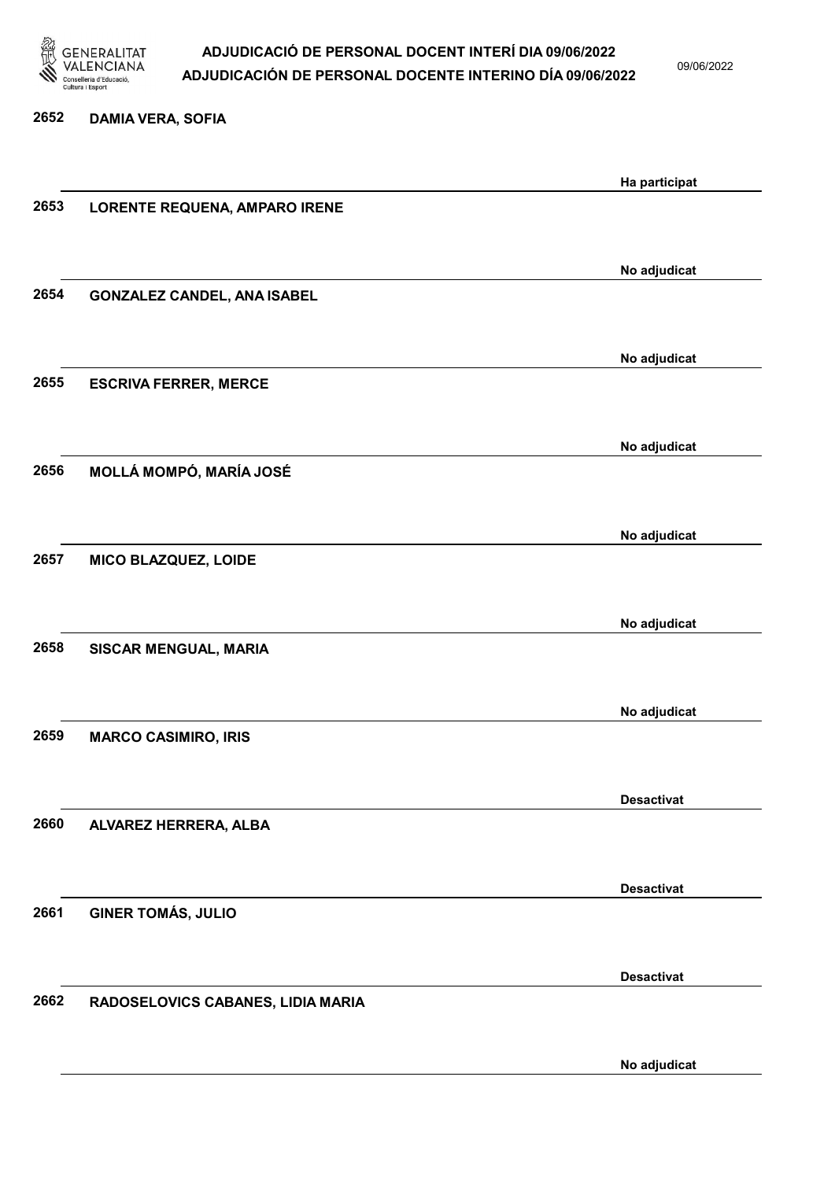

09/06/2022

### 2652 DAMIA VERA, SOFIA Ha participat 2653 LORENTE REQUENA, AMPARO IRENE No adjudicat 2654 GONZALEZ CANDEL, ANA ISABEL No adjudicat 2655 ESCRIVA FERRER, MERCE No adjudicat 2656 MOLLÁ MOMPÓ, MARÍA JOSÉ No adjudicat 2657 MICO BLAZQUEZ, LOIDE No adjudicat 2658 SISCAR MENGUAL, MARIA No adjudicat 2659 MARCO CASIMIRO, IRIS Desactivat 2660 ALVAREZ HERRERA, ALBA Desactivat 2661 GINER TOMÁS, JULIO Desactivat 2662 RADOSELOVICS CABANES, LIDIA MARIA No adjudicat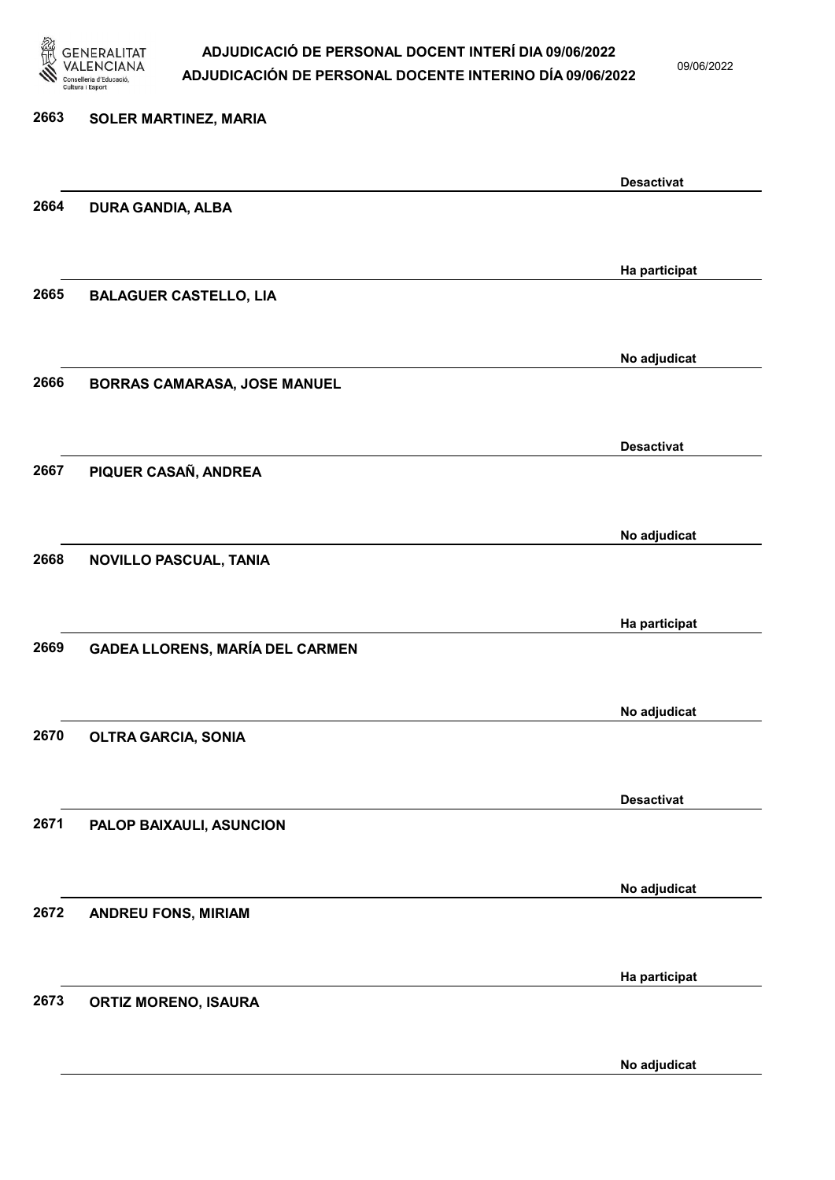

09/06/2022

No adjudicat

# 2663 SOLER MARTINEZ, MARIA Desactivat 2664 DURA GANDIA, ALBA Ha participat 2665 BALAGUER CASTELLO, LIA No adjudicat 2666 BORRAS CAMARASA, JOSE MANUEL Desactivat 2667 PIQUER CASAÑ, ANDREA No adjudicat 2668 NOVILLO PASCUAL, TANIA Ha participat 2669 GADEA LLORENS, MARÍA DEL CARMEN No adjudicat 2670 OLTRA GARCIA, SONIA Desactivat 2671 PALOP BAIXAULI, ASUNCION No adjudicat 2672 ANDREU FONS, MIRIAM Ha participat 2673 ORTIZ MORENO, ISAURA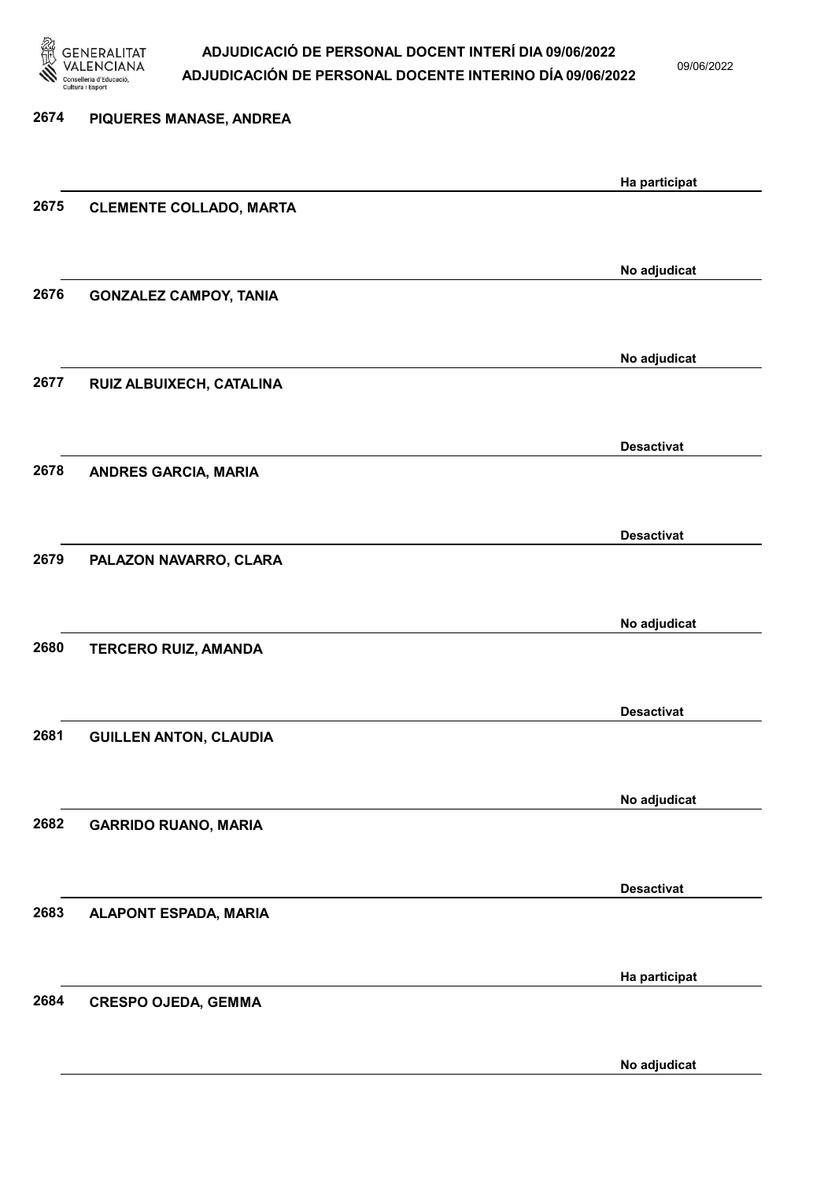

09/06/2022

| 2674 | PIQUERES MANASE, ANDREA        |                   |
|------|--------------------------------|-------------------|
|      |                                |                   |
| 2675 | <b>CLEMENTE COLLADO, MARTA</b> | Ha participat     |
|      |                                |                   |
|      |                                | No adjudicat      |
| 2676 | <b>GONZALEZ CAMPOY, TANIA</b>  |                   |
|      |                                |                   |
|      |                                | No adjudicat      |
| 2677 | RUIZ ALBUIXECH, CATALINA       |                   |
|      |                                |                   |
|      |                                | <b>Desactivat</b> |
| 2678 | <b>ANDRES GARCIA, MARIA</b>    |                   |
|      |                                |                   |
| 2679 |                                | <b>Desactivat</b> |
|      | PALAZON NAVARRO, CLARA         |                   |
|      |                                | No adjudicat      |
| 2680 | <b>TERCERO RUIZ, AMANDA</b>    |                   |
|      |                                |                   |
|      |                                | <b>Desactivat</b> |
| 2681 | <b>GUILLEN ANTON, CLAUDIA</b>  |                   |
|      |                                |                   |
|      |                                | No adjudicat      |
| 2682 | <b>GARRIDO RUANO, MARIA</b>    |                   |
|      |                                |                   |
| 2683 | ALAPONT ESPADA, MARIA          | <b>Desactivat</b> |
|      |                                |                   |
|      |                                | Ha participat     |
| 2684 | <b>CRESPO OJEDA, GEMMA</b>     |                   |
|      |                                |                   |
|      |                                |                   |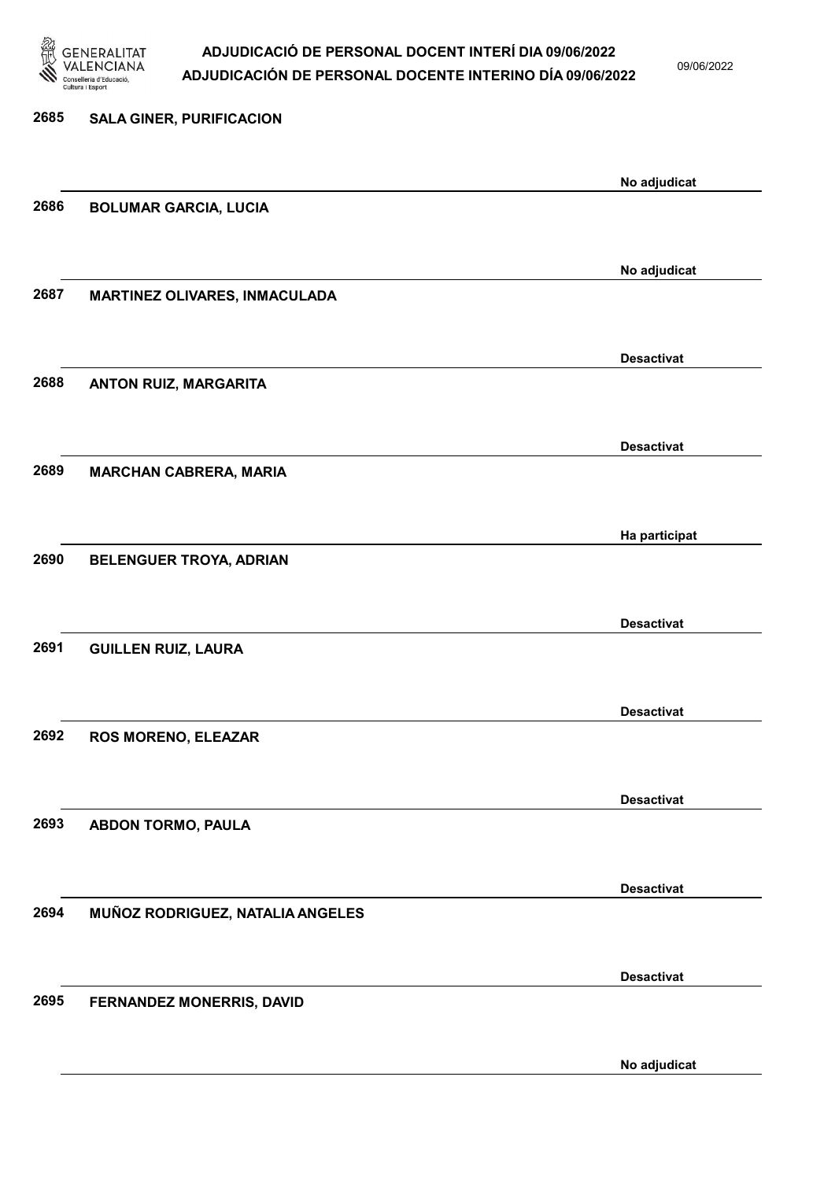

09/06/2022

| 2685 | <b>SALA GINER, PURIFICACION</b>      |                   |
|------|--------------------------------------|-------------------|
|      |                                      |                   |
|      |                                      |                   |
|      |                                      | No adjudicat      |
|      |                                      |                   |
| 2686 | <b>BOLUMAR GARCIA, LUCIA</b>         |                   |
|      |                                      |                   |
|      |                                      |                   |
|      |                                      | No adjudicat      |
| 2687 | <b>MARTINEZ OLIVARES, INMACULADA</b> |                   |
|      |                                      |                   |
|      |                                      |                   |
|      |                                      | <b>Desactivat</b> |
|      |                                      |                   |
| 2688 | ANTON RUIZ, MARGARITA                |                   |
|      |                                      |                   |
|      |                                      |                   |
|      |                                      | <b>Desactivat</b> |
| 2689 | <b>MARCHAN CABRERA, MARIA</b>        |                   |
|      |                                      |                   |
|      |                                      |                   |
|      |                                      |                   |
|      |                                      | Ha participat     |
| 2690 | BELENGUER TROYA, ADRIAN              |                   |
|      |                                      |                   |
|      |                                      |                   |
|      |                                      | <b>Desactivat</b> |
| 2691 | <b>GUILLEN RUIZ, LAURA</b>           |                   |
|      |                                      |                   |
|      |                                      |                   |
|      |                                      | <b>Desactivat</b> |
|      |                                      |                   |
| 2692 | ROS MORENO, ELEAZAR                  |                   |
|      |                                      |                   |
|      |                                      |                   |
|      |                                      | <b>Desactivat</b> |
| 2693 | ABDON TORMO, PAULA                   |                   |
|      |                                      |                   |
|      |                                      |                   |
|      |                                      | <b>Desactivat</b> |
|      |                                      |                   |
| 2694 | MUÑOZ RODRIGUEZ, NATALIA ANGELES     |                   |
|      |                                      |                   |
|      |                                      |                   |
|      |                                      | <b>Desactivat</b> |
| 2695 | FERNANDEZ MONERRIS, DAVID            |                   |
|      |                                      |                   |
|      |                                      |                   |
|      |                                      |                   |
|      |                                      | No adjudicat      |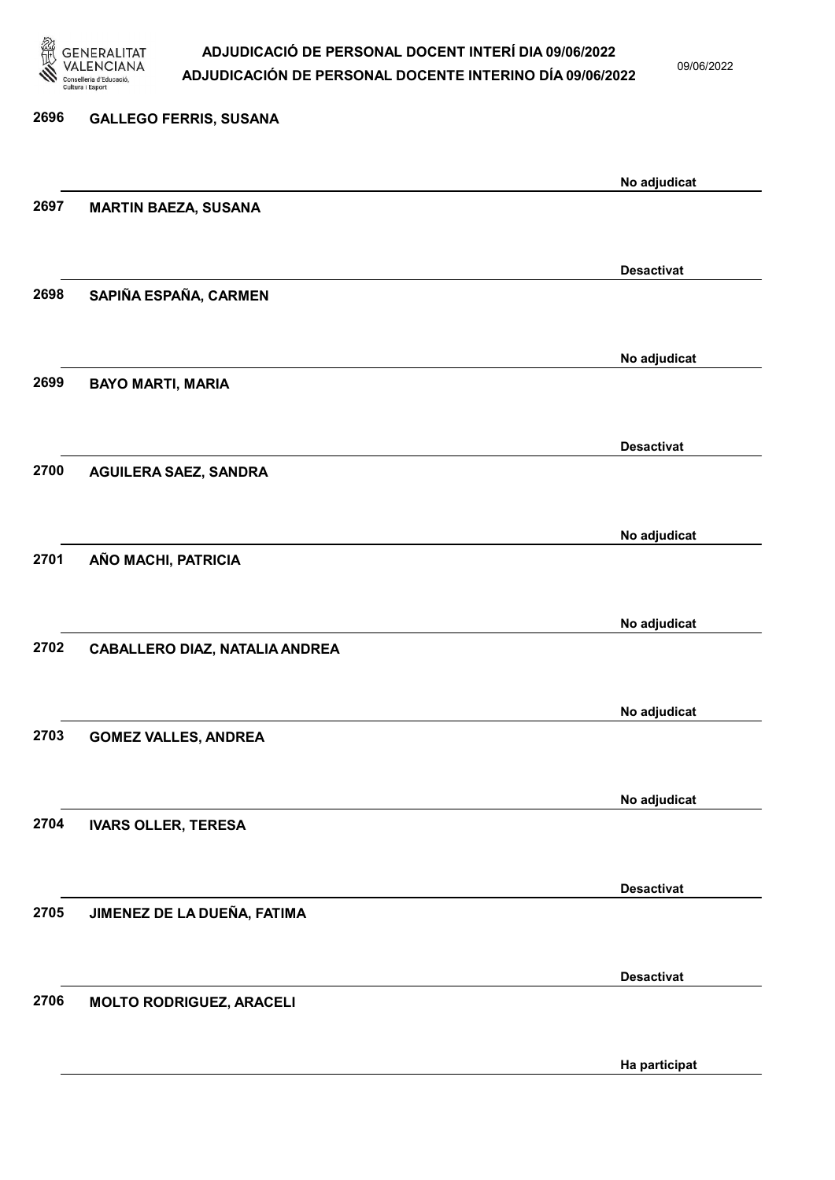

09/06/2022

Ha participat

| 2696 | <b>GALLEGO FERRIS, SUSANA</b>         |                   |
|------|---------------------------------------|-------------------|
|      |                                       | No adjudicat      |
| 2697 | <b>MARTIN BAEZA, SUSANA</b>           |                   |
|      |                                       | <b>Desactivat</b> |
| 2698 | SAPIÑA ESPAÑA, CARMEN                 |                   |
|      |                                       | No adjudicat      |
| 2699 | <b>BAYO MARTI, MARIA</b>              |                   |
|      |                                       | <b>Desactivat</b> |
| 2700 | <b>AGUILERA SAEZ, SANDRA</b>          |                   |
|      |                                       | No adjudicat      |
| 2701 | AÑO MACHI, PATRICIA                   |                   |
|      |                                       | No adjudicat      |
| 2702 | <b>CABALLERO DIAZ, NATALIA ANDREA</b> |                   |
|      |                                       | No adjudicat      |
| 2703 | <b>GOMEZ VALLES, ANDREA</b>           |                   |
|      |                                       | No adjudicat      |
| 2704 | <b>IVARS OLLER, TERESA</b>            |                   |
|      |                                       | <b>Desactivat</b> |
| 2705 | JIMENEZ DE LA DUEÑA, FATIMA           |                   |
|      |                                       | <b>Desactivat</b> |
| 2706 | <b>MOLTO RODRIGUEZ, ARACELI</b>       |                   |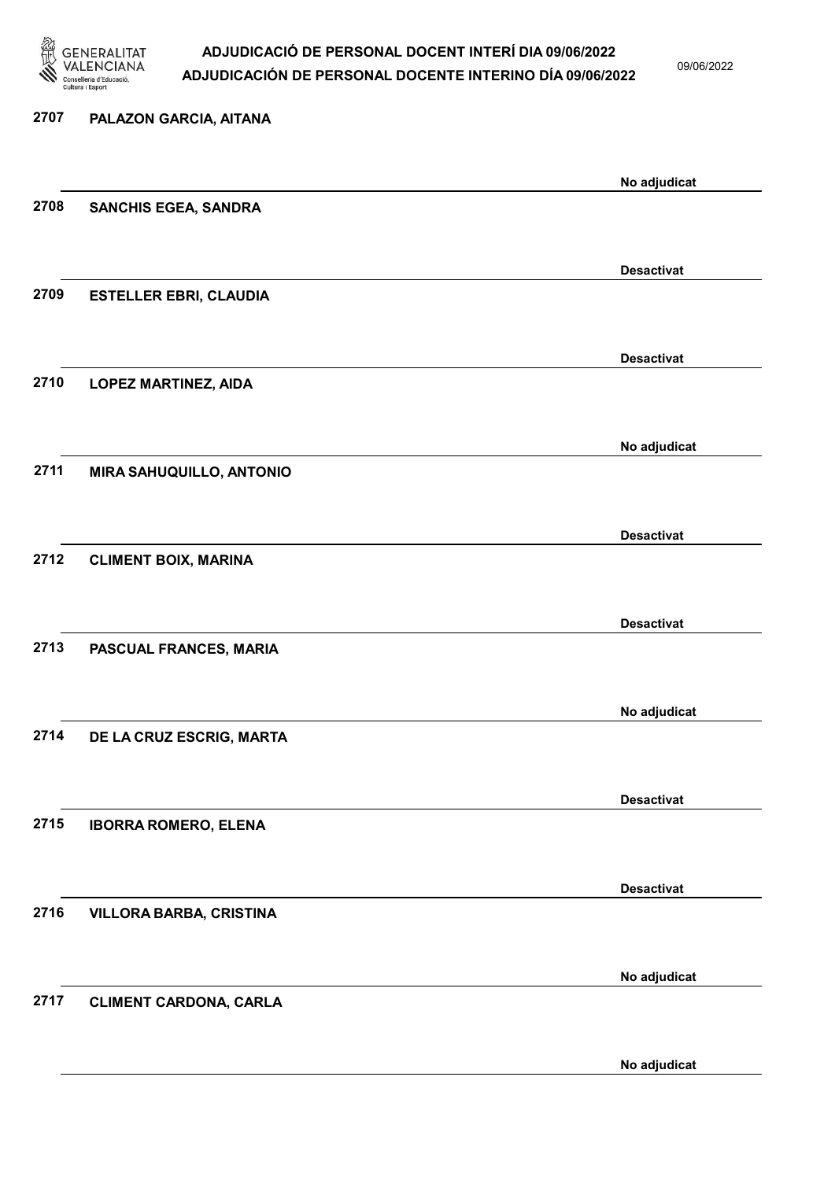

09/06/2022

# 2707 PALAZON GARCIA, AITANA No adjudicat 2708 SANCHIS EGEA, SANDRA Desactivat 2709 ESTELLER EBRI, CLAUDIA Desactivat 2710 LOPEZ MARTINEZ, AIDA No adjudicat 2711 MIRA SAHUQUILLO, ANTONIO Desactivat 2712 CLIMENT BOIX, MARINA Desactivat 2713 PASCUAL FRANCES, MARIA No adjudicat 2714 DE LA CRUZ ESCRIG, MARTA Desactivat 2715 IBORRA ROMERO, ELENA Desactivat 2716 VILLORA BARBA, CRISTINA No adjudicat 2717 CLIMENT CARDONA, CARLA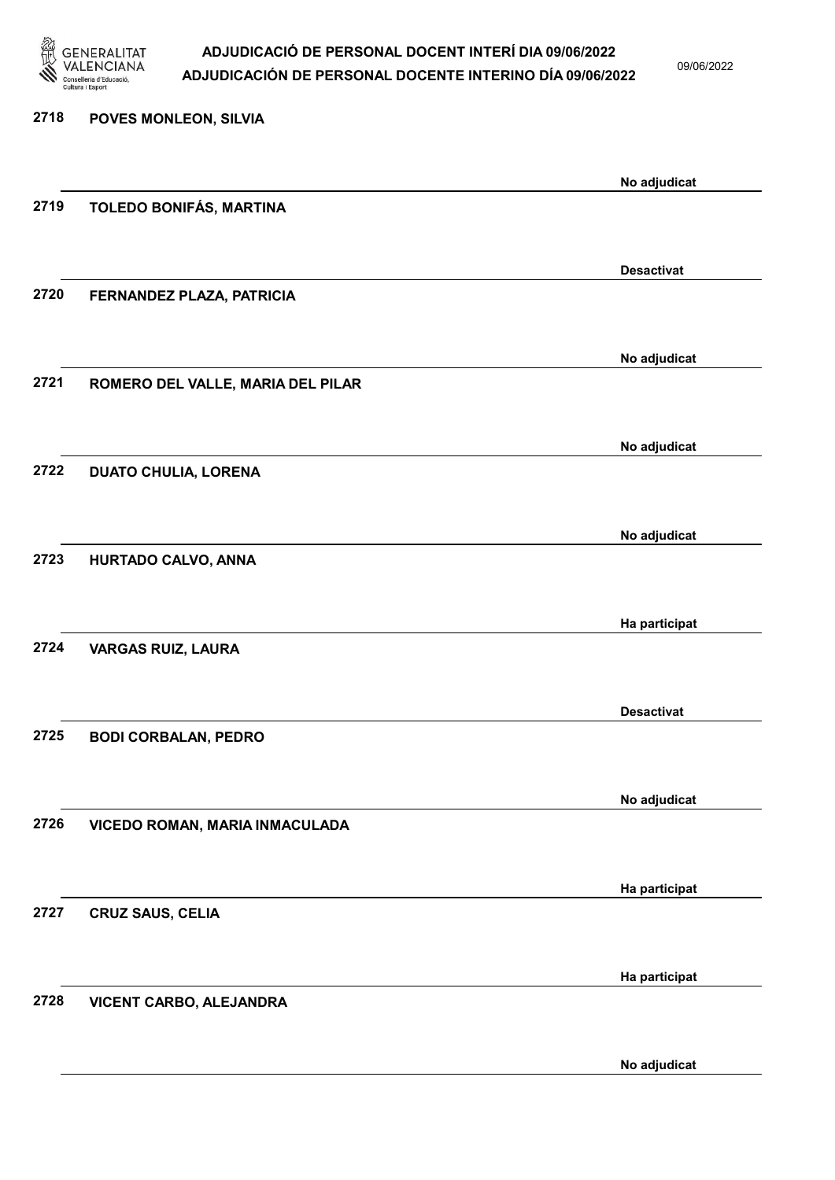

09/06/2022

### 2718 POVES MONLEON, SILVIA No adjudicat 2719 TOLEDO BONIFÁS, MARTINA Desactivat 2720 FERNANDEZ PLAZA, PATRICIA No adjudicat 2721 ROMERO DEL VALLE, MARIA DEL PILAR No adjudicat 2722 DUATO CHULIA, LORENA No adjudicat 2723 HURTADO CALVO, ANNA Ha participat 2724 VARGAS RUIZ, LAURA Desactivat 2725 BODI CORBALAN, PEDRO No adjudicat 2726 VICEDO ROMAN, MARIA INMACULADA Ha participat 2727 CRUZ SAUS, CELIA Ha participat 2728 VICENT CARBO, ALEJANDRA No adjudicat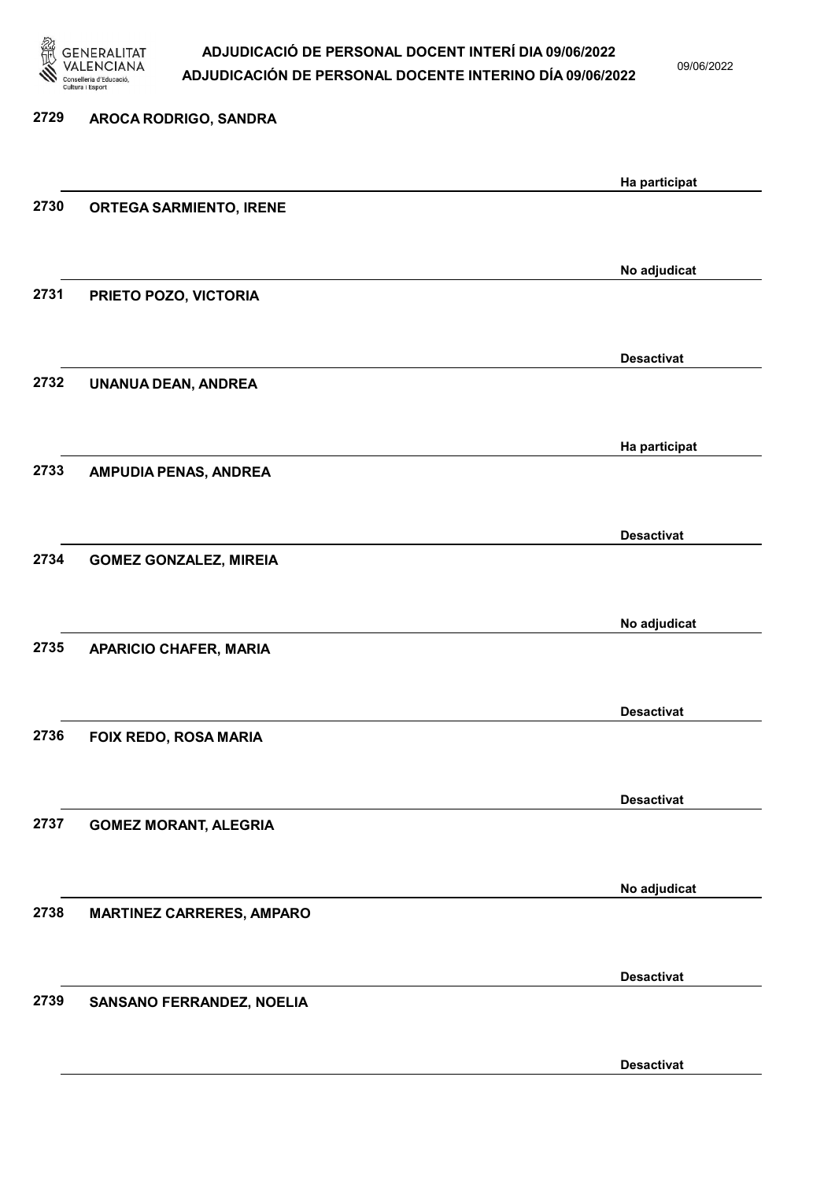

09/06/2022

Desactivat

# 2729 AROCA RODRIGO, SANDRA Ha participat 2730 ORTEGA SARMIENTO, IRENE No adjudicat 2731 PRIETO POZO, VICTORIA Desactivat 2732 UNANUA DEAN, ANDREA Ha participat 2733 AMPUDIA PENAS, ANDREA Desactivat 2734 GOMEZ GONZALEZ, MIREIA No adjudicat 2735 APARICIO CHAFER, MARIA Desactivat 2736 FOIX REDO, ROSA MARIA Desactivat 2737 GOMEZ MORANT, ALEGRIA No adjudicat 2738 MARTINEZ CARRERES, AMPARO Desactivat 2739 SANSANO FERRANDEZ, NOELIA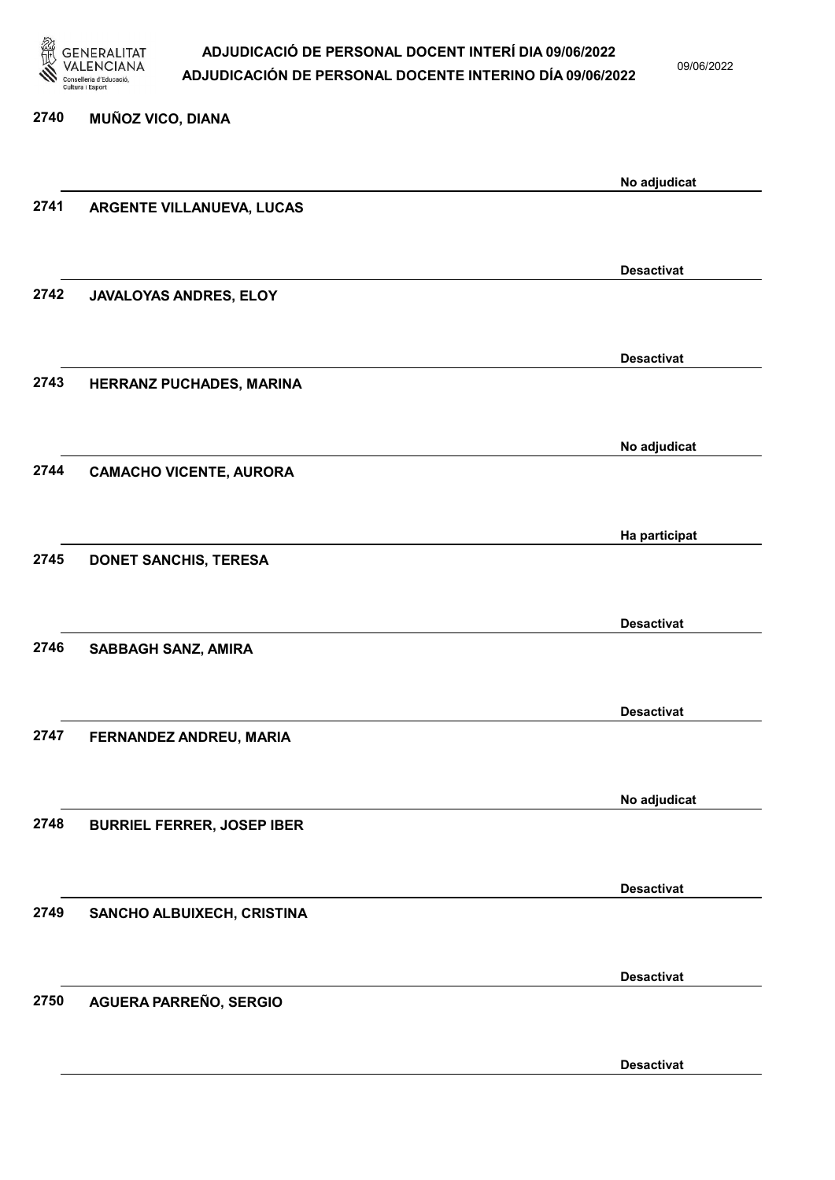

09/06/2022

Desactivat

| 2740 | <b>MUÑOZ VICO, DIANA</b>          |                   |
|------|-----------------------------------|-------------------|
|      |                                   | No adjudicat      |
| 2741 | ARGENTE VILLANUEVA, LUCAS         |                   |
|      |                                   |                   |
|      |                                   | <b>Desactivat</b> |
| 2742 | JAVALOYAS ANDRES, ELOY            |                   |
|      |                                   | <b>Desactivat</b> |
| 2743 | HERRANZ PUCHADES, MARINA          |                   |
|      |                                   |                   |
|      |                                   | No adjudicat      |
| 2744 | <b>CAMACHO VICENTE, AURORA</b>    |                   |
|      |                                   |                   |
| 2745 | <b>DONET SANCHIS, TERESA</b>      | Ha participat     |
|      |                                   |                   |
|      |                                   | <b>Desactivat</b> |
| 2746 | SABBAGH SANZ, AMIRA               |                   |
|      |                                   |                   |
|      |                                   | <b>Desactivat</b> |
| 2747 | FERNANDEZ ANDREU, MARIA           |                   |
|      |                                   |                   |
| 2748 | <b>BURRIEL FERRER, JOSEP IBER</b> | No adjudicat      |
|      |                                   |                   |
|      |                                   | <b>Desactivat</b> |
| 2749 | SANCHO ALBUIXECH, CRISTINA        |                   |
|      |                                   |                   |
|      |                                   | <b>Desactivat</b> |
| 2750 | AGUERA PARREÑO, SERGIO            |                   |
|      |                                   |                   |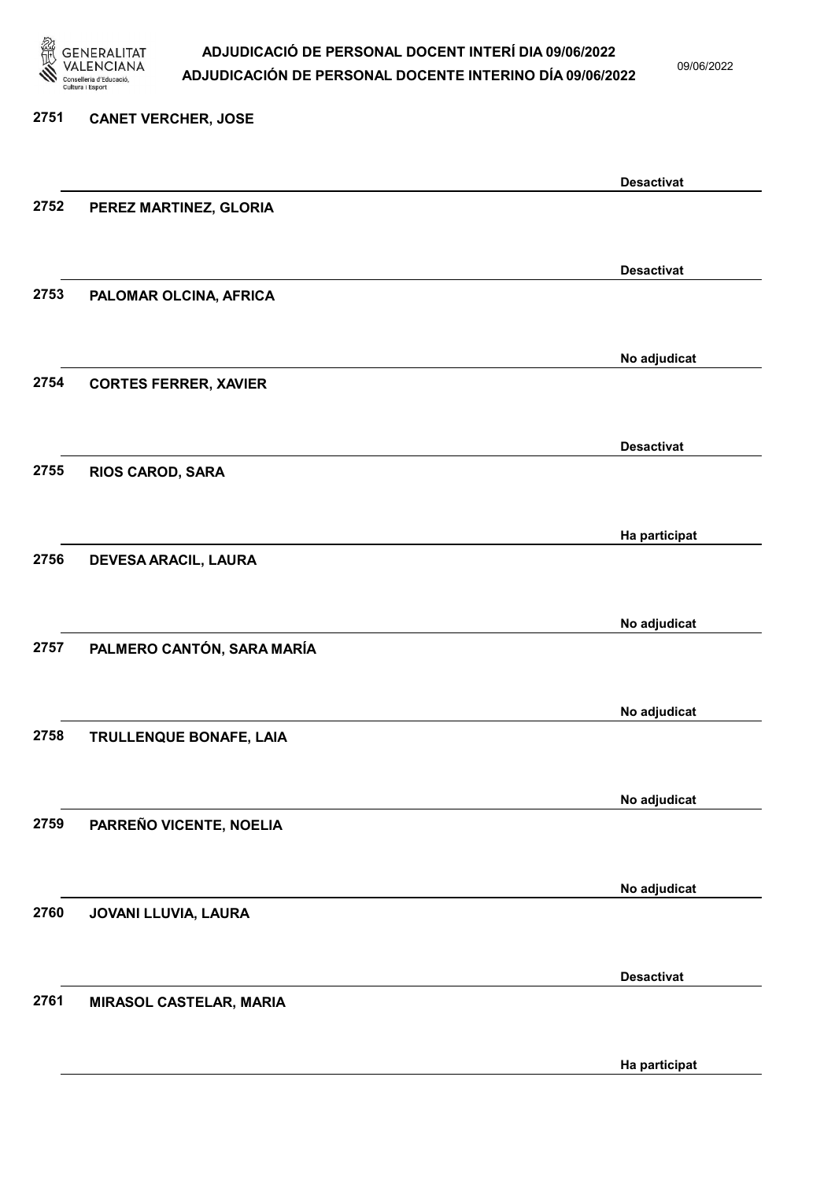

09/06/2022

### 2751 CANET VERCHER, JOSE Desactivat 2752 PEREZ MARTINEZ, GLORIA Desactivat 2753 PALOMAR OLCINA, AFRICA No adjudicat 2754 CORTES FERRER, XAVIER Desactivat 2755 RIOS CAROD, SARA Ha participat 2756 DEVESA ARACIL, LAURA No adjudicat 2757 PALMERO CANTÓN, SARA MARÍA No adjudicat 2758 TRULLENQUE BONAFE, LAIA No adjudicat 2759 PARREÑO VICENTE, NOELIA No adjudicat 2760 JOVANI LLUVIA, LAURA Desactivat 2761 MIRASOL CASTELAR, MARIA

Ha participat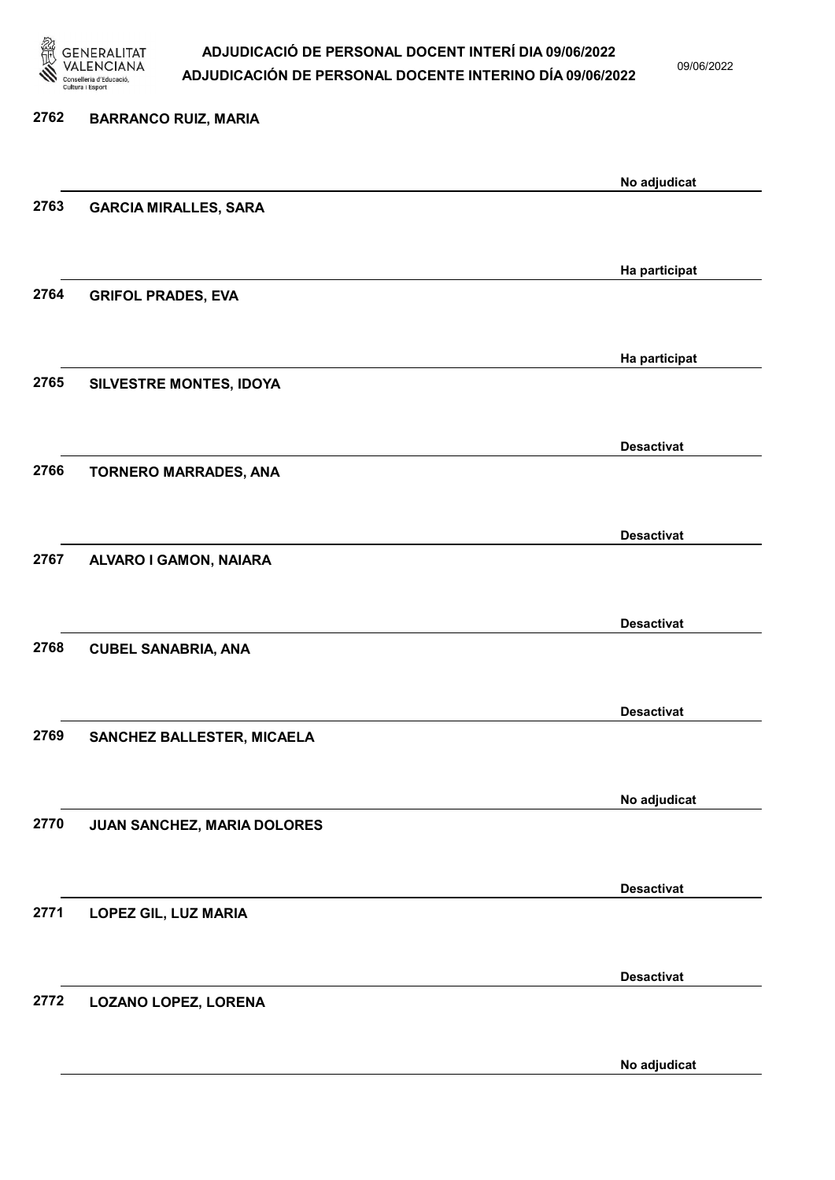

09/06/2022

No adjudicat

# 2762 BARRANCO RUIZ, MARIA No adjudicat 2763 GARCIA MIRALLES, SARA Ha participat 2764 GRIFOL PRADES, EVA Ha participat 2765 SILVESTRE MONTES, IDOYA Desactivat 2766 TORNERO MARRADES, ANA Desactivat 2767 ALVARO I GAMON, NAIARA Desactivat 2768 CUBEL SANABRIA, ANA Desactivat 2769 SANCHEZ BALLESTER, MICAELA No adjudicat 2770 JUAN SANCHEZ, MARIA DOLORES Desactivat 2771 LOPEZ GIL, LUZ MARIA Desactivat 2772 LOZANO LOPEZ, LORENA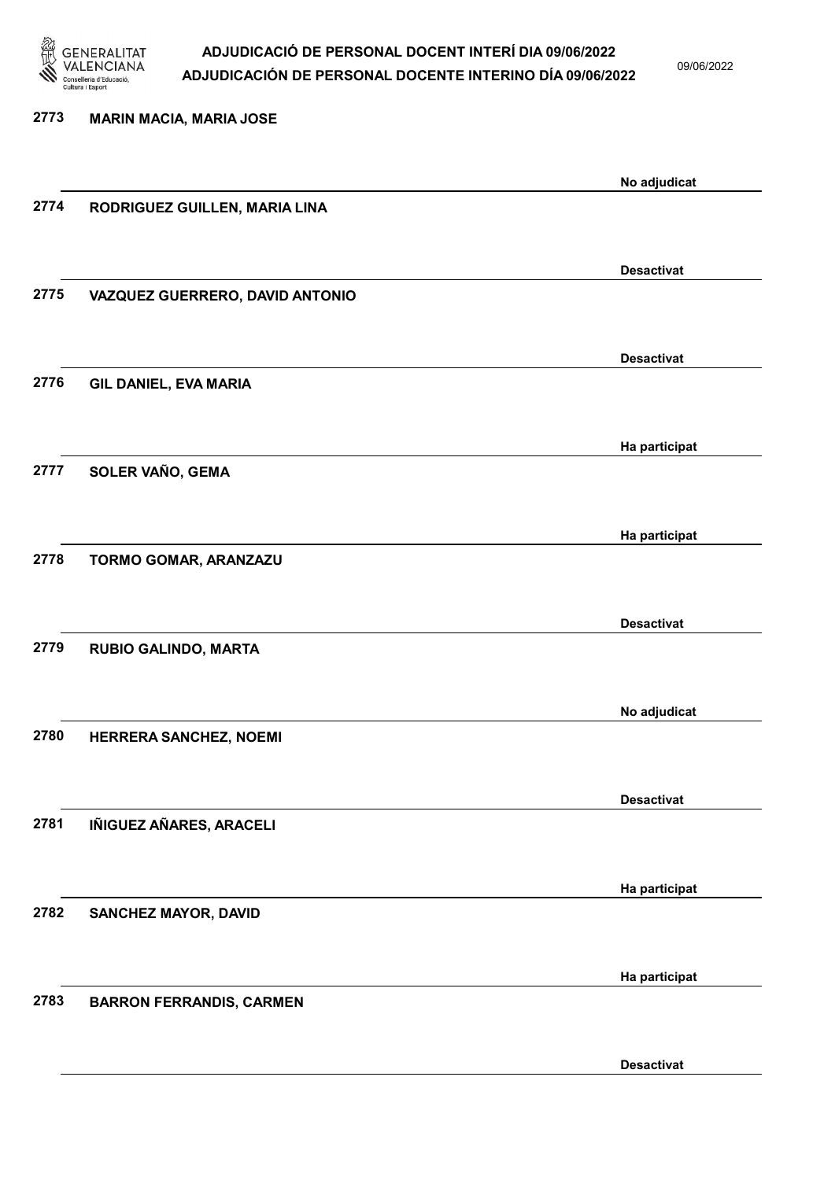

09/06/2022

Desactivat

2773 MARIN MACIA, MARIA JOSE No adjudicat 2774 RODRIGUEZ GUILLEN, MARIA LINA Desactivat 2775 VAZQUEZ GUERRERO, DAVID ANTONIO Desactivat 2776 GIL DANIEL, EVA MARIA Ha participat 2777 SOLER VAÑO, GEMA Ha participat 2778 TORMO GOMAR, ARANZAZU Desactivat 2779 RUBIO GALINDO, MARTA No adjudicat 2780 HERRERA SANCHEZ, NOEMI Desactivat 2781 IÑIGUEZ AÑARES, ARACELI Ha participat 2782 SANCHEZ MAYOR, DAVID Ha participat 2783 BARRON FERRANDIS, CARMEN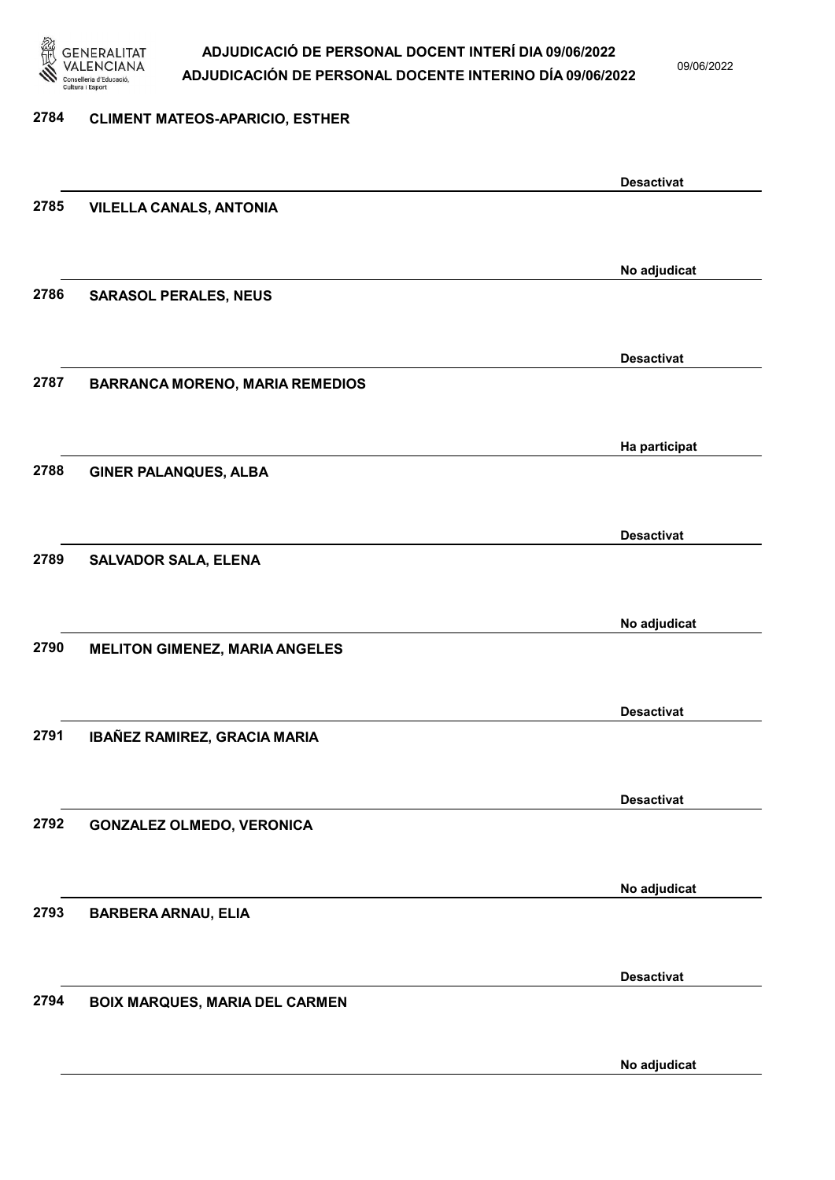

09/06/2022

#### 2784 CLIMENT MATEOS-APARICIO, ESTHER

|      |                                        | <b>Desactivat</b> |
|------|----------------------------------------|-------------------|
| 2785 | <b>VILELLA CANALS, ANTONIA</b>         |                   |
|      |                                        |                   |
|      |                                        |                   |
|      |                                        | No adjudicat      |
| 2786 | <b>SARASOL PERALES, NEUS</b>           |                   |
|      |                                        |                   |
|      |                                        | <b>Desactivat</b> |
| 2787 | <b>BARRANCA MORENO, MARIA REMEDIOS</b> |                   |
|      |                                        |                   |
|      |                                        |                   |
|      |                                        | Ha participat     |
| 2788 | <b>GINER PALANQUES, ALBA</b>           |                   |
|      |                                        |                   |
|      |                                        |                   |
| 2789 |                                        | <b>Desactivat</b> |
|      | <b>SALVADOR SALA, ELENA</b>            |                   |
|      |                                        |                   |
|      |                                        | No adjudicat      |
| 2790 | <b>MELITON GIMENEZ, MARIA ANGELES</b>  |                   |
|      |                                        |                   |
|      |                                        | <b>Desactivat</b> |
| 2791 |                                        |                   |
|      | IBAÑEZ RAMIREZ, GRACIA MARIA           |                   |
|      |                                        |                   |
|      |                                        | <b>Desactivat</b> |
| 2792 | <b>GONZALEZ OLMEDO, VERONICA</b>       |                   |
|      |                                        |                   |
|      |                                        |                   |
| 2793 |                                        | No adjudicat      |
|      | <b>BARBERA ARNAU, ELIA</b>             |                   |
|      |                                        |                   |
|      |                                        | <b>Desactivat</b> |
| 2794 | <b>BOIX MARQUES, MARIA DEL CARMEN</b>  |                   |
|      |                                        |                   |
|      |                                        |                   |
|      |                                        | No adjudicat      |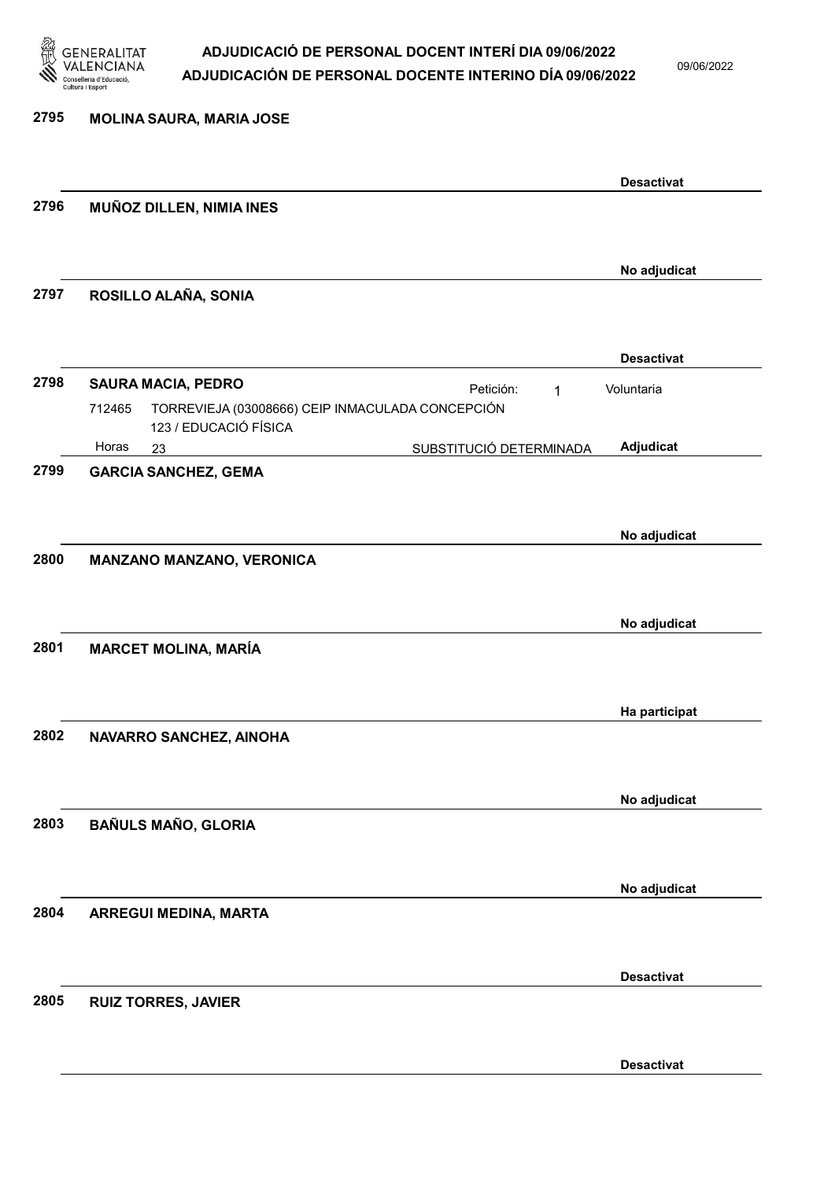

09/06/2022

| 2795 | <b>MOLINA SAURA, MARIA JOSE</b>                                                     |                   |
|------|-------------------------------------------------------------------------------------|-------------------|
|      |                                                                                     | <b>Desactivat</b> |
| 2796 | MUÑOZ DILLEN, NIMIA INES                                                            |                   |
|      |                                                                                     | No adjudicat      |
| 2797 | ROSILLO ALAÑA, SONIA                                                                |                   |
|      |                                                                                     | <b>Desactivat</b> |
| 2798 | <b>SAURA MACIA, PEDRO</b><br>Petición:<br>1                                         | Voluntaria        |
|      | TORREVIEJA (03008666) CEIP INMACULADA CONCEPCIÓN<br>712465<br>123 / EDUCACIÓ FÍSICA |                   |
|      | Horas<br>SUBSTITUCIÓ DETERMINADA<br>23                                              | Adjudicat         |
| 2799 | <b>GARCIA SANCHEZ, GEMA</b>                                                         |                   |
|      |                                                                                     |                   |
|      |                                                                                     | No adjudicat      |
| 2800 | MANZANO MANZANO, VERONICA                                                           |                   |
|      |                                                                                     |                   |
|      |                                                                                     | No adjudicat      |
| 2801 | <b>MARCET MOLINA, MARÍA</b>                                                         |                   |
|      |                                                                                     |                   |
|      |                                                                                     | Ha participat     |
| 2802 | NAVARRO SANCHEZ, AINOHA                                                             |                   |
|      |                                                                                     |                   |
|      |                                                                                     |                   |
|      |                                                                                     | No adjudicat      |
| 2803 | <b>BAÑULS MAÑO, GLORIA</b>                                                          |                   |
|      |                                                                                     |                   |
|      |                                                                                     | No adjudicat      |
| 2804 | ARREGUI MEDINA, MARTA                                                               |                   |
|      |                                                                                     |                   |
|      |                                                                                     |                   |
| 2805 |                                                                                     | <b>Desactivat</b> |
|      | <b>RUIZ TORRES, JAVIER</b>                                                          |                   |
|      |                                                                                     |                   |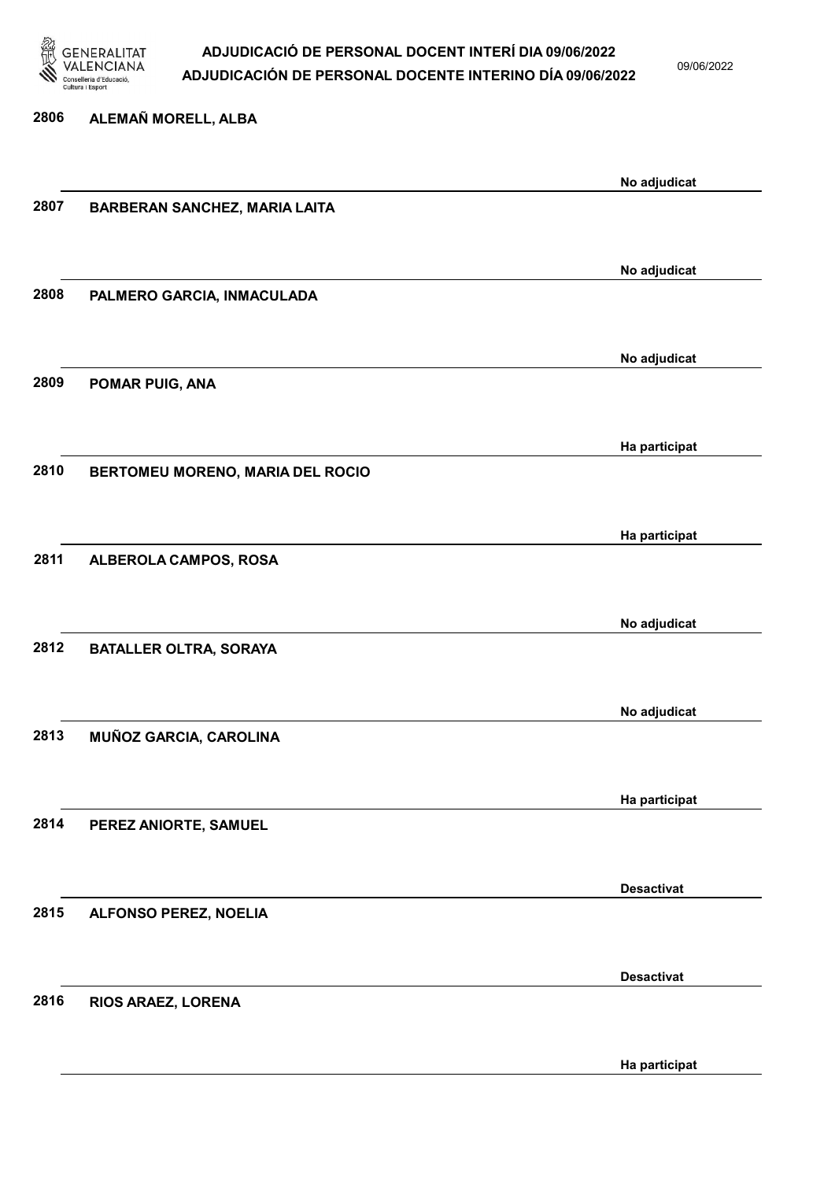

09/06/2022

2806 ALEMAÑ MORELL, ALBA No adjudicat 2807 BARBERAN SANCHEZ, MARIA LAITA No adjudicat 2808 PALMERO GARCIA, INMACULADA No adjudicat 2809 POMAR PUIG, ANA Ha participat 2810 BERTOMEU MORENO, MARIA DEL ROCIO Ha participat 2811 ALBEROLA CAMPOS, ROSA No adjudicat 2812 BATALLER OLTRA, SORAYA No adjudicat 2813 MUÑOZ GARCIA, CAROLINA Ha participat 2814 PEREZ ANIORTE, SAMUEL Desactivat 2815 ALFONSO PEREZ, NOELIA Desactivat 2816 RIOS ARAEZ, LORENA

Ha participat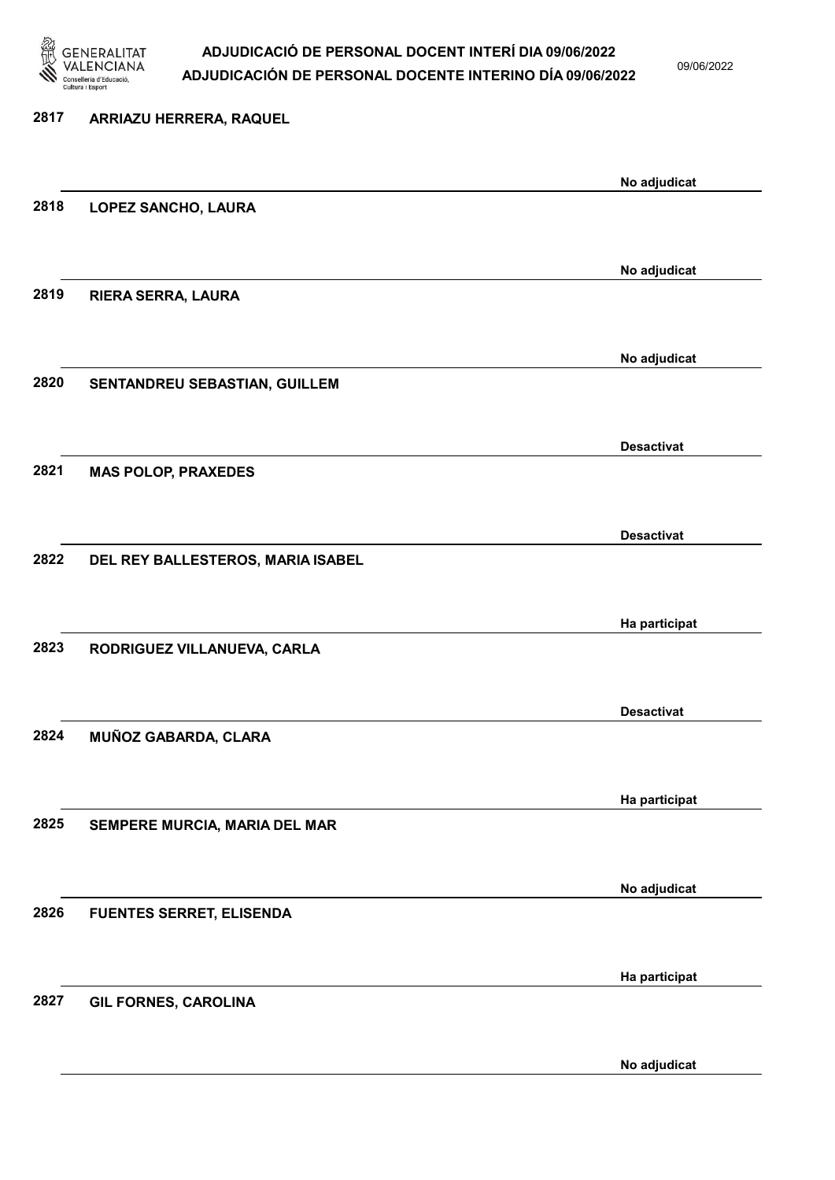

09/06/2022

| 2817 | ARRIAZU HERRERA, RAQUEL           |                   |
|------|-----------------------------------|-------------------|
|      |                                   | No adjudicat      |
| 2818 | LOPEZ SANCHO, LAURA               |                   |
|      |                                   |                   |
| 2819 | RIERA SERRA, LAURA                | No adjudicat      |
|      |                                   |                   |
|      |                                   | No adjudicat      |
| 2820 | SENTANDREU SEBASTIAN, GUILLEM     |                   |
|      |                                   |                   |
| 2821 | <b>MAS POLOP, PRAXEDES</b>        | <b>Desactivat</b> |
|      |                                   |                   |
|      |                                   | <b>Desactivat</b> |
| 2822 | DEL REY BALLESTEROS, MARIA ISABEL |                   |
|      |                                   | Ha participat     |
| 2823 | RODRIGUEZ VILLANUEVA, CARLA       |                   |
|      |                                   |                   |
|      |                                   | <b>Desactivat</b> |
| 2824 | MUÑOZ GABARDA, CLARA              |                   |
|      |                                   | Ha participat     |
| 2825 | SEMPERE MURCIA, MARIA DEL MAR     |                   |
|      |                                   |                   |
| 2826 | <b>FUENTES SERRET, ELISENDA</b>   | No adjudicat      |
|      |                                   |                   |
|      |                                   | Ha participat     |
| 2827 | <b>GIL FORNES, CAROLINA</b>       |                   |
|      |                                   |                   |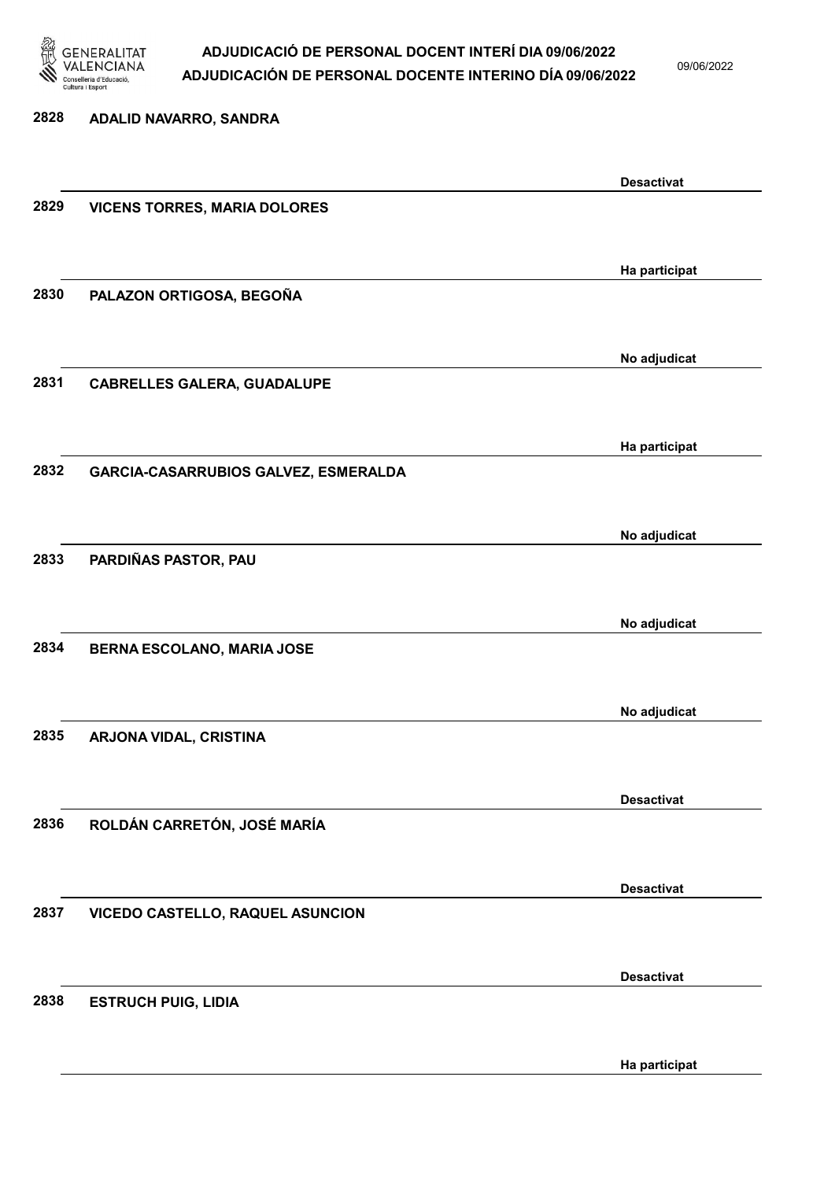

09/06/2022

Ha participat

2828 ADALID NAVARRO, SANDRA Desactivat 2829 VICENS TORRES, MARIA DOLORES Ha participat 2830 PALAZON ORTIGOSA, BEGOÑA No adjudicat 2831 CABRELLES GALERA, GUADALUPE Ha participat 2832 GARCIA-CASARRUBIOS GALVEZ, ESMERALDA No adjudicat 2833 PARDIÑAS PASTOR, PAU No adjudicat 2834 BERNA ESCOLANO, MARIA JOSE No adjudicat 2835 ARJONA VIDAL, CRISTINA Desactivat 2836 ROLDÁN CARRETÓN, JOSÉ MARÍA Desactivat 2837 VICEDO CASTELLO, RAQUEL ASUNCION Desactivat 2838 ESTRUCH PUIG, LIDIA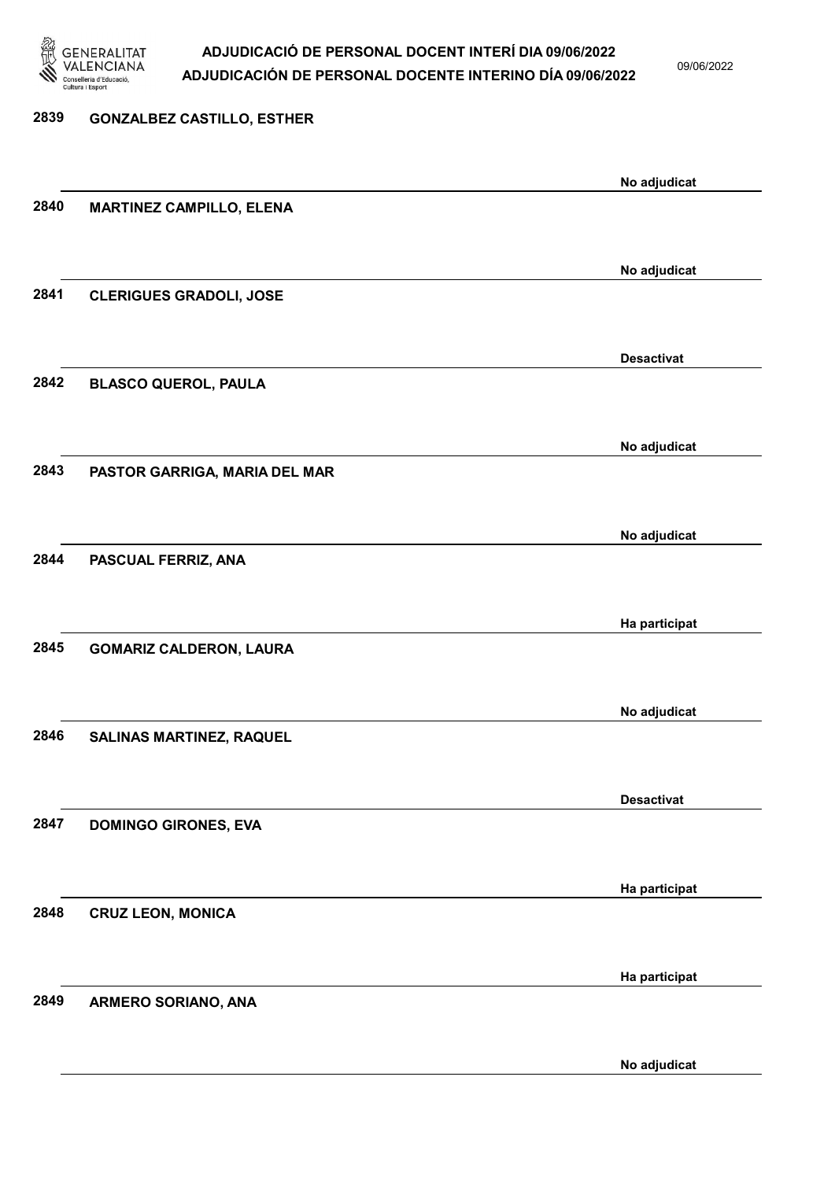

09/06/2022

No adjudicat

# 2839 GONZALBEZ CASTILLO, ESTHER No adjudicat 2840 MARTINEZ CAMPILLO, ELENA No adjudicat 2841 CLERIGUES GRADOLI, JOSE Desactivat 2842 BLASCO QUEROL, PAULA No adjudicat 2843 PASTOR GARRIGA, MARIA DEL MAR No adjudicat 2844 PASCUAL FERRIZ, ANA Ha participat 2845 GOMARIZ CALDERON, LAURA No adjudicat 2846 SALINAS MARTINEZ, RAQUEL Desactivat 2847 DOMINGO GIRONES, EVA Ha participat 2848 CRUZ LEON, MONICA Ha participat 2849 ARMERO SORIANO, ANA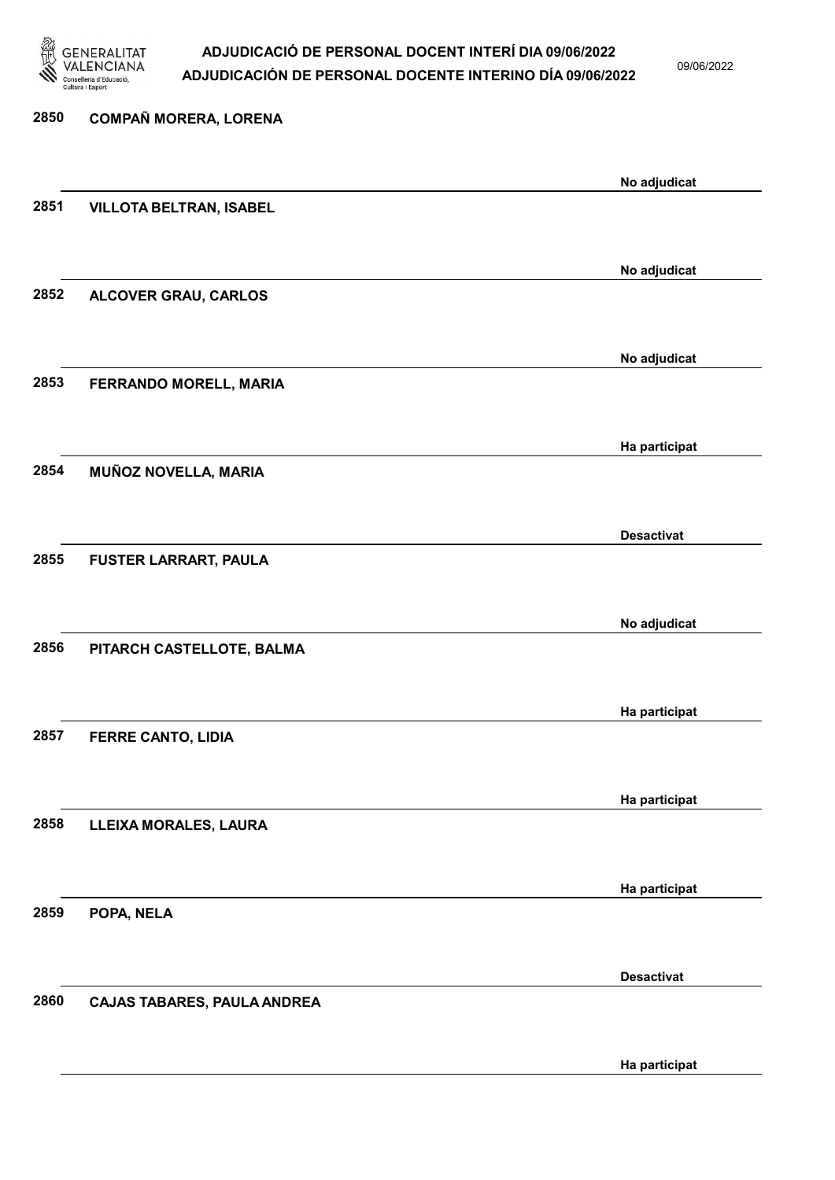

09/06/2022

Ha participat

# 2850 COMPAÑ MORERA, LORENA No adjudicat 2851 VILLOTA BELTRAN, ISABEL No adjudicat 2852 ALCOVER GRAU, CARLOS No adjudicat 2853 FERRANDO MORELL, MARIA Ha participat 2854 MUÑOZ NOVELLA, MARIA Desactivat 2855 FUSTER LARRART, PAULA No adjudicat 2856 PITARCH CASTELLOTE, BALMA Ha participat 2857 FERRE CANTO, LIDIA Ha participat 2858 LLEIXA MORALES, LAURA Ha participat 2859 POPA, NELA Desactivat 2860 CAJAS TABARES, PAULA ANDREA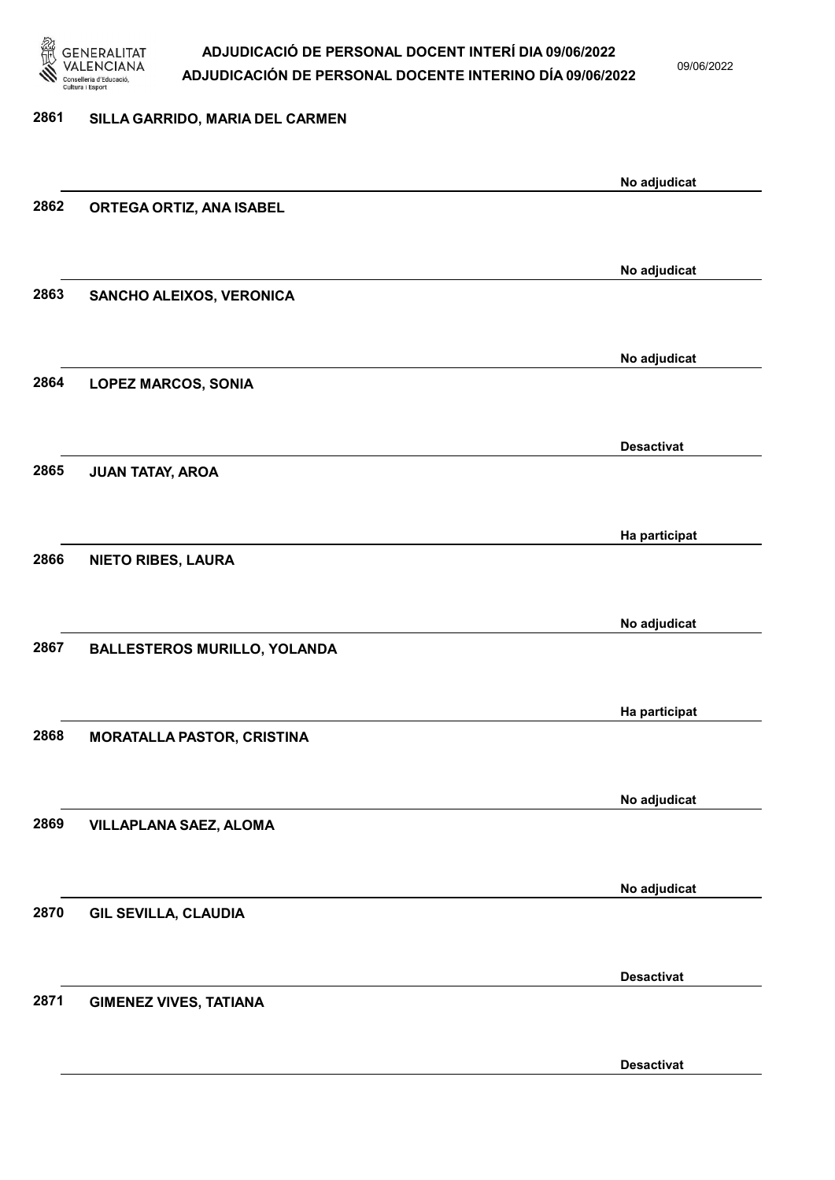

09/06/2022

| 2861 | SILLA GARRIDO, MARIA DEL CARMEN     |                   |
|------|-------------------------------------|-------------------|
|      |                                     |                   |
|      |                                     | No adjudicat      |
| 2862 | ORTEGA ORTIZ, ANA ISABEL            |                   |
|      |                                     |                   |
|      |                                     | No adjudicat      |
| 2863 | SANCHO ALEIXOS, VERONICA            |                   |
|      |                                     |                   |
|      |                                     | No adjudicat      |
| 2864 | <b>LOPEZ MARCOS, SONIA</b>          |                   |
|      |                                     |                   |
|      |                                     |                   |
| 2865 | <b>JUAN TATAY, AROA</b>             | <b>Desactivat</b> |
|      |                                     |                   |
|      |                                     |                   |
|      |                                     | Ha participat     |
| 2866 | <b>NIETO RIBES, LAURA</b>           |                   |
|      |                                     |                   |
|      |                                     | No adjudicat      |
| 2867 | <b>BALLESTEROS MURILLO, YOLANDA</b> |                   |
|      |                                     |                   |
|      |                                     | Ha participat     |
| 2868 | <b>MORATALLA PASTOR, CRISTINA</b>   |                   |
|      |                                     |                   |
|      |                                     | No adjudicat      |
| 2869 | <b>VILLAPLANA SAEZ, ALOMA</b>       |                   |
|      |                                     |                   |
|      |                                     | No adjudicat      |
| 2870 | <b>GIL SEVILLA, CLAUDIA</b>         |                   |
|      |                                     |                   |
|      |                                     | <b>Desactivat</b> |
| 2871 | <b>GIMENEZ VIVES, TATIANA</b>       |                   |
|      |                                     |                   |
|      |                                     |                   |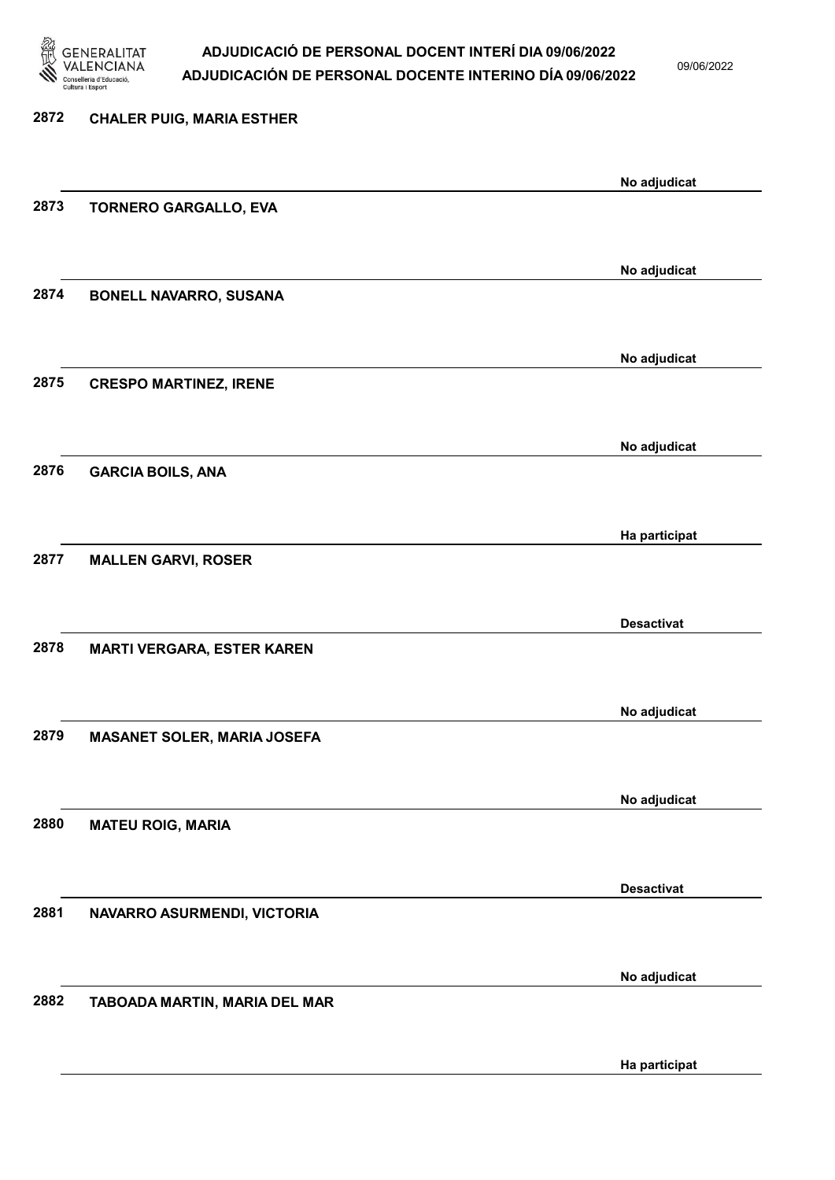

09/06/2022

| 2872 | <b>CHALER PUIG, MARIA ESTHER</b>   |                   |
|------|------------------------------------|-------------------|
|      |                                    | No adjudicat      |
| 2873 | <b>TORNERO GARGALLO, EVA</b>       |                   |
|      |                                    | No adjudicat      |
| 2874 | <b>BONELL NAVARRO, SUSANA</b>      |                   |
|      |                                    | No adjudicat      |
| 2875 | <b>CRESPO MARTINEZ, IRENE</b>      |                   |
|      |                                    | No adjudicat      |
| 2876 | <b>GARCIA BOILS, ANA</b>           |                   |
| 2877 |                                    | Ha participat     |
|      | <b>MALLEN GARVI, ROSER</b>         |                   |
| 2878 | <b>MARTI VERGARA, ESTER KAREN</b>  | <b>Desactivat</b> |
|      |                                    |                   |
| 2879 | <b>MASANET SOLER, MARIA JOSEFA</b> | No adjudicat      |
|      |                                    |                   |
| 2880 | <b>MATEU ROIG, MARIA</b>           | No adjudicat      |
|      |                                    |                   |
| 2881 | NAVARRO ASURMENDI, VICTORIA        | <b>Desactivat</b> |
|      |                                    |                   |
| 2882 | TABOADA MARTIN, MARIA DEL MAR      | No adjudicat      |
|      |                                    |                   |
|      |                                    | Ha participat     |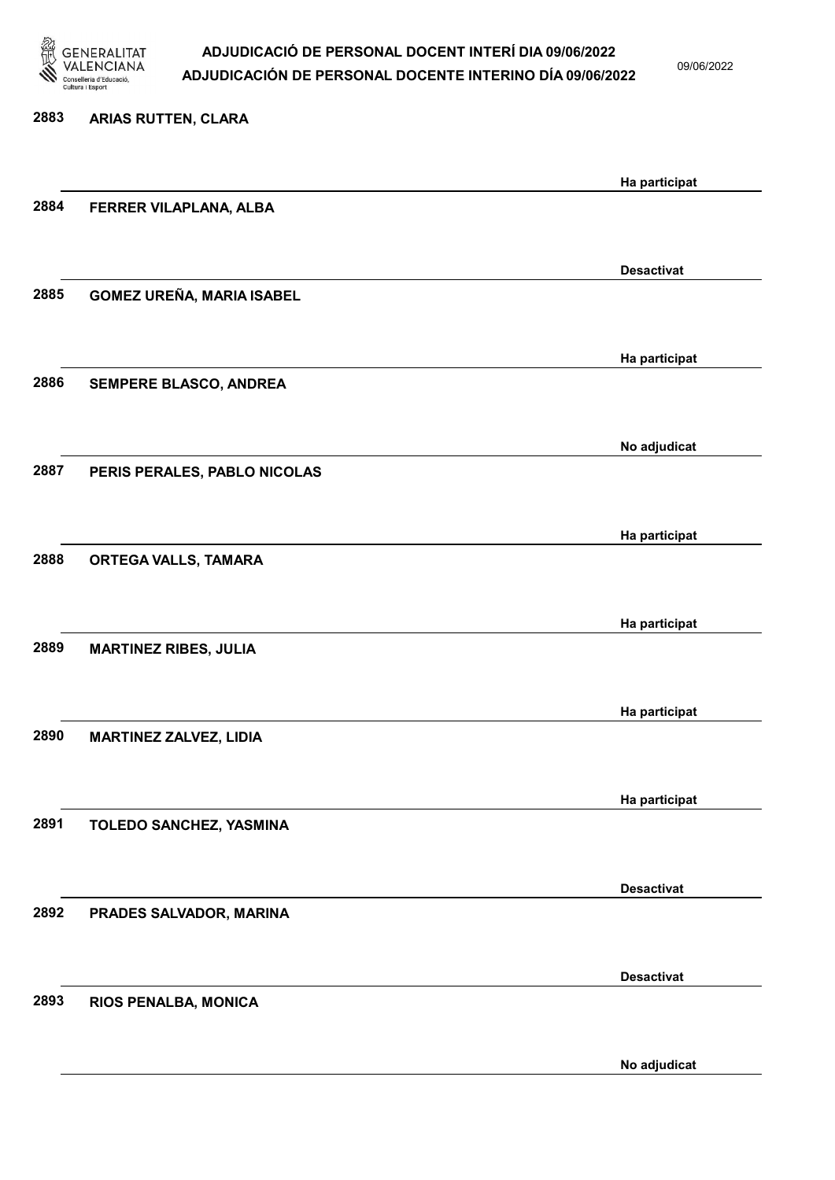

09/06/2022

No adjudicat

# 2883 ARIAS RUTTEN, CLARA Ha participat 2884 FERRER VILAPLANA, ALBA Desactivat 2885 GOMEZ UREÑA, MARIA ISABEL Ha participat 2886 SEMPERE BLASCO, ANDREA No adjudicat 2887 PERIS PERALES, PABLO NICOLAS Ha participat 2888 ORTEGA VALLS, TAMARA Ha participat 2889 MARTINEZ RIBES, JULIA Ha participat 2890 MARTINEZ ZALVEZ, LIDIA Ha participat 2891 TOLEDO SANCHEZ, YASMINA Desactivat 2892 PRADES SALVADOR, MARINA Desactivat 2893 RIOS PENALBA, MONICA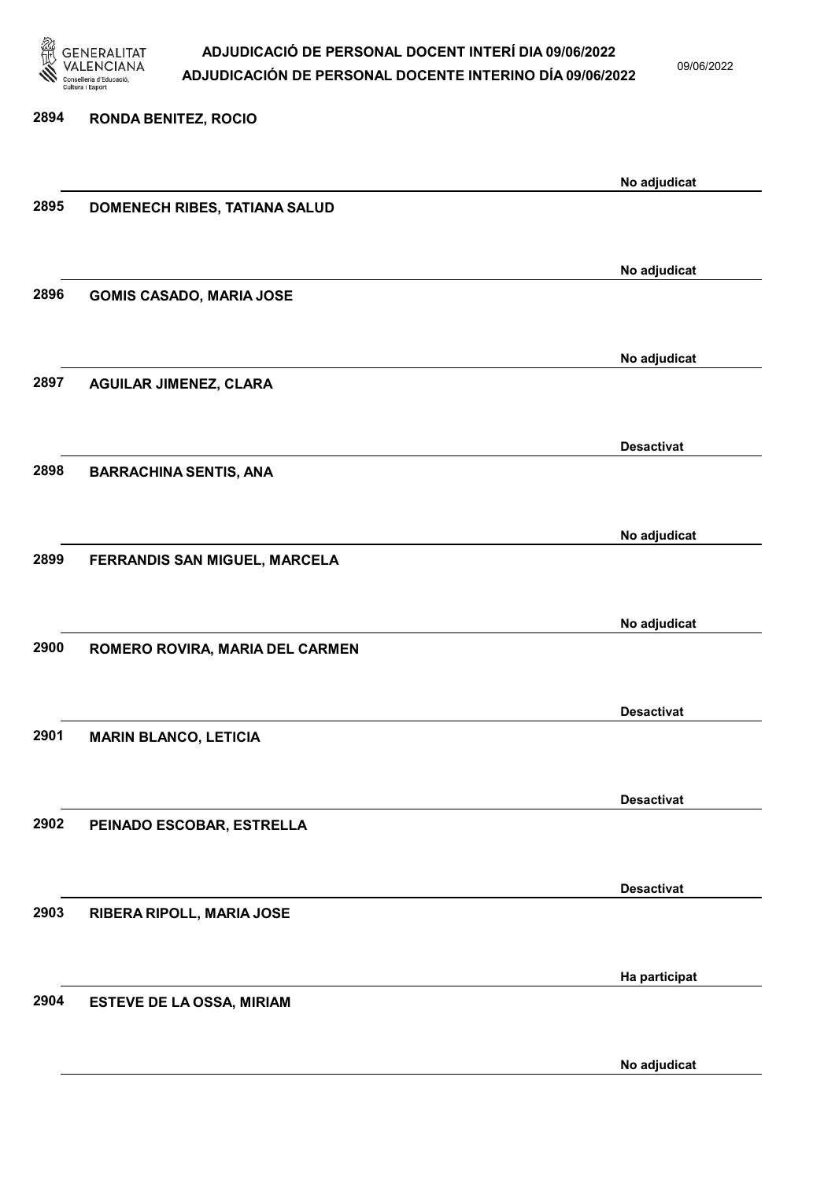

09/06/2022

2894 RONDA BENITEZ, ROCIO No adjudicat 2895 DOMENECH RIBES, TATIANA SALUD No adjudicat 2896 GOMIS CASADO, MARIA JOSE No adjudicat 2897 AGUILAR JIMENEZ, CLARA Desactivat 2898 BARRACHINA SENTIS, ANA No adjudicat 2899 FERRANDIS SAN MIGUEL, MARCELA No adjudicat 2900 ROMERO ROVIRA, MARIA DEL CARMEN Desactivat 2901 MARIN BLANCO, LETICIA Desactivat 2902 PEINADO ESCOBAR, ESTRELLA Desactivat 2903 RIBERA RIPOLL, MARIA JOSE Ha participat 2904 ESTEVE DE LA OSSA, MIRIAM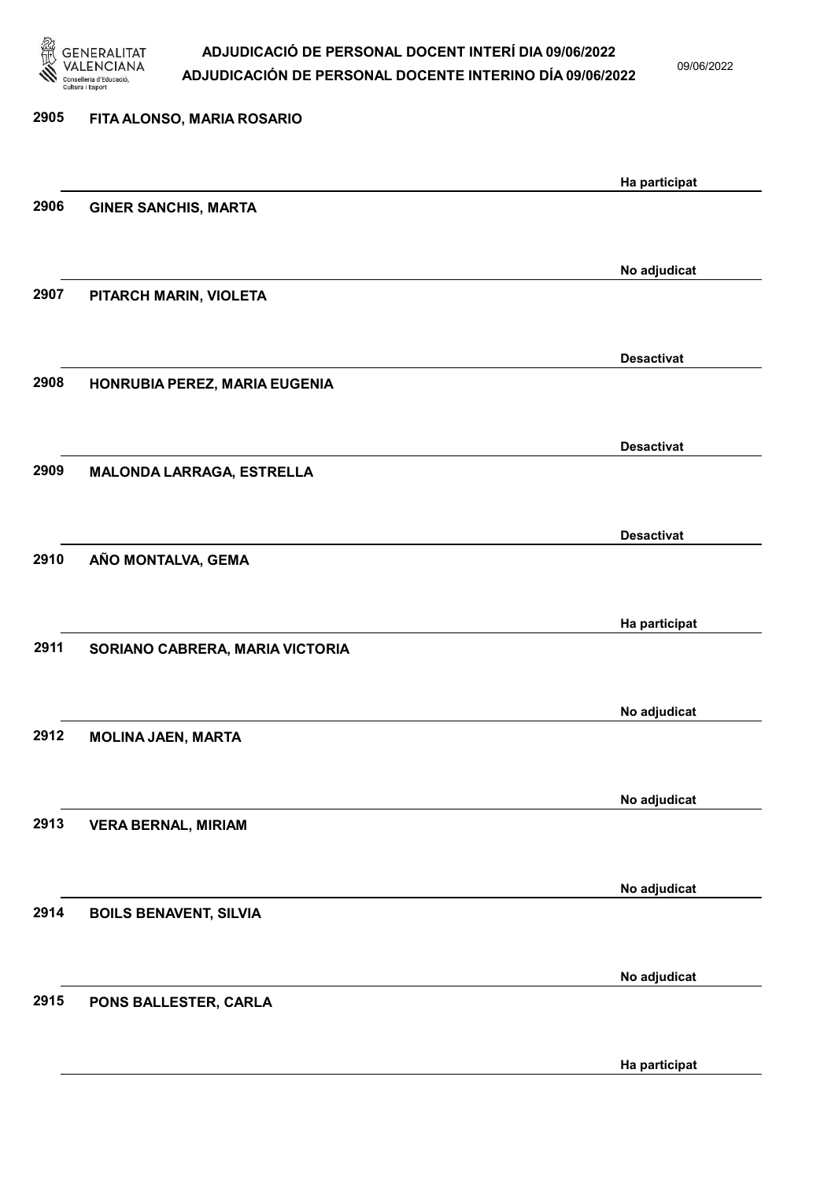

09/06/2022

| 2905 | FITA ALONSO, MARIA ROSARIO      |                   |
|------|---------------------------------|-------------------|
|      |                                 | Ha participat     |
| 2906 | <b>GINER SANCHIS, MARTA</b>     |                   |
|      |                                 |                   |
|      |                                 | No adjudicat      |
| 2907 | PITARCH MARIN, VIOLETA          |                   |
|      |                                 | <b>Desactivat</b> |
| 2908 | HONRUBIA PEREZ, MARIA EUGENIA   |                   |
|      |                                 |                   |
|      |                                 | <b>Desactivat</b> |
| 2909 | MALONDA LARRAGA, ESTRELLA       |                   |
|      |                                 | <b>Desactivat</b> |
| 2910 | AÑO MONTALVA, GEMA              |                   |
|      |                                 |                   |
|      |                                 | Ha participat     |
| 2911 | SORIANO CABRERA, MARIA VICTORIA |                   |
|      |                                 |                   |
| 2912 | <b>MOLINA JAEN, MARTA</b>       | No adjudicat      |
|      |                                 |                   |
|      |                                 | No adjudicat      |
| 2913 | <b>VERA BERNAL, MIRIAM</b>      |                   |
|      |                                 |                   |
| 2914 | <b>BOILS BENAVENT, SILVIA</b>   | No adjudicat      |
|      |                                 |                   |
|      |                                 | No adjudicat      |
| 2915 | PONS BALLESTER, CARLA           |                   |
|      |                                 |                   |

Ha participat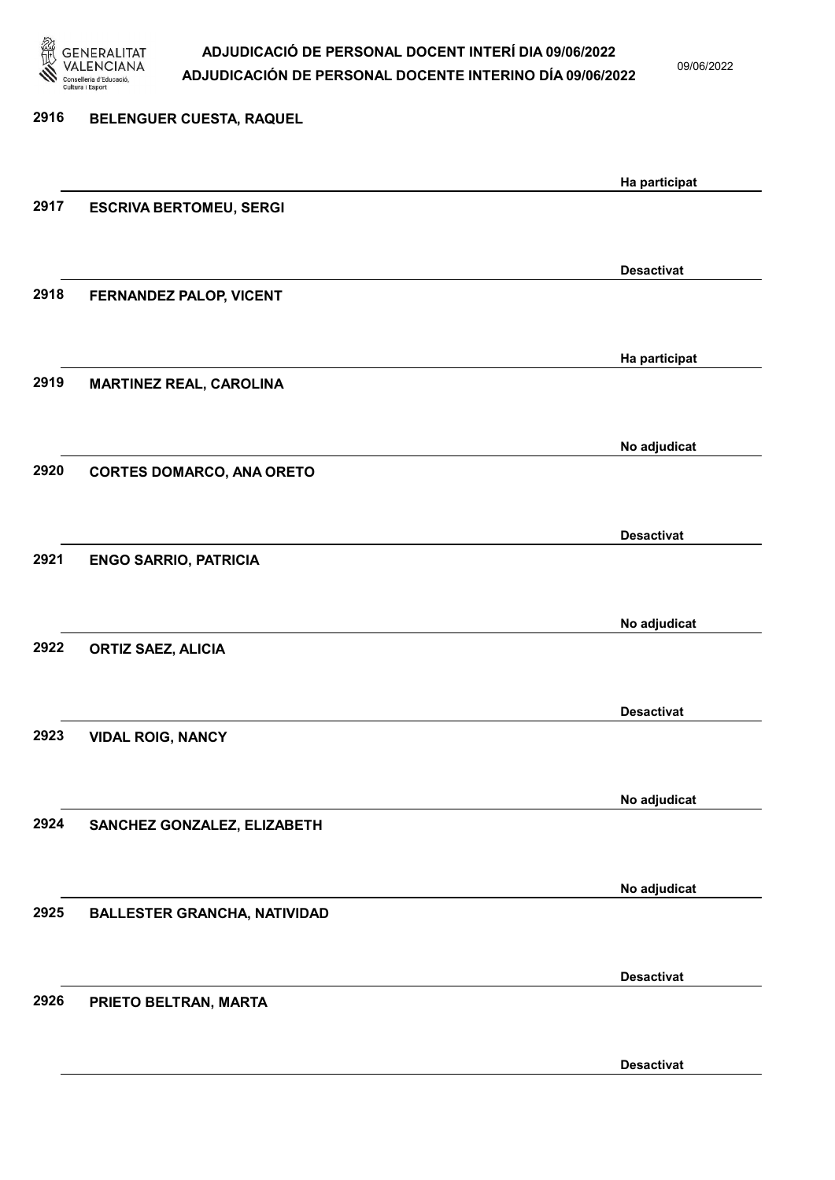

09/06/2022

Desactivat

# 2916 BELENGUER CUESTA, RAQUEL Ha participat 2917 ESCRIVA BERTOMEU, SERGI Desactivat 2918 FERNANDEZ PALOP, VICENT Ha participat 2919 MARTINEZ REAL, CAROLINA No adjudicat 2920 CORTES DOMARCO, ANA ORETO Desactivat 2921 ENGO SARRIO, PATRICIA No adjudicat 2922 ORTIZ SAEZ, ALICIA Desactivat 2923 VIDAL ROIG, NANCY No adjudicat 2924 SANCHEZ GONZALEZ, ELIZABETH No adjudicat 2925 BALLESTER GRANCHA, NATIVIDAD Desactivat 2926 PRIETO BELTRAN, MARTA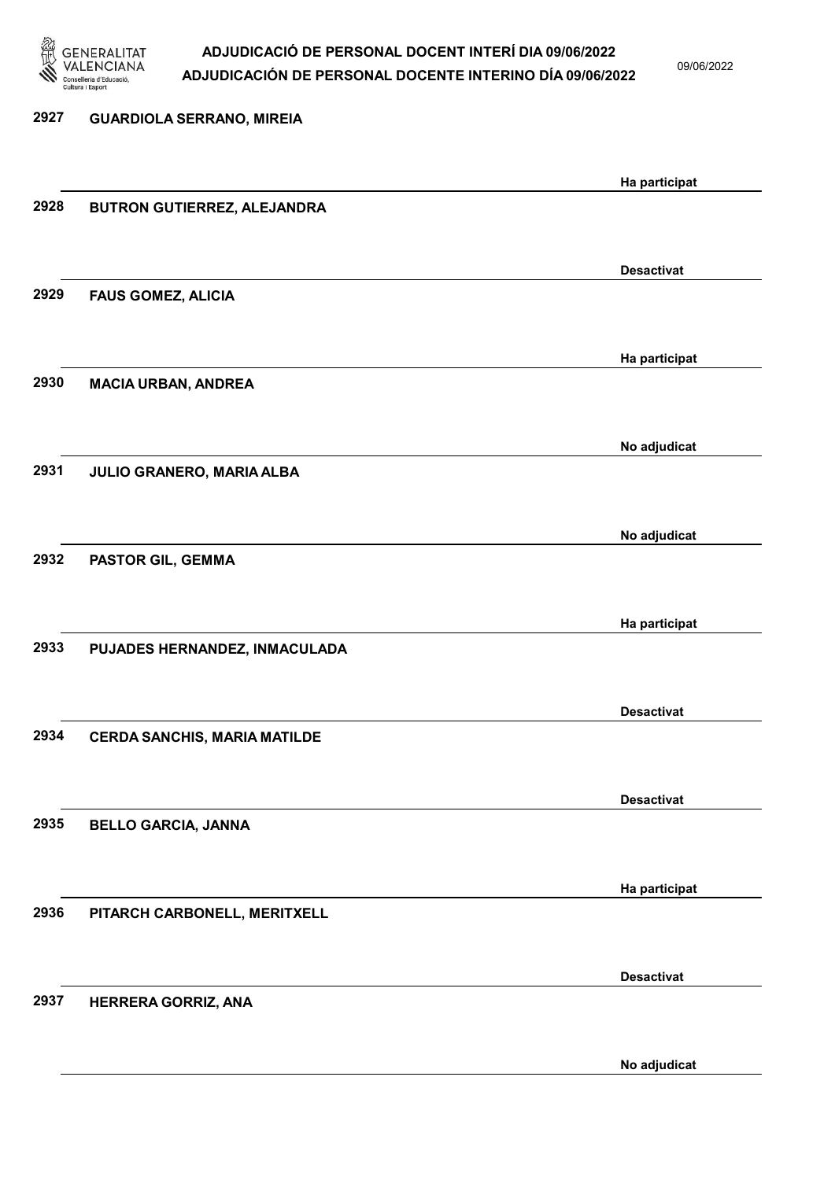

09/06/2022

| 2927 | <b>GUARDIOLA SERRANO, MIREIA</b>    |                   |
|------|-------------------------------------|-------------------|
|      |                                     | Ha participat     |
| 2928 | BUTRON GUTIERREZ, ALEJANDRA         |                   |
|      |                                     | <b>Desactivat</b> |
| 2929 | <b>FAUS GOMEZ, ALICIA</b>           |                   |
|      |                                     | Ha participat     |
| 2930 | <b>MACIA URBAN, ANDREA</b>          |                   |
|      |                                     | No adjudicat      |
| 2931 | JULIO GRANERO, MARIA ALBA           |                   |
|      |                                     | No adjudicat      |
| 2932 | PASTOR GIL, GEMMA                   |                   |
|      |                                     | Ha participat     |
| 2933 | PUJADES HERNANDEZ, INMACULADA       |                   |
|      |                                     | <b>Desactivat</b> |
| 2934 | <b>CERDA SANCHIS, MARIA MATILDE</b> |                   |
|      |                                     | <b>Desactivat</b> |
| 2935 | <b>BELLO GARCIA, JANNA</b>          |                   |
|      |                                     | Ha participat     |
| 2936 | PITARCH CARBONELL, MERITXELL        |                   |
|      |                                     | <b>Desactivat</b> |
| 2937 | HERRERA GORRIZ, ANA                 |                   |
|      |                                     |                   |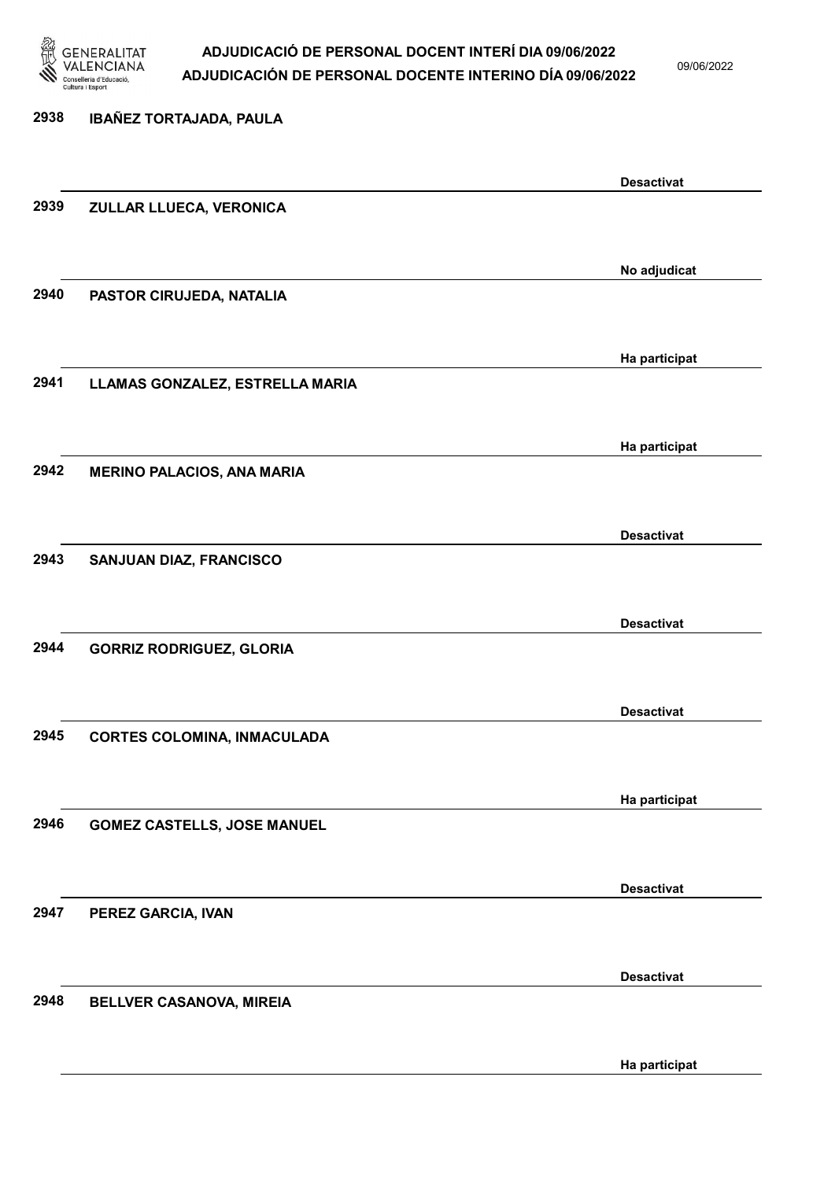

09/06/2022

# 2938 IBAÑEZ TORTAJADA, PAULA Desactivat 2939 ZULLAR LLUECA, VERONICA No adjudicat 2940 PASTOR CIRUJEDA, NATALIA Ha participat 2941 LLAMAS GONZALEZ, ESTRELLA MARIA Ha participat 2942 MERINO PALACIOS, ANA MARIA Desactivat 2943 SANJUAN DIAZ, FRANCISCO Desactivat 2944 GORRIZ RODRIGUEZ, GLORIA Desactivat 2945 CORTES COLOMINA, INMACULADA Ha participat 2946 GOMEZ CASTELLS, JOSE MANUEL Desactivat 2947 PEREZ GARCIA, IVAN Desactivat 2948 BELLVER CASANOVA, MIREIA

Ha participat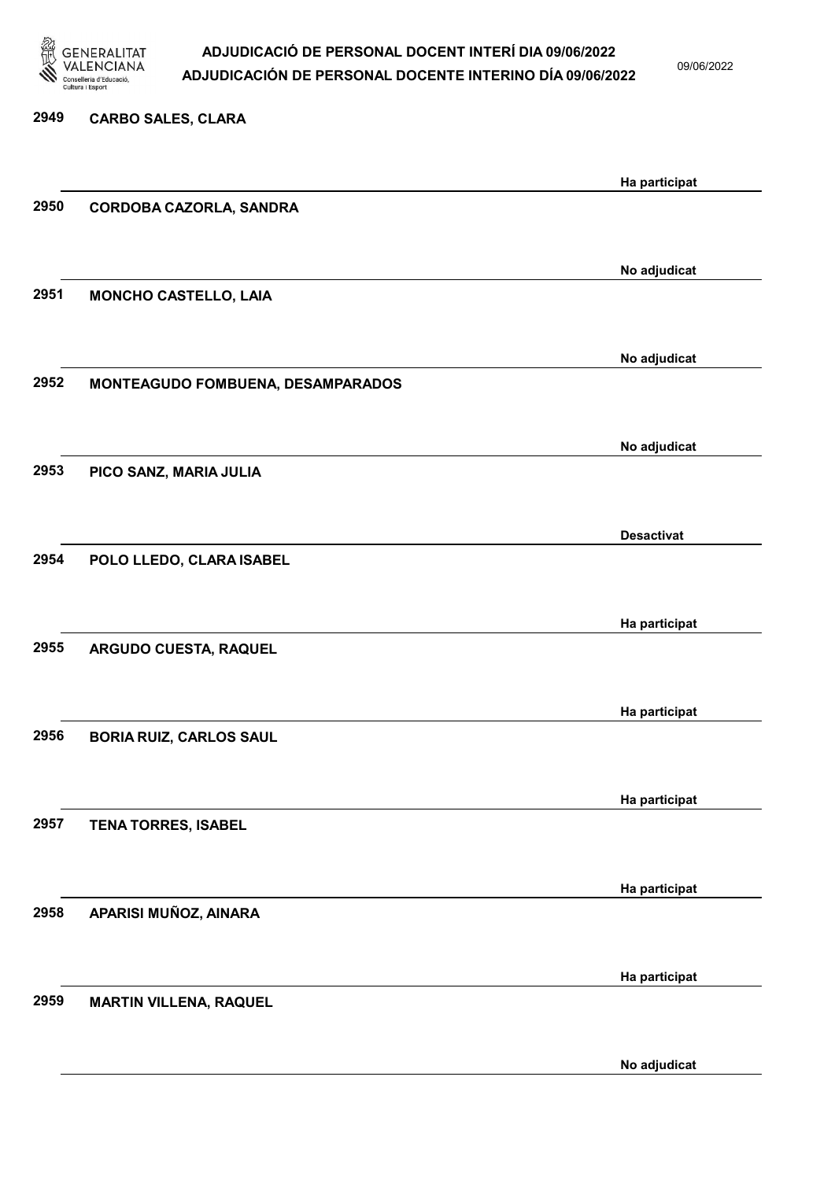

09/06/2022

| 2949 | <b>CARBO SALES, CLARA</b>         |                   |
|------|-----------------------------------|-------------------|
|      |                                   |                   |
|      |                                   | Ha participat     |
| 2950 | CORDOBA CAZORLA, SANDRA           |                   |
|      |                                   |                   |
|      |                                   | No adjudicat      |
| 2951 | <b>MONCHO CASTELLO, LAIA</b>      |                   |
|      |                                   |                   |
|      |                                   | No adjudicat      |
| 2952 | MONTEAGUDO FOMBUENA, DESAMPARADOS |                   |
|      |                                   |                   |
|      |                                   |                   |
|      |                                   | No adjudicat      |
| 2953 | PICO SANZ, MARIA JULIA            |                   |
|      |                                   |                   |
|      |                                   | <b>Desactivat</b> |
| 2954 | POLO LLEDO, CLARA ISABEL          |                   |
|      |                                   |                   |
|      |                                   | Ha participat     |
| 2955 | ARGUDO CUESTA, RAQUEL             |                   |
|      |                                   |                   |
|      |                                   |                   |
|      |                                   | Ha participat     |
| 2956 | <b>BORIA RUIZ, CARLOS SAUL</b>    |                   |
|      |                                   |                   |
|      |                                   | Ha participat     |
| 2957 | <b>TENA TORRES, ISABEL</b>        |                   |
|      |                                   |                   |
|      |                                   | Ha participat     |
| 2958 | APARISI MUÑOZ, AINARA             |                   |
|      |                                   |                   |
|      |                                   |                   |
| 2959 |                                   | Ha participat     |
|      | <b>MARTIN VILLENA, RAQUEL</b>     |                   |
|      |                                   |                   |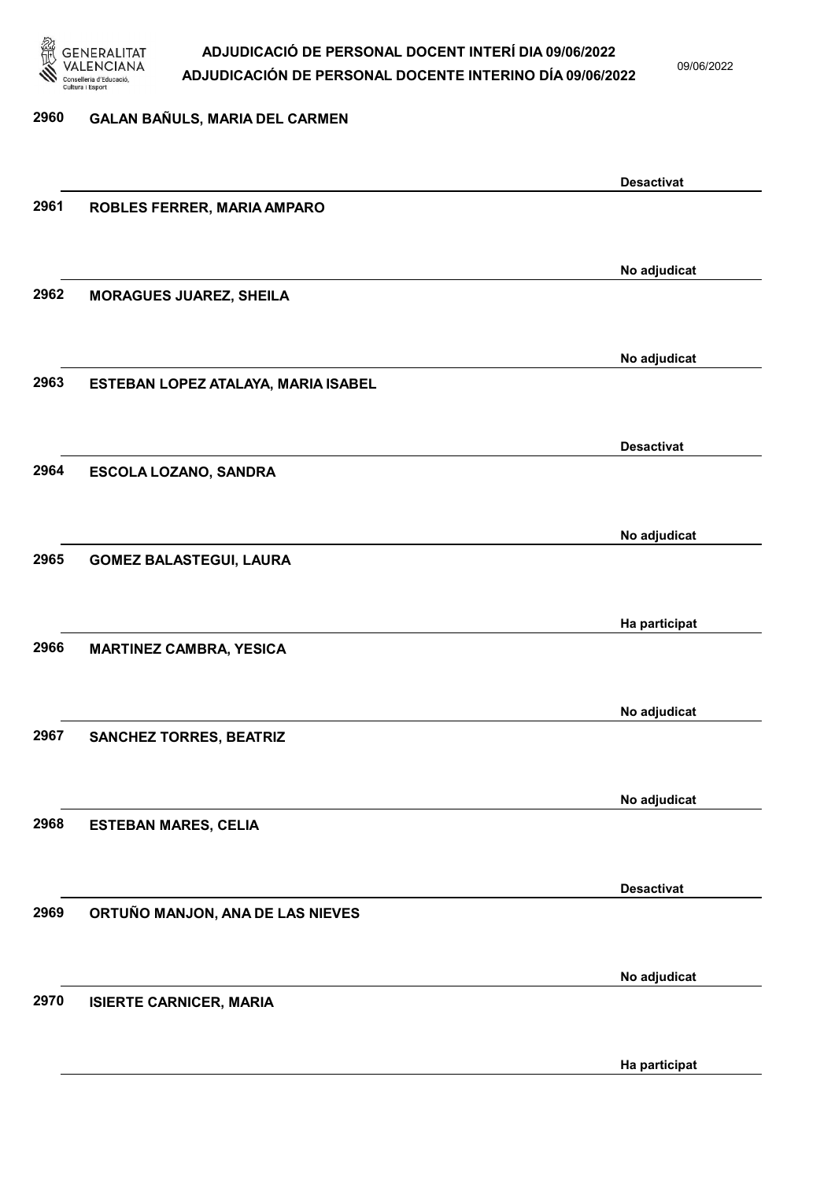

09/06/2022

#### 2960 GALAN BAÑULS, MARIA DEL CARMEN

|      |                                     | <b>Desactivat</b> |
|------|-------------------------------------|-------------------|
| 2961 | ROBLES FERRER, MARIA AMPARO         |                   |
|      |                                     |                   |
|      |                                     |                   |
|      |                                     |                   |
|      |                                     | No adjudicat      |
| 2962 | <b>MORAGUES JUAREZ, SHEILA</b>      |                   |
|      |                                     |                   |
|      |                                     |                   |
|      |                                     |                   |
|      |                                     | No adjudicat      |
| 2963 | ESTEBAN LOPEZ ATALAYA, MARIA ISABEL |                   |
|      |                                     |                   |
|      |                                     |                   |
|      |                                     | <b>Desactivat</b> |
|      |                                     |                   |
| 2964 | ESCOLA LOZANO, SANDRA               |                   |
|      |                                     |                   |
|      |                                     |                   |
|      |                                     | No adjudicat      |
| 2965 | <b>GOMEZ BALASTEGUI, LAURA</b>      |                   |
|      |                                     |                   |
|      |                                     |                   |
|      |                                     |                   |
|      |                                     | Ha participat     |
| 2966 | <b>MARTINEZ CAMBRA, YESICA</b>      |                   |
|      |                                     |                   |
|      |                                     |                   |
|      |                                     | No adjudicat      |
|      |                                     |                   |
| 2967 | <b>SANCHEZ TORRES, BEATRIZ</b>      |                   |
|      |                                     |                   |
|      |                                     |                   |
|      |                                     | No adjudicat      |
| 2968 | <b>ESTEBAN MARES, CELIA</b>         |                   |
|      |                                     |                   |
|      |                                     |                   |
|      |                                     |                   |
|      |                                     | <b>Desactivat</b> |
| 2969 | ORTUÑO MANJON, ANA DE LAS NIEVES    |                   |
|      |                                     |                   |
|      |                                     |                   |
|      |                                     |                   |
|      |                                     | No adjudicat      |
| 2970 | <b>ISIERTE CARNICER, MARIA</b>      |                   |
|      |                                     |                   |
|      |                                     |                   |
|      |                                     | Ha participat     |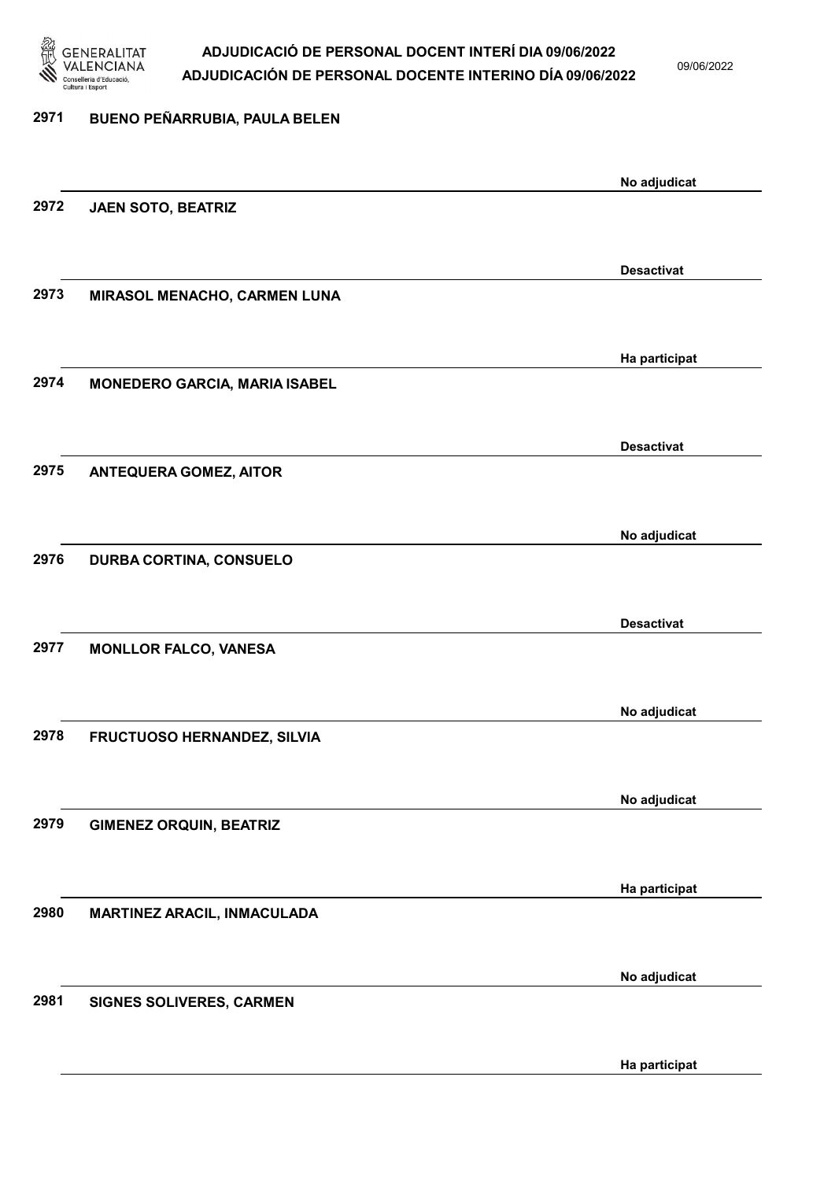

09/06/2022

# 2971 BUENO PEÑARRUBIA, PAULA BELEN No adjudicat 2972 JAEN SOTO, BEATRIZ Desactivat 2973 MIRASOL MENACHO, CARMEN LUNA Ha participat 2974 MONEDERO GARCIA, MARIA ISABEL Desactivat 2975 ANTEQUERA GOMEZ, AITOR No adjudicat 2976 DURBA CORTINA, CONSUELO Desactivat 2977 MONLLOR FALCO, VANESA No adjudicat 2978 FRUCTUOSO HERNANDEZ, SILVIA No adjudicat 2979 GIMENEZ ORQUIN, BEATRIZ Ha participat 2980 MARTINEZ ARACIL, INMACULADA No adjudicat 2981 SIGNES SOLIVERES, CARMEN

Ha participat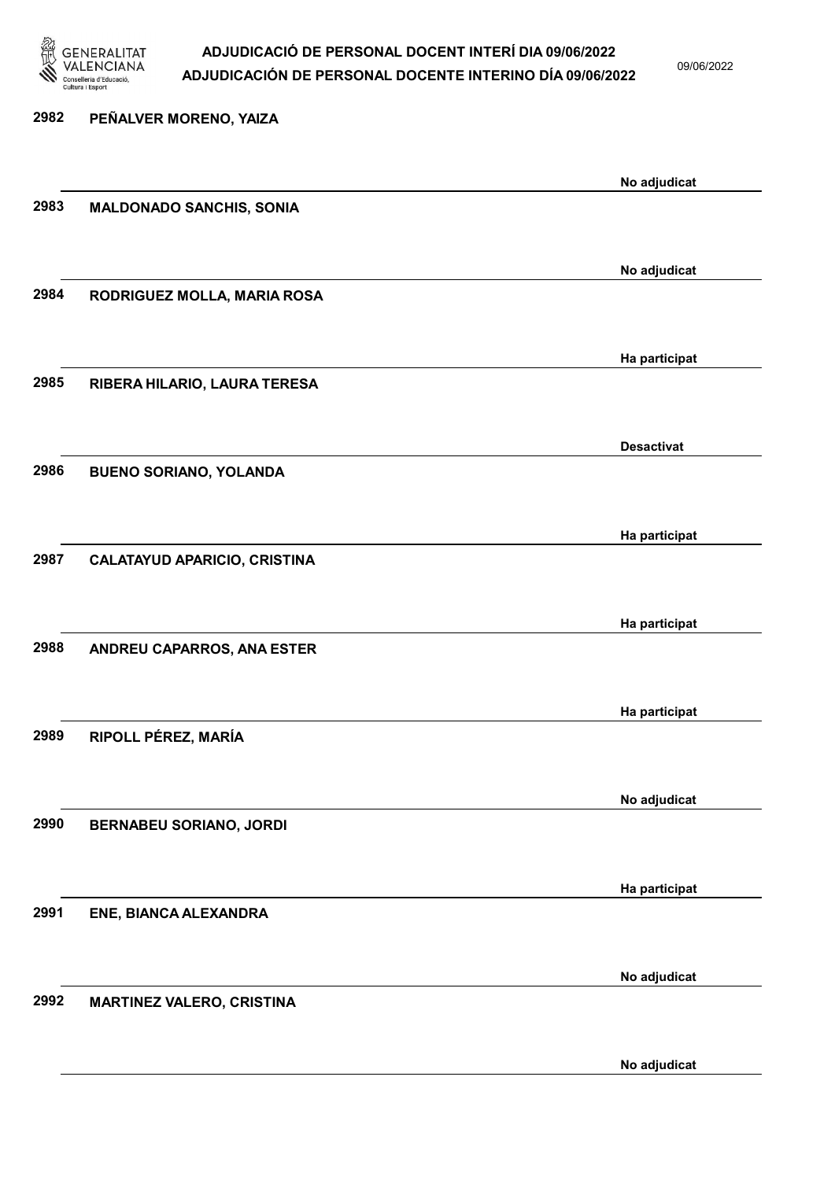

09/06/2022

2982 PEÑALVER MORENO, YAIZA No adjudicat 2983 MALDONADO SANCHIS, SONIA No adjudicat 2984 RODRIGUEZ MOLLA, MARIA ROSA Ha participat 2985 RIBERA HILARIO, LAURA TERESA Desactivat 2986 BUENO SORIANO, YOLANDA Ha participat 2987 CALATAYUD APARICIO, CRISTINA Ha participat 2988 ANDREU CAPARROS, ANA ESTER Ha participat 2989 RIPOLL PÉREZ, MARÍA No adjudicat 2990 BERNABEU SORIANO, JORDI Ha participat 2991 ENE, BIANCA ALEXANDRA No adjudicat 2992 MARTINEZ VALERO, CRISTINA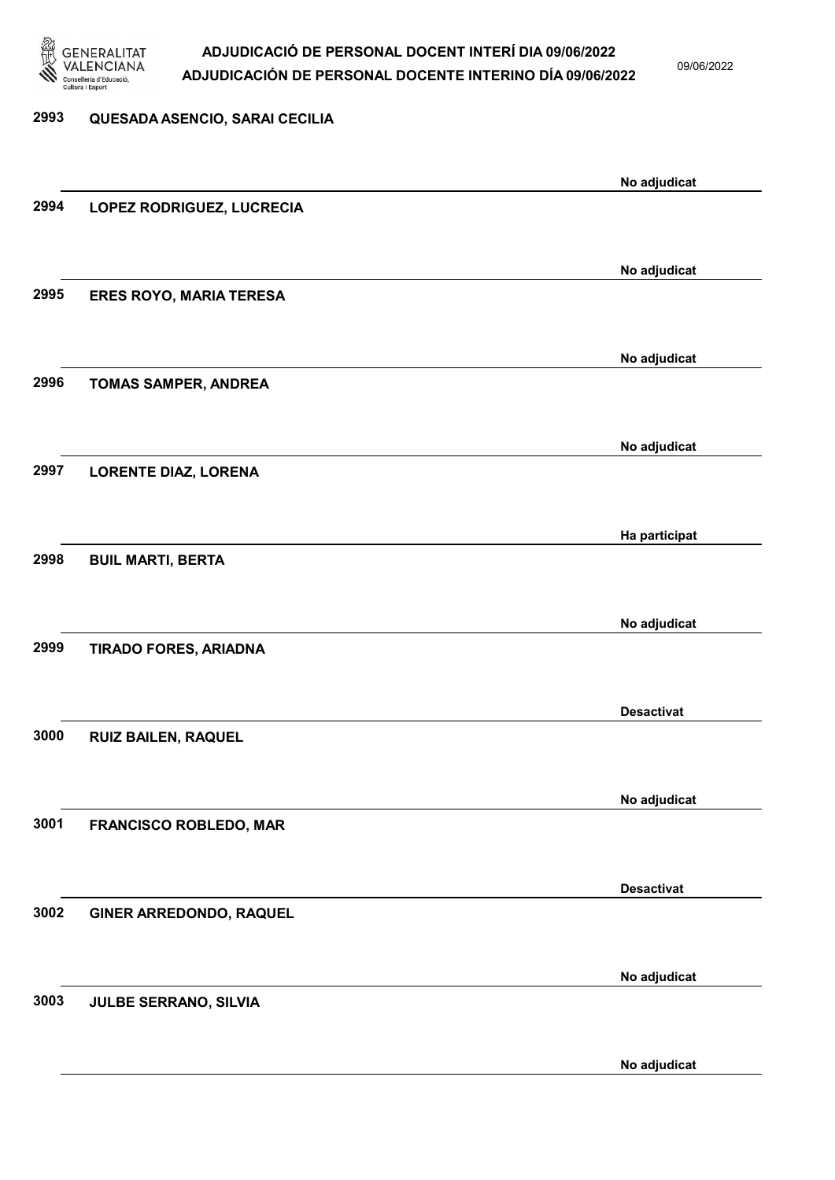

09/06/2022

# 2993 QUESADA ASENCIO, SARAI CECILIA No adjudicat 2994 LOPEZ RODRIGUEZ, LUCRECIA No adjudicat 2995 ERES ROYO, MARIA TERESA No adjudicat 2996 TOMAS SAMPER, ANDREA No adjudicat 2997 LORENTE DIAZ, LORENA Ha participat 2998 BUIL MARTI, BERTA No adjudicat 2999 TIRADO FORES, ARIADNA Desactivat 3000 RUIZ BAILEN, RAQUEL No adjudicat 3001 FRANCISCO ROBLEDO, MAR Desactivat 3002 GINER ARREDONDO, RAQUEL No adjudicat 3003 JULBE SERRANO, SILVIA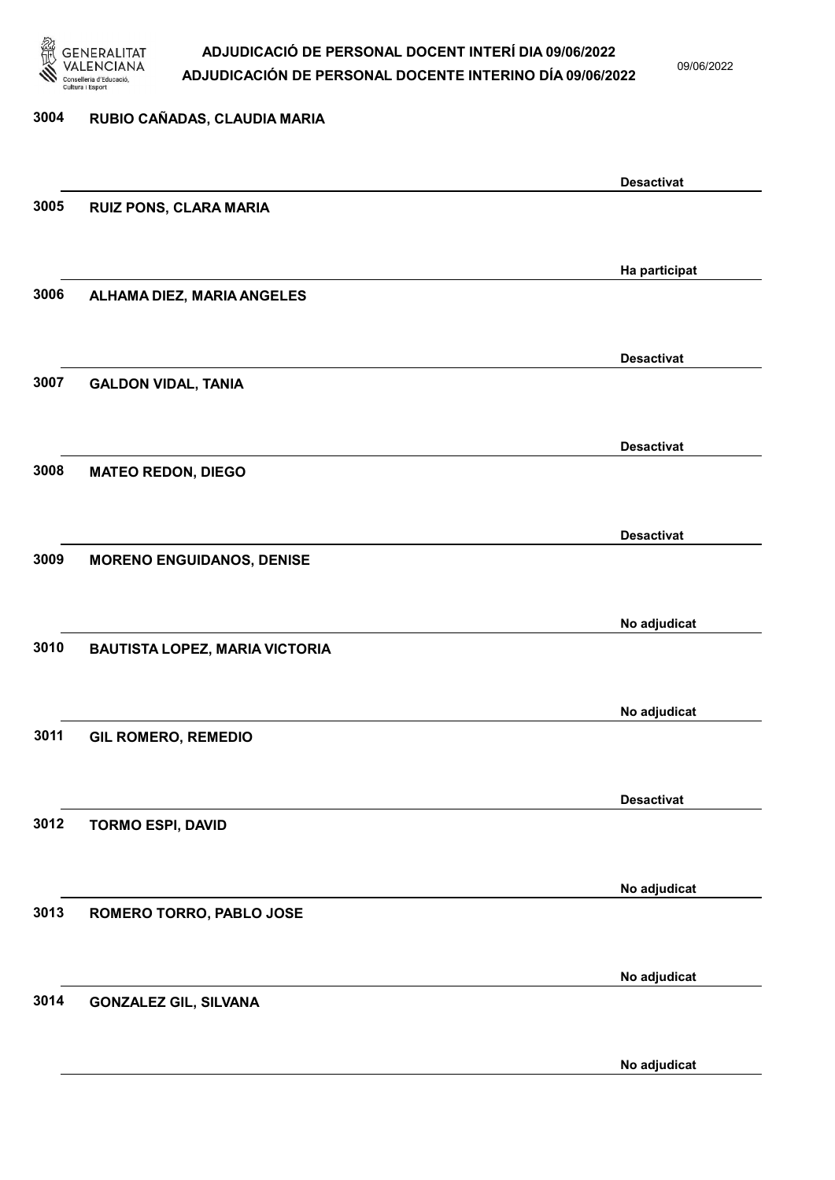

09/06/2022

| 3004 | RUBIO CAÑADAS, CLAUDIA MARIA          |                   |
|------|---------------------------------------|-------------------|
|      |                                       | <b>Desactivat</b> |
| 3005 | <b>RUIZ PONS, CLARA MARIA</b>         |                   |
|      |                                       | Ha participat     |
| 3006 | ALHAMA DIEZ, MARIA ANGELES            |                   |
|      |                                       | <b>Desactivat</b> |
| 3007 | <b>GALDON VIDAL, TANIA</b>            |                   |
|      |                                       | <b>Desactivat</b> |
| 3008 | <b>MATEO REDON, DIEGO</b>             |                   |
|      |                                       | <b>Desactivat</b> |
| 3009 | <b>MORENO ENGUIDANOS, DENISE</b>      |                   |
|      |                                       | No adjudicat      |
| 3010 | <b>BAUTISTA LOPEZ, MARIA VICTORIA</b> |                   |
|      |                                       | No adjudicat      |
| 3011 | <b>GIL ROMERO, REMEDIO</b>            |                   |
| 3012 |                                       | <b>Desactivat</b> |
|      | <b>TORMO ESPI, DAVID</b>              |                   |
| 3013 | ROMERO TORRO, PABLO JOSE              | No adjudicat      |
|      |                                       |                   |
| 3014 | <b>GONZALEZ GIL, SILVANA</b>          | No adjudicat      |
|      |                                       |                   |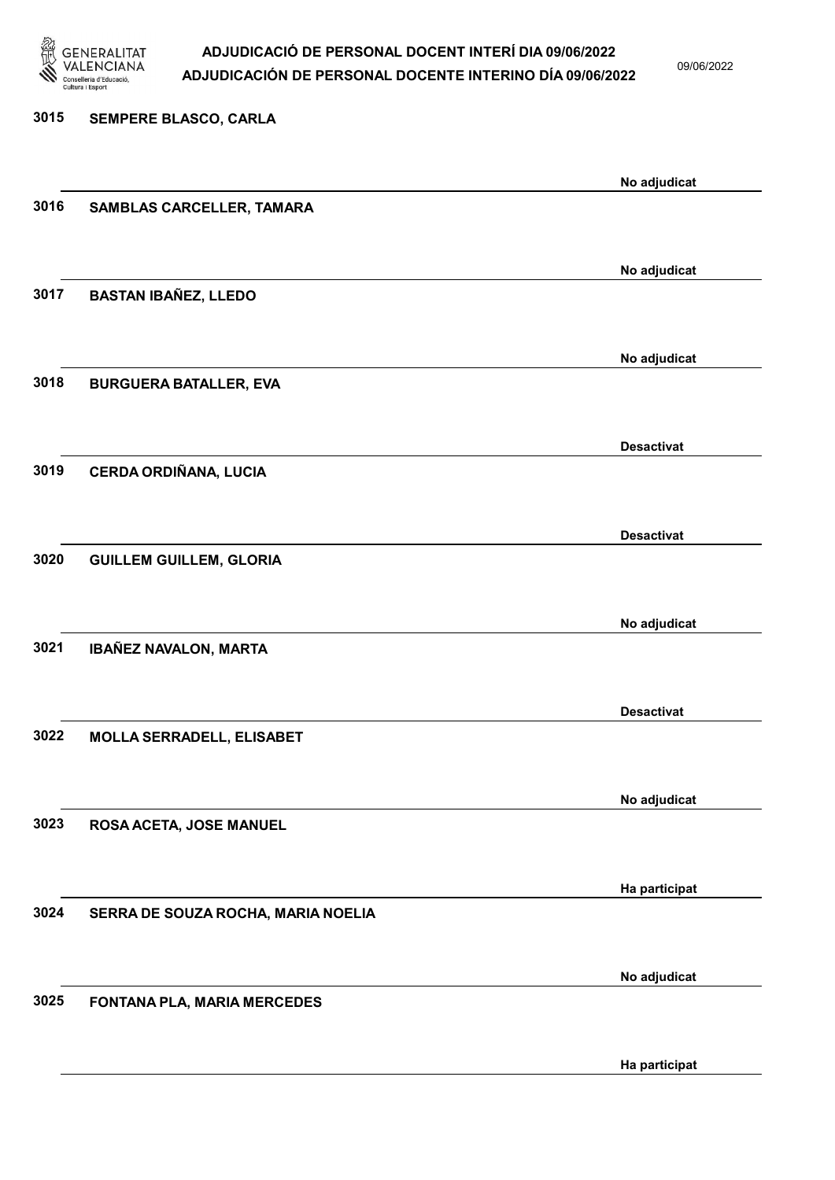

09/06/2022

3015 SEMPERE BLASCO, CARLA No adjudicat 3016 SAMBLAS CARCELLER, TAMARA No adjudicat 3017 BASTAN IBAÑEZ, LLEDO No adjudicat 3018 BURGUERA BATALLER, EVA Desactivat 3019 CERDA ORDIÑANA, LUCIA Desactivat 3020 GUILLEM GUILLEM, GLORIA No adjudicat 3021 IBAÑEZ NAVALON, MARTA Desactivat 3022 MOLLA SERRADELL, ELISABET No adjudicat 3023 ROSA ACETA, JOSE MANUEL Ha participat 3024 SERRA DE SOUZA ROCHA, MARIA NOELIA No adjudicat 3025 FONTANA PLA, MARIA MERCEDES

Ha participat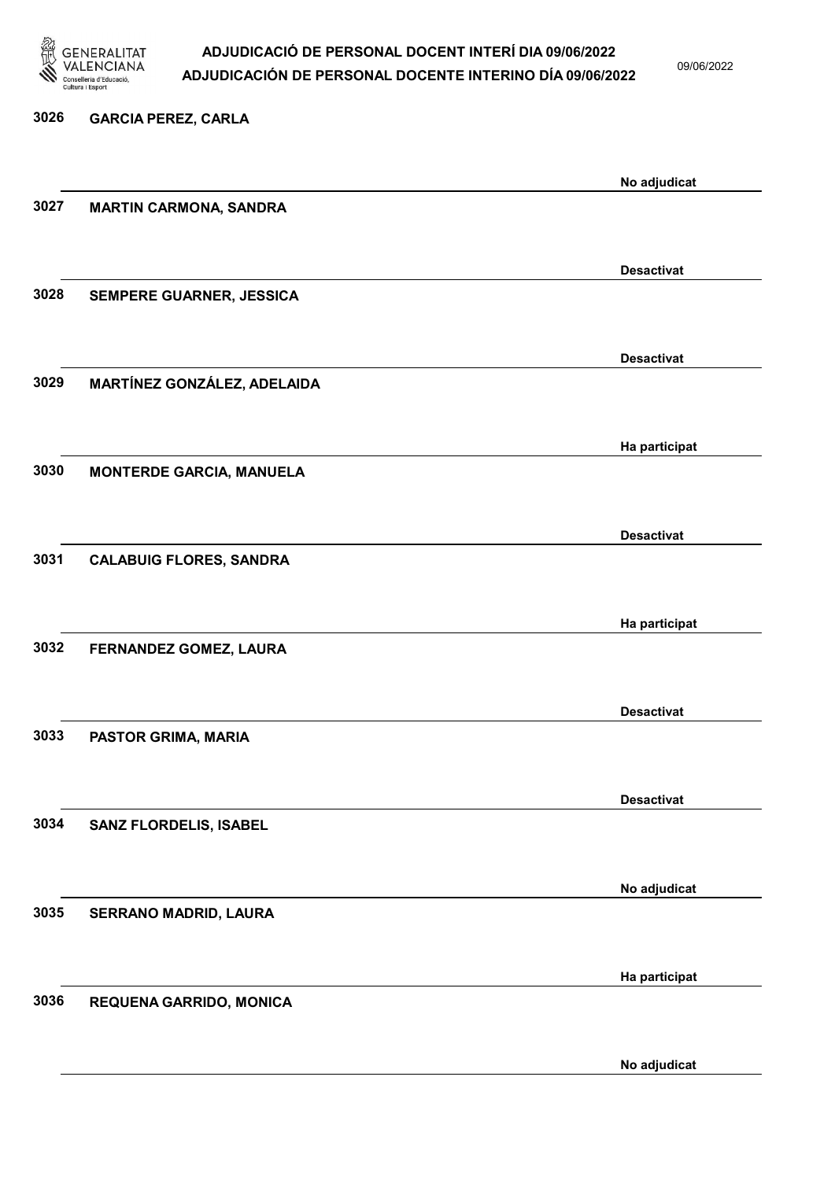

09/06/2022

| 3026 | <b>GARCIA PEREZ, CARLA</b>      |                   |
|------|---------------------------------|-------------------|
|      |                                 | No adjudicat      |
| 3027 | <b>MARTIN CARMONA, SANDRA</b>   |                   |
|      |                                 | <b>Desactivat</b> |
| 3028 | SEMPERE GUARNER, JESSICA        |                   |
|      |                                 | <b>Desactivat</b> |
| 3029 | MARTÍNEZ GONZÁLEZ, ADELAIDA     |                   |
|      |                                 | Ha participat     |
| 3030 | <b>MONTERDE GARCIA, MANUELA</b> |                   |
|      |                                 | <b>Desactivat</b> |
| 3031 | <b>CALABUIG FLORES, SANDRA</b>  |                   |
|      |                                 | Ha participat     |
| 3032 | FERNANDEZ GOMEZ, LAURA          |                   |
| 3033 | PASTOR GRIMA, MARIA             | <b>Desactivat</b> |
|      |                                 |                   |
| 3034 | SANZ FLORDELIS, ISABEL          | <b>Desactivat</b> |
|      |                                 |                   |
| 3035 | SERRANO MADRID, LAURA           | No adjudicat      |
|      |                                 |                   |
| 3036 | REQUENA GARRIDO, MONICA         | Ha participat     |
|      |                                 |                   |
|      |                                 | No adjudicat      |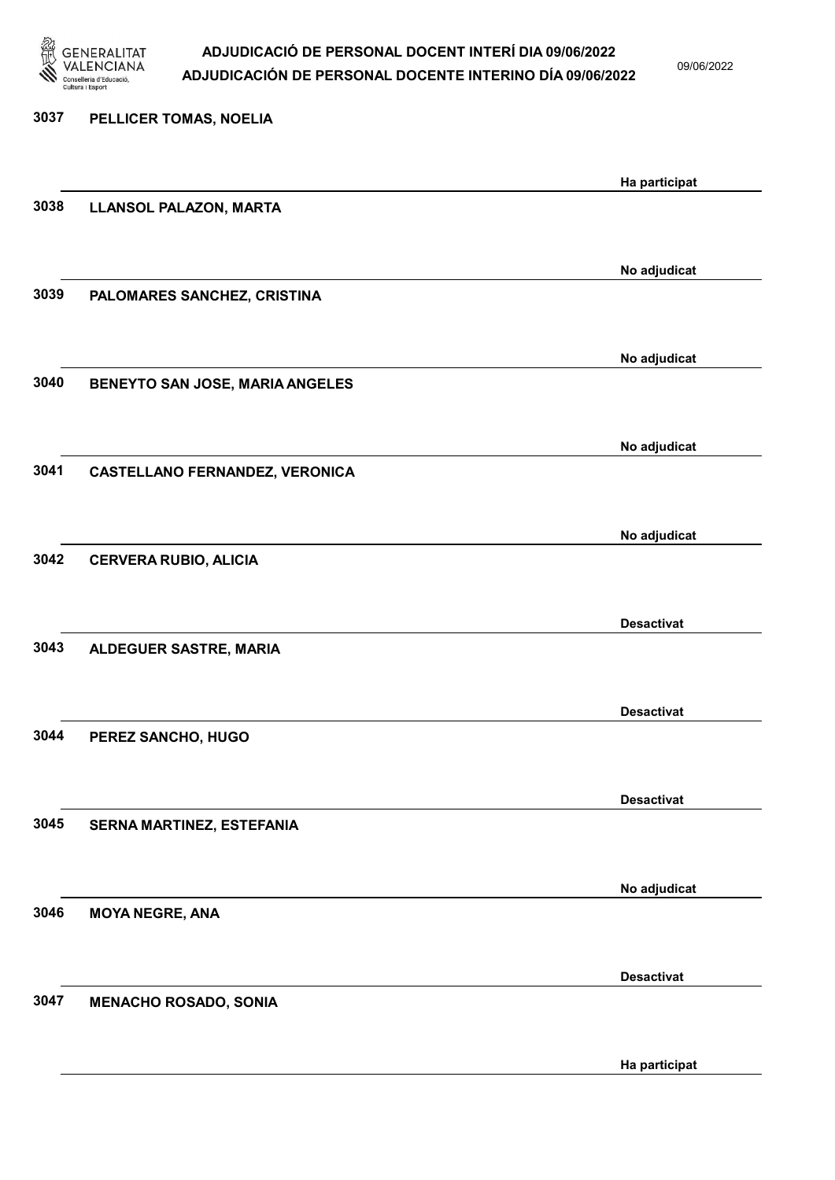

09/06/2022

Ha participat

# 3037 PELLICER TOMAS, NOELIA Ha participat 3038 LLANSOL PALAZON, MARTA No adjudicat 3039 PALOMARES SANCHEZ, CRISTINA No adjudicat 3040 BENEYTO SAN JOSE, MARIA ANGELES No adjudicat 3041 CASTELLANO FERNANDEZ, VERONICA No adjudicat 3042 CERVERA RUBIO, ALICIA Desactivat 3043 ALDEGUER SASTRE, MARIA Desactivat 3044 PEREZ SANCHO, HUGO Desactivat 3045 SERNA MARTINEZ, ESTEFANIA No adjudicat 3046 MOYA NEGRE, ANA Desactivat 3047 MENACHO ROSADO, SONIA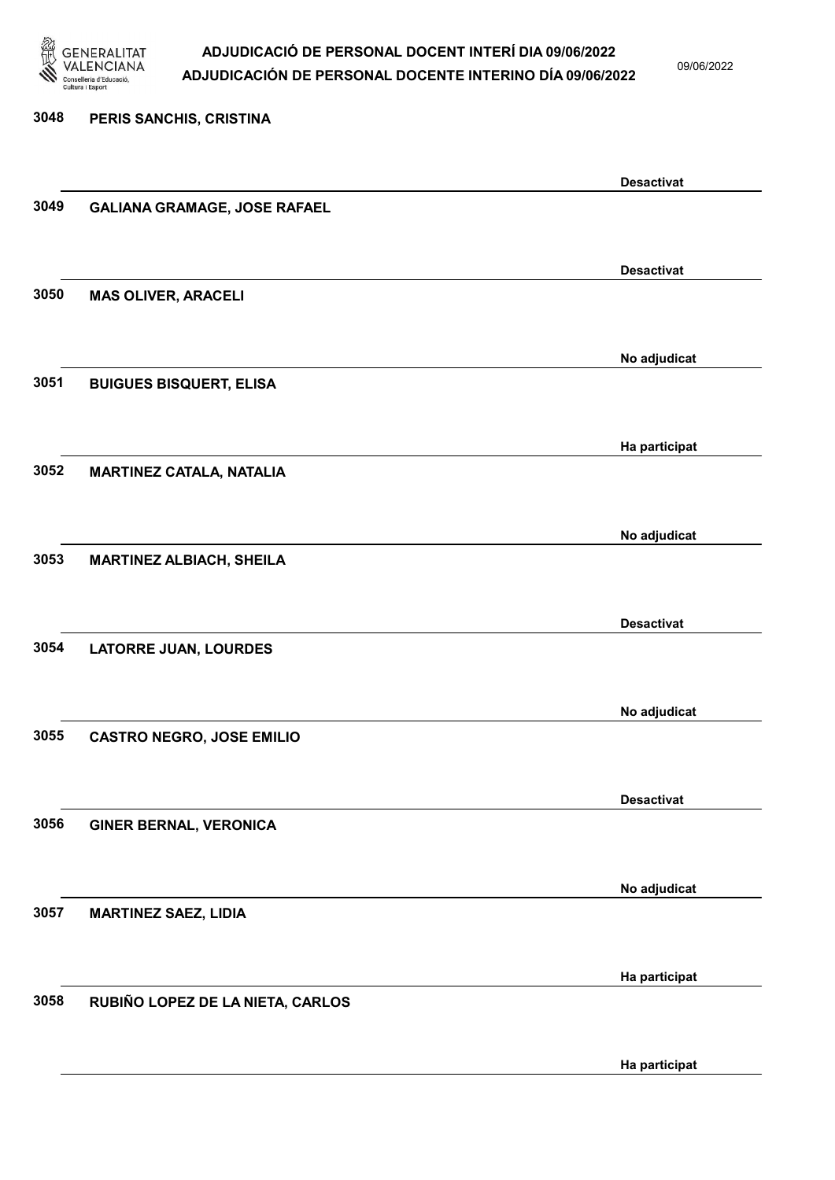

09/06/2022

Ha participat

# 3048 PERIS SANCHIS, CRISTINA Desactivat 3049 GALIANA GRAMAGE, JOSE RAFAEL Desactivat 3050 MAS OLIVER, ARACELI No adjudicat 3051 BUIGUES BISQUERT, ELISA Ha participat 3052 MARTINEZ CATALA, NATALIA No adjudicat 3053 MARTINEZ ALBIACH, SHEILA Desactivat 3054 LATORRE JUAN, LOURDES No adjudicat 3055 CASTRO NEGRO, JOSE EMILIO Desactivat 3056 GINER BERNAL, VERONICA No adjudicat 3057 MARTINEZ SAEZ, LIDIA Ha participat 3058 RUBIÑO LOPEZ DE LA NIETA, CARLOS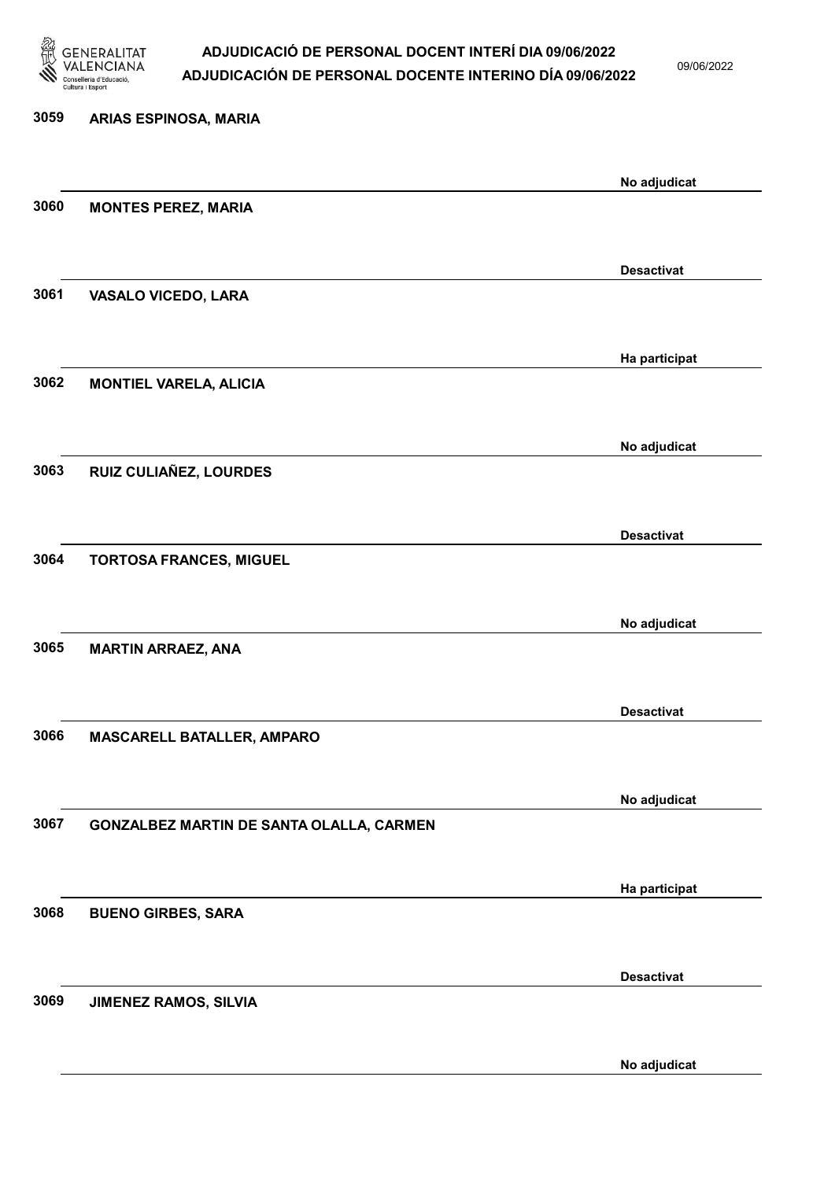

09/06/2022

No adjudicat

# 3059 ARIAS ESPINOSA, MARIA No adjudicat 3060 MONTES PEREZ, MARIA Desactivat 3061 VASALO VICEDO, LARA Ha participat 3062 MONTIEL VARELA, ALICIA No adjudicat 3063 RUIZ CULIAÑEZ, LOURDES Desactivat 3064 TORTOSA FRANCES, MIGUEL No adjudicat 3065 MARTIN ARRAEZ, ANA Desactivat 3066 MASCARELL BATALLER, AMPARO No adjudicat 3067 GONZALBEZ MARTIN DE SANTA OLALLA, CARMEN Ha participat 3068 BUENO GIRBES, SARA Desactivat 3069 JIMENEZ RAMOS, SILVIA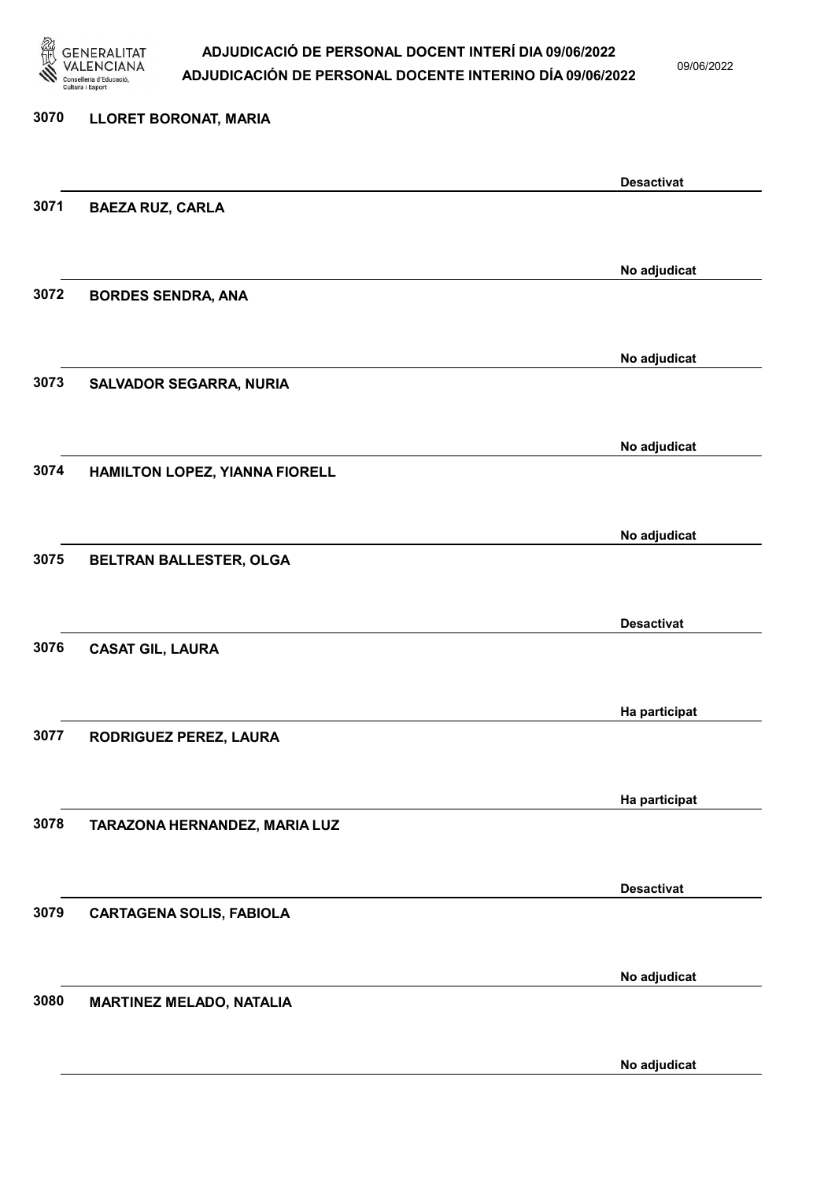

09/06/2022

No adjudicat

# 3070 LLORET BORONAT, MARIA Desactivat 3071 BAEZA RUZ, CARLA No adjudicat 3072 BORDES SENDRA, ANA No adjudicat 3073 SALVADOR SEGARRA, NURIA No adjudicat 3074 HAMILTON LOPEZ, YIANNA FIORELL No adjudicat 3075 BELTRAN BALLESTER, OLGA Desactivat 3076 CASAT GIL, LAURA Ha participat 3077 RODRIGUEZ PEREZ, LAURA Ha participat 3078 TARAZONA HERNANDEZ, MARIA LUZ Desactivat 3079 CARTAGENA SOLIS, FABIOLA No adjudicat 3080 MARTINEZ MELADO, NATALIA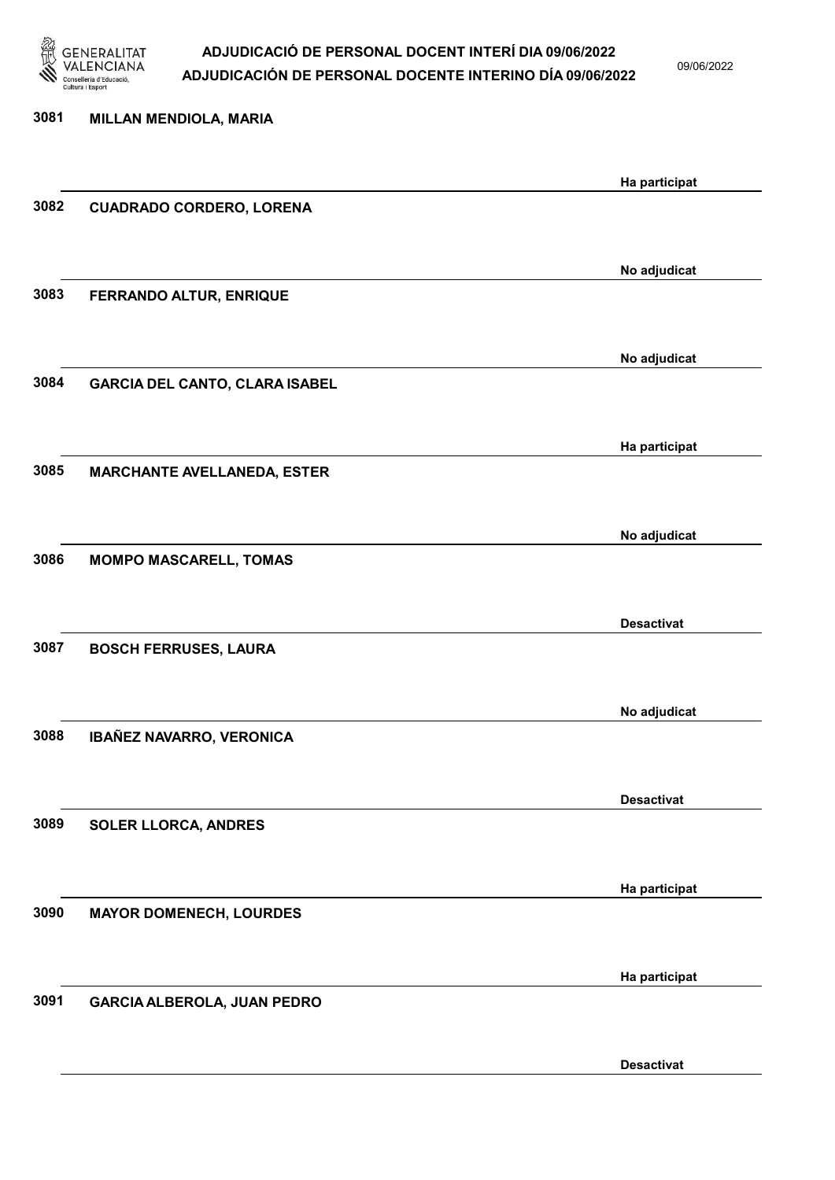

09/06/2022

| 3081 | <b>MILLAN MENDIOLA, MARIA</b>         |                   |
|------|---------------------------------------|-------------------|
|      |                                       | Ha participat     |
| 3082 | <b>CUADRADO CORDERO, LORENA</b>       |                   |
|      |                                       |                   |
|      |                                       | No adjudicat      |
| 3083 | FERRANDO ALTUR, ENRIQUE               |                   |
|      |                                       | No adjudicat      |
| 3084 | <b>GARCIA DEL CANTO, CLARA ISABEL</b> |                   |
|      |                                       |                   |
|      |                                       | Ha participat     |
| 3085 | <b>MARCHANTE AVELLANEDA, ESTER</b>    |                   |
|      |                                       |                   |
|      |                                       | No adjudicat      |
| 3086 | <b>MOMPO MASCARELL, TOMAS</b>         |                   |
|      |                                       | <b>Desactivat</b> |
| 3087 | <b>BOSCH FERRUSES, LAURA</b>          |                   |
|      |                                       |                   |
|      |                                       | No adjudicat      |
| 3088 | IBAÑEZ NAVARRO, VERONICA              |                   |
|      |                                       |                   |
|      |                                       | <b>Desactivat</b> |
| 3089 | <b>SOLER LLORCA, ANDRES</b>           |                   |
|      |                                       |                   |
| 3090 | <b>MAYOR DOMENECH, LOURDES</b>        | Ha participat     |
|      |                                       |                   |
|      |                                       |                   |
| 3091 | <b>GARCIA ALBEROLA, JUAN PEDRO</b>    |                   |
|      |                                       |                   |
|      |                                       | Ha participat     |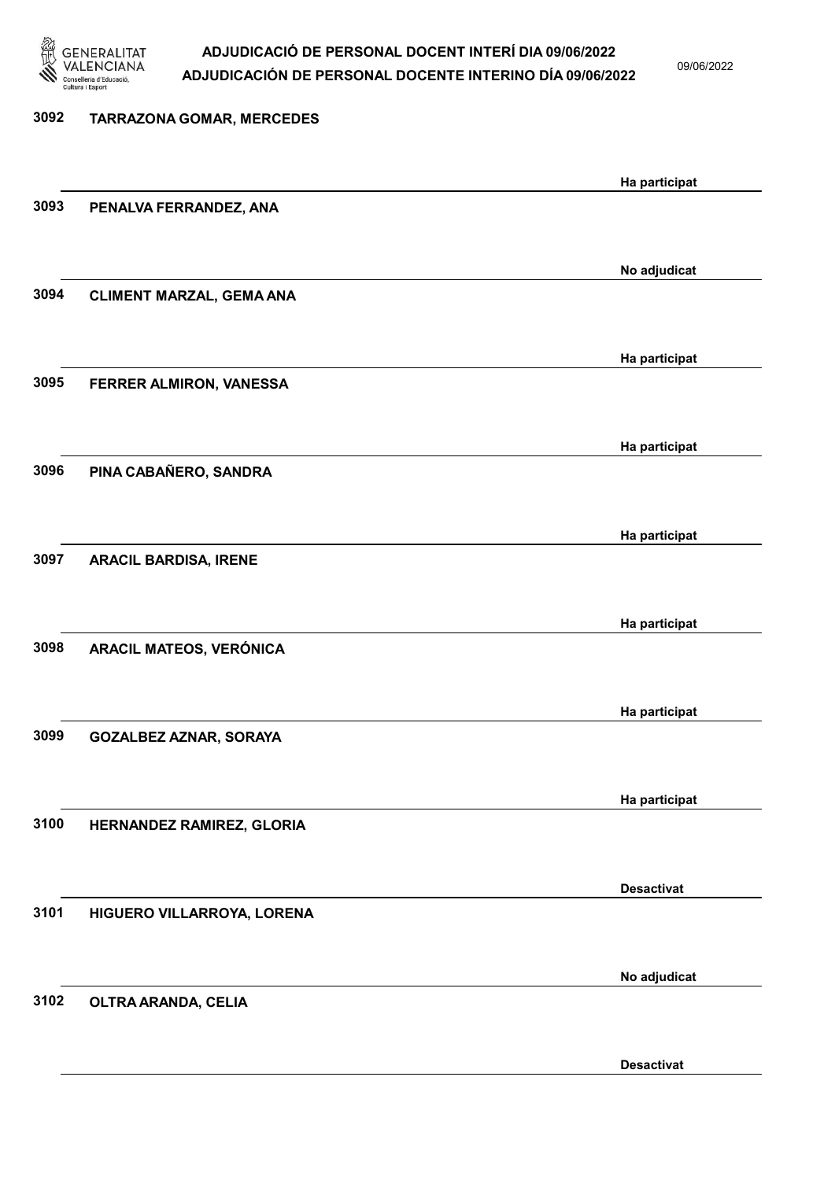

09/06/2022

| <b>TARRAZONA GOMAR, MERCEDES</b> |                         |
|----------------------------------|-------------------------|
|                                  | Ha participat           |
| PENALVA FERRANDEZ, ANA           |                         |
|                                  | No adjudicat            |
| <b>CLIMENT MARZAL, GEMA ANA</b>  |                         |
|                                  | Ha participat           |
|                                  |                         |
|                                  | Ha participat           |
| PINA CABAÑERO, SANDRA            |                         |
|                                  | Ha participat           |
| <b>ARACIL BARDISA, IRENE</b>     |                         |
|                                  | Ha participat           |
| ARACIL MATEOS, VERÓNICA          |                         |
|                                  | Ha participat           |
| <b>GOZALBEZ AZNAR, SORAYA</b>    |                         |
|                                  | Ha participat           |
| HERNANDEZ RAMIREZ, GLORIA        |                         |
|                                  | <b>Desactivat</b>       |
| HIGUERO VILLARROYA, LORENA       |                         |
|                                  | No adjudicat            |
| OLTRA ARANDA, CELIA              |                         |
|                                  | FERRER ALMIRON, VANESSA |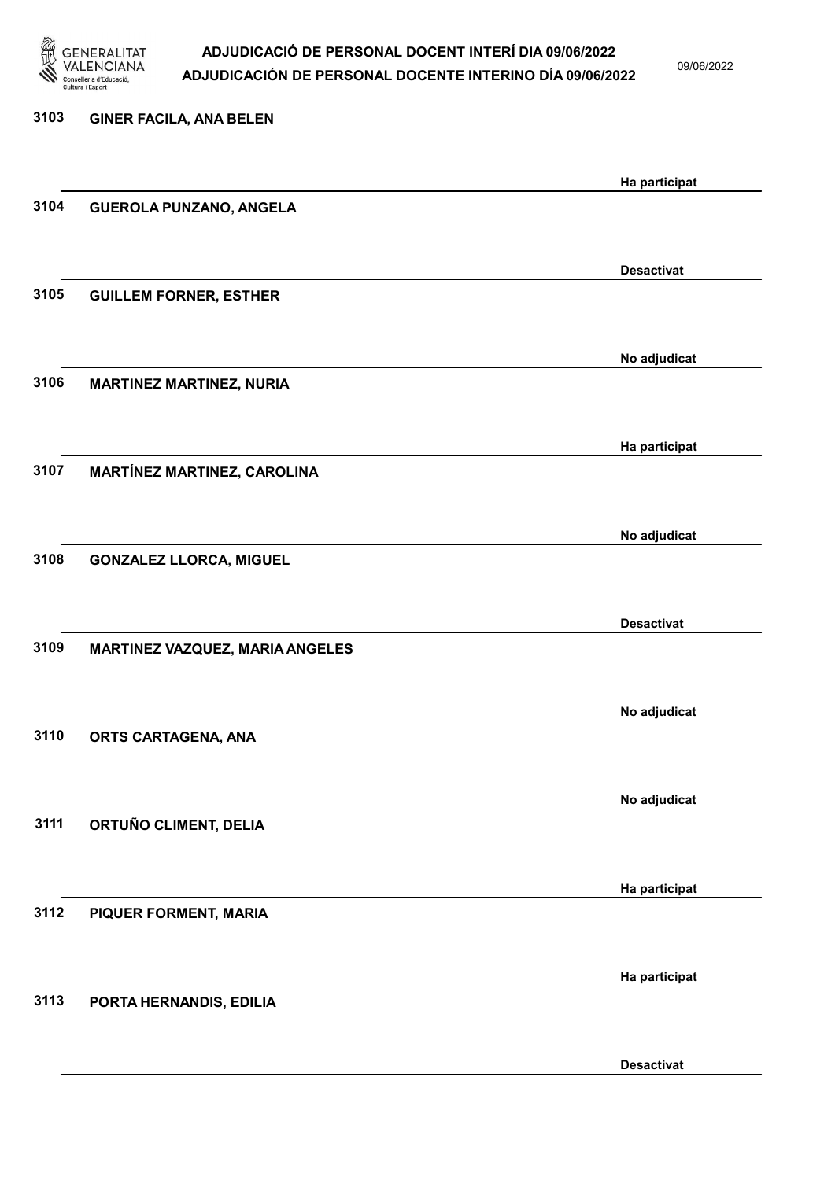

09/06/2022

| 3103 | <b>GINER FACILA, ANA BELEN</b>  |                   |
|------|---------------------------------|-------------------|
|      |                                 | Ha participat     |
| 3104 | <b>GUEROLA PUNZANO, ANGELA</b>  |                   |
|      |                                 |                   |
|      |                                 | <b>Desactivat</b> |
| 3105 | <b>GUILLEM FORNER, ESTHER</b>   |                   |
|      |                                 | No adjudicat      |
| 3106 | <b>MARTINEZ MARTINEZ, NURIA</b> |                   |
|      |                                 |                   |
|      |                                 | Ha participat     |
| 3107 | MARTÍNEZ MARTINEZ, CAROLINA     |                   |
|      |                                 | No adjudicat      |
| 3108 | <b>GONZALEZ LLORCA, MIGUEL</b>  |                   |
|      |                                 |                   |
|      |                                 | <b>Desactivat</b> |
| 3109 | MARTINEZ VAZQUEZ, MARIA ANGELES |                   |
|      |                                 |                   |
| 3110 | ORTS CARTAGENA, ANA             | No adjudicat      |
|      |                                 |                   |
|      |                                 | No adjudicat      |
| 3111 | ORTUÑO CLIMENT, DELIA           |                   |
|      |                                 |                   |
|      |                                 | Ha participat     |
| 3112 | PIQUER FORMENT, MARIA           |                   |
|      |                                 | Ha participat     |
| 3113 | PORTA HERNANDIS, EDILIA         |                   |
|      |                                 |                   |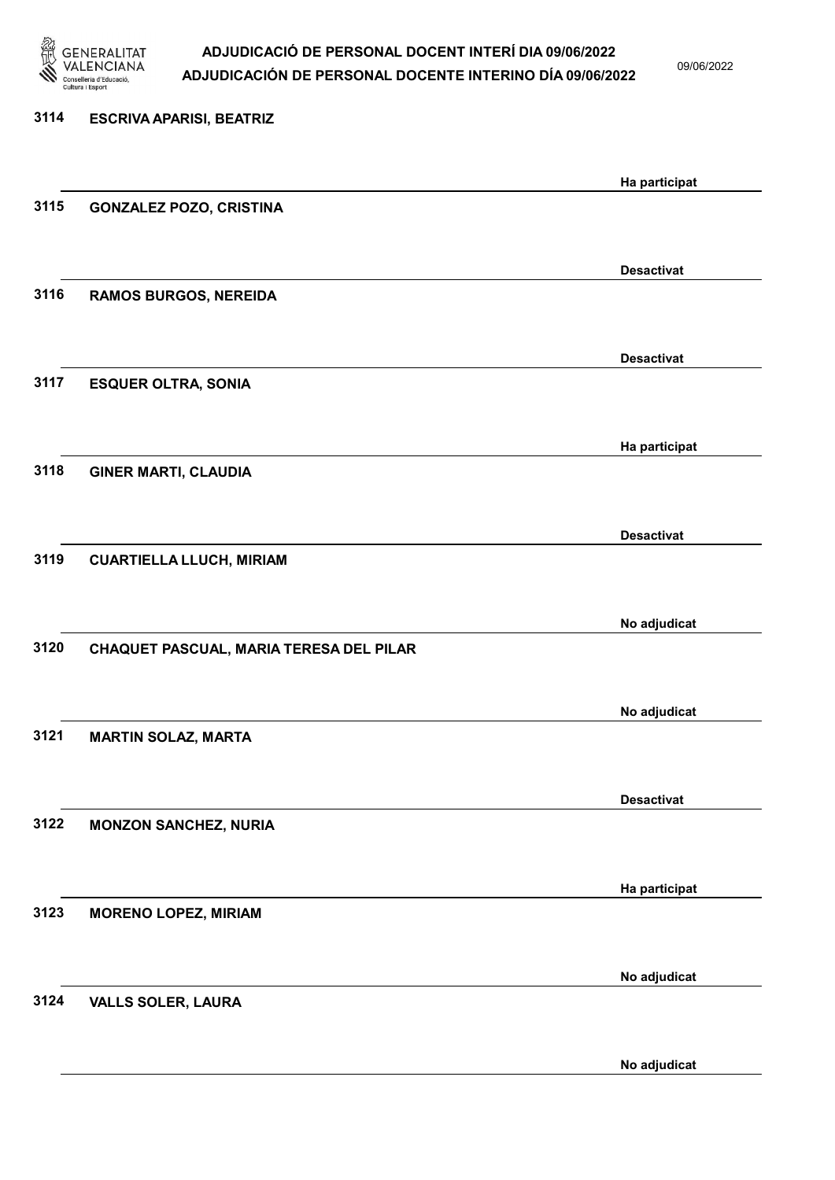

09/06/2022

| 3114 | <b>ESCRIVA APARISI, BEATRIZ</b>         |                   |
|------|-----------------------------------------|-------------------|
|      |                                         | Ha participat     |
| 3115 | <b>GONZALEZ POZO, CRISTINA</b>          |                   |
|      |                                         | <b>Desactivat</b> |
| 3116 | <b>RAMOS BURGOS, NEREIDA</b>            |                   |
|      |                                         | <b>Desactivat</b> |
| 3117 | <b>ESQUER OLTRA, SONIA</b>              |                   |
|      |                                         | Ha participat     |
| 3118 | <b>GINER MARTI, CLAUDIA</b>             |                   |
|      |                                         | <b>Desactivat</b> |
| 3119 | <b>CUARTIELLA LLUCH, MIRIAM</b>         |                   |
|      |                                         | No adjudicat      |
| 3120 | CHAQUET PASCUAL, MARIA TERESA DEL PILAR |                   |
|      |                                         | No adjudicat      |
| 3121 | <b>MARTIN SOLAZ, MARTA</b>              |                   |
|      |                                         | <b>Desactivat</b> |
| 3122 | <b>MONZON SANCHEZ, NURIA</b>            |                   |
|      |                                         | Ha participat     |
| 3123 | <b>MORENO LOPEZ, MIRIAM</b>             |                   |
|      |                                         | No adjudicat      |
| 3124 | <b>VALLS SOLER, LAURA</b>               |                   |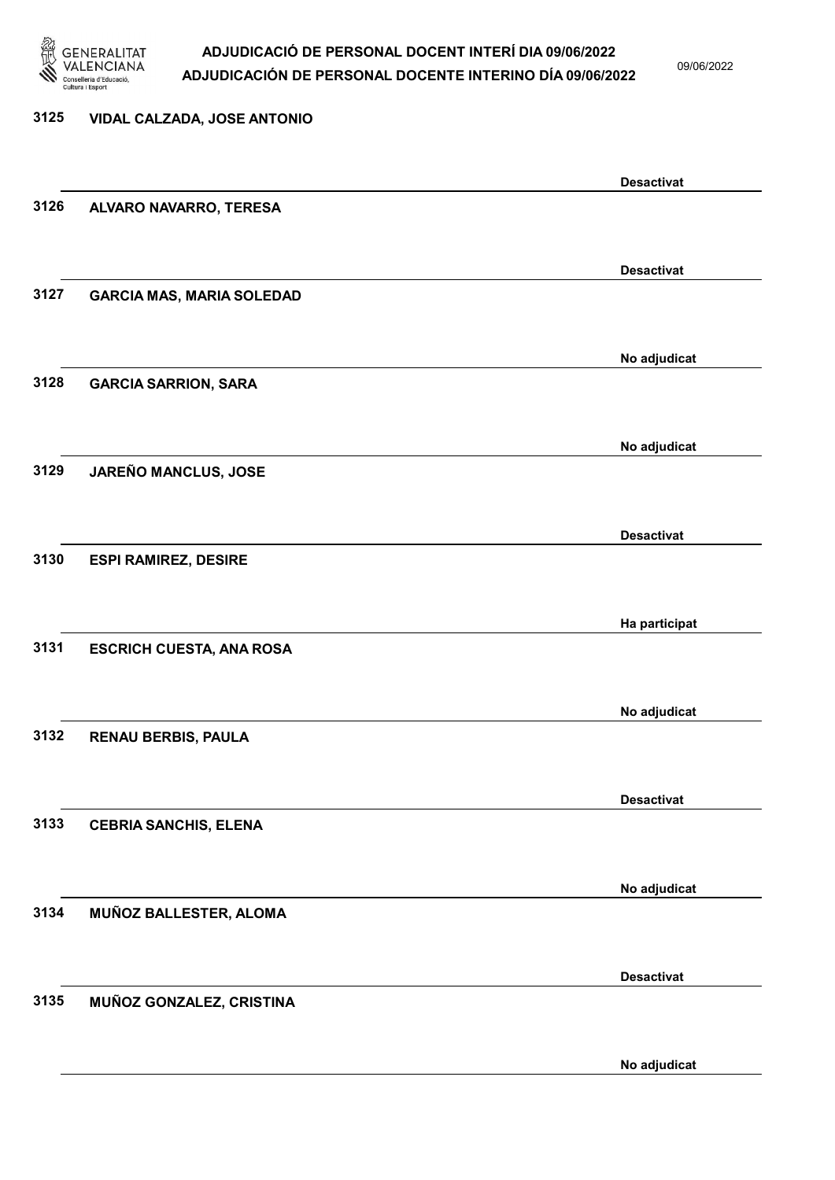

09/06/2022

| 3125 | <b>VIDAL CALZADA, JOSE ANTONIO</b> |                   |
|------|------------------------------------|-------------------|
|      |                                    | <b>Desactivat</b> |
| 3126 | ALVARO NAVARRO, TERESA             |                   |
|      |                                    | <b>Desactivat</b> |
| 3127 | <b>GARCIA MAS, MARIA SOLEDAD</b>   |                   |
|      |                                    | No adjudicat      |
| 3128 | <b>GARCIA SARRION, SARA</b>        |                   |
|      |                                    | No adjudicat      |
| 3129 | JAREÑO MANCLUS, JOSE               |                   |
|      |                                    | <b>Desactivat</b> |
| 3130 | <b>ESPI RAMIREZ, DESIRE</b>        |                   |
| 3131 |                                    | Ha participat     |
|      | <b>ESCRICH CUESTA, ANA ROSA</b>    |                   |
| 3132 | <b>RENAU BERBIS, PAULA</b>         | No adjudicat      |
|      |                                    |                   |
| 3133 | <b>CEBRIA SANCHIS, ELENA</b>       | <b>Desactivat</b> |
|      |                                    |                   |
| 3134 | MUÑOZ BALLESTER, ALOMA             | No adjudicat      |
|      |                                    |                   |
| 3135 | MUÑOZ GONZALEZ, CRISTINA           | <b>Desactivat</b> |
|      |                                    | No adjudicat      |
|      |                                    |                   |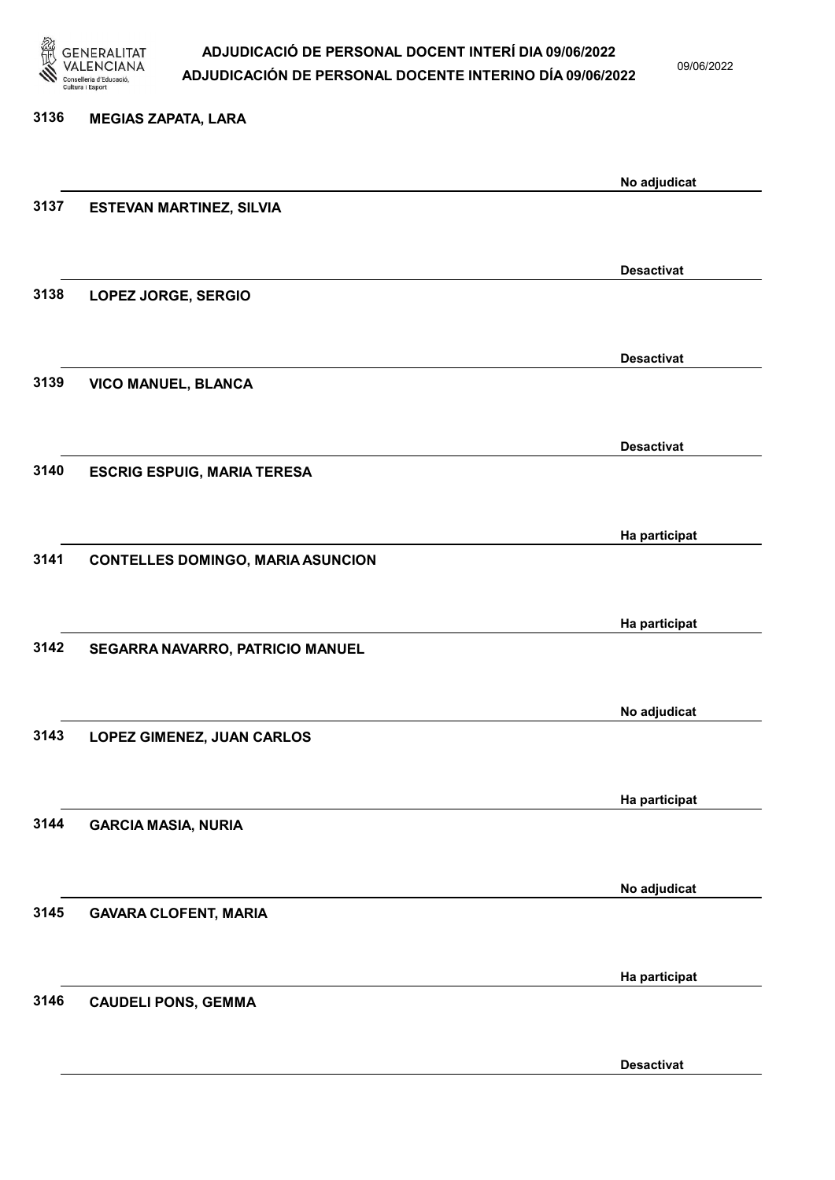

09/06/2022

| 3136 | <b>MEGIAS ZAPATA, LARA</b>               |                   |
|------|------------------------------------------|-------------------|
|      |                                          |                   |
|      |                                          | No adjudicat      |
| 3137 | <b>ESTEVAN MARTINEZ, SILVIA</b>          |                   |
|      |                                          | <b>Desactivat</b> |
| 3138 | LOPEZ JORGE, SERGIO                      |                   |
|      |                                          | <b>Desactivat</b> |
| 3139 | VICO MANUEL, BLANCA                      |                   |
|      |                                          | <b>Desactivat</b> |
| 3140 | <b>ESCRIG ESPUIG, MARIA TERESA</b>       |                   |
|      |                                          | Ha participat     |
| 3141 | <b>CONTELLES DOMINGO, MARIA ASUNCION</b> |                   |
|      |                                          |                   |
|      |                                          | Ha participat     |
| 3142 | SEGARRA NAVARRO, PATRICIO MANUEL         |                   |
|      |                                          | No adjudicat      |
| 3143 | LOPEZ GIMENEZ, JUAN CARLOS               |                   |
|      |                                          | Ha participat     |
| 3144 | <b>GARCIA MASIA, NURIA</b>               |                   |
|      |                                          | No adjudicat      |
| 3145 | <b>GAVARA CLOFENT, MARIA</b>             |                   |
|      |                                          | Ha participat     |
| 3146 | <b>CAUDELI PONS, GEMMA</b>               |                   |
|      |                                          |                   |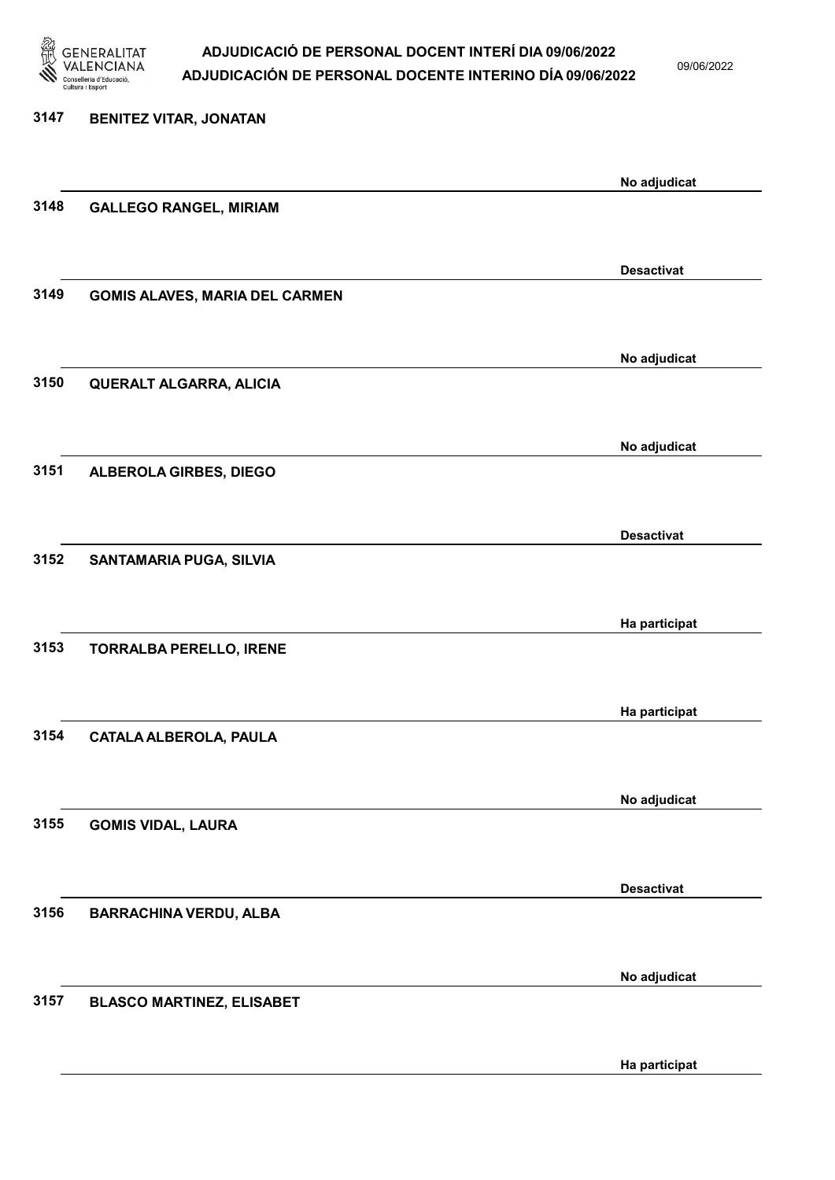

09/06/2022

| 3147 | <b>BENITEZ VITAR, JONATAN</b>         |                   |
|------|---------------------------------------|-------------------|
|      |                                       | No adjudicat      |
| 3148 | <b>GALLEGO RANGEL, MIRIAM</b>         |                   |
|      |                                       |                   |
|      |                                       | <b>Desactivat</b> |
| 3149 | <b>GOMIS ALAVES, MARIA DEL CARMEN</b> |                   |
|      |                                       | No adjudicat      |
| 3150 | <b>QUERALT ALGARRA, ALICIA</b>        |                   |
|      |                                       |                   |
|      |                                       | No adjudicat      |
| 3151 | ALBEROLA GIRBES, DIEGO                |                   |
|      |                                       |                   |
|      |                                       | <b>Desactivat</b> |
| 3152 | SANTAMARIA PUGA, SILVIA               |                   |
|      |                                       |                   |
|      |                                       | Ha participat     |
| 3153 | <b>TORRALBA PERELLO, IRENE</b>        |                   |
|      |                                       |                   |
|      |                                       | Ha participat     |
| 3154 | CATALA ALBEROLA, PAULA                |                   |
|      |                                       |                   |
| 3155 |                                       | No adjudicat      |
|      | <b>GOMIS VIDAL, LAURA</b>             |                   |
|      |                                       |                   |
| 3156 | <b>BARRACHINA VERDU, ALBA</b>         | <b>Desactivat</b> |
|      |                                       |                   |
|      |                                       | No adjudicat      |
| 3157 | <b>BLASCO MARTINEZ, ELISABET</b>      |                   |
|      |                                       |                   |
|      |                                       |                   |

Ha participat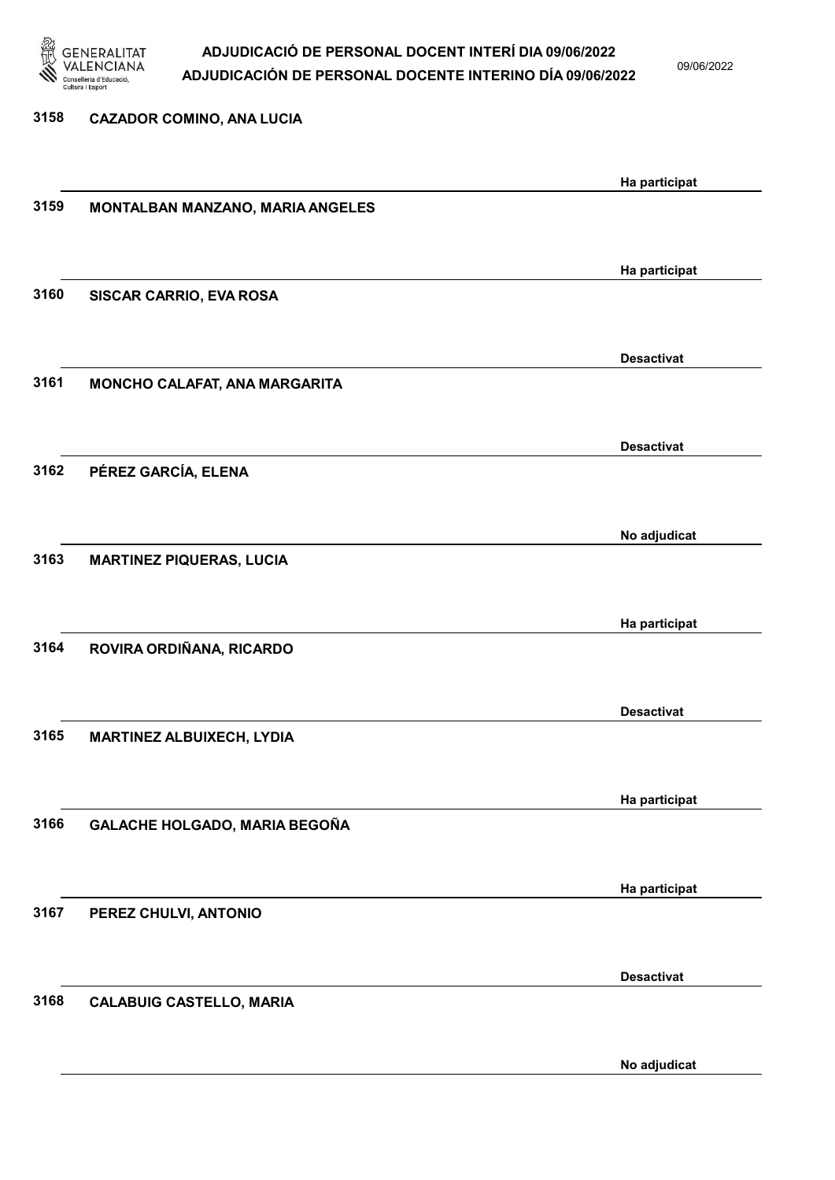

09/06/2022

# 3158 CAZADOR COMINO, ANA LUCIA Ha participat 3159 MONTALBAN MANZANO, MARIA ANGELES Ha participat 3160 SISCAR CARRIO, EVA ROSA Desactivat 3161 MONCHO CALAFAT, ANA MARGARITA Desactivat 3162 PÉREZ GARCÍA, ELENA No adjudicat 3163 MARTINEZ PIQUERAS, LUCIA Ha participat 3164 ROVIRA ORDIÑANA, RICARDO Desactivat 3165 MARTINEZ ALBUIXECH, LYDIA Ha participat 3166 GALACHE HOLGADO, MARIA BEGOÑA Ha participat 3167 PEREZ CHULVI, ANTONIO Desactivat 3168 CALABUIG CASTELLO, MARIA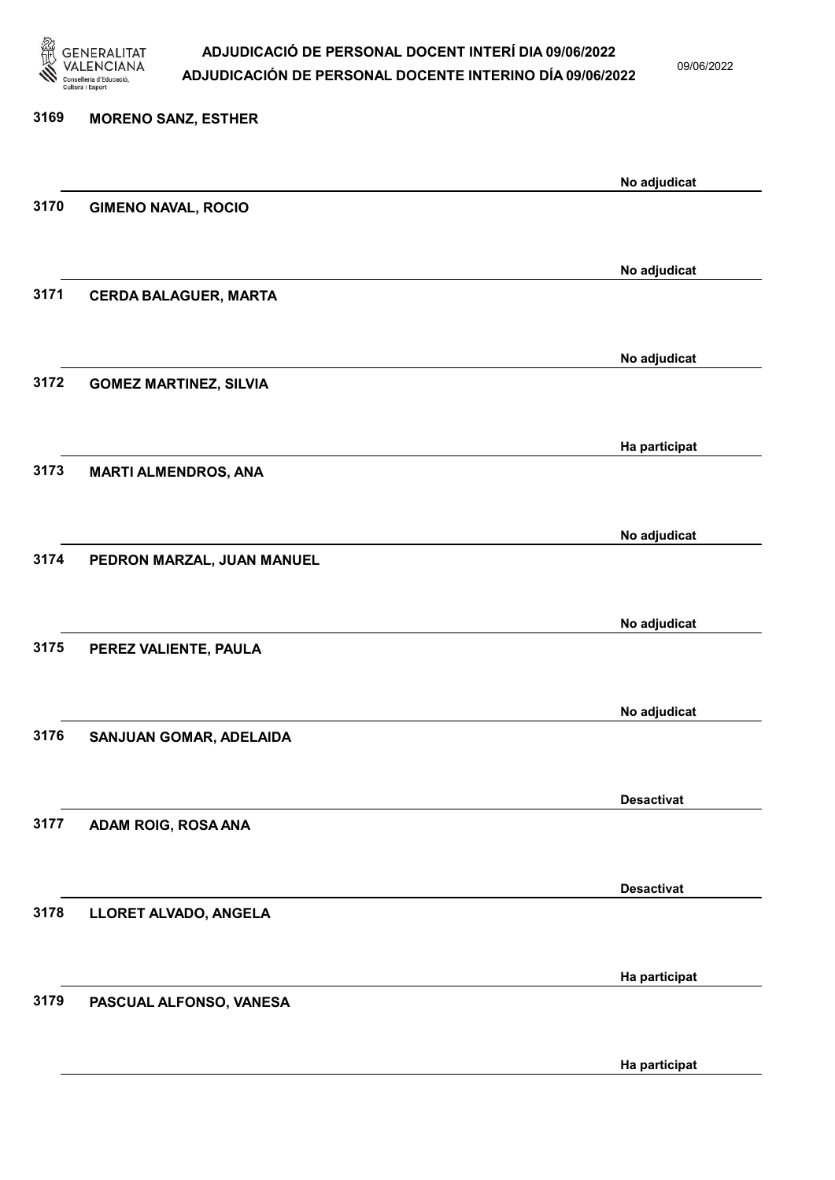

09/06/2022

| 3169 | <b>MORENO SANZ, ESTHER</b>    |                   |
|------|-------------------------------|-------------------|
|      |                               | No adjudicat      |
| 3170 | <b>GIMENO NAVAL, ROCIO</b>    |                   |
|      |                               | No adjudicat      |
| 3171 | <b>CERDA BALAGUER, MARTA</b>  |                   |
|      |                               | No adjudicat      |
| 3172 | <b>GOMEZ MARTINEZ, SILVIA</b> |                   |
|      |                               | Ha participat     |
| 3173 | <b>MARTI ALMENDROS, ANA</b>   |                   |
|      |                               | No adjudicat      |
| 3174 | PEDRON MARZAL, JUAN MANUEL    |                   |
|      |                               | No adjudicat      |
| 3175 | PEREZ VALIENTE, PAULA         |                   |
|      |                               | No adjudicat      |
| 3176 | SANJUAN GOMAR, ADELAIDA       |                   |
|      |                               | <b>Desactivat</b> |
| 3177 | ADAM ROIG, ROSA ANA           |                   |
|      |                               | <b>Desactivat</b> |
| 3178 | LLORET ALVADO, ANGELA         |                   |
|      |                               | Ha participat     |
| 3179 | PASCUAL ALFONSO, VANESA       |                   |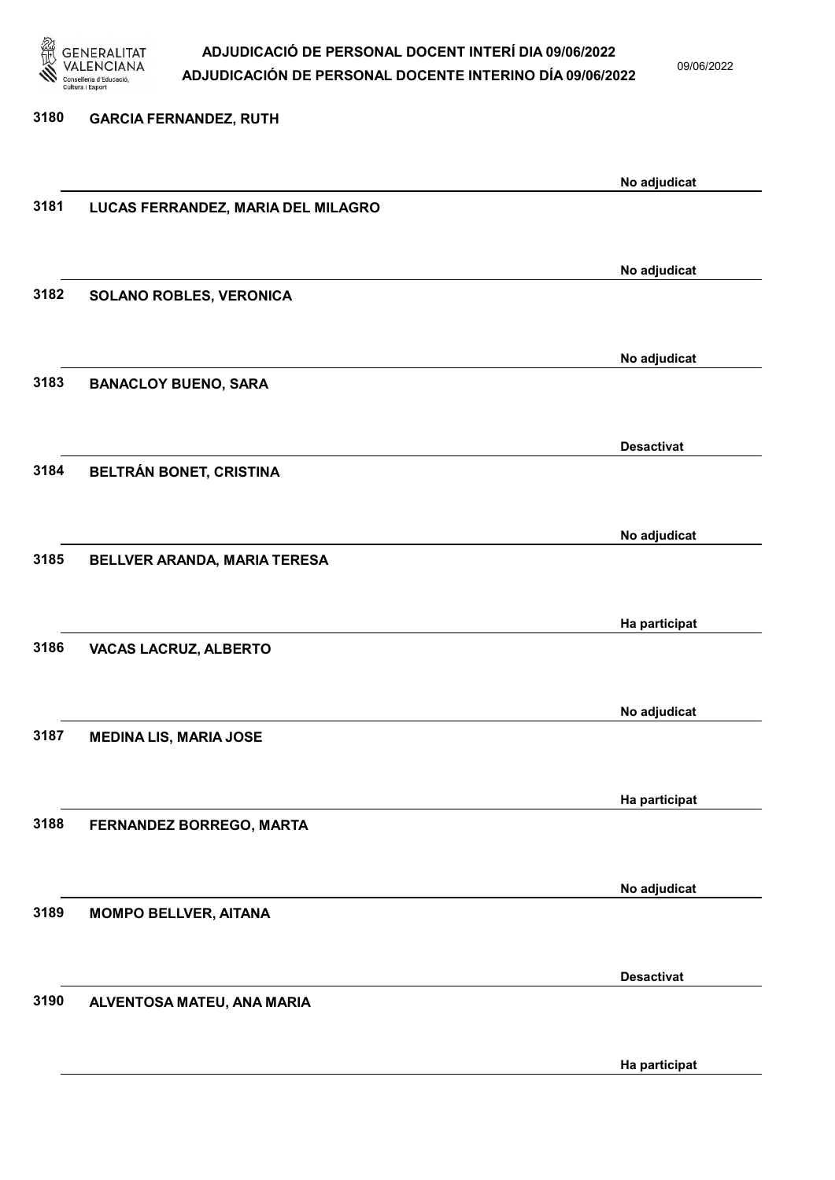

09/06/2022

Ha participat

# 3180 GARCIA FERNANDEZ, RUTH No adjudicat 3181 LUCAS FERRANDEZ, MARIA DEL MILAGRO No adjudicat 3182 SOLANO ROBLES, VERONICA No adjudicat 3183 BANACLOY BUENO, SARA Desactivat 3184 BELTRÁN BONET, CRISTINA No adjudicat 3185 BELLVER ARANDA, MARIA TERESA Ha participat 3186 VACAS LACRUZ, ALBERTO No adjudicat 3187 MEDINA LIS, MARIA JOSE Ha participat 3188 FERNANDEZ BORREGO, MARTA No adjudicat 3189 MOMPO BELLVER, AITANA Desactivat 3190 ALVENTOSA MATEU, ANA MARIA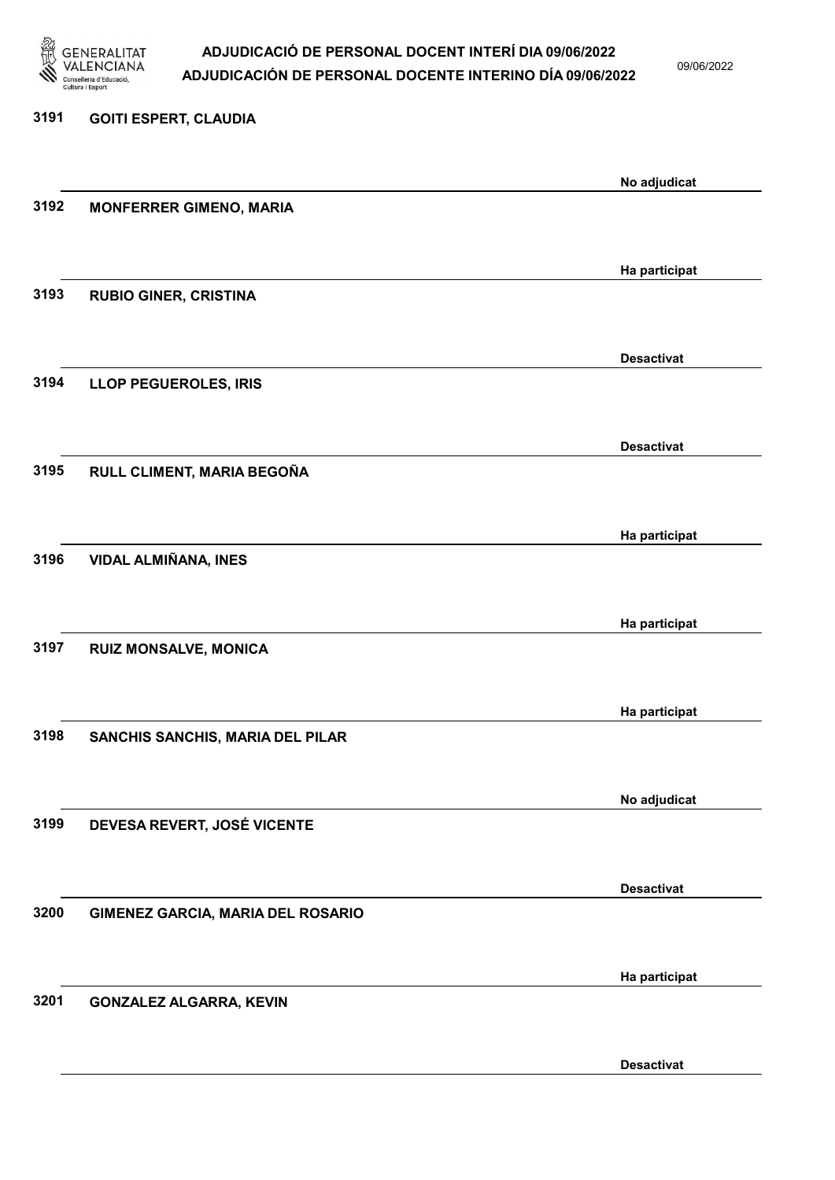

09/06/2022

# 3191 GOITI ESPERT, CLAUDIA No adjudicat 3192 MONFERRER GIMENO, MARIA Ha participat 3193 RUBIO GINER, CRISTINA Desactivat 3194 LLOP PEGUEROLES, IRIS Desactivat 3195 RULL CLIMENT, MARIA BEGOÑA Ha participat 3196 VIDAL ALMIÑANA, INES Ha participat 3197 RUIZ MONSALVE, MONICA Ha participat 3198 SANCHIS SANCHIS, MARIA DEL PILAR No adjudicat 3199 DEVESA REVERT, JOSÉ VICENTE Desactivat 3200 GIMENEZ GARCIA, MARIA DEL ROSARIO Ha participat 3201 GONZALEZ ALGARRA, KEVIN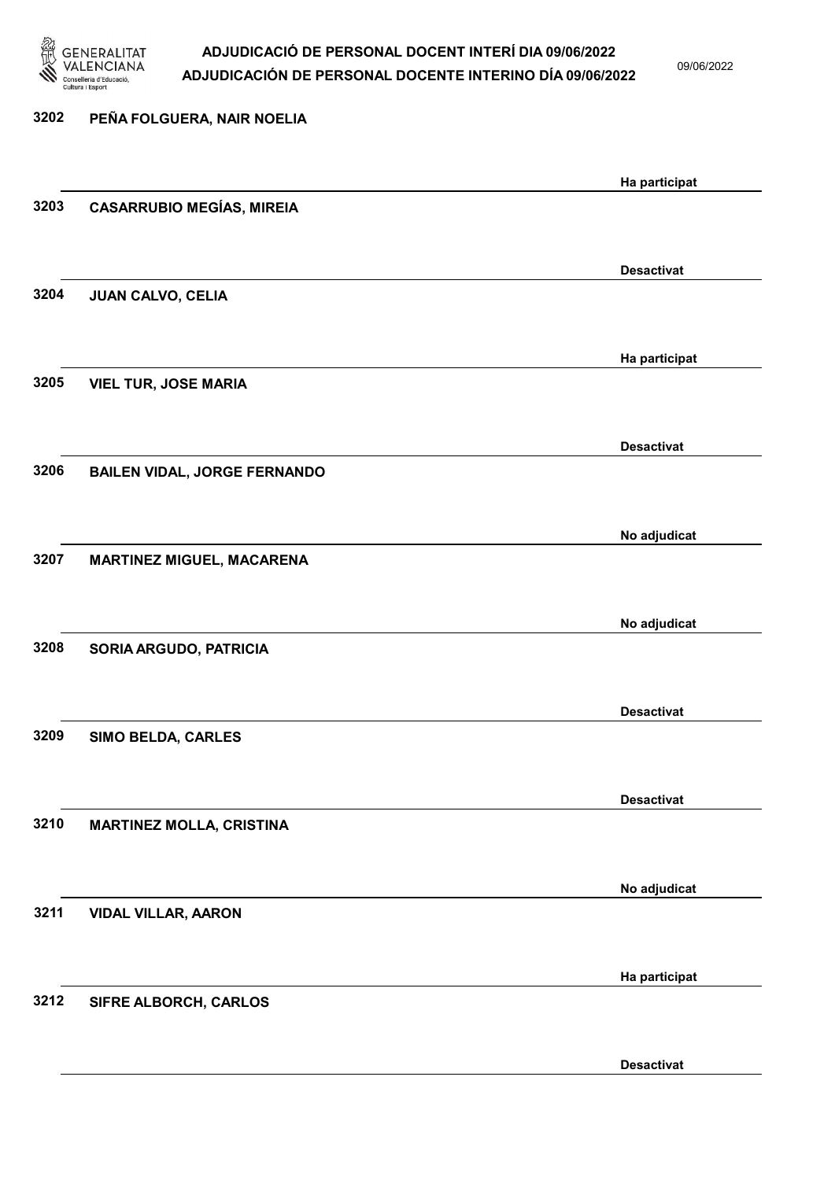

09/06/2022

| 3202 | PEÑA FOLGUERA, NAIR NOELIA          |                   |
|------|-------------------------------------|-------------------|
|      |                                     |                   |
| 3203 |                                     | Ha participat     |
|      | <b>CASARRUBIO MEGÍAS, MIREIA</b>    |                   |
|      |                                     |                   |
| 3204 | <b>JUAN CALVO, CELIA</b>            | <b>Desactivat</b> |
|      |                                     |                   |
|      |                                     | Ha participat     |
| 3205 | <b>VIEL TUR, JOSE MARIA</b>         |                   |
|      |                                     |                   |
|      |                                     | <b>Desactivat</b> |
| 3206 | <b>BAILEN VIDAL, JORGE FERNANDO</b> |                   |
|      |                                     |                   |
|      |                                     | No adjudicat      |
| 3207 | MARTINEZ MIGUEL, MACARENA           |                   |
|      |                                     |                   |
|      |                                     | No adjudicat      |
| 3208 | SORIA ARGUDO, PATRICIA              |                   |
|      |                                     |                   |
| 3209 | SIMO BELDA, CARLES                  | <b>Desactivat</b> |
|      |                                     |                   |
|      |                                     | <b>Desactivat</b> |
| 3210 | <b>MARTINEZ MOLLA, CRISTINA</b>     |                   |
|      |                                     |                   |
|      |                                     | No adjudicat      |
| 3211 | <b>VIDAL VILLAR, AARON</b>          |                   |
|      |                                     |                   |
|      |                                     | Ha participat     |
| 3212 | SIFRE ALBORCH, CARLOS               |                   |
|      |                                     |                   |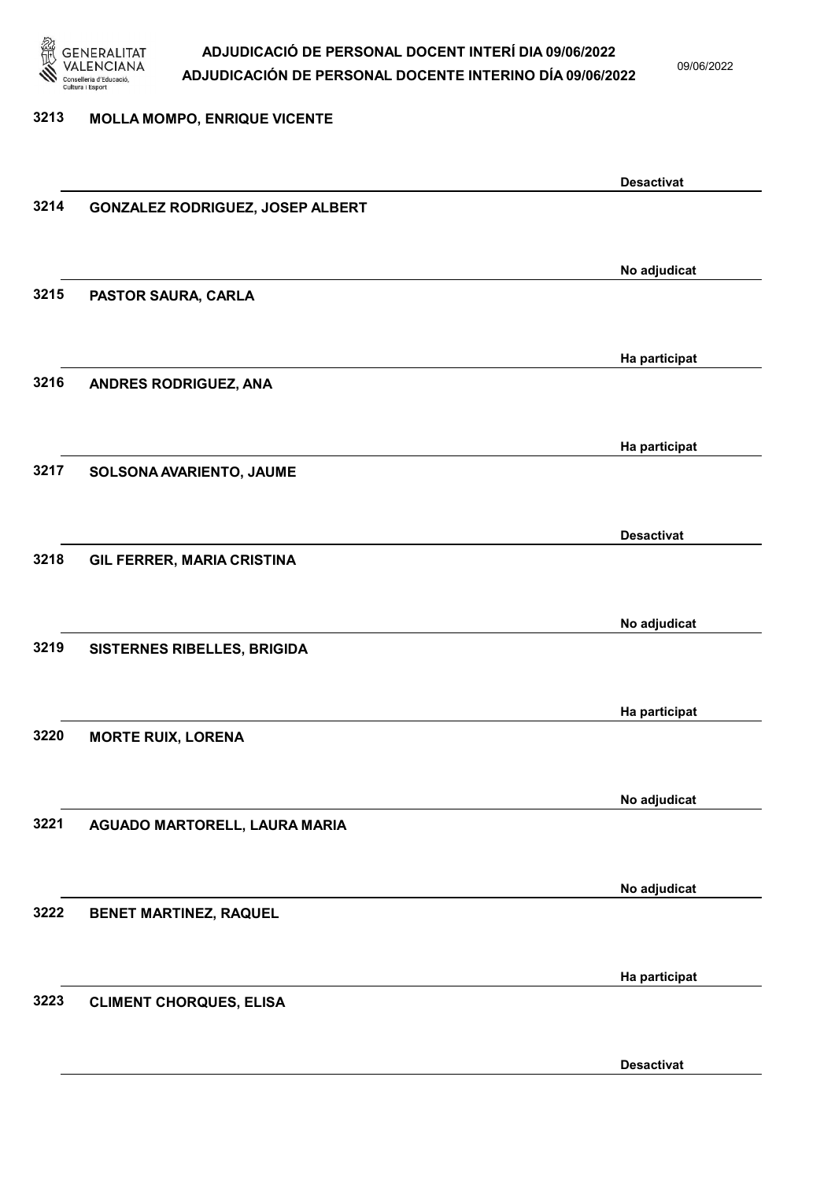

3213 MOLLA MOMPO, ENRIQUE VICENTE

### ADJUDICACIÓ DE PERSONAL DOCENT INTERÍ DIA 09/06/2022 ADJUDICACIÓN DE PERSONAL DOCENTE INTERINO DÍA 09/06/2022

09/06/2022

Desactivat

## Desactivat 3214 GONZALEZ RODRIGUEZ, JOSEP ALBERT No adjudicat 3215 PASTOR SAURA, CARLA Ha participat 3216 ANDRES RODRIGUEZ, ANA Ha participat 3217 SOLSONA AVARIENTO, JAUME Desactivat 3218 GIL FERRER, MARIA CRISTINA No adjudicat 3219 SISTERNES RIBELLES, BRIGIDA Ha participat 3220 MORTE RUIX, LORENA No adjudicat 3221 AGUADO MARTORELL, LAURA MARIA No adjudicat 3222 BENET MARTINEZ, RAQUEL Ha participat 3223 CLIMENT CHORQUES, ELISA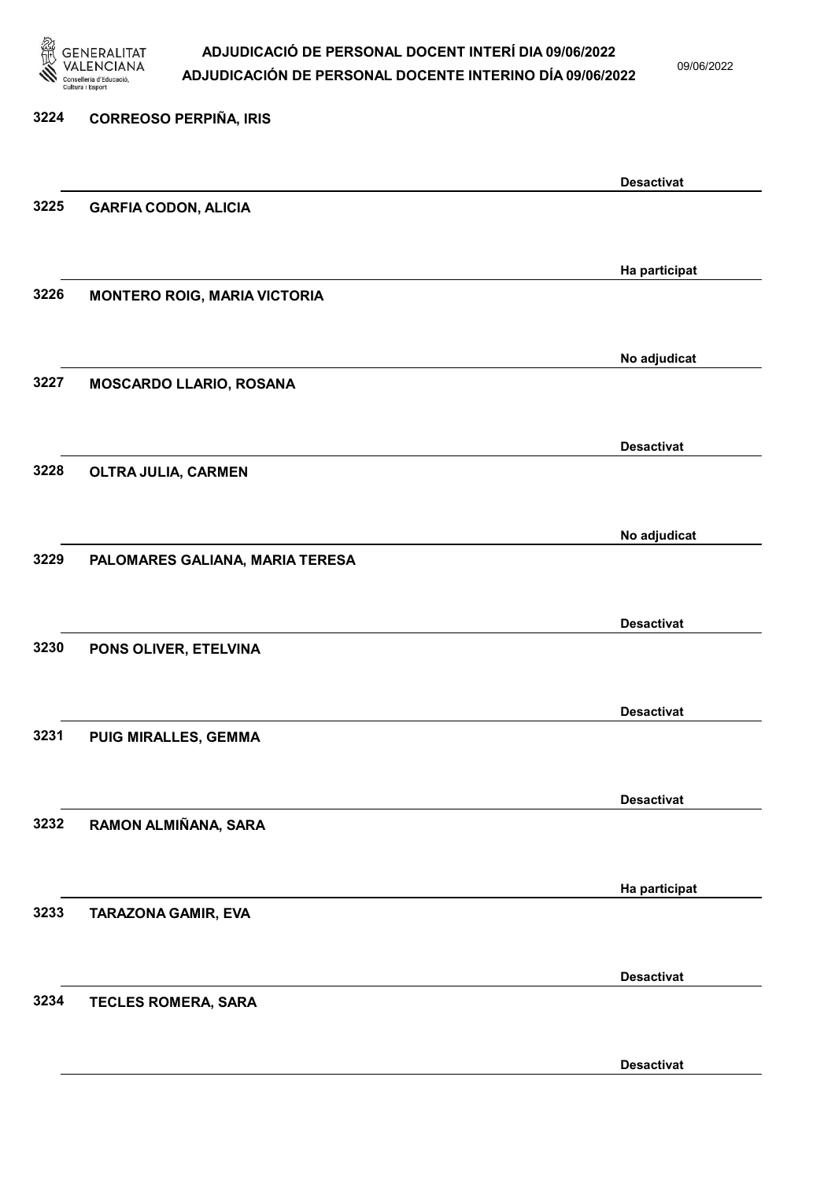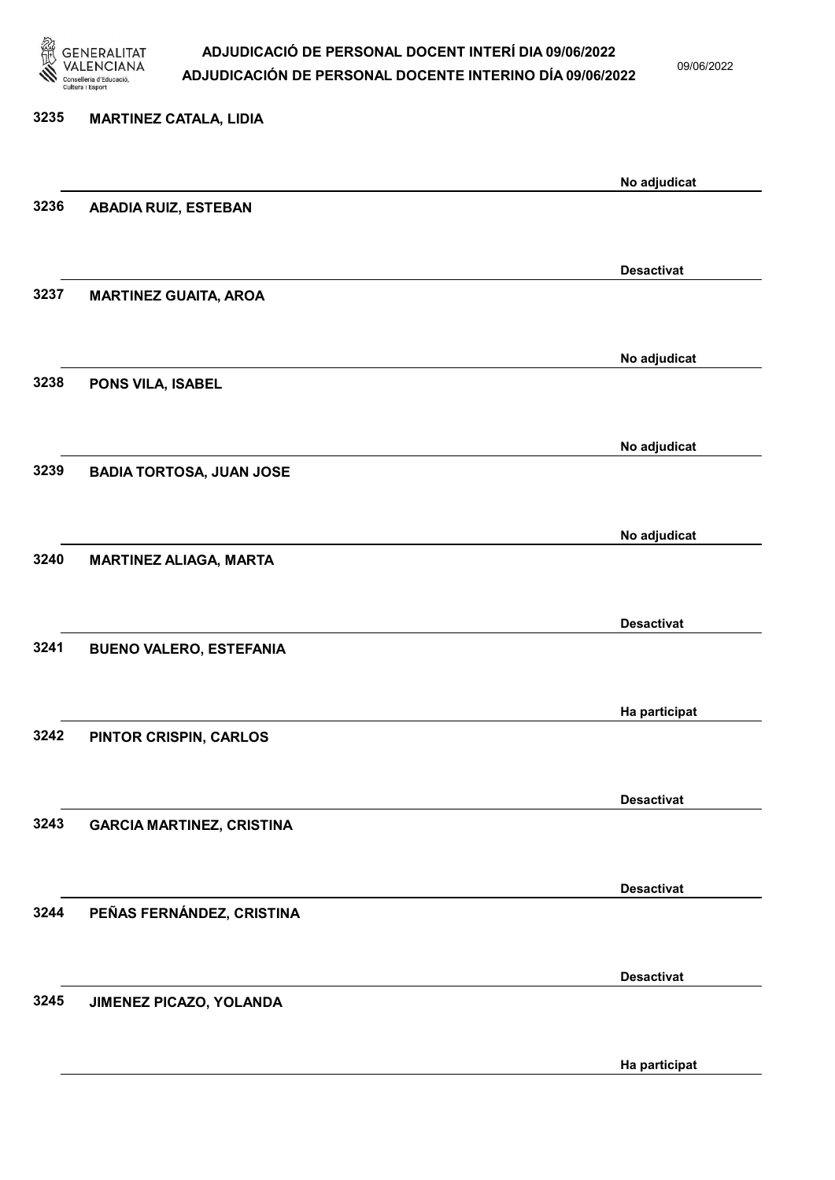

09/06/2022

Ha participat

# 3235 MARTINEZ CATALA, LIDIA No adjudicat 3236 ABADIA RUIZ, ESTEBAN Desactivat 3237 MARTINEZ GUAITA, AROA No adjudicat 3238 PONS VILA, ISABEL No adjudicat 3239 BADIA TORTOSA, JUAN JOSE No adjudicat 3240 MARTINEZ ALIAGA, MARTA Desactivat 3241 BUENO VALERO, ESTEFANIA Ha participat 3242 PINTOR CRISPIN, CARLOS Desactivat 3243 GARCIA MARTINEZ, CRISTINA Desactivat 3244 PEÑAS FERNÁNDEZ, CRISTINA Desactivat 3245 JIMENEZ PICAZO, YOLANDA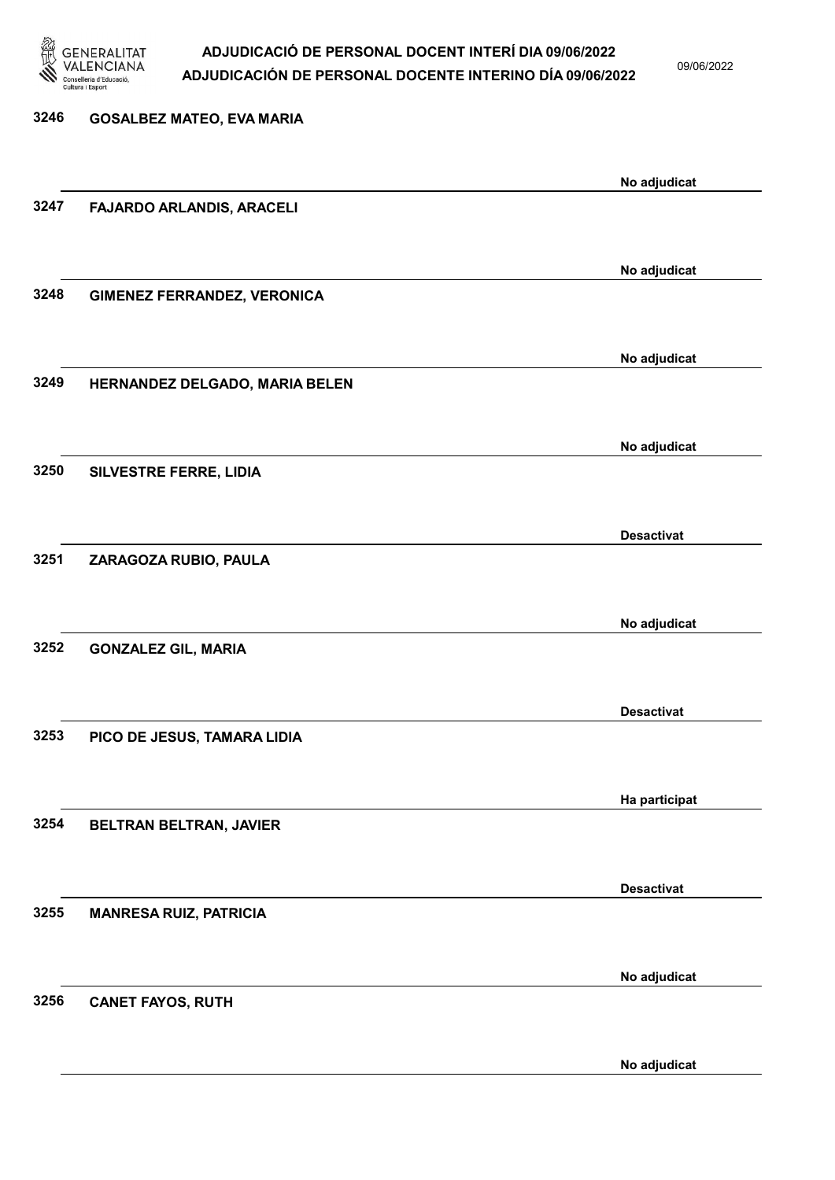

09/06/2022

No adjudicat

| 3246 | <b>GOSALBEZ MATEO, EVA MARIA</b>   |                   |
|------|------------------------------------|-------------------|
|      |                                    |                   |
| 3247 |                                    | No adjudicat      |
|      | FAJARDO ARLANDIS, ARACELI          |                   |
|      |                                    |                   |
| 3248 | <b>GIMENEZ FERRANDEZ, VERONICA</b> | No adjudicat      |
|      |                                    |                   |
|      |                                    | No adjudicat      |
| 3249 | HERNANDEZ DELGADO, MARIA BELEN     |                   |
|      |                                    |                   |
|      |                                    | No adjudicat      |
| 3250 | SILVESTRE FERRE, LIDIA             |                   |
|      |                                    |                   |
| 3251 | ZARAGOZA RUBIO, PAULA              | <b>Desactivat</b> |
|      |                                    |                   |
|      |                                    | No adjudicat      |
| 3252 | <b>GONZALEZ GIL, MARIA</b>         |                   |
|      |                                    |                   |
|      |                                    | <b>Desactivat</b> |
| 3253 | PICO DE JESUS, TAMARA LIDIA        |                   |
|      |                                    |                   |
| 3254 |                                    | Ha participat     |
|      | BELTRAN BELTRAN, JAVIER            |                   |
|      |                                    | <b>Desactivat</b> |
| 3255 | <b>MANRESA RUIZ, PATRICIA</b>      |                   |
|      |                                    |                   |
|      |                                    | No adjudicat      |
| 3256 | <b>CANET FAYOS, RUTH</b>           |                   |
|      |                                    |                   |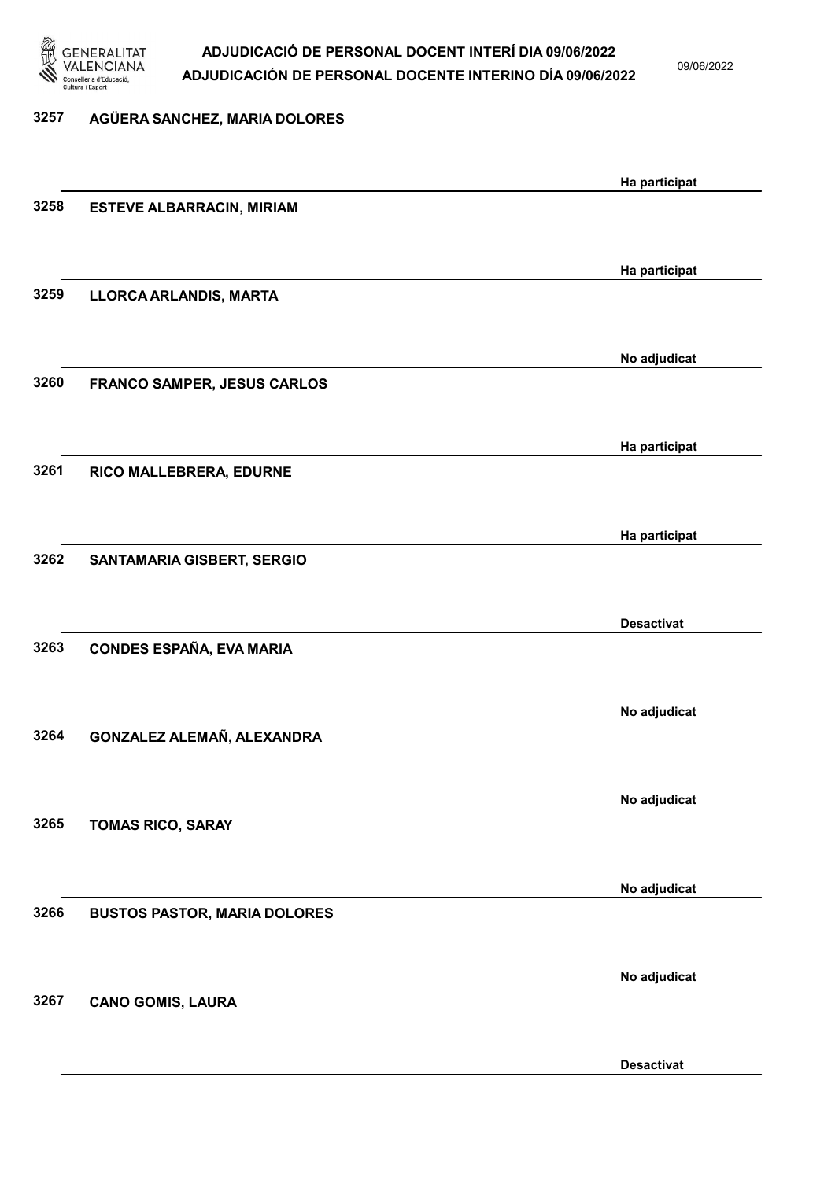

3257 AGÜERA SANCHEZ, MARIA DOLORES

### ADJUDICACIÓ DE PERSONAL DOCENT INTERÍ DIA 09/06/2022 ADJUDICACIÓN DE PERSONAL DOCENTE INTERINO DÍA 09/06/2022

09/06/2022

Desactivat

# Ha participat 3258 ESTEVE ALBARRACIN, MIRIAM Ha participat 3259 LLORCA ARLANDIS, MARTA No adjudicat 3260 FRANCO SAMPER, JESUS CARLOS Ha participat 3261 RICO MALLEBRERA, EDURNE Ha participat 3262 SANTAMARIA GISBERT, SERGIO Desactivat 3263 CONDES ESPAÑA, EVA MARIA No adjudicat 3264 GONZALEZ ALEMAÑ, ALEXANDRA No adjudicat 3265 TOMAS RICO, SARAY No adjudicat 3266 BUSTOS PASTOR, MARIA DOLORES No adjudicat 3267 CANO GOMIS, LAURA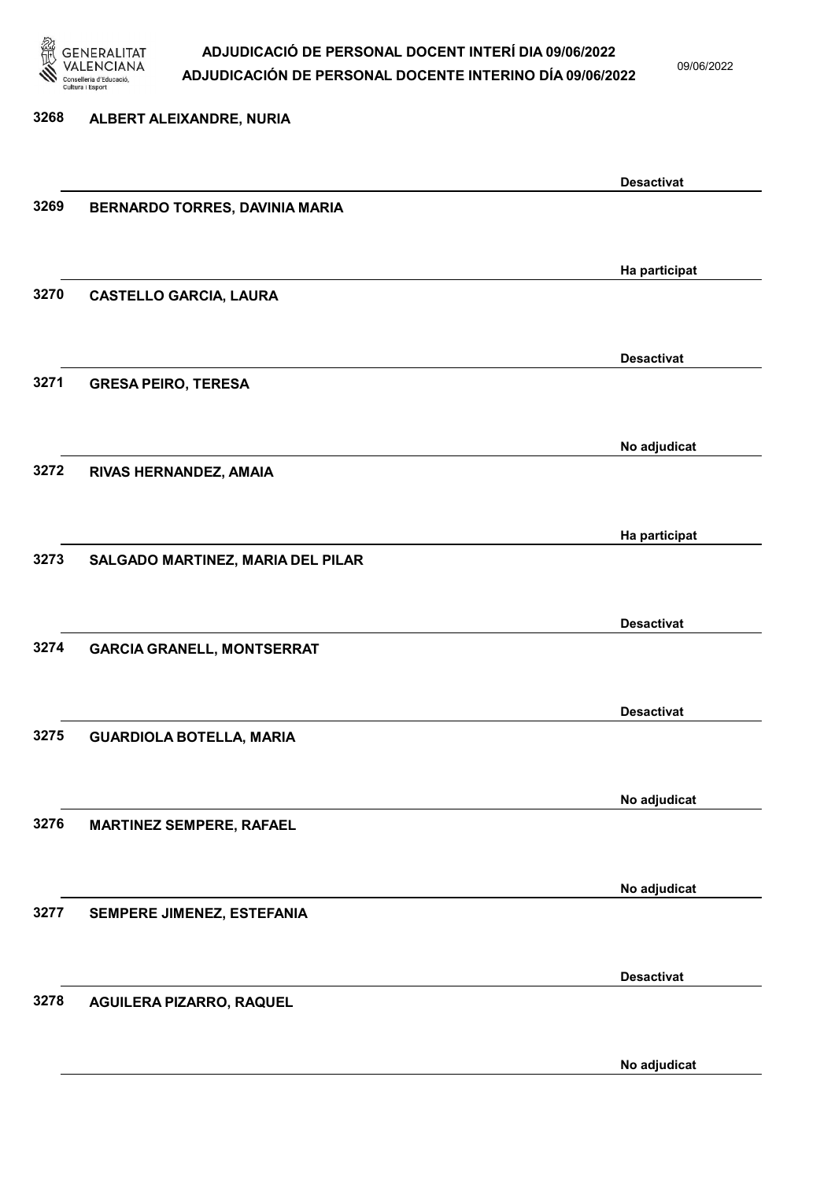

09/06/2022

# 3268 ALBERT ALEIXANDRE, NURIA Desactivat 3269 BERNARDO TORRES, DAVINIA MARIA Ha participat 3270 CASTELLO GARCIA, LAURA Desactivat 3271 GRESA PEIRO, TERESA No adjudicat 3272 RIVAS HERNANDEZ, AMAIA Ha participat 3273 SALGADO MARTINEZ, MARIA DEL PILAR Desactivat 3274 GARCIA GRANELL, MONTSERRAT Desactivat 3275 GUARDIOLA BOTELLA, MARIA No adjudicat 3276 MARTINEZ SEMPERE, RAFAEL No adjudicat 3277 SEMPERE JIMENEZ, ESTEFANIA Desactivat 3278 AGUILERA PIZARRO, RAQUEL

No adjudicat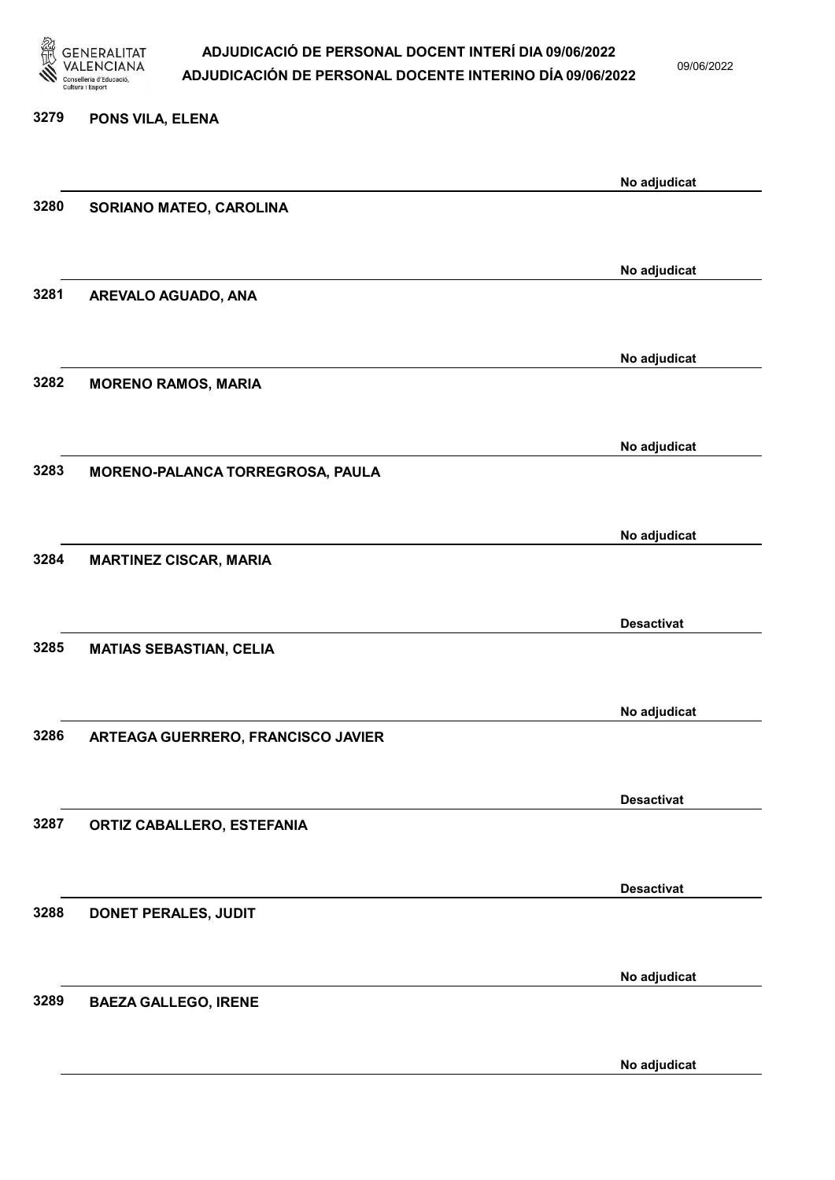

09/06/2022

| 3279 | PONS VILA, ELENA                   |                   |
|------|------------------------------------|-------------------|
|      |                                    | No adjudicat      |
| 3280 | SORIANO MATEO, CAROLINA            |                   |
|      |                                    | No adjudicat      |
| 3281 | AREVALO AGUADO, ANA                |                   |
| 3282 | <b>MORENO RAMOS, MARIA</b>         | No adjudicat      |
|      |                                    |                   |
| 3283 | MORENO-PALANCA TORREGROSA, PAULA   | No adjudicat      |
|      |                                    |                   |
| 3284 | <b>MARTINEZ CISCAR, MARIA</b>      | No adjudicat      |
|      |                                    | <b>Desactivat</b> |
| 3285 | <b>MATIAS SEBASTIAN, CELIA</b>     |                   |
|      |                                    | No adjudicat      |
| 3286 | ARTEAGA GUERRERO, FRANCISCO JAVIER |                   |
| 3287 | ORTIZ CABALLERO, ESTEFANIA         | <b>Desactivat</b> |
|      |                                    |                   |
| 3288 | DONET PERALES, JUDIT               | <b>Desactivat</b> |
|      |                                    |                   |
| 3289 | <b>BAEZA GALLEGO, IRENE</b>        | No adjudicat      |
|      |                                    |                   |

No adjudicat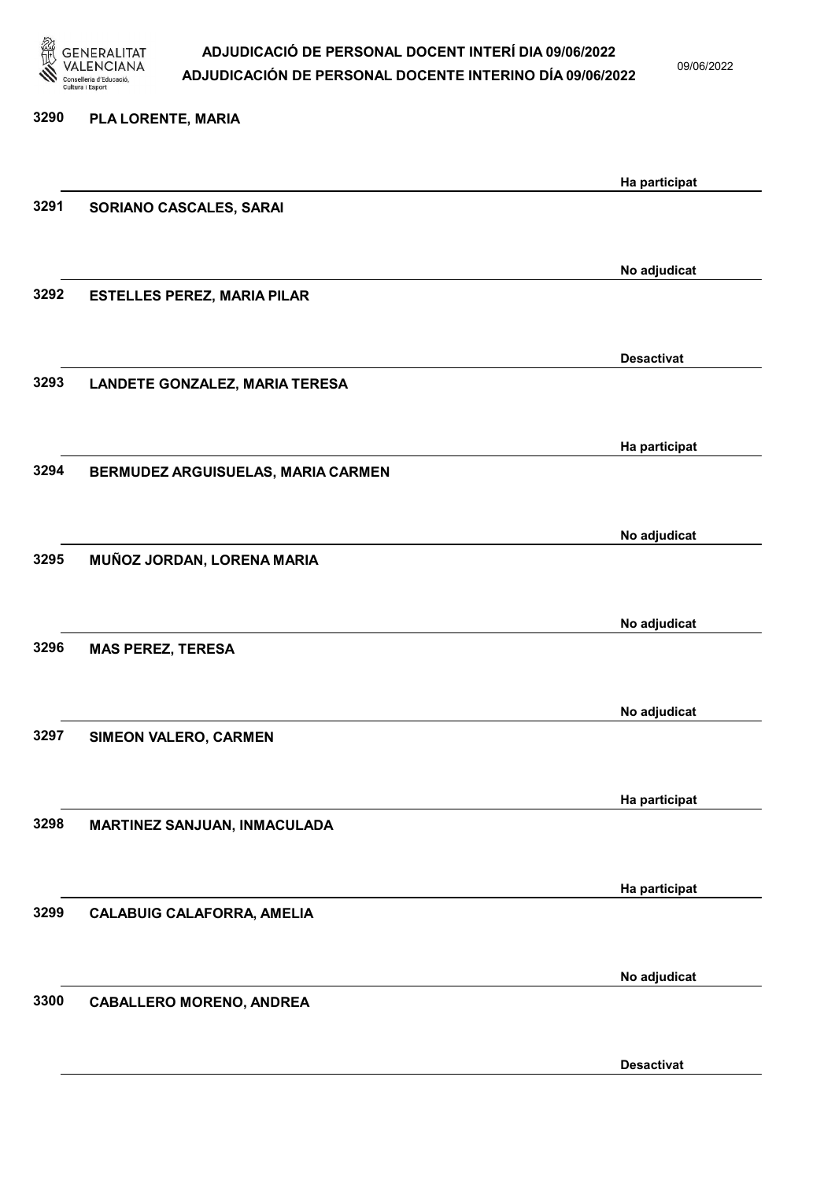

09/06/2022

| 3290 | PLA LORENTE, MARIA                 |                   |
|------|------------------------------------|-------------------|
|      |                                    | Ha participat     |
| 3291 | SORIANO CASCALES, SARAI            |                   |
|      |                                    | No adjudicat      |
| 3292 | <b>ESTELLES PEREZ, MARIA PILAR</b> |                   |
|      |                                    | <b>Desactivat</b> |
| 3293 | LANDETE GONZALEZ, MARIA TERESA     |                   |
|      |                                    | Ha participat     |
| 3294 | BERMUDEZ ARGUISUELAS, MARIA CARMEN |                   |
|      |                                    | No adjudicat      |
| 3295 | MUÑOZ JORDAN, LORENA MARIA         |                   |
|      |                                    | No adjudicat      |
| 3296 | <b>MAS PEREZ, TERESA</b>           |                   |
|      |                                    | No adjudicat      |
| 3297 | SIMEON VALERO, CARMEN              |                   |
|      |                                    | Ha participat     |
| 3298 | MARTINEZ SANJUAN, INMACULADA       |                   |
|      |                                    | Ha participat     |
| 3299 | <b>CALABUIG CALAFORRA, AMELIA</b>  |                   |
|      |                                    | No adjudicat      |
| 3300 | <b>CABALLERO MORENO, ANDREA</b>    |                   |
|      |                                    |                   |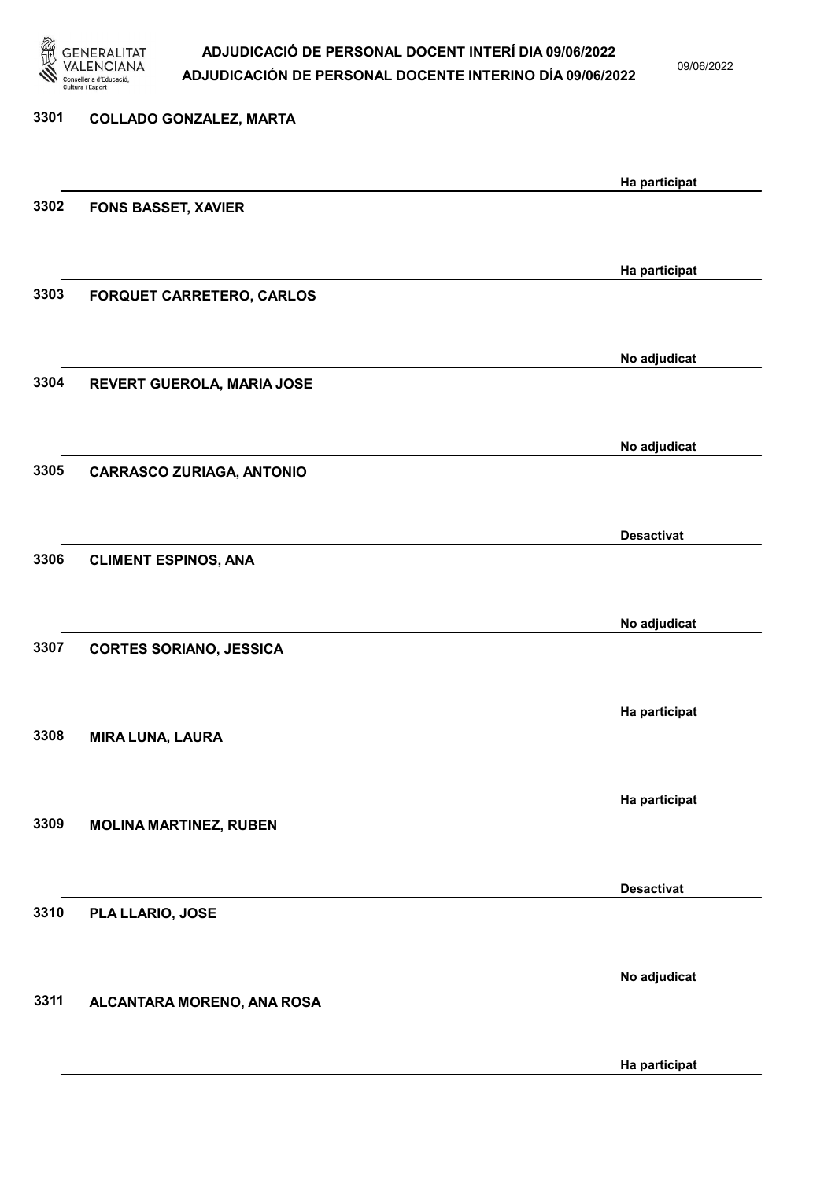

09/06/2022

| 3301 | <b>COLLADO GONZALEZ, MARTA</b>   |                   |
|------|----------------------------------|-------------------|
|      |                                  | Ha participat     |
| 3302 | <b>FONS BASSET, XAVIER</b>       |                   |
|      |                                  | Ha participat     |
| 3303 | FORQUET CARRETERO, CARLOS        |                   |
|      |                                  | No adjudicat      |
| 3304 | REVERT GUEROLA, MARIA JOSE       |                   |
| 3305 |                                  | No adjudicat      |
|      | <b>CARRASCO ZURIAGA, ANTONIO</b> |                   |
| 3306 | <b>CLIMENT ESPINOS, ANA</b>      | <b>Desactivat</b> |
|      |                                  |                   |
|      |                                  | No adjudicat      |
| 3307 | <b>CORTES SORIANO, JESSICA</b>   |                   |
|      |                                  | Ha participat     |
| 3308 | <b>MIRA LUNA, LAURA</b>          |                   |
|      |                                  | Ha participat     |
| 3309 | <b>MOLINA MARTINEZ, RUBEN</b>    |                   |
|      |                                  | <b>Desactivat</b> |
| 3310 | PLA LLARIO, JOSE                 |                   |
|      |                                  | No adjudicat      |
| 3311 | ALCANTARA MORENO, ANA ROSA       |                   |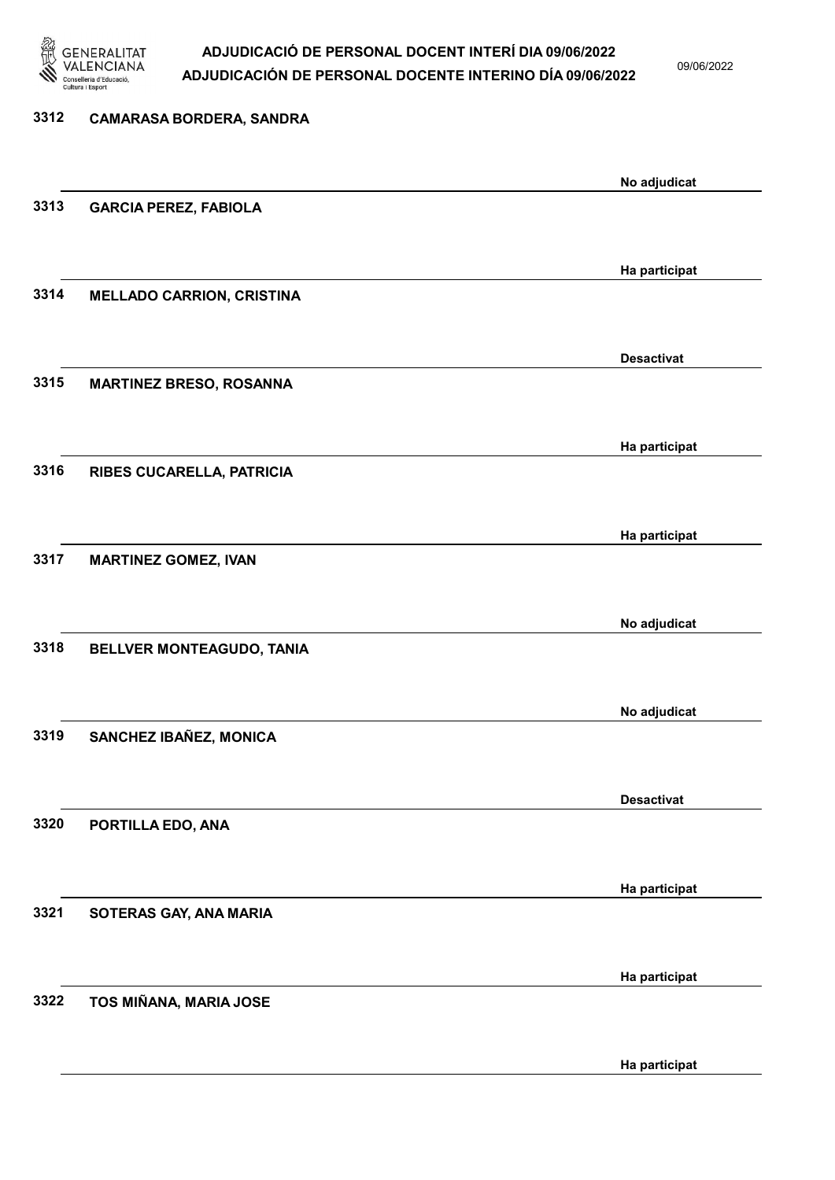

09/06/2022

| 3312 | <b>CAMARASA BORDERA, SANDRA</b>  |                   |
|------|----------------------------------|-------------------|
|      |                                  | No adjudicat      |
| 3313 | <b>GARCIA PEREZ, FABIOLA</b>     |                   |
|      |                                  |                   |
|      |                                  | Ha participat     |
| 3314 | <b>MELLADO CARRION, CRISTINA</b> |                   |
|      |                                  | <b>Desactivat</b> |
| 3315 | <b>MARTINEZ BRESO, ROSANNA</b>   |                   |
|      |                                  |                   |
|      |                                  | Ha participat     |
| 3316 | RIBES CUCARELLA, PATRICIA        |                   |
|      |                                  |                   |
|      |                                  | Ha participat     |
| 3317 | <b>MARTINEZ GOMEZ, IVAN</b>      |                   |
|      |                                  |                   |
|      |                                  | No adjudicat      |
| 3318 | BELLVER MONTEAGUDO, TANIA        |                   |
|      |                                  |                   |
|      |                                  | No adjudicat      |
| 3319 | SANCHEZ IBAÑEZ, MONICA           |                   |
|      |                                  |                   |
|      |                                  | <b>Desactivat</b> |
| 3320 | PORTILLA EDO, ANA                |                   |
|      |                                  |                   |
|      |                                  | Ha participat     |
| 3321 | SOTERAS GAY, ANA MARIA           |                   |
|      |                                  |                   |
|      |                                  | Ha participat     |
| 3322 | TOS MIÑANA, MARIA JOSE           |                   |
|      |                                  |                   |
|      |                                  |                   |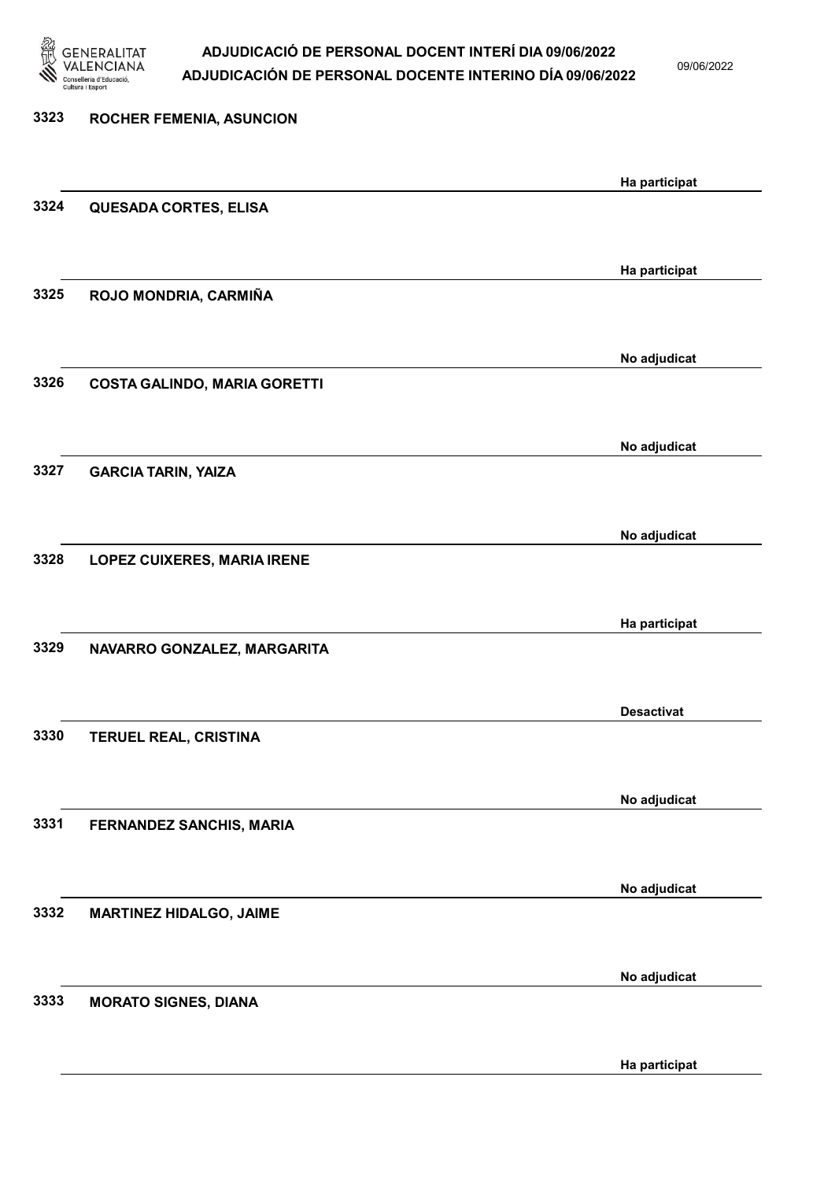

09/06/2022

| 3323 | <b>ROCHER FEMENIA, ASUNCION</b>     |                   |
|------|-------------------------------------|-------------------|
|      |                                     | Ha participat     |
| 3324 | <b>QUESADA CORTES, ELISA</b>        |                   |
| 3325 | ROJO MONDRIA, CARMIÑA               | Ha participat     |
|      |                                     | No adjudicat      |
| 3326 | <b>COSTA GALINDO, MARIA GORETTI</b> |                   |
| 3327 | <b>GARCIA TARIN, YAIZA</b>          | No adjudicat      |
|      |                                     |                   |
| 3328 | <b>LOPEZ CUIXERES, MARIA IRENE</b>  | No adjudicat      |
|      |                                     | Ha participat     |
| 3329 | NAVARRO GONZALEZ, MARGARITA         |                   |
| 3330 | <b>TERUEL REAL, CRISTINA</b>        | <b>Desactivat</b> |
|      |                                     | No adjudicat      |
| 3331 | FERNANDEZ SANCHIS, MARIA            |                   |
| 3332 | <b>MARTINEZ HIDALGO, JAIME</b>      | No adjudicat      |
|      |                                     |                   |
| 3333 | <b>MORATO SIGNES, DIANA</b>         | No adjudicat      |
|      |                                     |                   |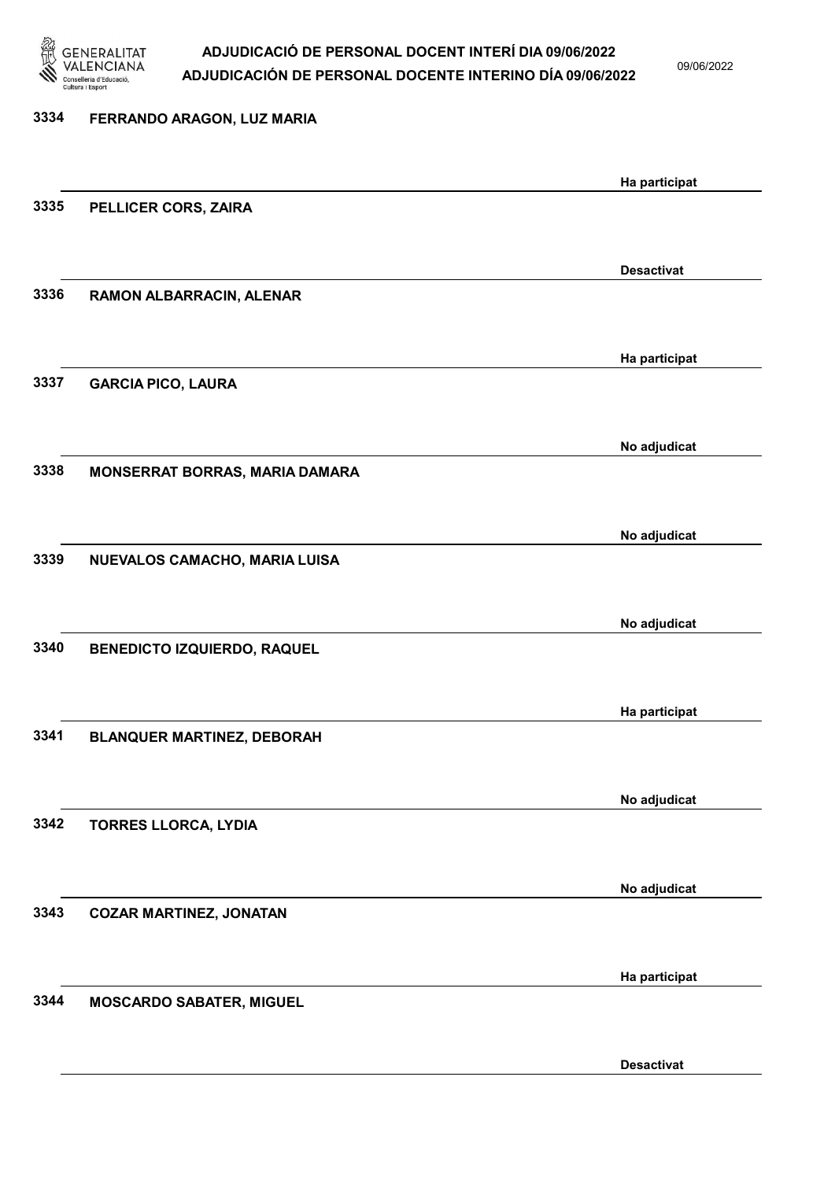

09/06/2022

| 3334 | FERRANDO ARAGON, LUZ MARIA         |                   |
|------|------------------------------------|-------------------|
|      |                                    | Ha participat     |
| 3335 | PELLICER CORS, ZAIRA               |                   |
|      |                                    | <b>Desactivat</b> |
| 3336 | RAMON ALBARRACIN, ALENAR           |                   |
|      |                                    | Ha participat     |
| 3337 | <b>GARCIA PICO, LAURA</b>          |                   |
|      |                                    | No adjudicat      |
| 3338 | MONSERRAT BORRAS, MARIA DAMARA     |                   |
|      |                                    | No adjudicat      |
| 3339 | NUEVALOS CAMACHO, MARIA LUISA      |                   |
|      |                                    | No adjudicat      |
| 3340 | <b>BENEDICTO IZQUIERDO, RAQUEL</b> |                   |
|      |                                    | Ha participat     |
| 3341 | <b>BLANQUER MARTINEZ, DEBORAH</b>  |                   |
|      |                                    | No adjudicat      |
| 3342 | <b>TORRES LLORCA, LYDIA</b>        |                   |
|      |                                    | No adjudicat      |
| 3343 | <b>COZAR MARTINEZ, JONATAN</b>     |                   |
|      |                                    | Ha participat     |
| 3344 | <b>MOSCARDO SABATER, MIGUEL</b>    |                   |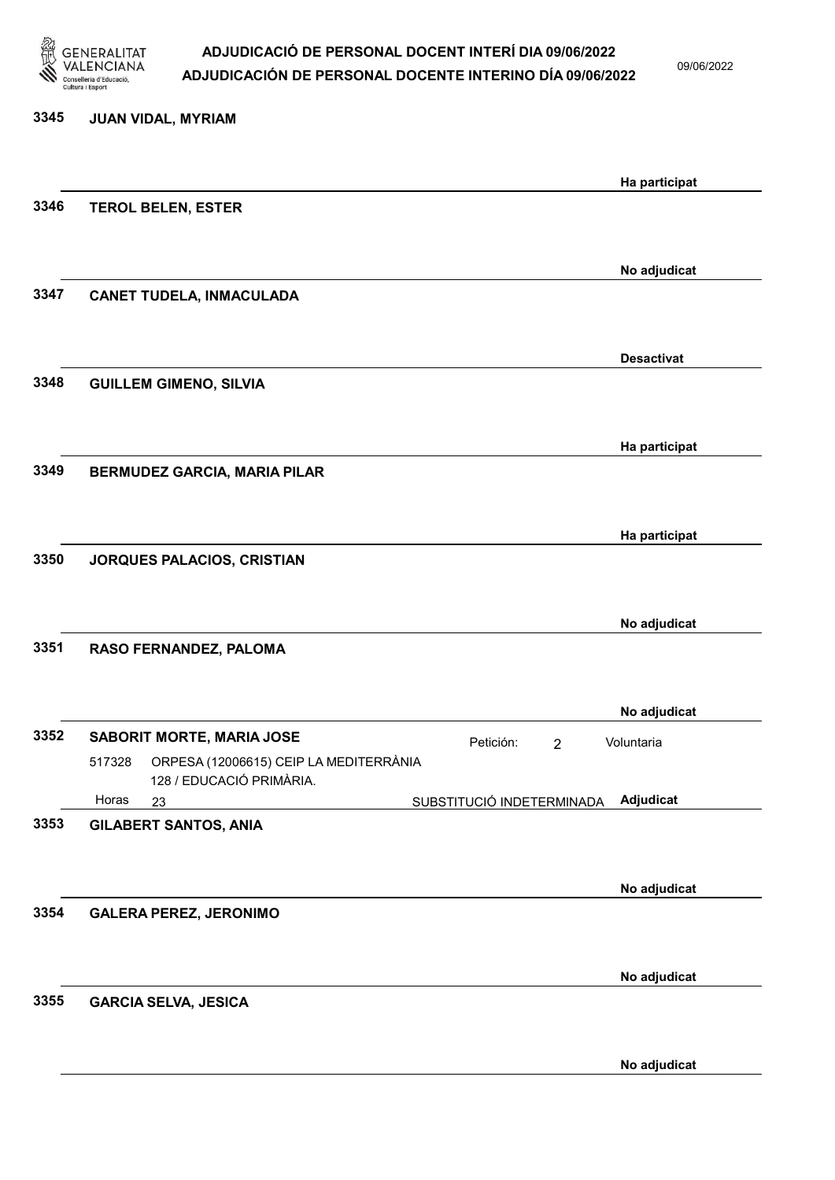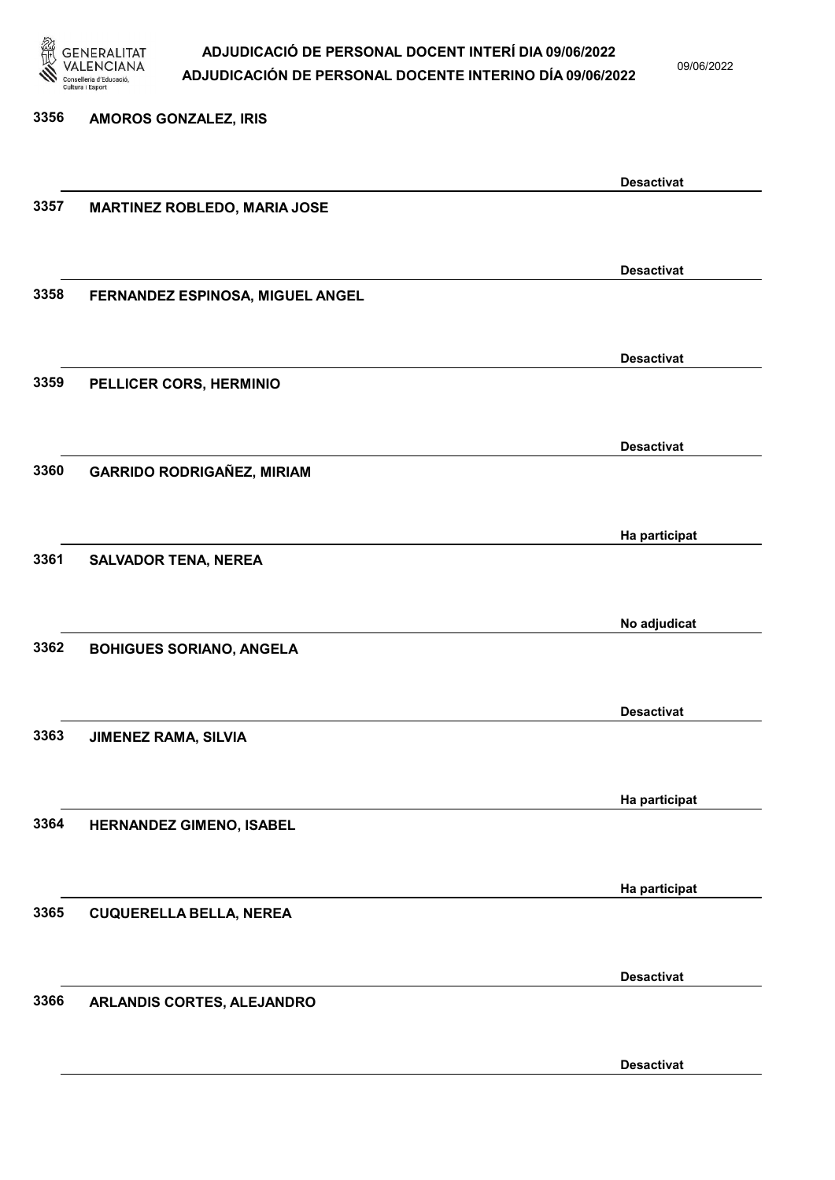

09/06/2022

Desactivat

# 3356 AMOROS GONZALEZ, IRIS Desactivat 3357 MARTINEZ ROBLEDO, MARIA JOSE Desactivat 3358 FERNANDEZ ESPINOSA, MIGUEL ANGEL Desactivat 3359 PELLICER CORS, HERMINIO Desactivat 3360 GARRIDO RODRIGAÑEZ, MIRIAM Ha participat 3361 SALVADOR TENA, NEREA No adjudicat 3362 BOHIGUES SORIANO, ANGELA Desactivat 3363 JIMENEZ RAMA, SILVIA Ha participat 3364 HERNANDEZ GIMENO, ISABEL Ha participat 3365 CUQUERELLA BELLA, NEREA Desactivat 3366 ARLANDIS CORTES, ALEJANDRO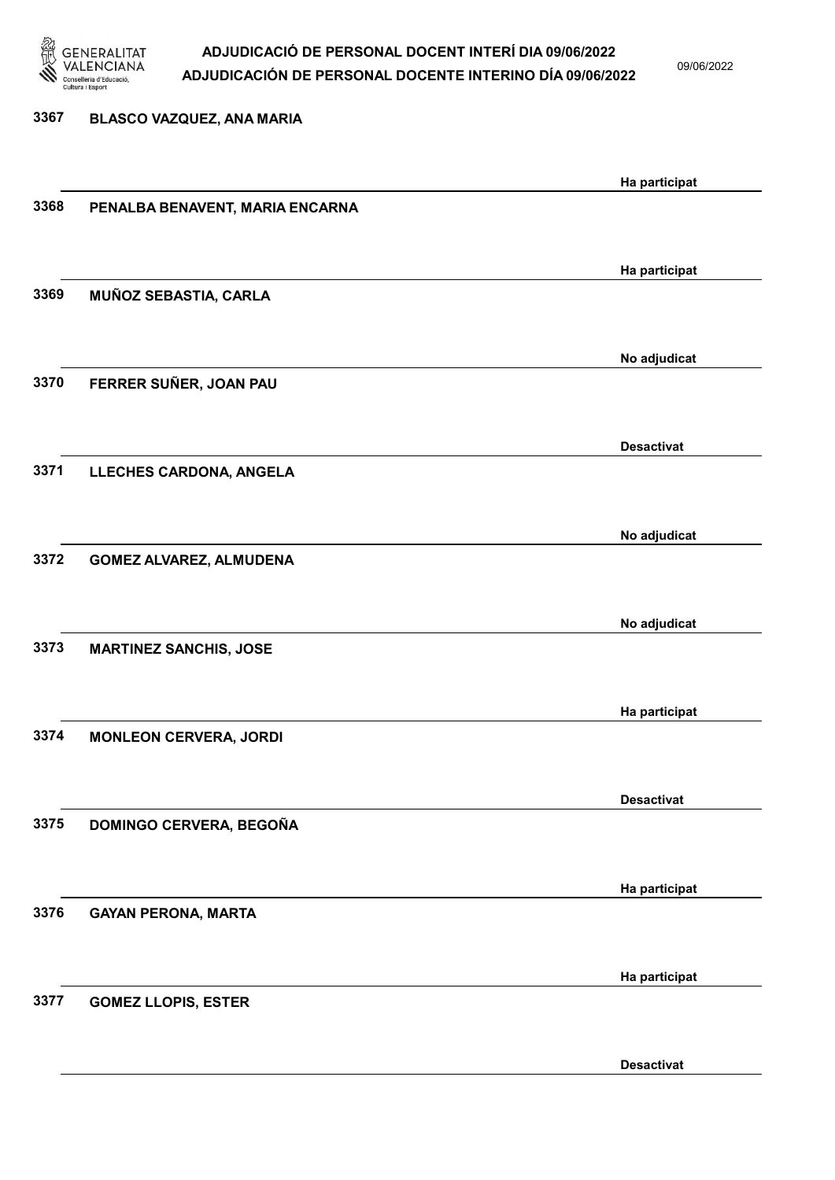

09/06/2022

# 3367 BLASCO VAZQUEZ, ANA MARIA Ha participat 3368 PENALBA BENAVENT, MARIA ENCARNA Ha participat 3369 MUÑOZ SEBASTIA, CARLA No adjudicat 3370 FERRER SUÑER, JOAN PAU Desactivat 3371 LLECHES CARDONA, ANGELA No adjudicat 3372 GOMEZ ALVAREZ, ALMUDENA No adjudicat 3373 MARTINEZ SANCHIS, JOSE Ha participat 3374 MONLEON CERVERA, JORDI Desactivat 3375 DOMINGO CERVERA, BEGOÑA Ha participat 3376 GAYAN PERONA, MARTA Ha participat 3377 GOMEZ LLOPIS, ESTER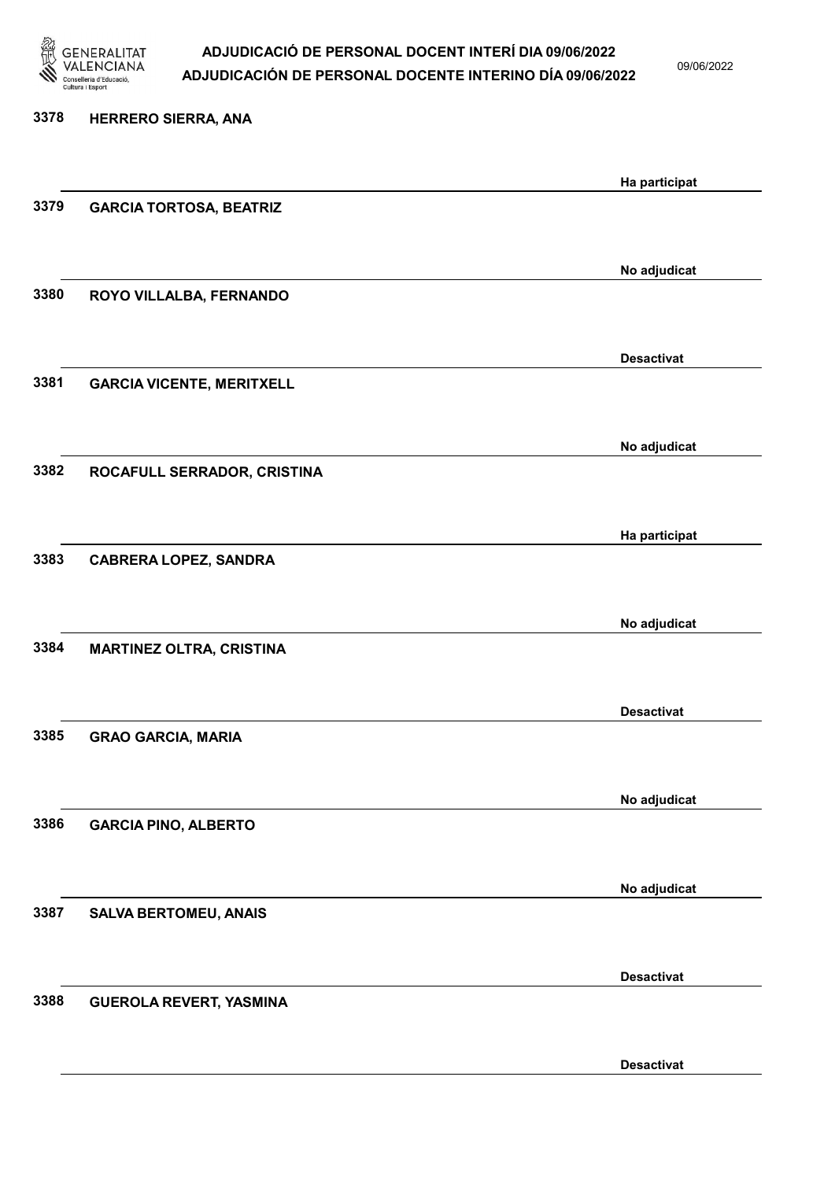

09/06/2022

| 3378 | <b>HERRERO SIERRA, ANA</b>       |                   |
|------|----------------------------------|-------------------|
|      |                                  | Ha participat     |
| 3379 | <b>GARCIA TORTOSA, BEATRIZ</b>   |                   |
|      |                                  | No adjudicat      |
| 3380 | ROYO VILLALBA, FERNANDO          |                   |
|      |                                  |                   |
| 3381 | <b>GARCIA VICENTE, MERITXELL</b> | <b>Desactivat</b> |
|      |                                  |                   |
| 3382 | ROCAFULL SERRADOR, CRISTINA      | No adjudicat      |
|      |                                  |                   |
|      |                                  | Ha participat     |
| 3383 | <b>CABRERA LOPEZ, SANDRA</b>     |                   |
|      |                                  | No adjudicat      |
| 3384 | <b>MARTINEZ OLTRA, CRISTINA</b>  |                   |
|      |                                  | <b>Desactivat</b> |
| 3385 | <b>GRAO GARCIA, MARIA</b>        |                   |
|      |                                  |                   |
| 3386 | <b>GARCIA PINO, ALBERTO</b>      | No adjudicat      |
|      |                                  |                   |
| 3387 | <b>SALVA BERTOMEU, ANAIS</b>     | No adjudicat      |
|      |                                  |                   |
| 3388 | <b>GUEROLA REVERT, YASMINA</b>   | <b>Desactivat</b> |
|      |                                  |                   |
|      |                                  |                   |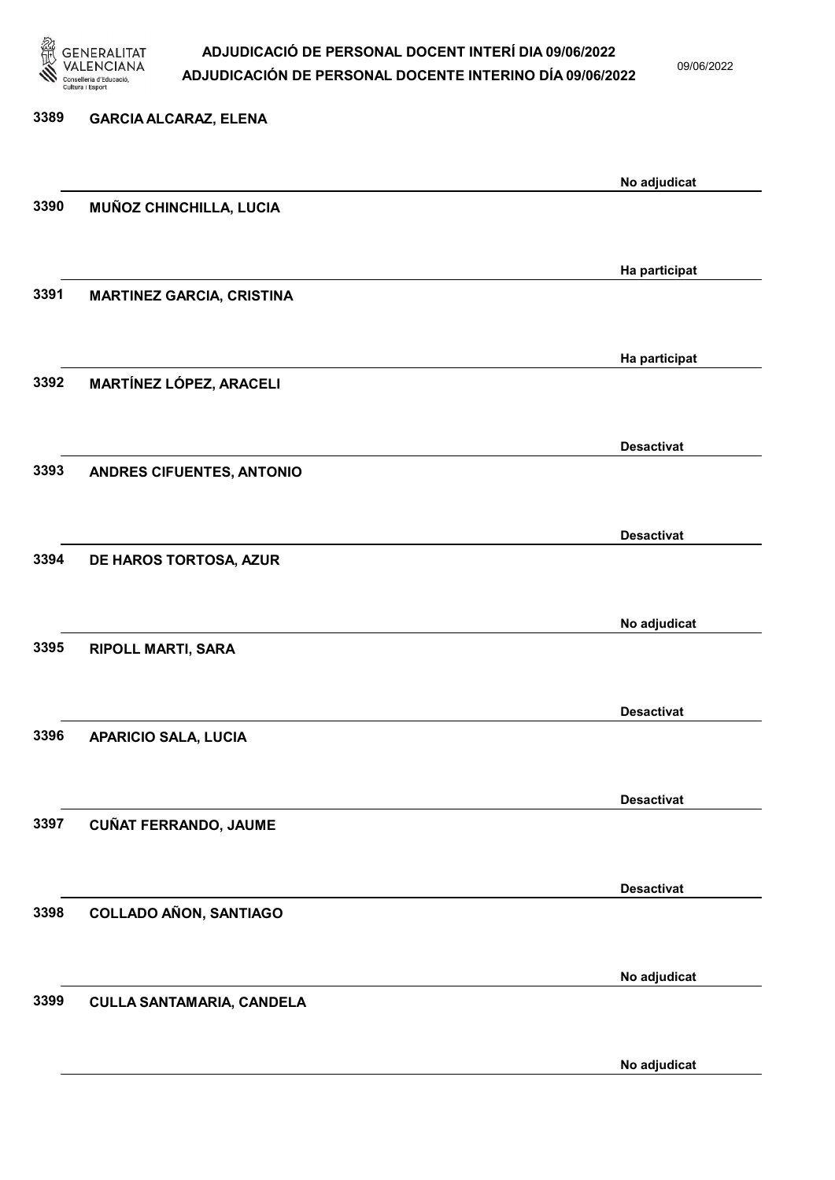

09/06/2022

# 3389 GARCIA ALCARAZ, ELENA No adjudicat 3390 MUÑOZ CHINCHILLA, LUCIA Ha participat 3391 MARTINEZ GARCIA, CRISTINA Ha participat 3392 MARTÍNEZ LÓPEZ, ARACELI Desactivat 3393 ANDRES CIFUENTES, ANTONIO Desactivat 3394 DE HAROS TORTOSA, AZUR No adjudicat 3395 RIPOLL MARTI, SARA Desactivat 3396 APARICIO SALA, LUCIA Desactivat 3397 CUÑAT FERRANDO, JAUME Desactivat 3398 COLLADO AÑON, SANTIAGO No adjudicat 3399 CULLA SANTAMARIA, CANDELA

No adjudicat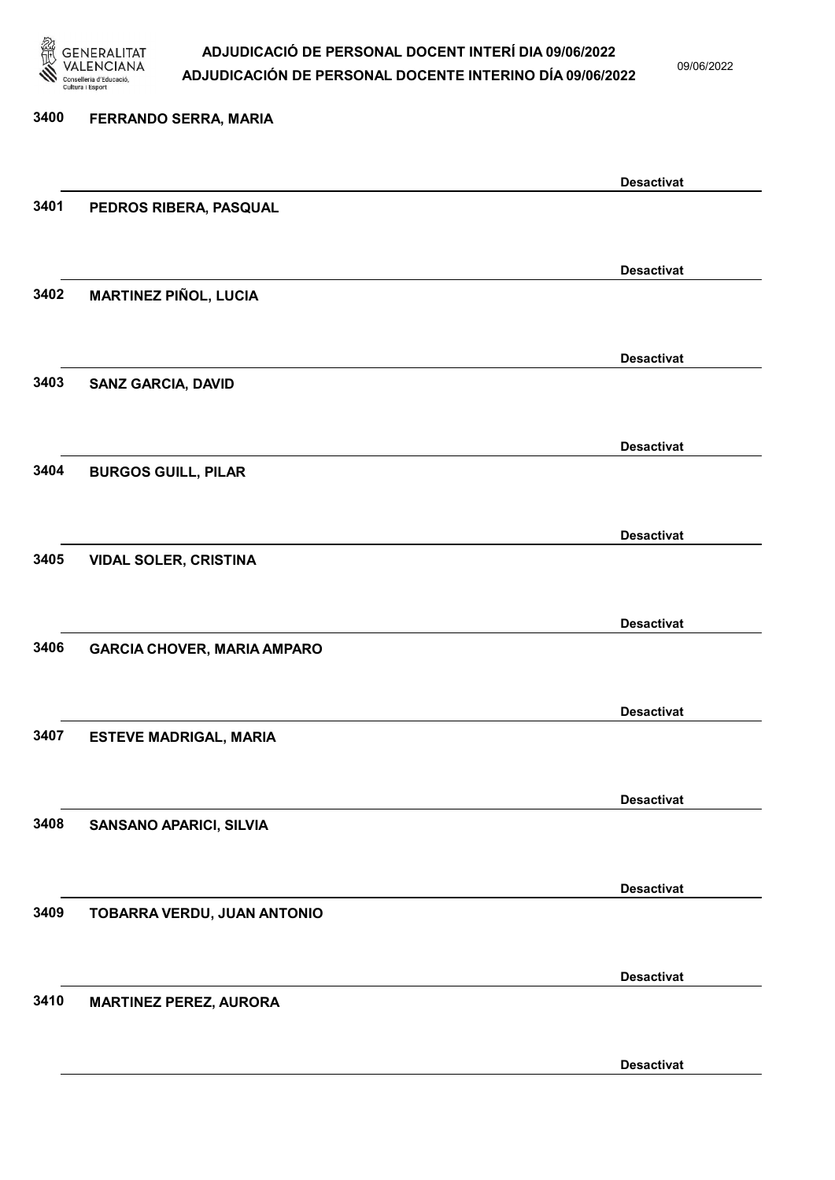

09/06/2022

Desactivat

# 3400 FERRANDO SERRA, MARIA Desactivat 3401 PEDROS RIBERA, PASQUAL Desactivat 3402 MARTINEZ PIÑOL, LUCIA Desactivat 3403 SANZ GARCIA, DAVID Desactivat 3404 BURGOS GUILL, PILAR Desactivat 3405 VIDAL SOLER, CRISTINA Desactivat 3406 GARCIA CHOVER, MARIA AMPARO Desactivat 3407 ESTEVE MADRIGAL, MARIA Desactivat 3408 SANSANO APARICI, SILVIA Desactivat 3409 TOBARRA VERDU, JUAN ANTONIO Desactivat 3410 MARTINEZ PEREZ, AURORA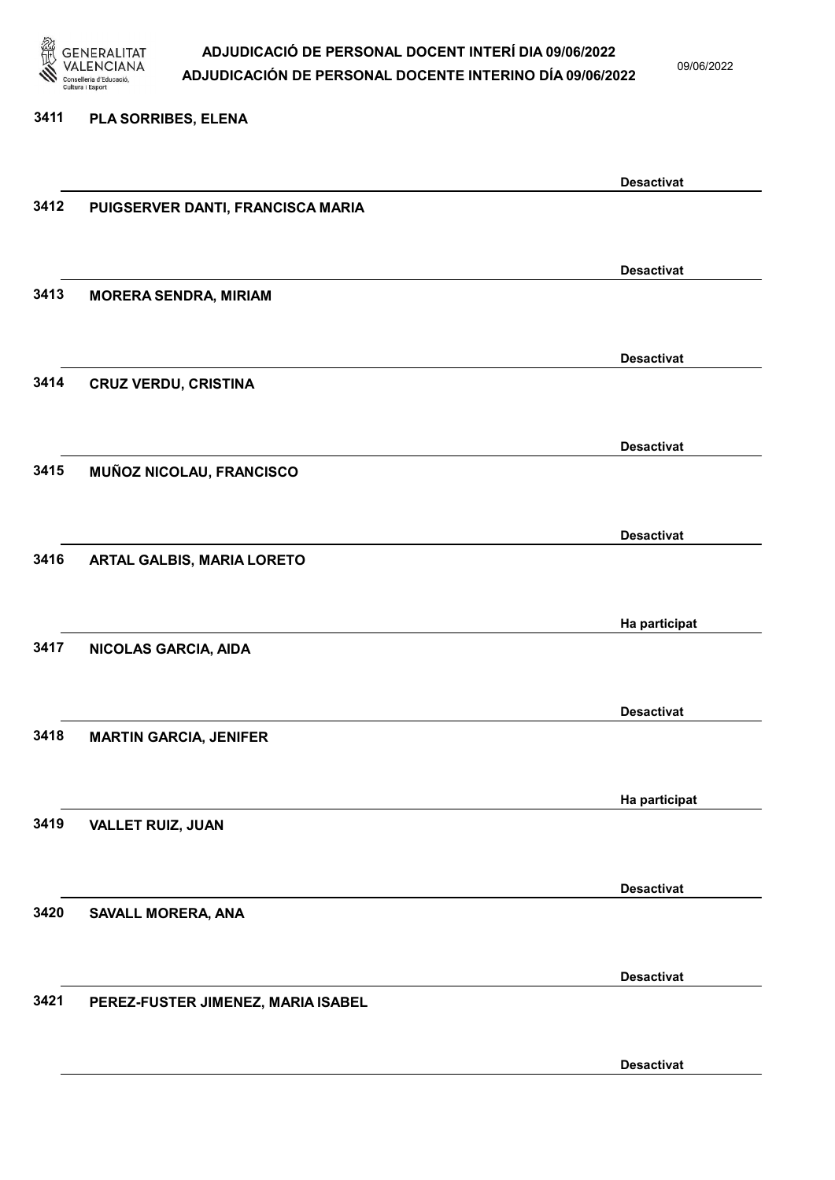

09/06/2022

#### 3411 PLA SORRIBES, ELENA

|      |                                    | <b>Desactivat</b> |
|------|------------------------------------|-------------------|
| 3412 | PUIGSERVER DANTI, FRANCISCA MARIA  |                   |
|      |                                    |                   |
|      |                                    |                   |
|      |                                    | <b>Desactivat</b> |
|      |                                    |                   |
| 3413 | <b>MORERA SENDRA, MIRIAM</b>       |                   |
|      |                                    |                   |
|      |                                    |                   |
|      |                                    | <b>Desactivat</b> |
| 3414 | <b>CRUZ VERDU, CRISTINA</b>        |                   |
|      |                                    |                   |
|      |                                    |                   |
|      |                                    | <b>Desactivat</b> |
| 3415 | MUÑOZ NICOLAU, FRANCISCO           |                   |
|      |                                    |                   |
|      |                                    |                   |
|      |                                    | <b>Desactivat</b> |
|      |                                    |                   |
| 3416 | <b>ARTAL GALBIS, MARIA LORETO</b>  |                   |
|      |                                    |                   |
|      |                                    |                   |
|      |                                    | Ha participat     |
| 3417 | NICOLAS GARCIA, AIDA               |                   |
|      |                                    |                   |
|      |                                    |                   |
|      |                                    | <b>Desactivat</b> |
| 3418 |                                    |                   |
|      | <b>MARTIN GARCIA, JENIFER</b>      |                   |
|      |                                    |                   |
|      |                                    |                   |
|      |                                    | Ha participat     |
| 3419 | <b>VALLET RUIZ, JUAN</b>           |                   |
|      |                                    |                   |
|      |                                    |                   |
|      |                                    | <b>Desactivat</b> |
| 3420 | SAVALL MORERA, ANA                 |                   |
|      |                                    |                   |
|      |                                    |                   |
|      |                                    | <b>Desactivat</b> |
|      |                                    |                   |
| 3421 | PEREZ-FUSTER JIMENEZ, MARIA ISABEL |                   |
|      |                                    |                   |
|      |                                    |                   |
|      |                                    | <b>Desactivat</b> |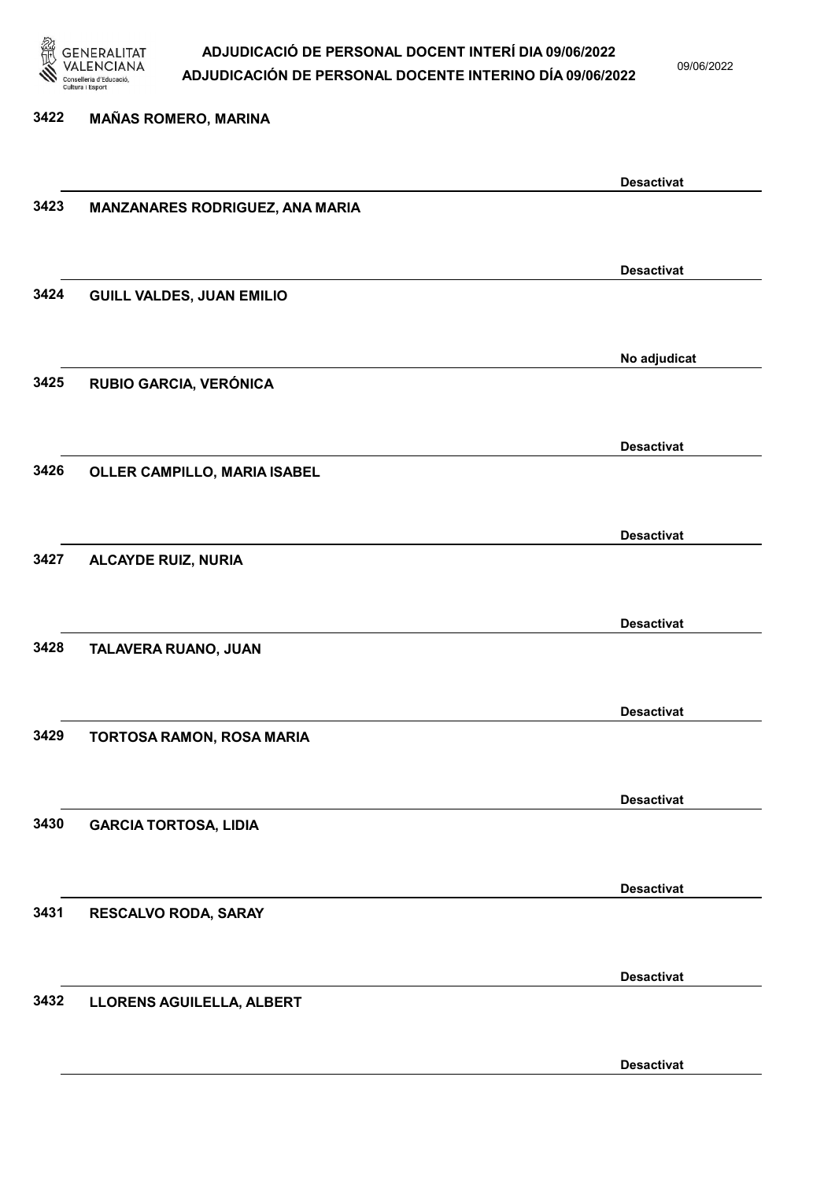

09/06/2022

Desactivat

# 3422 MAÑAS ROMERO, MARINA Desactivat 3423 MANZANARES RODRIGUEZ, ANA MARIA Desactivat 3424 GUILL VALDES, JUAN EMILIO No adjudicat 3425 RUBIO GARCIA, VERÓNICA Desactivat 3426 OLLER CAMPILLO, MARIA ISABEL Desactivat 3427 ALCAYDE RUIZ, NURIA Desactivat 3428 TALAVERA RUANO, JUAN Desactivat 3429 TORTOSA RAMON, ROSA MARIA Desactivat 3430 GARCIA TORTOSA, LIDIA Desactivat 3431 RESCALVO RODA, SARAY Desactivat 3432 LLORENS AGUILELLA, ALBERT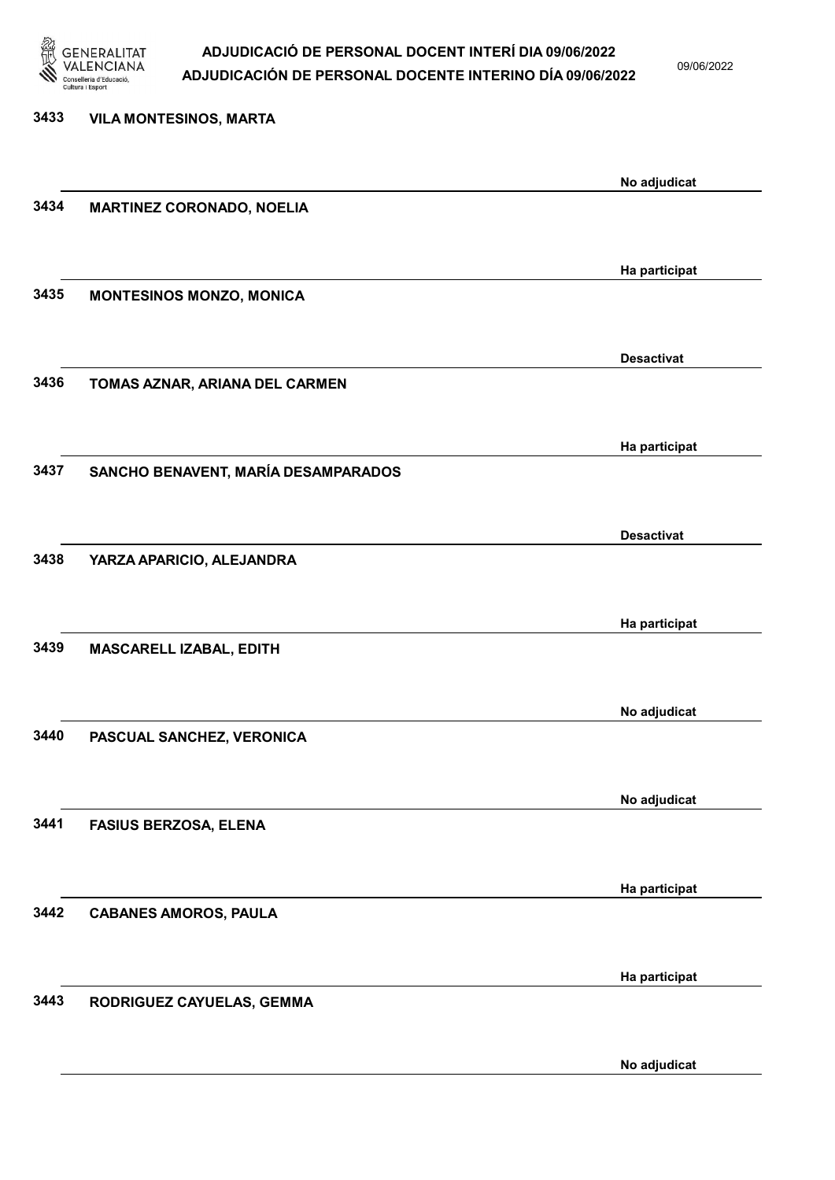

09/06/2022

| 3433 | <b>VILA MONTESINOS, MARTA</b>       |                   |
|------|-------------------------------------|-------------------|
|      |                                     | No adjudicat      |
| 3434 | <b>MARTINEZ CORONADO, NOELIA</b>    |                   |
|      |                                     | Ha participat     |
| 3435 | <b>MONTESINOS MONZO, MONICA</b>     |                   |
|      |                                     | <b>Desactivat</b> |
| 3436 | TOMAS AZNAR, ARIANA DEL CARMEN      |                   |
|      |                                     | Ha participat     |
| 3437 | SANCHO BENAVENT, MARÍA DESAMPARADOS |                   |
|      |                                     | <b>Desactivat</b> |
| 3438 | YARZA APARICIO, ALEJANDRA           |                   |
| 3439 |                                     | Ha participat     |
|      | MASCARELL IZABAL, EDITH             |                   |
| 3440 | PASCUAL SANCHEZ, VERONICA           | No adjudicat      |
|      |                                     |                   |
| 3441 | <b>FASIUS BERZOSA, ELENA</b>        | No adjudicat      |
|      |                                     |                   |
| 3442 | <b>CABANES AMOROS, PAULA</b>        | Ha participat     |
|      |                                     |                   |
| 3443 | RODRIGUEZ CAYUELAS, GEMMA           | Ha participat     |
|      |                                     |                   |

No adjudicat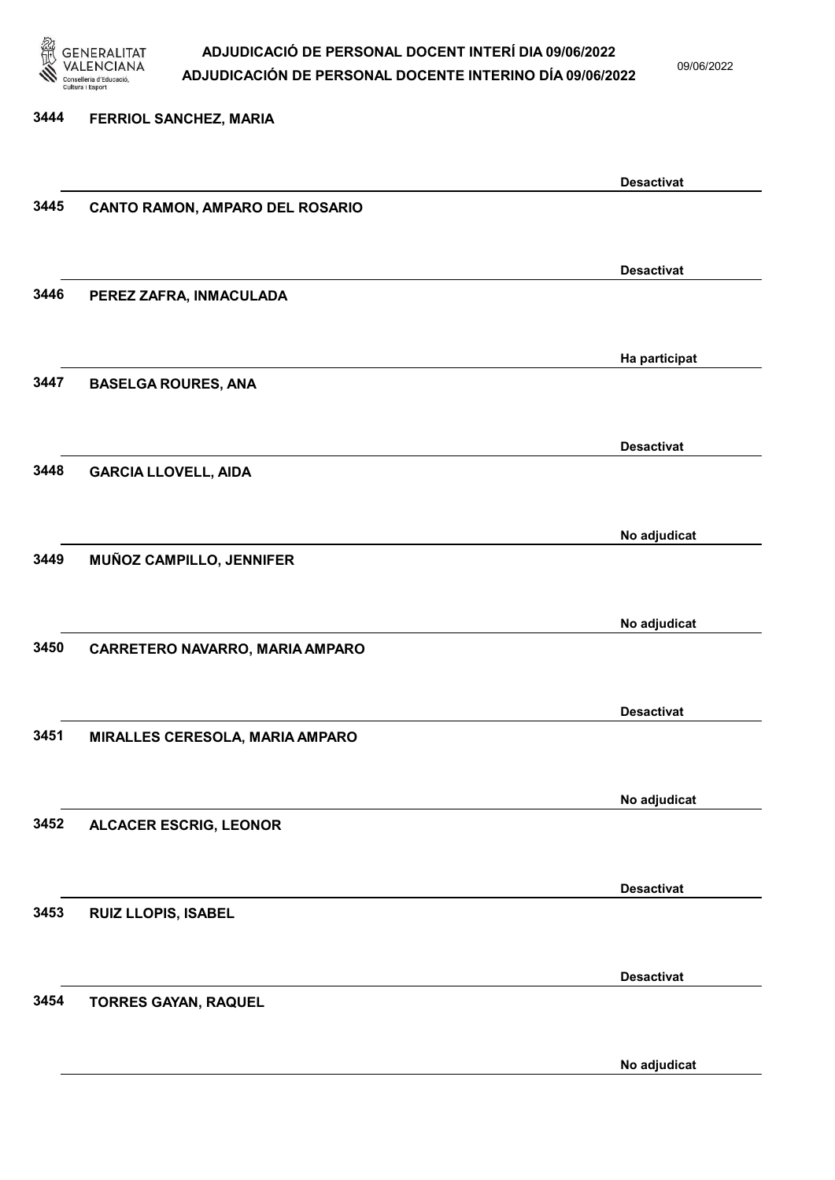

09/06/2022

3444 FERRIOL SANCHEZ, MARIA Desactivat 3445 CANTO RAMON, AMPARO DEL ROSARIO Desactivat 3446 PEREZ ZAFRA, INMACULADA Ha participat 3447 BASELGA ROURES, ANA Desactivat 3448 GARCIA LLOVELL, AIDA No adjudicat 3449 MUÑOZ CAMPILLO, JENNIFER No adjudicat 3450 CARRETERO NAVARRO, MARIA AMPARO Desactivat 3451 MIRALLES CERESOLA, MARIA AMPARO No adjudicat 3452 ALCACER ESCRIG, LEONOR Desactivat 3453 RUIZ LLOPIS, ISABEL Desactivat 3454 TORRES GAYAN, RAQUEL

No adjudicat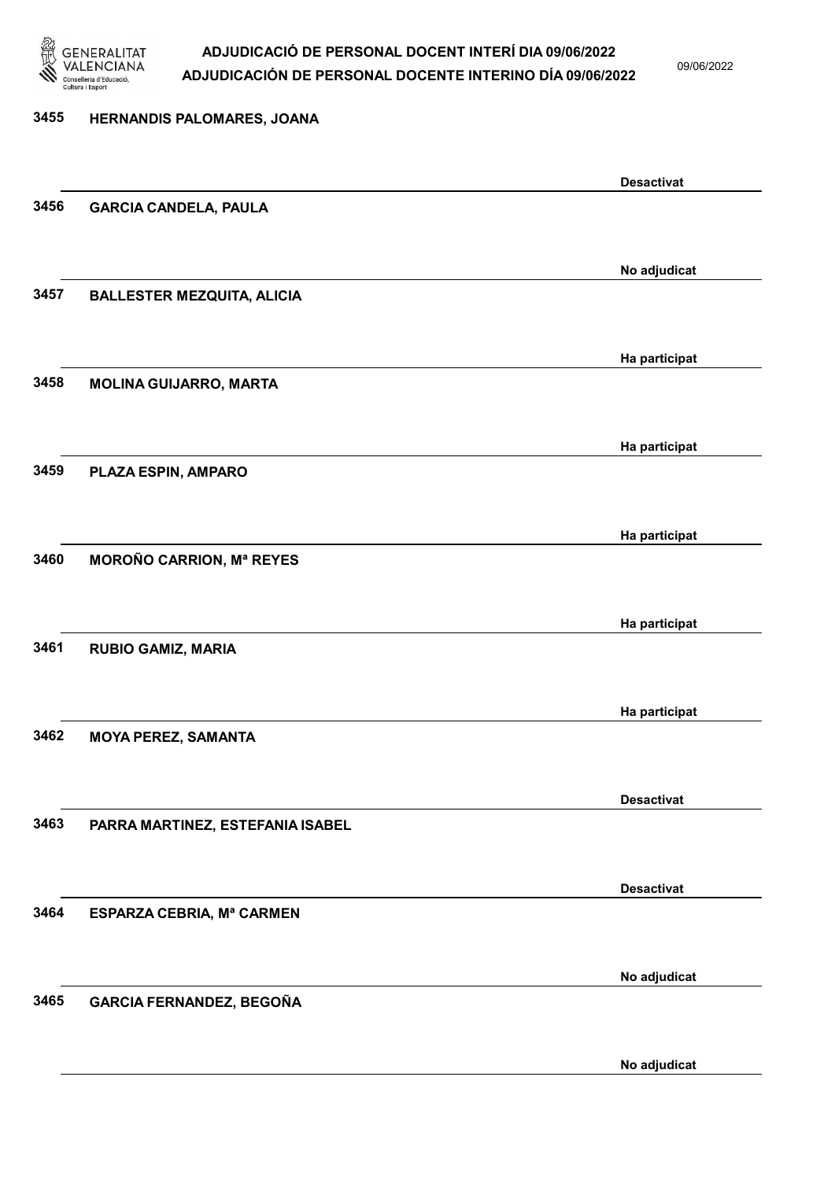

09/06/2022

### 3455 HERNANDIS PALOMARES, JOANA Desactivat 3456 GARCIA CANDELA, PAULA No adjudicat 3457 BALLESTER MEZQUITA, ALICIA Ha participat 3458 MOLINA GUIJARRO, MARTA Ha participat 3459 PLAZA ESPIN, AMPARO Ha participat 3460 MOROÑO CARRION, Mª REYES Ha participat 3461 RUBIO GAMIZ, MARIA Ha participat 3462 MOYA PEREZ, SAMANTA Desactivat 3463 PARRA MARTINEZ, ESTEFANIA ISABEL Desactivat 3464 ESPARZA CEBRIA, Mª CARMEN No adjudicat 3465 GARCIA FERNANDEZ, BEGOÑA No adjudicat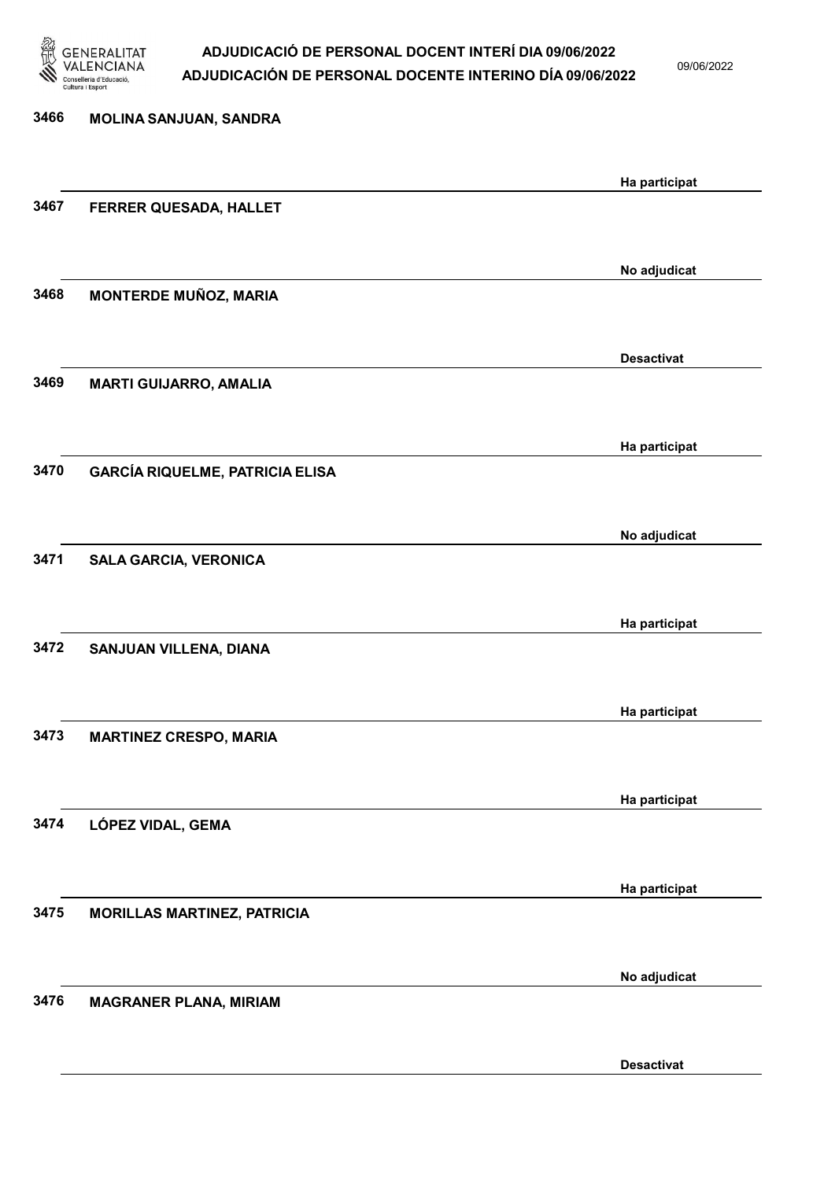

09/06/2022

| 3466 | MOLINA SANJUAN, SANDRA                 |                   |
|------|----------------------------------------|-------------------|
|      |                                        | Ha participat     |
| 3467 | FERRER QUESADA, HALLET                 |                   |
|      |                                        |                   |
| 3468 | <b>MONTERDE MUÑOZ, MARIA</b>           | No adjudicat      |
|      |                                        |                   |
|      |                                        | <b>Desactivat</b> |
| 3469 | <b>MARTI GUIJARRO, AMALIA</b>          |                   |
|      |                                        | Ha participat     |
| 3470 | <b>GARCÍA RIQUELME, PATRICIA ELISA</b> |                   |
|      |                                        |                   |
| 3471 | <b>SALA GARCIA, VERONICA</b>           | No adjudicat      |
|      |                                        |                   |
|      |                                        | Ha participat     |
| 3472 | SANJUAN VILLENA, DIANA                 |                   |
|      |                                        | Ha participat     |
| 3473 | <b>MARTINEZ CRESPO, MARIA</b>          |                   |
|      |                                        |                   |
| 3474 | LÓPEZ VIDAL, GEMA                      | Ha participat     |
|      |                                        |                   |
|      |                                        | Ha participat     |
| 3475 | <b>MORILLAS MARTINEZ, PATRICIA</b>     |                   |
|      |                                        |                   |
| 3476 | <b>MAGRANER PLANA, MIRIAM</b>          | No adjudicat      |
|      |                                        |                   |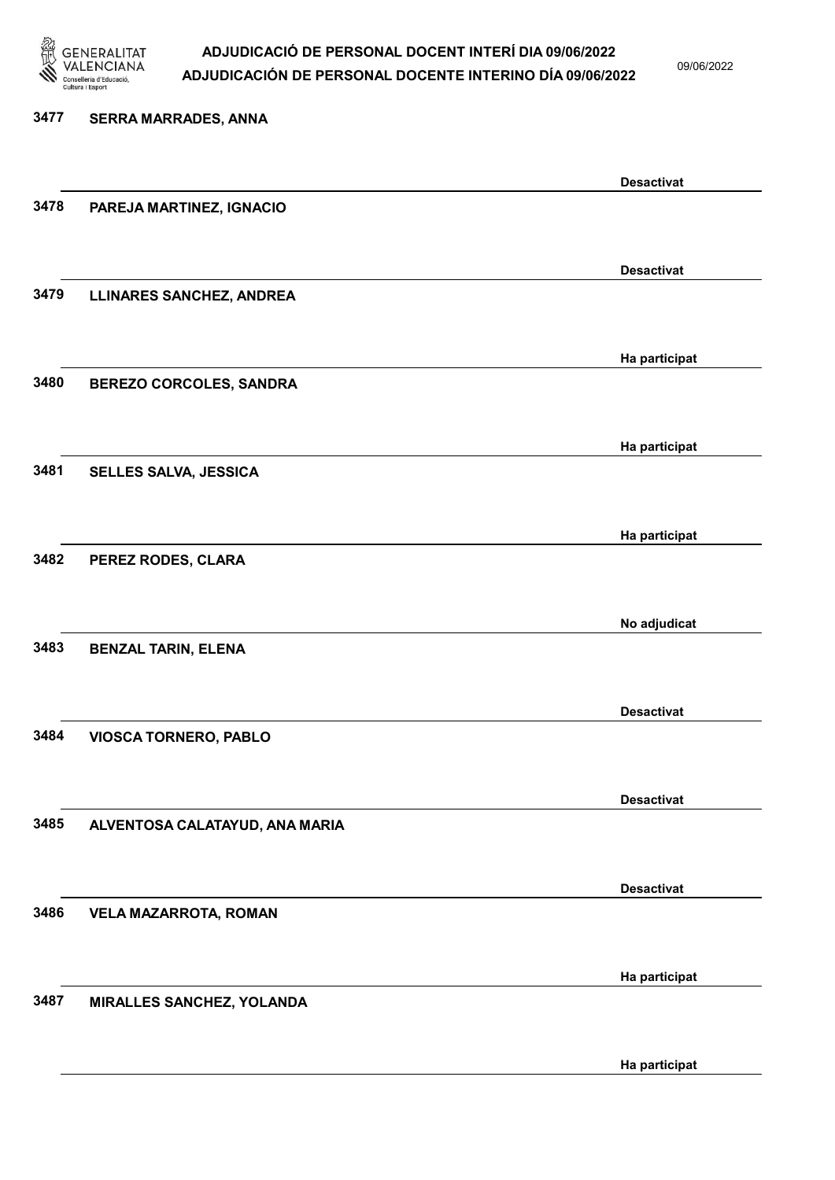

09/06/2022

Ha participat

# 3477 SERRA MARRADES, ANNA Desactivat 3478 PAREJA MARTINEZ, IGNACIO Desactivat 3479 LLINARES SANCHEZ, ANDREA Ha participat 3480 BEREZO CORCOLES, SANDRA Ha participat 3481 SELLES SALVA, JESSICA Ha participat 3482 PEREZ RODES, CLARA No adjudicat 3483 BENZAL TARIN, ELENA Desactivat 3484 VIOSCA TORNERO, PABLO Desactivat 3485 ALVENTOSA CALATAYUD, ANA MARIA Desactivat 3486 VELA MAZARROTA, ROMAN Ha participat 3487 MIRALLES SANCHEZ, YOLANDA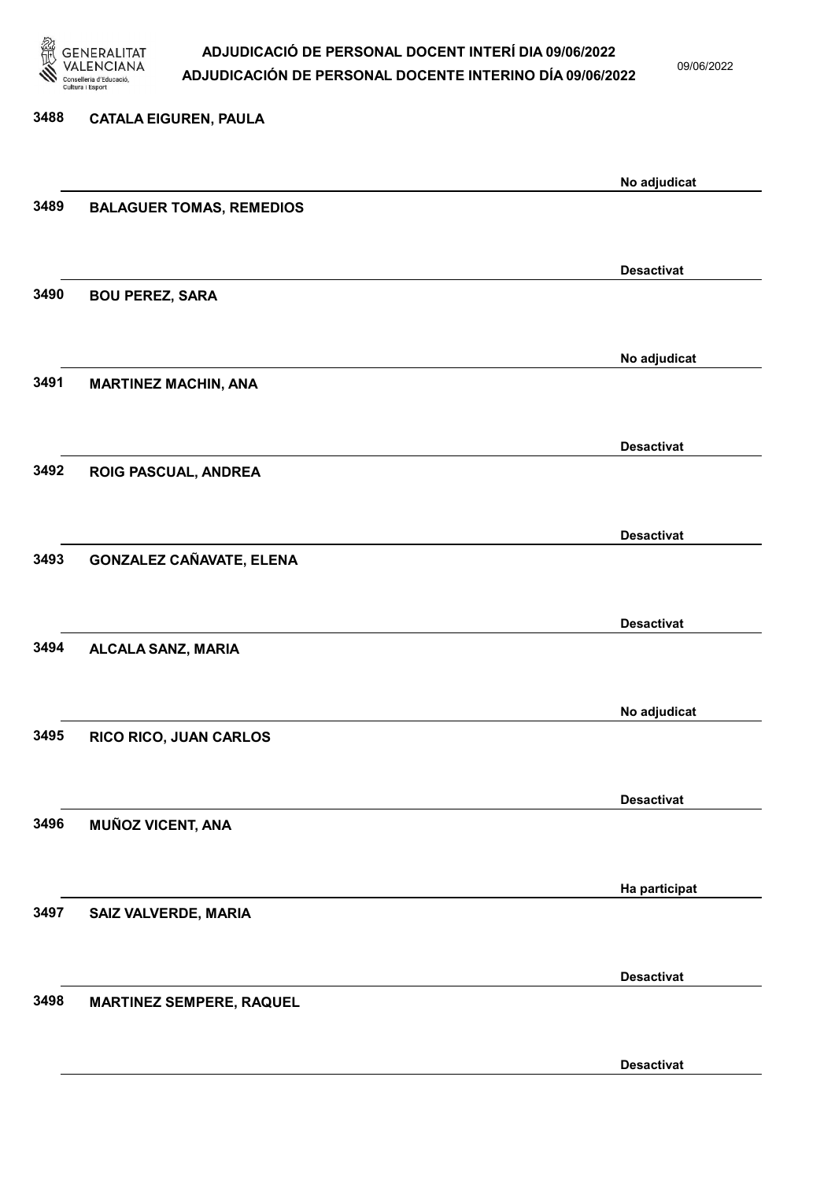

09/06/2022

Desactivat

# 3488 CATALA EIGUREN, PAULA No adjudicat 3489 BALAGUER TOMAS, REMEDIOS Desactivat 3490 BOU PEREZ, SARA No adjudicat 3491 MARTINEZ MACHIN, ANA Desactivat 3492 ROIG PASCUAL, ANDREA Desactivat 3493 GONZALEZ CAÑAVATE, ELENA Desactivat 3494 ALCALA SANZ, MARIA No adjudicat 3495 RICO RICO, JUAN CARLOS Desactivat 3496 MUÑOZ VICENT, ANA Ha participat 3497 SAIZ VALVERDE, MARIA Desactivat 3498 MARTINEZ SEMPERE, RAQUEL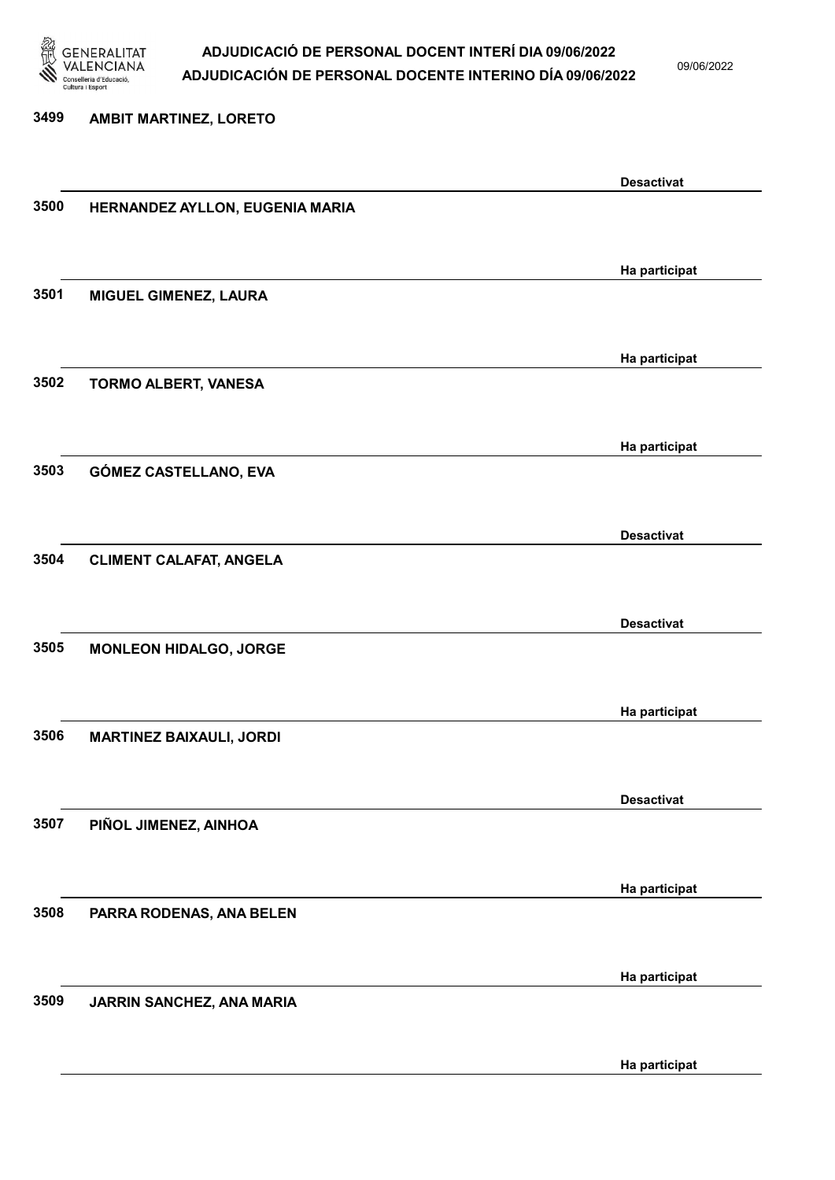

09/06/2022

#### 3499 AMBIT MARTINEZ, LORETO

|      |                                 | <b>Desactivat</b> |
|------|---------------------------------|-------------------|
| 3500 | HERNANDEZ AYLLON, EUGENIA MARIA |                   |
|      |                                 |                   |
|      |                                 |                   |
|      |                                 | Ha participat     |
| 3501 | MIGUEL GIMENEZ, LAURA           |                   |
|      |                                 |                   |
|      |                                 |                   |
|      |                                 | Ha participat     |
| 3502 | TORMO ALBERT, VANESA            |                   |
|      |                                 |                   |
|      |                                 | Ha participat     |
| 3503 | GÓMEZ CASTELLANO, EVA           |                   |
|      |                                 |                   |
|      |                                 |                   |
|      |                                 | <b>Desactivat</b> |
| 3504 | <b>CLIMENT CALAFAT, ANGELA</b>  |                   |
|      |                                 |                   |
|      |                                 | <b>Desactivat</b> |
| 3505 | <b>MONLEON HIDALGO, JORGE</b>   |                   |
|      |                                 |                   |
|      |                                 |                   |
|      |                                 | Ha participat     |
| 3506 | <b>MARTINEZ BAIXAULI, JORDI</b> |                   |
|      |                                 |                   |
|      |                                 | <b>Desactivat</b> |
| 3507 | PIÑOL JIMENEZ, AINHOA           |                   |
|      |                                 |                   |
|      |                                 |                   |
|      |                                 | Ha participat     |
| 3508 | PARRA RODENAS, ANA BELEN        |                   |
|      |                                 |                   |
|      |                                 | Ha participat     |
| 3509 | JARRIN SANCHEZ, ANA MARIA       |                   |
|      |                                 |                   |
|      |                                 |                   |
|      |                                 | Ha participat     |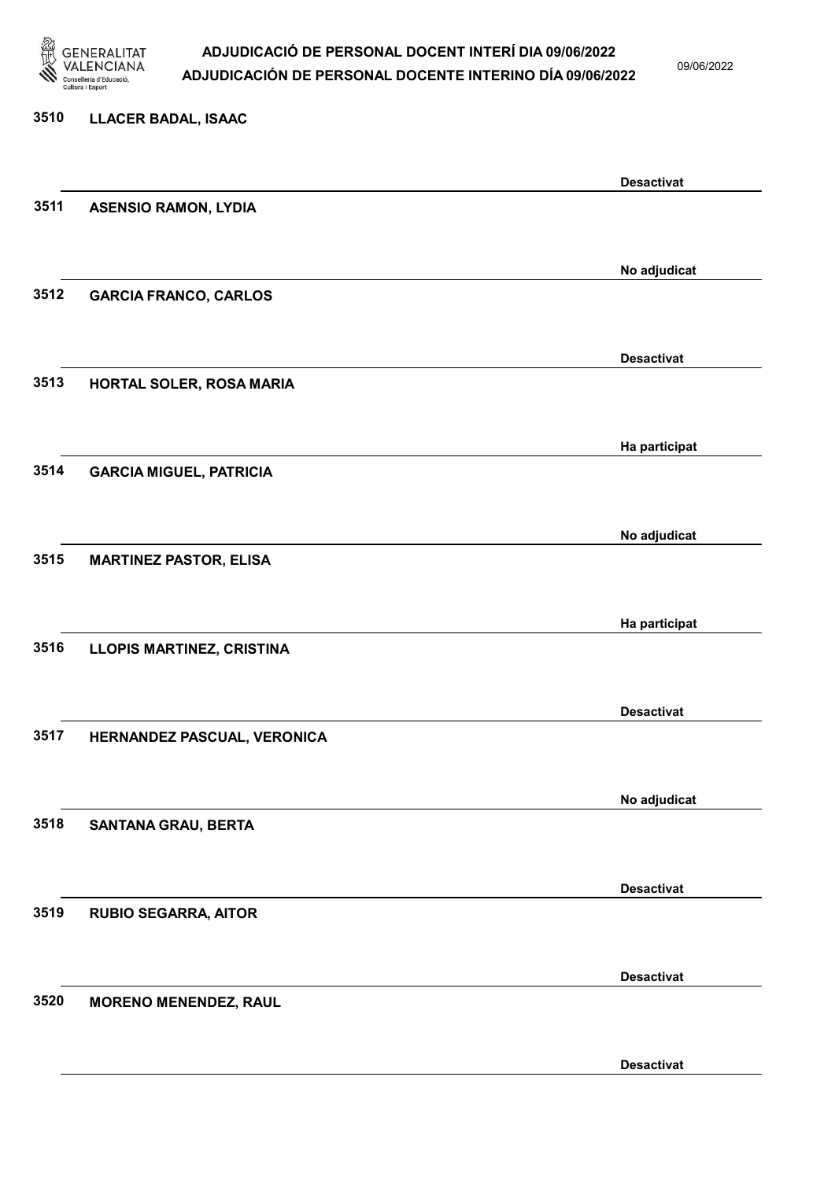

09/06/2022

# 3510 LLACER BADAL, ISAAC Desactivat 3511 ASENSIO RAMON, LYDIA No adjudicat 3512 GARCIA FRANCO, CARLOS Desactivat 3513 HORTAL SOLER, ROSA MARIA Ha participat 3514 GARCIA MIGUEL, PATRICIA No adjudicat 3515 MARTINEZ PASTOR, ELISA Ha participat 3516 LLOPIS MARTINEZ, CRISTINA Desactivat 3517 HERNANDEZ PASCUAL, VERONICA No adjudicat 3518 SANTANA GRAU, BERTA Desactivat 3519 RUBIO SEGARRA, AITOR Desactivat 3520 MORENO MENENDEZ, RAUL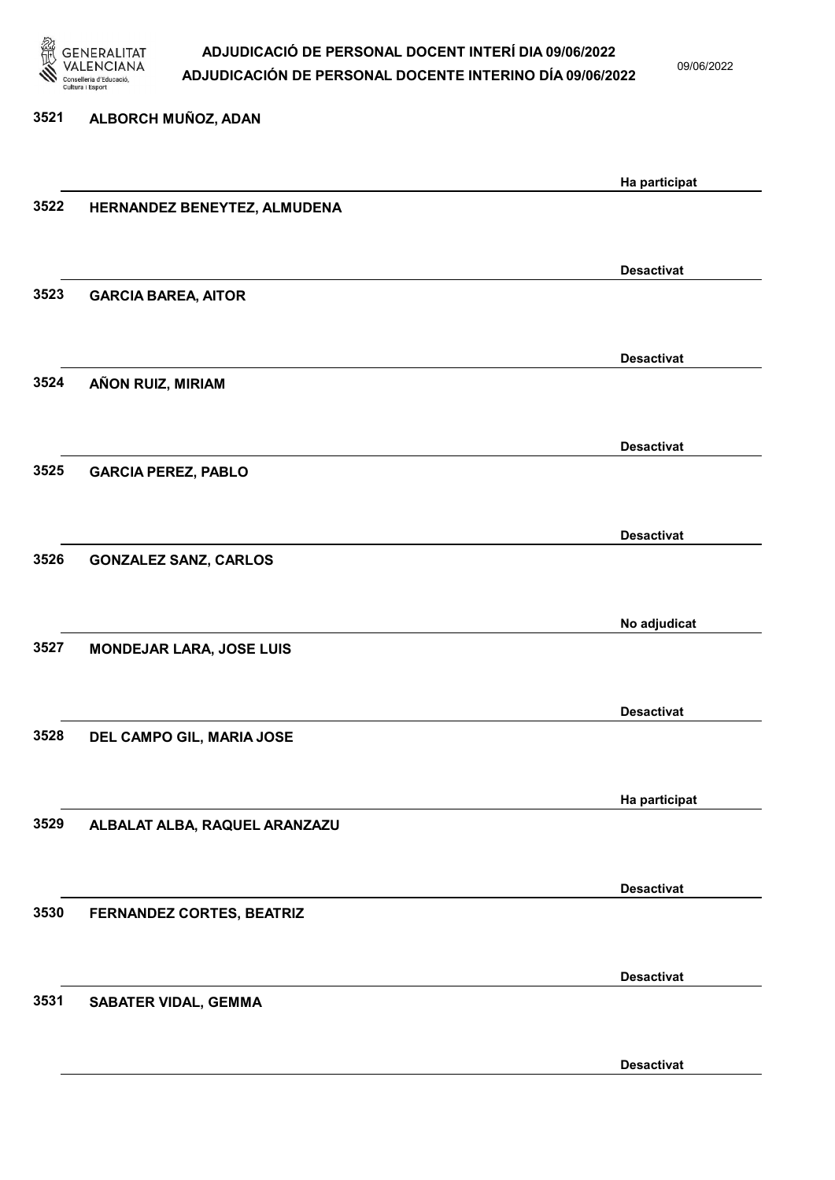

09/06/2022

Desactivat

# 3521 ALBORCH MUÑOZ, ADAN Ha participat 3522 HERNANDEZ BENEYTEZ, ALMUDENA Desactivat 3523 GARCIA BAREA, AITOR Desactivat 3524 AÑON RUIZ, MIRIAM Desactivat 3525 GARCIA PEREZ, PABLO Desactivat 3526 GONZALEZ SANZ, CARLOS No adjudicat 3527 MONDEJAR LARA, JOSE LUIS Desactivat 3528 DEL CAMPO GIL, MARIA JOSE Ha participat 3529 ALBALAT ALBA, RAQUEL ARANZAZU Desactivat 3530 FERNANDEZ CORTES, BEATRIZ Desactivat 3531 SABATER VIDAL, GEMMA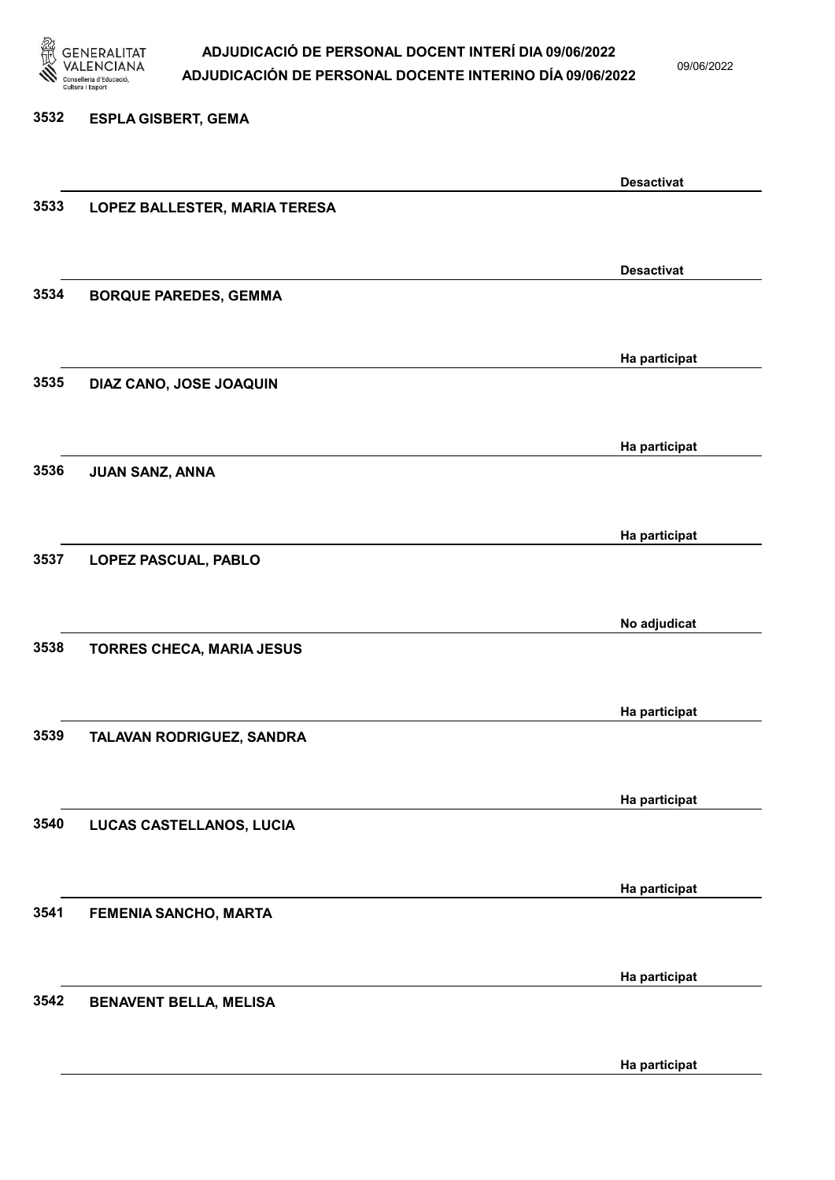

3532 ESPLA GISBERT, GEMA

### ADJUDICACIÓ DE PERSONAL DOCENT INTERÍ DIA 09/06/2022 ADJUDICACIÓN DE PERSONAL DOCENTE INTERINO DÍA 09/06/2022

09/06/2022

### Desactivat 3533 LOPEZ BALLESTER, MARIA TERESA Desactivat 3534 BORQUE PAREDES, GEMMA Ha participat 3535 DIAZ CANO, JOSE JOAQUIN Ha participat 3536 JUAN SANZ, ANNA Ha participat 3537 LOPEZ PASCUAL, PABLO No adjudicat 3538 TORRES CHECA, MARIA JESUS Ha participat 3539 TALAVAN RODRIGUEZ, SANDRA Ha participat 3540 LUCAS CASTELLANOS, LUCIA Ha participat 3541 FEMENIA SANCHO, MARTA Ha participat 3542 BENAVENT BELLA, MELISA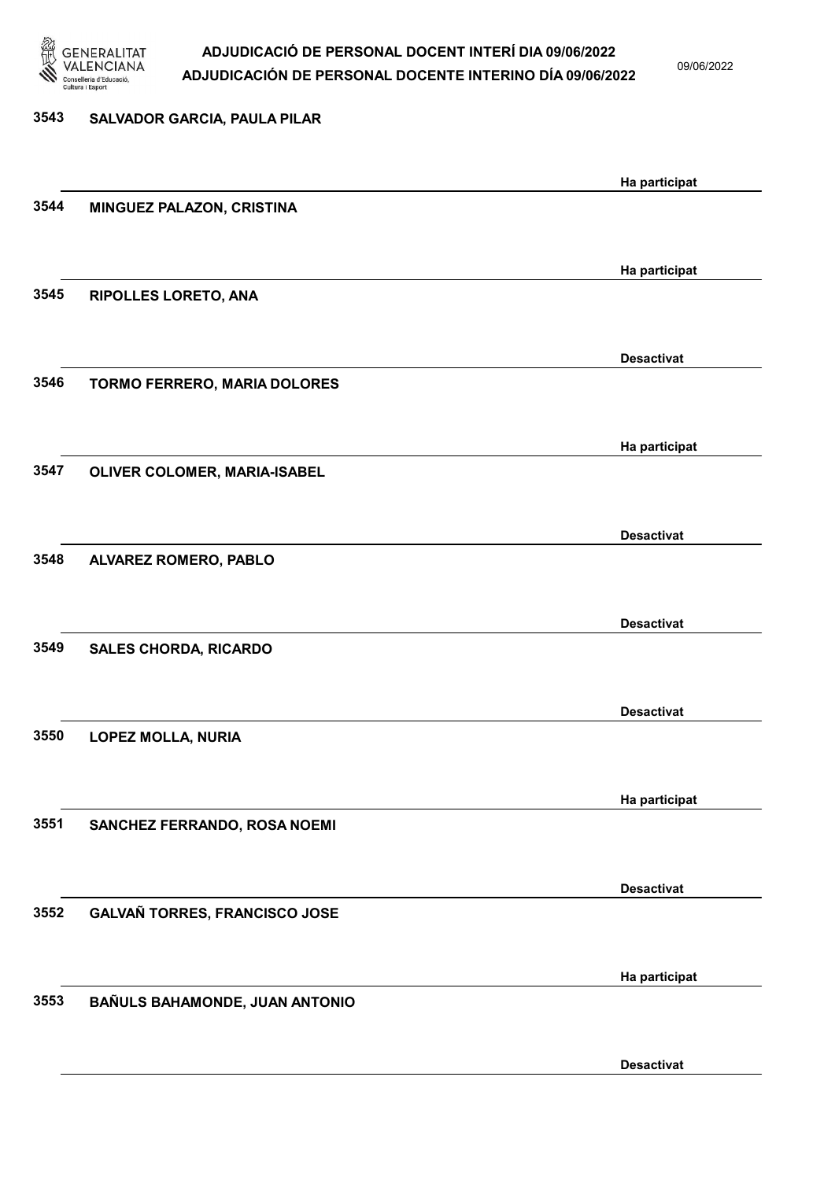

09/06/2022

| 3543 | SALVADOR GARCIA, PAULA PILAR   |                   |
|------|--------------------------------|-------------------|
|      |                                | Ha participat     |
| 3544 | MINGUEZ PALAZON, CRISTINA      |                   |
|      |                                | Ha participat     |
| 3545 | <b>RIPOLLES LORETO, ANA</b>    |                   |
|      |                                | <b>Desactivat</b> |
| 3546 | TORMO FERRERO, MARIA DOLORES   |                   |
|      |                                | Ha participat     |
| 3547 | OLIVER COLOMER, MARIA-ISABEL   |                   |
|      |                                | <b>Desactivat</b> |
| 3548 | ALVAREZ ROMERO, PABLO          |                   |
|      |                                | <b>Desactivat</b> |
| 3549 | <b>SALES CHORDA, RICARDO</b>   |                   |
|      |                                | <b>Desactivat</b> |
| 3550 | <b>LOPEZ MOLLA, NURIA</b>      |                   |
| 3551 | SANCHEZ FERRANDO, ROSA NOEMI   | Ha participat     |
|      |                                |                   |
| 3552 | GALVAÑ TORRES, FRANCISCO JOSE  | <b>Desactivat</b> |
|      |                                |                   |
| 3553 | BAÑULS BAHAMONDE, JUAN ANTONIO | Ha participat     |
|      |                                |                   |
|      |                                | <b>Desactivat</b> |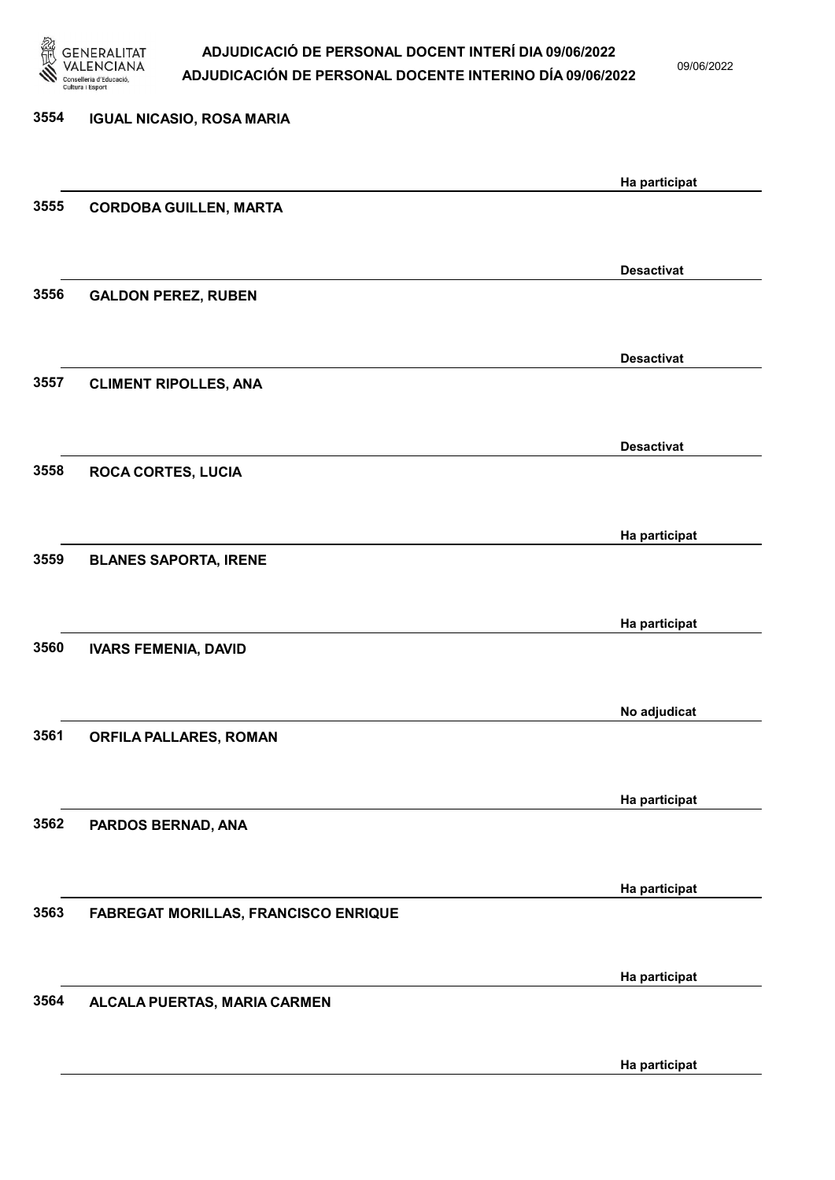

09/06/2022

### 3554 IGUAL NICASIO, ROSA MARIA Ha participat 3555 CORDOBA GUILLEN, MARTA Desactivat 3556 GALDON PEREZ, RUBEN Desactivat 3557 CLIMENT RIPOLLES, ANA Desactivat 3558 ROCA CORTES, LUCIA Ha participat 3559 BLANES SAPORTA, IRENE Ha participat 3560 IVARS FEMENIA, DAVID No adjudicat 3561 ORFILA PALLARES, ROMAN Ha participat 3562 PARDOS BERNAD, ANA Ha participat 3563 FABREGAT MORILLAS, FRANCISCO ENRIQUE Ha participat 3564 ALCALA PUERTAS, MARIA CARMEN Ha participat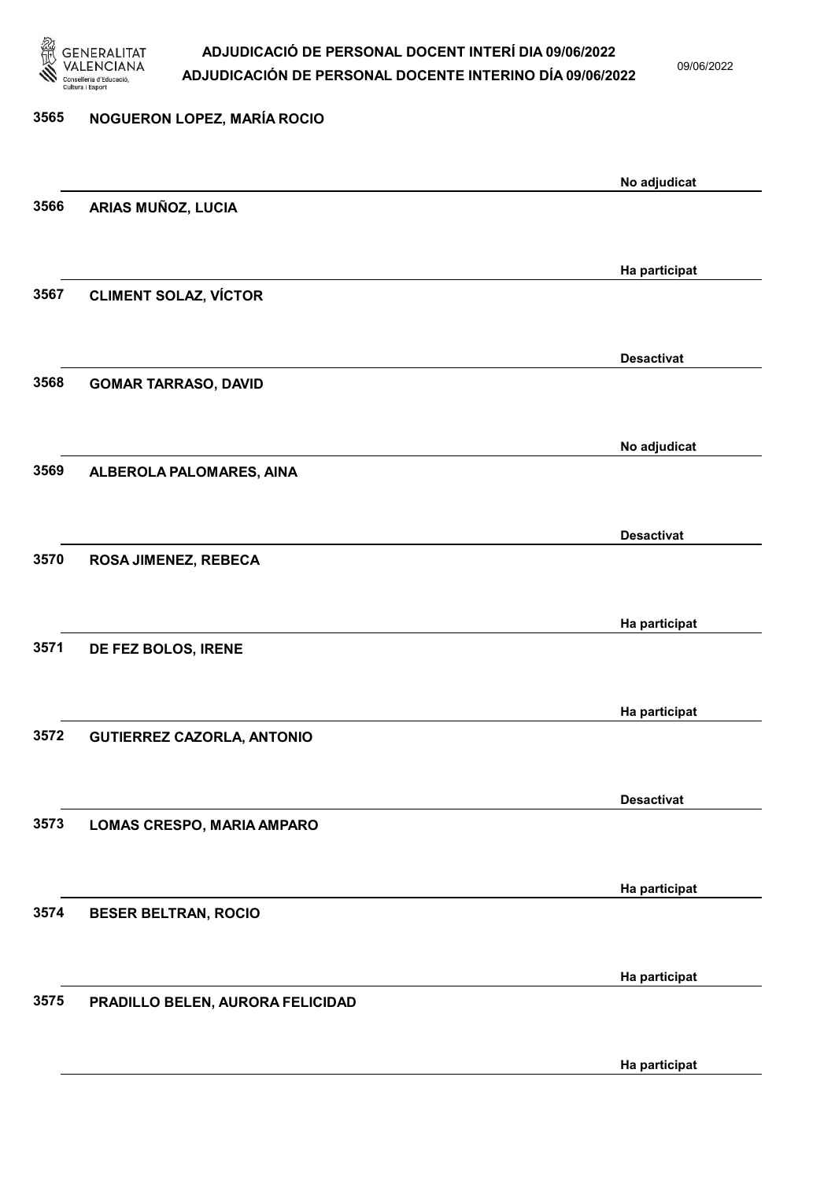

09/06/2022

Ha participat

# 3565 NOGUERON LOPEZ, MARÍA ROCIO No adjudicat 3566 ARIAS MUÑOZ, LUCIA Ha participat 3567 CLIMENT SOLAZ, VÍCTOR Desactivat 3568 GOMAR TARRASO, DAVID No adjudicat 3569 ALBEROLA PALOMARES, AINA Desactivat 3570 ROSA JIMENEZ, REBECA Ha participat 3571 DE FEZ BOLOS, IRENE Ha participat 3572 GUTIERREZ CAZORLA, ANTONIO Desactivat 3573 LOMAS CRESPO, MARIA AMPARO Ha participat 3574 BESER BELTRAN, ROCIO Ha participat 3575 PRADILLO BELEN, AURORA FELICIDAD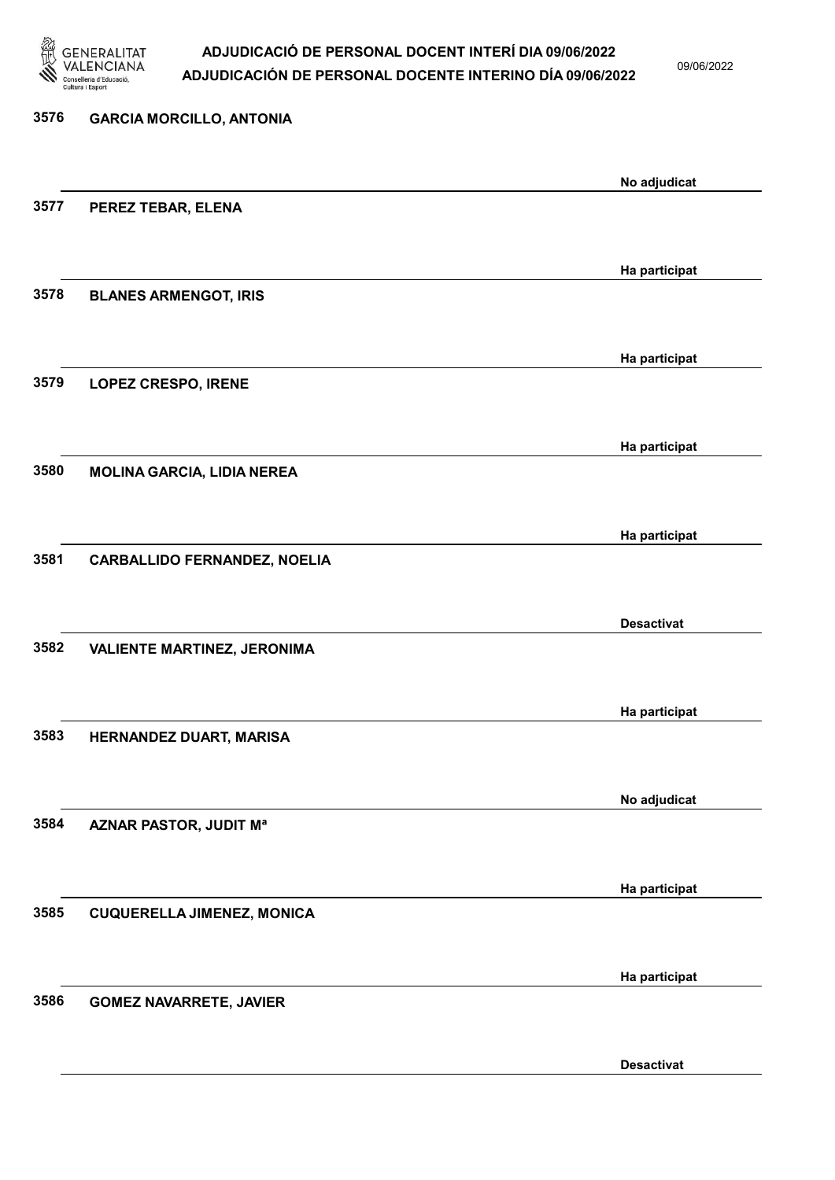

09/06/2022

Desactivat

# 3576 GARCIA MORCILLO, ANTONIA No adjudicat 3577 PEREZ TEBAR, ELENA Ha participat 3578 BLANES ARMENGOT, IRIS Ha participat 3579 LOPEZ CRESPO, IRENE Ha participat 3580 MOLINA GARCIA, LIDIA NEREA Ha participat 3581 CARBALLIDO FERNANDEZ, NOELIA Desactivat 3582 VALIENTE MARTINEZ, JERONIMA Ha participat 3583 HERNANDEZ DUART, MARISA No adjudicat 3584 AZNAR PASTOR, JUDIT Mª Ha participat 3585 CUQUERELLA JIMENEZ, MONICA Ha participat 3586 GOMEZ NAVARRETE, JAVIER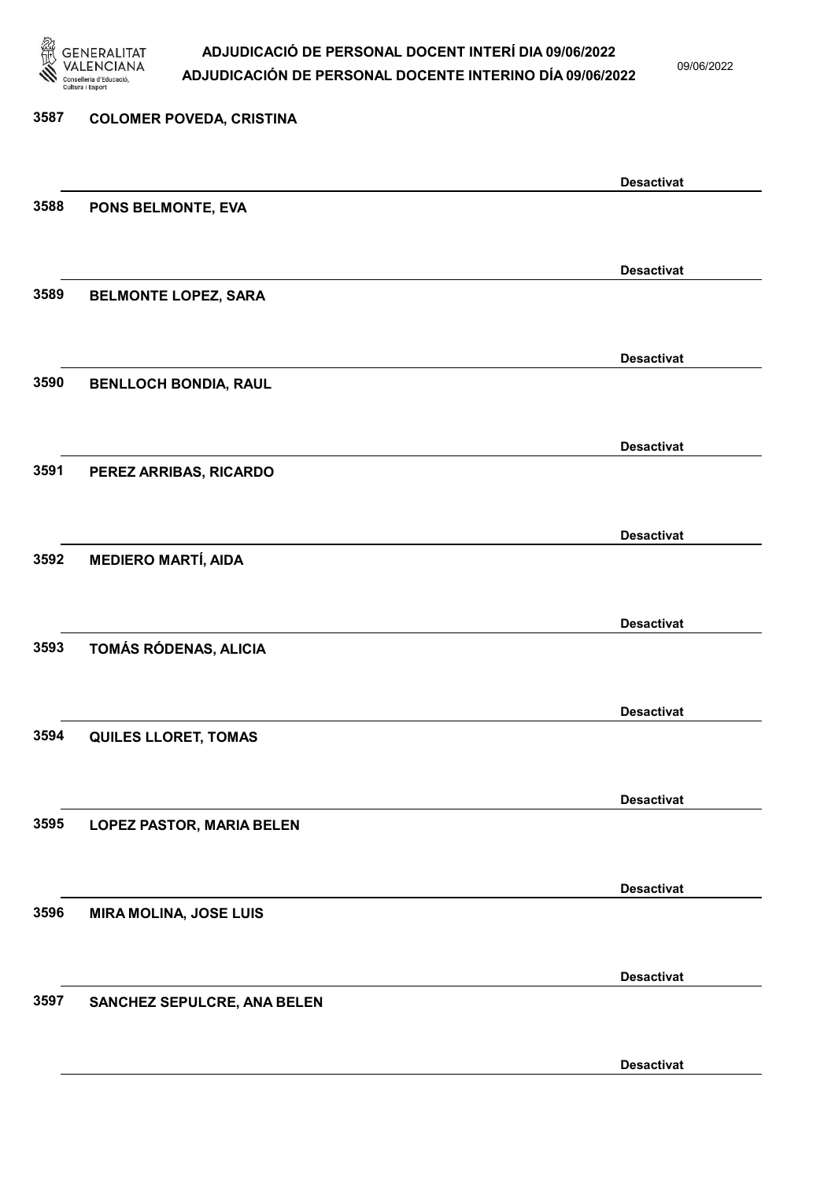

09/06/2022

Desactivat

### 3587 COLOMER POVEDA, CRISTINA Desactivat 3588 PONS BELMONTE, EVA Desactivat 3589 BELMONTE LOPEZ, SARA Desactivat 3590 BENLLOCH BONDIA, RAUL Desactivat 3591 PEREZ ARRIBAS, RICARDO Desactivat 3592 MEDIERO MARTÍ, AIDA Desactivat 3593 TOMÁS RÓDENAS, ALICIA Desactivat 3594 QUILES LLORET, TOMAS Desactivat 3595 LOPEZ PASTOR, MARIA BELEN Desactivat 3596 MIRA MOLINA, JOSE LUIS Desactivat 3597 SANCHEZ SEPULCRE, ANA BELEN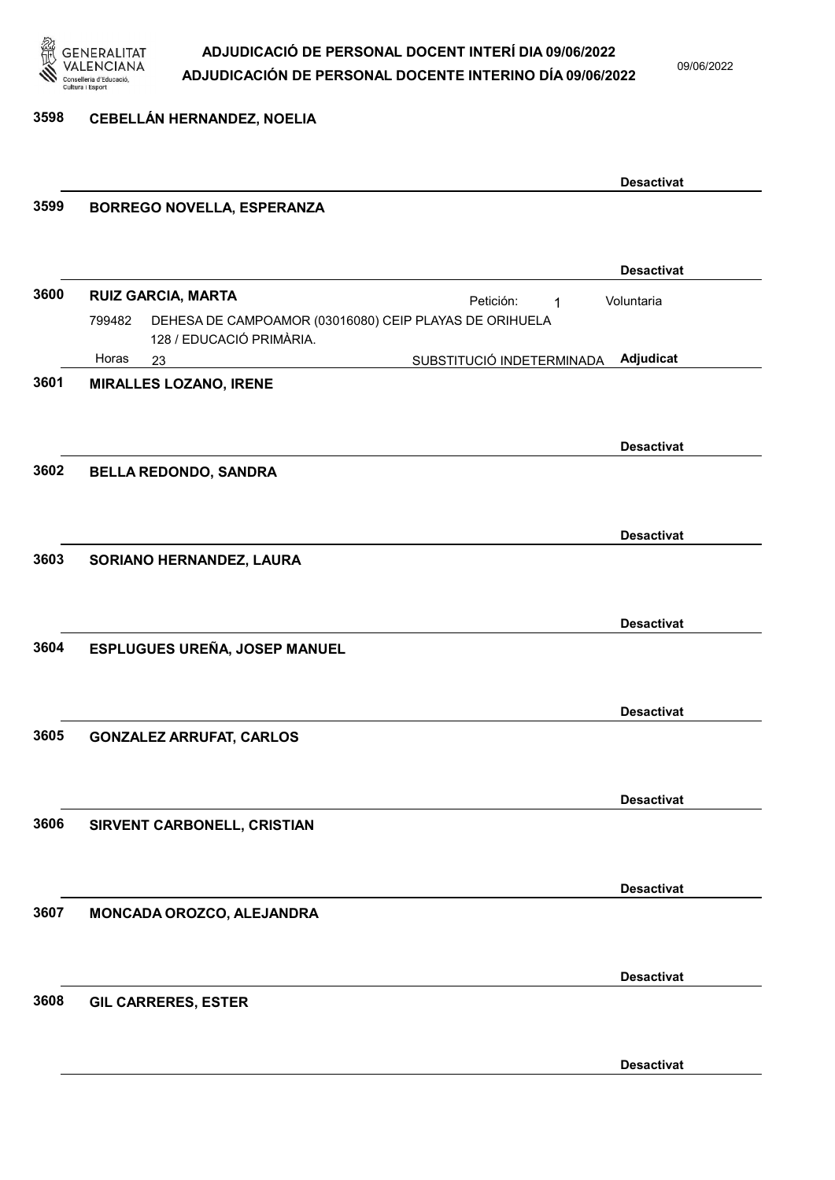

3598 CEBELLÁN HERNANDEZ, NOELIA

|      |                                                                                              |                           | <b>Desactivat</b> |
|------|----------------------------------------------------------------------------------------------|---------------------------|-------------------|
| 3599 | <b>BORREGO NOVELLA, ESPERANZA</b>                                                            |                           |                   |
|      |                                                                                              |                           |                   |
|      |                                                                                              |                           | <b>Desactivat</b> |
| 3600 | <b>RUIZ GARCIA, MARTA</b>                                                                    | Petición:<br>$\mathbf{1}$ | Voluntaria        |
|      | DEHESA DE CAMPOAMOR (03016080) CEIP PLAYAS DE ORIHUELA<br>799482<br>128 / EDUCACIÓ PRIMÀRIA. |                           |                   |
|      | Horas<br>23                                                                                  | SUBSTITUCIÓ INDETERMINADA | Adjudicat         |
| 3601 | <b>MIRALLES LOZANO, IRENE</b>                                                                |                           |                   |
|      |                                                                                              |                           |                   |
|      |                                                                                              |                           | <b>Desactivat</b> |
| 3602 | <b>BELLA REDONDO, SANDRA</b>                                                                 |                           |                   |
|      |                                                                                              |                           |                   |
|      |                                                                                              |                           | <b>Desactivat</b> |
| 3603 | SORIANO HERNANDEZ, LAURA                                                                     |                           |                   |
|      |                                                                                              |                           |                   |
|      |                                                                                              |                           | <b>Desactivat</b> |
| 3604 | ESPLUGUES UREÑA, JOSEP MANUEL                                                                |                           |                   |
|      |                                                                                              |                           |                   |
|      |                                                                                              |                           |                   |
|      |                                                                                              |                           | <b>Desactivat</b> |
| 3605 | <b>GONZALEZ ARRUFAT, CARLOS</b>                                                              |                           |                   |
|      |                                                                                              |                           |                   |
|      |                                                                                              |                           | <b>Desactivat</b> |
| 3606 | SIRVENT CARBONELL, CRISTIAN                                                                  |                           |                   |
|      |                                                                                              |                           |                   |
|      |                                                                                              |                           | <b>Desactivat</b> |
| 3607 | MONCADA OROZCO, ALEJANDRA                                                                    |                           |                   |
|      |                                                                                              |                           |                   |
|      |                                                                                              |                           | <b>Desactivat</b> |
| 3608 | <b>GIL CARRERES, ESTER</b>                                                                   |                           |                   |
|      |                                                                                              |                           |                   |
|      |                                                                                              |                           |                   |
|      |                                                                                              |                           | <b>Desactivat</b> |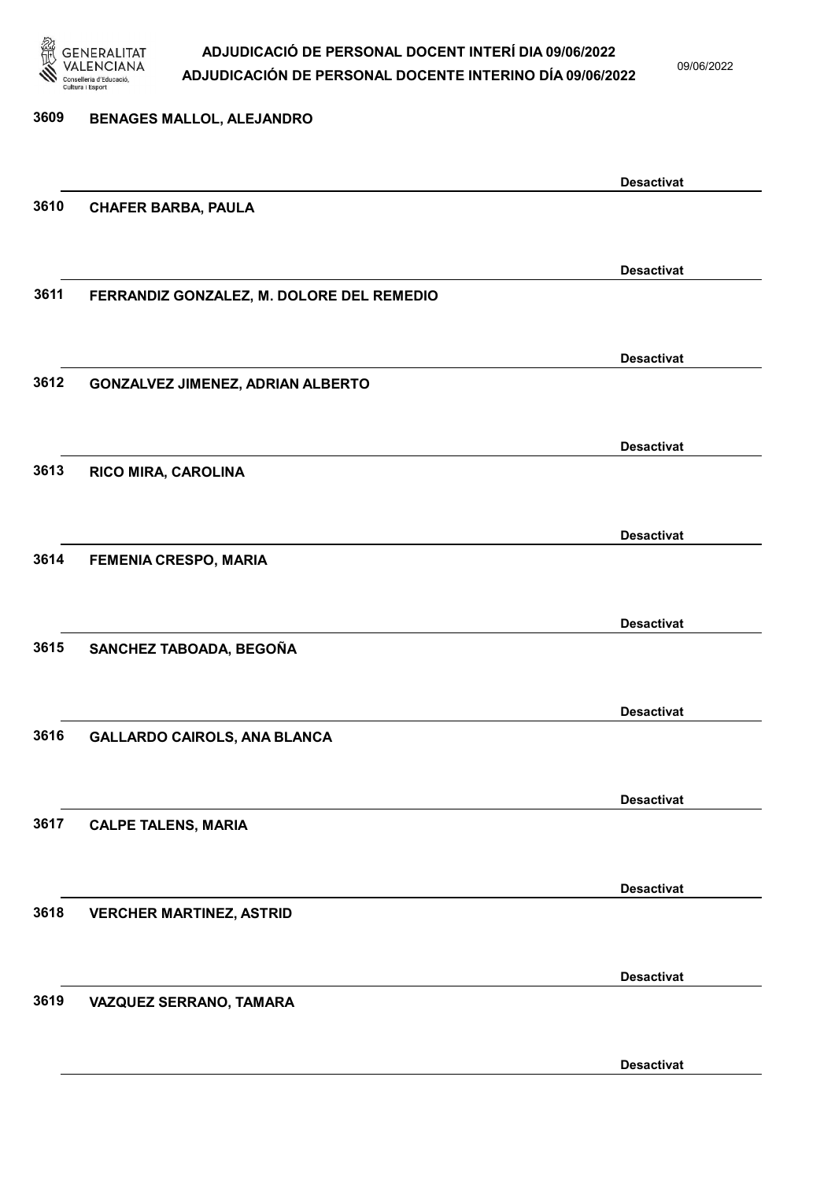

09/06/2022

### 3609 BENAGES MALLOL, ALEJANDRO Desactivat 3610 CHAFER BARBA, PAULA Desactivat 3611 FERRANDIZ GONZALEZ, M. DOLORE DEL REMEDIO Desactivat 3612 GONZALVEZ JIMENEZ, ADRIAN ALBERTO Desactivat 3613 RICO MIRA, CAROLINA Desactivat 3614 FEMENIA CRESPO, MARIA Desactivat 3615 SANCHEZ TABOADA, BEGOÑA Desactivat 3616 GALLARDO CAIROLS, ANA BLANCA Desactivat 3617 CALPE TALENS, MARIA Desactivat 3618 VERCHER MARTINEZ, ASTRID Desactivat 3619 VAZQUEZ SERRANO, TAMARA

Desactivat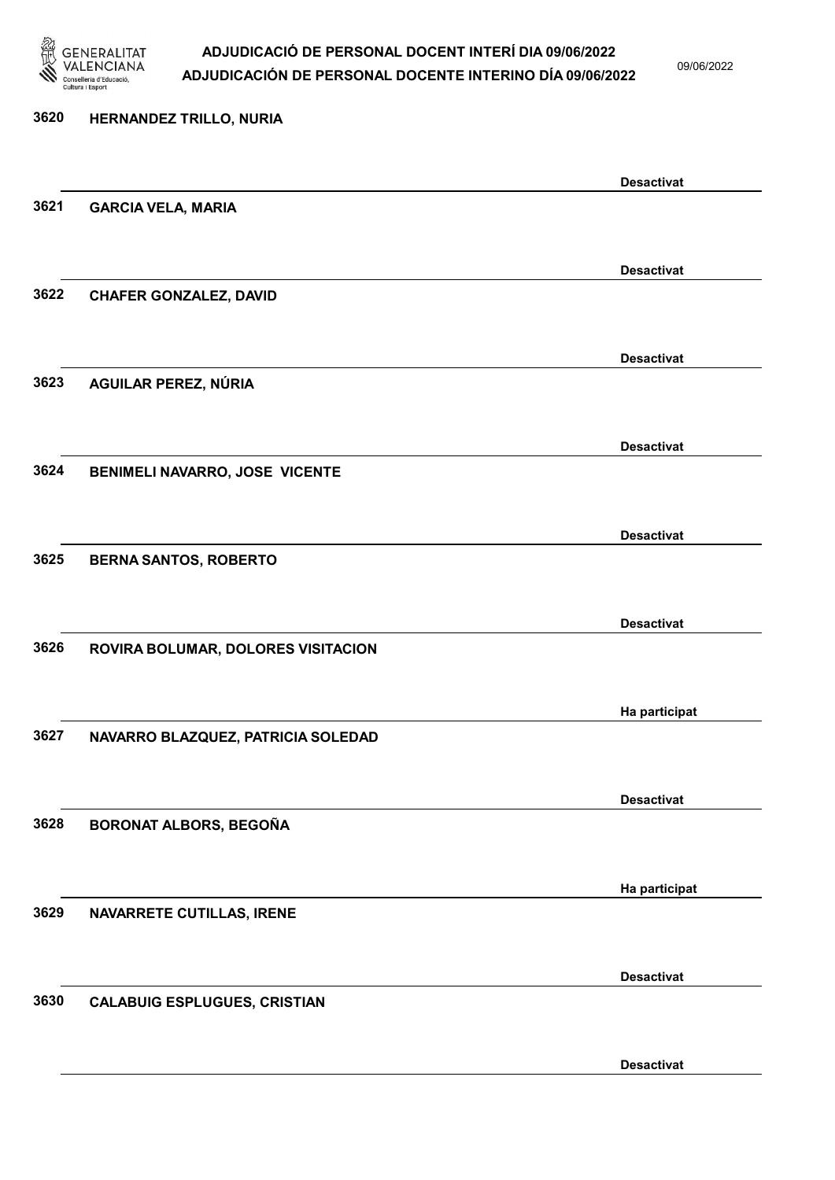

09/06/2022

Desactivat

# 3620 HERNANDEZ TRILLO, NURIA Desactivat 3621 GARCIA VELA, MARIA Desactivat 3622 CHAFER GONZALEZ, DAVID Desactivat 3623 AGUILAR PEREZ, NÚRIA Desactivat 3624 BENIMELI NAVARRO, JOSE VICENTE Desactivat 3625 BERNA SANTOS, ROBERTO Desactivat 3626 ROVIRA BOLUMAR, DOLORES VISITACION Ha participat 3627 NAVARRO BLAZQUEZ, PATRICIA SOLEDAD Desactivat 3628 BORONAT ALBORS, BEGOÑA Ha participat 3629 NAVARRETE CUTILLAS, IRENE Desactivat 3630 CALABUIG ESPLUGUES, CRISTIAN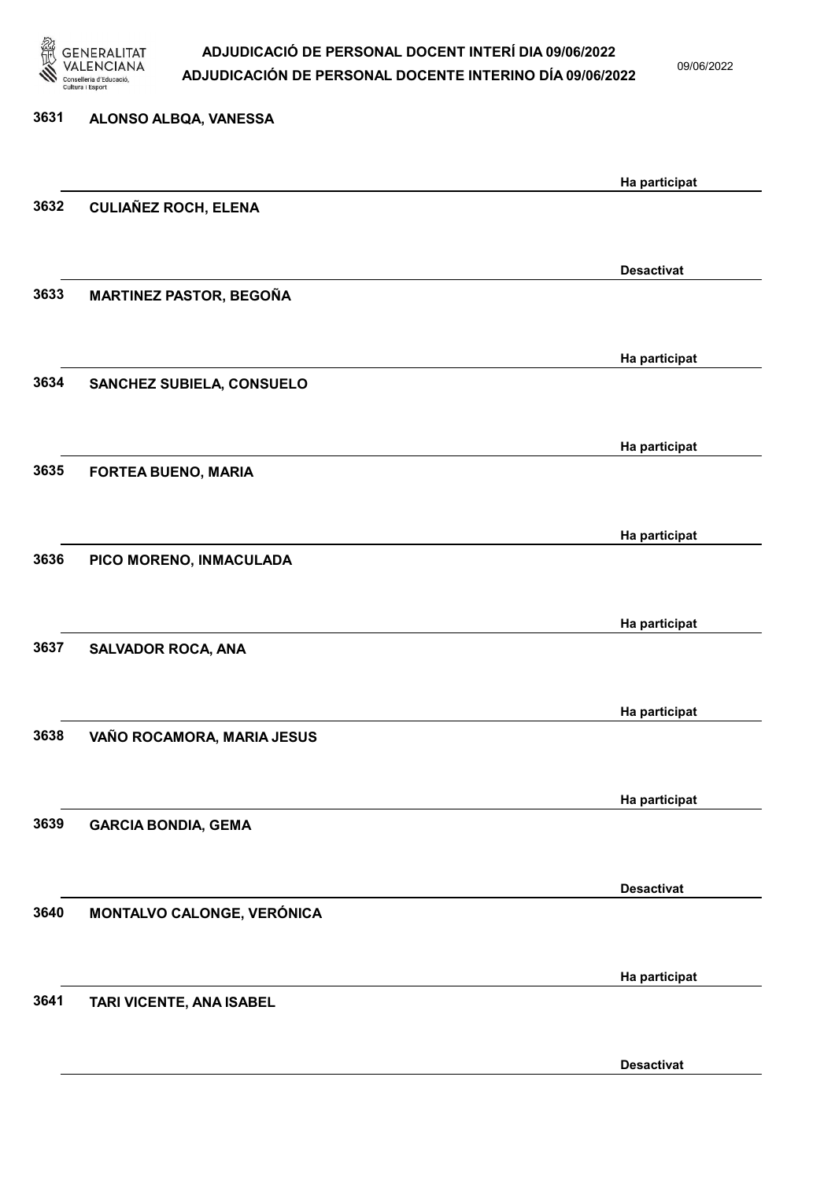

09/06/2022

Desactivat

| 3631 | ALONSO ALBQA, VANESSA          |                   |
|------|--------------------------------|-------------------|
|      |                                | Ha participat     |
| 3632 | <b>CULIAÑEZ ROCH, ELENA</b>    |                   |
|      |                                |                   |
|      |                                | <b>Desactivat</b> |
| 3633 | <b>MARTINEZ PASTOR, BEGOÑA</b> |                   |
|      |                                |                   |
| 3634 | SANCHEZ SUBIELA, CONSUELO      | Ha participat     |
|      |                                |                   |
|      |                                | Ha participat     |
| 3635 | <b>FORTEA BUENO, MARIA</b>     |                   |
|      |                                |                   |
|      |                                | Ha participat     |
| 3636 | PICO MORENO, INMACULADA        |                   |
|      |                                | Ha participat     |
| 3637 | <b>SALVADOR ROCA, ANA</b>      |                   |
|      |                                |                   |
|      |                                | Ha participat     |
| 3638 | VAÑO ROCAMORA, MARIA JESUS     |                   |
|      |                                |                   |
| 3639 | <b>GARCIA BONDIA, GEMA</b>     | Ha participat     |
|      |                                |                   |
|      |                                | <b>Desactivat</b> |
| 3640 | MONTALVO CALONGE, VERÓNICA     |                   |
|      |                                |                   |
|      |                                | Ha participat     |
| 3641 | TARI VICENTE, ANA ISABEL       |                   |
|      |                                |                   |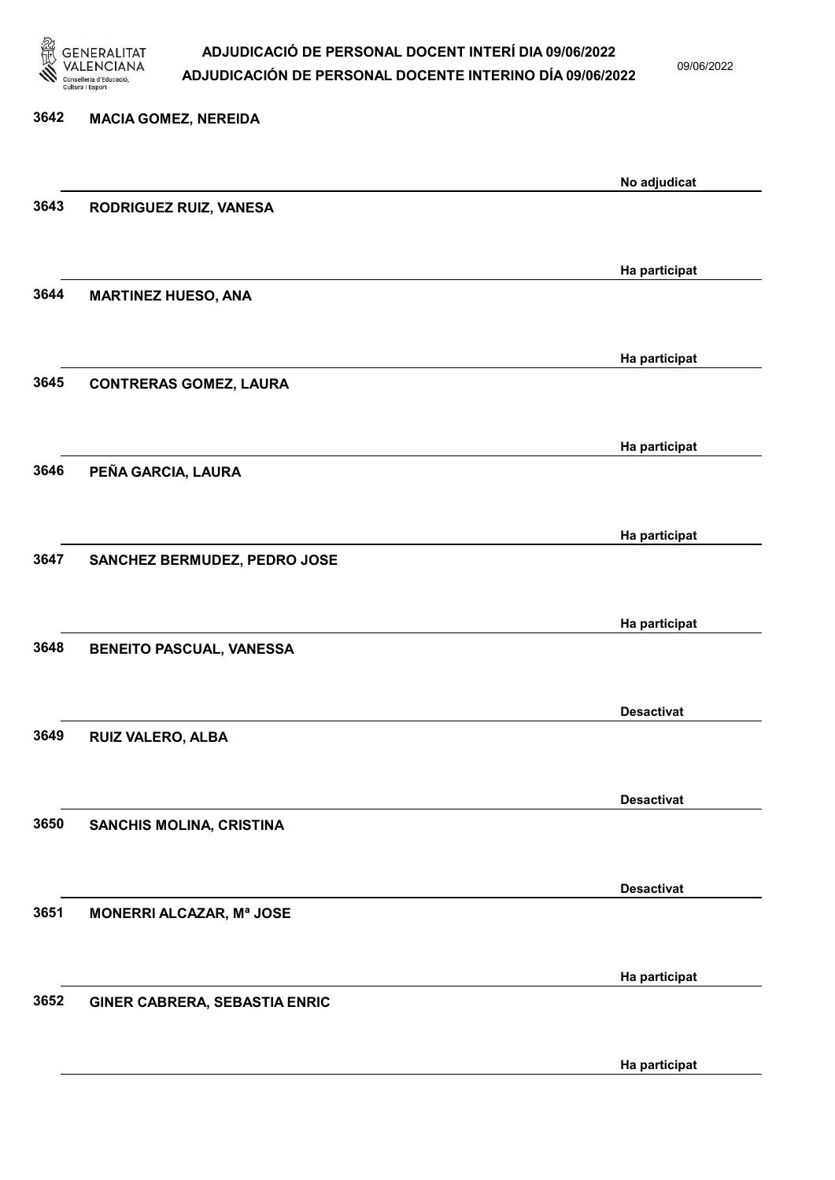

09/06/2022

Ha participat

# 3642 MACIA GOMEZ, NEREIDA No adjudicat 3643 RODRIGUEZ RUIZ, VANESA Ha participat 3644 MARTINEZ HUESO, ANA Ha participat 3645 CONTRERAS GOMEZ, LAURA Ha participat 3646 PEÑA GARCIA, LAURA Ha participat 3647 SANCHEZ BERMUDEZ, PEDRO JOSE Ha participat 3648 BENEITO PASCUAL, VANESSA Desactivat 3649 RUIZ VALERO, ALBA Desactivat 3650 SANCHIS MOLINA, CRISTINA Desactivat 3651 MONERRI ALCAZAR, Mª JOSE Ha participat 3652 GINER CABRERA, SEBASTIA ENRIC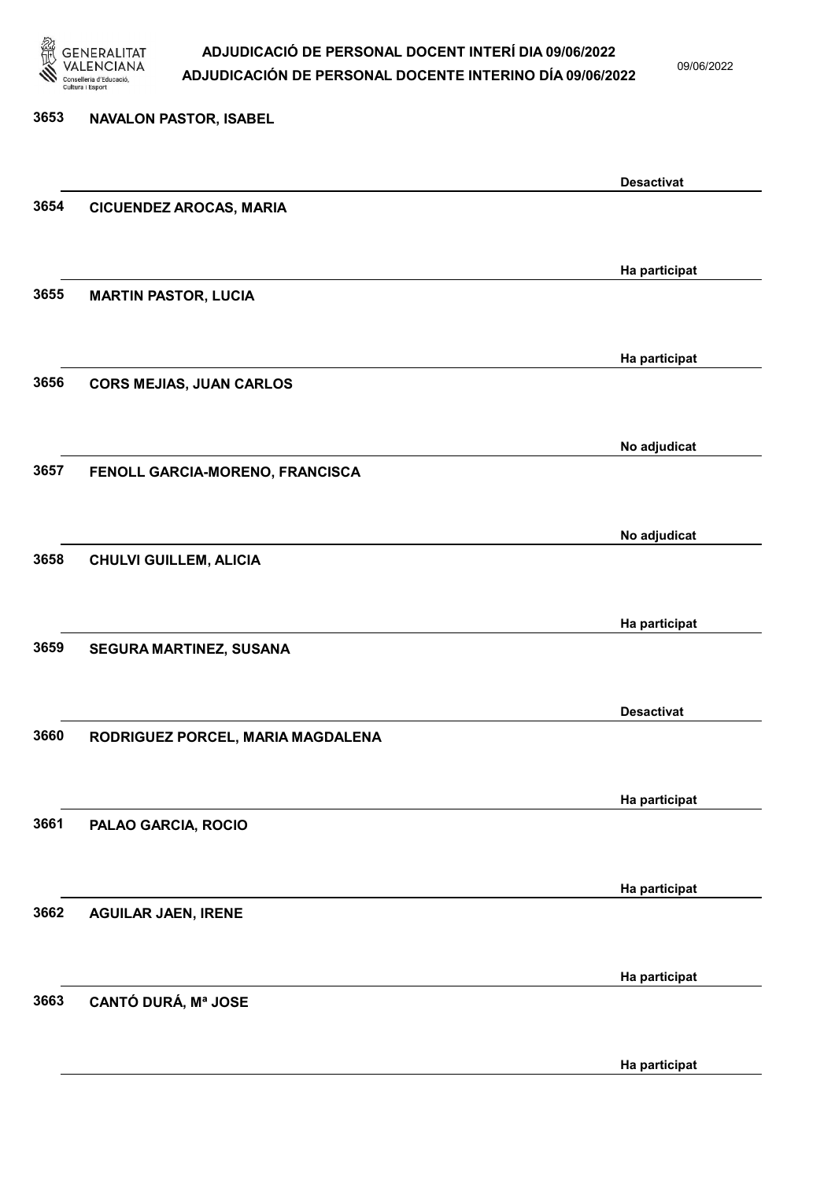

09/06/2022

Ha participat

## 3653 NAVALON PASTOR, ISABEL Desactivat 3654 CICUENDEZ AROCAS, MARIA Ha participat 3655 MARTIN PASTOR, LUCIA Ha participat 3656 CORS MEJIAS, JUAN CARLOS No adjudicat 3657 FENOLL GARCIA-MORENO, FRANCISCA No adjudicat 3658 CHULVI GUILLEM, ALICIA Ha participat 3659 SEGURA MARTINEZ, SUSANA Desactivat 3660 RODRIGUEZ PORCEL, MARIA MAGDALENA Ha participat 3661 PALAO GARCIA, ROCIO Ha participat 3662 AGUILAR JAEN, IRENE Ha participat 3663 CANTÓ DURÁ, Mª JOSE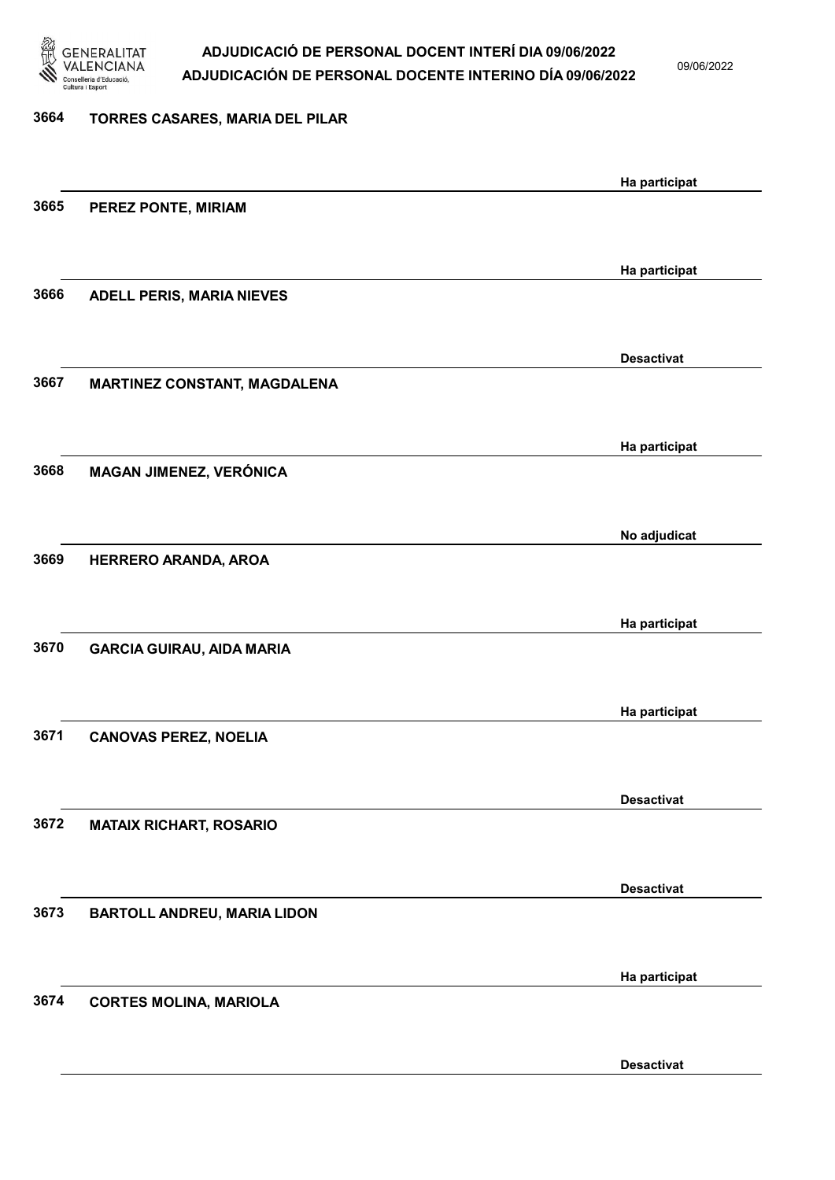

3674 CORTES MOLINA, MARIOLA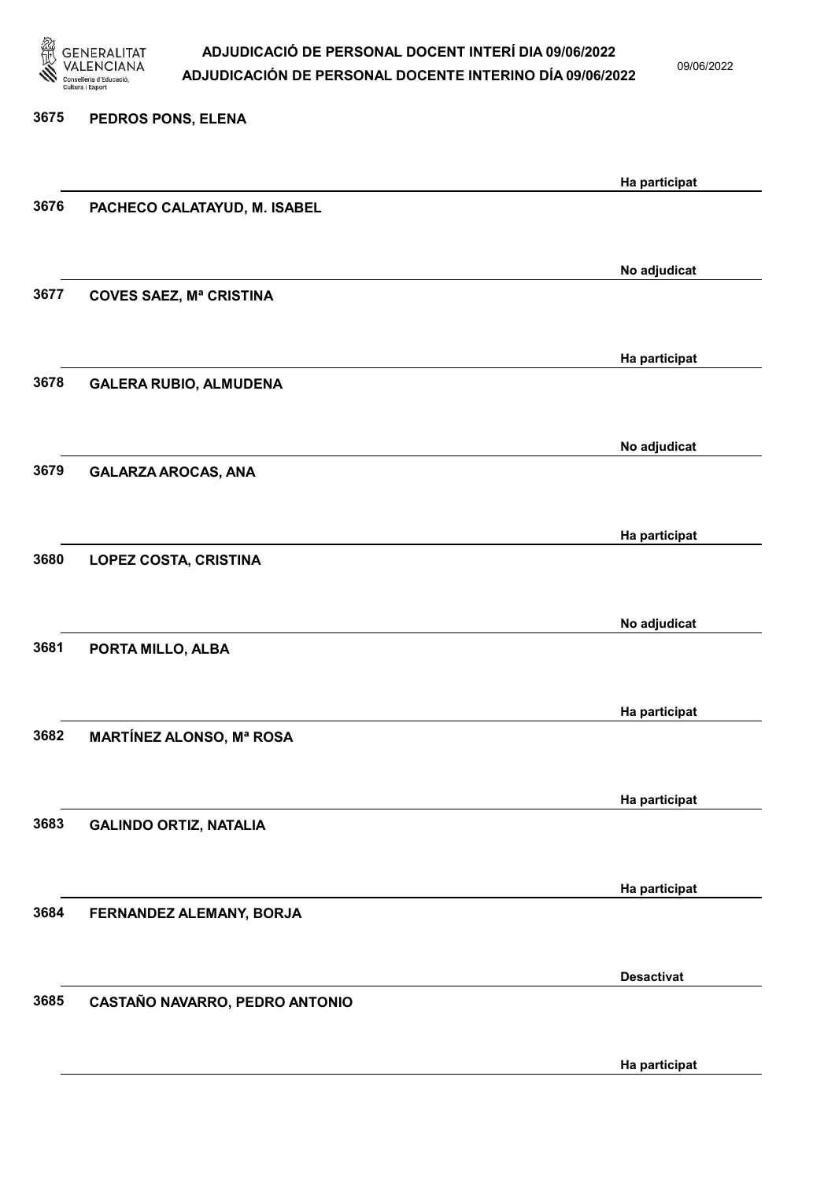

09/06/2022

| 3675 | PEDROS PONS, ELENA              |                   |
|------|---------------------------------|-------------------|
|      |                                 | Ha participat     |
| 3676 | PACHECO CALATAYUD, M. ISABEL    |                   |
|      |                                 | No adjudicat      |
| 3677 | <b>COVES SAEZ, Mª CRISTINA</b>  |                   |
|      |                                 | Ha participat     |
| 3678 | <b>GALERA RUBIO, ALMUDENA</b>   |                   |
| 3679 |                                 | No adjudicat      |
|      | <b>GALARZA AROCAS, ANA</b>      |                   |
| 3680 | <b>LOPEZ COSTA, CRISTINA</b>    | Ha participat     |
|      |                                 |                   |
| 3681 | PORTA MILLO, ALBA               | No adjudicat      |
|      |                                 |                   |
| 3682 | <b>MARTÍNEZ ALONSO, Mª ROSA</b> | Ha participat     |
|      |                                 |                   |
| 3683 | <b>GALINDO ORTIZ, NATALIA</b>   | Ha participat     |
|      |                                 | Ha participat     |
| 3684 | FERNANDEZ ALEMANY, BORJA        |                   |
|      |                                 | <b>Desactivat</b> |
| 3685 | CASTAÑO NAVARRO, PEDRO ANTONIO  |                   |
|      |                                 | Ha participat     |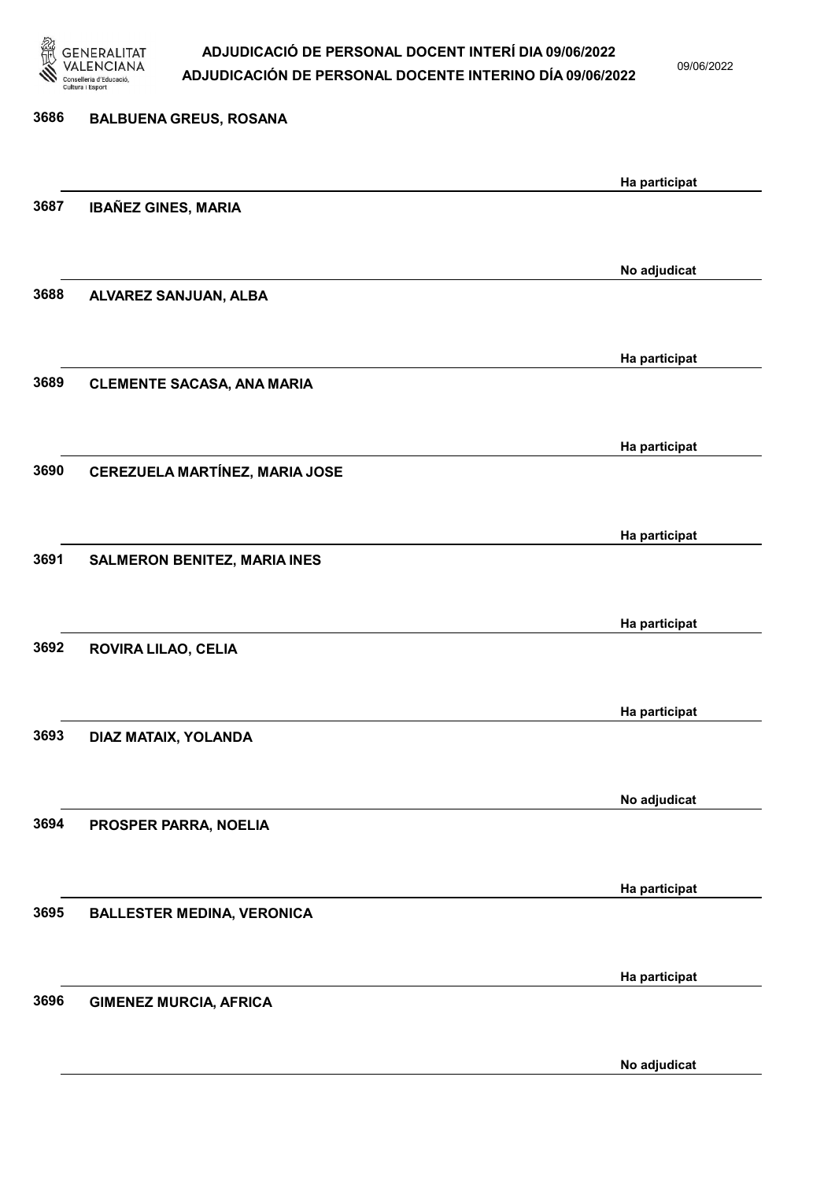

09/06/2022

No adjudicat

# 3686 BALBUENA GREUS, ROSANA Ha participat 3687 IBAÑEZ GINES, MARIA No adjudicat 3688 ALVAREZ SANJUAN, ALBA Ha participat 3689 CLEMENTE SACASA, ANA MARIA Ha participat 3690 CEREZUELA MARTÍNEZ, MARIA JOSE Ha participat 3691 SALMERON BENITEZ, MARIA INES Ha participat 3692 ROVIRA LILAO, CELIA Ha participat 3693 DIAZ MATAIX, YOLANDA No adjudicat 3694 PROSPER PARRA, NOELIA Ha participat 3695 BALLESTER MEDINA, VERONICA Ha participat 3696 GIMENEZ MURCIA, AFRICA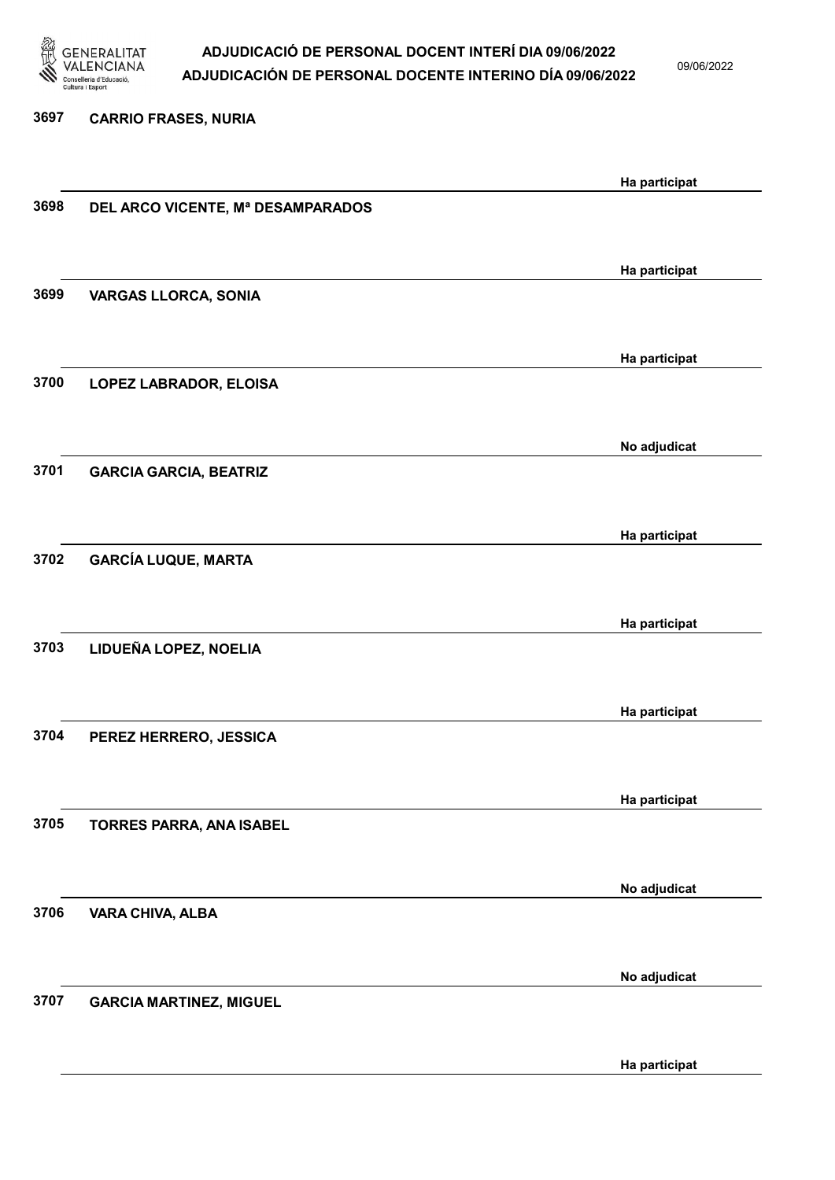

09/06/2022

#### 3697 CARRIO FRASES, NURIA

|      |                                   | Ha participat |
|------|-----------------------------------|---------------|
| 3698 | DEL ARCO VICENTE, Mª DESAMPARADOS |               |
|      |                                   |               |
|      |                                   |               |
|      |                                   | Ha participat |
| 3699 | <b>VARGAS LLORCA, SONIA</b>       |               |
|      |                                   |               |
|      |                                   | Ha participat |
| 3700 | LOPEZ LABRADOR, ELOISA            |               |
|      |                                   |               |
|      |                                   |               |
|      |                                   | No adjudicat  |
| 3701 | <b>GARCIA GARCIA, BEATRIZ</b>     |               |
|      |                                   |               |
|      |                                   |               |
|      |                                   | Ha participat |
| 3702 | <b>GARCÍA LUQUE, MARTA</b>        |               |
|      |                                   |               |
|      |                                   | Ha participat |
| 3703 | LIDUEÑA LOPEZ, NOELIA             |               |
|      |                                   |               |
|      |                                   |               |
|      |                                   | Ha participat |
| 3704 | PEREZ HERRERO, JESSICA            |               |
|      |                                   |               |
|      |                                   |               |
|      |                                   | Ha participat |
| 3705 | TORRES PARRA, ANA ISABEL          |               |
|      |                                   |               |
|      |                                   | No adjudicat  |
| 3706 | <b>VARA CHIVA, ALBA</b>           |               |
|      |                                   |               |
|      |                                   |               |
|      |                                   | No adjudicat  |
| 3707 | <b>GARCIA MARTINEZ, MIGUEL</b>    |               |
|      |                                   |               |
|      |                                   |               |
|      |                                   | Ha participat |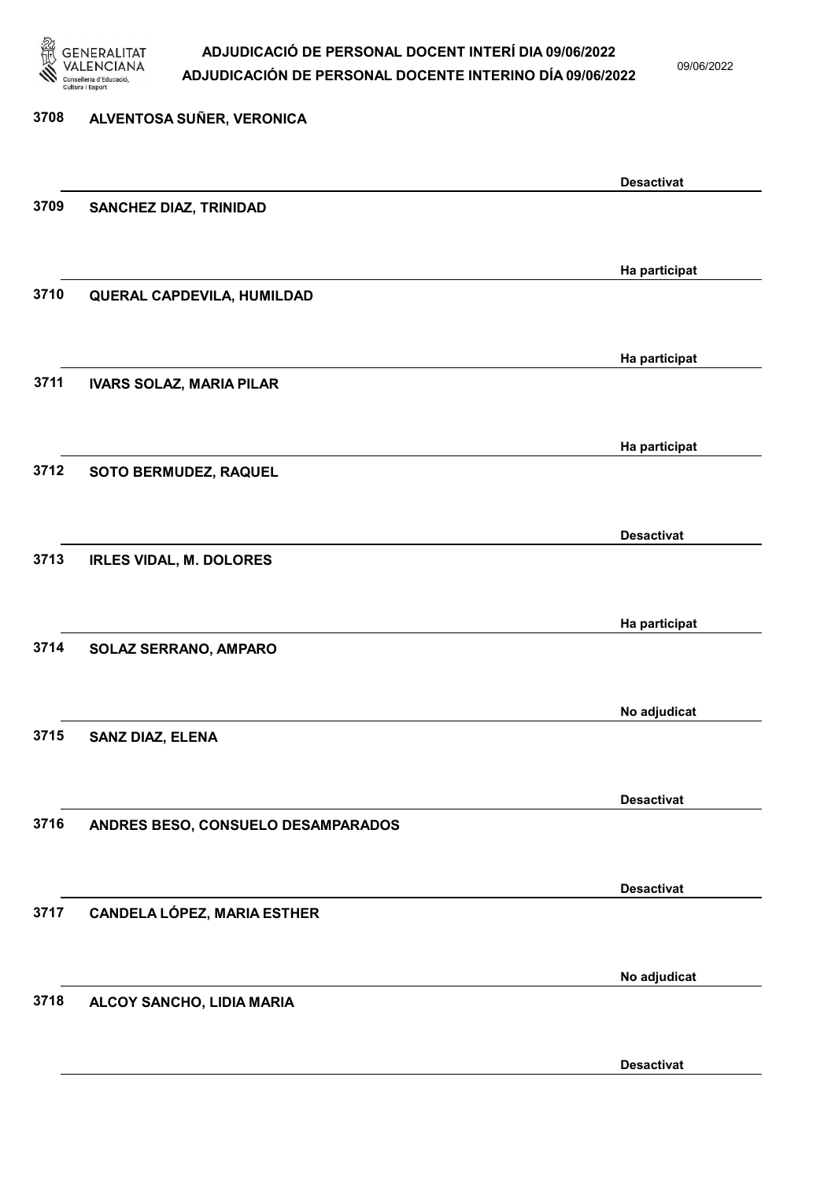

09/06/2022

Desactivat

| 3708 | ALVENTOSA SUÑER, VERONICA          |                   |
|------|------------------------------------|-------------------|
|      |                                    | <b>Desactivat</b> |
| 3709 | SANCHEZ DIAZ, TRINIDAD             |                   |
|      |                                    | Ha participat     |
| 3710 | QUERAL CAPDEVILA, HUMILDAD         |                   |
|      |                                    | Ha participat     |
| 3711 | <b>IVARS SOLAZ, MARIA PILAR</b>    |                   |
|      |                                    | Ha participat     |
| 3712 | SOTO BERMUDEZ, RAQUEL              |                   |
|      |                                    | <b>Desactivat</b> |
| 3713 | <b>IRLES VIDAL, M. DOLORES</b>     |                   |
|      |                                    | Ha participat     |
| 3714 | SOLAZ SERRANO, AMPARO              |                   |
|      |                                    | No adjudicat      |
| 3715 | <b>SANZ DIAZ, ELENA</b>            |                   |
|      |                                    | <b>Desactivat</b> |
| 3716 | ANDRES BESO, CONSUELO DESAMPARADOS |                   |
|      |                                    | <b>Desactivat</b> |
| 3717 | <b>CANDELA LÓPEZ, MARIA ESTHER</b> |                   |
|      |                                    | No adjudicat      |
| 3718 | ALCOY SANCHO, LIDIA MARIA          |                   |
|      |                                    |                   |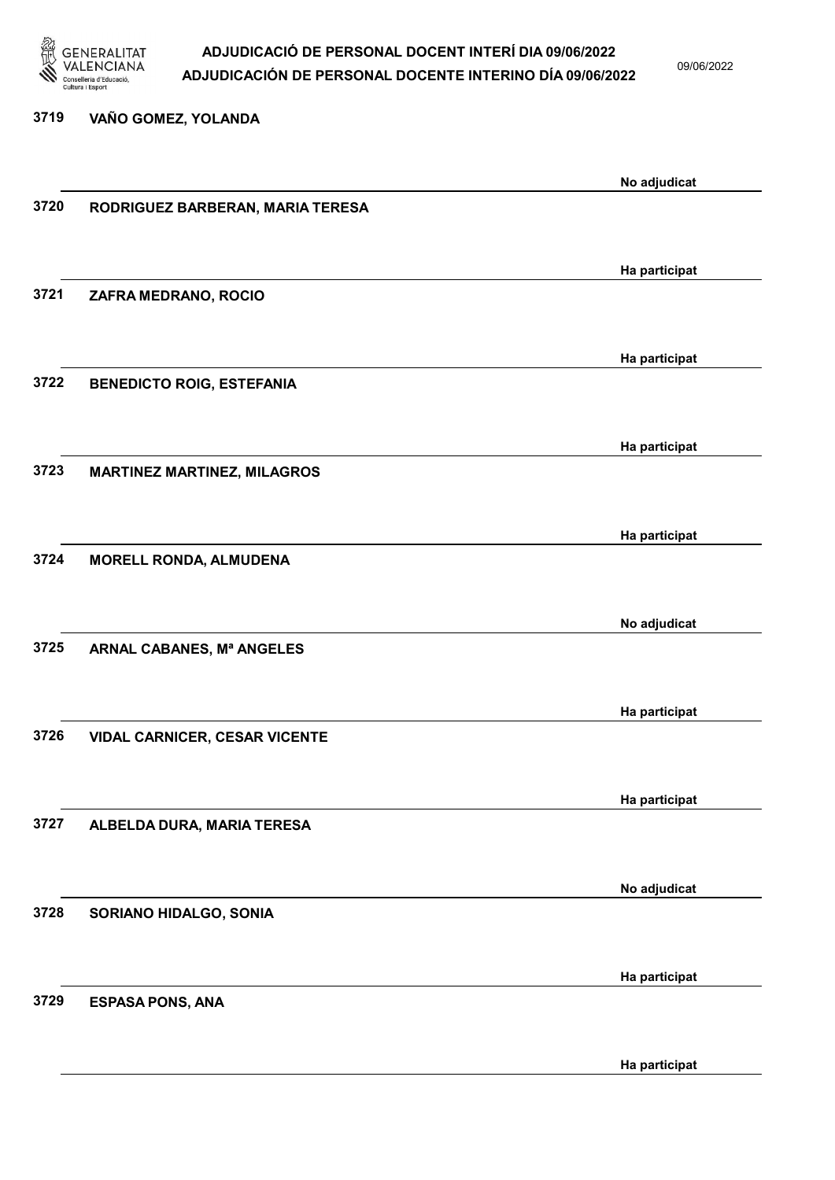

09/06/2022

#### 3719 VAÑO GOMEZ, YOLANDA

|      |                                      | No adjudicat  |
|------|--------------------------------------|---------------|
| 3720 | RODRIGUEZ BARBERAN, MARIA TERESA     |               |
|      |                                      |               |
|      |                                      |               |
|      |                                      | Ha participat |
|      |                                      |               |
| 3721 | ZAFRA MEDRANO, ROCIO                 |               |
|      |                                      |               |
|      |                                      |               |
|      |                                      | Ha participat |
| 3722 | <b>BENEDICTO ROIG, ESTEFANIA</b>     |               |
|      |                                      |               |
|      |                                      |               |
|      |                                      | Ha participat |
| 3723 | <b>MARTINEZ MARTINEZ, MILAGROS</b>   |               |
|      |                                      |               |
|      |                                      |               |
|      |                                      | Ha participat |
| 3724 |                                      |               |
|      | <b>MORELL RONDA, ALMUDENA</b>        |               |
|      |                                      |               |
|      |                                      |               |
|      |                                      | No adjudicat  |
| 3725 | ARNAL CABANES, Mª ANGELES            |               |
|      |                                      |               |
|      |                                      |               |
|      |                                      | Ha participat |
| 3726 | <b>VIDAL CARNICER, CESAR VICENTE</b> |               |
|      |                                      |               |
|      |                                      |               |
|      |                                      | Ha participat |
| 3727 | ALBELDA DURA, MARIA TERESA           |               |
|      |                                      |               |
|      |                                      |               |
|      |                                      | No adjudicat  |
| 3728 |                                      |               |
|      | SORIANO HIDALGO, SONIA               |               |
|      |                                      |               |
|      |                                      |               |
|      |                                      | Ha participat |
| 3729 | <b>ESPASA PONS, ANA</b>              |               |
|      |                                      |               |
|      |                                      |               |
|      |                                      | Ha participat |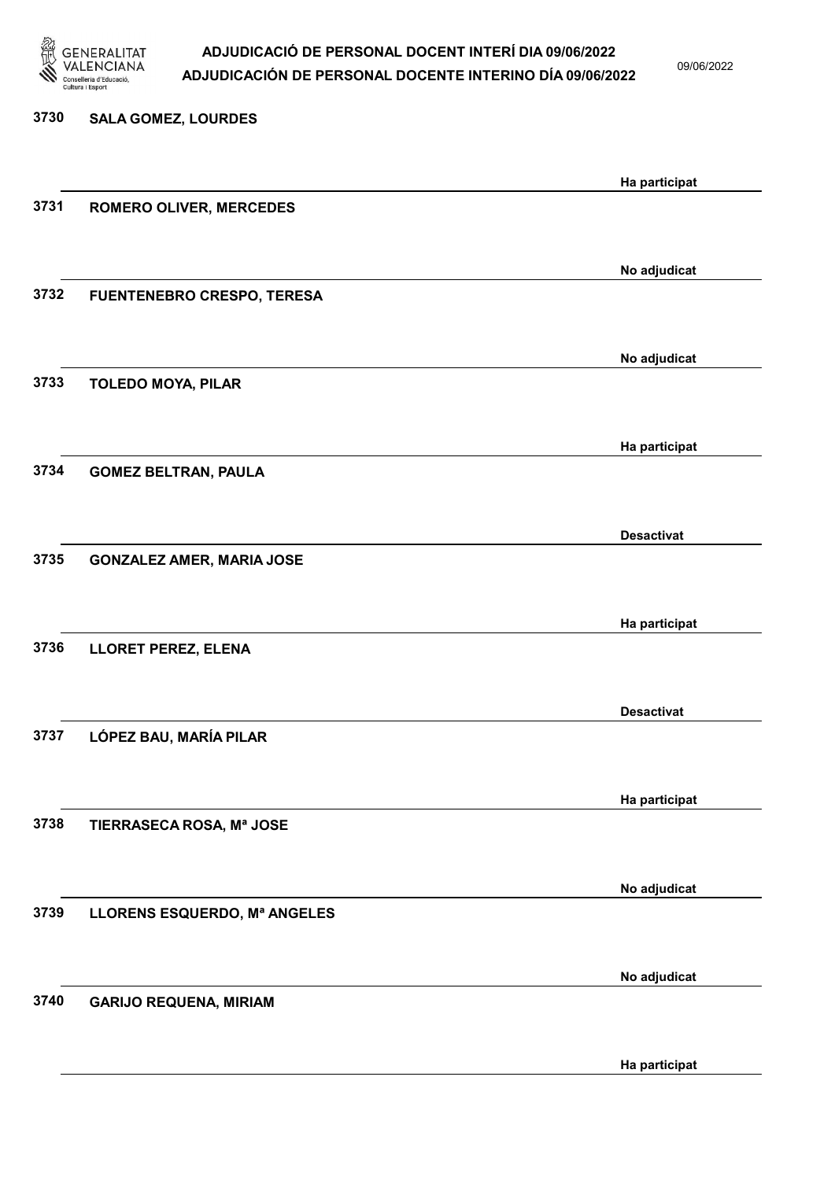

09/06/2022

Ha participat

| 3730 | <b>SALA GOMEZ, LOURDES</b>        |                   |
|------|-----------------------------------|-------------------|
|      |                                   | Ha participat     |
| 3731 | <b>ROMERO OLIVER, MERCEDES</b>    |                   |
|      |                                   | No adjudicat      |
| 3732 | <b>FUENTENEBRO CRESPO, TERESA</b> |                   |
|      |                                   |                   |
| 3733 | <b>TOLEDO MOYA, PILAR</b>         | No adjudicat      |
|      |                                   |                   |
|      |                                   | Ha participat     |
| 3734 | <b>GOMEZ BELTRAN, PAULA</b>       |                   |
|      |                                   | <b>Desactivat</b> |
| 3735 | <b>GONZALEZ AMER, MARIA JOSE</b>  |                   |
|      |                                   | Ha participat     |
| 3736 | LLORET PEREZ, ELENA               |                   |
|      |                                   |                   |
| 3737 | LÓPEZ BAU, MARÍA PILAR            | <b>Desactivat</b> |
|      |                                   |                   |
| 3738 |                                   | Ha participat     |
|      | TIERRASECA ROSA, Mª JOSE          |                   |
|      |                                   | No adjudicat      |
| 3739 | LLORENS ESQUERDO, Mª ANGELES      |                   |
|      |                                   | No adjudicat      |
| 3740 | <b>GARIJO REQUENA, MIRIAM</b>     |                   |
|      |                                   |                   |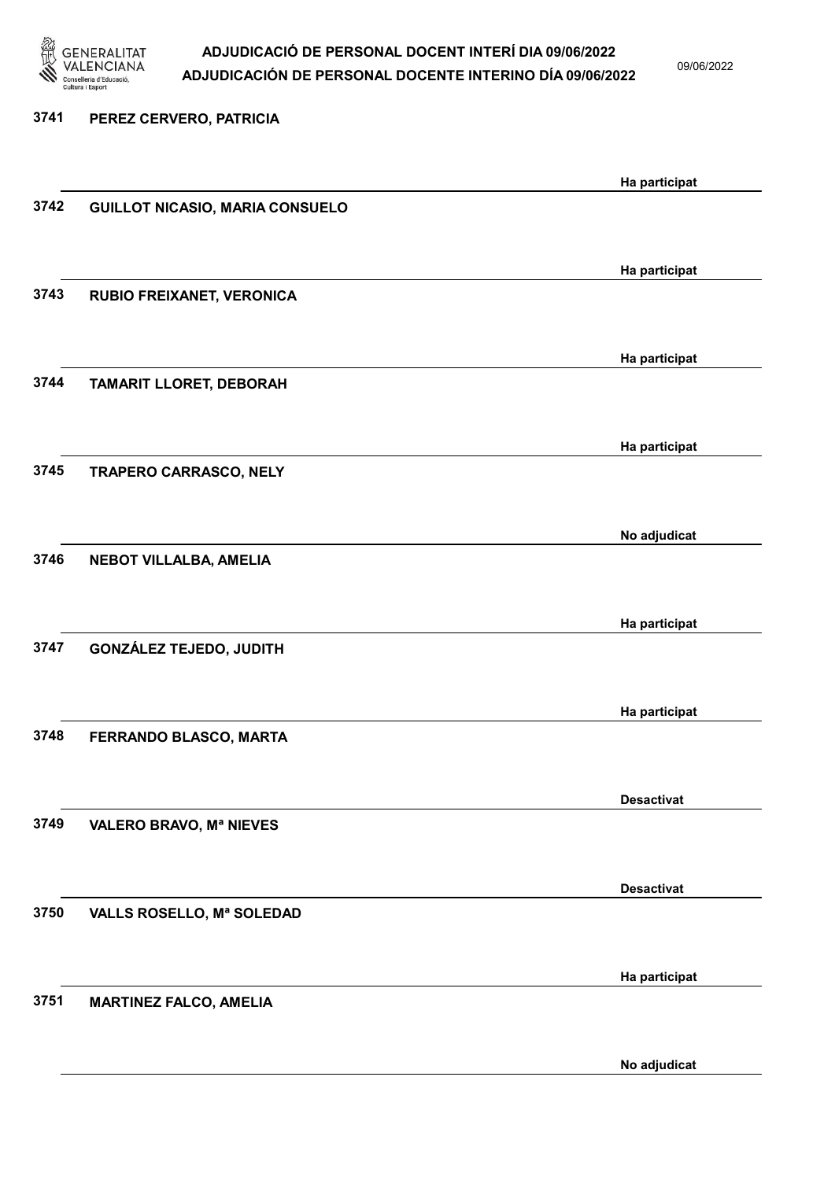

09/06/2022

3741 PEREZ CERVERO, PATRICIA Ha participat 3742 GUILLOT NICASIO, MARIA CONSUELO Ha participat 3743 RUBIO FREIXANET, VERONICA Ha participat 3744 TAMARIT LLORET, DEBORAH Ha participat 3745 TRAPERO CARRASCO, NELY No adjudicat 3746 NEBOT VILLALBA, AMELIA Ha participat 3747 GONZÁLEZ TEJEDO, JUDITH Ha participat 3748 FERRANDO BLASCO, MARTA Desactivat 3749 VALERO BRAVO, Mª NIEVES Desactivat 3750 VALLS ROSELLO, Mª SOLEDAD Ha participat 3751 MARTINEZ FALCO, AMELIA

No adjudicat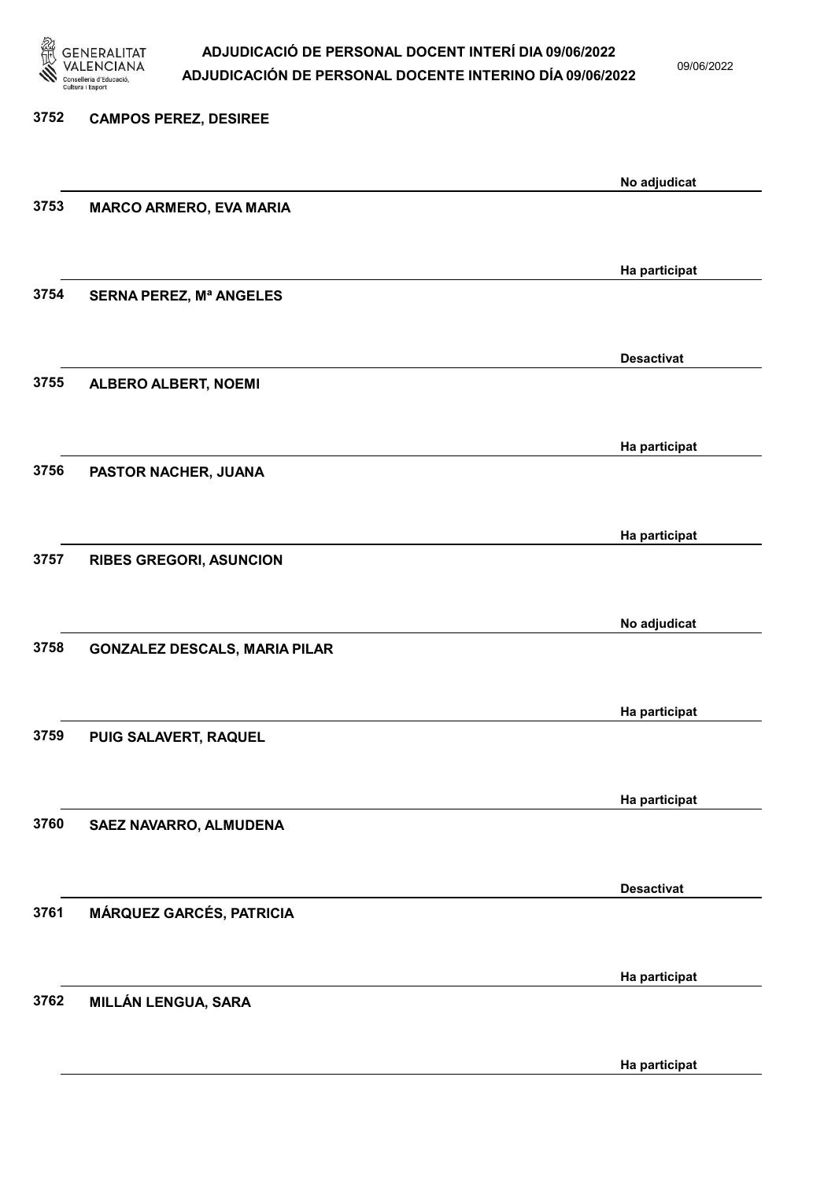

09/06/2022

Ha participat

# 3752 CAMPOS PEREZ, DESIREE No adjudicat 3753 MARCO ARMERO, EVA MARIA Ha participat 3754 SERNA PEREZ, Mª ANGELES Desactivat 3755 ALBERO ALBERT, NOEMI Ha participat 3756 PASTOR NACHER, JUANA Ha participat 3757 RIBES GREGORI, ASUNCION No adjudicat 3758 GONZALEZ DESCALS, MARIA PILAR Ha participat 3759 PUIG SALAVERT, RAQUEL Ha participat 3760 SAEZ NAVARRO, ALMUDENA Desactivat 3761 MÁRQUEZ GARCÉS, PATRICIA Ha participat 3762 MILLÁN LENGUA, SARA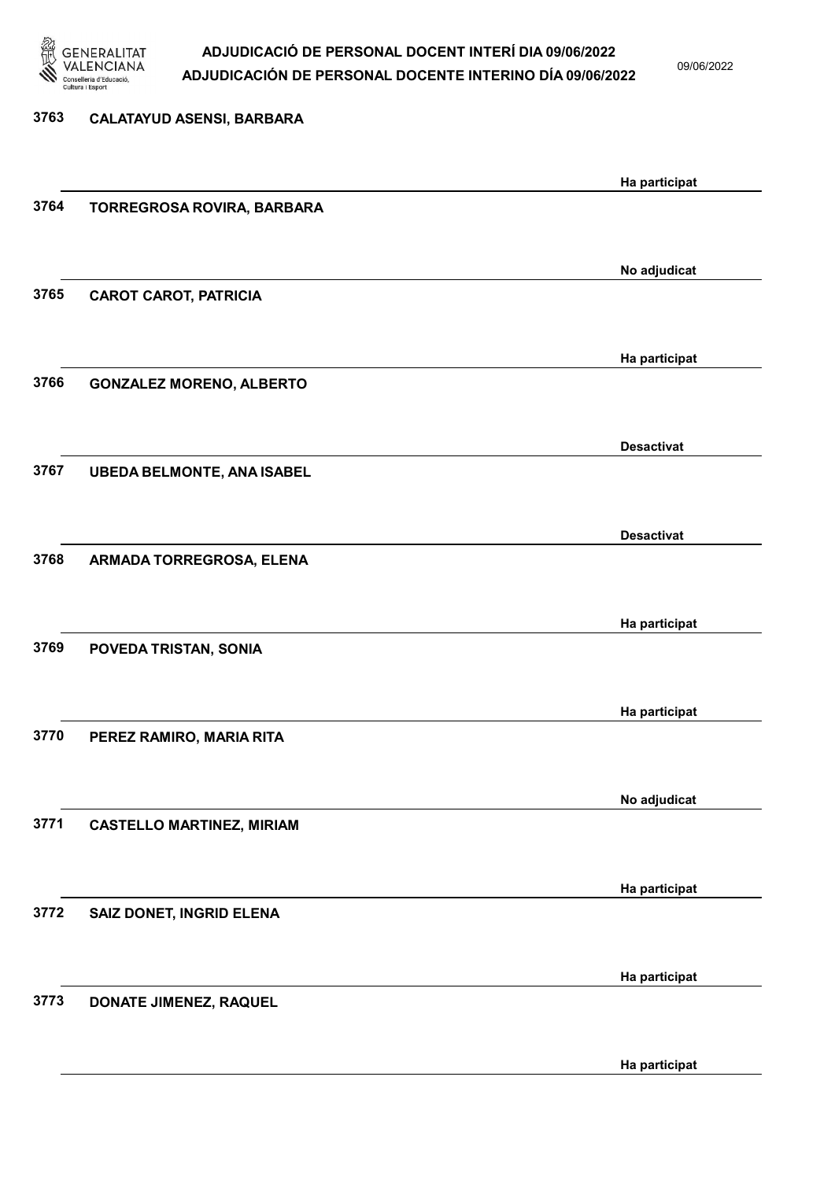

09/06/2022

Ha participat

## 3763 CALATAYUD ASENSI, BARBARA Ha participat 3764 TORREGROSA ROVIRA, BARBARA No adjudicat 3765 CAROT CAROT, PATRICIA Ha participat 3766 GONZALEZ MORENO, ALBERTO Desactivat 3767 UBEDA BELMONTE, ANA ISABEL Desactivat 3768 ARMADA TORREGROSA, ELENA Ha participat 3769 POVEDA TRISTAN, SONIA Ha participat 3770 PEREZ RAMIRO, MARIA RITA No adjudicat 3771 CASTELLO MARTINEZ, MIRIAM Ha participat 3772 SAIZ DONET, INGRID ELENA Ha participat 3773 DONATE JIMENEZ, RAQUEL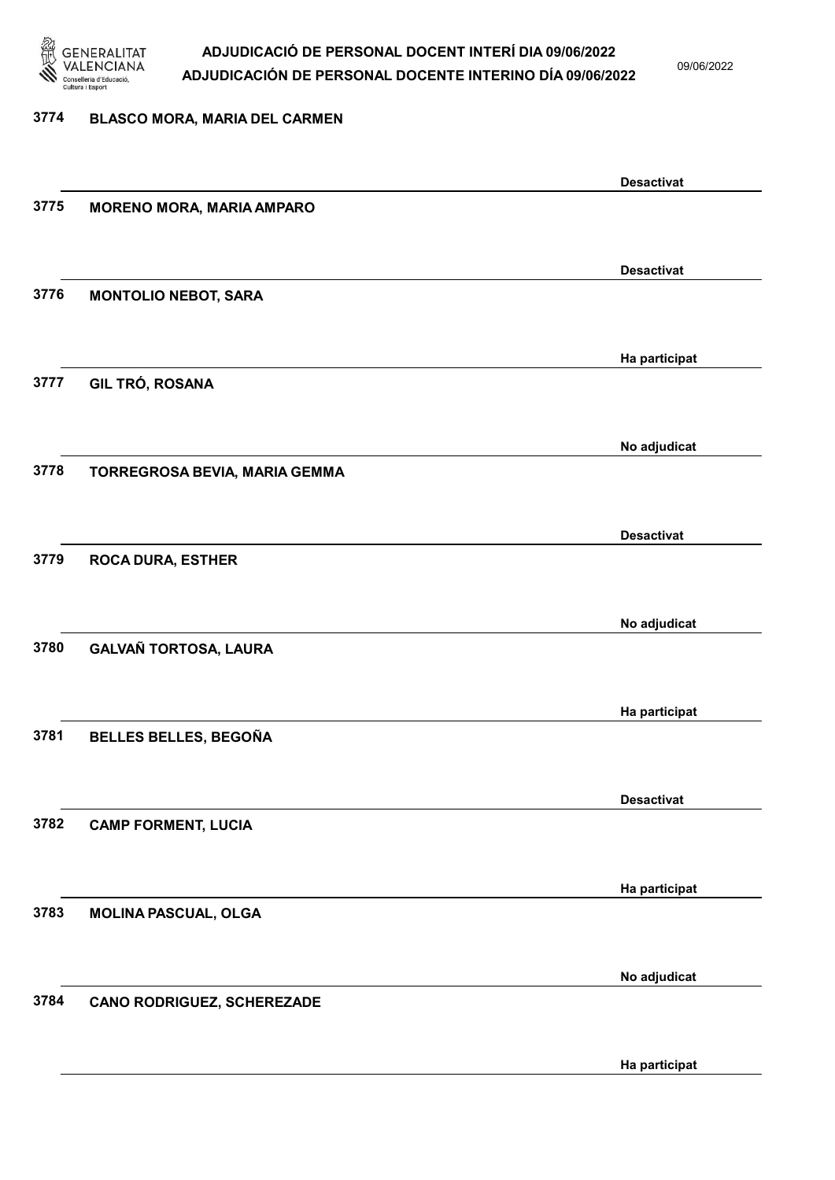

09/06/2022

#### 3774 BLASCO MORA, MARIA DEL CARMEN

|      |                                   | <b>Desactivat</b> |
|------|-----------------------------------|-------------------|
| 3775 | <b>MORENO MORA, MARIA AMPARO</b>  |                   |
|      |                                   |                   |
|      |                                   |                   |
|      |                                   | <b>Desactivat</b> |
| 3776 | <b>MONTOLIO NEBOT, SARA</b>       |                   |
|      |                                   |                   |
|      |                                   |                   |
|      |                                   | Ha participat     |
| 3777 | GIL TRÓ, ROSANA                   |                   |
|      |                                   |                   |
|      |                                   | No adjudicat      |
| 3778 | TORREGROSA BEVIA, MARIA GEMMA     |                   |
|      |                                   |                   |
|      |                                   |                   |
|      |                                   | <b>Desactivat</b> |
| 3779 | <b>ROCA DURA, ESTHER</b>          |                   |
|      |                                   |                   |
|      |                                   |                   |
|      |                                   | No adjudicat      |
| 3780 | <b>GALVAÑ TORTOSA, LAURA</b>      |                   |
|      |                                   |                   |
|      |                                   |                   |
|      |                                   | Ha participat     |
| 3781 | BELLES BELLES, BEGOÑA             |                   |
|      |                                   |                   |
|      |                                   | <b>Desactivat</b> |
| 3782 | <b>CAMP FORMENT, LUCIA</b>        |                   |
|      |                                   |                   |
|      |                                   |                   |
|      |                                   | Ha participat     |
| 3783 | MOLINA PASCUAL, OLGA              |                   |
|      |                                   |                   |
|      |                                   |                   |
|      |                                   | No adjudicat      |
| 3784 | <b>CANO RODRIGUEZ, SCHEREZADE</b> |                   |
|      |                                   |                   |
|      |                                   |                   |
|      |                                   | Ha participat     |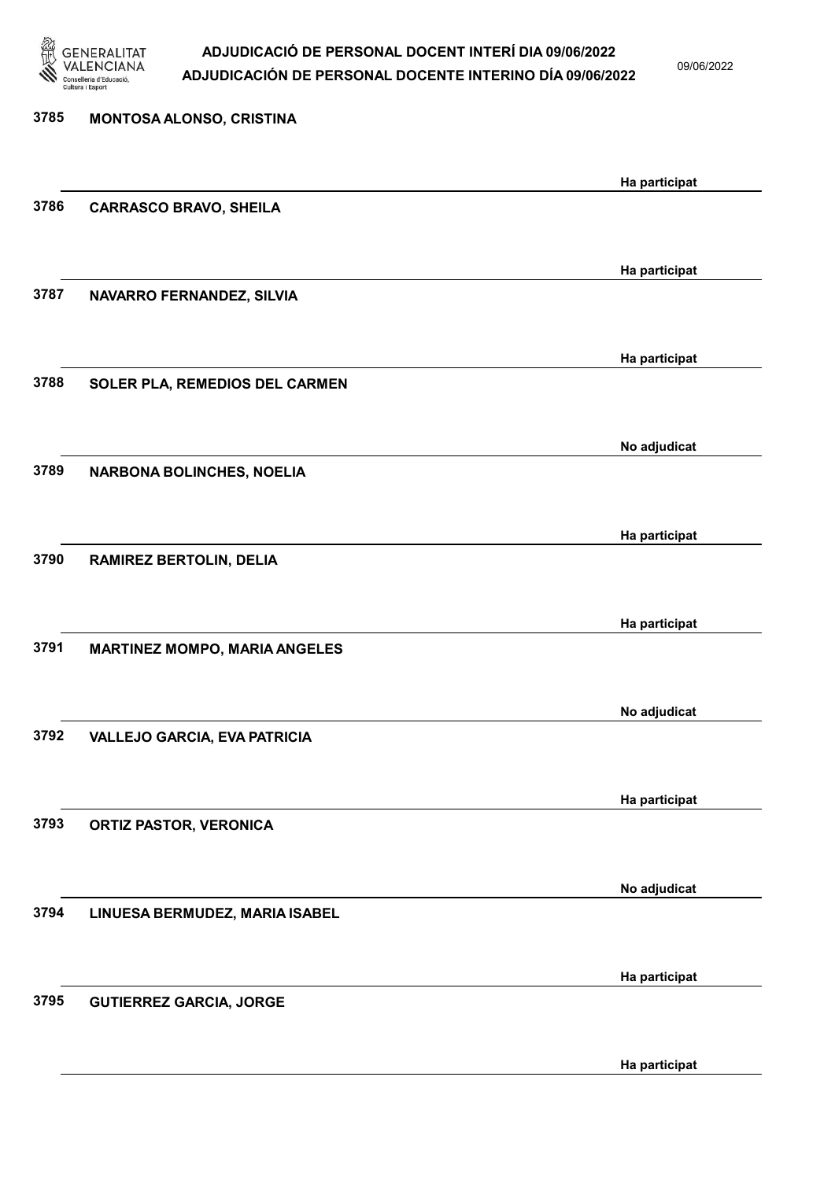

09/06/2022

Ha participat

| 3785 | MONTOSA ALONSO, CRISTINA             |               |
|------|--------------------------------------|---------------|
|      |                                      | Ha participat |
| 3786 | <b>CARRASCO BRAVO, SHEILA</b>        |               |
|      |                                      |               |
| 3787 | NAVARRO FERNANDEZ, SILVIA            | Ha participat |
|      |                                      |               |
| 3788 |                                      | Ha participat |
|      | SOLER PLA, REMEDIOS DEL CARMEN       |               |
|      |                                      | No adjudicat  |
| 3789 | <b>NARBONA BOLINCHES, NOELIA</b>     |               |
|      |                                      | Ha participat |
| 3790 | <b>RAMIREZ BERTOLIN, DELIA</b>       |               |
|      |                                      |               |
|      |                                      | Ha participat |
| 3791 | <b>MARTINEZ MOMPO, MARIA ANGELES</b> |               |
|      |                                      | No adjudicat  |
| 3792 | <b>VALLEJO GARCIA, EVA PATRICIA</b>  |               |
|      |                                      |               |
| 3793 | <b>ORTIZ PASTOR, VERONICA</b>        | Ha participat |
|      |                                      |               |
| 3794 |                                      | No adjudicat  |
|      | LINUESA BERMUDEZ, MARIA ISABEL       |               |
|      |                                      | Ha participat |
| 3795 | <b>GUTIERREZ GARCIA, JORGE</b>       |               |
|      |                                      |               |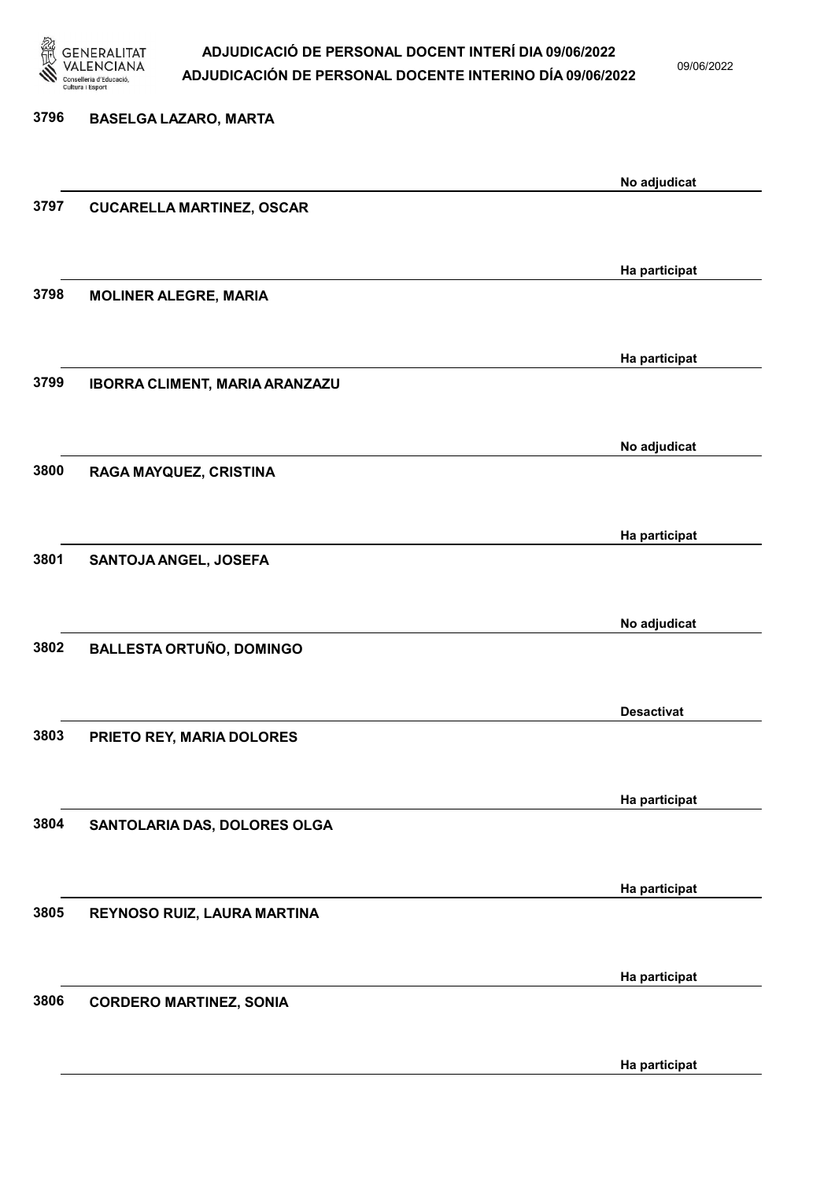

09/06/2022

Ha participat

# 3796 BASELGA LAZARO, MARTA No adjudicat 3797 CUCARELLA MARTINEZ, OSCAR Ha participat 3798 MOLINER ALEGRE, MARIA Ha participat 3799 IBORRA CLIMENT, MARIA ARANZAZU No adjudicat 3800 RAGA MAYQUEZ, CRISTINA Ha participat 3801 SANTOJA ANGEL, JOSEFA No adjudicat 3802 BALLESTA ORTUÑO, DOMINGO Desactivat 3803 PRIETO REY, MARIA DOLORES Ha participat 3804 SANTOLARIA DAS, DOLORES OLGA Ha participat 3805 REYNOSO RUIZ, LAURA MARTINA Ha participat 3806 CORDERO MARTINEZ, SONIA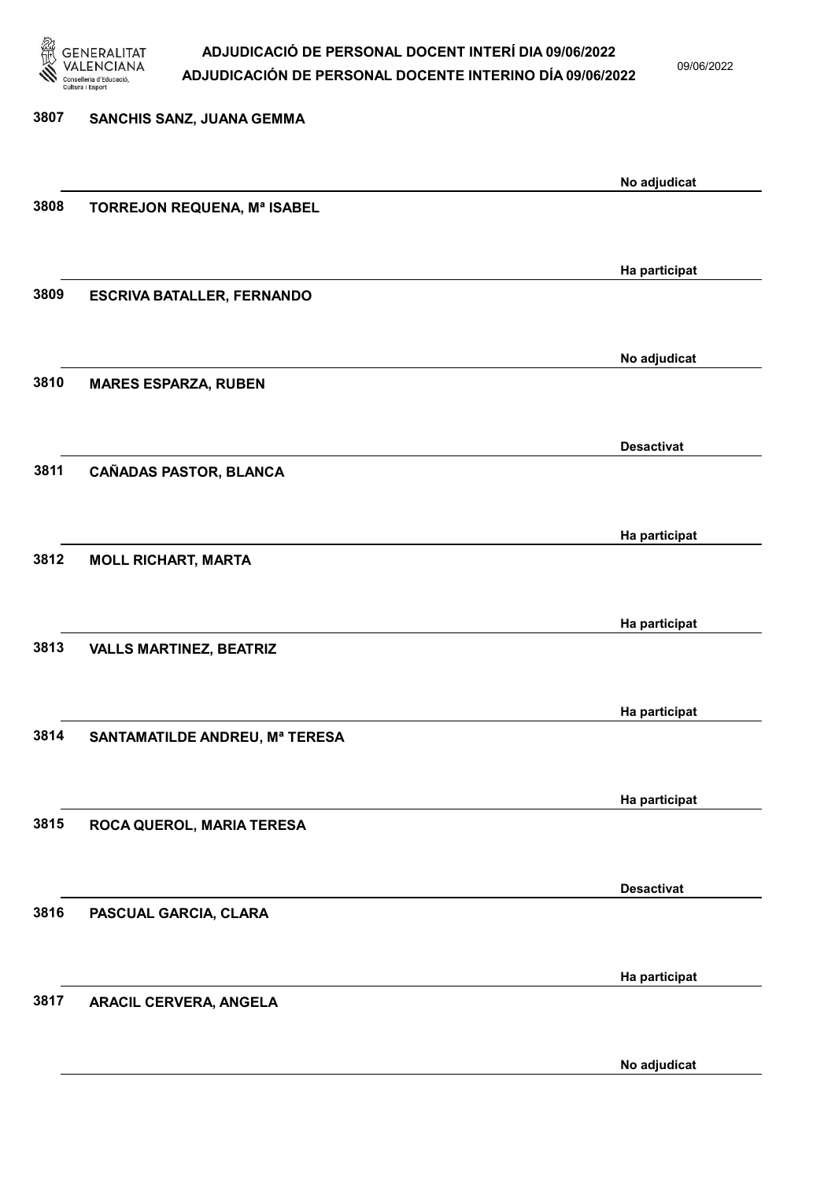

09/06/2022

| 3807 | SANCHIS SANZ, JUANA GEMMA         |                   |
|------|-----------------------------------|-------------------|
|      |                                   | No adjudicat      |
| 3808 | TORREJON REQUENA, Mª ISABEL       |                   |
|      |                                   | Ha participat     |
| 3809 | <b>ESCRIVA BATALLER, FERNANDO</b> |                   |
|      |                                   | No adjudicat      |
| 3810 | <b>MARES ESPARZA, RUBEN</b>       |                   |
|      |                                   | <b>Desactivat</b> |
| 3811 | CAÑADAS PASTOR, BLANCA            |                   |
| 3812 |                                   | Ha participat     |
|      | <b>MOLL RICHART, MARTA</b>        |                   |
|      |                                   | Ha participat     |
| 3813 | <b>VALLS MARTINEZ, BEATRIZ</b>    |                   |
|      |                                   | Ha participat     |
| 3814 | SANTAMATILDE ANDREU, Mª TERESA    |                   |
|      |                                   | Ha participat     |
| 3815 | ROCA QUEROL, MARIA TERESA         |                   |
| 3816 |                                   | <b>Desactivat</b> |
|      | PASCUAL GARCIA, CLARA             |                   |
| 3817 | <b>ARACIL CERVERA, ANGELA</b>     | Ha participat     |
|      |                                   |                   |

No adjudicat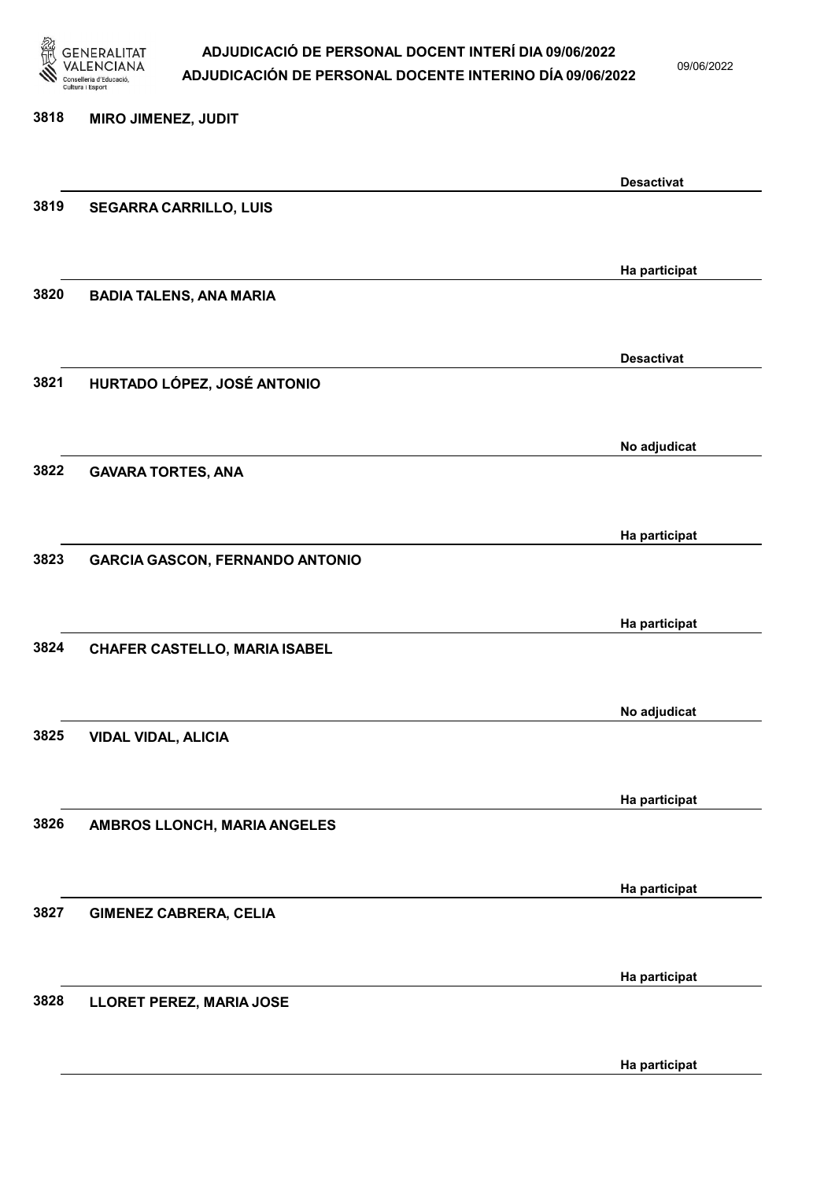

09/06/2022

Ha participat

# 3818 MIRO JIMENEZ, JUDIT Desactivat 3819 SEGARRA CARRILLO, LUIS Ha participat 3820 BADIA TALENS, ANA MARIA Desactivat 3821 HURTADO LÓPEZ, JOSÉ ANTONIO No adjudicat 3822 GAVARA TORTES, ANA Ha participat 3823 GARCIA GASCON, FERNANDO ANTONIO Ha participat 3824 CHAFER CASTELLO, MARIA ISABEL No adjudicat 3825 VIDAL VIDAL, ALICIA Ha participat 3826 AMBROS LLONCH, MARIA ANGELES Ha participat 3827 GIMENEZ CABRERA, CELIA Ha participat 3828 LLORET PEREZ, MARIA JOSE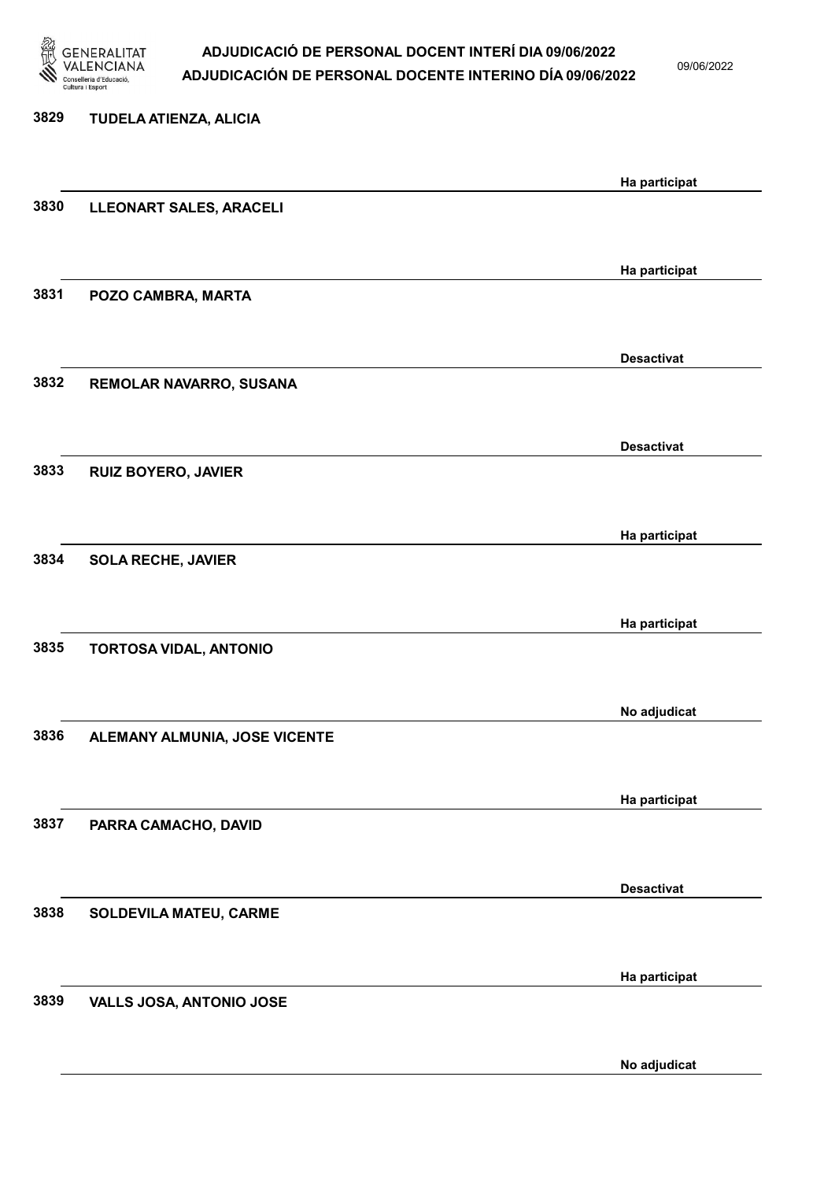

09/06/2022

# 3829 TUDELA ATIENZA, ALICIA Ha participat 3830 LLEONART SALES, ARACELI Ha participat 3831 POZO CAMBRA, MARTA Desactivat 3832 REMOLAR NAVARRO, SUSANA Desactivat 3833 RUIZ BOYERO, JAVIER Ha participat 3834 SOLA RECHE, JAVIER Ha participat 3835 TORTOSA VIDAL, ANTONIO No adjudicat 3836 ALEMANY ALMUNIA, JOSE VICENTE Ha participat 3837 PARRA CAMACHO, DAVID Desactivat 3838 SOLDEVILA MATEU, CARME Ha participat 3839 VALLS JOSA, ANTONIO JOSE

No adjudicat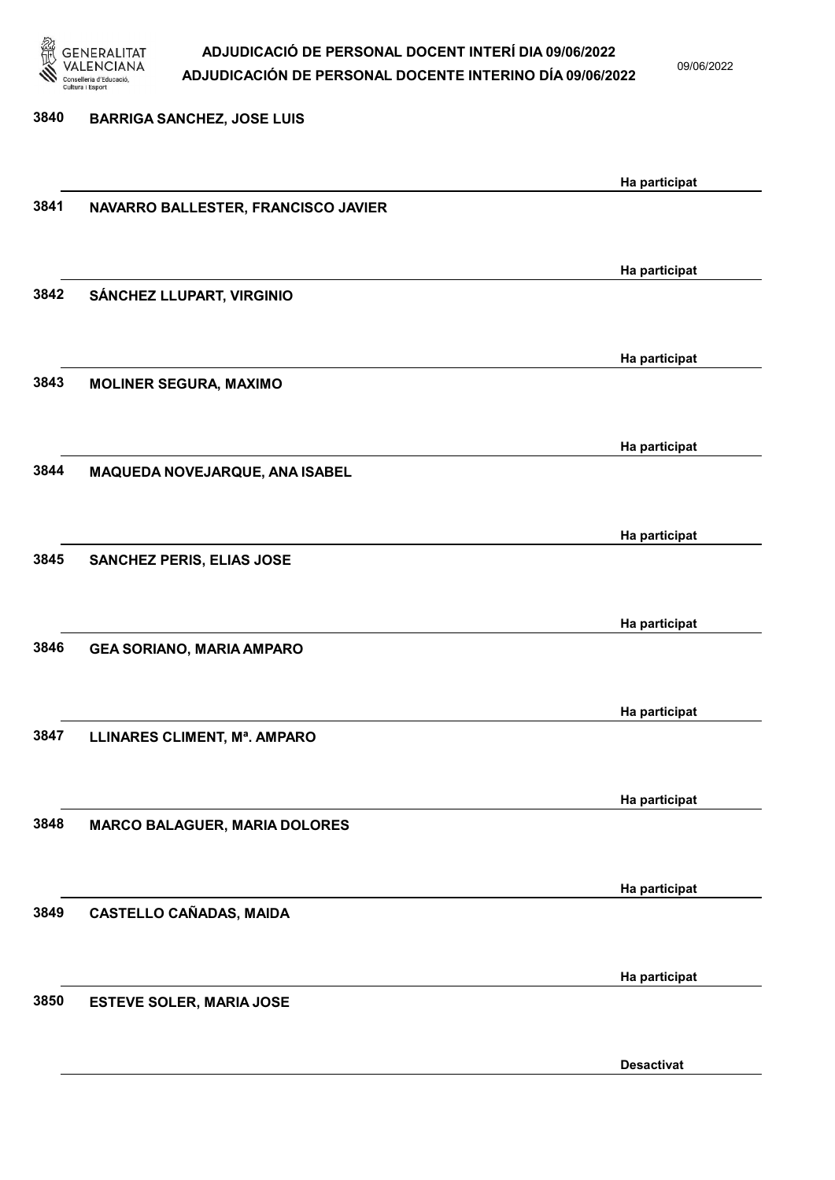

09/06/2022

Desactivat

### 3840 BARRIGA SANCHEZ, JOSE LUIS Ha participat 3841 NAVARRO BALLESTER, FRANCISCO JAVIER Ha participat 3842 SÁNCHEZ LLUPART, VIRGINIO Ha participat 3843 MOLINER SEGURA, MAXIMO Ha participat 3844 MAQUEDA NOVEJARQUE, ANA ISABEL Ha participat 3845 SANCHEZ PERIS, ELIAS JOSE Ha participat 3846 GEA SORIANO, MARIA AMPARO Ha participat 3847 LLINARES CLIMENT, Mª. AMPARO Ha participat 3848 MARCO BALAGUER, MARIA DOLORES Ha participat 3849 CASTELLO CAÑADAS, MAIDA Ha participat 3850 ESTEVE SOLER, MARIA JOSE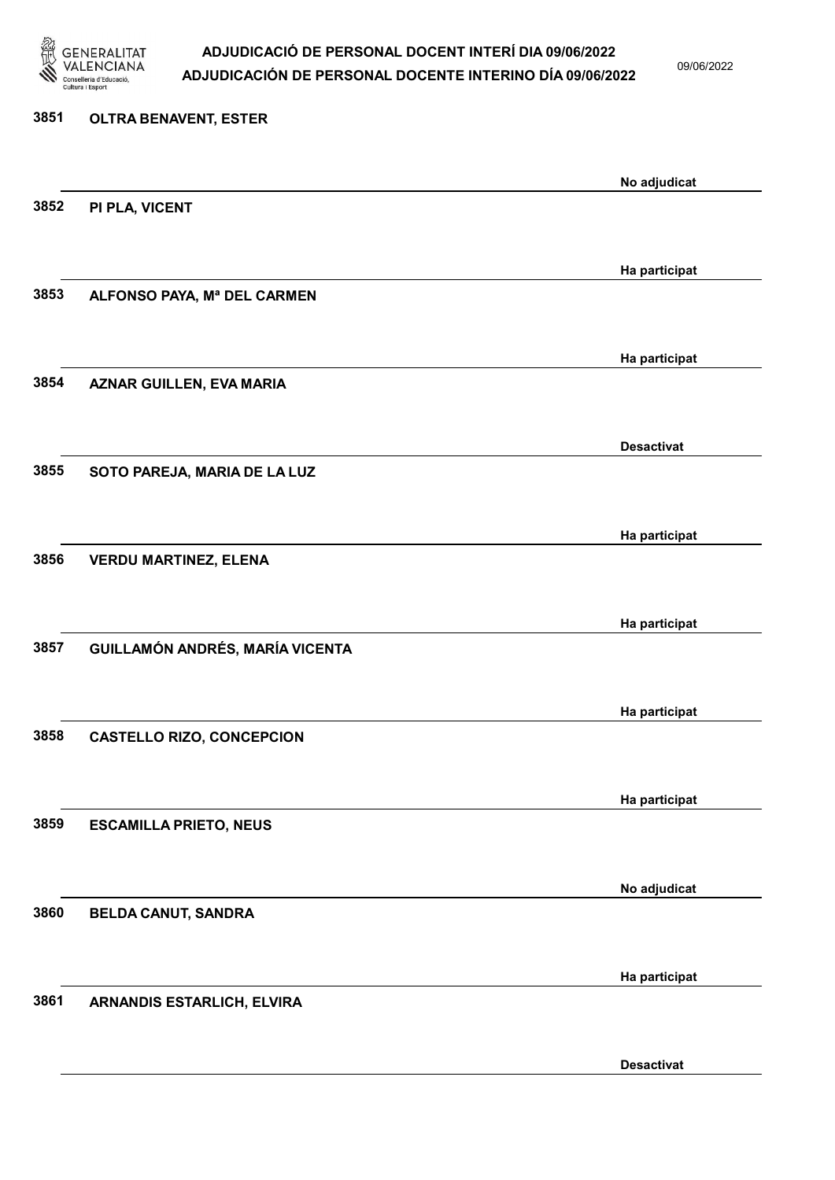

09/06/2022

Desactivat

# 3851 OLTRA BENAVENT, ESTER No adjudicat 3852 PI PLA, VICENT Ha participat 3853 ALFONSO PAYA, Mª DEL CARMEN Ha participat 3854 AZNAR GUILLEN, EVA MARIA Desactivat 3855 SOTO PAREJA, MARIA DE LA LUZ Ha participat 3856 VERDU MARTINEZ, ELENA Ha participat 3857 GUILLAMÓN ANDRÉS, MARÍA VICENTA Ha participat 3858 CASTELLO RIZO, CONCEPCION Ha participat 3859 ESCAMILLA PRIETO, NEUS No adjudicat 3860 BELDA CANUT, SANDRA Ha participat 3861 ARNANDIS ESTARLICH, ELVIRA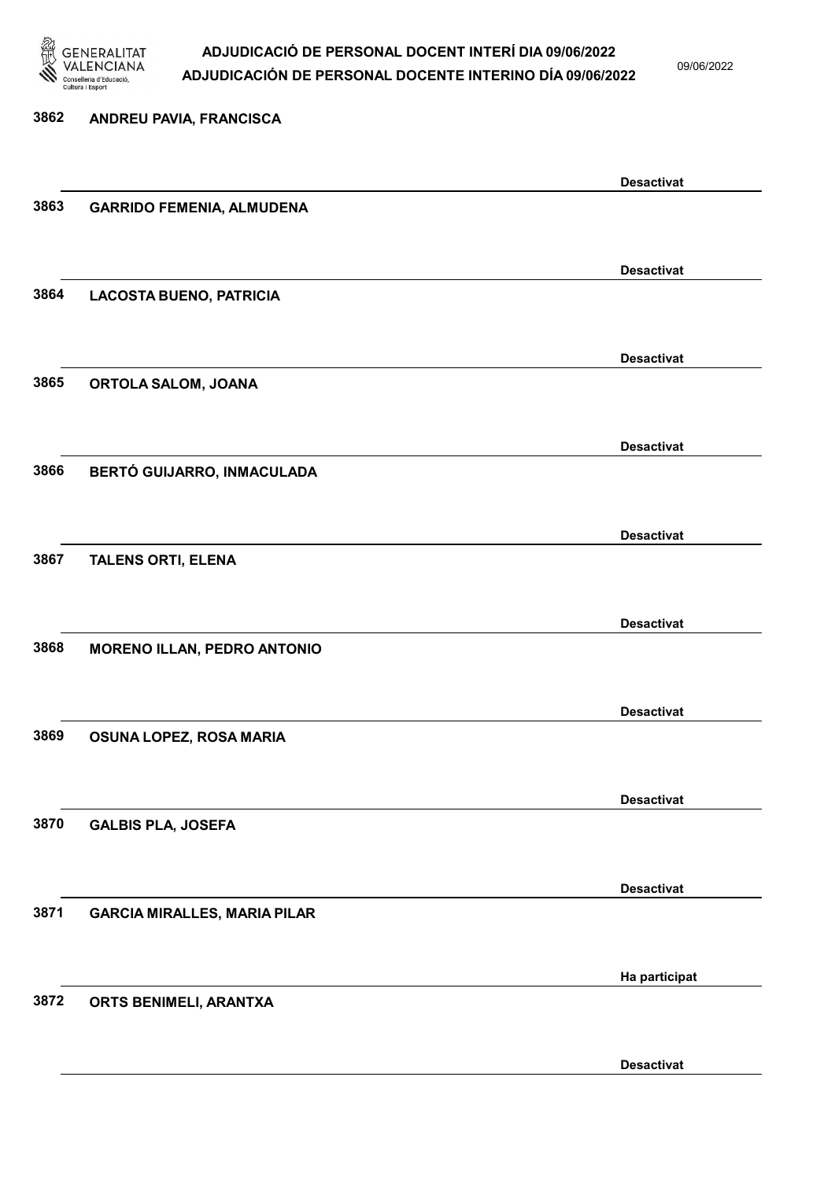

09/06/2022

| 3862 | ANDREU PAVIA, FRANCISCA             |                   |
|------|-------------------------------------|-------------------|
|      |                                     |                   |
|      |                                     | <b>Desactivat</b> |
| 3863 | <b>GARRIDO FEMENIA, ALMUDENA</b>    |                   |
|      |                                     |                   |
|      |                                     | <b>Desactivat</b> |
| 3864 | <b>LACOSTA BUENO, PATRICIA</b>      |                   |
|      |                                     |                   |
|      |                                     | <b>Desactivat</b> |
| 3865 | ORTOLA SALOM, JOANA                 |                   |
|      |                                     |                   |
|      |                                     | <b>Desactivat</b> |
| 3866 | BERTÓ GUIJARRO, INMACULADA          |                   |
|      |                                     |                   |
|      |                                     | <b>Desactivat</b> |
| 3867 | <b>TALENS ORTI, ELENA</b>           |                   |
|      |                                     |                   |
|      |                                     | <b>Desactivat</b> |
| 3868 | <b>MORENO ILLAN, PEDRO ANTONIO</b>  |                   |
|      |                                     |                   |
|      |                                     | <b>Desactivat</b> |
| 3869 | OSUNA LOPEZ, ROSA MARIA             |                   |
|      |                                     |                   |
|      |                                     | <b>Desactivat</b> |
| 3870 | <b>GALBIS PLA, JOSEFA</b>           |                   |
|      |                                     |                   |
|      |                                     | <b>Desactivat</b> |
| 3871 | <b>GARCIA MIRALLES, MARIA PILAR</b> |                   |
|      |                                     |                   |
|      |                                     | Ha participat     |
| 3872 | ORTS BENIMELI, ARANTXA              |                   |
|      |                                     |                   |

Desactivat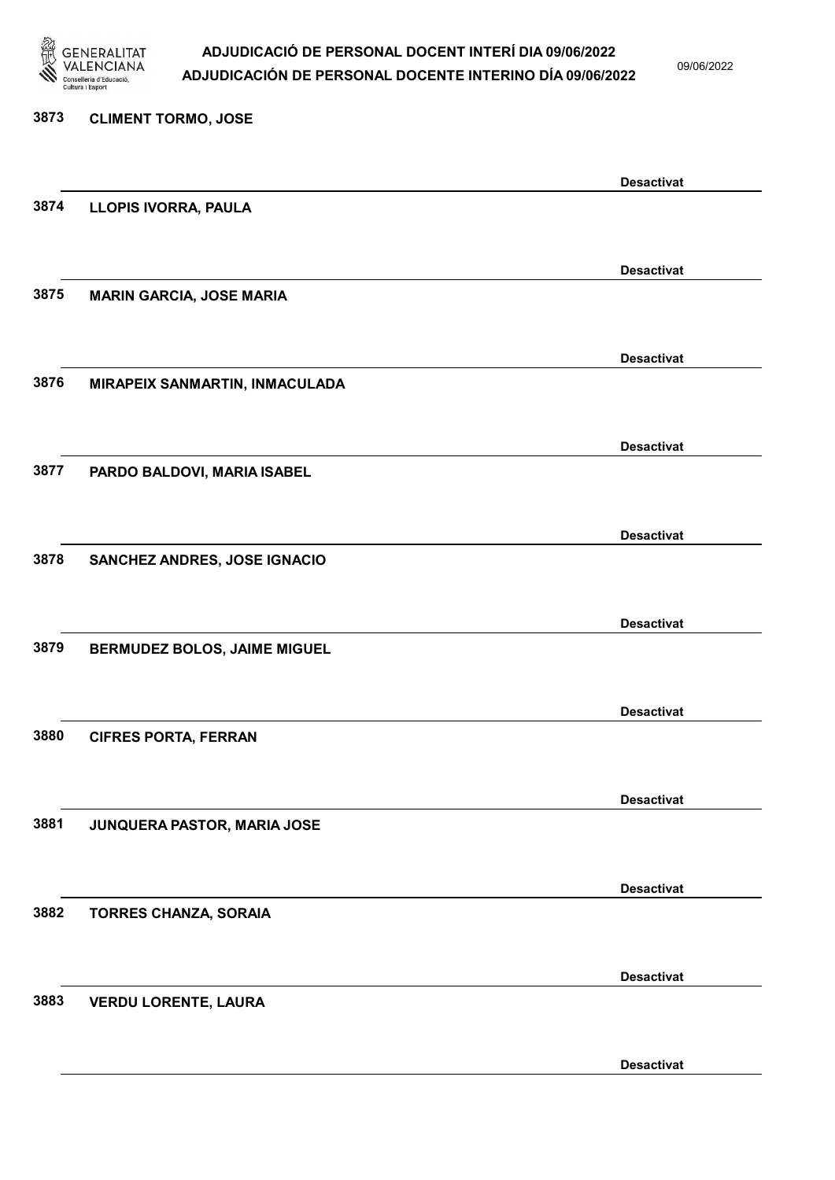

09/06/2022

Desactivat

# 3873 CLIMENT TORMO, JOSE Desactivat 3874 LLOPIS IVORRA, PAULA Desactivat 3875 MARIN GARCIA, JOSE MARIA Desactivat 3876 MIRAPEIX SANMARTIN, INMACULADA Desactivat 3877 PARDO BALDOVI, MARIA ISABEL Desactivat 3878 SANCHEZ ANDRES, JOSE IGNACIO Desactivat 3879 BERMUDEZ BOLOS, JAIME MIGUEL Desactivat 3880 CIFRES PORTA, FERRAN Desactivat 3881 JUNQUERA PASTOR, MARIA JOSE Desactivat 3882 TORRES CHANZA, SORAIA Desactivat 3883 VERDU LORENTE, LAURA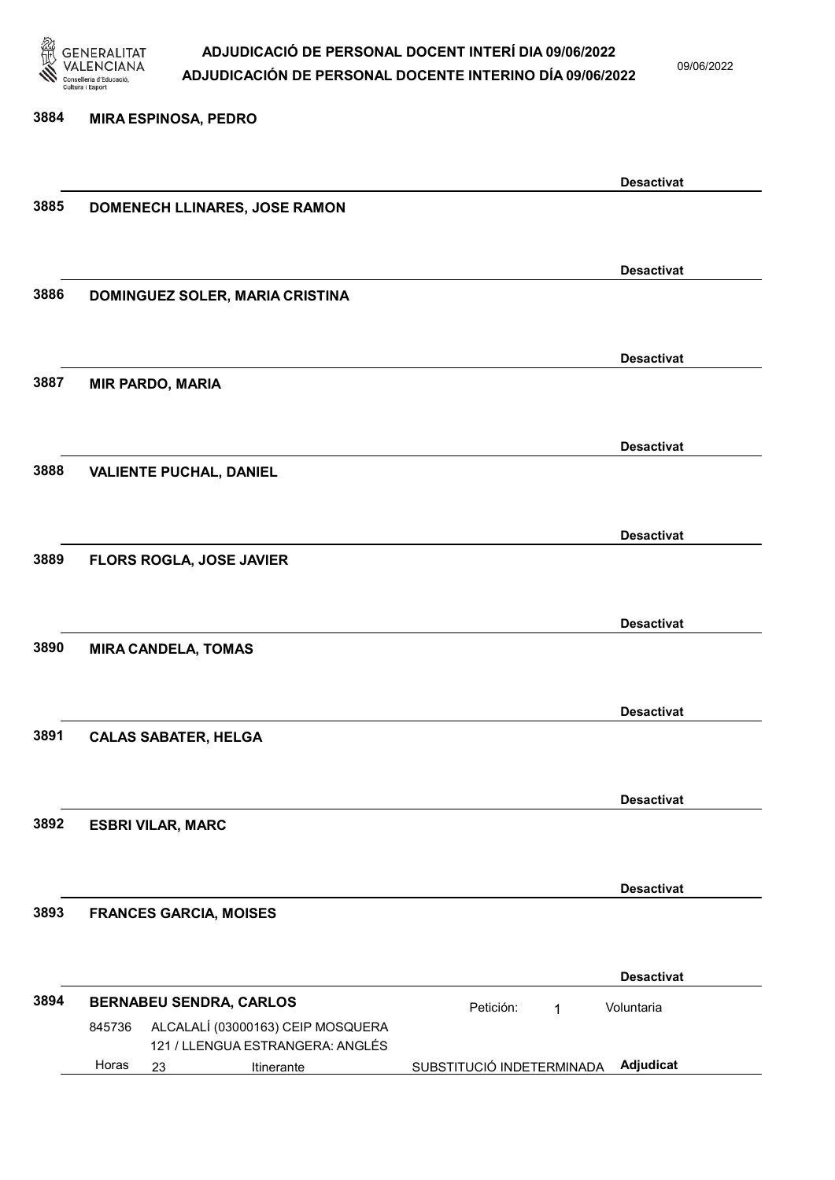

09/06/2022

3884 MIRA ESPINOSA, PEDRO Desactivat 3885 DOMENECH LLINARES, JOSE RAMON Desactivat 3886 DOMINGUEZ SOLER, MARIA CRISTINA Desactivat 3887 MIR PARDO, MARIA Desactivat 3888 VALIENTE PUCHAL, DANIEL Desactivat 3889 FLORS ROGLA, JOSE JAVIER Desactivat 3890 MIRA CANDELA, TOMAS Desactivat 3891 CALAS SABATER, HELGA Desactivat 3892 ESBRI VILAR, MARC Desactivat 3893 FRANCES GARCIA, MOISES Desactivat 3894 BERNABEU SENDRA, CARLOS **El proportante de la proportante de la proportante de la proportante de la proporta** 23 Itinerante SUBSTITUCIÓ INDETERMINADA Adjudicat ALCALALÍ (03000163) CEIP MOSQUERA 121 / LLENGUA ESTRANGERA: ANGLÉS Voluntaria 845736 Horas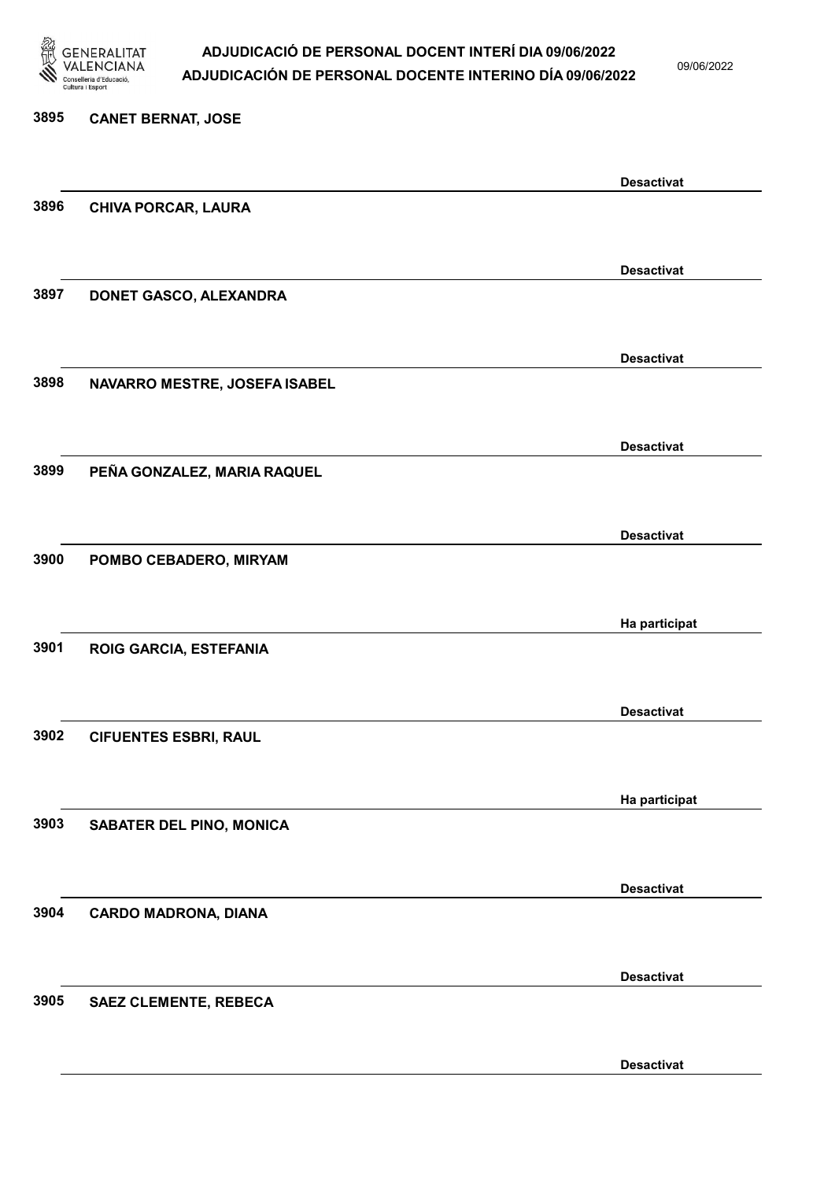

09/06/2022

Desactivat

# 3895 CANET BERNAT, JOSE Desactivat 3896 CHIVA PORCAR, LAURA Desactivat 3897 DONET GASCO, ALEXANDRA Desactivat 3898 NAVARRO MESTRE, JOSEFA ISABEL Desactivat 3899 PEÑA GONZALEZ, MARIA RAQUEL Desactivat 3900 POMBO CEBADERO, MIRYAM Ha participat 3901 ROIG GARCIA, ESTEFANIA Desactivat 3902 CIFUENTES ESBRI, RAUL Ha participat 3903 SABATER DEL PINO, MONICA Desactivat 3904 CARDO MADRONA, DIANA Desactivat 3905 SAEZ CLEMENTE, REBECA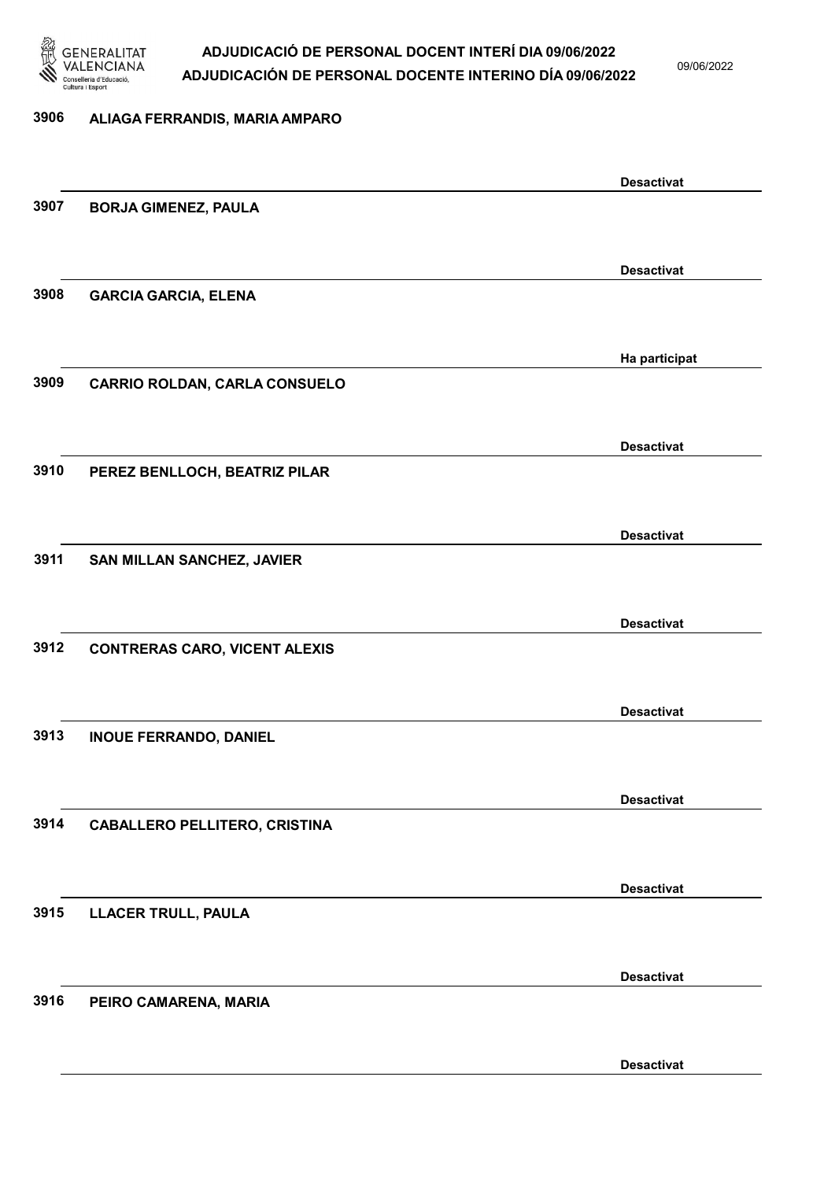

09/06/2022

Desactivat

### 3906 ALIAGA FERRANDIS, MARIA AMPARO Desactivat 3907 BORJA GIMENEZ, PAULA Desactivat 3908 GARCIA GARCIA, ELENA Ha participat 3909 CARRIO ROLDAN, CARLA CONSUELO Desactivat 3910 PEREZ BENLLOCH, BEATRIZ PILAR Desactivat 3911 SAN MILLAN SANCHEZ, JAVIER Desactivat 3912 CONTRERAS CARO, VICENT ALEXIS Desactivat 3913 INOUE FERRANDO, DANIEL Desactivat 3914 CABALLERO PELLITERO, CRISTINA Desactivat 3915 LLACER TRULL, PAULA Desactivat 3916 PEIRO CAMARENA, MARIA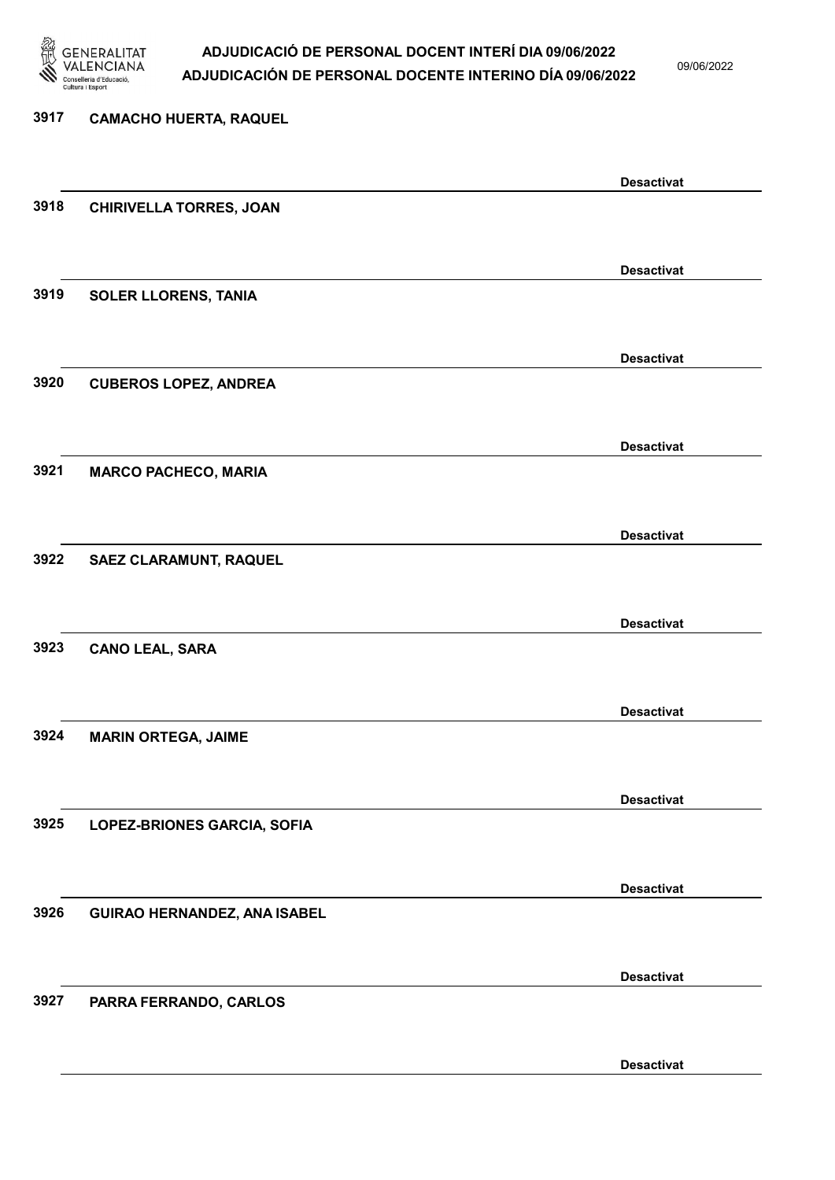

09/06/2022

Desactivat

## 3917 CAMACHO HUERTA, RAQUEL Desactivat 3918 CHIRIVELLA TORRES, JOAN Desactivat 3919 SOLER LLORENS, TANIA Desactivat 3920 CUBEROS LOPEZ, ANDREA Desactivat 3921 MARCO PACHECO, MARIA Desactivat 3922 SAEZ CLARAMUNT, RAQUEL Desactivat 3923 CANO LEAL, SARA Desactivat 3924 MARIN ORTEGA, JAIME Desactivat 3925 LOPEZ-BRIONES GARCIA, SOFIA Desactivat 3926 GUIRAO HERNANDEZ, ANA ISABEL Desactivat 3927 PARRA FERRANDO, CARLOS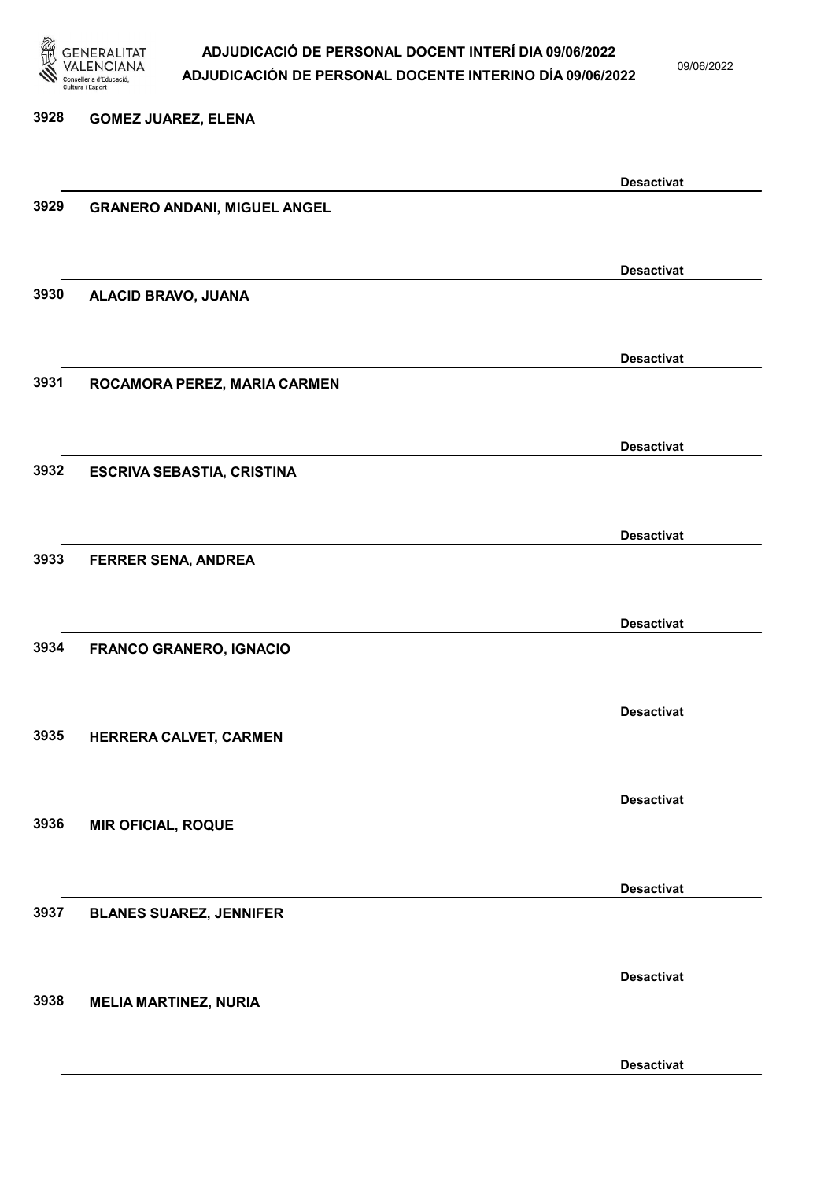

09/06/2022

Desactivat

3928 GOMEZ JUAREZ, ELENA Desactivat 3929 GRANERO ANDANI, MIGUEL ANGEL Desactivat 3930 ALACID BRAVO, JUANA Desactivat 3931 ROCAMORA PEREZ, MARIA CARMEN Desactivat 3932 ESCRIVA SEBASTIA, CRISTINA Desactivat 3933 FERRER SENA, ANDREA Desactivat 3934 FRANCO GRANERO, IGNACIO Desactivat 3935 HERRERA CALVET, CARMEN Desactivat 3936 MIR OFICIAL, ROQUE Desactivat 3937 BLANES SUAREZ, JENNIFER Desactivat 3938 MELIA MARTINEZ, NURIA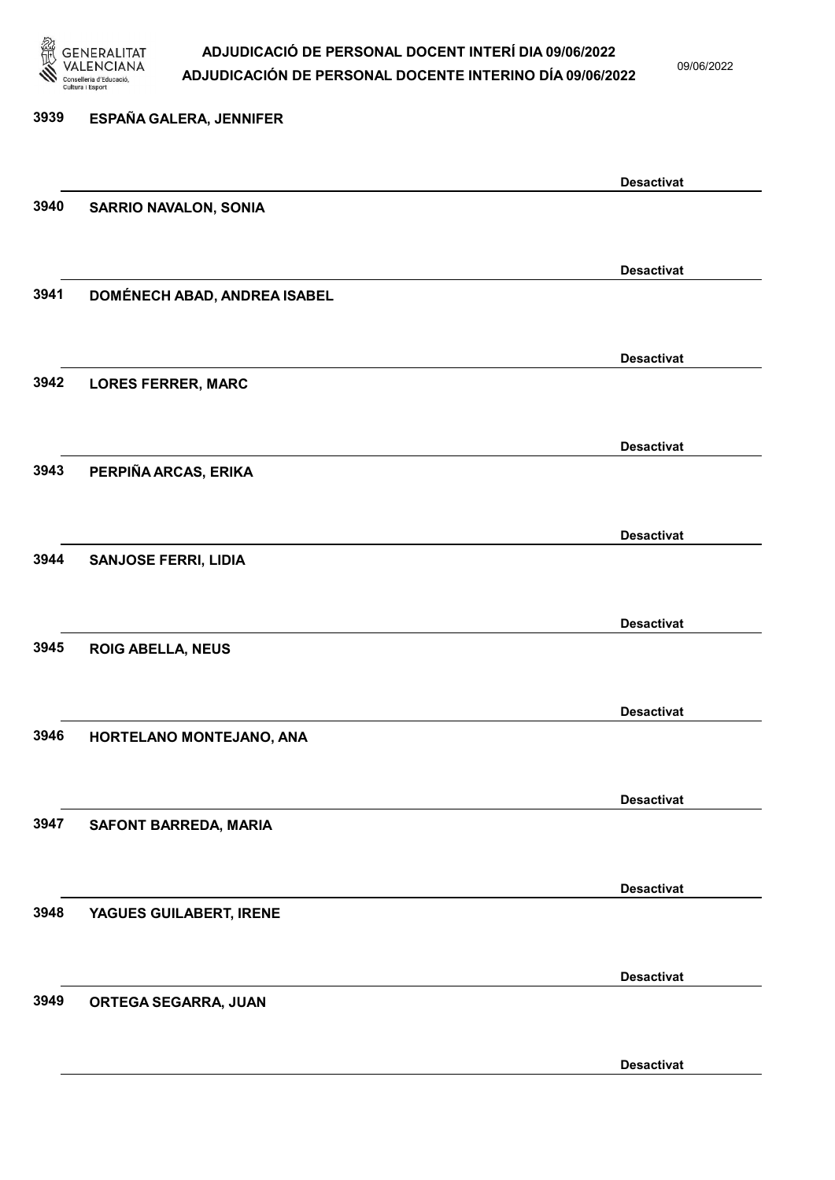

09/06/2022

| 3939 | ESPAÑA GALERA, JENNIFER             |                   |
|------|-------------------------------------|-------------------|
|      |                                     | <b>Desactivat</b> |
| 3940 | <b>SARRIO NAVALON, SONIA</b>        |                   |
|      |                                     | <b>Desactivat</b> |
| 3941 | <b>DOMÉNECH ABAD, ANDREA ISABEL</b> |                   |
|      |                                     | <b>Desactivat</b> |
| 3942 | <b>LORES FERRER, MARC</b>           |                   |
|      |                                     | <b>Desactivat</b> |
| 3943 | PERPIÑA ARCAS, ERIKA                |                   |
|      |                                     | <b>Desactivat</b> |
| 3944 | <b>SANJOSE FERRI, LIDIA</b>         |                   |
|      |                                     | <b>Desactivat</b> |
| 3945 | <b>ROIG ABELLA, NEUS</b>            |                   |
|      |                                     | <b>Desactivat</b> |
| 3946 | HORTELANO MONTEJANO, ANA            |                   |
|      |                                     | <b>Desactivat</b> |
| 3947 | <b>SAFONT BARREDA, MARIA</b>        |                   |
|      |                                     | <b>Desactivat</b> |
| 3948 | YAGUES GUILABERT, IRENE             |                   |
|      |                                     |                   |
| 3949 | ORTEGA SEGARRA, JUAN                | <b>Desactivat</b> |
|      |                                     |                   |
|      |                                     | <b>Desactivat</b> |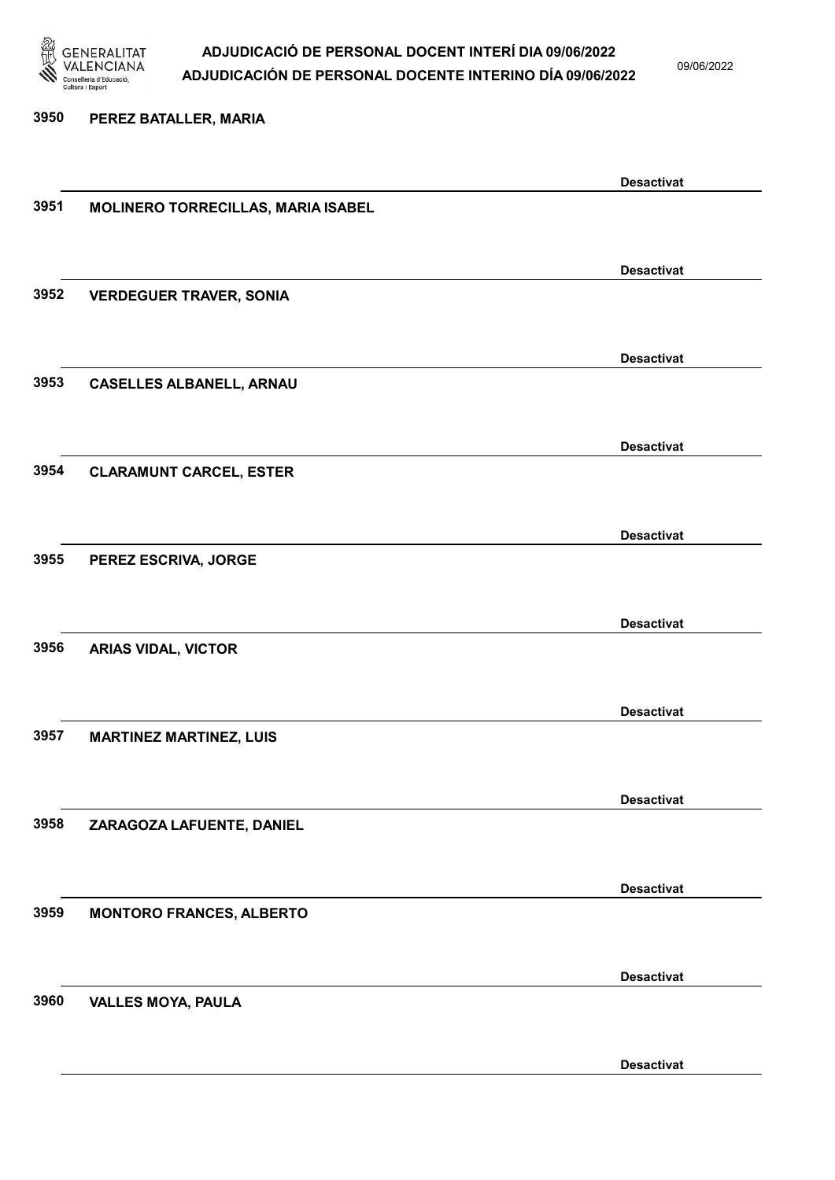

09/06/2022

### 3950 PEREZ BATALLER, MARIA

|      |                                    | <b>Desactivat</b> |
|------|------------------------------------|-------------------|
| 3951 | MOLINERO TORRECILLAS, MARIA ISABEL |                   |
|      |                                    |                   |
|      |                                    | <b>Desactivat</b> |
| 3952 | <b>VERDEGUER TRAVER, SONIA</b>     |                   |
|      |                                    |                   |
|      |                                    |                   |
|      |                                    | <b>Desactivat</b> |
| 3953 | <b>CASELLES ALBANELL, ARNAU</b>    |                   |
|      |                                    |                   |
|      |                                    | <b>Desactivat</b> |
| 3954 | <b>CLARAMUNT CARCEL, ESTER</b>     |                   |
|      |                                    |                   |
|      |                                    | <b>Desactivat</b> |
| 3955 | PEREZ ESCRIVA, JORGE               |                   |
|      |                                    |                   |
|      |                                    |                   |
|      |                                    | <b>Desactivat</b> |
| 3956 | <b>ARIAS VIDAL, VICTOR</b>         |                   |
|      |                                    |                   |
|      |                                    | <b>Desactivat</b> |
| 3957 | <b>MARTINEZ MARTINEZ, LUIS</b>     |                   |
|      |                                    |                   |
|      |                                    | <b>Desactivat</b> |
| 3958 | ZARAGOZA LAFUENTE, DANIEL          |                   |
|      |                                    |                   |
|      |                                    |                   |
|      |                                    | <b>Desactivat</b> |
| 3959 | <b>MONTORO FRANCES, ALBERTO</b>    |                   |
|      |                                    |                   |
|      |                                    | <b>Desactivat</b> |
| 3960 | <b>VALLES MOYA, PAULA</b>          |                   |
|      |                                    |                   |
|      |                                    | <b>Desactivat</b> |
|      |                                    |                   |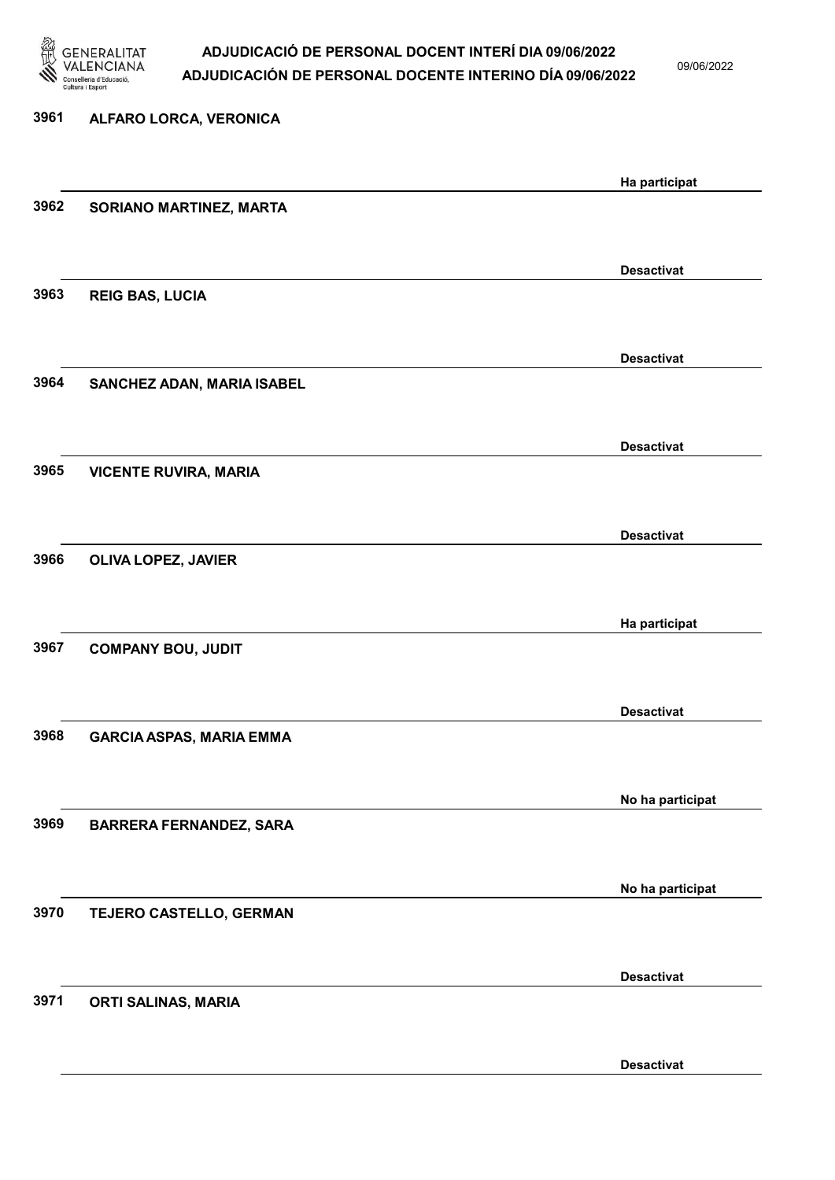

### ADJUDICACIÓ DE PERSONAL DOCENT INTERÍ DIA 09/06/2022 ADJUDICACIÓN DE PERSONAL DOCENTE INTERINO DÍA 09/06/2022

09/06/2022

Desactivat

# 3961 ALFARO LORCA, VERONICA Ha participat 3962 SORIANO MARTINEZ, MARTA Desactivat 3963 REIG BAS, LUCIA Desactivat 3964 SANCHEZ ADAN, MARIA ISABEL Desactivat 3965 VICENTE RUVIRA, MARIA Desactivat 3966 OLIVA LOPEZ, JAVIER Ha participat 3967 COMPANY BOU, JUDIT Desactivat 3968 GARCIA ASPAS, MARIA EMMA No ha participat 3969 BARRERA FERNANDEZ, SARA No ha participat 3970 TEJERO CASTELLO, GERMAN Desactivat 3971 ORTI SALINAS, MARIA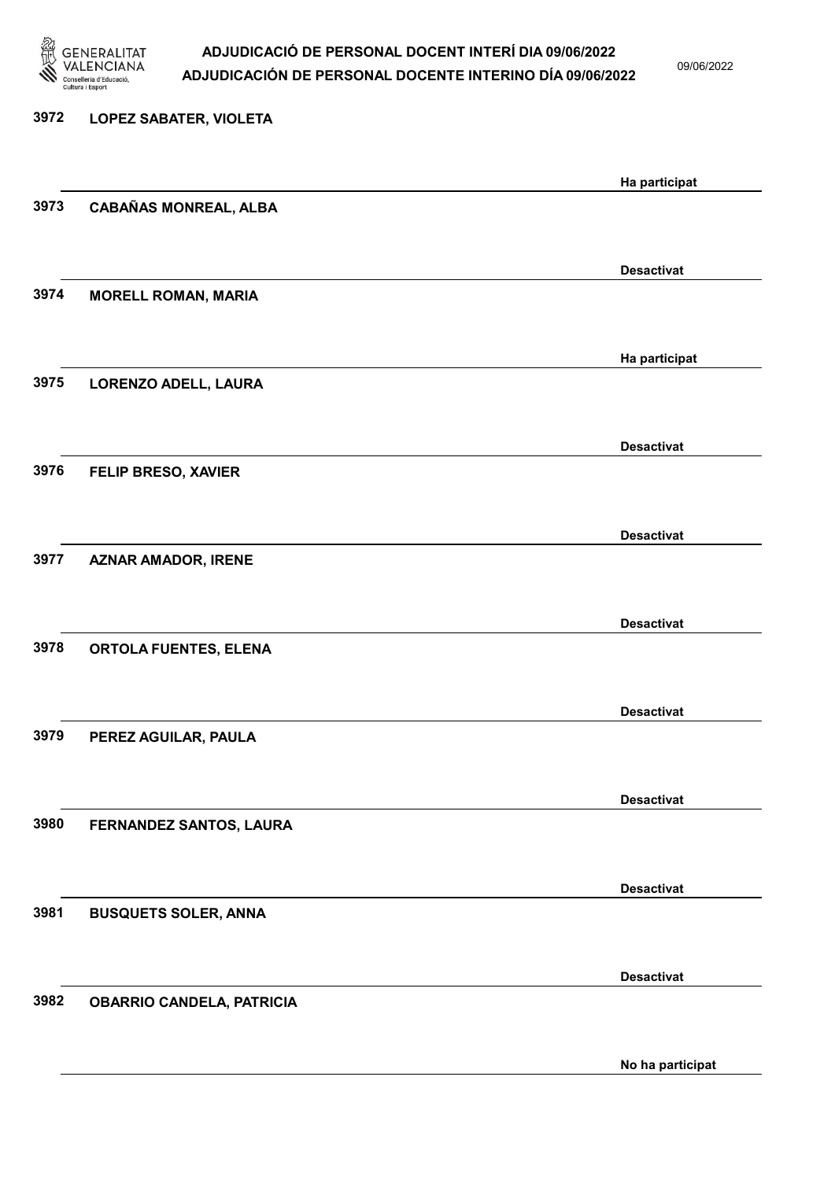

### ADJUDICACIÓ DE PERSONAL DOCENT INTERÍ DIA 09/06/2022 ADJUDICACIÓN DE PERSONAL DOCENTE INTERINO DÍA 09/06/2022

09/06/2022

# 3972 LOPEZ SABATER, VIOLETA Ha participat 3973 CABAÑAS MONREAL, ALBA Desactivat 3974 MORELL ROMAN, MARIA Ha participat 3975 LORENZO ADELL, LAURA Desactivat 3976 FELIP BRESO, XAVIER Desactivat 3977 AZNAR AMADOR, IRENE Desactivat 3978 ORTOLA FUENTES, ELENA Desactivat 3979 PEREZ AGUILAR, PAULA Desactivat 3980 FERNANDEZ SANTOS, LAURA Desactivat 3981 BUSQUETS SOLER, ANNA Desactivat 3982 OBARRIO CANDELA, PATRICIA

No ha participat